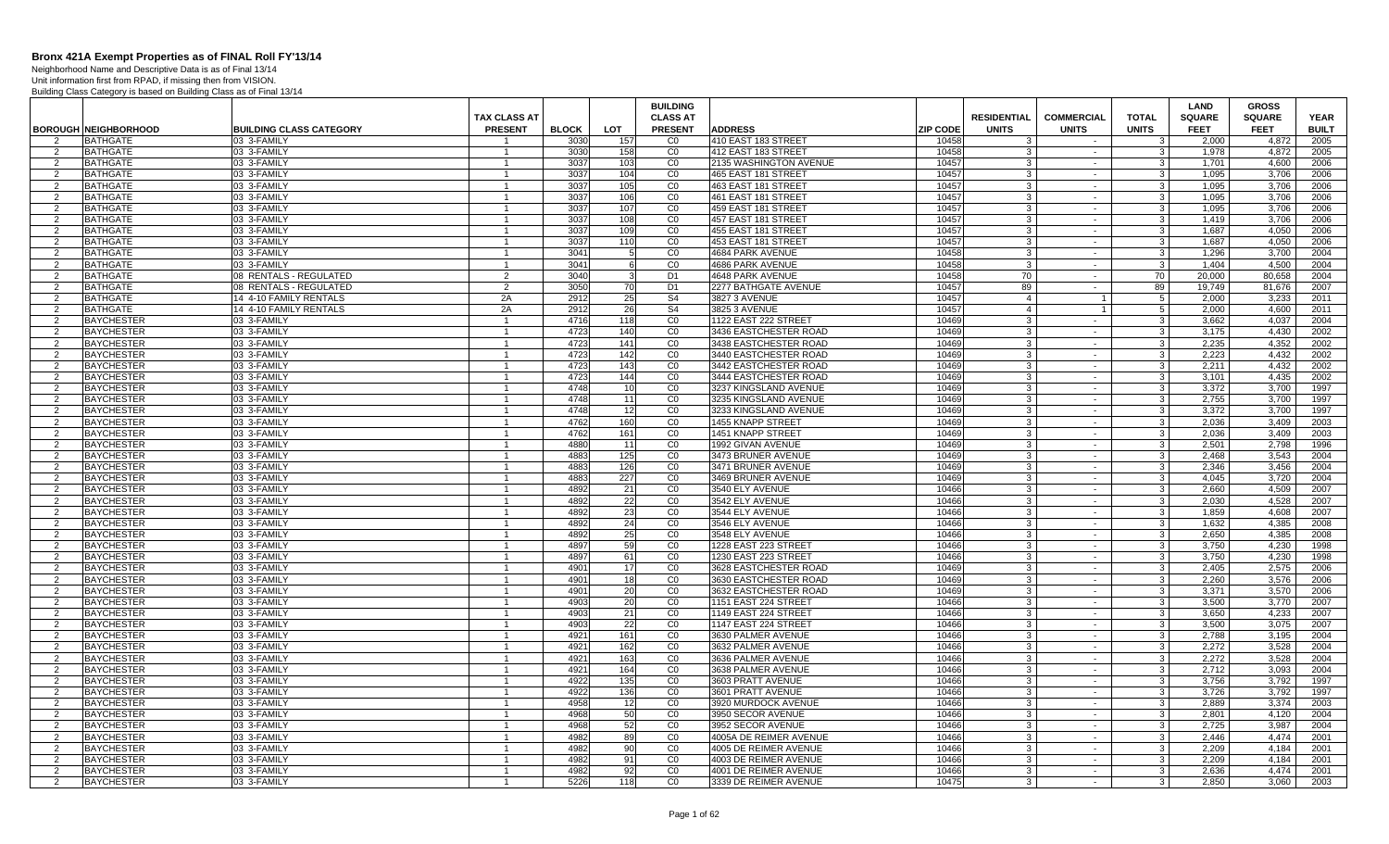Neighborhood Name and Descriptive Data is as of Final 13/14

|                     |                                        |                                | <b>TAX CLASS AT</b>          |              |            | <b>BUILDING</b><br><b>CLASS AT</b> |                                            |                 | <b>RESIDENTIAL</b>  | <b>COMMERCIAL</b> | <b>TOTAL</b>       | <b>LAND</b><br><b>SQUARE</b> | <b>GROSS</b><br><b>SQUARE</b> | <b>YEAR</b>  |
|---------------------|----------------------------------------|--------------------------------|------------------------------|--------------|------------|------------------------------------|--------------------------------------------|-----------------|---------------------|-------------------|--------------------|------------------------------|-------------------------------|--------------|
|                     | <b>BOROUGH NEIGHBORHOOD</b>            | <b>BUILDING CLASS CATEGORY</b> | <b>PRESENT</b>               | <b>BLOCK</b> | LOT        | <b>PRESENT</b>                     | <b>ADDRESS</b>                             | <b>ZIP CODE</b> | <b>UNITS</b>        | <b>UNITS</b>      | <b>UNITS</b>       | <b>FEET</b>                  | <b>FEET</b>                   | <b>BUILT</b> |
| $\overline{2}$<br>2 | <b>BATHGATE</b><br>BATHGATE            | 03 3-FAMILY<br>03 3-FAMILY     |                              | 3030<br>3030 | 157<br>158 | C <sub>0</sub><br>CO               | 410 EAST 183 STREET<br>412 EAST 183 STREET | 10458<br>10458  | 3<br>3              | $\sim$<br>$\sim$  | -3<br>3            | 2.000<br>1.978               | 4,872<br>4.872                | 2005<br>2005 |
| 2                   | <b>BATHGATE</b>                        | 03 3-FAMILY                    | $\mathbf{1}$                 | 3037         | 103        | CO                                 | 2135 WASHINGTON AVENUE                     | 10457           | 3                   | $\sim$            | -3                 | 1.701                        | 4.600                         | 2006         |
| $\overline{2}$      | <b>BATHGATE</b>                        | 03 3-FAMILY                    | $\mathbf{1}$                 | 3037         | 104        | CO                                 | 465 EAST 181 STREET                        | 10457           | 3                   | $\sim$            | $\mathbf{3}$       | 1,095                        | 3,706                         | 2006         |
| 2                   | <b>BATHGATE</b>                        | 03 3-FAMILY                    | -1                           | 3037         | 105        | CO                                 | 463 EAST 181 STREET                        | 10457           | 3                   | $\sim$            | $\mathbf{3}$       | 1,095                        | 3,706                         | 2006         |
| $\overline{2}$      | <b>BATHGATE</b>                        | 03 3-FAMILY                    | $\mathbf{1}$                 | 3037         | 106        | CO                                 | 461 EAST 181 STREET                        | 10457           | 3                   | $\sim$            | 3                  | 1,095                        | 3,706                         | 2006         |
| 2                   | <b>BATHGATE</b>                        | 03 3-FAMILY                    | $\mathbf{1}$                 | 3037         | 107        | CO                                 | 459 EAST 181 STREET                        | 10457           | $\mathcal{R}$       | $\sim$            | 3                  | 1,095                        | 3.706                         | 2006         |
| 2                   | <b>BATHGATE</b>                        | 03 3-FAMILY                    | $\mathbf{1}$                 | 3037         | 108        | CO                                 | 457 EAST 181 STREE                         | 10457           | $\overline{3}$      | $\sim$            | $\mathbf{3}$       | 1,419                        | 3,706                         | 2006         |
| 2                   | <b>BATHGATE</b>                        | 03 3-FAMILY                    | 1                            | 3037         | 109        | CO                                 | 455 EAST 181 STREE                         | 10457           | 3                   | $\sim$            | 3                  | 1.687                        | 4,050                         | 2006         |
| $\overline{2}$      | <b>BATHGATE</b>                        | 03 3-FAMILY                    | $\mathbf{1}$                 | 3037         | 110        | CO                                 | 453 EAST 181 STREET                        | 10457           | -3 I                | $\sim$            | $\mathbf{3}$       | 1.687                        | 4.050                         | 2006         |
| $\overline{2}$      | <b>BATHGATE</b>                        | 03 3-FAMILY                    | $\mathbf{1}$                 | 3041         |            | CO                                 | 4684 PARK AVENUE                           | 10458           | $\overline{3}$      | $\sim$            | 3                  | 1,296                        | 3.700                         | 2004         |
| 2                   | <b>BATHGATE</b>                        | 03 3-FAMILY                    | $\mathbf{1}$                 | 3041         |            | CO                                 | 4686 PARK AVENUE                           | 10458           | 3                   | $\sim$            | $\mathbf{3}$       | 1.404                        | 4.500                         | 2004         |
| $\overline{2}$      | <b>BATHGATE</b>                        | 08 RENTALS - REGULATED         | $\overline{2}$               | 3040         |            | D <sub>1</sub>                     | 4648 PARK AVENUE                           | 10458           | 70                  | $\sim$            | 70                 | 20,000                       | 80,658                        | 2004         |
| 2                   | <b>BATHGATE</b>                        | 08 RENTALS - REGULATED         | 2                            | 3050         | 70         | D <sub>1</sub>                     | 2277 BATHGATE AVENUE                       | 10457           | 89                  | $\sim$            | 89                 | 19.749                       | 81,676                        | 2007         |
| 2                   | <b>BATHGATE</b>                        | 14 4-10 FAMILY RENTALS         | 2A                           | 2912         | 25         | S <sub>4</sub>                     | 3827 3 AVENUE                              | 10457           | 4 <sup>1</sup>      | $\mathbf{1}$      | 5                  | 2,000                        | 3,233                         | 2011         |
| 2                   | <b>BATHGATE</b>                        | 14 4-10 FAMILY RENTALS         | 2A                           | 2912         | 26         | S <sub>4</sub>                     | 3825 3 AVENUE                              | 10457           | $\overline{4}$      |                   | $\overline{5}$     | 2.000                        | 4.600                         | 2011         |
| 2                   | <b>BAYCHESTER</b>                      | 03 3-FAMILY                    | $\mathbf{1}$                 | 4716         | 118        | CO                                 | 1122 EAST 222 STREET                       | 10469           | $\mathbf{3}$        | $\sim$            | $\mathbf{3}$       | 3,662                        | 4,037                         | 2004         |
| 2                   | <b>BAYCHESTER</b>                      | 03 3-FAMILY                    | 1                            | 4723         | 140        | CO                                 | 3436 EASTCHESTER ROAD                      | 10469           | 3                   | $\sim$            | 3                  | 3.175                        | 4.430                         | 2002         |
| 2                   | <b>BAYCHESTER</b>                      | 03 3-FAMILY                    | 1                            | 4723         | 141        | CO                                 | 3438 EASTCHESTER ROAD                      | 10469           | 3                   | $\sim$            | 3                  | 2.235                        | 4.352                         | 2002         |
| $\overline{2}$      | <b>BAYCHESTER</b>                      | 03 3-FAMILY                    | $\mathbf{1}$                 | 4723         | 142        | CO                                 | 3440 EASTCHESTER ROAD                      | 10469           | 3                   | $\sim$            | 3                  | 2.223                        | 4.432                         | 2002         |
| 2                   | <b>BAYCHESTER</b>                      | 03 3-FAMILY                    | $\mathbf{1}$                 | 4723         | 143        | CO                                 | 3442 EASTCHESTER ROAD                      | 10469           | 3                   | $\sim$            | 3                  | 2,211                        | 4,432                         | 2002         |
| 2                   | <b>BAYCHESTER</b>                      | 03 3-FAMILY                    | $\mathbf{1}$                 | 4723         | 144        | CO                                 | 3444 EASTCHESTER ROAD                      | 10469           | 3                   | $\sim$            | 3                  | 3,101                        | 4,435                         | 2002         |
| 2                   | <b>BAYCHESTER</b>                      | 03 3-FAMILY                    |                              | 4748         | 10         | CO                                 | 3237 KINGSLAND AVENUE                      | 10469           | 3                   | $\sim$            | 3                  | 3.372                        | 3.700                         | 1997         |
| $\overline{2}$      | <b>BAYCHESTER</b>                      | 03 3-FAMILY                    | $\mathbf{1}$                 | 4748         | 11         | CO                                 | 3235 KINGSLAND AVENUE                      | 10469           | 3 <sup>1</sup>      | $\sim$            | $\mathbf{3}$       | 2,755                        | 3,700                         | 1997         |
| $\mathcal{P}$       | <b>BAYCHESTER</b>                      | 03 3-FAMILY                    | $\mathbf{1}$                 | 4748         | 12         | C <sub>0</sub>                     | 3233 KINGSLAND AVENUE                      | 10469           | $\mathcal{R}$       | $\sim$            | 3                  | 3,372                        | 3.700                         | 1997         |
| 2                   | <b>BAYCHESTER</b>                      | 03 3-FAMILY                    | $\mathbf{1}$                 | 4762         | 160        | CO                                 | 1455 KNAPP STREET                          | 10469           | 3 <sup>1</sup>      | $\sim$            | $\mathbf{3}$       | 2.036                        | 3,409                         | 2003         |
| 2                   | <b>BAYCHESTER</b>                      | 03 3-FAMILY                    | $\mathbf{1}$                 | 4762         | 161        | CO                                 | 1451 KNAPP STREET                          | 10469           | 3 <sup>1</sup>      | $\sim$            | $\mathbf{3}$       | 2.036                        | 3.409                         | 2003         |
| 2                   | <b>BAYCHESTER</b>                      | 03 3-FAMILY                    | 1                            | 4880         | 11         | CO                                 | 1992 GIVAN AVENUE                          | 10469           | 3                   | $\sim$            | -3                 | 2.501                        | 2.798                         | 1996         |
| 2                   | <b>BAYCHESTER</b>                      | 03 3-FAMILY                    | $\mathbf{1}$                 | 4883         | 125        | CO                                 | 3473 BRUNER AVENUE                         | 10469           | 3                   | $\sim$            | 3                  | 2,468                        | 3.543                         | 2004         |
| 2                   | <b>BAYCHESTER</b>                      | 03 3-FAMILY                    | $\mathbf{1}$                 | 4883         | 126        | CO                                 | 3471 BRUNER AVENUE                         | 10469           | 3                   | $\sim$            | 3                  | 2,346                        | 3,456                         | 2004         |
| 2                   | <b>BAYCHESTER</b>                      | 03 3-FAMILY                    | $\mathbf{1}$                 | 4883         | 227        | CO                                 | 3469 BRUNER AVENUE                         | 10469           | 3                   | $\sim$            | $\mathbf{3}$       | 4,045                        | 3,720                         | 2004         |
| 2                   | <b>BAYCHESTER</b>                      | 03 3-FAMILY                    | $\mathbf{1}$                 | 4892         | 21         | CO                                 | 3540 ELY AVENUE                            | 10466           | 3                   | $\sim$            | 3                  | 2.660                        | 4.509                         | 2007         |
| $\overline{2}$      | <b>BAYCHESTER</b>                      | 03 3-FAMILY                    | $\mathbf{1}$                 | 4892         | 22         | CO                                 | 3542 ELY AVENUE                            | 10466           | 3 <sup>1</sup>      | $\sim$            | $\mathbf{3}$       | 2.030                        | 4,528                         | 2007         |
| 2                   | <b>BAYCHESTER</b>                      | 03 3-FAMILY                    | $\mathbf{1}$                 | 4892         | 23         | C <sub>0</sub>                     | 3544 ELY AVENUE                            | 10466           | $\mathcal{R}$       | $\sim$            | 3                  | 1,859                        | 4,608                         | 2007         |
| 2                   | <b>BAYCHESTER</b>                      | 03 3-FAMILY                    | $\mathbf{1}$                 | 4892         | 24         | CO                                 | 3546 ELY AVENUE                            | 10466           | 3 <sup>1</sup>      | $\sim$            | $\mathbf{3}$       | 1.632                        | 4.385                         | 2008         |
| 2                   | <b>BAYCHESTER</b>                      | 03 3-FAMILY                    | $\mathbf{1}$                 | 4892         | 25         | CO                                 | 3548 ELY AVENUE                            | 10466           | $\overline{3}$      | $\sim$            | $\mathbf{3}$       | 2.650                        | 4.385                         | 2008         |
| 2                   | <b>BAYCHESTER</b>                      | 03 3-FAMILY                    | $\mathbf{1}$                 | 4897         | 59         | CO                                 | 1228 EAST 223 STREET                       | 10466           | 3                   | $\sim$            | 3                  | 3.750                        | 4.230                         | 1998         |
| 2                   | <b>BAYCHESTER</b>                      | 03 3-FAMILY                    | $\mathbf{1}$                 | 4897         | 61         | CO                                 | 1230 EAST 223 STREET                       | 10466           | 3                   | $\sim$            | 3                  | 3.750                        | 4.230                         | 1998         |
| 2                   | <b>BAYCHESTER</b>                      | 03 3-FAMILY                    | 1                            | 4901         | 17         | CO                                 | 3628 EASTCHESTER ROAD                      | 10469           | 3                   | $\sim$            | 3                  | 2,405                        | 2,575                         | 2006         |
| 2                   | <b>BAYCHESTER</b>                      | 03 3-FAMILY                    | $\mathbf{1}$                 | 4901         | 18         | $\overline{C}0$                    | 3630 EASTCHESTER ROAD                      | 10469           | 3                   | $\sim$            | $\mathbf{3}$       | 2.260                        | 3,576                         | 2006         |
| 2                   | <b>BAYCHESTER</b>                      | 03 3-FAMILY                    | $\mathbf{1}$                 | 4901         | 20         | CO                                 | 3632 EASTCHESTER ROAD                      | 10469           | 3                   | $\sim$            | 3                  | 3.371                        | 3,570                         | 2006         |
| 2                   | <b>BAYCHESTER</b>                      | 03 3-FAMILY                    | $\mathbf{1}$                 | 4903         | 20         | CO                                 | 1151 EAST 224 STREET                       | 10466           | $\overline{3}$      | $\sim$            | $\mathbf{3}$       | 3.500                        | 3.770                         | 2007         |
| $\mathcal{P}$       | <b>BAYCHESTER</b>                      | 03 3-FAMILY                    | $\mathbf{1}$                 | 4903<br>4903 | 21         | CO                                 | 1149 EAST 224 STREET                       | 10466           | $\mathcal{R}$       | $\sim$            | $\mathcal{R}$      | 3,650                        | 4,233                         | 2007         |
| $\overline{2}$<br>2 | <b>BAYCHESTER</b><br><b>BAYCHESTER</b> | 03 3-FAMILY<br>03 3-FAMILY     | 1<br>$\mathbf{1}$            | 4921         | 22<br>161  | $\overline{C}0$<br>CO              | 1147 EAST 224 STREET<br>3630 PALMER AVENUE | 10466<br>10466  | 3 <sup>1</sup><br>3 | $\sim$<br>$\sim$  | $\mathbf{3}$<br>-3 | 3,500<br>2.788               | 3,075<br>3,195                | 2007<br>2004 |
|                     |                                        |                                |                              | 4921         |            | CO                                 | 3632 PALMER AVENUE                         | 10466           |                     |                   | 3                  | 2.272                        | 3.528                         | 2004         |
| 2<br>$\overline{2}$ | <b>BAYCHESTER</b><br><b>BAYCHESTER</b> | 03 3-FAMILY<br>03 3-FAMILY     | $\mathbf{1}$<br>$\mathbf{1}$ | 4921         | 162<br>163 | CO                                 | 3636 PALMER AVENUE                         | 10466           | 3<br>3              | $\sim$<br>$\sim$  | 3                  | 2,272                        | 3,528                         | 2004         |
|                     | <b>BAYCHESTER</b>                      | 03 3-FAMILY                    | $\mathbf{1}$                 | 4921         | 164        | $\overline{C}0$                    | 3638 PALMER AVENUE                         | 10466           | 3                   |                   | 3                  | 2,712                        | 3,093                         | 2004         |
| $\overline{2}$      | <b>BAYCHESTER</b>                      | 03 3-FAMILY                    | $\mathbf{1}$                 | 4922         | 135        | CO                                 | 3603 PRATT AVENUE                          | 10466           | 3 <sup>1</sup>      | $\sim$<br>$\sim$  | $\mathbf{3}$       | 3.756                        | 3,792                         | 1997         |
| 2<br>2              | <b>BAYCHESTER</b>                      | 03 3-FAMILY                    | $\mathbf{1}$                 | 4922         | 136        | CO                                 | 3601 PRATT AVENUE                          | 10466           | 3                   | $\sim$            | 3                  | 3,726                        | 3.792                         | 1997         |
| 2                   | <b>BAYCHESTER</b>                      | 03 3-FAMILY                    | $\mathbf{1}$                 | 4958         | 12         | C <sub>0</sub>                     | 3920 MURDOCK AVENUE                        | 10466           | $\overline{3}$      | $\sim$            | $\mathbf{3}$       | 2.889                        | 3.374                         | 2003         |
| $\overline{2}$      | <b>BAYCHESTER</b>                      | 03 3-FAMILY                    | $\mathbf{1}$                 | 4968         | 50         | C <sub>0</sub>                     | 3950 SECOR AVENUE                          | 10466           | 3 <sup>1</sup>      | $\blacksquare$    | 3                  | 2,801                        | 4,120                         | 2004         |
| 2                   | <b>BAYCHESTER</b>                      | 03 3-FAMILY                    | $\mathbf{1}$                 | 4968         | 52         | $\overline{c}$                     | 3952 SECOR AVENUE                          | 10466           | 3                   | $\sim$            | $\mathbf{3}$       | 2,725                        | 3,987                         | 2004         |
| $\overline{2}$      | <b>BAYCHESTER</b>                      | 03 3-FAMILY                    | $\mathbf{1}$                 | 4982         | 89         | CO                                 | 4005A DE REIMER AVENUE                     | 10466           | 3                   | $\sim$            | -3                 | 2.446                        | 4,474                         | 2001         |
| 2                   | <b>BAYCHESTER</b>                      | 03 3-FAMILY                    | $\mathbf{1}$                 | 4982         | 90         | CO                                 | 4005 DE REIMER AVENUE                      | 10466           | 3                   | $\sim$            | 3                  | 2.209                        | 4.184                         | 2001         |
| $\overline{2}$      | <b>BAYCHESTER</b>                      | 03 3-FAMILY                    | $\mathbf{1}$                 | 4982         | 91         | CO                                 | 4003 DE REIMER AVENUE                      | 10466           | $\mathbf{3}$        | $\sim$            | $\mathcal{R}$      | 2,209                        | 4,184                         | 2001         |
| 2                   | <b>BAYCHESTER</b>                      | 03 3-FAMILY                    | $\mathbf{1}$                 | 4982         | 92         | CO                                 | 4001 DE REIMER AVENUE                      | 10466           | 3                   | $\sim$            | 3                  | 2,636                        | 4.474                         | 2001         |
| 2                   | <b>BAYCHESTER</b>                      | 03 3-FAMILY                    | $\mathbf{1}$                 | 5226         | 118        | CO                                 | 3339 DE REIMER AVENUE                      | 10475           | 3 <sup>1</sup>      | $\sim$            | $\mathbf{3}$       | 2.850                        | 3,060                         | 2003         |
|                     |                                        |                                |                              |              |            |                                    |                                            |                 |                     |                   |                    |                              |                               |              |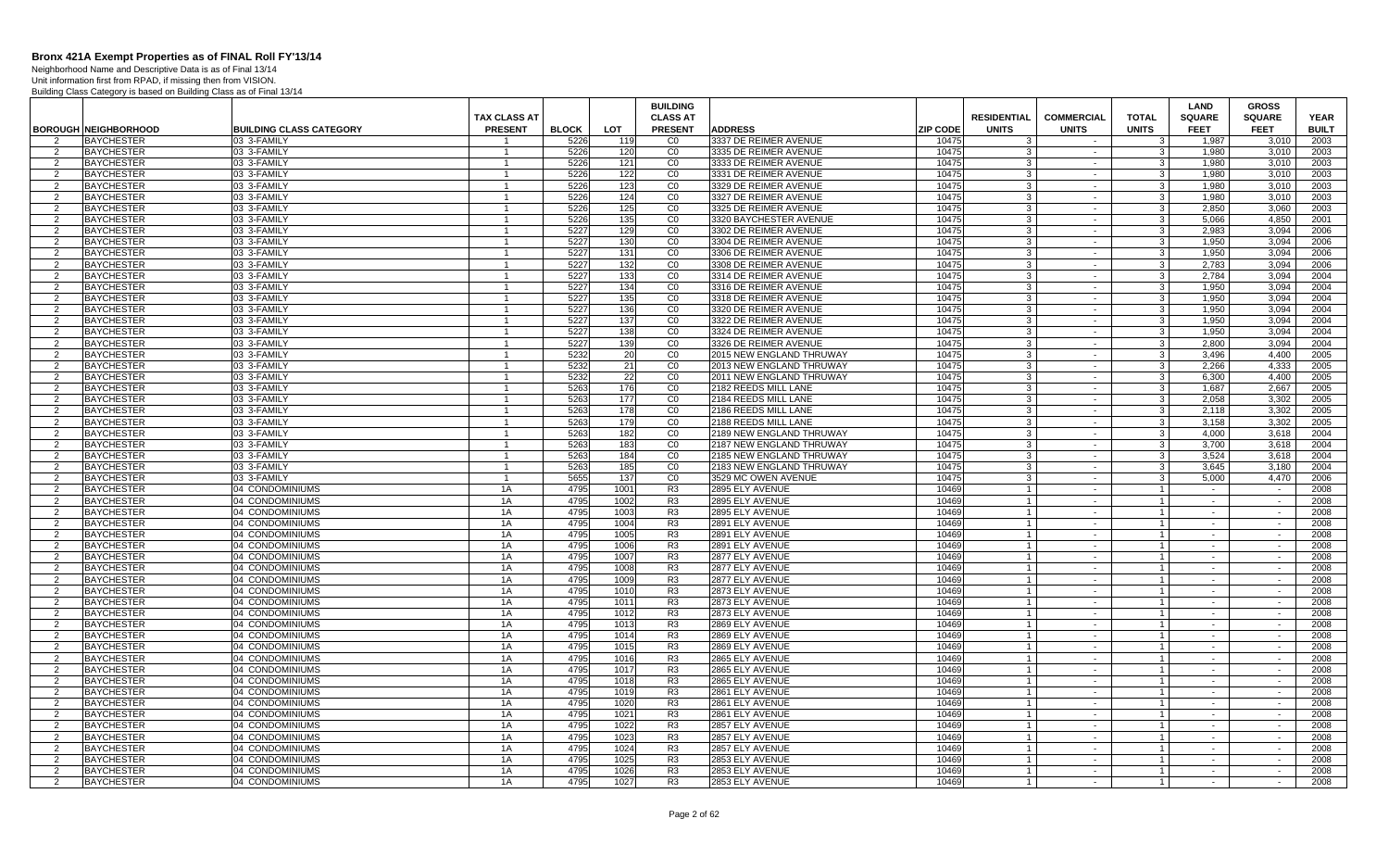Neighborhood Name and Descriptive Data is as of Final 13/14

|                |                                        |                                    |                                  |              |              | <b>BUILDING</b><br><b>CLASS AT</b> |                                                |                 | <b>RESIDENTIAL</b> | <b>COMMERCIAL</b>                  | <b>TOTAL</b>                     | <b>LAND</b>                  | <b>GROSS</b>                 |                             |
|----------------|----------------------------------------|------------------------------------|----------------------------------|--------------|--------------|------------------------------------|------------------------------------------------|-----------------|--------------------|------------------------------------|----------------------------------|------------------------------|------------------------------|-----------------------------|
|                | <b>BOROUGH NEIGHBORHOOD</b>            | <b>BUILDING CLASS CATEGORY</b>     | TAX CLASS AT<br><b>PRESENT</b>   | <b>BLOCK</b> | <b>LOT</b>   | <b>PRESENT</b>                     | <b>ADDRESS</b>                                 | <b>ZIP CODE</b> | <b>UNITS</b>       | <b>UNITS</b>                       | <b>UNITS</b>                     | <b>SQUARE</b><br><b>FEET</b> | <b>SQUARE</b><br><b>FEET</b> | <b>YEAR</b><br><b>BUILT</b> |
| $\overline{2}$ | <b>BAYCHESTER</b>                      | 03 3-FAMILY                        |                                  | 5226         | 119          | C <sub>0</sub>                     | 3337 DE REIMER AVENUE                          | 10475           | $\mathcal{R}$      | $\sim$                             | $\mathcal{B}$                    | 1.987                        | 3.010                        | 2003                        |
| 2              | <b>BAYCHESTER</b>                      | 03 3-FAMILY                        |                                  | 5226         | 120          | CO                                 | 3335 DE REIMER AVENUE                          | 10475           | 3                  | $\sim$                             |                                  | 1.980                        | 3.010                        | 2003                        |
| 2              | <b>BAYCHESTER</b>                      | 03 3-FAMILY                        | $\overline{1}$                   | 5226         | 121          | CO                                 | 3333 DE REIMER AVENUE                          | 10475           | 3                  | $\sim$                             | 3                                | 1,980                        | 3,010                        | 2003                        |
| 2              | <b>BAYCHESTER</b>                      | 03 3-FAMILY                        | $\overline{1}$                   | 5226         | 122          | $_{\rm CO}$                        | 3331 DE REIMER AVENUE                          | 10475           | $\mathbf{3}$       | $\sim$                             | $\mathbf{3}$                     | 1,980                        | 3,010                        | 2003                        |
| 2              | <b>BAYCHESTER</b>                      | 03 3-FAMILY                        |                                  | 5226         | 123          | CO                                 | 3329 DE REIMER AVENUE                          | 10475           | 3                  | $\sim$                             | 3                                | 1,980                        | 3,010                        | 2003                        |
| $\overline{2}$ | <b>BAYCHESTER</b>                      | 03 3-FAMILY                        | $\overline{1}$                   | 5226         | 124          | CO                                 | 3327 DE REIMER AVENUE                          | 10475           | 3                  | $\sim$                             | 3                                | 1,980                        | 3,010                        | 2003                        |
| $\mathcal{P}$  | <b>BAYCHESTER</b>                      | 03 3-FAMILY                        | $\overline{1}$                   | 5226         | 125          | CO                                 | 3325 DE REIMER AVENUE                          | 10475           | $\mathcal{R}$      | $\sim$                             | 3                                | 2,850                        | 3,060                        | 2003                        |
| 2              | <b>BAYCHESTER</b>                      | 03 3-FAMILY                        | $\mathbf{1}$                     | 5226         | 135          | CO                                 | 3320 BAYCHESTER AVENUE                         | 10475           | 3 <sup>1</sup>     | $\sim$                             | $\mathbf{3}$                     | 5.066                        | 4.850                        | 2001                        |
| 2              | <b>BAYCHESTER</b>                      | 03 3-FAMILY                        | $\overline{1}$                   | 5227         | 129          | CO                                 | 3302 DE REIMER AVENUE                          | 10475           | 3                  | $\sim$                             | 3                                | 2.983                        | 3.094                        | 2006                        |
| 2              | <b>BAYCHESTER</b>                      | 03 3-FAMILY                        | $\overline{1}$                   | 5227         | 130          | CO                                 | 3304 DE REIMER AVENUE                          | 10475           | 3 <sup>1</sup>     | $\sim$                             | $\mathbf{3}$                     | 1.950                        | 3.094                        | 2006                        |
| $\overline{2}$ | <b>BAYCHESTER</b>                      | 03 3-FAMILY                        |                                  | 5227         | 131          | $\overline{C}0$                    | 3306 DE REIMER AVENUE                          | 10475           | 3                  | $\sim$                             | 3                                | 1,950                        | 3,094                        | 2006                        |
| 2              | <b>BAYCHESTER</b>                      | 03 3-FAMILY                        | -1                               | 5227         | 132          | CO                                 | 3308 DE REIMER AVENUE                          | 10475           | 3                  | $\sim$                             | 3                                | 2,783                        | 3,094                        | 2006                        |
| 2              | <b>BAYCHESTER</b>                      | 03 3-FAMILY                        | $\overline{1}$                   | 5227         | 133          | CO                                 | 3314 DE REIMER AVENUE                          | 10475           | 3                  | $\sim$                             | $\mathbf{3}$                     | 2.784                        | 3.094                        | 2004                        |
| 2              | <b>BAYCHESTER</b>                      | 03 3-FAMILY                        |                                  | 5227         | 134          | CO                                 | 3316 DE REIMER AVENUE                          | 10475           | 3                  | $\sim$                             | 3                                | 1.950                        | 3.094                        | 2004                        |
| 2              | <b>BAYCHESTER</b>                      | 03 3-FAMILY                        | $\overline{1}$                   | 5227         | 135          | CO                                 | 3318 DE REIMER AVENUE                          | 10475           | 3 <sup>1</sup>     | $\sim$                             | $\mathbf{3}$                     | 1,950                        | 3,094                        | 2004                        |
| 2              | <b>BAYCHESTER</b>                      | 03 3-FAMILY                        | $\overline{1}$                   | 5227         | 136          | $\overline{C}$                     | 3320 DE REIMER AVENUE                          | 10475           | 3                  | $\sim$                             | 3                                | 1,950                        | 3,094                        | 2004                        |
| 2              | <b>BAYCHESTER</b>                      | 03 3-FAMILY                        | $\mathbf{1}$                     | 5227         | 137          | CO                                 | 3322 DE REIMER AVENUE                          | 10475           | $\mathbf{3}$       | $\sim$                             | $\mathbf{3}$                     | 1.950                        | 3.094                        | 2004                        |
| $\overline{2}$ | <b>BAYCHESTER</b><br><b>BAYCHESTER</b> | 03 3-FAMILY<br>03 3-FAMILY         | $\overline{1}$<br>$\overline{1}$ | 5227<br>5227 | 138<br>139   | $_{\rm CO}$<br>C <sub>0</sub>      | 3324 DE REIMER AVENUE<br>3326 DE REIMER AVENUE | 10475<br>10475  | 3<br>3             | $\overline{\phantom{a}}$<br>$\sim$ | 3<br>3                           | 1,950<br>2,800               | 3,094<br>3,094               | 2004<br>2004                |
| 2<br>2         | <b>BAYCHESTER</b>                      | 03 3-FAMILY                        | $\overline{1}$                   | 5232         | 20           | CO                                 | 2015 NEW ENGLAND THRUWAY                       | 10475           | 3                  | $\sim$                             | 3                                | 3,496                        | 4,400                        | 2005                        |
| 2              | <b>BAYCHESTER</b>                      | 03 3-FAMILY                        |                                  | 5232         | 21           | CO                                 | 2013 NEW ENGLAND THRUWAY                       | 10475           | 3                  | $\sim$                             | 3                                | 2,266                        | 4,333                        | 2005                        |
| 2              | <b>BAYCHESTER</b>                      | 03 3-FAMILY                        | $\overline{1}$                   | 5232         | 22           | $_{\rm CO}$                        | 2011 NEW ENGLAND THRUWAY                       | 10475           | $\mathbf{3}$       | $\sim$                             | $\mathbf{3}$                     | 6,300                        | 4,400                        | 2005                        |
| 2              | <b>BAYCHESTER</b>                      | 03 3-FAMILY                        | $\overline{1}$                   | 5263         | 176          | CO                                 | 2182 REEDS MILL LANE                           | 10475           | 3                  | $\sim$                             | 3                                | 1.687                        | 2.667                        | 2005                        |
| 2              | <b>BAYCHESTER</b>                      | 03 3-FAMILY                        | $\overline{1}$                   | 5263         | 177          | CO                                 | <b>2184 REEDS MILL LANE</b>                    | 10475           | $\mathbf{3}$       | $\sim$                             | $\mathbf{3}$                     | 2.058                        | 3,302                        | 2005                        |
| 2              | <b>BAYCHESTER</b>                      | 03 3-FAMILY                        | $\overline{1}$                   | 5263         | 178          | CO                                 | 2186 REEDS MILL LANE                           | 10475           | 3                  | $\sim$                             | 3                                | 2.118                        | 3.302                        | 2005                        |
| $\overline{2}$ | <b>BAYCHESTER</b>                      | 03 3-FAMILY                        | $\overline{1}$                   | 5263         | 179          | $_{\rm CO}$                        | 2188 REEDS MILL LANE                           | 10475           | 3                  | $\sim$                             | $\mathbf{3}$                     | 3,158                        | 3,302                        | 2005                        |
| 2              | <b>BAYCHESTER</b>                      | 03 3-FAMILY                        | $\overline{1}$                   | 5263         | 182          | C <sub>0</sub>                     | 2189 NEW ENGLAND THRUWAY                       | 10475           | 3                  | $\sim$                             | 3                                | 4,000                        | 3,618                        | 2004                        |
| 2              | <b>BAYCHESTER</b>                      | 03 3-FAMILY                        | $\mathbf{1}$                     | 5263         | 183          | CO                                 | 2187 NEW ENGLAND THRUWAY                       | 10475           | 3                  | $\sim$                             | 3                                | 3.700                        | 3,618                        | 2004                        |
| 2              | <b>BAYCHESTER</b>                      | 03 3-FAMILY                        | $\overline{1}$                   | 5263         | 184          | CO                                 | 2185 NEW ENGLAND THRUWAY                       | 10475           | 3                  | $\sim$                             | 3                                | 3,524                        | 3,618                        | 2004                        |
| $\overline{2}$ | <b>BAYCHESTER</b>                      | 03 3-FAMILY                        |                                  | 5263         | 185          | CO                                 | 2183 NEW ENGLAND THRUWAY                       | 10475           | 3                  | $\sim$                             | 3                                | 3.645                        | 3,180                        | 2004                        |
| 2              | <b>BAYCHESTER</b>                      | 03 3-FAMILY                        | $\overline{1}$                   | 5655         | 137          | CO                                 | 3529 MC OWEN AVENUE                            | 10475           | $\mathbf{3}$       | $\sim$                             | $\mathbf{3}$                     | 5.000                        | 4.470                        | 2006                        |
| 2              | <b>BAYCHESTER</b>                      | 04 CONDOMINIUMS                    | 1A                               | 4795         | 1001         | R <sub>3</sub>                     | 2895 ELY AVENUE                                | 10469           |                    | $\sim$                             | $\overline{1}$                   | $\sim$                       | $\sim$                       | 2008                        |
| 2              | <b>BAYCHESTER</b>                      | 04 CONDOMINIUMS                    | 1A                               | 4795         | 1002         | R3                                 | 2895 ELY AVENUE                                | 10469           | $\overline{1}$     | $\sim$                             | $\overline{1}$                   | $\sim$                       | $\sim$                       | 2008                        |
| $\mathcal{P}$  | <b>BAYCHESTER</b>                      | 04 CONDOMINIUMS                    | 1A                               | 4795         | 1003         | R <sub>3</sub>                     | 2895 ELY AVENUE                                | 10469           |                    | $\blacksquare$                     | $\mathbf{1}$                     | $\sim$                       | $\sim$                       | 2008                        |
| 2              | <b>BAYCHESTER</b>                      | 04 CONDOMINIUMS                    | 1A                               | 4795         | 1004         | R <sub>3</sub>                     | 2891 ELY AVENUE                                | 10469           |                    | $\sim$                             | $\overline{1}$                   | $\sim$                       | $\sim$                       | 2008                        |
| 2              | <b>BAYCHESTER</b>                      | 04 CONDOMINIUMS                    | 1A                               | 4795         | 1005         | R <sub>3</sub>                     | 2891 ELY AVENUE                                | 10469           |                    | $\sim$                             | $\overline{1}$                   | $\sim$                       | $\sim$                       | 2008                        |
| 2              | <b>BAYCHESTER</b>                      | 04 CONDOMINIUMS                    | 1A                               | 4795         | 1006         | R <sub>3</sub>                     | 2891 ELY AVENUE                                | 10469           |                    | $\sim$                             | $\overline{1}$                   | $\sim$                       | $\sim$                       | 2008                        |
| 2              | <b>BAYCHESTER</b>                      | 04 CONDOMINIUMS                    | 1A                               | 4795         | 1007         | R <sub>3</sub>                     | 2877 ELY AVENUE                                | 10469           |                    | $\sim$                             | $\mathbf{1}$                     | $\sim$                       | $\mathcal{L}^{\pm}$          | 2008                        |
| $\overline{2}$ | <b>BAYCHESTER</b>                      | 04 CONDOMINIUMS                    | 1A<br>1A                         | 4795<br>4795 | 1008<br>1009 | R <sub>3</sub><br>R3               | 2877 ELY AVENUE                                | 10469<br>10469  | $\overline{1}$     | $\sim$<br>$\sim$                   | $\mathbf{1}$                     | $\sim$<br>$\sim$             | $\sim$<br>$\sim$             | 2008<br>2008                |
| 2<br>2         | <b>BAYCHESTER</b><br><b>BAYCHESTER</b> | 04 CONDOMINIUMS<br>04 CONDOMINIUMS | 1A                               | 4795         | 1010         | R <sub>3</sub>                     | 2877 ELY AVENUE<br>2873 ELY AVENUE             | 10469           |                    | $\sim$                             | $\overline{1}$<br>$\overline{1}$ | $\sim$                       | $\sim$                       | 2008                        |
| $\overline{2}$ | <b>BAYCHESTER</b>                      | 04 CONDOMINIUMS                    | 1A                               | 4795         | 1011         | R <sub>3</sub>                     | 2873 ELY AVENUE                                | 10469           |                    | $\sim$                             | $\overline{1}$                   | $\sim$                       | $\sim$                       | 2008                        |
| 2              | <b>BAYCHESTER</b>                      | 04 CONDOMINIUMS                    | 1A                               | 4795         | 1012         | R <sub>3</sub>                     | 2873 ELY AVENUE                                | 10469           |                    | $\overline{\phantom{a}}$           | 1                                | $\overline{\phantom{a}}$     | $\sim$                       | 2008                        |
| 2              | <b>BAYCHESTER</b>                      | 04 CONDOMINIUMS                    | 1A                               | 4795         | 1013         | R <sub>3</sub>                     | 2869 ELY AVENUE                                | 10469           |                    | $\sim$                             | $\mathbf{1}$                     | $\sim$                       | $\sim$                       | 2008                        |
| $\overline{2}$ | <b>BAYCHESTER</b>                      | 04 CONDOMINIUMS                    | 1A                               | 4795         | 1014         | R3                                 | 2869 ELY AVENUE                                | 10469           |                    | $\sim$                             | $\overline{1}$                   | $\sim$                       | $\sim$                       | 2008                        |
| $\overline{2}$ | <b>BAYCHESTER</b>                      | 04 CONDOMINIUMS                    | 1A                               | 4795         | 1015         | R <sub>3</sub>                     | 2869 ELY AVENUE                                | 10469           |                    | $\sim$                             | $\overline{1}$                   | $\sim$                       | $\sim$                       | 2008                        |
| 2              | <b>BAYCHESTER</b>                      | 04 CONDOMINIUMS                    | 1A                               | 4795         | 1016         | R <sub>3</sub>                     | 2865 ELY AVENUE                                | 10469           | $\overline{1}$     | $\sim$                             | $\mathbf{1}$                     | $\sim$                       | $\sim$                       | 2008                        |
| 2              | <b>BAYCHESTER</b>                      | 04 CONDOMINIUMS                    | 1A                               | 4795         | 1017         | R3                                 | 2865 ELY AVENUE                                | 10469           |                    | $\overline{\phantom{a}}$           | $\overline{1}$                   | $\sim$                       | $\sim$                       | 2008                        |
| 2              | <b>BAYCHESTER</b>                      | 04 CONDOMINIUMS                    | 1A                               | 4795         | 1018         | R <sub>3</sub>                     | 2865 ELY AVENUE                                | 10469           | $\overline{1}$     | $\sim$                             | $\overline{1}$                   | $\sim$                       | $\sim$                       | 2008                        |
| 2              | <b>BAYCHESTER</b>                      | 04 CONDOMINIUMS                    | 1A                               | 4795         | 1019         | R <sub>3</sub>                     | 2861 ELY AVENUE                                | 10469           |                    | $\blacksquare$                     | $\mathbf{1}$                     | $\sim$                       | $\blacksquare$               | 2008                        |
| 2              | <b>BAYCHESTER</b>                      | 04 CONDOMINIUMS                    | 1A                               | 4795         | 1020         | R <sub>3</sub>                     | 2861 ELY AVENUE                                | 10469           |                    | $\sim$                             | $\overline{1}$                   | $\sim$                       | $\sim$                       | 2008                        |
| 2              | <b>BAYCHESTER</b>                      | 04 CONDOMINIUMS                    | 1A                               | 4795         | 1021         | R <sub>3</sub>                     | 2861 ELY AVENUE                                | 10469           |                    | $\sim$                             | $\overline{1}$                   | $\sim$ $-$                   | $\sim$                       | 2008                        |
| $\overline{2}$ | <b>BAYCHESTER</b>                      | 04 CONDOMINIUMS                    | 1A                               | 4795         | 1022         | R <sub>3</sub>                     | 2857 ELY AVENUE                                | 10469           |                    | $\sim$                             | $\overline{1}$                   | $\sim$                       | $\sim$                       | 2008                        |
| 2              | <b>BAYCHESTER</b>                      | 04 CONDOMINIUMS                    | 1A                               | 4795         | 1023         | R <sub>3</sub>                     | 2857 ELY AVENUE                                | 10469           |                    | $\sim$                             | $\overline{1}$                   | $\sim$                       | $\sim$                       | 2008                        |
| 2              | <b>BAYCHESTER</b>                      | 04 CONDOMINIUMS                    | 1A                               | 4795         | 1024         | R <sub>3</sub>                     | 2857 ELY AVENUE                                | 10469           |                    | $\sim$                             | $\overline{1}$                   | $\sim$                       | $\sim$                       | 2008                        |
| 2              | <b>BAYCHESTER</b>                      | 04 CONDOMINIUMS                    | 1A                               | 4795         | 1025         | R3                                 | 2853 ELY AVENUE                                | 10469           | $\overline{1}$     | $\sim$                             | $\mathbf{1}$                     | $\sim$                       | $\sim$                       | 2008                        |
| $\overline{2}$ | <b>BAYCHESTER</b>                      | 04 CONDOMINIUMS                    | 1A                               | 4795         | 1026         | R <sub>3</sub>                     | 2853 ELY AVENUE                                | 10469           |                    | $\blacksquare$                     | $\overline{1}$                   | $\mathcal{L}_{\mathcal{A}}$  | $\mathcal{L}_{\mathcal{A}}$  | 2008                        |
| 2              | <b>BAYCHESTER</b>                      | 04 CONDOMINIUMS                    | 1A                               | 4795         | 1027         | R <sub>3</sub>                     | 2853 ELY AVENUE                                | 10469           |                    | $\blacksquare$                     | $\overline{1}$                   | $\sim$                       | $\sim$                       | 2008                        |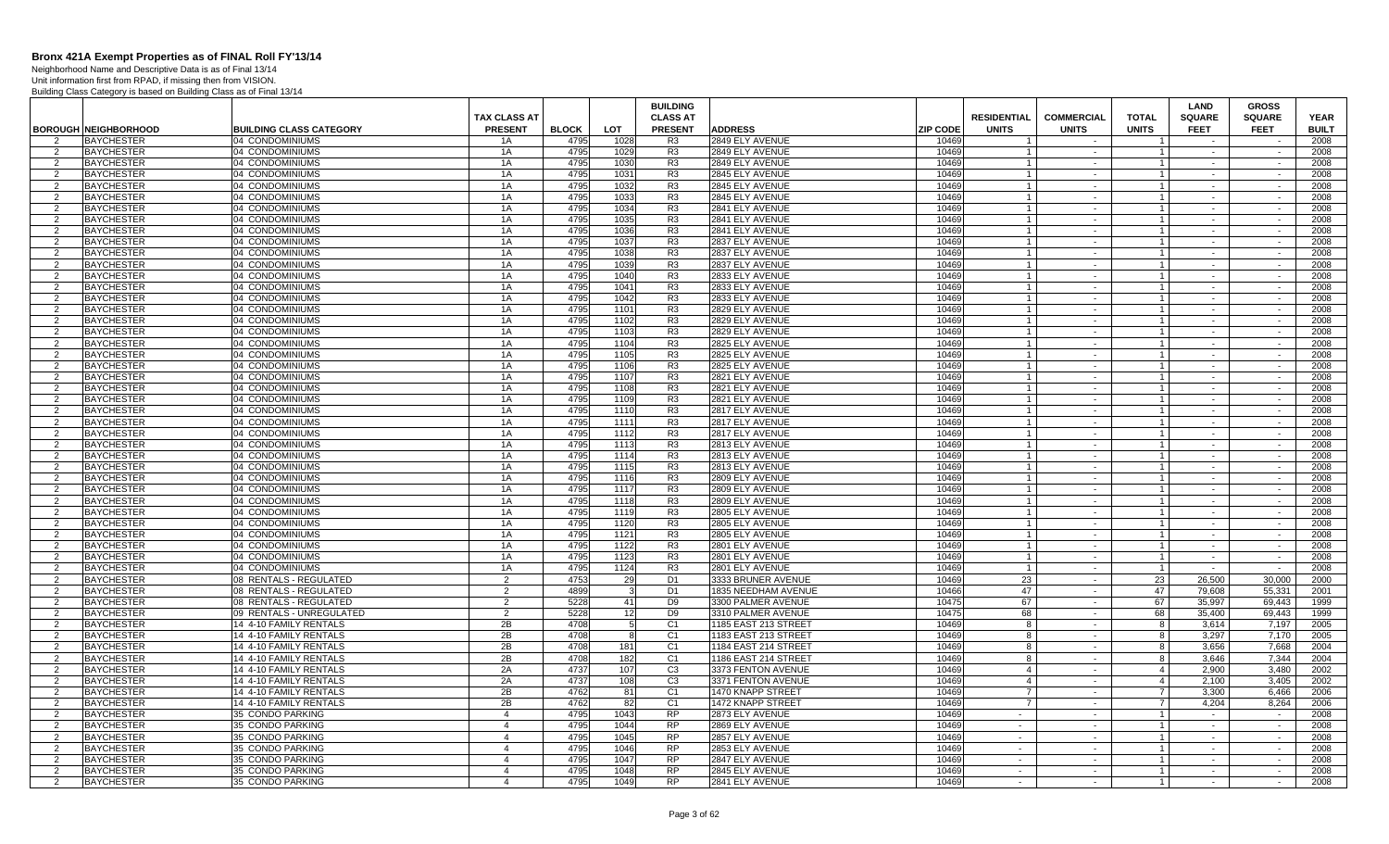Neighborhood Name and Descriptive Data is as of Final 13/14

|                     |                                        |                                    | <b>TAX CLASS AT</b>        |              |              | <b>BUILDING</b><br><b>CLASS AT</b> |                                    |                 | <b>RESIDENTIAL</b> | <b>COMMERCIAL</b> | <b>TOTAL</b>                   | <b>LAND</b><br><b>SQUARE</b> | <b>GROSS</b><br><b>SQUARE</b> | <b>YEAR</b>  |
|---------------------|----------------------------------------|------------------------------------|----------------------------|--------------|--------------|------------------------------------|------------------------------------|-----------------|--------------------|-------------------|--------------------------------|------------------------------|-------------------------------|--------------|
|                     | <b>BOROUGH NEIGHBORHOOD</b>            | <b>BUILDING CLASS CATEGORY</b>     | <b>PRESENT</b>             | <b>BLOCK</b> | <b>LOT</b>   | <b>PRESENT</b>                     | <b>ADDRESS</b>                     | <b>ZIP CODE</b> | <b>UNITS</b>       | <b>UNITS</b>      | <b>UNITS</b>                   | <b>FEET</b>                  | <b>FEET</b>                   | <b>BUILT</b> |
| 2                   | <b>BAYCHESTER</b>                      | 04 CONDOMINIUMS                    | 1A                         | 4795         | 1028         | R3                                 | 2849 ELY AVENUE                    | 10469           | $\overline{1}$     | $\sim$            | $\overline{1}$                 | $\sim$                       | $\overline{\phantom{a}}$      | 2008         |
| 2                   | <b>BAYCHESTER</b>                      | 04 CONDOMINIUMS                    | 1A                         | 4795         | 1029         | R3                                 | 2849 ELY AVENUE                    | 10469           |                    | $\sim$            | $1 \vert$                      | $\sim$                       |                               | 2008         |
| $\overline{2}$      | <b>BAYCHESTER</b>                      | 04 CONDOMINIUMS                    | 1A                         | 4795         | 1030         | R <sub>3</sub>                     | 2849 ELY AVENUE                    | 10469           | $\overline{1}$     | $\sim$            | $\mathbf{1}$                   | $\sim$                       | $\sim$                        | 2008         |
| -2                  | <b>BAYCHESTER</b>                      | 04 CONDOMINIUMS                    | 1A                         | 4795         | 1031         | R <sub>3</sub>                     | 2845 ELY AVENUE                    | 10469           |                    | $\sim$            | $\mathbf{1}$                   |                              |                               | 2008         |
| 2                   | <b>BAYCHESTER</b>                      | 04 CONDOMINIUMS                    | 1A                         | 4795         | 1032         | R <sub>3</sub>                     | 2845 ELY AVENUE                    | 10469           |                    | $\sim$            | $\mathbf{1}$                   | $\sim$                       | $\sim$                        | 2008         |
| $\overline{2}$      | <b>BAYCHESTER</b>                      | 04 CONDOMINIUMS                    | 1A                         | 4795         | 1033         | R <sub>3</sub>                     | 2845 ELY AVENUE                    | 10469           | $\overline{1}$     | $\sim$            | 1 <sup>1</sup>                 | $\sim$                       | $\sim$                        | 2008         |
| 2                   | <b>BAYCHESTER</b>                      | 04 CONDOMINIUMS                    | 1A                         | 4795         | 1034         | R <sub>3</sub>                     | 2841 ELY AVENUE                    | 10469           |                    | $\sim$            | $\mathbf{1}$                   | $\sim$                       | $\sim$                        | 2008         |
| 2                   | <b>BAYCHESTER</b>                      | 04 CONDOMINIUMS                    | 1A                         | 4795         | 1035         | R <sub>3</sub>                     | 2841 ELY AVENUE                    | 10469           | $\overline{1}$     | $\sim$            | $1 \vert$                      | $\sim$                       | $\sim$                        | 2008         |
| $\overline{2}$      | <b>BAYCHESTER</b>                      | 04 CONDOMINIUMS                    | 1A                         | 4795         | 1036         | R <sub>3</sub>                     | 2841 ELY AVENUE                    | 10469           |                    | $\sim$            | $\mathbf{1}$                   | $\sim$                       | $\sim$                        | 2008         |
| 2                   | <b>BAYCHESTER</b>                      | 04 CONDOMINIUMS                    | 1A                         | 4795         | 1037         | R <sub>3</sub>                     | 2837 ELY AVENUE                    | 10469           | $\overline{1}$     | $\sim$            | $\vert$ 1                      | $\sim$                       | $\sim$                        | 2008         |
| $\overline{2}$      | <b>BAYCHESTER</b>                      | 04 CONDOMINIUMS                    | 1A                         | 4795         | 1038         | R3                                 | 2837 ELY AVENUE                    | 10469           | $\mathbf{1}$       | $\sim$            | 1 <sup>1</sup>                 |                              | $\sim$                        | 2008         |
| 2                   | <b>BAYCHESTER</b>                      | 04 CONDOMINIUMS                    | 1A                         | 4795         | 1039         | R <sub>3</sub>                     | 2837 ELY AVENUE                    | 10469           |                    | $\sim$            | $\mathbf{1}$                   | $\sim$                       | $\sim$                        | 2008         |
| $\overline{2}$      | <b>BAYCHESTER</b><br><b>BAYCHESTER</b> | 04 CONDOMINIUMS<br>04 CONDOMINIUMS | 1A                         | 4795<br>4795 | 1040         | R <sub>3</sub><br>R <sub>3</sub>   | 2833 ELY AVENUE<br>2833 ELY AVENUE | 10469<br>10469  |                    | $\sim$<br>$\sim$  | $\mathbf{1}$<br>$\mathbf{1}$   | $\sim$                       | $\sim$                        | 2008<br>2008 |
| 2<br>$\overline{2}$ | <b>BAYCHESTER</b>                      | 04 CONDOMINIUMS                    | 1A<br>1A                   | 4795         | 1041<br>1042 | R <sub>3</sub>                     | 2833 ELY AVENUE                    | 10469           |                    | $\sim$            | $\mathbf{1}$                   | $\sim$                       | $\sim$                        | 2008         |
| $\overline{2}$      | <b>BAYCHESTER</b>                      | 04 CONDOMINIUMS                    | 1A                         | 4795         | 1101         | R <sub>3</sub>                     | 2829 ELY AVENUE                    | 10469           |                    | $\sim$            | $\mathbf{1}$                   | $\sim$                       | $\sim$                        | 2008         |
| 2                   | <b>BAYCHESTER</b>                      | 04 CONDOMINIUMS                    | 1A                         | 4795         | 1102         | R3                                 | 2829 ELY AVENUE                    | 10469           | $\overline{1}$     | $\sim$            | $\vert$ 1                      | $\sim$                       | $\sim$                        | 2008         |
| 2                   | <b>BAYCHESTER</b>                      | 04 CONDOMINIUMS                    | 1A                         | 4795         | 1103         | R <sub>3</sub>                     | 2829 ELY AVENUE                    | 10469           |                    | $\sim$            | $\mathbf{1}$                   | $\sim$                       | $\sim$                        | 2008         |
| $\overline{2}$      | <b>BAYCHESTER</b>                      | 04 CONDOMINIUMS                    | 1A                         | 4795         | 1104         | R3                                 | 2825 ELY AVENUE                    | 10469           | $\overline{1}$     | $\sim$            | $\mathbf{1}$                   | $\sim$                       | $\sim$                        | 2008         |
| $\overline{2}$      | <b>BAYCHESTER</b>                      | 04 CONDOMINIUMS                    | 1A                         | 4795         | 1105         | R <sub>3</sub>                     | 2825 ELY AVENUE                    | 10469           |                    | $\sim$            | $\mathbf{1}$                   |                              | $\sim$                        | 2008         |
| 2                   | <b>BAYCHESTER</b>                      | 04 CONDOMINIUMS                    | 1A                         | 4795         | 1106         | R <sub>3</sub>                     | 2825 ELY AVENUE                    | 10469           |                    | $\sim$            | $\mathbf{1}$                   | $\sim$                       | $\sim$                        | 2008         |
| $\overline{2}$      | <b>BAYCHESTER</b>                      | 04 CONDOMINIUMS                    | 1A                         | 4795         | 1107         | R <sub>3</sub>                     | 2821 ELY AVENUE                    | 10469           |                    | $\sim$            | $1 \vert$                      | $\sim$                       | $\sim$                        | 2008         |
| $\overline{2}$      | <b>BAYCHESTER</b>                      | 04 CONDOMINIUMS                    | 1A                         | 4795         | 1108         | R <sub>3</sub>                     | 2821 ELY AVENUE                    | 10469           |                    | $\sim$            | $\mathbf{1}$                   | $\sim$                       | $\sim$                        | 2008         |
| 2                   | <b>BAYCHESTER</b>                      | 04 CONDOMINIUMS                    | 1A                         | 4795         | 1109         | R <sub>3</sub>                     | 2821 ELY AVENUE                    | 10469           | $\overline{1}$     | $\sim$            | $\vert$ 1                      | $\sim$                       | $\sim$                        | 2008         |
| $\overline{2}$      | <b>BAYCHESTER</b>                      | 04 CONDOMINIUMS                    | 1A                         | 4795         | 1110         | R <sub>3</sub>                     | 2817 ELY AVENUE                    | 10469           |                    | $\sim$            | $\mathbf{1}$                   | $\sim$                       | $\sim$                        | 2008         |
| 2                   | <b>BAYCHESTER</b>                      | 04 CONDOMINIUMS                    | 1A                         | 4795         | 1111         | R <sub>3</sub>                     | 2817 ELY AVENUE                    | 10469           | $\overline{1}$     | $\sim$            | $\overline{1}$                 | $\sim$                       | $\sim$                        | 2008         |
| -2                  | <b>BAYCHESTER</b>                      | 04 CONDOMINIUMS                    | 1A                         | 4795         | 1112         | R3                                 | 2817 ELY AVENUE                    | 10469           | $\overline{1}$     | $\sim$            | $\overline{1}$                 |                              |                               | 2008         |
| 2                   | <b>BAYCHESTER</b>                      | 04 CONDOMINIUMS                    | 1A                         | 4795         | 1113         | R <sub>3</sub>                     | 2813 ELY AVENUE                    | 10469           |                    | $\sim$            | $\mathbf{1}$                   | $\sim$                       | $\sim$                        | 2008         |
| $\overline{2}$      | <b>BAYCHESTER</b>                      | 04 CONDOMINIUMS                    | 1A                         | 4795         | 1114         | R <sub>3</sub>                     | 2813 ELY AVENUE                    | 10469           |                    | $\sim$            | $\mathbf{1}$                   | $\sim$                       | $\sim$                        | 2008         |
| 2                   | <b>BAYCHESTER</b>                      | 04 CONDOMINIUMS                    | 1A                         | 4795         | 1115         | R <sub>3</sub>                     | 2813 ELY AVENUE                    | 10469           |                    | $\sim$            | $\mathbf{1}$                   | $\sim$                       | $\sim$                        | 2008         |
| $\overline{2}$      | <b>BAYCHESTER</b>                      | 04 CONDOMINIUMS                    | 1A                         | 4795         | 1116         | R <sub>3</sub>                     | 2809 ELY AVENUE                    | 10469           | $\overline{1}$     | $\sim$            | $\mathbf{1}$                   |                              |                               | 2008         |
| $\overline{2}$      | <b>BAYCHESTER</b>                      | 04 CONDOMINIUMS                    | 1A                         | 4795         | 1117         | R <sub>3</sub>                     | 2809 ELY AVENUE                    | 10469           |                    | $\sim$            | $\mathbf{1}$                   | $\sim$                       | $\sim$                        | 2008         |
| 2                   | <b>BAYCHESTER</b>                      | 04 CONDOMINIUMS                    | 1A                         | 4795         | 1118         | R <sub>3</sub>                     | 2809 ELY AVENUE                    | 10469           | $\overline{1}$     | $\sim$            | $\vert$ 1                      | $\sim$                       | $\sim$                        | 2008         |
| 2                   | <b>BAYCHESTER</b>                      | 04 CONDOMINIUMS                    | 1A                         | 4795         | 1119         | R <sub>3</sub>                     | 2805 ELY AVENUE                    | 10469           |                    | $\sim$            | $\mathbf{1}$                   | $\sim$                       | $\sim$                        | 2008         |
| 2                   | <b>BAYCHESTER</b>                      | 04 CONDOMINIUMS                    | 1A                         | 4795         | 1120         | R <sub>3</sub>                     | 2805 ELY AVENUE                    | 10469           | $\overline{1}$     | $\sim$            | $1 \vert$                      | $\sim$                       | $\sim$                        | 2008         |
| $\overline{2}$      | <b>BAYCHESTER</b>                      | 04 CONDOMINIUMS                    | 1A                         | 4795<br>4795 | 1121         | R <sub>3</sub><br>R <sub>3</sub>   | 2805 ELY AVENUE                    | 10469<br>10469  |                    | $\sim$<br>$\sim$  | 1 <sup>1</sup><br>$\mathbf{1}$ | $\sim$                       | $\sim$                        | 2008         |
| 2<br>$\overline{2}$ | <b>BAYCHESTER</b><br><b>BAYCHESTER</b> | 04 CONDOMINIUMS<br>04 CONDOMINIUMS | 1A<br>1A                   | 4795         | 1122<br>1123 | R <sub>3</sub>                     | 2801 ELY AVENUE<br>2801 ELY AVENUE | 10469           |                    | $\sim$            | $1 \vert$                      | $\sim$                       | $\sim$                        | 2008<br>2008 |
| $\overline{2}$      | <b>BAYCHESTER</b>                      | 04 CONDOMINIUMS                    | 1A                         | 4795         | 1124         | R <sub>3</sub>                     | 2801 ELY AVENUE                    | 10469           | $\overline{1}$     | $\sim$            | $\mathbf{1}$                   | $\sim$                       | $\sim$                        | 2008         |
| 2                   | <b>BAYCHESTER</b>                      | 08 RENTALS - REGULATED             | 2                          | 4753         | 29           | D <sub>1</sub>                     | 3333 BRUNER AVENUE                 | 10469           | 23                 | $\sim$            | 23                             | 26.500                       | 30,000                        | 2000         |
| $\overline{2}$      | <b>BAYCHESTER</b>                      | 08 RENTALS - REGULATED             | 2                          | 4899         |              | D <sub>1</sub>                     | 1835 NEEDHAM AVENUE                | 10466           | 47                 | $\sim$            | 47                             | 79,608                       | 55,331                        | 2001         |
| 2                   | <b>BAYCHESTER</b>                      | 08 RENTALS - REGULATED             | 2                          | 5228         | 41           | D <sub>9</sub>                     | 3300 PALMER AVENUE                 | 10475           | 67                 | $\sim$            | 67                             | 35,997                       | 69.443                        | 1999         |
| 2                   | <b>BAYCHESTER</b>                      | 09 RENTALS - UNREGULATED           | 2                          | 5228         | 12           | D9                                 | 3310 PALMER AVENUE                 | 10475           | 68                 | $\sim$            | 68                             | 35.400                       | 69.443                        | 1999         |
| 2                   | <b>BAYCHESTER</b>                      | 14 4-10 FAMILY RENTALS             | 2B                         | 4708         | -5           | C <sub>1</sub>                     | 1185 EAST 213 STREE                | 10469           | -8                 | $\sim$            | 8                              | 3.614                        | 7,197                         | 2005         |
| 2                   | <b>BAYCHESTER</b>                      | 14 4-10 FAMILY RENTALS             | 2B                         | 4708         |              | C <sub>1</sub>                     | 1183 EAST 213 STREET               | 10469           | -8                 | $\sim$            | 8                              | 3,297                        | 7,170                         | 2005         |
| $\overline{2}$      | <b>BAYCHESTER</b>                      | 14 4-10 FAMILY RENTALS             | 2B                         | 4708         | 181          | C <sub>1</sub>                     | 1184 EAST 214 STREE                | 10469           | 8                  | $\sim$            | 8                              | 3,656                        | 7,668                         | 2004         |
| $\overline{2}$      | <b>BAYCHESTER</b>                      | 14 4-10 FAMILY RENTALS             | 2B                         | 4708         | 182          | C <sub>1</sub>                     | 1186 EAST 214 STREET               | 10469           | 8                  | $\sim$            | 8                              | 3.646                        | 7,344                         | 2004         |
| $\overline{2}$      | <b>BAYCHESTER</b>                      | 14 4-10 FAMILY RENTALS             | 2A                         | 4737         | 107          | C3                                 | 3373 FENTON AVENUE                 | 10469           | $\overline{4}$     | $\sim$            | $\overline{4}$                 | 2.900                        | 3,480                         | 2002         |
| 2                   | <b>BAYCHESTER</b>                      | 14 4-10 FAMILY RENTALS             | 2A                         | 4737         | 108          | C <sub>3</sub>                     | 3371 FENTON AVENUE                 | 10469           | $\overline{4}$     | $\sim$            | $\sim$ 4                       | 2,100                        | 3,405                         | 2002         |
| 2                   | <b>BAYCHESTER</b>                      | 14 4-10 FAMILY RENTALS             | 2B                         | 4762         | 81           | C <sub>1</sub>                     | 1470 KNAPP STREET                  | 10469           | $\overline{7}$     | $\sim$            | $\overline{7}$                 | 3,300                        | 6.466                         | 2006         |
| 2                   | <b>BAYCHESTER</b>                      | 14 4-10 FAMILY RENTALS             | 2B                         | 4762         | 82           | C <sub>1</sub>                     | 1472 KNAPP STREET                  | 10469           | $\overline{7}$     | $\sim$            | <b>7</b>                       | 4.204                        | 8.264                         | 2006         |
| $\overline{2}$      | <b>BAYCHESTER</b>                      | 35 CONDO PARKING                   | $\overline{4}$             | 4795         | 1043         | RP                                 | 2873 ELY AVENUE                    | 10469           | in 1999.           | $\sim$            | $\overline{1}$                 |                              | $\sim$                        | 2008         |
| 2                   | <b>BAYCHESTER</b>                      | 35 CONDO PARKING                   | $\overline{4}$             | 4795         | 1044         | <b>RP</b>                          | 2869 ELY AVENUE                    | 10469           | $\sim$             | $\sim$            | $\mathbf{1}$                   | $\sim$                       | $\sim$                        | 2008         |
| $\overline{2}$      | <b>BAYCHESTER</b>                      | 35 CONDO PARKING                   | $\overline{4}$             | 4795         | 1045         | <b>RP</b>                          | 2857 ELY AVENUE                    | 10469           | $\sim$             | $\sim$            | $1 \vert$                      | $\sim$                       | $\sim$                        | 2008         |
| 2                   | <b>BAYCHESTER</b>                      | 35 CONDO PARKING                   | $\overline{4}$             | 4795         | 1046         | <b>RP</b>                          | 2853 ELY AVENUE                    | 10469           | $\sim$             | $\sim$            | $\mathbf{1}$                   | $\sim$                       | $\sim$                        | 2008         |
| $\overline{2}$      | <b>BAYCHESTER</b>                      | 35 CONDO PARKING                   | $\Delta$<br>$\overline{a}$ | 4795         | 1047         | <b>RP</b>                          | 2847 ELY AVENUE                    | 10469           | $\sim$             | $\sim$            | 1 <sup>1</sup>                 | $\sim$                       | $\sim$                        | 2008         |
| $\mathcal{P}$<br>2  | <b>BAYCHESTER</b>                      | 35 CONDO PARKING                   | $\overline{4}$             | 4795<br>4795 | 1048<br>1049 | <b>RP</b><br><b>RP</b>             | 2845 ELY AVENUE                    | 10469<br>10469  | $\sim$<br>$\sim$   | $\sim$<br>$\sim$  | $\mathbf{1}$<br>1 <sup>1</sup> | $\sim$<br>$\sim$             | $\sim$<br>$\sim$              | 2008<br>2008 |
|                     | <b>BAYCHESTER</b>                      | 35 CONDO PARKING                   |                            |              |              |                                    | 2841 ELY AVENUE                    |                 |                    |                   |                                |                              |                               |              |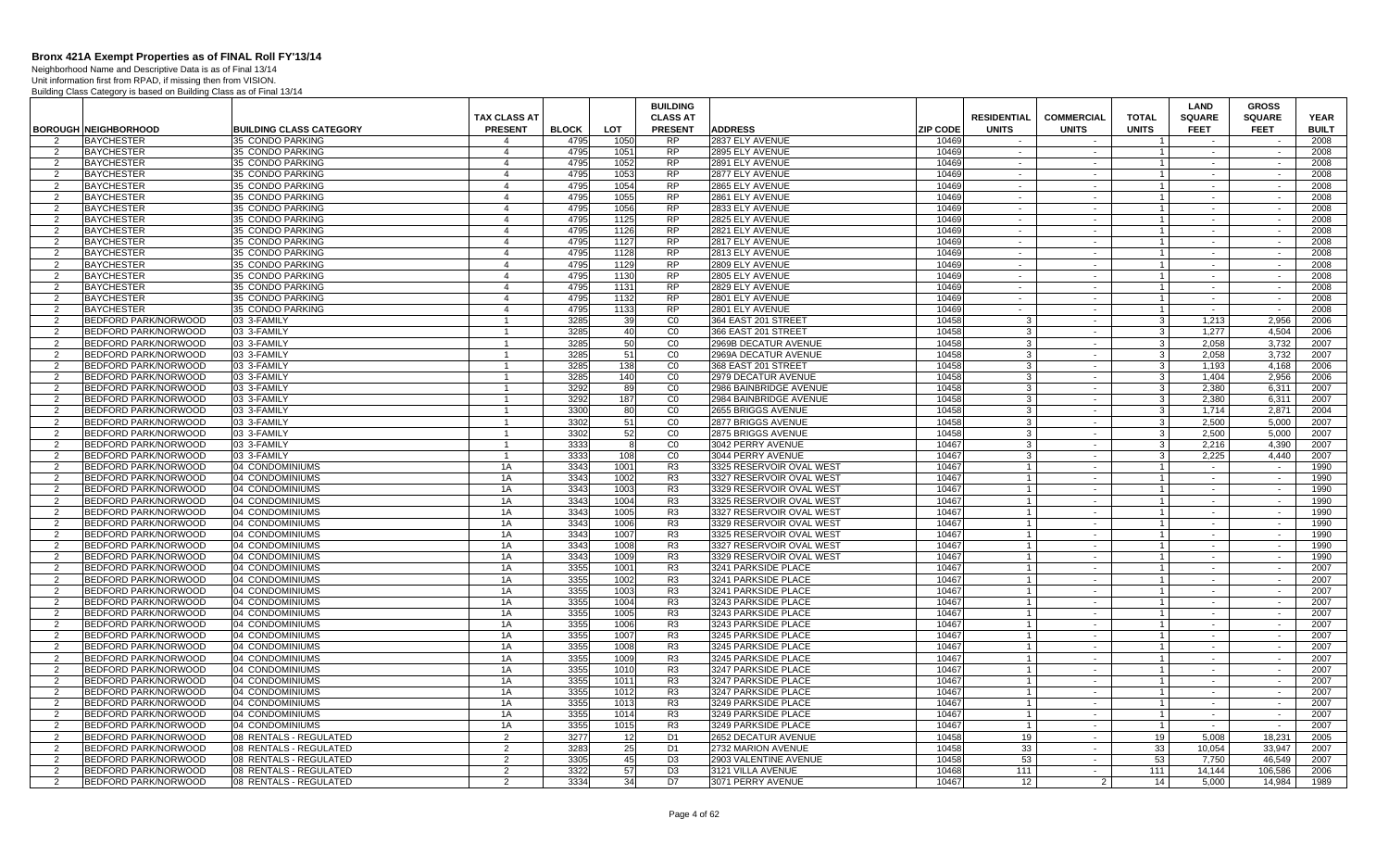Neighborhood Name and Descriptive Data is as of Final 13/14

|                     |                                        |                                      |                                  |              |                 | <b>BUILDING</b> |                                    |                |                    |                   |                                  | LAND             | <b>GROSS</b>  |              |
|---------------------|----------------------------------------|--------------------------------------|----------------------------------|--------------|-----------------|-----------------|------------------------------------|----------------|--------------------|-------------------|----------------------------------|------------------|---------------|--------------|
|                     |                                        |                                      | TAX CLASS AT                     |              |                 | <b>CLASS AT</b> |                                    |                | <b>RESIDENTIAL</b> | <b>COMMERCIAL</b> | <b>TOTAL</b>                     | <b>SQUARE</b>    | <b>SQUARE</b> | <b>YEAR</b>  |
|                     | <b>BOROUGH NEIGHBORHOOD</b>            | <b>BUILDING CLASS CATEGORY</b>       | <b>PRESENT</b>                   | <b>BLOCK</b> | LOT             | <b>PRESENT</b>  | <b>ADDRESS</b>                     | ZIP CODE       | <b>UNITS</b>       | <b>UNITS</b>      | <b>UNITS</b>                     | <b>FEET</b>      | <b>FEET</b>   | <b>BUILT</b> |
| 2                   | <b>BAYCHESTER</b>                      | 35 CONDO PARKING                     | 4                                | 4795         | 1050            | <b>RP</b>       | 2837 ELY AVENUE                    | 10469          | $\sim$             | $\sim$            |                                  | $\sim$           |               | 2008         |
| 2                   | <b>BAYCHESTER</b>                      | 35 CONDO PARKING                     | $\overline{4}$                   | 4795         | 1051            | <b>RP</b>       | 2895 ELY AVENUE                    | 10469          | $\sim$             | $\sim$            | $\overline{1}$                   | $\sim$           | $\sim$        | 2008         |
| 2                   | <b>BAYCHESTER</b>                      | 35 CONDO PARKING                     | $\overline{4}$                   | 4795         | 1052            | <b>RP</b>       | 2891 ELY AVENUE                    | 10469          | $\sim$             | $\sim$            | $\mathbf{1}$                     | $\sim$           | $\sim$        | 2008         |
| 2                   | <b>BAYCHESTER</b>                      | 35 CONDO PARKING                     | $\overline{4}$                   | 4795         | 1053            | <b>RP</b>       | 2877 ELY AVENUE                    | 10469          | $\sim$             | $\sim$            | $\overline{1}$                   | $\sim$           | $\sim$        | 2008         |
| 2                   | <b>BAYCHESTER</b>                      | 35 CONDO PARKING                     | $\overline{4}$                   | 4795         | 1054            | <b>RP</b>       | 2865 ELY AVENUE                    | 10469          | $\sim$             | $\sim$            | $\overline{1}$                   | $\sim$           | $\sim$        | 2008         |
| 2<br>$\overline{2}$ | <b>BAYCHESTER</b>                      | 35 CONDO PARKING                     | $\overline{4}$<br>$\overline{4}$ | 4795<br>4795 | 1055<br>1056    | <b>RP</b><br>RP | 2861 ELY AVENUE                    | 10469<br>10469 | $\sim$             | $\sim$            | $\overline{1}$<br>$\mathbf{1}$   | $\sim$           | $\sim$        | 2008<br>2008 |
|                     | <b>BAYCHESTER</b>                      | 35 CONDO PARKING<br>35 CONDO PARKING |                                  | 4795         |                 | <b>RP</b>       | 2833 ELY AVENUE<br>2825 ELY AVENUE | 10469          | $\sim$<br>$\sim$   | $\sim$<br>$\sim$  | $\overline{1}$                   |                  |               | 2008         |
| 2<br>$\overline{2}$ | <b>BAYCHESTER</b>                      | 35 CONDO PARKING                     | $\overline{4}$<br>$\overline{4}$ | 4795         | 1125<br>1126    | <b>RP</b>       | 2821 ELY AVENUE                    | 10469          | $\sim$             | $\sim$            |                                  | $\sim$           | $\sim$        | 2008         |
|                     | <b>BAYCHESTER</b><br><b>BAYCHESTER</b> | 35 CONDO PARKING                     | $\overline{4}$                   | 4795         | 1127            | <b>RP</b>       | 2817 ELY AVENUE                    | 10469          | $\sim$             | $\sim$            | $\overline{1}$<br>$\overline{1}$ |                  | $\sim$        | 2008         |
| 2<br>2              | <b>BAYCHESTER</b>                      | 35 CONDO PARKING                     | $\overline{4}$                   | 4795         | 1128            | <b>RP</b>       | 2813 ELY AVENUE                    | 10469          | $\sim$             | $\sim$            | $\overline{1}$                   | $\sim$<br>$\sim$ | $\sim$        | 2008         |
| 2                   | <b>BAYCHESTER</b>                      | 35 CONDO PARKING                     | $\overline{a}$                   | 4795         | 1129            | <b>RP</b>       | 2809 ELY AVENUE                    | 10469          | $\sim$             | $\sim$            | $\overline{1}$                   | $\sim$           | $\sim$        | 2008         |
| 2                   | <b>BAYCHESTER</b>                      | 35 CONDO PARKING                     | $\overline{4}$                   | 4795         | 1130            | <b>RP</b>       | 2805 ELY AVENUE                    | 10469          | $\sim$             | $\sim$            | $\overline{1}$                   | $\sim$           | $\sim$        | 2008         |
| 2                   | <b>BAYCHESTER</b>                      | 35 CONDO PARKING                     | $\overline{4}$                   | 4795         | 1131            | <b>RP</b>       | 2829 ELY AVENUE                    | 10469          | $\sim$             | $\sim$            | $\overline{1}$                   | $\sim$           | $\sim$        | 2008         |
| 2                   | <b>BAYCHESTER</b>                      | 35 CONDO PARKING                     | $\overline{4}$                   | 4795         | 1132            | RP              | 2801 ELY AVENUE                    | 10469          | $\sim$             | $\sim$            | $\overline{1}$                   | $\sim$           | $\sim$        | 2008         |
| $\overline{2}$      | <b>BAYCHESTER</b>                      | 35 CONDO PARKING                     | $\overline{4}$                   | 4795         | 1133            | <b>RP</b>       | 2801 ELY AVENUE                    | 10469          | $\sim$             | $\sim$            | $\overline{1}$                   | $\sim$           | $\sim$        | 2008         |
| 2                   | BEDFORD PARK/NORWOOD                   | 03 3-FAMILY                          | -1                               | 3285         | 39 <sub>l</sub> | CO              | 364 EAST 201 STREET                | 10458          | -3                 | $\sim$            | $\mathbf{3}$                     | 1,213            | 2,956         | 2006         |
| 2                   | BEDFORD PARK/NORWOOD                   | 03 3-FAMILY                          | $\overline{1}$                   | 3285         | 40 <sup>1</sup> | CO              | 366 EAST 201 STREET                | 10458          | 3                  | $\sim$            | $\mathbf{3}$                     | 1.277            | 4.504         | 2006         |
| 2                   | BEDFORD PARK/NORWOOD                   | 03 3-FAMILY                          |                                  | 3285         | 50              | C <sub>0</sub>  | 2969B DECATUR AVENUE               | 10458          | 3                  | $\sim$            | $\mathbf{3}$                     | 2,058            | 3,732         | 2007         |
| 2                   | <b>BEDFORD PARK/NORWOOD</b>            | 03 3-FAMILY                          | $\mathbf{1}$                     | 3285         | 51              | CO              | 2969A DECATUR AVENUE               | 10458          | 3                  | $\sim$            | $\mathbf{3}$                     | 2,058            | 3,732         | 2007         |
| 2                   | BEDFORD PARK/NORWOOD                   | 03 3-FAMILY                          | $\mathbf{1}$                     | 3285         | 138             | CO              | 368 EAST 201 STREET                | 10458          | 3                  | $\sim$            | $\mathbf{3}$                     | 1.193            | 4.168         | 2006         |
| $\overline{2}$      | BEDFORD PARK/NORWOOD                   | 03 3-FAMILY                          | $\overline{1}$                   | 3285         | 140             | CO              | 2979 DECATUR AVENUE                | 10458          | 3                  | $\sim$            | $\mathbf{3}$                     | 1,404            | 2,956         | 2006         |
| $\overline{2}$      | <b>BEDFORD PARK/NORWOOD</b>            | 03 3-FAMILY                          | $\overline{1}$                   | 3292         | 89              | CO              | 2986 BAINBRIDGE AVENUE             | 10458          | $\overline{3}$     | $\sim$            | $\mathbf{3}$                     | 2,380            | 6,311         | 2007         |
| 2                   | BEDFORD PARK/NORWOOD                   | 03 3-FAMILY                          | -1                               | 3292         | 187             | CO              | 2984 BAINBRIDGE AVENUE             | 10458          | 3                  | $\sim$            | $\mathbf{3}$                     | 2.380            | 6,311         | 2007         |
| $\overline{2}$      | <b>BEDFORD PARK/NORWOOD</b>            | 03 3-FAMILY                          | $\blacktriangleleft$             | 3300         | 80              | CO              | 2655 BRIGGS AVENUE                 | 10458          | $\mathbf{3}$       | $\sim$            | $\mathbf{3}$                     | 1.714            | 2.871         | 2004         |
| 2                   | BEDFORD PARK/NORWOOD                   | 03 3-FAMILY                          |                                  | 3302         | 51              | CO              | 2877 BRIGGS AVENUE                 | 10458          | 3                  | $\sim$            | $\mathbf{3}$                     | 2,500            | 5,000         | 2007         |
| 2                   | BEDFORD PARK/NORWOOD                   | 03 3-FAMILY                          | $\mathbf{1}$                     | 3302         | 52              | CO              | 2875 BRIGGS AVENUE                 | 10458          | $\mathbf{3}$       | $\sim$            | $\mathbf{3}$                     | 2,500            | 5.000         | 2007         |
| 2                   | BEDFORD PARK/NORWOOD                   | 03 3-FAMILY                          | $\overline{1}$                   | 3333         | 8               | CO              | 3042 PERRY AVENUE                  | 10467          | 3                  | $\sim$            | $\mathbf{3}$                     | 2.216            | 4.390         | 2007         |
| $\overline{2}$      | BEDFORD PARK/NORWOOD                   | 03 3-FAMILY                          | $\overline{1}$                   | 3333         | 108             | CO              | 3044 PERRY AVENUE                  | 10467          | 3                  | $\sim$            | $\mathbf{3}$                     | 2,225            | 4,440         | 2007         |
| -2                  | BEDFORD PARK/NORWOOD                   | 04 CONDOMINIUMS                      | 1A                               | 3343         | 1001            | R <sub>3</sub>  | 3325 RESERVOIR OVAL WEST           | 10467          |                    | $\sim$            | $\mathbf{1}$                     |                  |               | 1990         |
| 2                   | BEDFORD PARK/NORWOOD                   | 04 CONDOMINIUMS                      | 1A                               | 3343         | 1002            | R <sub>3</sub>  | 3327 RESERVOIR OVAL WEST           | 10467          |                    | $\sim$            | $\overline{1}$                   | $\sim$           | $\sim$        | 1990         |
| $\overline{2}$      | <b>BEDFORD PARK/NORWOOD</b>            | 04 CONDOMINIUMS                      | 1A                               | 3343         | 1003            | R <sub>3</sub>  | 3329 RESERVOIR OVAL WEST           | 10467          | $\overline{1}$     | $\sim$            | $\overline{1}$                   | $\sim$           | $\sim$        | 1990         |
| $\overline{2}$      | BEDFORD PARK/NORWOOD                   | 04 CONDOMINIUMS                      | 1A                               | 3343         | 1004            | R <sub>3</sub>  | 3325 RESERVOIR OVAL WEST           | 10467          | $\overline{1}$     | $\sim$            | $\overline{1}$                   | $\sim$           | $\sim$        | 1990         |
| 2                   | BEDFORD PARK/NORWOOD                   | 04 CONDOMINIUMS                      | 1A                               | 3343         | 1005            | R <sub>3</sub>  | 3327 RESERVOIR OVAL WEST           | 10467          | $\overline{1}$     | $\sim$            | $\overline{1}$                   | $\sim$           | $\sim$        | 1990         |
| $\overline{2}$      | BEDFORD PARK/NORWOOD                   | 04 CONDOMINIUMS                      | 1A                               | 3343         | 1006            | R <sub>3</sub>  | 3329 RESERVOIR OVAL WEST           | 10467          |                    | $\sim$            | $\overline{1}$                   | $\sim$           | $\sim$        | 1990         |
| $\overline{2}$      | BEDFORD PARK/NORWOOD                   | 04 CONDOMINIUMS                      | 1A                               | 3343         | 1007            | R3              | 3325 RESERVOIR OVAL WEST           | 10467          | $\overline{1}$     | $\sim$            | $\overline{1}$                   | $\sim$           | $\sim$        | 1990         |
| -2                  | BEDFORD PARK/NORWOOD                   | 04 CONDOMINIUMS                      | 1A                               | 3343         | 1008            | R <sub>3</sub>  | 3327 RESERVOIR OVAL WEST           | 10467          |                    | $\sim$            | $\overline{1}$                   |                  |               | 1990         |
| 2                   | BEDFORD PARK/NORWOOD                   | 04 CONDOMINIUMS                      | 1A                               | 3343         | 1009            | R <sub>3</sub>  | 3329 RESERVOIR OVAL WEST           | 10467          |                    | $\sim$            | $\overline{1}$                   | $\sim$           | $\sim$        | 1990         |
| $\overline{2}$      | BEDFORD PARK/NORWOOD                   | 04 CONDOMINIUMS                      | 1A                               | 3355         | 1001            | R <sub>3</sub>  | 3241 PARKSIDE PLACE                | 10467          |                    | $\sim$            | $\overline{1}$                   | $\sim$           | $\sim$        | 2007         |
| 2                   | BEDFORD PARK/NORWOOD                   | 04 CONDOMINIUMS                      | 1A                               | 3355         | 1002            | R3              | 3241 PARKSIDE PLACE                | 10467          |                    | $\sim$            | $\mathbf{1}$                     | $\sim$           | $\sim$        | 2007         |
| 2                   | BEDFORD PARK/NORWOOD                   | 04 CONDOMINIUMS                      | 1A                               | 3355         | 1003            | R <sub>3</sub>  | 3241 PARKSIDE PLACE                | 10467          | $\overline{1}$     | $\sim$            | $\overline{1}$                   | $\sim$           | $\sim$        | 2007         |
| $\mathcal{P}$       | BEDFORD PARK/NORWOOD                   | 04 CONDOMINIUMS                      | 1A                               | 3355         | 1004            | R <sub>3</sub>  | 3243 PARKSIDE PLACE                | 10467          |                    | $\sim$            | $\overline{1}$                   | $\sim$           | $\sim$        | 2007         |
| 2                   | <b>BEDFORD PARK/NORWOOD</b>            | 04 CONDOMINIUMS                      | 1A                               | 3355         | 1005            | R <sub>3</sub>  | 3243 PARKSIDE PLACE                | 10467          | $\overline{1}$     | $\sim$            | $\overline{1}$                   | $\sim$           | $\sim$        | 2007         |
| -2                  | BEDFORD PARK/NORWOOD                   | 04 CONDOMINIUMS                      | 1A                               | 3355         | 1006            | R3              | 3243 PARKSIDE PLACE                | 10467          |                    | $\sim$            | $\mathbf{1}$                     |                  |               | 2007         |
| 2                   | BEDFORD PARK/NORWOOD                   | 04 CONDOMINIUMS                      | 1A                               | 3355         | 1007            | R <sub>3</sub>  | 3245 PARKSIDE PLACE                | 10467          | $\overline{1}$     | $\sim$            | $\overline{1}$                   | $\sim$           | $\sim$        | 2007         |
| 2                   | BEDFORD PARK/NORWOOD                   | 04 CONDOMINIUMS                      | 1A                               | 3355         | 1008            | R <sub>3</sub>  | 3245 PARKSIDE PLACE                | 10467          | $\overline{1}$     | $\sim$            | $\overline{1}$                   | $\sim$           | $\sim$        | 2007         |
| -2                  | BEDFORD PARK/NORWOOD                   | 04 CONDOMINIUMS                      | 1A                               | 3355         | 1009            | R <sub>3</sub>  | 3245 PARKSIDE PLACE                | 10467          |                    | $\sim$            | $\overline{1}$                   | $\sim$           | $\sim$        | 2007         |
| $\mathcal{P}$       | BEDFORD PARK/NORWOOD                   | 04 CONDOMINIUMS                      | 1A                               | 3355         | 1010            | R <sub>3</sub>  | 3247 PARKSIDE PLACE                | 10467          | $\overline{1}$     | $\sim$            | $\overline{1}$                   | $\sim$           | $\sim$        | 2007         |
| $\mathcal{P}$       | BEDFORD PARK/NORWOOD                   | 04 CONDOMINIUMS                      | 1A                               | 3355         | 1011            | R <sub>3</sub>  | 3247 PARKSIDE PLACE                | 10467          | $\overline{1}$     | $\sim$            | $\overline{1}$                   | $\sim$           | $\sim$        | 2007         |
| 2                   | BEDFORD PARK/NORWOOD                   | 04 CONDOMINIUMS                      | 1A                               | 3355         | 1012            | R <sub>3</sub>  | 3247 PARKSIDE PLACE                | 10467          | $\overline{1}$     | $\sim$            | $\overline{1}$                   | $\sim$           | $\sim$        | 2007         |
| 2                   | BEDFORD PARK/NORWOOD                   | 04 CONDOMINIUMS                      | 1A                               | 3355         | 1013            | R <sub>3</sub>  | 3249 PARKSIDE PLACE                | 10467          |                    | $\sim$            | $\overline{1}$                   | $\sim$           | $\sim$        | 2007         |
| 2                   | BEDFORD PARK/NORWOOD                   | 04 CONDOMINIUMS                      | 1A                               | 3355         | 1014            | R <sub>3</sub>  | 3249 PARKSIDE PLACE                | 10467          |                    | $\sim$            | $\overline{1}$                   | $\sim$           | $\sim$        | 2007         |
| $\overline{2}$      | BEDFORD PARK/NORWOOD                   | 04 CONDOMINIUMS                      | 1A                               | 3355         | 1015            | R <sub>3</sub>  | 3249 PARKSIDE PLACE                | 10467          |                    | $\sim$            | $\overline{1}$                   | $\sim$           | $\sim$        | 2007         |
| $\overline{2}$      | BEDFORD PARK/NORWOOD                   | 08 RENTALS - REGULATED               | 2                                | 3277         | 12              | D <sub>1</sub>  | 2652 DECATUR AVENUE                | 10458          | 19                 | $\sim$            | 19                               | 5,008            | 18,231        | 2005         |
| 2                   | BEDFORD PARK/NORWOOD                   | 08 RENTALS - REGULATED               | 2                                | 3283         | 25              | D <sub>1</sub>  | 2732 MARION AVENUE                 | 10458          | 33                 | $\sim$            | 33                               | 10,054           | 33,947        | 2007         |
| 2                   | BEDFORD PARK/NORWOOD                   | 08 RENTALS - REGULATED               | 2                                | 3305         | 45              | D <sub>3</sub>  | 2903 VALENTINE AVENUE              | 10458          | 53                 | $\sim$            | 53                               | 7.750            | 46,549        | 2007         |
| 2                   | BEDFORD PARK/NORWOOD                   | 08 RENTALS - REGULATED               | 2                                | 3322         | 57              | D <sub>3</sub>  | 3121 VILLA AVENUE                  | 10468          | 111                | $\sim$            | 111                              | 14,144           | 106.586       | 2006         |
| 2                   | <b>BEDFORD PARK/NORWOOD</b>            | 08 RENTALS - REGULATED               | 2                                | 3334         | 34              | D7              | 3071 PERRY AVENUE                  | 10467          | 12                 | 2                 | 14                               | 5.000            | 14.984        | 1989         |
|                     |                                        |                                      |                                  |              |                 |                 |                                    |                |                    |                   |                                  |                  |               |              |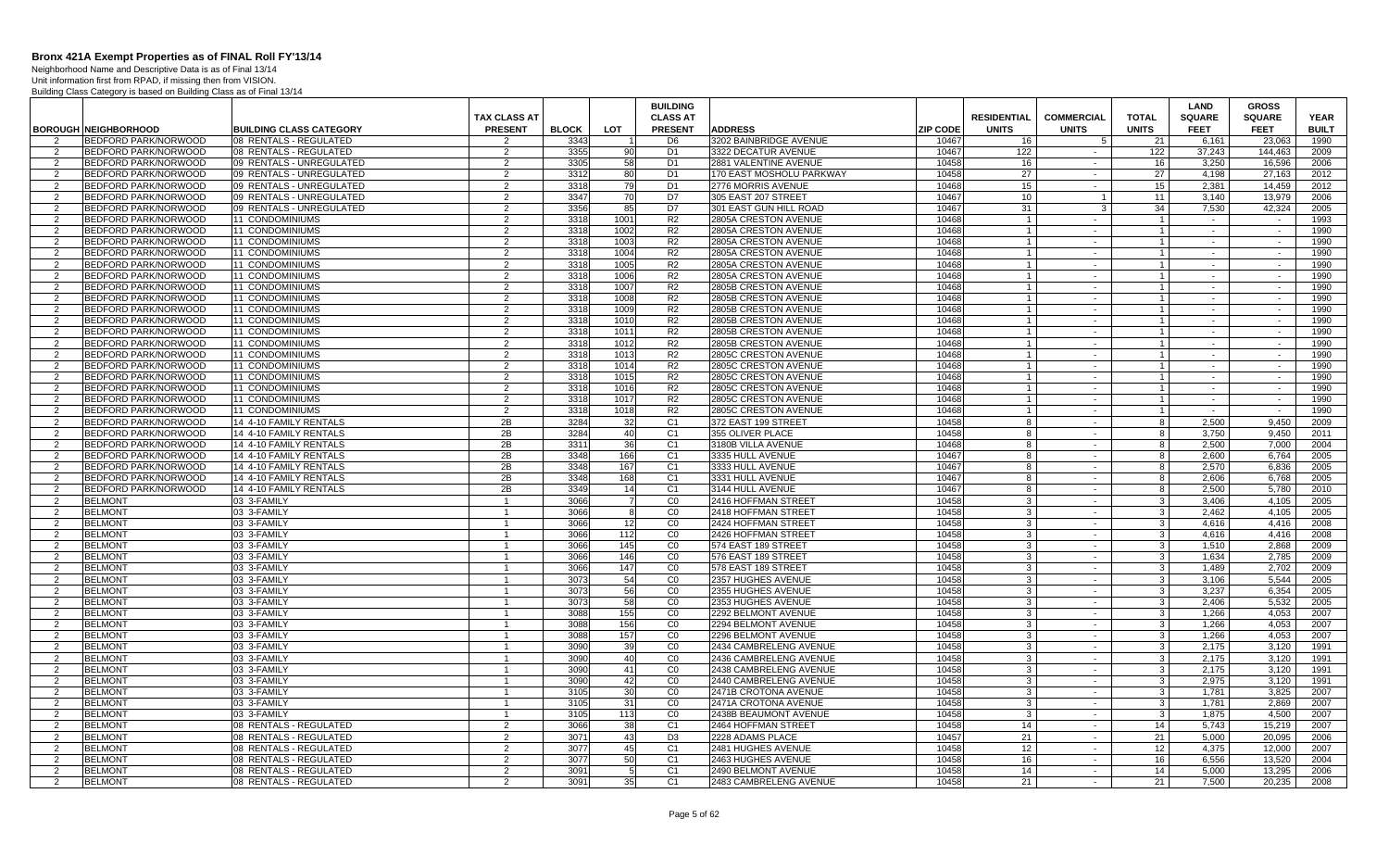Neighborhood Name and Descriptive Data is as of Final 13/14

|                                  |                                                     |                                                          |                                 |              |              | <b>BUILDING</b>                  |                                              |                          |                    |                   |                   | <b>LAND</b>          | <b>GROSS</b>          |                      |
|----------------------------------|-----------------------------------------------------|----------------------------------------------------------|---------------------------------|--------------|--------------|----------------------------------|----------------------------------------------|--------------------------|--------------------|-------------------|-------------------|----------------------|-----------------------|----------------------|
|                                  |                                                     |                                                          | <b>TAX CLASS AT</b>             |              |              | <b>CLASS AT</b>                  |                                              |                          | <b>RESIDENTIAL</b> | <b>COMMERCIAL</b> | <b>TOTAL</b>      | <b>SQUARE</b>        | <b>SQUARE</b>         | <b>YEAR</b>          |
| $\mathcal{P}$                    | <b>BOROUGH NEIGHBORHOOD</b><br>BEDFORD PARK/NORWOOD | <b>BUILDING CLASS CATEGORY</b><br>08 RENTALS - REGULATED | <b>PRESENT</b><br>$\mathcal{P}$ | <b>BLOCK</b> | <b>LOT</b>   | <b>PRESENT</b><br>D <sub>6</sub> | <b>ADDRESS</b><br>3202 BAINBRIDGE AVENUE     | <b>ZIP CODE</b><br>10467 | <b>UNITS</b><br>16 | <b>UNITS</b><br>5 | <b>UNITS</b>      | <b>FEET</b><br>6.161 | <b>FEET</b><br>23.063 | <b>BUILT</b><br>1990 |
| 2                                | BEDFORD PARK/NORWOOD                                | 08 RENTALS - REGULATED                                   | 2                               | 3343<br>3355 | 90           | D <sub>1</sub>                   | 3322 DECATUR AVENUE                          | 10467                    | 122                | $\sim$            | 21<br>122         | 37,243               | 144.463               | 2009                 |
| 2                                | <b>BEDFORD PARK/NORWOOD</b>                         | 09 RENTALS - UNREGULATED                                 | 2                               | 3305         | 58           | D <sub>1</sub>                   | 2881 VALENTINE AVENUE                        | 10458                    | 16                 | $\sim$            | 16                | 3.250                | 16.596                | 2006                 |
| 2                                | BEDFORD PARK/NORWOOD                                | 09 RENTALS - UNREGULATED                                 | 2                               | 3312         | 80           | D <sub>1</sub>                   | 170 EAST MOSHOLU PARKWAY                     | 10458                    | 27                 | $\sim$            | 27                | 4.198                | 27.163                | 2012                 |
| $\overline{2}$                   | BEDFORD PARK/NORWOOD                                | 09 RENTALS - UNREGULATED                                 | $\overline{2}$                  | 3318         | 79           | D <sub>1</sub>                   | 2776 MORRIS AVENUE                           | 10468                    | 15                 | $\sim$            | 15                | 2,381                | 14,459                | 2012                 |
| $\overline{2}$                   | <b>BEDFORD PARK/NORWOOD</b>                         | 09 RENTALS - UNREGULATED                                 | $\mathcal{D}$                   | 3347         | 70           | D7                               | 305 EAST 207 STREET                          | 10467                    | 10                 | $\overline{1}$    | 11                | 3,140                | 13.979                | 2006                 |
| $\overline{2}$                   | BEDFORD PARK/NORWOOD                                | 09 RENTALS - UNREGULATED                                 | 2                               | 3356         | 85           | D7                               | 301 EAST GUN HILL ROAD                       | 10467                    | 31                 | 3                 | 34                | 7,530                | 42,324                | 2005                 |
| $\overline{2}$                   | BEDFORD PARK/NORWOOD                                | 11 CONDOMINIUMS                                          | 2                               | 3318         | 1001         | R <sub>2</sub>                   | 2805A CRESTON AVENUE                         | 10468                    | $\overline{1}$     | $\sim$            | $\overline{1}$    | $\sim$               |                       | 1993                 |
| $\overline{2}$                   | BEDFORD PARK/NORWOOD                                | 11 CONDOMINIUMS                                          | 2                               | 3318         | 1002         | R <sub>2</sub>                   | 2805A CRESTON AVENUE                         | 10468                    | $\overline{1}$     | $\sim$            | $\overline{1}$    | $\sim$               | $\sim$                | 1990                 |
| 2                                | BEDFORD PARK/NORWOOD                                | 11 CONDOMINIUMS                                          | $\mathcal{P}$                   | 3318         | 1003         | R <sub>2</sub>                   | 2805A CRESTON AVENUE                         | 10468                    | $\overline{1}$     | $\sim$            | $\overline{1}$    | $\sim$               | $\sim$                | 1990                 |
| 2                                | BEDFORD PARK/NORWOOD                                | <b>11 CONDOMINIUMS</b>                                   | 2                               | 3318         | 1004         | R <sub>2</sub>                   | 2805A CRESTON AVENUE                         | 10468                    | $\overline{1}$     | $\sim$            | $\mathbf{1}$      | $\sim$               | $\sim$                | 1990                 |
| $\overline{2}$                   | BEDFORD PARK/NORWOOD                                | 11 CONDOMINIUMS                                          | 2                               | 3318         | 1005         | R <sub>2</sub>                   | 2805A CRESTON AVENUE                         | 10468                    | $\overline{1}$     | $\sim$            | $\overline{1}$    | $\sim$               | $\sim$                | 1990                 |
| -2                               | BEDFORD PARK/NORWOOD                                | 11 CONDOMINIUMS                                          | 2                               | 3318         | 1006         | R <sub>2</sub>                   | 2805A CRESTON AVENUE                         | 10468                    | $\overline{1}$     | $\sim$            | $\overline{1}$    | $\sim$               |                       | 1990                 |
| 2                                | BEDFORD PARK/NORWOOD                                | <b>11 CONDOMINIUMS</b>                                   | 2                               | 3318         | 1007         | R <sub>2</sub>                   | 2805B CRESTON AVENUE                         | 10468                    | $\overline{1}$     | $\sim$            | $\mathbf{1}$      | $\sim$               | $\sim$                | 1990                 |
| 2                                | BEDFORD PARK/NORWOOD                                | 11 CONDOMINIUMS                                          | 2                               | 3318         | 1008         | R <sub>2</sub>                   | 2805B CRESTON AVENUE                         | 10468                    | $\overline{1}$     | $\sim$            | $\overline{1}$    | $\sim$               | $\sim$                | 1990                 |
| 2                                | BEDFORD PARK/NORWOOD                                | 11 CONDOMINIUMS                                          | 2                               | 3318         | 1009         | R <sub>2</sub>                   | 2805B CRESTON AVENUE                         | 10468                    | $\overline{1}$     | $\sim$            |                   | $\sim$               | $\sim$                | 1990                 |
| 2                                | BEDFORD PARK/NORWOOD                                | 11 CONDOMINIUMS                                          | 2                               | 3318         | 1010         | R <sub>2</sub>                   | 2805B CRESTON AVENUE                         | 10468                    | $\overline{1}$     | $\sim$            | $\overline{1}$    | $\sim$               | $\sim$                | 1990                 |
| 2                                | BEDFORD PARK/NORWOOD                                | <b>11 CONDOMINIUMS</b>                                   | $\mathcal{P}$                   | 3318         | 1011         | R <sub>2</sub>                   | 2805B CRESTON AVENUE                         | 10468                    | $\overline{1}$     | $\sim$            | $\overline{1}$    | $\sim$               | $\sim$                | 1990                 |
| 2                                | BEDFORD PARK/NORWOOD                                | 11 CONDOMINIUMS                                          | 2                               | 3318         | 1012         | R <sub>2</sub>                   | 2805B CRESTON AVENUE                         | 10468                    | $\overline{1}$     | $\sim$            | $\overline{1}$    | $\sim$               | $\sim$                | 1990                 |
| $\overline{2}$                   | BEDFORD PARK/NORWOOD                                | 11 CONDOMINIUMS                                          | 2                               | 3318         | 1013         | R <sub>2</sub>                   | 2805C CRESTON AVENUE                         | 10468                    | $\overline{1}$     |                   |                   |                      | $\sim$                | 1990                 |
| 2                                | BEDFORD PARK/NORWOOD                                | <b>11 CONDOMINIUMS</b>                                   | 2                               | 3318         | 1014         | R <sub>2</sub>                   | 2805C CRESTON AVENUE                         | 10468                    | $\overline{1}$     | $\sim$            | $\overline{1}$    | $\sim$               | $\sim$                | 1990                 |
| $\overline{2}$                   | BEDFORD PARK/NORWOOD                                | 11 CONDOMINIUMS                                          | 2                               | 3318         | 1015         | R <sub>2</sub>                   | 2805C CRESTON AVENUE                         | 10468                    | $\overline{1}$     | $\sim$            |                   | $\sim$               | $\sim$                | 1990                 |
| $\overline{2}$                   | <b>BEDFORD PARK/NORWOOD</b><br>BEDFORD PARK/NORWOOD | <b>11 CONDOMINIUMS</b><br>11 CONDOMINIUMS                | 2<br>2                          | 3318<br>3318 | 1016<br>1017 | R <sub>2</sub><br>R <sub>2</sub> | 2805C CRESTON AVENUE<br>2805C CRESTON AVENUE | 10468<br>10468           | $\overline{1}$     | $\sim$<br>$\sim$  | $\overline{1}$    | $\sim$<br>$\sim$     | $\sim$<br>$\sim$      | 1990<br>1990         |
| 2<br>2                           | BEDFORD PARK/NORWOOD                                | 11 CONDOMINIUMS                                          | 2                               | 3318         | 1018         | R <sub>2</sub>                   | 2805C CRESTON AVENUE                         | 10468                    | $\overline{1}$     | $\sim$            | $\overline{1}$    | $\sim$               | $\sim$                | 1990                 |
| 2                                | BEDFORD PARK/NORWOOD                                | 14 4-10 FAMILY RENTALS                                   | 2B                              | 3284         | 32           | C <sub>1</sub>                   | 372 EAST 199 STREET                          | 10458                    | 8                  | $\sim$            | 8                 | 2,500                | 9.450                 | 2009                 |
| 2                                | BEDFORD PARK/NORWOOD                                | 14 4-10 FAMILY RENTALS                                   | 2B                              | 3284         | 40           | C <sub>1</sub>                   | 355 OLIVER PLACE                             | 10458                    | 8                  | $\sim$            | 8                 | 3.750                | 9.450                 | 2011                 |
| 2                                | BEDFORD PARK/NORWOOD                                | 14 4-10 FAMILY RENTALS                                   | 2B                              | 3311         | 36           | C <sub>1</sub>                   | 3180B VILLA AVENUE                           | 10468                    | -8                 | $\sim$            | 8                 | 2.500                | 7.000                 | 2004                 |
| $\overline{2}$                   | BEDFORD PARK/NORWOOD                                | 14 4-10 FAMILY RENTALS                                   | 2B                              | 3348         | 166          | C <sub>1</sub>                   | 3335 HULL AVENUE                             | 10467                    | 8                  | $\sim$            | 8                 | 2.600                | 6.764                 | 2005                 |
| 2                                | BEDFORD PARK/NORWOOD                                | 14 4-10 FAMILY RENTALS                                   | 2B                              | 3348         | 167          | C <sub>1</sub>                   | 3333 HULL AVENUE                             | 10467                    | -8                 | $\sim$            | 8                 | 2,570                | 6,836                 | 2005                 |
| 2                                | BEDFORD PARK/NORWOOD                                | 14 4-10 FAMILY RENTALS                                   | 2B                              | 3348         | 168          | C <sub>1</sub>                   | 3331 HULL AVENUE                             | 10467                    | 8                  | $\sim$            | 8                 | 2.606                | 6.768                 | 2005                 |
| 2                                | BEDFORD PARK/NORWOOD                                | 14 4-10 FAMILY RENTALS                                   | 2B                              | 3349         | 14           | C <sub>1</sub>                   | 3144 HULL AVENUE                             | 10467                    | -8                 | $\sim$            | 8                 | 2.500                | 5,780                 | 2010                 |
| 2                                | <b>BELMONT</b>                                      | 03 3-FAMILY                                              | $\overline{1}$                  | 3066         | 7            | CO                               | 2416 HOFFMAN STREET                          | 10458                    | 3                  | $\sim$            | 3 <sup>1</sup>    | 3.406                | 4,105                 | 2005                 |
| 2                                | <b>BELMONT</b>                                      | 03 3-FAMILY                                              | $\mathbf{1}$                    | 3066         | 8            | $\overline{C}$                   | 2418 HOFFMAN STREET                          | 10458                    | 3                  | $\sim$            | $\mathbf{3}$      | 2.462                | 4.105                 | 2005                 |
| 2                                | <b>BELMONT</b>                                      | 03 3-FAMILY                                              | $\overline{1}$                  | 3066         | 12           | CO                               | 2424 HOFFMAN STREET                          | 10458                    | $\cdot$ 3          | $\sim$            | 3 <sup>1</sup>    | 4.616                | 4.416                 | 2008                 |
| 2                                | <b>BELMONT</b>                                      | 03 3-FAMILY                                              | $\overline{1}$                  | 3066         | 112          | CO                               | 2426 HOFFMAN STREET                          | 10458                    | -3                 | $\sim$            | $\mathbf{3}$      | 4.616                | 4.416                 | 2008                 |
| 2                                | <b>BELMONT</b>                                      | 03 3-FAMILY                                              | -1                              | 3066         | 145          | CO                               | 574 EAST 189 STREET                          | 10458                    | -3                 | $\sim$            | $\mathbf{3}$      | 1,510                | 2,868                 | 2009                 |
| $\overline{2}$                   | <b>BELMONT</b>                                      | 03 3-FAMILY                                              |                                 | 3066         | 146          | $\overline{C}$                   | 576 EAST 189 STREET                          | 10458                    | 3                  | $\sim$            | 3                 | 1,634                | 2,785                 | 2009                 |
| 2                                | <b>BELMONT</b>                                      | 03 3-FAMILY                                              |                                 | 3066         | 147          | CO                               | 578 EAST 189 STREET                          | 10458                    | $\mathcal{R}$      | $\sim$            | $\mathbf{3}$      | 1.489                | 2.702                 | 2009                 |
| 2                                | <b>BELMONT</b>                                      | 03 3-FAMILY                                              | $\overline{1}$                  | 3073         | 54           | CO                               | 2357 HUGHES AVENUE                           | 10458                    | $\mathbf{3}$       | $\sim$            | 3 <sup>1</sup>    | 3,106                | 5,544                 | 2005                 |
| 2                                | <b>BELMONT</b>                                      | 03 3-FAMILY                                              |                                 | 3073         | 56           | CO                               | 2355 HUGHES AVENUE                           | 10458                    | 3                  | $\sim$            | $\mathbf{3}$      | 3,237                | 6,354                 | 2005                 |
| 2                                | <b>BELMONT</b>                                      | 03 3-FAMILY                                              | $\mathbf{1}$                    | 3073         | 58           | CO                               | 2353 HUGHES AVENUE                           | 10458                    | -3                 | $\sim$            | 3 <sup>1</sup>    | 2.406                | 5.532                 | 2005                 |
| $\mathcal{P}$                    | <b>BELMONT</b>                                      | 03 3-FAMILY                                              |                                 | 3088         | 155          | $\overline{C}$                   | 2292 BELMONT AVENUE                          | 10458                    | 3                  | $\sim$            | $\mathbf{3}$      | 1,266                | 4,053                 | 2007                 |
| $\overline{2}$<br>$\overline{2}$ | <b>BELMONT</b><br><b>BELMONT</b>                    | 03 3-FAMILY<br>03 3-FAMILY                               |                                 | 3088<br>3088 | 156<br>157   | $\overline{C}0$<br>CO            | 2294 BELMONT AVENUE<br>2296 BELMONT AVENUE   | 10458<br>10458           | 3<br>$\mathbf{3}$  | $\sim$<br>$\sim$  | 3<br>$\mathbf{3}$ | 1,266<br>1,266       | 4,053<br>4,053        | 2007<br>2007         |
| 2                                | <b>BELMONT</b>                                      | 03 3-FAMILY                                              |                                 | 3090         | 39           | CO                               | 2434 CAMBRELENG AVENUE                       | 10458                    | $\cdot$ 3          | $\sim$            | $\mathbf{3}$      | 2.175                | 3,120                 | 1991                 |
| 2                                | <b>BELMONT</b>                                      | 03 3-FAMILY                                              | $\overline{1}$                  | 3090         | 40           | CO                               | 2436 CAMBRELENG AVENUE                       | 10458                    | $\cdot$ 3          | $\sim$            | $\mathbf{3}$      | 2,175                | 3,120                 | 1991                 |
| 2                                | <b>BELMONT</b>                                      | 03 3-FAMILY                                              |                                 | 3090         | 41           | CO                               | 2438 CAMBRELENG AVENUE                       | 10458                    | -3                 | $\sim$            | 3 <sup>1</sup>    | 2,175                | 3,120                 | 1991                 |
| 2                                | <b>BELMONT</b>                                      | 03 3-FAMILY                                              | $\overline{1}$                  | 3090         | 42           | CO                               | 2440 CAMBRELENG AVENUE                       | 10458                    | -3                 | $\sim$            | - 3 I             | 2.975                | 3.120                 | 1991                 |
| $\overline{2}$                   | <b>BELMONT</b>                                      | 03 3-FAMILY                                              |                                 | 3105         | 30           | CO                               | 2471B CROTONA AVENUE                         | 10458                    | $\cdot$ 3          | $\sim$            | 3 <sup>1</sup>    | 1,781                | 3,825                 | 2007                 |
| 2                                | <b>BELMONT</b>                                      | 03 3-FAMILY                                              | -1                              | 3105         | 31           | CO                               | 2471A CROTONA AVENUE                         | 10458                    | -3                 | $\sim$            | $\mathbf{3}$      | 1,781                | 2,869                 | 2007                 |
| 2                                | <b>BELMONT</b>                                      | 03 3-FAMILY                                              | $\overline{1}$                  | 3105         | 113          | $\overline{C}0$                  | 2438B BEAUMONT AVENUE                        | 10458                    | -3                 | $\sim$            | 3                 | 1,875                | 4,500                 | 2007                 |
| 2                                | <b>BELMONT</b>                                      | 08 RENTALS - REGULATED                                   | 2                               | 3066         | 38           | C <sub>1</sub>                   | 2464 HOFFMAN STREET                          | 10458                    | 14                 | $\sim$            | 14                | 5.743                | 15.219                | 2007                 |
| $\overline{2}$                   | <b>BELMONT</b>                                      | 08 RENTALS - REGULATED                                   | $\overline{2}$                  | 3071         | 43           | D <sub>3</sub>                   | 2228 ADAMS PLACE                             | 10457                    | 21                 | $\sim$            | 21                | 5,000                | 20,095                | 2006                 |
| 2                                | <b>BELMONT</b>                                      | 08 RENTALS - REGULATED                                   | 2                               | 3077         | 45           | C <sub>1</sub>                   | 2481 HUGHES AVENUE                           | 10458                    | 12                 | $\sim$            | 12                | 4,375                | 12,000                | 2007                 |
| 2                                | <b>BELMONT</b>                                      | 08 RENTALS - REGULATED                                   | $\mathcal{P}$                   | 3077         | 50           | C <sub>1</sub>                   | 2463 HUGHES AVENUE                           | 10458                    | 16                 | $\sim$            | 16 <sup>1</sup>   | 6.556                | 13.520                | 2004                 |
| $\overline{2}$                   | <b>BELMONT</b>                                      | 08 RENTALS - REGULATED                                   | 2                               | 3091         | 5            | C <sub>1</sub>                   | 2490 BELMONT AVENUE                          | 10458                    | 14                 | $\sim$            | 14                | 5,000                | 13,295                | 2006                 |
| 2                                | <b>BELMONT</b>                                      | 08 RENTALS - REGULATED                                   | $\overline{2}$                  | 3091         | 35           | C <sub>1</sub>                   | 2483 CAMBRELENG AVENUE                       | 10458                    | 21                 | $\sim$            | 21                | 7.500                | 20.235                | 2008                 |
|                                  |                                                     |                                                          |                                 |              |              |                                  |                                              |                          |                    |                   |                   |                      |                       |                      |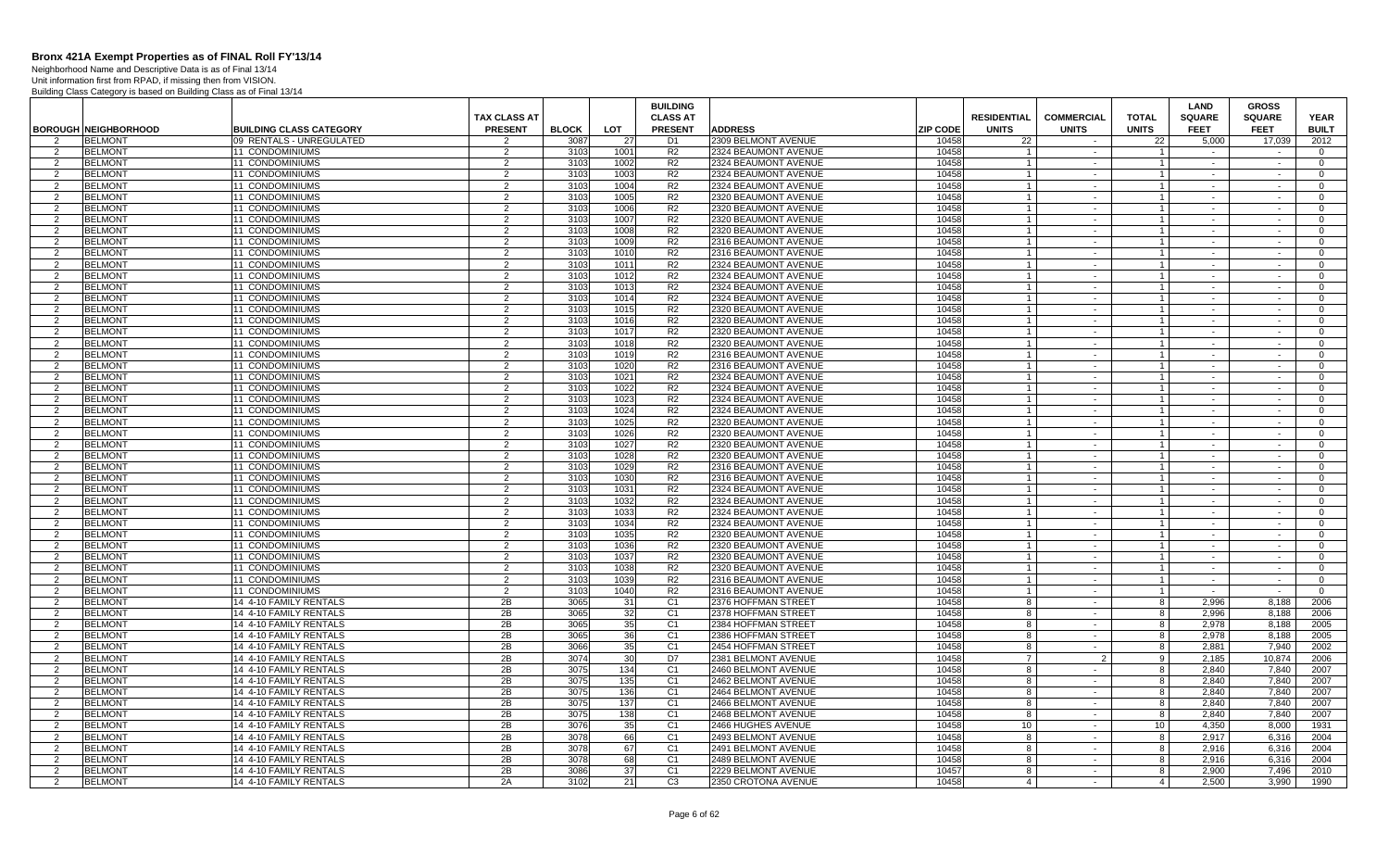Neighborhood Name and Descriptive Data is as of Final 13/14 Unit information first from RPAD, if missing then from VISION.

|                     |                                  |                                                  |                     |              |                       | <b>BUILDING</b>                  |                                            |                |                    |                   |                              | <b>LAND</b>    | <b>GROSS</b>   |                |
|---------------------|----------------------------------|--------------------------------------------------|---------------------|--------------|-----------------------|----------------------------------|--------------------------------------------|----------------|--------------------|-------------------|------------------------------|----------------|----------------|----------------|
|                     |                                  |                                                  | <b>TAX CLASS AT</b> |              |                       | <b>CLASS AT</b>                  |                                            |                | <b>RESIDENTIAL</b> | <b>COMMERCIAL</b> | <b>TOTAL</b>                 | <b>SQUARE</b>  | <b>SQUARE</b>  | <b>YEAR</b>    |
|                     | <b>BOROUGH NEIGHBORHOOD</b>      | <b>BUILDING CLASS CATEGORY</b>                   | <b>PRESENT</b>      | <b>BLOCK</b> | LOT                   | <b>PRESENT</b>                   | <b>ADDRESS</b>                             | ZIP CODE       | <b>UNITS</b>       | <b>UNITS</b>      | <b>UNITS</b>                 | <b>FEET</b>    | <b>FEET</b>    | <b>BUILT</b>   |
| 2                   | <b>BELMONT</b>                   | 09 RENTALS - UNREGULATED                         | 2                   | 3087         | 27                    | D <sub>1</sub>                   | 2309 BELMONT AVENUE                        | 10458          | 22                 |                   | 22                           | 5.000          | 17,039         | 2012           |
| 2                   | <b>BELMONT</b>                   | 11 CONDOMINIUMS                                  | 2                   | 3103         | 1001                  | R <sub>2</sub>                   | 2324 BEAUMONT AVENUE                       | 10458          |                    | $\sim$            |                              | $\sim$         |                | $\Omega$       |
| 2                   | <b>BELMONT</b>                   | 11 CONDOMINIUMS                                  | $\overline{2}$      | 3103         | 1002                  | R2                               | 2324 BEAUMONT AVENUE                       | 10458          | $\overline{1}$     | $\sim$            | $\vert$ 1                    | $\sim$         | $\sim$         | $\overline{0}$ |
| $\overline{2}$      | <b>BELMONT</b>                   | 11 CONDOMINIUMS                                  | 2                   | 3103         | 1003                  | R <sub>2</sub>                   | 2324 BEAUMONT AVENUE                       | 10458          | $\overline{1}$     | $\sim$            | $\mathbf{1}$                 | $\sim$         | $\sim$         | $\Omega$       |
| 2                   | <b>BELMONT</b>                   | <b>11 CONDOMINIUMS</b>                           | $\overline{2}$      | 3103         | 1004                  | R2                               | 2324 BEAUMONT AVENUE                       | 10458          | $\overline{1}$     | $\sim$            | $\vert$ 1                    | $\sim$         | $\sim$         | $\Omega$       |
| 2                   | <b>BELMONT</b>                   | <b>11 CONDOMINIUMS</b>                           | $\overline{2}$      | 3103         | 1005                  | R <sub>2</sub>                   | 2320 BEAUMONT AVENUE                       | 10458          | $\overline{1}$     | $\sim$            | 1 <sup>1</sup>               | $\sim$         | $\sim$         | $\overline{0}$ |
| 2                   | <b>BELMONT</b>                   | 11 CONDOMINIUMS                                  | $\overline{2}$      | 3103         | 1006                  | R2                               | 2320 BEAUMONT AVENUE                       | 10458          | -1                 | $\sim$            | $\mathbf{1}$                 | $\sim$         | $\sim$         | $\overline{0}$ |
| 2                   | <b>BELMONT</b>                   | 11 CONDOMINIUMS                                  | 2                   | 3103         | 1007                  | R <sub>2</sub>                   | 2320 BEAUMONT AVENUE                       | 10458          |                    | $\sim$            | $\mathbf{1}$                 |                |                | $\overline{0}$ |
| 2                   | <b>BELMONT</b>                   | <b>11 CONDOMINIUMS</b>                           | 2                   | 3103         | 1008                  | R <sub>2</sub>                   | 2320 BEAUMONT AVENUE                       | 10458          |                    | $\sim$            | $\mathbf{1}$                 | $\sim$         | $\sim$         | $\mathbf{0}$   |
| 2                   | <b>BELMONT</b>                   | 11 CONDOMINIUMS                                  | $\overline{2}$      | 3103         | 1009                  | R2                               | 2316 BEAUMONT AVENUE                       | 10458          |                    | $\sim$            | $\mathbf{1}$                 | $\sim$         | $\sim$         | $\Omega$       |
| $\overline{2}$      | <b>BELMONT</b>                   | 11 CONDOMINIUMS                                  | $\overline{2}$      | 3103         | 1010                  | R <sub>2</sub>                   | 2316 BEAUMONT AVENUE                       | 10458          |                    | $\sim$            | $\mathbf{1}$                 | $\sim$         |                | $\overline{0}$ |
| 2                   | <b>BELMONT</b>                   | 11 CONDOMINIUMS                                  | 2                   | 3103         | 1011                  | R2                               | 2324 BEAUMONT AVENUE                       | 10458          | $\overline{1}$     | $\sim$            | $\overline{1}$               | $\sim$         | $\sim$         | $\Omega$       |
| $\mathcal{P}$       | <b>BELMONT</b>                   | <b>11 CONDOMINIUMS</b>                           | 2                   | 3103         | 1012                  | R <sub>2</sub>                   | 2324 BEAUMONT AVENUE                       | 10458          | $\overline{1}$     | $\sim$            | $\mathbf{1}$                 | $\sim$         | $\sim$         | $\Omega$       |
| 2                   | <b>BELMONT</b>                   | 11 CONDOMINIUMS                                  | $\overline{2}$      | 3103         | 1013                  | R2                               | 2324 BEAUMONT AVENUE                       | 10458          | $\mathbf{1}$       | $\sim$            | $\overline{1}$               | $\sim$         | $\sim$         | $\Omega$       |
| 2                   | <b>BELMONT</b>                   | 11 CONDOMINIUMS                                  | $\overline{2}$      | 3103         | 1014                  | R <sub>2</sub>                   | 2324 BEAUMONT AVENUE                       | 10458          | $\overline{1}$     | $\sim$            | 1 <sup>1</sup>               | $\sim$         | $\sim$         | $\mathbf{0}$   |
| 2                   | <b>BELMONT</b>                   | 11 CONDOMINIUMS                                  | $\overline{2}$      | 3103         | 1015                  | R <sub>2</sub>                   | 2320 BEAUMONT AVENUE                       | 10458          | -1                 | $\sim$            | $\mathbf{1}$                 | $\sim$         | $\sim$         | $\mathbf{0}$   |
| 2                   | <b>BELMONT</b>                   | 11 CONDOMINIUMS                                  | 2                   | 310          | 1016                  | R <sub>2</sub>                   | 2320 BEAUMONT AVENUE                       | 10458          |                    | $\sim$            | $\mathbf{1}$                 |                |                | $\overline{0}$ |
| 2                   | <b>BELMONT</b>                   | 11 CONDOMINIUMS                                  | 2                   | 3103         | 1017                  | R2                               | 2320 BEAUMONT AVENUE                       | 10458          |                    | $\sim$            | $\mathbf{1}$                 | $\sim$         | $\sim$         | $\mathbf{0}$   |
| $\overline{2}$      | <b>BELMONT</b>                   | 11 CONDOMINIUMS                                  | $\mathfrak{p}$      | 3103         | 1018                  | R <sub>2</sub>                   | 2320 BEAUMONT AVENUE                       | 10458          |                    | $\sim$            | $\mathbf{1}$                 | $\sim$         | $\sim$         | $\overline{0}$ |
| 2                   | <b>BELMONT</b>                   | 11 CONDOMINIUMS                                  | $\overline{2}$      | 3103         | 1019                  | R2                               | 2316 BEAUMONT AVENUE                       | 10458          |                    | $\sim$            | $\mathbf{1}$                 | $\sim$         | $\sim$         | $\Omega$       |
| 2                   | <b>BELMONT</b>                   | <b>11 CONDOMINIUMS</b>                           | $\overline{2}$      | 3103         | 1020                  | R <sub>2</sub>                   | 2316 BEAUMONT AVENUE                       | 10458          | $\overline{1}$     | $\sim$            | $\vert$ 1                    | $\sim$         | $\sim$         | $\Omega$       |
| $\mathcal{P}$       | <b>BELMONT</b>                   | 11 CONDOMINIUMS                                  | $\mathfrak{p}$      | 3103         | 1021                  | R <sub>2</sub>                   | 2324 BEAUMONT AVENUE                       | 10458          |                    | $\sim$            | $\mathbf{1}$                 | $\sim$         | $\sim$         | $\Omega$       |
| 2                   | <b>BELMONT</b>                   | 11 CONDOMINIUMS                                  | 2                   | 3103         | 1022                  | R <sub>2</sub>                   | 2324 BEAUMONT AVENUE                       | 10458          | $\overline{1}$     | $\sim$            | $\mathbf{1}$                 | $\sim$         | $\sim$         | $\overline{0}$ |
| 2                   | <b>BELMONT</b>                   | 11 CONDOMINIUMS                                  | $\overline{2}$      | 3103         | 1023                  | R <sub>2</sub>                   | 2324 BEAUMONT AVENUE                       | 10458          |                    | $\sim$            | $\mathbf{1}$                 |                | $\sim$         | $\Omega$       |
| 2                   | <b>BELMONT</b>                   | <b>11 CONDOMINIUMS</b>                           | $\overline{2}$      | 3103         | 1024                  | R <sub>2</sub>                   | 2324 BEAUMONT AVENUE                       | 10458          |                    | $\sim$            | $\mathbf{1}$                 | $\sim$         | $\sim$         | $\mathbf{0}$   |
| 2                   | <b>BELMONT</b>                   | 11 CONDOMINIUMS                                  | $\overline{2}$      | 310          | 1025                  | R <sub>2</sub>                   | 2320 BEAUMONT AVENUE                       | 10458          |                    | $\sim$            | $\mathbf{1}$                 |                |                | $\Omega$       |
| $\overline{2}$      | <b>BELMONT</b>                   | 11 CONDOMINIUMS                                  | 2                   | 3103         | 1026                  | R <sub>2</sub>                   | 2320 BEAUMONT AVENUE                       | 10458          |                    | $\sim$            |                              | $\sim$         | $\sim$         | $\overline{0}$ |
| 2                   | <b>BELMONT</b>                   | 11 CONDOMINIUMS                                  | 2                   | 3103         | 1027                  | R2                               | 2320 BEAUMONT AVENUE                       | 10458          | $\mathbf{1}$       | $\sim$            | 1 <sup>1</sup>               | $\sim$         | $\sim$         | $\Omega$       |
| $\mathcal{P}$       | <b>BELMONT</b>                   | <b>11 CONDOMINIUMS</b>                           | $\overline{2}$      | 3103         | 1028                  | R <sub>2</sub>                   | 2320 BEAUMONT AVENUE                       | 10458          |                    | $\sim$            | $\mathbf{1}$                 | $\sim$         | $\sim$         | $\Omega$       |
| 2                   | <b>BELMONT</b>                   | <b>11 CONDOMINIUMS</b>                           | 2                   | 3103         | 1029                  | R2                               | 2316 BEAUMONT AVENUE                       | 10458          | $\overline{1}$     | $\sim$            | $\vert$ 1                    | $\sim$         | $\sim$         | $\Omega$       |
| 2                   | <b>BELMONT</b>                   | 11 CONDOMINIUMS                                  | 2                   | 3103         | 1030                  | R <sub>2</sub>                   | 2316 BEAUMONT AVENUE                       | 10458          |                    | $\sim$            | $\mathbf{1}$                 | $\sim$         | $\sim$         | $\overline{0}$ |
| 2                   | <b>BELMONT</b>                   | 11 CONDOMINIUMS                                  | 2                   | 3103         | 1031                  | R2                               | 2324 BEAUMONT AVENUE                       | 10458          |                    | $\sim$            | $\mathbf{1}$                 | $\sim$         | $\sim$         | $\mathbf{0}$   |
| $\mathcal{P}$       | <b>BELMONT</b>                   | 11 CONDOMINIUMS                                  | $\overline{2}$      | 3103         | 1032                  | R <sub>2</sub>                   | 2324 BEAUMONT AVENUE                       | 10458          |                    | $\sim$            | $\mathbf{1}$                 |                | $\sim$         | $\Omega$       |
| 2                   | <b>BELMONT</b>                   | <b>11 CONDOMINIUMS</b>                           | $\overline{2}$      | 3103         | 1033                  | R <sub>2</sub>                   | 2324 BEAUMONT AVENUE                       | 10458          |                    | $\sim$            | $\mathbf{1}$                 | $\sim$         | $\sim$         | $\mathbf{0}$   |
| 2                   | <b>BELMONT</b>                   | 11 CONDOMINIUMS                                  | $\overline{2}$      | 3103         | 1034                  | R <sub>2</sub>                   | 2324 BEAUMONT AVENUE                       | 10458          |                    | $\sim$            | $\mathbf{1}$                 | $\sim$         | $\sim$         | $\overline{0}$ |
| $\overline{2}$      | <b>BELMONT</b>                   | 11 CONDOMINIUMS                                  | 2                   | 3103         | 1035                  | R <sub>2</sub>                   | 2320 BEAUMONT AVENUE                       | 10458          |                    | $\sim$            |                              | $\sim$         | $\sim$         | $\Omega$       |
| 2                   | <b>BELMONT</b>                   | 11 CONDOMINIUMS                                  | $\mathcal{P}$       | 3103         | 1036                  | R <sub>2</sub>                   | 2320 BEAUMONT AVENUE                       | 10458          | $\overline{1}$     | $\sim$            | 1 <sup>1</sup>               | $\sim$         | $\sim$         | $\Omega$       |
| $\mathcal{P}$       | <b>BELMONT</b>                   | <b>11 CONDOMINIUMS</b>                           | $\overline{2}$      | 3103         | 1037                  | R <sub>2</sub>                   | 2320 BEAUMONT AVENUE                       | 10458          |                    | $\sim$            | $\mathbf{1}$                 | $\sim$         | $\sim$         | $\Omega$       |
| 2                   | <b>BELMONT</b>                   | 11 CONDOMINIUMS                                  | 2                   | 3103         | 1038                  | R <sub>2</sub>                   | 2320 BEAUMONT AVENUE                       | 10458          | $\overline{1}$     | $\sim$            | $\vert$ 1                    | $\sim$         | $\sim$         | $\mathbf{0}$   |
| 2                   | <b>BELMONT</b>                   | 11 CONDOMINIUMS                                  | $\overline{2}$      | 3103         | 1039                  | R <sub>2</sub>                   | 2316 BEAUMONT AVENUE                       | 10458          | $\overline{1}$     | $\sim$            | $\mathbf{1}$                 |                | $\sim$         | $\overline{0}$ |
| 2                   | <b>BELMONT</b>                   | <b>11 CONDOMINIUMS</b>                           | 2                   | 3103         | 1040                  | R <sub>2</sub>                   | 2316 BEAUMONT AVENUE                       | 10458          |                    | $\sim$            | $\overline{1}$               | $\sim$         | $\sim$         | $\overline{0}$ |
| 2                   | <b>BELMONT</b>                   | 14 4-10 FAMILY RENTALS                           | 2B                  | 3065         | 31                    | C <sub>1</sub>                   | 2376 HOFFMAN STREET                        | 10458          | 8                  | $\sim$            | 8                            | 2.996          | 8.188          | 2006           |
| 2                   | <b>BELMONT</b>                   | 14 4-10 FAMILY RENTALS                           | 2B                  | 3065         | 32                    | C <sub>1</sub>                   | 2378 HOFFMAN STREET                        | 10458          | 8                  | $\sim$            | 8                            | 2,996          | 8,188          | 2006           |
| 2                   | <b>BELMONT</b>                   | 14 4-10 FAMILY RENTALS                           | 2B                  | 3065         | 35                    | C1                               | 2384 HOFFMAN STREET                        | 10458          | 8                  | $\sim$            | 8                            | 2.978          | 8,188          | 2005           |
| $\mathcal{P}$       | <b>BELMONT</b>                   | 14 4-10 FAMILY RENTALS                           | 2B                  | 3065         | 36                    | C <sub>1</sub>                   | 2386 HOFFMAN STREET                        | 10458          | 8                  | $\sim$            | 8                            | 2.978          | 8.188          | 2005           |
| 2                   | <b>BELMONT</b>                   | 14 4-10 FAMILY RENTALS                           | 2B                  | 3066         | 35 <sub>1</sub>       | C <sub>1</sub>                   | 2454 HOFFMAN STREET                        | 10458          | 8                  | $\sim$            | 8                            | 2.881          | 7.940          | 2002           |
| $\mathcal{P}$       | <b>BELMONT</b>                   | 14 4-10 FAMILY RENTALS                           | 2B                  | 3074         | 30                    | D7                               | 2381 BELMONT AVENUE                        | 10458          | $\overline{7}$     | 2                 | 9                            | 2,185          | 10,874         | 2006           |
| -2                  | <b>BELMONT</b>                   | 14 4-10 FAMILY RENTALS                           | 2B                  | 3075         | 134                   | C <sub>1</sub>                   | 2460 BELMONT AVENUE                        | 10458          | 8                  | $\sim$            | 8                            | 2,840          | 7,840          | 2007           |
| 2                   | <b>BELMONT</b>                   | 14 4-10 FAMILY RENTALS                           | 2B                  | 3075         | 135                   | C <sub>1</sub>                   | 2462 BELMONT AVENUE                        | 10458          | 8                  | $\sim$            | 8                            | 2,840          | 7,840          | 2007           |
| 2                   | <b>BELMONT</b>                   | 14 4-10 FAMILY RENTALS                           | 2B                  | 3075         | 136                   | C <sub>1</sub>                   | 2464 BELMONT AVENUE                        | 10458          | 8                  | $\sim$<br>$\sim$  | 8                            | 2.840          | 7.840          | 2007           |
| 2                   | <b>BELMONT</b><br><b>BELMONT</b> | 14 4-10 FAMILY RENTALS<br>14 4-10 FAMILY RENTALS | 2B<br>2B            | 3075<br>3075 | 137<br>138            | C <sub>1</sub><br>C <sub>1</sub> | 2466 BELMONT AVENUE<br>2468 BELMONT AVENUE | 10458<br>10458 | 8                  |                   | 8<br>$\overline{\mathbf{8}}$ | 2,840<br>2.840 | 7,840<br>7,840 | 2007<br>2007   |
| $\overline{2}$<br>2 | <b>BELMONT</b>                   | 14 4-10 FAMILY RENTALS                           | 2B                  | 3076         |                       | C <sub>1</sub>                   | 2466 HUGHES AVENUE                         | 10458          | 8<br>10            | $\sim$<br>$\sim$  | 10 <sup>1</sup>              | 4,350          | 8.000          | 1931           |
| $\mathcal{P}$       | <b>BELMONT</b>                   | 14 4-10 FAMILY RENTALS                           | 2B                  | 3078         | 35 <sub>1</sub><br>66 | C <sub>1</sub>                   | 2493 BELMONT AVENUE                        | 10458          | 8                  | $\sim$            | 8                            | 2.917          | 6.316          | 2004           |
| 2                   | <b>BELMONT</b>                   | 14 4-10 FAMILY RENTALS                           | 2B                  | 3078         | 67                    | C <sub>1</sub>                   | 2491 BELMONT AVENUE                        | 10458          | 8                  | $\sim$            | 8                            | 2,916          | 6,316          | 2004           |
| 2                   | <b>BELMONT</b>                   | 14 4-10 FAMILY RENTALS                           | 2B                  | 3078         | 68                    | C <sub>1</sub>                   | 2489 BELMONT AVENUE                        | 10458          | 8                  |                   | 8                            | 2.916          | 6.316          | 2004           |
| 2                   | <b>BELMONT</b>                   | 14 4-10 FAMILY RENTALS                           | 2B                  | 3086         | 37                    | C <sub>1</sub>                   | 2229 BELMONT AVENUE                        | 10457          | 8                  | $\sim$<br>$\sim$  | 8                            | 2.900          | 7,496          | 2010           |
| 2                   | <b>BELMONT</b>                   | 14 4-10 FAMILY RENTALS                           | 2A                  | 3102         | 21                    | C <sub>3</sub>                   | 2350 CROTONA AVENUE                        | 10458          | $\overline{4}$     |                   | $\overline{4}$               | 2.500          | 3.990          | 1990           |
|                     |                                  |                                                  |                     |              |                       |                                  |                                            |                |                    |                   |                              |                |                |                |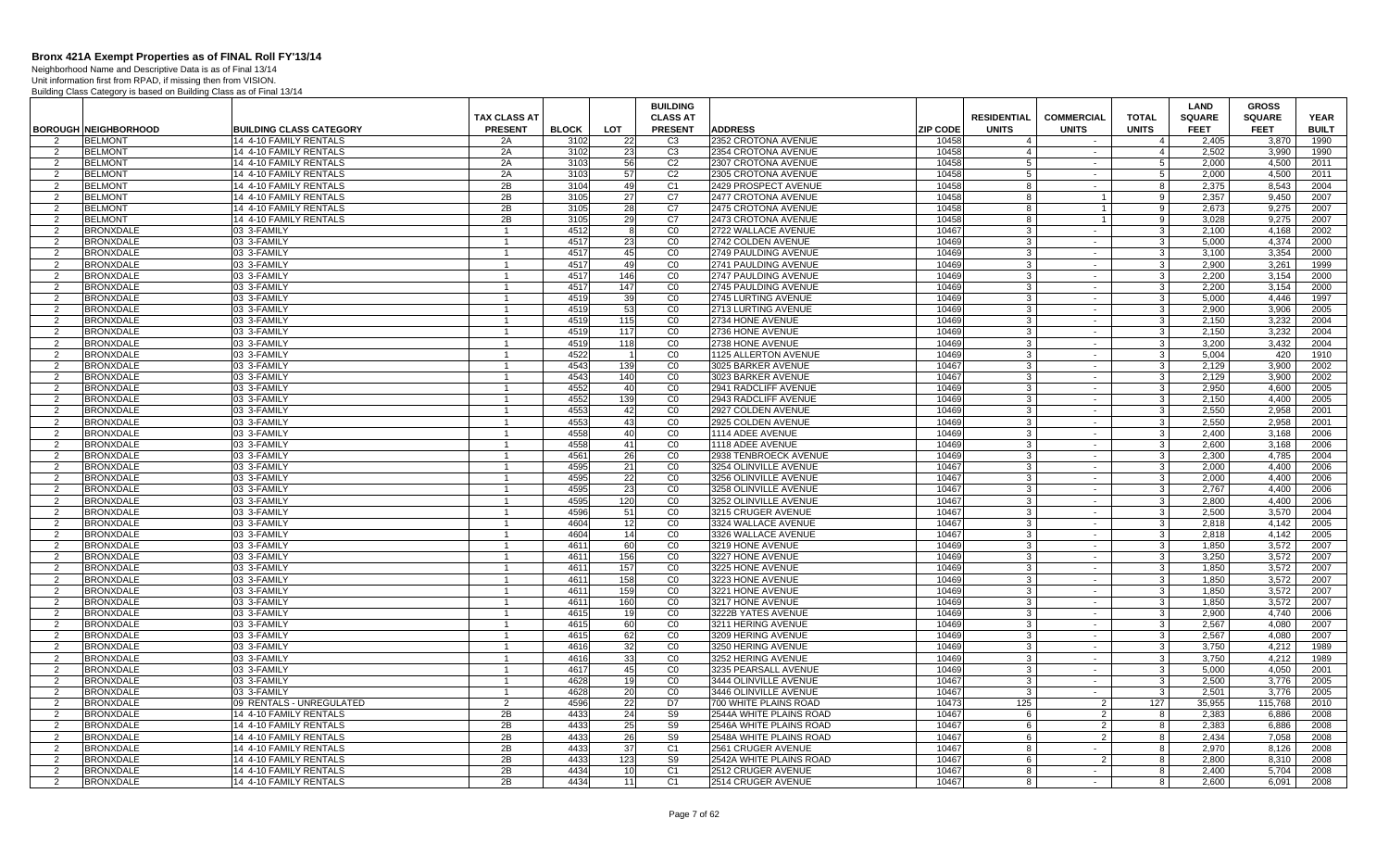Neighborhood Name and Descriptive Data is as of Final 13/14 Unit information first from RPAD, if missing then from VISION.

|                     |                                      |                                                  |                      |              |            | <b>BUILDING</b>      |                                               |                 |                    |                          |                         | LAND           | <b>GROSS</b>   |              |
|---------------------|--------------------------------------|--------------------------------------------------|----------------------|--------------|------------|----------------------|-----------------------------------------------|-----------------|--------------------|--------------------------|-------------------------|----------------|----------------|--------------|
|                     |                                      |                                                  | <b>TAX CLASS AT</b>  |              |            | <b>CLASS AT</b>      |                                               |                 | <b>RESIDENTIAL</b> | <b>COMMERCIAL</b>        | <b>TOTAL</b>            | <b>SQUARE</b>  | <b>SQUARE</b>  | <b>YEAR</b>  |
|                     | <b>BOROUGH NEIGHBORHOOD</b>          | <b>BUILDING CLASS CATEGORY</b>                   | <b>PRESENT</b>       | <b>BLOCK</b> | <b>LOT</b> | <b>PRESENT</b>       | <b>ADDRESS</b>                                | <b>ZIP CODE</b> | <b>UNITS</b>       | <b>UNITS</b>             | <b>UNITS</b>            | <b>FEET</b>    | <b>FEET</b>    | <b>BUILT</b> |
| $\mathcal{P}$       | <b>BELMONT</b>                       | 14 4-10 FAMILY RENTALS                           | 2A                   | 3102         | 22         | C <sub>3</sub>       | 2352 CROTONA AVENUE                           | 10458           | $\overline{4}$     |                          | $\overline{4}$          | 2,405          | 3,870          | 1990         |
| 2                   | <b>BELMONT</b>                       | 14 4-10 FAMILY RENTALS                           | 2A                   | 3102         | 23         | C3                   | 2354 CROTONA AVENUE                           | 10458           | $\overline{4}$     | $\sim$                   | $\overline{4}$          | 2.502          | 3.990          | 1990         |
| 2                   | <b>BELMONT</b>                       | 14 4-10 FAMILY RENTALS                           | 2A                   | 3103         | 56         | C <sub>2</sub>       | 2307 CROTONA AVENUE                           | 10458           | 5                  | $\sim$                   | -51                     | 2.000          | 4,500          | 2011         |
| 2                   | <b>BELMONT</b>                       | 14 4-10 FAMILY RENTALS                           | 2A                   | 3103         | 57         | C <sub>2</sub>       | 2305 CROTONA AVENUE                           | 10458           | -5                 | $\sim$                   | $5\overline{5}$         | 2.000          | 4.500          | 2011         |
| 2                   | <b>BELMONT</b>                       | 14 4-10 FAMILY RENTALS                           | 2B                   | 3104         | 49         | C <sub>1</sub>       | 2429 PROSPECT AVENUE                          | 10458           | 8                  | $\sim$                   | 8                       | 2.375          | 8.543          | 2004         |
| $\mathcal{P}$       | <b>BELMONT</b>                       | 14 4-10 FAMILY RENTALS                           | 2B                   | 3105         | 27         | C <sub>7</sub>       | 2477 CROTONA AVENUE                           | 10458           | 8                  | $\overline{1}$           | 9                       | 2.357          | 9.450          | 2007         |
| 2                   | <b>BELMONT</b>                       | 14 4-10 FAMILY RENTALS                           | 2B                   | 3105         | 28         | C7                   | 2475 CROTONA AVENUE                           | 10458           | -8                 | $\mathbf{1}$             | 9                       | 2,673          | 9,275          | 2007         |
| $\overline{2}$      | <b>BELMONT</b>                       | 14 4-10 FAMILY RENTALS                           | 2B                   | 3105         | 29         | C7                   | 2473 CROTONA AVENUE                           | 10458           | 8                  | $\overline{1}$           | 9                       | 3,028          | 9,275          | 2007         |
| 2                   | <b>BRONXDALE</b>                     | 03 3-FAMILY                                      |                      | 4512         | -8         | CO                   | 2722 WALLACE AVENUE                           | 10467           | -3                 | $\sim$                   | $\mathbf{3}$            | 2.100          | 4.168          | 2002         |
| $\mathcal{P}$       | <b>BRONXDALE</b>                     | 03 3-FAMILY                                      |                      | 4517         | 23         | CO                   | 2742 COLDEN AVENUE                            | 10469           | -3                 | $\sim$                   | $\mathbf{3}$            | 5.000          | 4,374          | 2000         |
| $\overline{2}$      | <b>BRONXDALE</b>                     | 03 3-FAMILY                                      |                      | 4517         | 45         | CO                   | 2749 PAULDING AVENUE                          | 10469           | 3                  | $\sim$                   | $\mathbf{3}$            | 3.100          | 3.354          | 2000         |
| 2                   | <b>BRONXDALE</b>                     | 03 3-FAMILY                                      | $\mathbf{1}$         | 4517         | 49         | CO                   | 2741 PAULDING AVENUE                          | 10469           | $\mathbf{3}$       | $\sim$                   | 3 <sup>1</sup>          | 2.900          | 3,261          | 1999         |
| $\overline{2}$      | <b>BRONXDALE</b>                     | 03 3-FAMILY                                      |                      | 4517         | 146        | CO                   | 2747 PAULDING AVENUE                          | 10469           | 3                  | $\sim$                   | $\overline{\mathbf{3}}$ | 2.200          | 3.154          | 2000         |
| 2                   | <b>BRONXDALE</b>                     | 03 3-FAMILY                                      | $\mathbf{1}$         | 4517         | 147        | CO                   | 2745 PAULDING AVENUE                          | 10469           | 3                  | $\sim$ $-$               | 3 <sup>1</sup>          | 2.200          | 3.154          | 2000         |
| $\mathcal{P}$       | <b>BRONXDALE</b>                     | 03 3-FAMILY                                      |                      | 4519         | 39         | CO                   | 2745 LURTING AVENUE                           | 10469           | -3                 | $\sim$                   | 3                       | 5.000          | 4.446          | 1997         |
| 2                   | <b>BRONXDALE</b>                     | 03 3-FAMILY                                      |                      | 4519         | 53         | CO                   | 2713 LURTING AVENUE                           | 10469           | -3                 | $\sim$                   | $\mathbf{3}$            | 2,900          | 3,906          | 2005         |
| $\mathcal{P}$       | <b>BRONXDALE</b>                     | 03 3-FAMILY                                      |                      | 4519         | 115        | CO                   | 2734 HONE AVENUE                              | 10469           | $\overline{3}$     | $\sim$                   | $\mathbf{3}$            | 2,150          | 3,232          | 2004         |
| $\overline{2}$      | <b>BRONXDALE</b>                     | 03 3-FAMILY                                      |                      | 4519         | 117        | CO                   | 2736 HONE AVENUE                              | 10469           | -3                 | $\sim$                   | $\overline{\omega}$     | 2.150          | 3,232          | 2004         |
| $\mathcal{P}$       | <b>BRONXDALE</b>                     | 03 3-FAMILY                                      | $\mathbf{1}$         | 4519         | 118        | CO                   | 2738 HONE AVENUE                              | 10469           | -3                 | $\sim$                   | 3 <sup>1</sup>          | 3.200          | 3.432          | 2004         |
| $\mathcal{P}$       | <b>BRONXDALE</b>                     | 03 3-FAMILY                                      |                      | 4522         |            | C <sub>0</sub>       | 1125 ALLERTON AVENUE                          | 10469           | -3                 | $\sim$                   | 3                       | 5,004          | 420            | 1910         |
| 2                   | <b>BRONXDALE</b>                     | 03 3-FAMILY                                      | $\mathbf{1}$         | 4543         | 139        | CO                   | 3025 BARKER AVENUE                            | 10467           | $\mathbf{3}$       | $\sim$                   | $\overline{\mathbf{3}}$ | 2,129          | 3.900          | 2002         |
| $\overline{2}$      | <b>BRONXDALE</b>                     | 03 3-FAMILY                                      |                      | 4543         | 140        | CO                   | 3023 BARKER AVENUE                            | 10467           | -3                 | $\sim$                   | 3 <sup>1</sup>          | 2.129          | 3.900          | 2002         |
| $\overline{2}$      | <b>BRONXDALE</b>                     | 03 3-FAMILY                                      | -1                   | 4552         | 40         | CO                   | 2941 RADCLIFF AVENUE                          | 10469           | -3                 | $\sim$                   | $\mathbf{3}$            | 2.950          | 4,600          | 2005         |
| $\mathcal{P}$       | <b>BRONXDALE</b>                     | 03 3-FAMILY                                      |                      | 4552         | 139        | CO                   | 2943 RADCLIFF AVENUE                          | 10469           | -3                 | $\sim$                   | $\mathbf{3}$            | 2.150          | 4,400          | 2005         |
| 2                   | <b>BRONXDALE</b>                     | 03 3-FAMILY                                      |                      | 4553         | 42         | CO                   | 2927 COLDEN AVENUE                            | 10469           | -3                 | $\sim$                   | $\mathbf{3}$            | 2,550          | 2,958          | 2001         |
| $\mathcal{P}$       | <b>BRONXDALE</b>                     | 03 3-FAMILY                                      |                      | 4553         | 43         | CO                   | 2925 COLDEN AVENUE                            | 10469           | $\overline{3}$     | $\sim$                   | $\mathbf{3}$            | 2,550          | 2,958          | 2001         |
| 2                   | <b>BRONXDALE</b>                     | 03 3-FAMILY                                      |                      | 4558         | 40         | CO                   | 1114 ADEE AVENUE                              | 10469           | -3                 | $\sim$                   | 3                       | 2.400          | 3,168          | 2006         |
| $\mathcal{P}$       | <b>BRONXDALE</b>                     | 03 3-FAMILY                                      | $\mathbf{1}$         | 4558         | 41         | CO                   | 1118 ADEE AVENUE                              | 10469           | $\mathbf{3}$       | $\sim$                   | 3 <sup>1</sup>          | 2.600          | 3.168          | 2006         |
| $\mathcal{P}$       | <b>BRONXDALE</b>                     | 03 3-FAMILY                                      |                      | 4561         | 26         | CO                   | 2938 TENBROECK AVENUE                         | 10469           | 3                  | $\sim$                   | 3                       | 2,300          | 4,785          | 2004         |
| 2                   | <b>BRONXDALE</b>                     | 03 3-FAMILY                                      | $\mathbf{1}$         | 4595         | 21         | CO                   | 3254 OLINVILLE AVENUE                         | 10467           | $\mathbf{3}$       | $\sim$                   | 3 <sup>1</sup>          | 2.000          | 4.400          | 2006         |
| $\mathcal{P}$       | <b>BRONXDALE</b>                     | 03 3-FAMILY                                      |                      | 4595         | 22         | CO                   | 3256 OLINVILLE AVENUE                         | 10467           | -3                 | $\sim$                   | 3 <sup>1</sup>          | 2.000          | 4.400          | 2006         |
| $\overline{2}$      | <b>BRONXDALE</b>                     | 03 3-FAMILY                                      | $\mathbf 1$          | 4595         | 23         | CO                   | 3258 OLINVILLE AVENUE                         | 10467           | -3                 | $\sim$                   | $\mathbf{3}$            | 2.767          | 4.400          | 2006         |
| $\mathcal{P}$       | <b>BRONXDALE</b>                     | 03 3-FAMILY                                      |                      | 4595         | 120        | CO                   | 3252 OLINVILLE AVENUE                         | 10467           | -3                 | $\sim$                   | $\mathbf{3}$            | 2,800          | 4,400          | 2006         |
| -2                  | <b>BRONXDALE</b>                     | 03 3-FAMILY                                      |                      | 4596         | 51         | CO                   | 3215 CRUGER AVENUE                            | 10467           | -3                 | $\sim$                   | $\mathbf{3}$            | 2,500          | 3,570          | 2004         |
| $\mathcal{P}$       | <b>BRONXDALE</b>                     | 03 3-FAMILY                                      |                      | 4604         | 12         | C <sub>0</sub>       | 3324 WALLACE AVENUE                           | 10467           | 3                  | $\sim$                   | $\mathbf{3}$            | 2.818          | 4.142          | 2005         |
| 2                   | <b>BRONXDALE</b>                     | 03 3-FAMILY                                      |                      | 4604         | 14         | CO                   | 3326 WALLACE AVENUE                           | 10467           | -3                 | $\sim$                   | 3                       | 2.818          | 4.142          | 2005         |
| $\mathcal{P}$       | <b>BRONXDALE</b>                     | 03 3-FAMILY                                      | $\mathbf{1}$         | 4611         | 60         | CO                   | 3219 HONE AVENUE                              | 10469           | $\mathbf{3}$       | $\sim$                   | 3 <sup>1</sup>          | 1.850          | 3.572          | 2007         |
| $\mathcal{P}$       | <b>BRONXDALE</b>                     | 03 3-FAMILY                                      |                      | 4611         | 156        | CO                   | 3227 HONE AVENUE                              | 10469           | 3                  | $\sim$                   | $\mathbf{3}$            | 3,250          | 3,572          | 2007         |
| 2                   | <b>BRONXDALE</b>                     | 03 3-FAMILY                                      | $\mathbf{1}$         | 4611         | 157        | CO                   | 3225 HONE AVENUE                              | 10469           | 3                  | $\sim$ $-$               | - 3 I                   | 1.850          | 3.572          | 2007         |
| $\overline{2}$      | <b>BRONXDALE</b>                     | 03 3-FAMILY                                      |                      | 4611         | 158        | CO                   | 3223 HONE AVENUE                              | 10469           | -3                 | $\sim$                   | 3 <sup>1</sup>          | 1.850          | 3.572          | 2007         |
| 2                   | <b>BRONXDALE</b>                     | 03 3-FAMILY                                      |                      | 4611         | 159        | CO                   | 3221 HONE AVENUE                              | 10469           | -3                 | $\sim$ $-$               | $\mathbf{3}$            | 1.850          | 3.572          | 2007         |
| $\mathcal{P}$       | <b>BRONXDALE</b>                     | 03 3-FAMILY                                      |                      | 4611         | 160        | CO                   | 3217 HONE AVENUE                              | 10469           | 3                  | $\sim$                   | $\mathbf{3}$            | 1,850          | 3,572          | 2007         |
| -2                  | <b>BRONXDALE</b>                     | 03 3-FAMILY                                      |                      | 4615         | 19         | CO                   | 3222B YATES AVENUE                            | 10469           | 3                  | $\sim$                   | $\mathbf{3}$            | 2,900          | 4.740          | 2006         |
| $\mathcal{P}$       | <b>BRONXDALE</b>                     | 03 3-FAMILY                                      |                      | 4615         | 60         | CO                   | 3211 HERING AVENUE                            | 10469           | -3                 | $\sim$                   | - 3 I                   | 2.567          | 4.080          | 2007         |
| $\overline{2}$      | <b>BRONXDALE</b>                     | 03 3-FAMILY                                      |                      | 4615         | 62         | CO                   | 3209 HERING AVENUE                            | 10469           | -3                 | $\sim$                   | 3 <sup>1</sup>          | 2.567          | 4.080          | 2007         |
| $\mathcal{P}$       | <b>BRONXDALE</b>                     | 03 3-FAMILY                                      | $\mathbf{1}$         | 4616         | 32         | CO                   | 3250 HERING AVENUE                            | 10469           | $\mathbf{3}$       | $\sim$                   | 3 <sup>1</sup>          | 3,750          | 4,212          | 1989         |
| $\overline{2}$      | <b>BRONXDALE</b>                     | 03 3-FAMILY                                      |                      | 4616         | 33         | CO                   | 3252 HERING AVENUE                            | 10469           | 3                  | $\sim$                   | $\mathbf{3}$            | 3,750          | 4,212          | 1989         |
| -2                  | <b>BRONXDALE</b>                     | 03 3-FAMILY                                      | -1                   | 4617         | 45         | $\overline{c}$       | 3235 PEARSALL AVENUE                          | 10469           | 3                  | $\sim$                   | 3 <sup>1</sup>          | 5,000          | 4,050          | 2001         |
| $\overline{2}$      | <b>BRONXDALE</b>                     | 03 3-FAMILY                                      |                      | 4628         | 19         | CO                   | 3444 OLINVILLE AVENUE                         | 10467           | -3                 | $\sim$                   | $\mathbf{3}$            | 2.500          | 3.776          | 2005         |
| 2                   | <b>BRONXDALE</b>                     | 03 3-FAMILY                                      | -1<br>$\mathfrak{p}$ | 4628         | <b>20</b>  | CO                   | 3446 OLINVILLE AVENUE                         | 10467           | -3                 | $\sim$                   | $\mathbf{3}$            | 2.501          | 3.776          | 2005         |
| $\mathcal{P}$       | <b>BRONXDALE</b>                     | 09 RENTALS - UNREGULATED                         |                      | 4596         | 22         | D7                   | 700 WHITE PLAINS ROAD                         | 10473<br>10467  | 125                | 2                        | 127                     | 35,955         | 115,768        | 2010         |
| -2<br>$\mathcal{P}$ | <b>BRONXDALE</b>                     | 14 4-10 FAMILY RENTALS                           | 2B                   | 4433<br>4433 | 24         | S9                   | 2544A WHITE PLAINS ROAD                       |                 | 6                  | $\overline{2}$           | 8                       | 2,383          | 6,886          | 2008         |
| $\mathcal{P}$       | <b>BRONXDALE</b>                     | 14 4-10 FAMILY RENTALS                           | 2B                   | 4433         | 25         | S9                   | 2546A WHITE PLAINS ROAD                       | 10467           | 6                  | 2 <sup>1</sup>           | 8                       | 2.383          | 6.886          | 2008<br>2008 |
| $\mathcal{P}$       | <b>BRONXDALE</b>                     | 14 4-10 FAMILY RENTALS                           | 2B                   | 4433         | 26         | S9                   | 2548A WHITE PLAINS ROAD                       | 10467<br>10467  | - 6                | $\overline{2}$<br>$\sim$ | 8                       | 2.434          | 7.058          |              |
| 2                   | <b>BRONXDALE</b><br><b>BRONXDALE</b> | 14 4-10 FAMILY RENTALS<br>14 4-10 FAMILY RENTALS | 2B<br>2B             | 4433         | 37<br>123  | C <sub>1</sub><br>S9 | 2561 CRUGER AVENUE<br>2542A WHITE PLAINS ROAD | 10467           | 8<br>6             | 2                        | 8<br>8                  | 2.970<br>2.800 | 8,126<br>8.310 | 2008<br>2008 |
| 2                   | <b>BRONXDALE</b>                     | 14 4-10 FAMILY RENTALS                           | 2B                   | 4434         | 10         | C <sub>1</sub>       | 2512 CRUGER AVENUE                            | 10467           | -8                 | $\sim$                   | 8                       | 2.400          | 5.704          | 2008         |
| 2                   | <b>BRONXDALE</b>                     | 14 4-10 FAMILY RENTALS                           | 2B                   | 4434         | 11         | C <sub>1</sub>       | 2514 CRUGER AVENUE                            | 10467           | 8                  | $\sim$                   | 8                       | 2.600          | 6.091          | 2008         |
|                     |                                      |                                                  |                      |              |            |                      |                                               |                 |                    |                          |                         |                |                |              |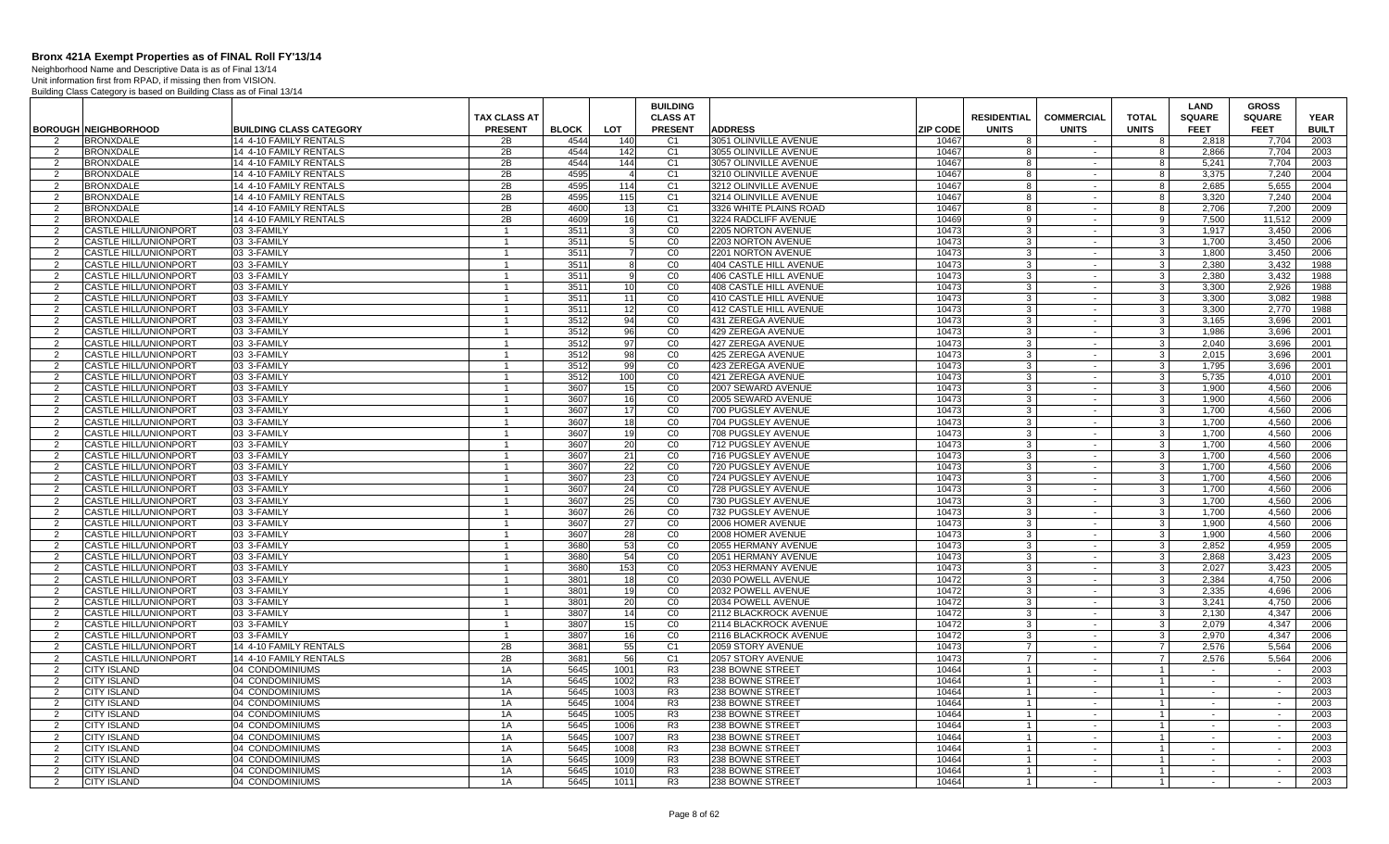Neighborhood Name and Descriptive Data is as of Final 13/14 Unit information first from RPAD, if missing then from VISION.

|                     |                                                              |                                                  |                              |              |                 | <b>BUILDING</b>                  |                                                |                 |                                  |                        |                                  | <b>LAND</b>      | <b>GROSS</b>     |              |
|---------------------|--------------------------------------------------------------|--------------------------------------------------|------------------------------|--------------|-----------------|----------------------------------|------------------------------------------------|-----------------|----------------------------------|------------------------|----------------------------------|------------------|------------------|--------------|
|                     |                                                              |                                                  | <b>TAX CLASS AT</b>          |              |                 | <b>CLASS AT</b>                  |                                                |                 | <b>RESIDENTIAL</b>               | <b>COMMERCIAL</b>      | <b>TOTAL</b>                     | <b>SQUARE</b>    | <b>SQUARE</b>    | <b>YEAR</b>  |
|                     | <b>BOROUGH NEIGHBORHOOD</b>                                  | <b>BUILDING CLASS CATEGORY</b>                   | <b>PRESENT</b>               | <b>BLOCK</b> | <b>LOT</b>      | <b>PRESENT</b>                   | <b>ADDRESS</b>                                 | <b>ZIP CODE</b> | <b>UNITS</b>                     | <b>UNITS</b><br>$\sim$ | <b>UNITS</b>                     | <b>FEET</b>      | <b>FEET</b>      | <b>BUILT</b> |
| 2<br>2              | <b>BRONXDALE</b><br><b>BRONXDALE</b>                         | 14 4-10 FAMILY RENTALS<br>14 4-10 FAMILY RENTALS | 2B<br>2B                     | 4544<br>4544 | 140<br>142      | C <sub>1</sub><br>C <sub>1</sub> | 3051 OLINVILLE AVENUE<br>3055 OLINVILLE AVENUE | 10467<br>10467  | -8<br>-8                         | $\sim$                 | 8<br>8                           | 2,818<br>2.866   | 7,704<br>7.704   | 2003<br>2003 |
| 2                   | <b>BRONXDALE</b>                                             | 14 4-10 FAMILY RENTALS                           | 2B                           | 4544         | 144             | C <sub>1</sub>                   | 3057 OLINVILLE AVENUE                          | 10467           | -8                               | $\sim$                 | 8                                | 5.241            | 7.704            | 2003         |
| 2                   | <b>BRONXDALE</b>                                             | 14 4-10 FAMILY RENTALS                           | 2B                           | 4595         |                 | C <sub>1</sub>                   | 3210 OLINVILLE AVENUE                          | 10467           | -8                               | $\sim$                 | 8                                | 3,375            | 7,240            | 2004         |
| 2                   | <b>BRONXDALE</b>                                             | 14 4-10 FAMILY RENTALS                           | 2B                           | 4595         | 114             | C <sub>1</sub>                   | 3212 OLINVILLE AVENUE                          | 10467           | 8                                | $\sim$                 | 8                                | 2,685            | 5,655            | 2004         |
| $\overline{2}$      | <b>BRONXDALE</b>                                             | 14 4-10 FAMILY RENTALS                           | 2B                           | 4595         | 115             | C <sub>1</sub>                   | 3214 OLINVILLE AVENUE                          | 10467           | 8                                | $\sim$                 | 8                                | 3.320            | 7.240            | 2004         |
| 2                   | <b>BRONXDALE</b>                                             | 14 4-10 FAMILY RENTALS                           | 2B                           | 4600         | 13              | C <sub>1</sub>                   | 3326 WHITE PLAINS ROAD                         | 10467           | -8                               | $\sim$                 | 8                                | 2.706            | 7.200            | 2009         |
| 2                   | <b>BRONXDALE</b>                                             | 14 4-10 FAMILY RENTALS                           | 2B                           | 4609         | 16              | C <sub>1</sub>                   | 3224 RADCLIFF AVENUE                           | 10469           | 9                                | $\sim$                 | 9                                | 7,500            | 11,512           | 2009         |
| $\overline{2}$      | CASTLE HILL/UNIONPORT                                        | 03 3-FAMILY                                      |                              | 3511         |                 | CO                               | 2205 NORTON AVENUE                             | 10473           | 3                                | $\sim$                 | $\mathbf{3}$                     | 1.917            | 3,450            | 2006         |
| 2                   | <b>CASTLE HILL/UNIONPORT</b>                                 | 03 3-FAMILY                                      | $\mathbf{1}$                 | 3511         | $5\overline{)}$ | CO                               | 2203 NORTON AVENUE                             | 10473           | $\mathbf{3}$                     | $\sim$                 | 3 <sup>1</sup>                   | 1.700            | 3.450            | 2006         |
| 2                   | <b>CASTLE HILL/UNIONPORT</b>                                 | 03 3-FAMILY                                      | $\mathbf{1}$                 | 3511         | $\overline{7}$  | CO                               | 2201 NORTON AVENUE                             | 10473           | -3                               | $\sim$                 | 3 <sup>1</sup>                   | 1.800            | 3.450            | 2006         |
| 2                   | <b>CASTLE HILL/UNIONPORT</b>                                 | 03 3-FAMILY                                      | $\mathbf{1}$                 | 3511         | -8              | CO                               | 404 CASTLE HILL AVENUE                         | 10473           | -3                               | $\sim$                 | 3 <sup>1</sup>                   | 2.380            | 3.432            | 1988         |
| $\overline{2}$      | <b>CASTLE HILL/UNIONPORT</b>                                 | 03 3-FAMILY                                      | $\overline{1}$               | 3511         | 9               | CO                               | 406 CASTLE HILL AVENUE                         | 10473           | -3                               | $\sim$                 | 3 <sup>1</sup>                   | 2,380            | 3,432            | 1988         |
| 2                   | <b>CASTLE HILL/UNIONPORT</b>                                 | 03 3-FAMILY                                      | $\overline{1}$               | 3511         | 10              | CO                               | 408 CASTLE HILL AVENUE                         | 10473           | 3                                | $\sim$                 | 3 <sup>1</sup>                   | 3,300            | 2,926            | 1988         |
| $\overline{2}$      | <b>CASTLE HILL/UNIONPORT</b>                                 | 03 3-FAMILY                                      | $\mathbf{1}$                 | 3511         | 11              | CO                               | 410 CASTLE HILL AVENUE                         | 10473           | -3                               | $\sim$                 | د                                | 3,300            | 3,082            | 1988         |
| 2                   | <b>CASTLE HILL/UNIONPORT</b>                                 | 03 3-FAMILY                                      | $\mathbf 1$                  | 3511         | 12              | CO                               | 412 CASTLE HILL AVENUE                         | 10473           | 3                                | $\sim$                 | 3                                | 3.300            | 2.770            | 1988         |
| 2                   | <b>CASTLE HILL/UNIONPORT</b>                                 | 03 3-FAMILY                                      | $\overline{1}$               | 3512         | 94              | CO                               | 431 ZEREGA AVENUE                              | 10473           | 3                                | $\sim$                 | $\overline{\mathbf{3}}$          | 3.165            | 3.696            | 2001         |
| 2                   | <b>CASTLE HILL/UNIONPORT</b>                                 | 03 3-FAMILY                                      |                              | 3512         | 96              | CO                               | 429 ZEREGA AVENUE                              | 10473           | 3                                | $\sim$                 | $\mathbf{3}$                     | 1.986            | 3.696            | 2001         |
| 2                   | <b>CASTLE HILL/UNIONPORT</b>                                 | 03 3-FAMILY                                      | $\overline{1}$               | 3512         | 97              | CO                               | 427 ZEREGA AVENUE                              | 10473           | $\mathbf{3}$                     | $\sim$                 | 3 <sup>1</sup>                   | 2.040            | 3,696            | 2001         |
| 2                   | <b>CASTLE HILL/UNIONPORT</b>                                 | 03 3-FAMILY                                      | $\mathbf{1}$                 | 3512         | 98              | CO                               | 425 ZEREGA AVENUE                              | 10473           | 3                                | $\sim$                 | 3 <sup>1</sup>                   | 2.015            | 3.696            | 2001         |
| 2                   | <b>CASTLE HILL/UNIONPORT</b>                                 | 03 3-FAMILY                                      | $\mathbf{1}$                 | 3512         | -99             | CO                               | 423 ZEREGA AVENUE                              | 10473           | 3                                | $\sim$                 | 3 <sup>1</sup>                   | 1.795            | 3.696            | 2001         |
| $\overline{2}$      | <b>CASTLE HILL/UNIONPORT</b>                                 | 03 3-FAMILY                                      | $\overline{1}$               | 3512         | 100             | C <sub>0</sub>                   | 421 ZEREGA AVENUE                              | 10473           | 3                                | $\sim$                 | 3 <sup>1</sup>                   | 5,735            | 4,010            | 2001         |
| 2                   | <b>CASTLE HILL/UNIONPORT</b>                                 | 03 3-FAMILY                                      | $\mathbf{1}$                 | 3607         | 15              | C <sub>0</sub>                   | 2007 SEWARD AVENUE                             | 1047            | -3                               | $\sim$                 | 3                                | 1,900            | 4,560            | 2006         |
| 2                   | <b>CASTLE HILL/UNIONPORT</b>                                 | 03 3-FAMILY                                      | $\mathbf{1}$                 | 3607         | 16              | CO                               | 2005 SEWARD AVENUE                             | 10473           | 3                                | $\sim$                 | $\mathbf{3}$                     | 1,900            | 4,560            | 2006         |
| $\overline{2}$      | <b>CASTLE HILL/UNIONPORT</b>                                 | 03 3-FAMILY                                      | $\mathbf 1$                  | 3607         | 17              | CO                               | 700 PUGSLEY AVENUE                             | 10473           | 3                                | $\sim$                 | 3                                | 1.700            | 4,560            | 2006         |
| 2                   | <b>CASTLE HILL/UNIONPORT</b>                                 | 03 3-FAMILY                                      | $\overline{1}$               | 3607         | 18              | CO                               | 704 PUGSLEY AVENUE                             | 10473           | $\mathbf{3}$                     | $\sim$                 | $\overline{\mathbf{3}}$          | 1.700            | 4.560            | 2006         |
| $\overline{2}$      | CASTLE HILL/UNIONPORT                                        | 03 3-FAMILY                                      | $\mathbf{1}$                 | 3607         | 19              | C <sub>0</sub>                   | 708 PUGSLEY AVENUE                             | 10473           | -3                               | $\sim$                 | 3 <sup>1</sup>                   | 1.700            | 4,560            | 2006         |
| 2                   | <b>CASTLE HILL/UNIONPORT</b>                                 | 03 3-FAMILY                                      | $\mathbf{1}$                 | 3607         | 20              | CO                               | 712 PUGSLEY AVENUE                             | 10473           | 3                                | $\sim$                 | 3 <sup>1</sup>                   | 1,700            | 4,560            | 2006         |
| 2                   | <b>CASTLE HILL/UNIONPORT</b>                                 | 03 3-FAMILY                                      | 1                            | 3607         | 21              | CO                               | 716 PUGSLEY AVENUE                             | 10473           | -3                               | $\sim$                 | 3 <sup>1</sup>                   | 1.700            | 4,560            | 2006         |
| 2                   | <b>CASTLE HILL/UNIONPORT</b>                                 | 03 3-FAMILY                                      | $\mathbf{1}$                 | 3607         | 22              | CO                               | 720 PUGSLEY AVENUE                             | 10473           | -3                               | $\sim$ $-$             | 3 <sup>1</sup>                   | 1.700            | 4.560            | 2006         |
| $\overline{2}$      | <b>CASTLE HILL/UNIONPORT</b>                                 | 03 3-FAMILY                                      | $\mathbf{1}$                 | 3607         | 23              | C <sub>0</sub>                   | 724 PUGSLEY AVENUE                             | 10473           | $\mathbf{3}$                     |                        | $\overline{3}$                   | 1.700            | 4,560            | 2006         |
| 2                   | <b>CASTLE HILL/UNIONPORT</b>                                 | 03 3-FAMILY                                      | 1                            | 3607         | 24              | CO                               | 728 PUGSLEY AVENUE                             | 1047            | -3                               | $\sim$                 | $\mathbf{3}$                     | 1,700            | 4,560            | 2006         |
| 2                   | <b>CASTLE HILL/UNIONPORT</b>                                 | 03 3-FAMILY                                      | $\overline{1}$               | 3607         | 25              | CO                               | 730 PUGSLEY AVENUE                             | 10473           | 3                                | $\sim$                 | $\mathbf{3}$                     | 1,700            | 4,560            | 2006         |
| 2                   | <b>CASTLE HILL/UNIONPORT</b>                                 | 03 3-FAMILY                                      | $\mathbf 1$                  | 3607         | 26              | CO                               | 732 PUGSLEY AVENUE                             | 10473           | 3                                | $\sim$                 | 3                                | 1.700            | 4,560            | 2006         |
| 2                   | <b>CASTLE HILL/UNIONPORT</b>                                 | 03 3-FAMILY                                      | $\mathbf{1}$                 | 3607         | 27              | CO                               | 2006 HOMER AVENUE                              | 10473           | 3                                | $\sim$                 | 3 <sup>1</sup>                   | 1.900            | 4.560            | 2006         |
| $\overline{2}$      | <b>CASTLE HILL/UNIONPORT</b>                                 | 03 3-FAMILY                                      | $\overline{1}$               | 3607         | 28              | CO                               | 2008 HOMER AVENUE                              | 10473           | 3                                | $\sim$                 | 3 <sup>1</sup>                   | 1,900            | 4,560            | 2006         |
| 2                   | <b>CASTLE HILL/UNIONPORT</b>                                 | 03 3-FAMILY                                      | $\mathbf{1}$                 | 3680         | 53              | CO                               | 2055 HERMANY AVENUE                            | 10473           | 3                                | $\sim$                 | 3 <sup>1</sup>                   | 2,852            | 4,959            | 2005         |
| 2                   | <b>CASTLE HILL/UNIONPORT</b>                                 | 03 3-FAMILY                                      | 1                            | 3680         | 54              | CO                               | 2051 HERMANY AVENUE                            | 10473           | -3                               | $\sim$                 | $\mathbf{3}$                     | 2,868            | 3,423            | 2005         |
| 2                   | <b>CASTLE HILL/UNIONPORT</b>                                 | 03 3-FAMILY                                      | $\mathbf{1}$                 | 3680         | 153             | CO                               | 2053 HERMANY AVENUE                            | 10473           | $\mathbf{3}$                     | $\sim$ $-$             | 3 <sup>1</sup>                   | 2.027            | 3.423            | 2005         |
| $\overline{2}$      | <b>CASTLE HILL/UNIONPORT</b>                                 | 03 3-FAMILY                                      | $\mathbf{1}$                 | 3801         | 18 <sup>1</sup> | CO                               | 2030 POWELL AVENUE                             | 10472           | 3                                | $\sim$                 | 3 <sup>1</sup>                   | 2.384            | 4.750            | 2006         |
| 2                   | <b>CASTLE HILL/UNIONPORT</b>                                 | 03 3-FAMILY                                      | 1                            | 3801         | 19              | CO                               | 2032 POWELL AVENUE                             | 10472           | -3                               | $\sim$                 | $\mathbf{3}$                     | 2,335            | 4,696            | 2006         |
| $\overline{2}$      | <b>CASTLE HILL/UNIONPORT</b>                                 | 03 3-FAMILY                                      | $\mathbf{1}$                 | 3801         | 20              | CO                               | 2034 POWELL AVENUE                             | 10472           | 3                                | $\sim$                 | $\mathbf{3}$                     | 3,241            | 4,750            | 2006         |
| 2<br>2              | <b>CASTLE HILL/UNIONPORT</b><br><b>CASTLE HILL/UNIONPORT</b> | 03 3-FAMILY<br>03 3-FAMILY                       | $\mathbf{1}$<br>$\mathbf{1}$ | 3807<br>3807 | 14<br>15        | CO<br>CO                         | 2112 BLACKROCK AVENUE                          | 10472<br>10472  | 3<br>-3                          | $\sim$<br>$\sim$       | 3<br>3 <sup>1</sup>              | 2,130<br>2.079   | 4.347<br>4.347   | 2006<br>2006 |
|                     |                                                              |                                                  |                              |              |                 |                                  | 2114 BLACKROCK AVENUE                          |                 |                                  |                        |                                  |                  |                  |              |
| $\overline{2}$      | <b>CASTLE HILL/UNIONPORT</b>                                 | 03 3-FAMILY<br>14 4-10 FAMILY RENTALS            | $\overline{1}$<br>2B         | 3807<br>3681 | 16              | C <sub>0</sub><br>C <sub>1</sub> | 2116 BLACKROCK AVENUE                          | 10472<br>10473  | -3<br>$\overline{7}$             | $\sim$<br>$\sim$       | 3 <sup>1</sup><br><b>7</b>       | 2.970<br>2,576   | 4.347<br>5,564   | 2006         |
| 2                   | <b>CASTLE HILL/UNIONPORT</b>                                 |                                                  | 2B                           |              | 55<br>56        |                                  | 2059 STORY AVENUE                              | 10473           |                                  |                        |                                  |                  |                  | 2006         |
| 2                   | <b>CASTLE HILL/UNIONPORT</b>                                 | 14 4-10 FAMILY RENTALS                           |                              | 3681<br>5645 |                 | C <sub>1</sub>                   | 2057 STORY AVENUE                              | 10464           | -7                               | $\sim$                 | $\overline{7}$                   | 2,576            | 5,564            | 2006         |
| 2<br>2              | <b>CITY ISLAND</b><br><b>CITY ISLAND</b>                     | 04 CONDOMINIUMS<br>04 CONDOMINIUMS               | 1A<br>1A                     | 5645         | 1001<br>1002    | R <sub>3</sub><br>R <sub>3</sub> | 238 BOWNE STREET<br>238 BOWNE STREET           | 10464           | $\overline{1}$<br>$\overline{1}$ | $\sim$<br>$\sim$       | $\overline{1}$<br>$\overline{1}$ | $\sim$<br>$\sim$ | $\sim$<br>$\sim$ | 2003<br>2003 |
|                     | <b>CITY ISLAND</b>                                           | 04 CONDOMINIUMS                                  | 1A                           | 5645         | 1003            | R <sub>3</sub>                   | 238 BOWNE STREET                               | 10464           |                                  | $\sim$                 | $\mathbf{1}$                     | $\sim$           | $\sim$           | 2003         |
| 2<br>$\overline{2}$ | <b>CITY ISLAND</b>                                           | 04 CONDOMINIUMS                                  | 1A                           | 5645         | 1004            | R <sub>3</sub>                   | 238 BOWNE STREET                               | 10464           | $\overline{1}$                   | $\sim$                 | $\overline{1}$                   | $\sim$           | $\sim$           | 2003         |
| 2                   | <b>CITY ISLAND</b>                                           | 04 CONDOMINIUMS                                  | 1A                           | 5645         | 1005            | R3                               | 238 BOWNE STREET                               | 10464           | $\overline{1}$                   | $\sim$                 | $\overline{1}$                   | $\sim$           | $\sim$           | 2003         |
| 2                   | <b>CITY ISLAND</b>                                           | 04 CONDOMINIUMS                                  | 1A                           | 5645         | 1006            | R <sub>3</sub>                   | 238 BOWNE STREET                               | 10464           | $\overline{1}$                   | $\sim$                 | $\overline{1}$                   | $\sim$           | $\sim$           | 2003         |
| 2                   | <b>CITY ISLAND</b>                                           | 04 CONDOMINIUMS                                  | 1A                           | 5645         | 1007            | R <sub>3</sub>                   | 238 BOWNE STREET                               | 10464           | $\overline{1}$                   | $\sim$                 | $\overline{1}$                   | $\sim$           | $\sim$           | 2003         |
| 2                   | <b>CITY ISLAND</b>                                           | 04 CONDOMINIUMS                                  | 1A                           | 5645         | 1008            | R <sub>3</sub>                   | 238 BOWNE STREET                               | 10464           | $\overline{1}$                   | $\sim$                 | $\overline{1}$                   | $\sim$           | $\sim$           | 2003         |
| 2                   | <b>CITY ISLAND</b>                                           | 04 CONDOMINIUMS                                  | 1A                           | 5645         | 1009            | R <sub>3</sub>                   | 238 BOWNE STREET                               | 10464           | $\overline{1}$                   | $\sim$                 | $\mathbf{1}$                     |                  | $\sim$           | 2003         |
| 2                   | <b>CITY ISLAND</b>                                           | 04 CONDOMINIUMS                                  | 1A                           | 5645         | 1010            | R <sub>3</sub>                   | 238 BOWNE STREET                               | 10464           | $\overline{1}$                   | $\sim$                 | $\overline{1}$                   | $\sim$           | $\sim$           | 2003         |
| 2                   | <b>CITY ISLAND</b>                                           | 04 CONDOMINIUMS                                  | 1A                           | 5645         | 1011            | R <sub>3</sub>                   | 238 BOWNE STREET                               | 10464           | $\overline{1}$                   | $\sim$                 | $\overline{1}$                   | $\sim$           | $\sim$           | 2003         |
|                     |                                                              |                                                  |                              |              |                 |                                  |                                                |                 |                                  |                        |                                  |                  |                  |              |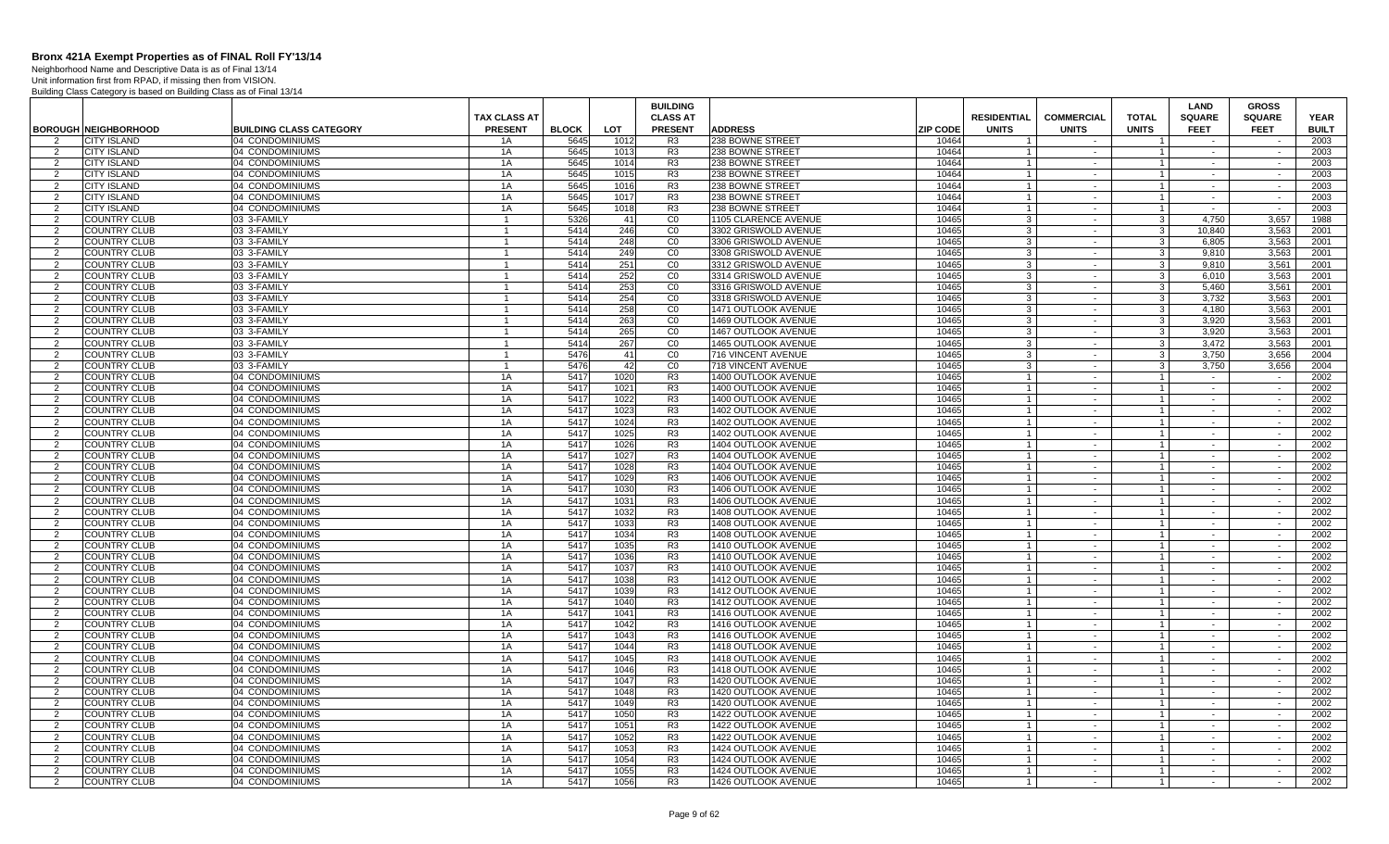Neighborhood Name and Descriptive Data is as of Final 13/14 Unit information first from RPAD, if missing then from VISION.

|                |                                                   |                                                   |                     |                      |              | <b>BUILDING</b>                  |                                            |                          |                                         |                        |                                  | <b>LAND</b>           | <b>GROSS</b>     |                      |
|----------------|---------------------------------------------------|---------------------------------------------------|---------------------|----------------------|--------------|----------------------------------|--------------------------------------------|--------------------------|-----------------------------------------|------------------------|----------------------------------|-----------------------|------------------|----------------------|
|                |                                                   |                                                   | <b>TAX CLASS AT</b> |                      |              | <b>CLASS AT</b>                  |                                            |                          | <b>RESIDENTIAL</b>                      | <b>COMMERCIAL</b>      | <b>TOTAL</b>                     | <b>SQUARE</b>         | <b>SQUARE</b>    | <b>YEAR</b>          |
| 2              | <b>BOROUGH NEIGHBORHOOD</b><br><b>CITY ISLAND</b> | <b>BUILDING CLASS CATEGORY</b><br>04 CONDOMINIUMS | <b>PRESENT</b>      | <b>BLOCK</b><br>5645 | <b>LOT</b>   | <b>PRESENT</b>                   | <b>ADDRESS</b><br>238 BOWNE STREET         | <b>ZIP CODE</b><br>10464 | <b>UNITS</b><br>$\overline{\mathbf{1}}$ | <b>UNITS</b><br>$\sim$ | <b>UNITS</b><br>$\overline{1}$   | <b>FEET</b><br>$\sim$ | <b>FEET</b>      | <b>BUILT</b><br>2003 |
| 2              | <b>CITY ISLAND</b>                                | 04 CONDOMINIUMS                                   | 1A<br>1A            | 5645                 | 1012<br>1013 | R <sub>3</sub><br>R <sub>3</sub> | 238 BOWNE STREET                           | 10464                    | $\overline{1}$                          | $\sim$                 | $\overline{1}$                   | $\sim$                | $\sim$           | 2003                 |
| $\overline{2}$ | <b>CITY ISLAND</b>                                | 04 CONDOMINIUMS                                   | 1A                  | 5645                 | 1014         | R <sub>3</sub>                   | 238 BOWNE STREET                           | 10464                    | $\overline{1}$                          | $\sim$                 | $\overline{1}$                   | $\sim$                | $\sim$           | 2003                 |
| 2              | <b>CITY ISLAND</b>                                | 04 CONDOMINIUMS                                   | 1A                  | 5645                 | 1015         | R <sub>3</sub>                   | 238 BOWNE STREET                           | 10464                    |                                         | $\sim$                 | $\overline{1}$                   |                       |                  | 2003                 |
| 2              | <b>CITY ISLAND</b>                                | 04 CONDOMINIUMS                                   | 1A                  | 5645                 | 1016         | R <sub>3</sub>                   | 238 BOWNE STREET                           | 10464                    | $\overline{\mathbf{1}}$                 | $\sim$                 | $\overline{1}$                   | $\sim$                | $\sim$           | 2003                 |
| $\overline{2}$ | <b>CITY ISLAND</b>                                | 04 CONDOMINIUMS                                   | 1A                  | 5645                 | 1017         | R <sub>3</sub>                   | 238 BOWNE STREET                           | 10464                    |                                         | $\sim$                 | $\overline{1}$                   | $\sim$                | $\sim$           | 2003                 |
| 2              | <b>CITY ISLAND</b>                                | 04 CONDOMINIUMS                                   | 1A                  | 5645                 | 1018         | R <sub>3</sub>                   | 238 BOWNE STREET                           | 10464                    |                                         | $\sim$                 | $\overline{1}$                   | $\sim$                | $\sim$           | 2003                 |
| 2              | <b>COUNTRY CLUB</b>                               | 03 3-FAMILY                                       | $\overline{1}$      | 5326                 | 41           | CO                               | 1105 CLARENCE AVENUE                       | 10465                    | 3                                       | $\sim$                 | $\mathbf{3}$                     | 4.750                 | 3,657            | 1988                 |
| 2              | <b>COUNTRY CLUB</b>                               | 03 3-FAMILY                                       |                     | 5414                 | 246          | CO                               | 3302 GRISWOLD AVENUE                       | 10465                    | 3                                       | $\sim$                 | 3                                | 10.840                | 3,563            | 2001                 |
| 2              | <b>COUNTRY CLUB</b>                               | 03 3-FAMILY                                       | $\mathbf{1}$        | 5414                 | 248          | CO                               | 3306 GRISWOLD AVENUE                       | 10465                    | 3                                       | $\sim$                 | 3                                | 6.805                 | 3,563            | 2001                 |
| 2              | <b>COUNTRY CLUB</b>                               | 03 3-FAMILY                                       |                     | 5414                 | 249          | CO                               | 3308 GRISWOLD AVENUE                       | 10465                    | 3                                       | $\sim$                 | 3                                | 9.810                 | 3.563            | 2001                 |
| $\overline{2}$ | <b>COUNTRY CLUB</b>                               | 03 3-FAMILY                                       | $\mathbf 1$         | 5414                 | 251          | CO                               | 3312 GRISWOLD AVENUE                       | 10465                    | 3                                       | $\sim$                 | 3                                | 9,810                 | 3,561            | 2001                 |
| 2              | <b>COUNTRY CLUB</b>                               | 03 3-FAMILY                                       |                     | 5414                 | 252          | CO                               | 3314 GRISWOLD AVENUE                       | 10465                    | 3                                       | $\sim$                 | 3                                | 6,010                 | 3,563            | 2001                 |
| 2              | <b>COUNTRY CLUB</b>                               | 03 3-FAMILY                                       |                     | 5414                 | 253          | CO                               | 3316 GRISWOLD AVENUE                       | 10465                    | 3                                       | $\sim$                 | $\mathbf{3}$                     | 5,460                 | 3.561            | 2001                 |
| 2              | <b>COUNTRY CLUB</b>                               | 03 3-FAMILY                                       |                     | 5414                 | 254          | CO                               | 3318 GRISWOLD AVENUE                       | 10465                    | 3                                       | $\sim$                 | 3                                | 3,732                 | 3,563            | 2001                 |
| 2              | <b>COUNTRY CLUB</b>                               | 03 3-FAMILY                                       |                     | 5414                 | 258          | CO                               | 1471 OUTLOOK AVENUE                        | 10465                    | 3                                       | $\sim$                 | $\mathbf{3}$                     | 4,180                 | 3,563            | 2001                 |
| 2              | <b>COUNTRY CLUB</b>                               | 03 3-FAMILY                                       | $\overline{1}$      | 5414                 | 263          | CO                               | 1469 OUTLOOK AVENUE                        | 10465                    | 3                                       | $\sim$                 | $\mathbf{3}$                     | 3,920                 | 3,563            | 2001                 |
| 2              | <b>COUNTRY CLUB</b>                               | 03 3-FAMILY                                       |                     | 5414                 | 265          | CO                               | <b>1467 OUTLOOK AVENUE</b>                 | 10465                    | 3                                       | $\sim$                 | 3                                | 3.920                 | 3.563            | 2001                 |
| 2              | <b>COUNTRY CLUB</b>                               | 03 3-FAMILY                                       | 1                   | 5414                 | 267          | CO                               | <b>1465 OUTLOOK AVENUE</b>                 | 10465                    | 3                                       | $\sim$                 | $\mathbf{3}$                     | 3.472                 | 3.563            | 2001                 |
| 2              | <b>COUNTRY CLUB</b>                               | 03 3-FAMILY                                       |                     | 5476                 | 41           | CO                               | 716 VINCENT AVENUE                         | 10465                    | $\mathbf{3}$                            | $\sim$                 | $\mathbf{3}$                     | 3.750                 | 3.656            | 2004                 |
| $\overline{2}$ | <b>COUNTRY CLUB</b>                               | 03 3-FAMILY                                       | $\mathbf 1$         | 5476                 | 42           | CO                               | 718 VINCENT AVENUE                         | 10465                    | 3                                       | $\sim$                 | 3                                | 3,750                 | 3,656            | 2004                 |
| $\overline{2}$ | <b>COUNTRY CLUB</b>                               | 04 CONDOMINIUMS                                   | 1A                  | 5417                 | 1020         | R <sub>3</sub>                   | 1400 OUTLOOK AVENUE                        | 10465                    |                                         | $\sim$                 | $\overline{1}$                   |                       |                  | 2002                 |
| 2              | <b>COUNTRY CLUB</b>                               | 04 CONDOMINIUMS                                   | 1A                  | 5417                 | 1021         | R <sub>3</sub>                   | 1400 OUTLOOK AVENUE                        | 10465                    |                                         | $\sim$                 | $\overline{1}$                   | $\sim$                | $\sim$           | 2002                 |
| $\overline{2}$ | <b>COUNTRY CLUB</b>                               | 04 CONDOMINIUMS                                   | 1A                  | 5417                 | 1022         | R <sub>3</sub>                   | 1400 OUTLOOK AVENUE                        | 10465                    |                                         | $\sim$                 | $\overline{1}$                   | $\sim$                | $\sim$           | 2002                 |
| 2              | <b>COUNTRY CLUB</b>                               | 04 CONDOMINIUMS                                   | 1A                  | 5417                 | 1023         | R <sub>3</sub>                   | 1402 OUTLOOK AVENUE                        | 10465                    |                                         | $\sim$                 | $\mathbf{1}$                     | $\sim$                | $\sim$           | 2002                 |
| 2              | <b>COUNTRY CLUB</b>                               | 04 CONDOMINIUMS                                   | 1A<br>1A            | 5417<br>5417         | 1024         | R <sub>3</sub><br>R3             | 1402 OUTLOOK AVENUE                        | 10465                    | $\overline{1}$                          | $\sim$                 | $\mathbf{1}$                     | $\sim$                | $\sim$           | 2002<br>2002         |
| 2              | <b>COUNTRY CLUB</b><br><b>COUNTRY CLUB</b>        | 04 CONDOMINIUMS<br>04 CONDOMINIUMS                | 1A                  | 5417                 | 1025<br>1026 | R <sub>3</sub>                   | 1402 OUTLOOK AVENUE<br>1404 OUTLOOK AVENUE | 10465<br>10465           | $\overline{1}$<br>$\overline{1}$        | $\sim$<br>$\sim$       | $\overline{1}$<br>$\overline{1}$ | $\sim$<br>$\sim$      | $\sim$<br>$\sim$ | 2002                 |
| 2<br>2         | <b>COUNTRY CLUB</b>                               | 04 CONDOMINIUMS                                   | 1A                  | 5417                 | 1027         | R <sub>3</sub>                   | 1404 OUTLOOK AVENUE                        | 10465                    |                                         |                        | $\mathbf{1}$                     | $\sim$                | $\sim$           | 2002                 |
| $\overline{2}$ | <b>COUNTRY CLUB</b>                               | 04 CONDOMINIUMS                                   | 1A                  | 5417                 | 1028         | R <sub>3</sub>                   | 1404 OUTLOOK AVENUE                        | 10465                    | $\overline{1}$                          | $\sim$<br>$\sim$       | $\overline{1}$                   | $\sim$                | $\sim$           | 2002                 |
| $\overline{2}$ | <b>COUNTRY CLUB</b>                               | 04 CONDOMINIUMS                                   | 1A                  | 5417                 | 1029         | R <sub>3</sub>                   | 1406 OUTLOOK AVENUE                        | 10465                    | $\overline{1}$                          | $\sim$                 | $\overline{1}$                   |                       |                  | 2002                 |
| 2              | <b>COUNTRY CLUB</b>                               | 04 CONDOMINIUMS                                   | 1A                  | 5417                 | 1030         | R <sub>3</sub>                   | 1406 OUTLOOK AVENUE                        | 10465                    |                                         | $\sim$                 | $\overline{1}$                   | $\sim$                | $\sim$           | 2002                 |
| 2              | <b>COUNTRY CLUB</b>                               | 04 CONDOMINIUMS                                   | 1A                  | 5417                 | 1031         | R <sub>3</sub>                   | 1406 OUTLOOK AVENUE                        | 10465                    |                                         | $\sim$                 | $\overline{1}$                   | $\sim$                | $\sim$           | 2002                 |
| 2              | <b>COUNTRY CLUB</b>                               | 04 CONDOMINIUMS                                   | 1A                  | 5417                 | 1032         | R <sub>3</sub>                   | 1408 OUTLOOK AVENUE                        | 10465                    |                                         | $\sim$                 | $\overline{1}$                   | $\sim$                | $\sim$           | 2002                 |
| 2              | <b>COUNTRY CLUB</b>                               | 04 CONDOMINIUMS                                   | 1A                  | 5417                 | 1033         | R <sub>3</sub>                   | 1408 OUTLOOK AVENUE                        | 10465                    | $\overline{1}$                          | $\sim$                 | $\overline{1}$                   | $\sim$                | $\sim$           | 2002                 |
| 2              | <b>COUNTRY CLUB</b>                               | 04 CONDOMINIUMS                                   | 1A                  | 5417                 | 1034         | R3                               | 1408 OUTLOOK AVENUE                        | 10465                    |                                         | $\sim$                 | $\overline{1}$                   | $\sim$                | $\sim$           | 2002                 |
| 2              | <b>COUNTRY CLUB</b>                               | 04 CONDOMINIUMS                                   | 1A                  | 5417                 | 1035         | R <sub>3</sub>                   | 1410 OUTLOOK AVENUE                        | 10465                    | $\overline{1}$                          | $\sim$                 | $\overline{1}$                   | $\sim$                | $\sim$           | 2002                 |
| 2              | <b>COUNTRY CLUB</b>                               | 04 CONDOMINIUMS                                   | 1A                  | 5417                 | 1036         | R <sub>3</sub>                   | 1410 OUTLOOK AVENUE                        | 10465                    |                                         | $\sim$                 | $\mathbf{1}$                     |                       |                  | 2002                 |
| 2              | <b>COUNTRY CLUB</b>                               | 04 CONDOMINIUMS                                   | 1A                  | 5417                 | 1037         | R <sub>3</sub>                   | 1410 OUTLOOK AVENUE                        | 10465                    | $\overline{1}$                          | $\sim$                 | $\overline{1}$                   | $\sim$                | $\sim$           | 2002                 |
| 2              | <b>COUNTRY CLUB</b>                               | 04 CONDOMINIUMS                                   | 1A                  | 541                  | 1038         | R <sub>3</sub>                   | <b>1412 OUTLOOK AVENUE</b>                 | 10465                    |                                         | $\sim$                 | $\overline{1}$                   | $\sim$                |                  | 2002                 |
| 2              | <b>COUNTRY CLUB</b>                               | 04 CONDOMINIUMS                                   | 1A                  | 5417                 | 1039         | R <sub>3</sub>                   | 1412 OUTLOOK AVENUE                        | 10465                    |                                         | $\sim$                 | $\overline{1}$                   | $\sim$                | $\sim$           | 2002                 |
| 2              | <b>COUNTRY CLUB</b>                               | 04 CONDOMINIUMS                                   | 1A                  | 5417                 | 1040         | R <sub>3</sub>                   | 1412 OUTLOOK AVENUE                        | 10465                    | $\overline{1}$                          | $\sim$                 | $\overline{1}$                   | $\sim$                | $\sim$           | 2002                 |
| 2              | <b>COUNTRY CLUB</b>                               | 04 CONDOMINIUMS                                   | 1A                  | 5417                 | 1041         | R <sub>3</sub>                   | 1416 OUTLOOK AVENUE                        | 10465                    |                                         | $\sim$                 | $\mathbf{1}$                     | $\sim$                | $\sim$           | 2002                 |
| 2              | <b>COUNTRY CLUB</b>                               | 04 CONDOMINIUMS                                   | 1A                  | 5417                 | 1042         | R <sub>3</sub>                   | 1416 OUTLOOK AVENUE                        | 10465                    | $\overline{1}$                          | $\sim$                 | $\mathbf{1}$                     | $\sim$                | $\sim$           | 2002                 |
| 2              | <b>COUNTRY CLUB</b>                               | 04 CONDOMINIUMS                                   | 1A                  | 5417                 | 1043         | R3                               | <b>1416 OUTLOOK AVENUE</b>                 | 10465                    | $\overline{1}$                          | $\sim$                 | $\overline{1}$                   | $\sim$                | $\sim$           | 2002                 |
| 2              | <b>COUNTRY CLUB</b>                               | 04 CONDOMINIUMS                                   | 1A                  | 5417                 | 1044         | R <sub>3</sub>                   | 1418 OUTLOOK AVENUE                        | 10465                    | $\overline{1}$                          | $\sim$                 | $\overline{1}$                   | $\sim$                | $\sim$           | 2002                 |
| 2              | <b>COUNTRY CLUB</b>                               | 04 CONDOMINIUMS                                   | 1A                  | 5417                 | 1045         | R <sub>3</sub>                   | 1418 OUTLOOK AVENUE                        | 10465                    |                                         | $\sim$                 | $\mathbf{1}$                     |                       |                  | 2002                 |
| $\overline{2}$ | <b>COUNTRY CLUB</b>                               | 04 CONDOMINIUMS                                   | 1A                  | 5417                 | 1046         | R <sub>3</sub>                   | 1418 OUTLOOK AVENUE                        | 10465                    | $\overline{1}$                          | $\sim$                 | $\overline{1}$                   | $\sim$                | $\sim$           | 2002                 |
| 2              | <b>COUNTRY CLUB</b>                               | 04 CONDOMINIUMS                                   | 1A                  | 5417                 | 1047         | R <sub>3</sub>                   | 1420 OUTLOOK AVENUE                        | 10465                    |                                         | $\sim$                 | $\overline{1}$<br>$\overline{1}$ | $\sim$                | $\sim$           | 2002                 |
| 2<br>2         | <b>COUNTRY CLUB</b>                               | 04 CONDOMINIUMS                                   | 1A                  | 5417                 | 1048         | R <sub>3</sub>                   | 1420 OUTLOOK AVENUE                        | 10465                    |                                         | $\sim$<br>$\sim$       | $\overline{1}$                   | $\sim$<br>$\sim$      | $\sim$<br>$\sim$ | 2002                 |
| $\overline{2}$ | <b>COUNTRY CLUB</b><br><b>COUNTRY CLUB</b>        | 04 CONDOMINIUMS<br>04 CONDOMINIUMS                | 1A<br>1A            | 5417<br>5417         | 1049<br>1050 | R <sub>3</sub><br>R <sub>3</sub> | 1420 OUTLOOK AVENUE<br>1422 OUTLOOK AVENUE | 10465<br>10465           |                                         | $\sim$                 | $\mathbf{1}$                     |                       | $\sim$           | 2002<br>2002         |
| 2              | <b>COUNTRY CLUB</b>                               | 04 CONDOMINIUMS                                   | 1A                  | 5417                 | 1051         | R <sub>3</sub>                   | 1422 OUTLOOK AVENUE                        | 10465                    | $\overline{1}$                          | $\sim$                 | $\overline{1}$                   | $\sim$<br>$\sim$      | $\sim$           | 2002                 |
| 2              | <b>COUNTRY CLUB</b>                               | 04 CONDOMINIUMS                                   | 1A                  | 5417                 | 1052         | R <sub>3</sub>                   | 1422 OUTLOOK AVENUE                        | 10465                    | $\overline{1}$                          | $\sim$                 | $\overline{1}$                   | $\sim$                | $\sim$           | 2002                 |
| $\overline{2}$ | <b>COUNTRY CLUB</b>                               | 04 CONDOMINIUMS                                   | 1A                  | 5417                 | 1053         | R <sub>3</sub>                   | 1424 OUTLOOK AVENUE                        | 10465                    | $\overline{1}$                          | $\sim$                 | $\overline{1}$                   | $\sim$                | $\sim$           | 2002                 |
| $\overline{2}$ | <b>COUNTRY CLUB</b>                               | 04 CONDOMINIUMS                                   | 1A                  | 5417                 | 1054         | R <sub>3</sub>                   | 1424 OUTLOOK AVENUE                        | 10465                    |                                         | $\sim$                 | $\mathbf{1}$                     |                       |                  | 2002                 |
| 2              | <b>COUNTRY CLUB</b>                               | 04 CONDOMINIUMS                                   | 1A                  | 5417                 | 1055         | R <sub>3</sub>                   | 424 OUTLOOK AVENUE                         | 10465                    |                                         | $\sim$                 | $\overline{1}$                   | $\sim$                | $\sim$           | 2002                 |
| $\overline{2}$ | <b>COUNTRY CLUB</b>                               | 04 CONDOMINIUMS                                   | 1A                  | 5417                 | 1056         | R <sub>3</sub>                   | 1426 OUTLOOK AVENUE                        | 10465                    |                                         | $\sim$                 | $\mathbf{1}$                     |                       |                  | 2002                 |
|                |                                                   |                                                   |                     |                      |              |                                  |                                            |                          |                                         |                        |                                  |                       |                  |                      |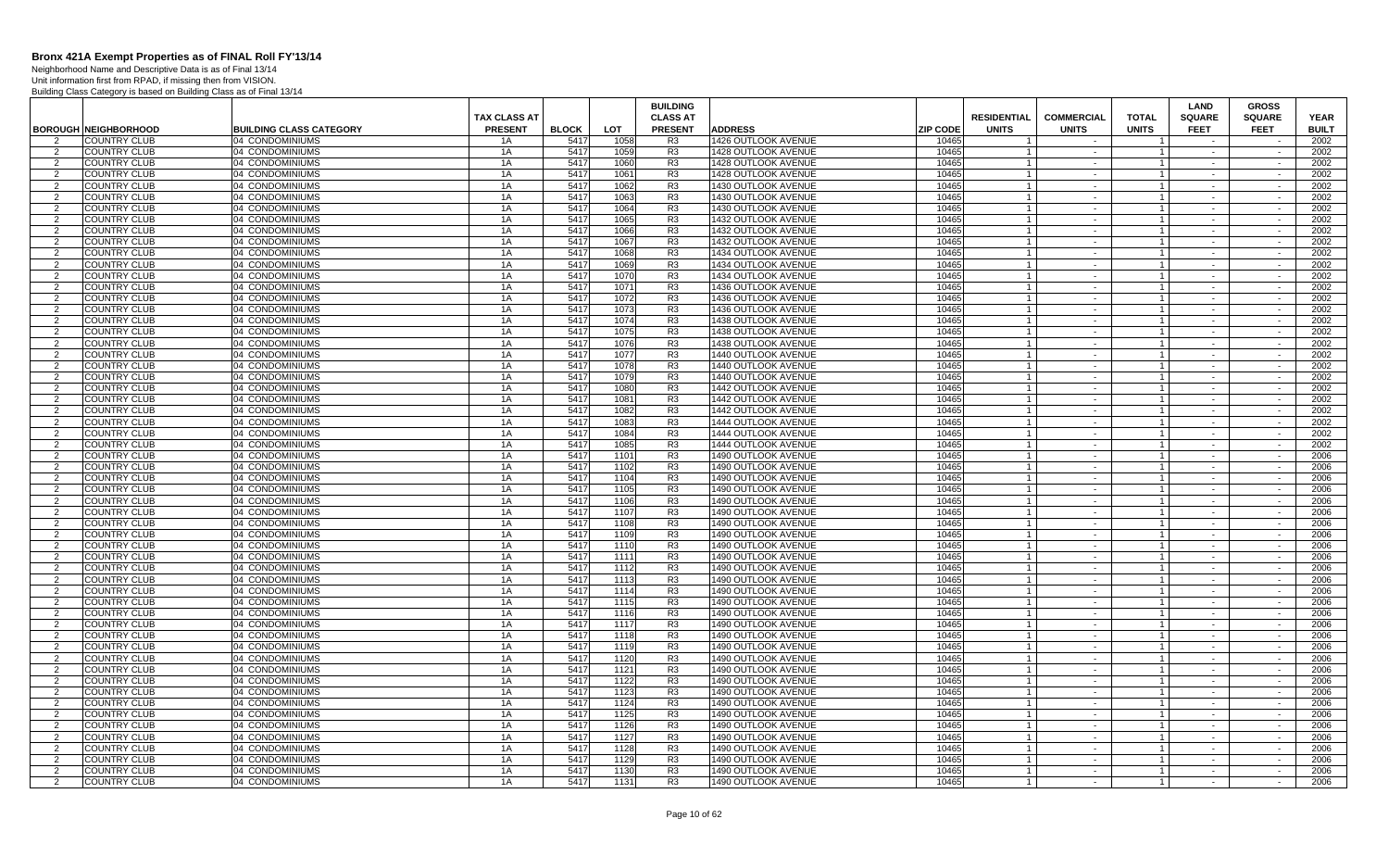Neighborhood Name and Descriptive Data is as of Final 13/14 Unit information first from RPAD, if missing then from VISION.

|                                 |                                            |                                    |                     |              |              | <b>BUILDING</b>                  |                                            |                 |                    |                      |                                  | LAND             | <b>GROSS</b>     |              |
|---------------------------------|--------------------------------------------|------------------------------------|---------------------|--------------|--------------|----------------------------------|--------------------------------------------|-----------------|--------------------|----------------------|----------------------------------|------------------|------------------|--------------|
|                                 |                                            |                                    | <b>TAX CLASS AT</b> |              |              | <b>CLASS AT</b>                  |                                            |                 | <b>RESIDENTIAL</b> | <b>COMMERCIAL</b>    | <b>TOTAL</b>                     | <b>SQUARE</b>    | <b>SQUARE</b>    | <b>YEAR</b>  |
|                                 | <b>BOROUGH NEIGHBORHOOD</b>                | <b>BUILDING CLASS CATEGORY</b>     | <b>PRESENT</b>      | <b>BLOCK</b> | <b>LOT</b>   | <b>PRESENT</b>                   | <b>ADDRESS</b>                             | <b>ZIP CODE</b> | <b>UNITS</b>       | <b>UNITS</b>         | <b>UNITS</b>                     | <b>FEET</b>      | <b>FEET</b>      | <b>BUILT</b> |
|                                 | COUNTRY CLUB                               | 04 CONDOMINIUMS                    | 1Α                  | 5417         | 1058         | R <sub>3</sub>                   | 1426 OUTLOOK AVENUE                        | 10465           |                    | $\sim$               |                                  |                  |                  | 2002         |
| 2                               | <b>COUNTRY CLUB</b>                        | 04 CONDOMINIUMS                    | 1A                  | 5417         | 1059         | R <sub>3</sub>                   | 1428 OUTLOOK AVENUE                        | 10465           |                    | $\sim$               | $\overline{1}$                   | $\sim$           | $\sim$           | 2002         |
| $\overline{2}$                  | <b>COUNTRY CLUB</b>                        | 04 CONDOMINIUMS                    | 1A                  | 5417         | 1060         | R <sub>3</sub>                   | 1428 OUTLOOK AVENUE                        | 10465           |                    | $\sim$               | $\overline{1}$                   |                  |                  | 2002         |
| $\overline{2}$                  | <b>COUNTRY CLUB</b>                        | 04 CONDOMINIUMS                    | 1A                  | 5417         | 1061         | R <sub>3</sub>                   | 1428 OUTLOOK AVENUE                        | 10465           |                    | $\sim$               | $\mathbf{1}$                     | $\sim$           | $\sim$           | 2002         |
| $\mathcal{P}$                   | <b>COUNTRY CLUB</b>                        | 04 CONDOMINIUMS                    | 1A                  | 5417         | 1062         | R <sub>3</sub>                   | 1430 OUTLOOK AVENUE                        | 10465           |                    | $\sim$               | $\overline{1}$                   | $\sim$           | $\sim$           | 2002         |
| $\mathcal{P}$                   | COUNTRY CLUB                               | 04 CONDOMINIUMS                    | 1A                  | 5417         | 1063         | R <sub>3</sub>                   | 1430 OUTLOOK AVENUE                        | 10465           |                    | $\sim$               |                                  | $\sim$           | $\sim$           | 2002         |
| 2                               | <b>COUNTRY CLUB</b>                        | 04 CONDOMINIUMS                    | 1A                  | 5417         | 1064         | R <sub>3</sub>                   | 1430 OUTLOOK AVENUE                        | 10465           | $\overline{1}$     | $\sim$               | $\overline{1}$                   | $\sim$           | $\sim$           | 2002         |
| 2                               | <b>COUNTRY CLUB</b>                        | 04 CONDOMINIUMS                    | 1A                  | 5417         | 1065         | R <sub>3</sub>                   | 1432 OUTLOOK AVENUE                        | 10465           | $\overline{1}$     | $\sim$               | $\overline{1}$                   | $\sim$           | $\sim$           | 2002         |
| 2                               | <b>COUNTRY CLUB</b>                        | 04 CONDOMINIUMS                    | 1A                  | 5417         | 1066         | R <sub>3</sub>                   | 1432 OUTLOOK AVENUE                        | 10465           | $\overline{1}$     | $\sim$               | $\overline{1}$                   | $\sim$           | $\sim$           | 2002         |
| $\mathcal{P}$                   | <b>COUNTRY CLUB</b>                        | 04 CONDOMINIUMS                    | 1A                  | 5417         | 1067         | R <sub>3</sub>                   | 1432 OUTLOOK AVENUE                        | 10465           |                    | $\sim$               | $\mathbf{1}$                     | $\sim$           | $\sim$           | 2002         |
| 2<br>$\overline{2}$             | <b>COUNTRY CLUB</b>                        | 04 CONDOMINIUMS                    | 1A                  | 5417         | 1068         | R3<br>R <sub>3</sub>             | 1434 OUTLOOK AVENUE                        | 10465           |                    | $\sim$ $-$<br>$\sim$ | $\overline{1}$<br>$\overline{1}$ | $\sim$<br>$\sim$ | $\sim$<br>$\sim$ | 2002         |
|                                 | <b>COUNTRY CLUB</b>                        | 04 CONDOMINIUMS                    | 1A                  | 5417         | 1069         |                                  | 1434 OUTLOOK AVENUE                        | 10465           |                    |                      |                                  |                  |                  | 2002         |
| $\overline{2}$<br>$\mathcal{P}$ | <b>COUNTRY CLUB</b><br><b>COUNTRY CLUB</b> | 04 CONDOMINIUMS<br>04 CONDOMINIUMS | 1A<br>1A            | 5417<br>5417 | 1070         | R <sub>3</sub><br>R <sub>3</sub> | 1434 OUTLOOK AVENUE                        | 10465<br>10465  |                    | $\sim$<br>$\sim$     | $\mathbf{1}$<br>$\mathbf{1}$     | $\sim$<br>$\sim$ | $\sim$<br>$\sim$ | 2002<br>2002 |
| $\mathcal{P}$                   | <b>COUNTRY CLUB</b>                        | 04 CONDOMINIUMS                    | 1A                  | 5417         | 1071<br>1072 | R <sub>3</sub>                   | 1436 OUTLOOK AVENUE<br>1436 OUTLOOK AVENUE | 10465           |                    | $\sim$               | $\overline{1}$                   | $\sim$           | $\sim$           | 2002         |
| 2                               | <b>COUNTRY CLUB</b>                        | 04 CONDOMINIUMS                    | 1A                  | 5417         | 1073         | R <sub>3</sub>                   | 1436 OUTLOOK AVENUE                        | 10465           | $\overline{1}$     | $\sim$               | $\overline{1}$                   | $\sim$           | $\sim$           | 2002         |
| $\overline{2}$                  | <b>COUNTRY CLUB</b>                        | 04 CONDOMINIUMS                    | 1A                  | 5417         | 1074         | R <sub>3</sub>                   | 1438 OUTLOOK AVENUE                        | 10465           | $\overline{1}$     | $\sim$               | $\overline{1}$                   | $\sim$           | $\sim$           | 2002         |
| 2                               | <b>COUNTRY CLUB</b>                        | 04 CONDOMINIUMS                    | 1A                  | 5417         | 1075         | R <sub>3</sub>                   | 1438 OUTLOOK AVENUE                        | 10465           | $\overline{1}$     | $\sim$               | $\overline{1}$                   | $\sim$           | $\sim$           | 2002         |
| $\overline{2}$                  | <b>COUNTRY CLUB</b>                        | 04 CONDOMINIUMS                    | 1A                  | 5417         | 1076         | R3                               | 1438 OUTLOOK AVENUE                        | 10465           |                    | $\sim$               | $\mathbf{1}$                     | $\sim$           | $\sim$           | 2002         |
| -2                              | <b>COUNTRY CLUB</b>                        | 04 CONDOMINIUMS                    | 1A                  | 5417         | 1077         | R <sub>3</sub>                   | 1440 OUTLOOK AVENUE                        | 10465           | $\overline{1}$     | $\sim$               | $\overline{1}$                   | $\sim$           | $\sim$           | 2002         |
| $\mathcal{P}$                   | <b>COUNTRY CLUB</b>                        | 04 CONDOMINIUMS                    | 1A                  | 5417         | 1078         | R <sub>3</sub>                   | 1440 OUTLOOK AVENUE                        | 10465           |                    | $\sim$               | $\overline{1}$                   |                  | $\sim$           | 2002         |
| $\overline{2}$                  | <b>COUNTRY CLUB</b>                        | 04 CONDOMINIUMS                    | 1A                  | 5417         | 1079         | R <sub>3</sub>                   | 1440 OUTLOOK AVENUE                        | 10465           |                    | $\sim$               | $\overline{1}$                   | $\sim$           | $\sim$           | 2002         |
| $\mathcal{P}$                   | <b>COUNTRY CLUB</b>                        | 04 CONDOMINIUMS                    | 1A                  | 5417         | 1080         | R <sub>3</sub>                   | 1442 OUTLOOK AVENUE                        | 10465           | $\overline{1}$     | $\sim$               | $\overline{1}$                   | $\sim$           | $\sim$           | 2002         |
| $\mathcal{P}$                   | <b>COUNTRY CLUB</b>                        | 04 CONDOMINIUMS                    | 1A                  | 5417         | 1081         | R <sub>3</sub>                   | 1442 OUTLOOK AVENUE                        | 10465           |                    | $\sim$               | $\overline{1}$                   | $\sim$           | $\sim$           | 2002         |
| 2                               | <b>COUNTRY CLUB</b>                        | 04 CONDOMINIUMS                    | 1A                  | 5417         | 1082         | R <sub>3</sub>                   | 1442 OUTLOOK AVENUE                        | 10465           | $\overline{1}$     | $\sim$ $-$           | $\overline{1}$                   | $\sim$           | $\sim$           | 2002         |
| $\overline{2}$                  | <b>COUNTRY CLUB</b>                        | 04 CONDOMINIUMS                    | 1A                  | 5417         | 1083         | R <sub>3</sub>                   | 1444 OUTLOOK AVENUE                        | 10465           |                    | $\sim$               | $\overline{1}$                   | $\sim$           | $\sim$           | 2002         |
| $\overline{2}$                  | <b>COUNTRY CLUB</b>                        | 04 CONDOMINIUMS                    | 1A                  | 5417         | 1084         | R3                               | 1444 OUTLOOK AVENUE                        | 10465           |                    | $\sim$               | $\mathbf{1}$                     | $\sim$           | $\sim$           | 2002         |
| $\mathcal{P}$                   | COUNTRY CLUB                               | 04 CONDOMINIUMS                    | 1A                  | 5417         | 1085         | R <sub>3</sub>                   | 1444 OUTLOOK AVENUE                        | 10465           |                    | $\sim$               | $\mathbf{1}$                     | $\sim$           | $\sim$           | 2002         |
| -2                              | <b>COUNTRY CLUB</b>                        | 04 CONDOMINIUMS                    | 1A                  | 5417         | 1101         | R <sub>3</sub>                   | 1490 OUTLOOK AVENUE                        | 10465           | $\overline{1}$     | $\sim$               | $\overline{1}$                   | $\sim$           | $\sim$           | 2006         |
| $\mathcal{P}$                   | <b>COUNTRY CLUB</b>                        | 04 CONDOMINIUMS                    | 1A                  | 5417         | 1102         | R <sub>3</sub>                   | 1490 OUTLOOK AVENUE                        | 10465           |                    | $\sim$               | $\overline{1}$                   | $\sim$           | $\sim$           | 2006         |
| $\overline{2}$                  | <b>COUNTRY CLUB</b>                        | 04 CONDOMINIUMS                    | 1A                  | 5417         | 1104         | R <sub>3</sub>                   | <b>1490 OUTLOOK AVENUE</b>                 | 10465           |                    | $\sim$               | $\overline{1}$                   | $\sim$           | $\sim$           | 2006         |
| 2                               | <b>COUNTRY CLUB</b>                        | 04 CONDOMINIUMS                    | 1A                  | 5417         | 1105         | R <sub>3</sub>                   | 1490 OUTLOOK AVENUE                        | 10465           | $\overline{1}$     | $\sim$               | $\overline{1}$                   | $\sim$           | $\sim$           | 2006         |
| 2                               | <b>COUNTRY CLUB</b>                        | 04 CONDOMINIUMS                    | 1A                  | 5417         | 1106         | R <sub>3</sub>                   | 1490 OUTLOOK AVENUE                        | 10465           |                    | $\sim$               | $\overline{1}$                   | $\sim$           | $\sim$           | 2006         |
| 2                               | <b>COUNTRY CLUB</b>                        | 04 CONDOMINIUMS                    | 1A                  | 5417         | 1107         | R <sub>3</sub>                   | 1490 OUTLOOK AVENUE                        | 10465           | $\overline{1}$     | $\sim$ $-$           | $\overline{1}$                   | $\sim$           | $\sim$           | 2006         |
| $\overline{2}$                  | <b>COUNTRY CLUB</b>                        | 04 CONDOMINIUMS                    | 1A                  | 5417         | 1108         | R <sub>3</sub>                   | 1490 OUTLOOK AVENUE                        | 10465           |                    | $\sim$               | $\overline{1}$                   | $\sim$           | $\sim$           | 2006         |
| 2<br>$\mathcal{P}$              | <b>COUNTRY CLUB</b>                        | 04 CONDOMINIUMS                    | 1A                  | 5417         | 1109         | R3                               | <b>1490 OUTLOOK AVENUE</b>                 | 10465           |                    | $\sim$<br>$\sim$     | $\mathbf{1}$                     | $\sim$<br>$\sim$ | $\sim$           | 2006         |
|                                 | <b>COUNTRY CLUB</b><br><b>COUNTRY CLUB</b> | 04 CONDOMINIUMS<br>04 CONDOMINIUMS | 1A<br>1A            | 5417<br>5417 | 1110         | R <sub>3</sub><br>R <sub>3</sub> | 1490 OUTLOOK AVENUE<br>1490 OUTLOOK AVENUE | 10465<br>10465  |                    |                      | $\mathbf{1}$<br>$\overline{1}$   |                  | $\sim$           | 2006<br>2006 |
| -2<br>$\mathcal{P}$             | <b>COUNTRY CLUB</b>                        | 04 CONDOMINIUMS                    | 1A                  | 5417         | 1111<br>1112 | R <sub>3</sub>                   | 1490 OUTLOOK AVENUE                        | 10465           |                    | $\sim$<br>$\sim$     | $\overline{1}$                   | $\sim$<br>$\sim$ | $\sim$<br>$\sim$ | 2006         |
| 2                               | <b>COUNTRY CLUB</b>                        | 04 CONDOMINIUMS                    | 1A                  | 5417         | 1113         | R <sub>3</sub>                   | <b>1490 OUTLOOK AVENUE</b>                 | 10465           |                    | $\sim$               |                                  | $\sim$           |                  | 2006         |
| 2                               | <b>COUNTRY CLUB</b>                        | 04 CONDOMINIUMS                    | 1A                  | 5417         | 1114         | R <sub>3</sub>                   | 1490 OUTLOOK AVENUE                        | 10465           | $\overline{1}$     | $\sim$               | $\overline{1}$                   | $\sim$           | $\sim$           | 2006         |
| $\overline{2}$                  | <b>COUNTRY CLUB</b>                        | 04 CONDOMINIUMS                    | 1A                  | 5417         | 1115         | R <sub>3</sub>                   | 1490 OUTLOOK AVENUE                        | 10465           | $\overline{1}$     | $\sim$               | $\overline{1}$                   | $\sim$           | $\sim$           | 2006         |
| 2                               | <b>COUNTRY CLUB</b>                        | 04 CONDOMINIUMS                    | 1A                  | 5417         | 1116         | R3                               | 1490 OUTLOOK AVENUE                        | 10465           | $\overline{1}$     | $\sim$ $-$           | $\overline{1}$                   | $\sim$           | $\sim$           | 2006         |
| $\overline{2}$                  | <b>COUNTRY CLUB</b>                        | 04 CONDOMINIUMS                    | 1A                  | 5417         | 1117         | R <sub>3</sub>                   | 1490 OUTLOOK AVENUE                        | 10465           | $\overline{1}$     | $\sim$               | $\overline{1}$                   |                  | $\sim$           | 2006         |
| 2                               | <b>COUNTRY CLUB</b>                        | 04 CONDOMINIUMS                    | 1A                  | 5417         | 1118         | R <sub>3</sub>                   | <b>1490 OUTLOOK AVENUE</b>                 | 10465           |                    | $\sim$               | $\overline{1}$                   | $\sim$           | $\sim$           | 2006         |
| $\overline{2}$                  | <b>COUNTRY CLUB</b>                        | 04 CONDOMINIUMS                    | 1A                  | 5417         | 1119         | R <sub>3</sub>                   | 1490 OUTLOOK AVENUE                        | 10465           |                    | $\sim$               | $\mathbf{1}$                     | $\sim$           | $\sim$           | 2006         |
| -2                              | <b>COUNTRY CLUB</b>                        | 04 CONDOMINIUMS                    | 1A                  | 5417         | 1120         | R <sub>3</sub>                   | 1490 OUTLOOK AVENUE                        | 10465           |                    | $\sim$               | $\overline{1}$                   | $\sim$           | $\sim$           | 2006         |
| $\mathcal{P}$                   | <b>COUNTRY CLUB</b>                        | 04 CONDOMINIUMS                    | 1A                  | 5417         | 1121         | R <sub>3</sub>                   | 1490 OUTLOOK AVENUE                        | 10465           | $\overline{1}$     | $\sim$ $-$           | $\overline{1}$                   | $\sim$           | $\sim$           | 2006         |
| $\mathcal{P}$                   | <b>COUNTRY CLUB</b>                        | 04 CONDOMINIUMS                    | 1A                  | 5417         | 1122         | R <sub>3</sub>                   | <b>1490 OUTLOOK AVENUE</b>                 | 10465           |                    | $\sim$               | $\overline{1}$                   | $\sim$           | $\sim$           | 2006         |
| 2                               | <b>COUNTRY CLUB</b>                        | 04 CONDOMINIUMS                    | 1A                  | 5417         | 1123         | R <sub>3</sub>                   | 1490 OUTLOOK AVENUE                        | 10465           | $\overline{1}$     | $\sim$               | $\overline{1}$                   | $\sim$           | $\sim$           | 2006         |
| $\overline{2}$                  | <b>COUNTRY CLUB</b>                        | 04 CONDOMINIUMS                    | 1A                  | 5417         | 1124         | R <sub>3</sub>                   | 1490 OUTLOOK AVENUE                        | 10465           | $\overline{1}$     | $\sim$               | $\overline{1}$                   | $\sim$           | $\sim$           | 2006         |
| 2                               | <b>COUNTRY CLUB</b>                        | 04 CONDOMINIUMS                    | 1A                  | 5417         | 1125         | R <sub>3</sub>                   | <b>1490 OUTLOOK AVENUE</b>                 | 10465           | $\mathbf{1}$       | $\sim$               | $\overline{1}$                   | $\sim$           | $\sim$           | 2006         |
| $\overline{2}$                  | <b>COUNTRY CLUB</b>                        | 04 CONDOMINIUMS                    | 1A                  | 5417         | 1126         | R <sub>3</sub>                   | 1490 OUTLOOK AVENUE                        | 10465           |                    | $\sim$               | $\overline{1}$                   | $\sim$           | $\sim$           | 2006         |
| 2                               | <b>COUNTRY CLUB</b>                        | 04 CONDOMINIUMS                    | 1A                  | 5417         | 1127         | R <sub>3</sub>                   | 1490 OUTLOOK AVENUE                        | 10465           |                    | $\sim$               | $\overline{1}$                   | $\sim$           | $\sim$           | 2006         |
| $\overline{2}$                  | <b>COUNTRY CLUB</b>                        | 04 CONDOMINIUMS                    | 1A                  | 5417         | 1128         | R <sub>3</sub>                   | 1490 OUTLOOK AVENUE                        | 10465           |                    | $\sim$               | $\mathbf{1}$                     | $\sim$           | $\sim$           | 2006         |
| 2                               | <b>COUNTRY CLUB</b>                        | 04 CONDOMINIUMS                    | 1A                  | 5417         | 1129         | R <sub>3</sub>                   | 1490 OUTLOOK AVENUE                        | 10465           |                    | $\sim$               | $\mathbf{1}$                     | $\sim$           |                  | 2006         |
| $\mathcal{P}$                   | <b>COUNTRY CLUB</b>                        | 04 CONDOMINIUMS                    | 1A                  | 5417         | 1130         | R3                               | 1490 OUTLOOK AVENUE                        | 10465           | $\overline{1}$     | $\sim$               | $\overline{1}$                   | $\sim$           | $\sim$           | 2006         |
| 2                               | <b>COUNTRY CLUB</b>                        | 04 CONDOMINIUMS                    | 1A                  | 5417         | 1131         | R <sub>3</sub>                   | 1490 OUTLOOK AVENUE                        | 10465           | $\overline{1}$     | $\sim$               | $\overline{1}$                   | $\sim$           | $\sim$           | 2006         |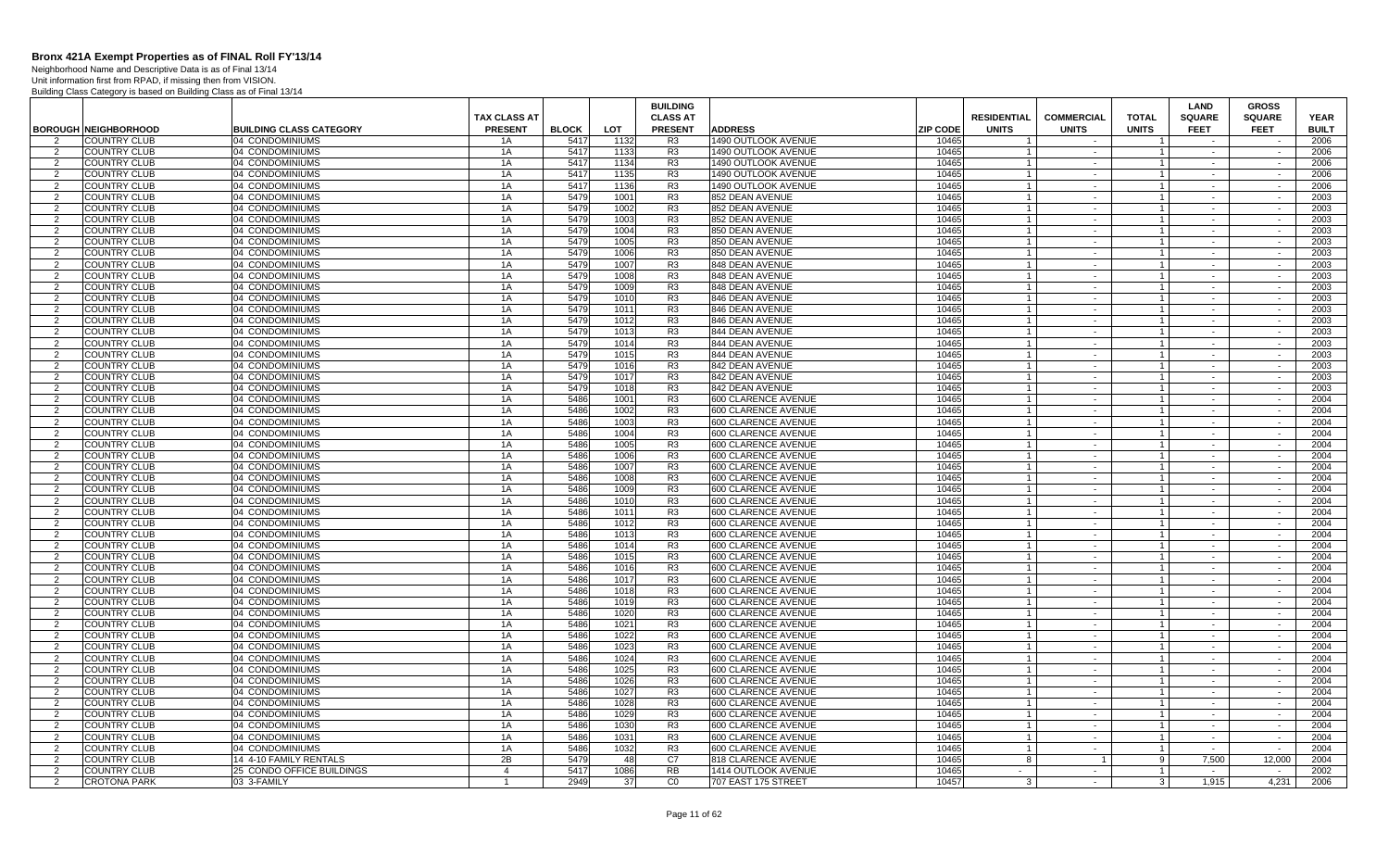Neighborhood Name and Descriptive Data is as of Final 13/14 Unit information first from RPAD, if missing then from VISION.

|                |                                                    |                                                   |                     |                      |              | <b>BUILDING</b>                  |                                                   |                          |                                |                        |                                | <b>LAND</b>           | <b>GROSS</b>     |                      |
|----------------|----------------------------------------------------|---------------------------------------------------|---------------------|----------------------|--------------|----------------------------------|---------------------------------------------------|--------------------------|--------------------------------|------------------------|--------------------------------|-----------------------|------------------|----------------------|
|                |                                                    |                                                   | <b>TAX CLASS AT</b> |                      |              | <b>CLASS AT</b>                  |                                                   |                          | <b>RESIDENTIAL</b>             | <b>COMMERCIAL</b>      | <b>TOTAL</b>                   | <b>SQUARE</b>         | <b>SQUARE</b>    | <b>YEAR</b>          |
| 2              | <b>BOROUGH NEIGHBORHOOD</b><br><b>COUNTRY CLUB</b> | <b>BUILDING CLASS CATEGORY</b><br>04 CONDOMINIUMS | <b>PRESENT</b>      | <b>BLOCK</b><br>5417 | <b>LOT</b>   | <b>PRESENT</b>                   | <b>ADDRESS</b><br><b>1490 OUTLOOK AVENUE</b>      | <b>ZIP CODE</b><br>10465 | <b>UNITS</b><br>$\overline{1}$ | <b>UNITS</b><br>$\sim$ | <b>UNITS</b><br>$\overline{1}$ | <b>FEET</b><br>$\sim$ | <b>FEET</b>      | <b>BUILT</b><br>2006 |
| 2              | <b>COUNTRY CLUB</b>                                | 04 CONDOMINIUMS                                   | 1A<br>1A            | 5417                 | 1132<br>1133 | R <sub>3</sub><br>R <sub>3</sub> | <b>1490 OUTLOOK AVENUE</b>                        | 10465                    | $\overline{1}$                 | $\sim$                 | $\overline{1}$                 | $\sim$                | $\sim$           | 2006                 |
| $\overline{2}$ | <b>COUNTRY CLUB</b>                                | 04 CONDOMINIUMS                                   | 1A                  | 5417                 | 1134         | R <sub>3</sub>                   | 1490 OUTLOOK AVENUE                               | 10465                    | $\overline{1}$                 | $\sim$                 | $\overline{1}$                 | $\sim$                | $\sim$           | 2006                 |
| $\overline{2}$ | <b>COUNTRY CLUB</b>                                | 04 CONDOMINIUMS                                   | 1A                  | 5417                 | 1135         | R <sub>3</sub>                   | 1490 OUTLOOK AVENUE                               | 10465                    |                                | $\sim$                 | $\overline{1}$                 |                       |                  | 2006                 |
| 2              | <b>COUNTRY CLUB</b>                                | 04 CONDOMINIUMS                                   | 1A                  | 5417                 | 1136         | R <sub>3</sub>                   | 1490 OUTLOOK AVENUE                               | 10465                    | $\overline{1}$                 | $\sim$                 | $\overline{1}$                 | $\sim$                | $\sim$           | 2006                 |
| $\overline{2}$ | <b>COUNTRY CLUB</b>                                | 04 CONDOMINIUMS                                   | 1A                  | 5479                 | 1001         | R <sub>3</sub>                   | 852 DEAN AVENUE                                   | 10465                    | $\overline{1}$                 | $\sim$                 | $\overline{1}$                 | $\sim$                | $\sim$           | 2003                 |
| 2              | <b>COUNTRY CLUB</b>                                | 04 CONDOMINIUMS                                   | 1A                  | 5479                 | 1002         | R <sub>3</sub>                   | 852 DEAN AVENUE                                   | 10465                    | $\overline{1}$                 | $\sim$                 | $\overline{1}$                 | $\sim$                | $\sim$           | 2003                 |
| 2              | <b>COUNTRY CLUB</b>                                | 04 CONDOMINIUMS                                   | 1A                  | 5479                 | 1003         | R <sub>3</sub>                   | 852 DEAN AVENUE                                   | 10465                    | $\overline{1}$                 | $\sim$                 | $\overline{1}$                 | $\sim$                | $\sim$           | 2003                 |
| 2              | <b>COUNTRY CLUB</b>                                | 04 CONDOMINIUMS                                   | 1A                  | 5479                 | 1004         | R <sub>3</sub>                   | 850 DEAN AVENUE                                   | 10465                    | $\overline{1}$                 | $\sim$                 | $\overline{1}$                 | $\sim$                | $\sim$           | 2003                 |
| 2              | <b>COUNTRY CLUB</b>                                | 04 CONDOMINIUMS                                   | 1A                  | 5479                 | 1005         | R <sub>3</sub>                   | 850 DEAN AVENUE                                   | 10465                    | $\overline{1}$                 | $\sim$                 | $\overline{1}$                 | $\sim$                | $\sim$           | 2003                 |
| $\overline{2}$ | <b>COUNTRY CLUB</b>                                | 04 CONDOMINIUMS                                   | 1A                  | 5479                 | 1006         | R <sub>3</sub>                   | 850 DEAN AVENUE                                   | 10465                    | $\overline{1}$                 | $\sim$                 | $\mathbf{1}$                   | $\sim$                | $\sim$           | 2003                 |
| 2              | <b>COUNTRY CLUB</b>                                | 04 CONDOMINIUMS                                   | 1A                  | 5479                 | 1007         | R <sub>3</sub>                   | 848 DEAN AVENUE                                   | 10465                    | $\overline{1}$                 | $\sim$                 | $\overline{1}$                 | $\sim$                | $\sim$           | 2003                 |
| $\overline{2}$ | <b>COUNTRY CLUB</b>                                | 04 CONDOMINIUMS                                   | 1A                  | 5479                 | 1008         | R <sub>3</sub>                   | 848 DEAN AVENUE                                   | 10465                    |                                | $\sim$                 | $\overline{1}$                 |                       | $\sim$           | 2003                 |
| 2              | <b>COUNTRY CLUB</b>                                | 04 CONDOMINIUMS                                   | 1A                  | 5479                 | 1009         | R <sub>3</sub>                   | 848 DEAN AVENUE                                   | 10465                    | $\overline{1}$                 | $\sim$                 | $\overline{1}$                 | $\sim$                | $\sim$           | 2003                 |
| 2              | <b>COUNTRY CLUB</b>                                | 04 CONDOMINIUMS                                   | 1A                  | 5479                 | 1010         | R <sub>3</sub>                   | 846 DEAN AVENUE                                   | 10465                    | $\overline{1}$                 | $\sim$                 | $\overline{1}$                 | $\sim$                | $\sim$           | 2003                 |
| 2              | <b>COUNTRY CLUB</b>                                | 04 CONDOMINIUMS                                   | 1A                  | 5479                 | 1011         | R <sub>3</sub>                   | 846 DEAN AVENUE                                   | 10465                    |                                | $\sim$                 | $\overline{1}$                 | $\sim$                | $\sim$           | 2003                 |
| 2              | <b>COUNTRY CLUB</b>                                | 04 CONDOMINIUMS                                   | 1A                  | 5479                 | 1012         | R3                               | 846 DEAN AVENUE                                   | 10465                    | $\overline{1}$                 | $\sim$                 | $\overline{1}$                 | $\sim$                | $\sim$           | 2003                 |
| $\overline{2}$ | <b>COUNTRY CLUB</b>                                | 04 CONDOMINIUMS                                   | 1A                  | 5479                 | 1013         | R <sub>3</sub>                   | 844 DEAN AVENUE                                   | 10465                    | $\overline{1}$                 | $\sim$                 | $\overline{1}$                 | $\sim$                | $\sim$           | 2003                 |
| $\overline{2}$ | <b>COUNTRY CLUB</b>                                | 04 CONDOMINIUMS                                   | 1A                  | 5479                 | 1014         | R <sub>3</sub>                   | 844 DEAN AVENUE                                   | 10465                    | $\overline{1}$                 | $\sim$                 | $\mathbf{1}$                   | $\sim$                | $\sim$           | 2003                 |
| $\overline{2}$ | <b>COUNTRY CLUB</b>                                | 04 CONDOMINIUMS                                   | 1A                  | 5479                 | 1015         | R <sub>3</sub>                   | 844 DEAN AVENUE                                   | 10465                    |                                | $\sim$                 | $\mathbf{1}$                   | $\sim$                | $\sim$           | 2003                 |
| 2              | <b>COUNTRY CLUB</b>                                | 04 CONDOMINIUMS                                   | 1A                  | 5479                 | 1016         | R <sub>3</sub>                   | 842 DEAN AVENUE                                   | 10465                    | $\overline{1}$                 | $\sim$                 | $\overline{1}$                 | $\sim$                | $\sim$           | 2003                 |
| 2              | <b>COUNTRY CLUB</b>                                | 04 CONDOMINIUMS                                   | 1A                  | 5479                 | 1017         | R <sub>3</sub>                   | 842 DEAN AVENUE                                   | 10465                    |                                | $\sim$                 | $\overline{1}$                 | $\sim$                | $\sim$           | 2003                 |
| $\overline{2}$ | <b>COUNTRY CLUB</b>                                | 04 CONDOMINIUMS                                   | 1A                  | 5479                 | 1018         | R <sub>3</sub>                   | 842 DEAN AVENUE                                   | 10465                    |                                | $\sim$                 |                                | $\sim$                | $\sim$           | 2003                 |
| 2              | <b>COUNTRY CLUB</b>                                | 04 CONDOMINIUMS                                   | 1A                  | 5486                 | 1001         | R <sub>3</sub>                   | 600 CLARENCE AVENUE                               | 10465                    | $\overline{1}$                 | $\sim$                 | $\overline{1}$                 | $\sim$                | $\sim$           | 2004                 |
| 2              | <b>COUNTRY CLUB</b>                                | 04 CONDOMINIUMS                                   | 1A                  | 5486                 | 1002         | R <sub>3</sub>                   | 600 CLARENCE AVENUE                               | 10465                    | $\overline{1}$                 | $\sim$<br>$\sim$       | $\overline{1}$                 | $\sim$                | $\sim$<br>$\sim$ | 2004                 |
| 2              | <b>COUNTRY CLUB</b><br><b>COUNTRY CLUB</b>         | 04 CONDOMINIUMS<br>04 CONDOMINIUMS                | 1A<br>1A            | 5486<br>5486         | 1003<br>1004 | R <sub>3</sub><br>R <sub>3</sub> | 600 CLARENCE AVENUE<br><b>600 CLARENCE AVENUE</b> | 10465<br>10465           | $\overline{1}$                 |                        | $\overline{1}$                 | $\sim$                |                  | 2004<br>2004         |
| 2<br>2         | <b>COUNTRY CLUB</b>                                | 04 CONDOMINIUMS                                   | 1A                  | 5486                 | 1005         | R <sub>3</sub>                   | 600 CLARENCE AVENUE                               | 10465                    | $\overline{1}$                 | $\sim$<br>$\sim$       | $\overline{1}$<br>$\mathbf{1}$ | $\sim$                | $\sim$<br>$\sim$ | 2004                 |
| $\overline{2}$ | <b>COUNTRY CLUB</b>                                | 04 CONDOMINIUMS                                   | 1A                  | 5486                 | 1006         | R <sub>3</sub>                   | 600 CLARENCE AVENUE                               | 10465                    |                                | $\sim$                 | $\overline{1}$                 | $\sim$                | $\sim$           | 2004                 |
| $\overline{2}$ | <b>COUNTRY CLUB</b>                                | 04 CONDOMINIUMS                                   | 1A                  | 5486                 | 1007         | R <sub>3</sub>                   | 600 CLARENCE AVENUE                               | 10465                    | $\overline{1}$                 | $\sim$                 | $\overline{1}$                 | $\sim$                | $\sim$           | 2004                 |
| 2              | <b>COUNTRY CLUB</b>                                | 04 CONDOMINIUMS                                   | 1A                  | 5486                 | 1008         | R <sub>3</sub>                   | 600 CLARENCE AVENUE                               | 10465                    | $\overline{1}$                 | $\sim$                 | $\overline{1}$                 | $\sim$                | $\sim$           | 2004                 |
| 2              | <b>COUNTRY CLUB</b>                                | 04 CONDOMINIUMS                                   | 1A                  | 5486                 | 1009         | R <sub>3</sub>                   | 600 CLARENCE AVENUE                               | 10465                    | $\overline{1}$                 | $\sim$                 | $\overline{1}$                 | $\sim$                | $\sim$           | 2004                 |
| 2              | <b>COUNTRY CLUB</b>                                | 04 CONDOMINIUMS                                   | 1A                  | 5486                 | 1010         | R <sub>3</sub>                   | 600 CLARENCE AVENUE                               | 10465                    | $\overline{1}$                 | $\sim$                 | $\overline{1}$                 | $\sim$                | $\sim$           | 2004                 |
| 2              | <b>COUNTRY CLUB</b>                                | 04 CONDOMINIUMS                                   | 1A                  | 5486                 | 1011         | R <sub>3</sub>                   | 600 CLARENCE AVENUE                               | 10465                    | $\overline{1}$                 | $\sim$                 | $\overline{1}$                 | $\sim$                | $\sim$           | 2004                 |
| 2              | <b>COUNTRY CLUB</b>                                | 04 CONDOMINIUMS                                   | 1A                  | 5486                 | 1012         | R <sub>3</sub>                   | 600 CLARENCE AVENUE                               | 10465                    | $\overline{1}$                 | $\sim$                 | $\overline{1}$                 | $\sim$                | $\sim$           | 2004                 |
| 2              | <b>COUNTRY CLUB</b>                                | 04 CONDOMINIUMS                                   | 1A                  | 5486                 | 1013         | R <sub>3</sub>                   | 600 CLARENCE AVENUE                               | 10465                    | $\overline{1}$                 | $\sim$                 | $\overline{1}$                 |                       | $\sim$           | 2004                 |
| 2              | <b>COUNTRY CLUB</b>                                | 04 CONDOMINIUMS                                   | 1A                  | 5486                 | 1014         | R <sub>3</sub>                   | <b>600 CLARENCE AVENUE</b>                        | 10465                    |                                | $\sim$                 | $\mathbf{1}$                   | $\sim$                | $\sim$           | 2004                 |
| $\overline{2}$ | <b>COUNTRY CLUB</b>                                | 04 CONDOMINIUMS                                   | 1A                  | 5486                 | 1015         | R <sub>3</sub>                   | 600 CLARENCE AVENUE                               | 10465                    |                                | $\sim$                 | $\overline{1}$                 | $\sim$                | $\sim$           | 2004                 |
| 2              | <b>COUNTRY CLUB</b>                                | 04 CONDOMINIUMS                                   | 1A                  | 5486                 | 1016         | R <sub>3</sub>                   | 600 CLARENCE AVENUE                               | 10465                    |                                | $\sim$                 | $\mathbf{1}$                   | $\sim$                | $\sim$           | 2004                 |
| 2              | <b>COUNTRY CLUB</b>                                | 04 CONDOMINIUMS                                   | 1A                  | 5486                 | 1017         | R <sub>3</sub>                   | 600 CLARENCE AVENUE                               | 10465                    | $\overline{1}$                 | $\sim$                 | $\overline{1}$                 | $\sim$                | $\sim$           | 2004                 |
| 2              | <b>COUNTRY CLUB</b>                                | 04 CONDOMINIUMS                                   | 1A                  | 5486                 | 1018         | R <sub>3</sub>                   | 600 CLARENCE AVENUE                               | 10465                    | $\overline{1}$                 | $\sim$                 | $\overline{1}$                 | $\sim$                | $\sim$           | 2004                 |
| 2              | <b>COUNTRY CLUB</b>                                | 04 CONDOMINIUMS                                   | 1A                  | 5486                 | 1019         | R <sub>3</sub>                   | <b>600 CLARENCE AVENUE</b>                        | 10465                    | $\overline{1}$                 | $\sim$                 | $\overline{1}$                 | $\sim$                | $\sim$           | 2004                 |
| 2              | <b>COUNTRY CLUB</b>                                | 04 CONDOMINIUMS                                   | 1A                  | 5486                 | 1020         | R <sub>3</sub>                   | 600 CLARENCE AVENUE                               | 10465                    | $\overline{1}$                 | $\sim$                 | $\overline{1}$                 | $\sim$                | $\sim$           | 2004                 |
| 2              | <b>COUNTRY CLUB</b>                                | 04 CONDOMINIUMS                                   | 1A                  | 5486                 | 1021         | R <sub>3</sub>                   | 600 CLARENCE AVENUE                               | 10465                    | $\overline{1}$                 | $\sim$                 | $\overline{1}$                 | $\sim$                | $\sim$           | 2004                 |
| $\overline{2}$ | <b>COUNTRY CLUB</b>                                | 04 CONDOMINIUMS                                   | 1A                  | 5486                 | 1022         | R <sub>3</sub>                   | 600 CLARENCE AVENUE                               | 10465                    | $\overline{1}$                 | $\sim$                 | $\overline{1}$                 | $\sim$                | $\sim$           | 2004                 |
| $\overline{2}$ | <b>COUNTRY CLUB</b>                                | 04 CONDOMINIUMS                                   | 1A                  | 5486                 | 1023         | R <sub>3</sub>                   | 600 CLARENCE AVENUE                               | 10465                    |                                | $\sim$                 | $\mathbf{1}$                   | $\sim$                | $\sim$           | 2004                 |
| $\overline{2}$ | <b>COUNTRY CLUB</b>                                | 04 CONDOMINIUMS                                   | 1A                  | 5486                 | 1024         | R <sub>3</sub>                   | 600 CLARENCE AVENUE                               | 10465<br>10465           |                                | $\sim$                 | $\mathbf{1}$<br>$\mathbf{1}$   | $\sim$                | $\sim$           | 2004<br>2004         |
| 2              | <b>COUNTRY CLUB</b>                                | 04 CONDOMINIUMS                                   | 1A                  | 5486<br>5486         | 1025         | R <sub>3</sub>                   | 600 CLARENCE AVENUE                               | 10465                    | $\overline{1}$                 | $\sim$<br>$\sim$       | $\overline{1}$                 | $\sim$<br>$\sim$      | $\sim$<br>$\sim$ | 2004                 |
| 2<br>2         | <b>COUNTRY CLUB</b><br><b>COUNTRY CLUB</b>         | 04 CONDOMINIUMS<br>04 CONDOMINIUMS                | 1A<br>1A            | 5486                 | 1026<br>1027 | R <sub>3</sub><br>R <sub>3</sub> | 600 CLARENCE AVENUE<br>600 CLARENCE AVENUE        | 10465                    | $\overline{1}$                 | $\sim$                 | $\overline{1}$                 | $\sim$                | $\sim$           | 2004                 |
| 2              | <b>COUNTRY CLUB</b>                                | 04 CONDOMINIUMS                                   | 1A                  | 5486                 | 1028         | R3                               | 600 CLARENCE AVENUE                               | 10465                    | $\overline{1}$                 | $\sim$ $-$             | $\overline{1}$                 | $\sim$                | $\sim$           | 2004                 |
| 2              | <b>COUNTRY CLUB</b>                                | 04 CONDOMINIUMS                                   | 1A                  | 5486                 | 1029         | R <sub>3</sub>                   | 600 CLARENCE AVENUE                               | 10465                    | $\overline{1}$                 | $\sim$                 | $\mathbf{1}$                   | $\sim$                | $\sim$           | 2004                 |
| 2              | <b>COUNTRY CLUB</b>                                | 04 CONDOMINIUMS                                   | 1A                  | 5486                 | 1030         | R <sub>3</sub>                   | 600 CLARENCE AVENUE                               | 10465                    | $\overline{1}$                 | $\sim$                 | $\overline{1}$                 | $\sim$                | $\sim$           | 2004                 |
| $\overline{2}$ | <b>COUNTRY CLUB</b>                                | 04 CONDOMINIUMS                                   | 1A                  | 5486                 | 1031         | R <sub>3</sub>                   | 600 CLARENCE AVENUE                               | 10465                    | $\overline{1}$                 | $\sim$                 | $\overline{1}$                 | $\sim$                |                  | 2004                 |
| 2              | <b>COUNTRY CLUB</b>                                | 04 CONDOMINIUMS                                   | 1A                  | 5486                 | 1032         | R <sub>3</sub>                   | 600 CLARENCE AVENUE                               | 10465                    |                                | $\sim$                 | $\overline{1}$                 | $\sim$                | $\sim$           | 2004                 |
| $\mathcal{P}$  | <b>COUNTRY CLUB</b>                                | 14 4-10 FAMILY RENTALS                            | 2B                  | 5479                 | 48           | C7                               | 818 CLARENCE AVENUE                               | 10465                    | $\mathbf{R}$                   | $\overline{1}$         | -91                            | 7.500                 | 12.000           | 2004                 |
| 2              | <b>COUNTRY CLUB</b>                                | 25 CONDO OFFICE BUILDINGS                         | $\overline{4}$      | 5417                 | 1086         | <b>RB</b>                        | 1414 OUTLOOK AVENUE                               | 10465                    | $\sim$                         | $\sim$                 | $\overline{1}$                 | $\sim$                | $\sim$           | 2002                 |
| 2              | <b>CROTONA PARK</b>                                | 03 3-FAMILY                                       | $\overline{1}$      | 2949                 | 37           | CO                               | 707 EAST 175 STREET                               | 10457                    | $\mathbf{3}$                   | $\sim$                 | $\overline{\mathbf{3}}$        | 1.915                 | 4.231            | 2006                 |
|                |                                                    |                                                   |                     |                      |              |                                  |                                                   |                          |                                |                        |                                |                       |                  |                      |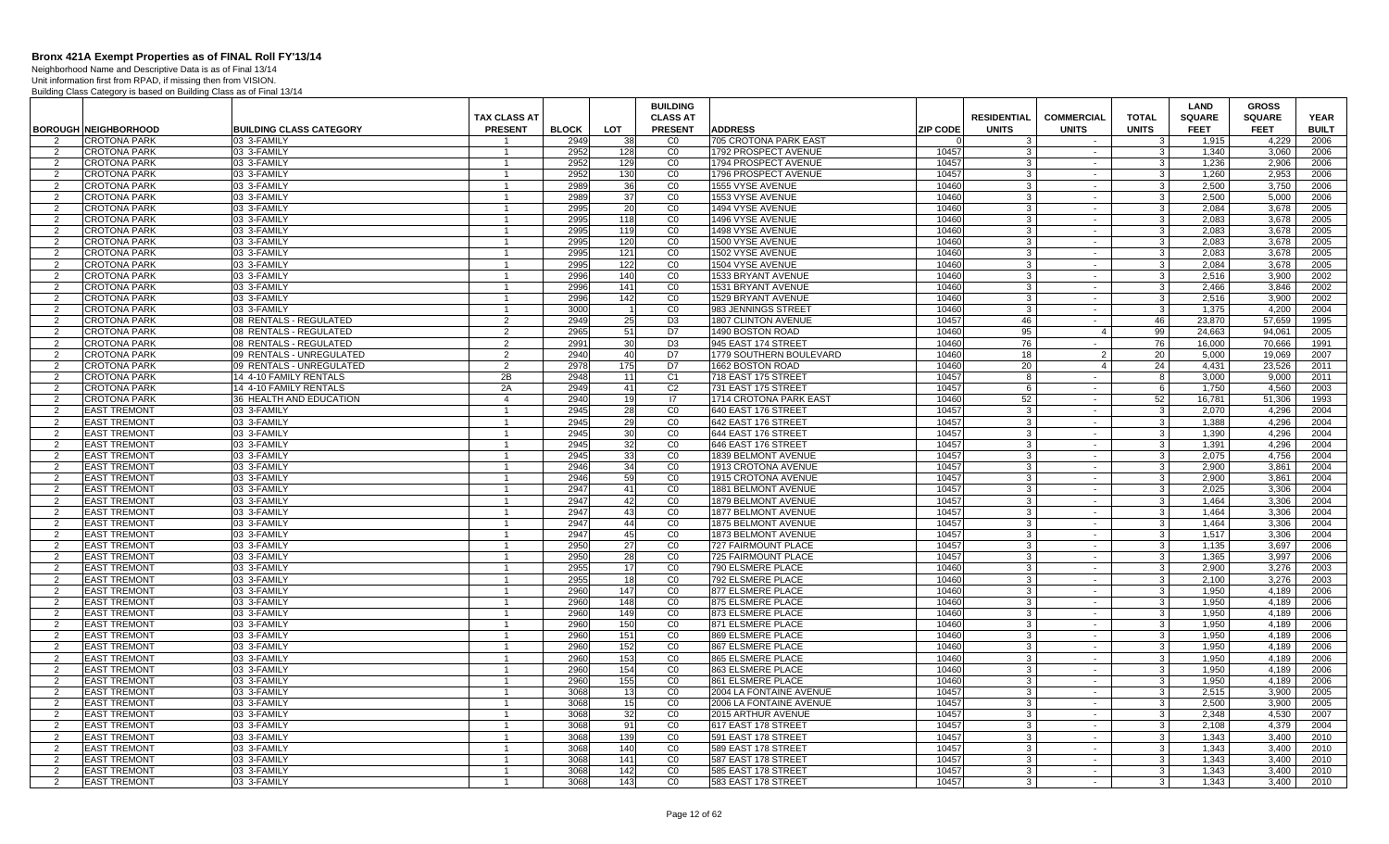Neighborhood Name and Descriptive Data is as of Final 13/14

|                     |                                                    |                                                      |                                       |                      |                       | <b>BUILDING</b>                  |                                                |                 |                               |                        |                                  | <b>LAND</b>                  | <b>GROSS</b>                 |                             |
|---------------------|----------------------------------------------------|------------------------------------------------------|---------------------------------------|----------------------|-----------------------|----------------------------------|------------------------------------------------|-----------------|-------------------------------|------------------------|----------------------------------|------------------------------|------------------------------|-----------------------------|
|                     |                                                    |                                                      | <b>TAX CLASS AT</b><br><b>PRESENT</b> |                      |                       | <b>CLASS AT</b>                  |                                                | <b>ZIP CODE</b> | <b>RESIDENTIAL</b>            | <b>COMMERCIAL</b>      | <b>TOTAL</b>                     | <b>SQUARE</b><br><b>FEET</b> | <b>SQUARE</b><br><b>FEET</b> | <b>YEAR</b><br><b>BUILT</b> |
| $\overline{2}$      | <b>BOROUGH NEIGHBORHOOD</b><br><b>CROTONA PARK</b> | <b>BUILDING CLASS CATEGORY</b><br>03 3-FAMILY        |                                       | <b>BLOCK</b><br>2949 | LOT<br>38             | <b>PRESENT</b><br>C <sub>0</sub> | <b>ADDRESS</b><br><b>705 CROTONA PARK EAST</b> |                 | <b>UNITS</b><br>$\mathcal{B}$ | <b>UNITS</b><br>$\sim$ | <b>UNITS</b><br>3 <sup>1</sup>   | 1.915                        | 4,229                        | 2006                        |
| 2                   | CROTONA PARK                                       | 03 3-FAMILY                                          |                                       | 2952                 | 128                   | CO                               | 1792 PROSPECT AVENUE                           | 10457           | 3                             | $\sim$                 | 3 <sup>1</sup>                   | 1,340                        | 3.060                        | 2006                        |
| 2                   | <b>CROTONA PARK</b>                                | 03 3-FAMILY                                          | $\mathbf{1}$                          | 2952                 | 129                   | CO                               | 1794 PROSPECT AVENUE                           | 10457           | -3                            | $\sim$                 | $\mathbf{3}$                     | 1.236                        | 2.906                        | 2006                        |
| 2                   | <b>CROTONA PARK</b>                                | 03 3-FAMILY                                          | $\mathbf{1}$                          | 2952                 | 130                   | CO                               | 1796 PROSPECT AVENUE                           | 10457           | 3                             | $\sim$                 | 3 <sup>1</sup>                   | 1,260                        | 2,953                        | 2006                        |
| 2                   | <b>CROTONA PARK</b>                                | 03 3-FAMILY                                          | -1                                    | 2989                 | 36                    | CO                               | 1555 VYSE AVENUE                               | 10460           | 3                             | $\sim$                 | 3 <sup>1</sup>                   | 2,500                        | 3,750                        | 2006                        |
| $\overline{2}$      | CROTONA PARK                                       | 03 3-FAMILY                                          | $\overline{1}$                        | 2989                 | 37                    | CO                               | 1553 VYSE AVENUE                               | 10460           | 3                             | $\sim$                 | 3 <sup>1</sup>                   | 2.500                        | 5,000                        | 2006                        |
| $\mathcal{P}$       | <b>CROTONA PARK</b>                                | 03 3-FAMILY                                          |                                       | 2995                 | 20                    | CO                               | 1494 VYSE AVENUE                               | 10460           | $\mathbf{3}$                  | $\sim$                 | 3 <sup>1</sup>                   | 2.084                        | 3.678                        | 2005                        |
| 2                   | <b>CROTONA PARK</b>                                | 03 3-FAMILY                                          | $\overline{1}$                        | 2995                 | 118                   | CO                               | 1496 VYSE AVENUE                               | 10460           | 3 <sup>1</sup>                | $\sim$                 | 3 <sup>1</sup>                   | 2.083                        | 3,678                        | 2005                        |
| 2                   | <b>CROTONA PARK</b>                                | 03 3-FAMILY                                          | $\mathbf{1}$                          | 2995                 | 119                   | CO                               | 1498 VYSE AVENUE                               | 10460           | 3 <sup>1</sup>                | $\sim$                 | 3 <sup>1</sup>                   | 2.083                        | 3.678                        | 2005                        |
| 2                   | <b>CROTONA PARK</b>                                | 03 3-FAMILY                                          | $\mathbf{1}$                          | 2995                 | 120                   | CO                               | 1500 VYSE AVENUE                               | 10460           | 3 <sup>1</sup>                | $\sim$                 | $\overline{3}$                   | 2.083                        | 3.678                        | 2005                        |
| $\overline{2}$      | CROTONA PARK                                       | 03 3-FAMILY                                          | $\overline{1}$                        | 2995                 | 121                   | CO                               | 1502 VYSE AVENUE                               | 10460           | 3                             | $\sim$                 | دن                               | 2.083                        | 3.678                        | 2005                        |
| $\overline{2}$      | CROTONA PARK                                       | 03 3-FAMILY                                          | $\mathbf{1}$                          | 2995                 | 122                   | CO                               | 1504 VYSE AVENUE                               | 10460           | 3                             | $\sim$                 | $\mathbf{3}$                     | 2,084                        | 3,678                        | 2005                        |
| $\overline{2}$      | <b>CROTONA PARK</b>                                | 03 3-FAMILY                                          | $\overline{1}$                        | 2996                 | 140                   | CO                               | 1533 BRYANT AVENUE                             | 10460           | $\mathbf{3}$                  | $\sim$                 | 3 <sup>1</sup>                   | 2,516                        | 3,900                        | 2002                        |
| 2                   | <b>CROTONA PARK</b>                                | 03 3-FAMILY                                          |                                       | 2996                 | 141                   | CO                               | 1531 BRYANT AVENUE                             | 10460           | 3                             | $\sim$                 | 3 <sup>1</sup>                   | 2.466                        | 3.846                        | 2002                        |
| 2                   | CROTONA PARK                                       | 03 3-FAMILY                                          | $\mathbf{1}$                          | 2996                 | 142                   | CO                               | 1529 BRYANT AVENUE                             | 10460           | $\mathbf{3}$                  | $\sim$                 | 3 <sup>1</sup>                   | 2.516                        | 3,900                        | 2002                        |
| $\mathcal{P}$       | CROTONA PARK                                       | 03 3-FAMILY                                          | $\overline{1}$                        | 3000                 |                       | CO                               | 983 JENNINGS STREET                            | 10460           | $\mathbf{3}$                  | $\sim$                 | 3 <sup>5</sup>                   | 1,375                        | 4,200                        | 2004                        |
| 2                   | <b>CROTONA PARK</b>                                | 08 RENTALS - REGULATED                               | 2                                     | 2949                 | 25                    | D <sub>3</sub>                   | 1807 CLINTON AVENUE                            | 10457           | 46                            | $\sim$ $-$             | 46                               | 23.870                       | 57.659                       | 1995                        |
| 2                   | <b>CROTONA PARK</b><br><b>CROTONA PARK</b>         | 08 RENTALS - REGULATED<br>08 RENTALS - REGULATED     | 2                                     | 2965<br>2991         | 51                    | D7<br>D3                         | 1490 BOSTON ROAD<br>945 EAST 174 STREET        | 10460<br>10460  | 95                            | $\overline{4}$         | 99<br>76                         | 24.663<br>16.000             | 94.061<br>70.666             | 2005<br>1991                |
| 2<br>$\overline{2}$ | <b>CROTONA PARK</b>                                |                                                      | 2<br>$\mathfrak{D}$                   | 2940                 | 30 <sup>1</sup><br>40 | D7                               | 1779 SOUTHERN BOULEVARD                        | 10460           | 76<br>18                      | $\sim$<br>2            | 20                               | 5,000                        | 19,069                       | 2007                        |
| 2                   | <b>CROTONA PARK</b>                                | 09 RENTALS - UNREGULATED<br>09 RENTALS - UNREGULATED | $\overline{2}$                        | 2978                 | 175                   | D7                               | 1662 BOSTON ROAD                               | 10460           | 20                            | $\overline{4}$         | 24                               | 4,431                        | 23,526                       | 2011                        |
| $\overline{2}$      | <b>CROTONA PARK</b>                                | 14 4-10 FAMILY RENTALS                               | 2B                                    | 2948                 | 11                    | C <sub>1</sub>                   | 718 EAST 175 STREET                            | 10457           | 8                             | $\sim$                 | 8                                | 3.000                        | 9.000                        | 2011                        |
| -2                  | CROTONA PARK                                       | 14 4-10 FAMILY RENTALS                               | 2A                                    | 2949                 | 41                    | C <sub>2</sub>                   | 731 EAST 175 STREET                            | 10457           | 6                             | $\sim$                 | 6                                | 1.750                        | 4.560                        | 2003                        |
| 2                   | <b>CROTONA PARK</b>                                | 36 HEALTH AND EDUCATION                              | $\overline{4}$                        | 2940                 | 19                    | $\overline{17}$                  | 1714 CROTONA PARK EAST                         | 10460           | 52                            | $\sim$                 | 52                               | 16,781                       | 51,306                       | 1993                        |
| 2                   | <b>EAST TREMONT</b>                                | 03 3-FAMILY                                          | $\mathbf{1}$                          | 2945                 | 28                    | CO                               | 640 EAST 176 STREET                            | 10457           | $\mathbf{3}$                  | $\sim$                 | 3 <sup>1</sup>                   | 2,070                        | 4.296                        | 2004                        |
| 2                   | <b>EAST TREMONT</b>                                | 03 3-FAMILY                                          | $\mathbf{1}$                          | 2945                 | 29                    | CO                               | 642 EAST 176 STREET                            | 10457           | 3 <sup>1</sup>                | $\sim$                 | $\overline{3}$                   | 1.388                        | 4.296                        | 2004                        |
| $\overline{2}$      | <b>EAST TREMONT</b>                                | 03 3-FAMILY                                          | $\overline{1}$                        | 2945                 | 30                    | CO                               | 644 EAST 176 STREET                            | 10457           | 3                             | $\sim$                 | 3 <sup>1</sup>                   | 1.390                        | 4.296                        | 2004                        |
| 2                   | <b>EAST TREMONT</b>                                | 03 3-FAMILY                                          | $\mathbf{1}$                          | 2945                 | 32                    | CO                               | 646 EAST 176 STREET                            | 10457           | -3                            | $\sim$                 | 3 <sup>1</sup>                   | 1,391                        | 4,296                        | 2004                        |
| $\overline{2}$      | <b>EAST TREMONT</b>                                | 03 3-FAMILY                                          | $\overline{1}$                        | 2945                 | 33                    | CO                               | 1839 BELMONT AVENUE                            | 10457           | 3                             | $\sim$                 | $\mathbf{3}$                     | 2,075                        | 4,756                        | 2004                        |
| 2                   | <b>EAST TREMONT</b>                                | 03 3-FAMILY                                          | -1                                    | 2946                 | 34                    | CO                               | 1913 CROTONA AVENUE                            | 10457           | 3                             | $\sim$                 | 3                                | 2.900                        | 3,861                        | 2004                        |
| $\overline{2}$      | <b>EAST TREMONT</b>                                | 03 3-FAMILY                                          | $\mathbf{1}$                          | 2946                 | 59                    | CO                               | 1915 CROTONA AVENUE                            | 10457           | $\mathbf{3}$                  | $\sim$                 | 3 <sup>1</sup>                   | 2.900                        | 3,861                        | 2004                        |
| $\mathcal{P}$       | <b>EAST TREMONT</b>                                | 03 3-FAMILY                                          |                                       | 2947                 | 41                    | CO                               | 1881 BELMONT AVENUE                            | 10457           | $\mathbf{3}$                  | $\sim$                 | 3 <sup>1</sup>                   | 2,025                        | 3,306                        | 2004                        |
| 2                   | <b>EAST TREMONT</b>                                | 03 3-FAMILY                                          | $\mathbf{1}$                          | 2947                 | 42                    | CO                               | 1879 BELMONT AVENUE                            | 10457           | $\mathbf{3}$                  | $\sim$                 | 3 <sup>1</sup>                   | 1.464                        | 3,306                        | 2004                        |
| 2                   | <b>EAST TREMONT</b>                                | 03 3-FAMILY                                          |                                       | 2947                 | 43                    | $\overline{C}$                   | <b>1877 BELMONT AVENUE</b>                     | 10457           | $\overline{3}$                | $\sim$                 | دن                               | 1.464                        | 3.306                        | 2004                        |
| 2                   | <b>EAST TREMONT</b>                                | 03 3-FAMILY                                          | $\mathbf{1}$                          | 2947                 | 44                    | CO                               | 1875 BELMONT AVENUE                            | 10457           | 3 <sup>1</sup>                | $\sim$                 | $\overline{3}$                   | 1.464                        | 3.306                        | 2004                        |
| $\overline{2}$      | <b>EAST TREMONT</b>                                | 03 3-FAMILY                                          | $\overline{1}$                        | 2947                 | 45                    | $\overline{C}0$                  | 1873 BELMONT AVENUE                            | 10457           | 3                             | $\sim$                 | 3 <sup>1</sup>                   | 1,517                        | 3,306                        | 2004                        |
| 2<br>$\overline{2}$ | <b>EAST TREMONT</b>                                | 03 3-FAMILY                                          | -1<br>$\overline{1}$                  | 2950                 | 27                    | CO<br>$\overline{C}$             | 727 FAIRMOUNT PLACE                            | 10457           | 3<br>3                        | $\sim$<br>$\sim$       | 3 <sup>1</sup><br>ω              | 1,135                        | 3,697                        | 2006                        |
|                     | <b>EAST TREMONT</b><br><b>EAST TREMONT</b>         | 03 3-FAMILY<br>03 3-FAMILY                           |                                       | 2950<br>2955         | 28<br>17              | CO                               | 725 FAIRMOUNT PLACE<br>790 ELSMERE PLACE       | 10457<br>10460  | 3                             |                        | 3 <sup>1</sup>                   | 1,365<br>2.900               | 3,997                        | 2006<br>2003                |
| 2<br>2              | <b>EAST TREMONT</b>                                | 03 3-FAMILY                                          | $\mathbf{1}$                          | 2955                 | 18                    | CO                               | 792 ELSMERE PLACE                              | 10460           | $\mathbf{3}$                  | $\sim$<br>$\sim$       | $\overline{3}$                   | 2,100                        | 3,276<br>3,276               | 2003                        |
| 2                   | <b>EAST TREMONT</b>                                | 03 3-FAMILY                                          | $\overline{1}$                        | 2960                 | 147                   | CO                               | 877 ELSMERE PLACE                              | 10460           | 3                             | $\sim$                 | 3 <sup>1</sup>                   | 1.950                        | 4.189                        | 2006                        |
| 2                   | <b>EAST TREMONT</b>                                | 03 3-FAMILY                                          | $\mathbf{1}$                          | 2960                 | 148                   | CO                               | 875 ELSMERE PLACE                              | 10460           | 3 <sup>1</sup>                | $\sim$                 | $\overline{3}$                   | 1.950                        | 4.189                        | 2006                        |
| 2                   | <b>EAST TREMONT</b>                                | 03 3-FAMILY                                          |                                       | 2960                 | 149                   | CO                               | 873 ELSMERE PLACE                              | 10460           | 3                             | $\sim$                 | 3 <sup>1</sup>                   | 1.950                        | 4.189                        | 2006                        |
| 2                   | <b>EAST TREMONT</b>                                | 03 3-FAMILY                                          | $\mathbf{1}$                          | 2960                 | 150                   | CO                               | 871 ELSMERE PLACE                              | 10460           | 3                             | $\sim$                 | 3 <sup>1</sup>                   | 1.950                        | 4.189                        | 2006                        |
| 2                   | <b>EAST TREMONT</b>                                | 03 3-FAMILY                                          | $\mathbf{1}$                          | 2960                 | 151                   | CO                               | 869 ELSMERE PLACE                              | 10460           | 3                             | $\sim$                 | $\mathbf{3}$                     | 1,950                        | 4,189                        | 2006                        |
| 2                   | <b>EAST TREMONT</b>                                | 03 3-FAMILY                                          | -1                                    | 2960                 | 152                   | CO                               | 867 ELSMERE PLACE                              | 10460           | 3                             | $\sim$                 | 3 <sup>1</sup>                   | 1,950                        | 4,189                        | 2006                        |
| $\overline{2}$      | <b>EAST TREMONT</b>                                | 03 3-FAMILY                                          | $\overline{1}$                        | 2960                 | 153                   | CO                               | 865 ELSMERE PLACE                              | 10460           | 3                             | $\sim$                 | $\mathbf{3}$                     | 1,950                        | 4,189                        | 2006                        |
| 2                   | <b>EAST TREMONT</b>                                | 03 3-FAMILY                                          |                                       | 2960                 | 154                   | CO                               | 863 ELSMERE PLACE                              | 10460           | 3                             | $\sim$                 | دن                               | 1.950                        | 4.189                        | 2006                        |
| 2                   | <b>EAST TREMONT</b>                                | 03 3-FAMILY                                          | $\overline{1}$                        | 2960                 | 155                   | CO                               | 861 ELSMERE PLACE                              | 10460           | 3 <sup>1</sup>                | $\sim$                 | 3 <sup>1</sup>                   | 1,950                        | 4.189                        | 2006                        |
| 2                   | <b>EAST TREMONT</b>                                | 03 3-FAMILY                                          | $\mathbf{1}$                          | 3068                 | 13                    | CO                               | 2004 LA FONTAINE AVENUE                        | 10457           | 3 <sup>1</sup>                | $\sim$                 | 3 <sup>1</sup>                   | 2.515                        | 3.900                        | 2005                        |
| 2                   | <b>EAST TREMONT</b>                                | 03 3-FAMILY                                          | $\mathbf{1}$                          | 3068                 | 15                    | CO                               | 2006 LA FONTAINE AVENUE                        | 10457           | 3 <sup>1</sup>                | $\sim$                 | $\overline{3}$                   | 2.500                        | 3.900                        | 2005                        |
| $\mathcal{P}$       | <b>EAST TREMONT</b>                                | 03 3-FAMILY                                          | $\overline{1}$                        | 3068                 | 32                    | CO                               | 2015 ARTHUR AVENUE                             | 10457           | 3                             | $\sim$                 | دن                               | 2.348                        | 4.530                        | 2007                        |
| 2                   | <b>EAST TREMONT</b>                                | 03 3-FAMILY                                          | $\mathbf{1}$                          | 3068                 | 91                    | CO                               | 617 EAST 178 STREET                            | 10457           | 3                             | $\sim$                 | 3 <sup>1</sup>                   | 2,108                        | 4,379                        | 2004                        |
| $\overline{2}$      | <b>EAST TREMONT</b>                                | 03 3-FAMILY                                          | $\overline{1}$                        | 3068                 | 139                   | CO                               | 591 EAST 178 STREET                            | 10457           | $\mathbf{3}$                  | $\sim$                 | 3 <sup>1</sup>                   | 1,343                        | 3,400                        | 2010                        |
| 2                   | <b>EAST TREMONT</b>                                | 03 3-FAMILY                                          |                                       | 3068                 | 140                   | CO                               | 589 EAST 178 STREET                            | 10457           | 3                             | $\sim$                 | 3 <sup>1</sup>                   | 1.343                        | 3.400                        | 2010                        |
| $\overline{2}$      | <b>EAST TREMONT</b>                                | 03 3-FAMILY                                          | $\overline{1}$                        | 3068                 | 141                   | CO                               | 587 EAST 178 STREET                            | 10457           | $\mathcal{R}$                 | $\sim$                 | $\mathbf{3}$                     | 1,343                        | 3,400                        | 2010                        |
| 2                   | <b>EAST TREMONT</b>                                | 03 3-FAMILY                                          | $\mathbf{1}$                          | 3068<br>3068         | 142<br>143            | CO<br>CO                         | 585 EAST 178 STREET                            | 10457<br>10457  | 3 <sup>1</sup>                | $\sim$<br>$\sim$       | 3 <sup>1</sup><br>3 <sup>1</sup> | 1,343<br>1.343               | 3.400<br>3.400               | 2010<br>2010                |
| 2                   | <b>EAST TREMONT</b>                                | 03 3-FAMILY                                          |                                       |                      |                       |                                  | 583 EAST 178 STREET                            |                 | 3 I                           |                        |                                  |                              |                              |                             |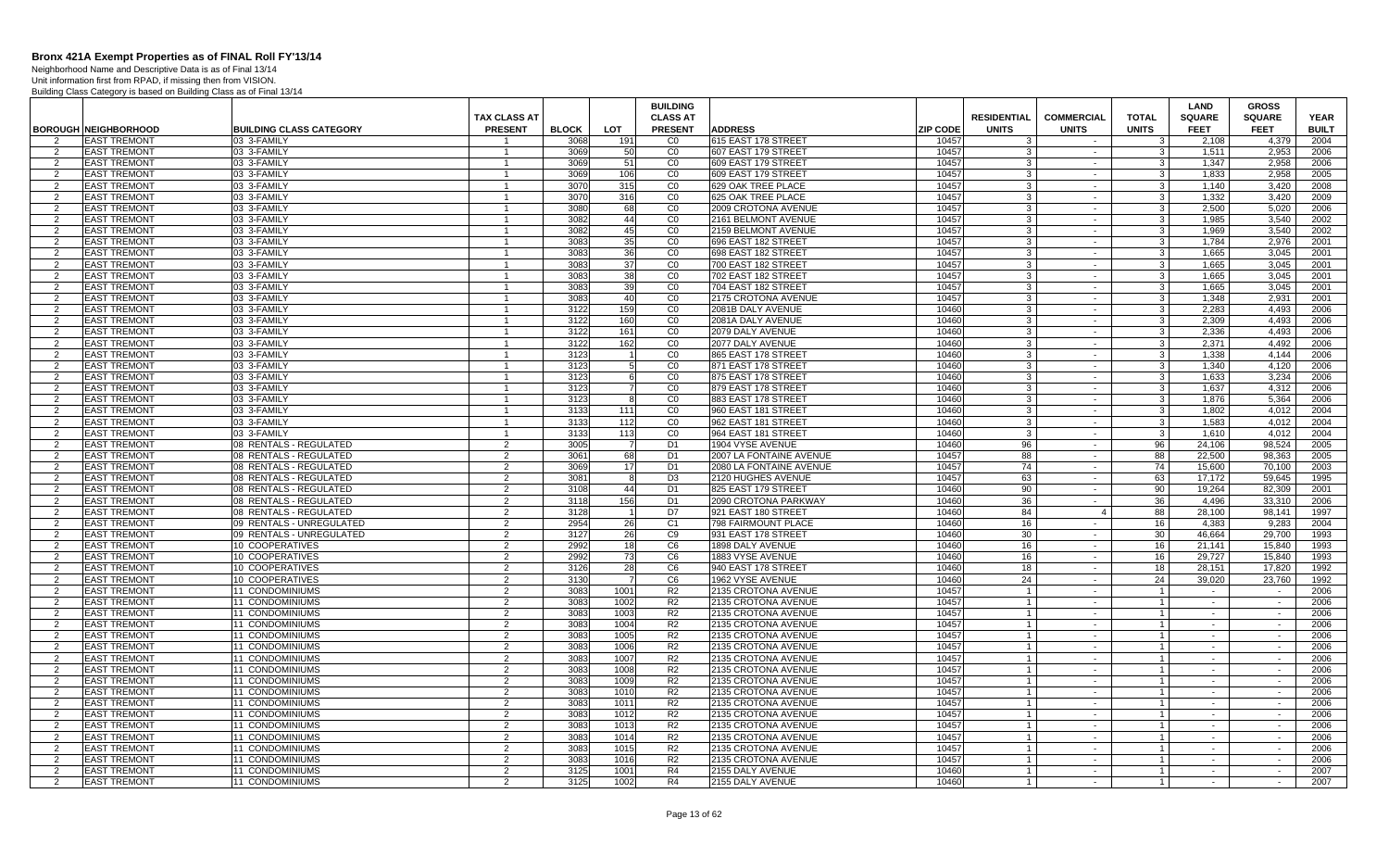Neighborhood Name and Descriptive Data is as of Final 13/14

|                     |                                            |                                                  | <b>TAX CLASS AT</b>            |              |              | <b>BUILDING</b><br><b>CLASS AT</b> |                                                       |                 | <b>RESIDENTIAL</b>               | <b>COMMERCIAL</b> | <b>TOTAL</b>                     | LAND<br><b>SQUARE</b> | <b>GROSS</b><br><b>SQUARE</b> | <b>YEAR</b>  |
|---------------------|--------------------------------------------|--------------------------------------------------|--------------------------------|--------------|--------------|------------------------------------|-------------------------------------------------------|-----------------|----------------------------------|-------------------|----------------------------------|-----------------------|-------------------------------|--------------|
|                     | <b>BOROUGH NEIGHBORHOOD</b>                | <b>BUILDING CLASS CATEGORY</b>                   | <b>PRESENT</b>                 | <b>BLOCK</b> | <b>LOT</b>   | <b>PRESENT</b>                     | <b>ADDRESS</b>                                        | <b>ZIP CODE</b> | <b>UNITS</b>                     | <b>UNITS</b>      | <b>UNITS</b>                     | <b>FEET</b>           | <b>FEET</b>                   | <b>BUILT</b> |
| $\overline{2}$      | <b>EAST TREMONT</b>                        | 03 3-FAMILY                                      |                                | 3068         | 191          | C <sub>0</sub>                     | 615 EAST 178 STREET                                   | 10457           | 3                                | $\sim$            | 3                                | 2.108                 | 4.379                         | 2004         |
| $\overline{2}$      | <b>EAST TREMONT</b>                        | 03 3-FAMILY                                      |                                | 3069         | 50           | CO                                 | 607 EAST 179 STREET                                   | 10457           |                                  | $\sim$            | 3                                | 1.511                 | 2.953                         | 2006         |
| 2                   | <b>EAST TREMONT</b>                        | 03 3-FAMILY                                      | $\mathbf{1}$                   | 3069         | 51           | CO                                 | 609 EAST 179 STREET                                   | 10457           | -3                               | $\sim$            | 3                                | 1,347                 | 2,958                         | 2006         |
| $\overline{2}$      | <b>EAST TREMONT</b>                        | 03 3-FAMILY                                      | $\overline{1}$                 | 3069         | 106          | CO                                 | 609 EAST 179 STREET                                   | 10457           | 3                                | $\sim$            | $\mathbf{3}$                     | 1,833                 | 2,958                         | 2005         |
| 2                   | <b>EAST TREMONT</b>                        | 03 3-FAMILY                                      |                                | 3070         | 315          | CO                                 | 629 OAK TREE PLACE                                    | 10457           | 3                                | $\sim$            | 3                                | 1.140                 | 3,420                         | 2008         |
| $\overline{2}$      | <b>EAST TREMONT</b>                        | 03 3-FAMILY                                      | $\overline{1}$                 | 3070         | 316          | C <sub>0</sub>                     | 625 OAK TREE PLACE                                    | 10457           | $\mathbf{R}$                     | $\sim$            | 3                                | 1,332                 | 3,420                         | 2009         |
| $\mathcal{P}$       | <b>EAST TREMONT</b>                        | 03 3-FAMILY                                      |                                | 3080         | 68           | CO                                 | 2009 CROTONA AVENUE                                   | 10457           | $\mathbf{3}$                     | $\sim$            | 3 <sup>1</sup>                   | 2,500                 | 5,020                         | 2006         |
| 2                   | <b>EAST TREMONT</b>                        | 03 3-FAMILY                                      | $\overline{1}$                 | 3082         | 44           | CO                                 | 2161 BELMONT AVENUE                                   | 10457           | $\mathbf{3}$                     | $\sim$            | 3 <sup>1</sup>                   | 1.985                 | 3.540                         | 2002         |
| 2                   | <b>EAST TREMONT</b>                        | 03 3-FAMILY                                      |                                | 3082         | 45           | CO                                 | 2159 BELMONT AVENUE                                   | 10457           | 3                                | $\sim$            | $\mathbf{3}$                     | 1.969                 | 3.540                         | 2002         |
| 2<br>$\overline{2}$ | <b>EAST TREMONT</b><br><b>EAST TREMONT</b> | 03 3-FAMILY<br>03 3-FAMILY                       | $\mathbf{1}$<br>$\overline{1}$ | 3083<br>3083 | 35           | CO<br>$\overline{C}0$              | 696 EAST 182 STREET                                   | 10457<br>10457  | $\cdot$ 3                        | $\sim$<br>$\sim$  | 3 <sup>1</sup>                   | 1.784<br>1,665        | 2.976<br>3,045                | 2001<br>2001 |
|                     | <b>EAST TREMONT</b>                        | 03 3-FAMILY                                      |                                | 3083         | 36<br>37     | CO                                 | 698 EAST 182 STREE<br>700 EAST 182 STREE <sup>-</sup> | 10457           | -3                               |                   | 3<br>$\mathbf{3}$                | 1,665                 | 3,045                         | 2001         |
| 2<br>$\overline{2}$ | <b>EAST TREMONT</b>                        | 03 3-FAMILY                                      | $\overline{1}$                 | 3083         | 38           | CO                                 | 702 EAST 182 STREET                                   | 10457           | 3                                | $\sim$<br>$\sim$  | 3                                | 1.665                 | 3.045                         | 2001         |
| 2                   | <b>EAST TREMONT</b>                        | 03 3-FAMILY                                      |                                | 3083         | 39           | CO                                 | 704 EAST 182 STREET                                   | 10457           | $\cdot$ 3                        | $\sim$            | $\mathbf{3}$                     | 1.665                 | 3.045                         | 2001         |
| 2                   | <b>EAST TREMONT</b>                        | 03 3-FAMILY                                      | $\overline{1}$                 | 3083         | 40           | $\overline{C}0$                    | 2175 CROTONA AVENUE                                   | 10457           | $\cdot$ 3                        | $\sim$            | 3 <sup>1</sup>                   | 1,348                 | 2,931                         | 2001         |
| 2                   | <b>EAST TREMONT</b>                        | 03 3-FAMILY                                      |                                | 3122         | 159          | CO                                 | 2081B DALY AVENUE                                     | 10460           | -3                               | $\sim$            | $\mathbf{3}$                     | 2,283                 | 4.493                         | 2006         |
| 2                   | <b>EAST TREMONT</b>                        | 03 3-FAMILY                                      | $\mathbf{1}$                   | 3122         | 160          | CO                                 | 2081A DALY AVENUE                                     | 10460           | 3                                | $\sim$            | 3 <sup>1</sup>                   | 2.309                 | 4.493                         | 2006         |
| $\overline{2}$      | <b>EAST TREMONT</b>                        | 03 3-FAMILY                                      |                                | 3122         | 161          | CO                                 | 2079 DALY AVENUE                                      | 10460           | $\mathbf{3}$                     | $\sim$            | $\mathbf{3}$                     | 2,336                 | 4,493                         | 2006         |
| 2                   | <b>EAST TREMONT</b>                        | 03 3-FAMILY                                      | $\mathbf{1}$                   | 3122         | 162          | $\overline{C}0$                    | 2077 DALY AVENUE                                      | 10460           | -3                               | $\sim$            | $\mathbf{3}$                     | 2,371                 | 4,492                         | 2006         |
| $\overline{2}$      | <b>EAST TREMONT</b>                        | 03 3-FAMILY                                      | $\overline{1}$                 | 3123         |              | $\overline{C}$                     | 865 EAST 178 STREE                                    | 10460           | $\mathbf{3}$                     | $\sim$            | $\mathbf{3}$                     | 1,338                 | 4,144                         | 2006         |
| 2                   | <b>EAST TREMONT</b>                        | 03 3-FAMILY                                      |                                | 3123         |              | CO                                 | 871 EAST 178 STREET                                   | 10460           | 3                                | $\sim$            | 3                                | 1.340                 | 4,120                         | 2006         |
| $\overline{2}$      | <b>EAST TREMONT</b>                        | 03 3-FAMILY                                      | $\overline{1}$                 | 3123         | 6            | CO                                 | 875 EAST 178 STREE                                    | 10460           | $\cdot$ 3                        | $\sim$            | 3 <sup>1</sup>                   | 1,633                 | 3,234                         | 2006         |
| 2                   | <b>EAST TREMONT</b>                        | 03 3-FAMILY                                      |                                | 3123         |              | $\overline{C}0$                    | 879 EAST 178 STREET                                   | 10460           | 3                                | $\sim$            | $\mathbf{3}$                     | 1,637                 | 4,312                         | 2006         |
| 2                   | <b>EAST TREMONT</b>                        | 03 3-FAMILY                                      | $\mathbf{1}$                   | 3123         | 8            | CO                                 | 883 EAST 178 STREET                                   | 10460           | 3                                | $\sim$            | $\overline{\mathbf{3}}$          | 1.876                 | 5.364                         | 2006         |
| 2                   | <b>EAST TREMONT</b>                        | 03 3-FAMILY                                      |                                | 3133         | 111          | CO                                 | 960 EAST 181 STREET                                   | 10460           | 3                                | $\sim$            | $\mathbf{3}$                     | 1.802                 | 4.012                         | 2004         |
| $\overline{2}$      | <b>EAST TREMONT</b>                        | 03 3-FAMILY                                      | $\mathbf{1}$                   | 3133         | 112          | CO                                 | 962 EAST 181 STREET                                   | 10460           | $\cdot$ 3                        | $\sim$            | 3 <sup>1</sup>                   | 1,583                 | 4,012                         | 2004         |
| 2                   | <b>EAST TREMONT</b>                        | 03 3-FAMILY                                      | $\overline{1}$                 | 3133         | 113          | $\overline{C}0$                    | 964 EAST 181 STREET                                   | 10460           | -3                               | $\sim$            | 3                                | 1,610                 | 4,012                         | 2004         |
| 2                   | <b>EAST TREMONT</b>                        | 08 RENTALS - REGULATED                           | 2                              | 3005         |              | D <sub>1</sub>                     | 1904 VYSE AVENUE                                      | 10460           | 96                               | $\sim$            | 96                               | 24,106                | 98,524                        | 2005         |
| $\overline{2}$      | <b>EAST TREMONT</b>                        | 08 RENTALS - REGULATED                           | 2                              | 3061         | 68           | D <sub>1</sub>                     | 2007 LA FONTAINE AVENUE                               | 10457           | 88                               | $\sim$            | 88                               | 22,500                | 98,363                        | 2005         |
| $\overline{2}$      | <b>EAST TREMONT</b>                        | 08 RENTALS - REGULATED                           | 2<br>2                         | 3069         | 17<br>-8     | D <sub>1</sub>                     | 2080 LA FONTAINE AVENUE                               | 10457           | 74                               | $\sim$            | 74                               | 15,600                | 70,100                        | 2003         |
| $\overline{2}$<br>2 | <b>EAST TREMONT</b><br><b>EAST TREMONT</b> | 08 RENTALS - REGULATED<br>08 RENTALS - REGULATED | 2                              | 3081<br>3108 | 44           | D <sub>3</sub><br>D <sub>1</sub>   | 2120 HUGHES AVENUE<br>825 EAST 179 STREET             | 10457<br>10460  | 63<br>90                         | $\sim$<br>$\sim$  | 63<br>90                         | 17.172<br>19.264      | 59.645<br>82.309              | 1995<br>2001 |
| 2                   | <b>EAST TREMONT</b>                        | 08 RENTALS - REGULATED                           | 2                              | 3118         | 156          | D <sub>1</sub>                     | 2090 CROTONA PARKWAY                                  | 10460           | 36                               | $\sim$            | 36                               | 4.496                 | 33.310                        | 2006         |
| $\mathcal{P}$       | <b>EAST TREMONT</b>                        | 08 RENTALS - REGULATED                           | 2                              | 3128         |              | D <sub>7</sub>                     | 921 EAST 180 STREET                                   | 10460           | 84                               | $\overline{4}$    | 88                               | 28,100                | 98,141                        | 1997         |
| 2                   | <b>EAST TREMONT</b>                        | 09 RENTALS - UNREGULATED                         | 2                              | 2954         | 26           | C <sub>1</sub>                     | 798 FAIRMOUNT PLACE                                   | 10460           | 16                               | $\sim$            | 16                               | 4,383                 | 9.283                         | 2004         |
| 2                   | <b>EAST TREMONT</b>                        | 09 RENTALS - UNREGULATED                         | 2                              | 3127         | 26           | C <sub>9</sub>                     | 931 EAST 178 STREET                                   | 10460           | 30                               | $\sim$            | 30                               | 46,664                | 29,700                        | 1993         |
| 2                   | <b>EAST TREMONT</b>                        | 10 COOPERATIVES                                  | 2                              | 2992         | 18           | C <sub>6</sub>                     | 1898 DALY AVENUE                                      | 10460           | 16                               | $\sim$            | 16                               | 21.141                | 15.840                        | 1993         |
| $\overline{2}$      | <b>EAST TREMONT</b>                        | 10 COOPERATIVES                                  | 2                              | 2992         | 73           | C <sub>6</sub>                     | 1883 VYSE AVENUE                                      | 10460           | 16                               | $\sim$            | 16                               | 29,727                | 15,840                        | 1993         |
| $\overline{2}$      | <b>EAST TREMONT</b>                        | 10 COOPERATIVES                                  | 2                              | 3126         | 28           | C <sub>6</sub>                     | 940 EAST 178 STREET                                   | 10460           | 18                               | $\sim$            | 18                               | 28,151                | 17,820                        | 1992         |
| 2                   | <b>EAST TREMONT</b>                        | 10 COOPERATIVES                                  | 2                              | 3130         | - 7          | C <sub>6</sub>                     | 1962 VYSE AVENUE                                      | 10460           | 24                               | $\sim$            | 24                               | 39.020                | 23.760                        | 1992         |
| 2                   | <b>EAST TREMONT</b>                        | 11 CONDOMINIUMS                                  | 2                              | 3083         | 1001         | R <sub>2</sub>                     | 2135 CROTONA AVENUE                                   | 10457           | $\overline{1}$                   | $\sim$            | $\overline{1}$                   | $\sim$                |                               | 2006         |
| $\overline{2}$      | <b>EAST TREMONT</b>                        | 11 CONDOMINIUMS                                  | $\overline{2}$                 | 3083         | 1002         | R <sub>2</sub>                     | 2135 CROTONA AVENUE                                   | 10457           | $\overline{1}$                   | $\sim$            | $\overline{1}$                   | $\sim$                | $\sim$                        | 2006         |
| -2                  | <b>EAST TREMONT</b>                        | 11 CONDOMINIUMS                                  | 2                              | 3083         | 1003         | R <sub>2</sub>                     | 2135 CROTONA AVENUE                                   | 10457           | $\overline{1}$                   | $\sim$            | $\mathbf{1}$                     | $\sim$                | $\sim$                        | 2006         |
| 2                   | <b>EAST TREMONT</b>                        | <b>11 CONDOMINIUMS</b>                           | 2                              | 3083         | 1004         | R <sub>2</sub>                     | 2135 CROTONA AVENUE                                   | 10457           |                                  | $\sim$            | $\overline{1}$                   | $\sim$                | $\sim$                        | 2006         |
| $\overline{2}$      | <b>EAST TREMONT</b>                        | 11 CONDOMINIUMS                                  | 2                              | 3083         | 1005         | R <sub>2</sub>                     | 2135 CROTONA AVENUE                                   | 10457           | $\overline{1}$                   | $\sim$            | $\overline{1}$                   | $\sim$                | $\sim$                        | 2006         |
| $\overline{2}$      | <b>EAST TREMONT</b>                        | 11 CONDOMINIUMS                                  | 2                              | 3083         | 1006         | R <sub>2</sub>                     | 2135 CROTONA AVENUE                                   | 10457           | $\overline{1}$                   | $\sim$            | $\overline{1}$                   | $\sim$                | $\sim$                        | 2006         |
| 2                   | <b>EAST TREMONT</b>                        | 11 CONDOMINIUMS                                  | 2                              | 3083         | 1007         | R <sub>2</sub>                     | 2135 CROTONA AVENUE                                   | 10457           | $\overline{1}$                   | $\sim$            | $\overline{1}$                   | $\sim$                | $\sim$                        | 2006         |
| 2                   | <b>EAST TREMONT</b>                        | <b>11 CONDOMINIUMS</b>                           | 2                              | 3083<br>3083 | 1008<br>1009 | R <sub>2</sub><br>R <sub>2</sub>   | 2135 CROTONA AVENUE                                   | 10457<br>10457  | $\overline{1}$                   | $\sim$            | 1                                | $\sim$                | $\sim$                        | 2006         |
| 2<br>2              | <b>EAST TREMONT</b><br><b>EAST TREMONT</b> | <b>11 CONDOMINIUMS</b><br>11 CONDOMINIUMS        | 2<br>2                         | 3083         | 1010         | R <sub>2</sub>                     | 2135 CROTONA AVENUE<br>2135 CROTONA AVENUE            | 10457           | $\overline{1}$<br>$\overline{1}$ | $\sim$<br>$\sim$  | $\overline{1}$<br>$\overline{1}$ | $\sim$                | $\sim$                        | 2006<br>2006 |
| 2                   | <b>EAST TREMONT</b>                        | 11 CONDOMINIUMS                                  | 2                              | 3083         | 1011         | R <sub>2</sub>                     | 2135 CROTONA AVENUE                                   | 10457           | $\overline{1}$                   | $\sim$            | $\overline{1}$                   | $\sim$                | $\sim$                        | 2006         |
| 2                   | <b>EAST TREMONT</b>                        | 11 CONDOMINIUMS                                  | 2                              | 3083         | 1012         | R <sub>2</sub>                     | 2135 CROTONA AVENUE                                   | 10457           | $\overline{1}$                   | $\sim$            | $\overline{1}$                   | $\sim$                | $\sim$                        | 2006         |
| $\overline{2}$      | <b>EAST TREMONT</b>                        | 11 CONDOMINIUMS                                  | 2                              | 3083         | 1013         | R <sub>2</sub>                     | 2135 CROTONA AVENUE                                   | 10457           | $\overline{1}$                   | $\sim$            | $\overline{1}$                   | $\sim$                | $\sim$                        | 2006         |
| 2                   | <b>EAST TREMONT</b>                        | 11 CONDOMINIUMS                                  | $\overline{2}$                 | 3083         | 1014         | R <sub>2</sub>                     | 2135 CROTONA AVENUE                                   | 10457           | $\overline{1}$                   | $\sim$            | $\overline{1}$                   | $\sim$                | $\sim$                        | 2006         |
| 2                   | <b>EAST TREMONT</b>                        | 11 CONDOMINIUMS                                  | 2                              | 3083         | 1015         | R <sub>2</sub>                     | 2135 CROTONA AVENUE                                   | 10457           | $\overline{1}$                   | $\sim$            | $\overline{1}$                   | $\sim$                | $\sim$                        | 2006         |
| 2                   | <b>EAST TREMONT</b>                        | <b>11 CONDOMINIUMS</b>                           | $\mathcal{P}$                  | 3083         | 1016         | R <sub>2</sub>                     | 2135 CROTONA AVENUE                                   | 10457           | $\overline{1}$                   | $\sim$            | $\overline{1}$                   | $\sim$                | $\sim$                        | 2006         |
| $\overline{2}$      | <b>EAST TREMONT</b>                        | 11 CONDOMINIUMS                                  | 2                              | 3125         | 1001         | R <sub>4</sub>                     | 2155 DALY AVENUE                                      | 10460           | $\overline{1}$                   | $\sim$            | $\overline{1}$                   | $\sim$                |                               | 2007         |
| 2                   | <b>EAST TREMONT</b>                        | 11 CONDOMINIUMS                                  | $\overline{2}$                 | 3125         | 1002         | R4                                 | 2155 DALY AVENUE                                      | 10460           | $\overline{1}$                   | $\sim$            | $\mathbf{1}$                     | $\sim$                | $\sim$                        | 2007         |
|                     |                                            |                                                  |                                |              |              |                                    |                                                       |                 |                                  |                   |                                  |                       |                               |              |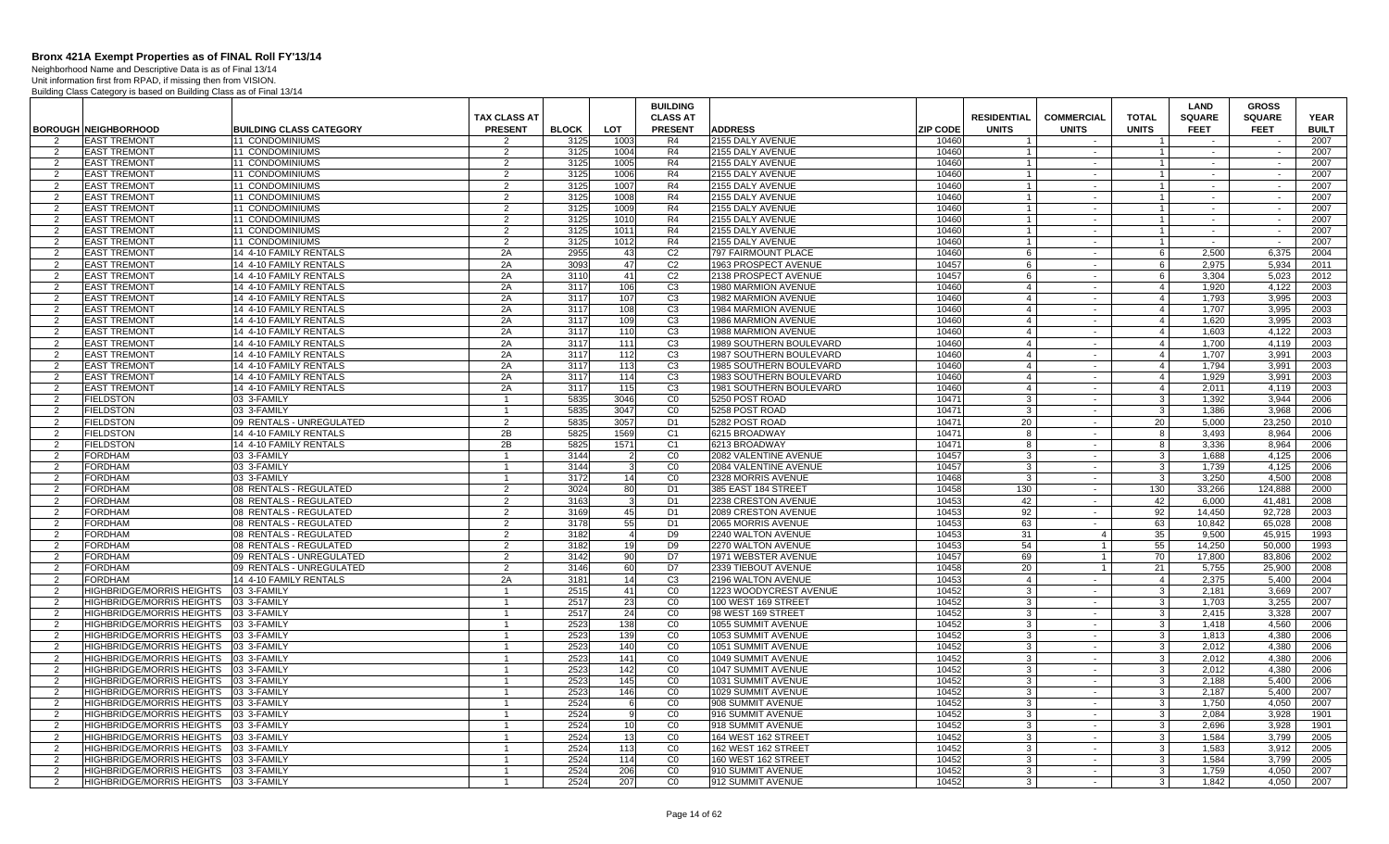Neighborhood Name and Descriptive Data is as of Final 13/14 Unit information first from RPAD, if missing then from VISION.

|                     |                                                    |                                                  | <b>TAX CLASS AT</b> |              |                 | <b>BUILDING</b><br><b>CLASS AT</b> |                                                   |                 | <b>RESIDENTIAL</b>               | <b>COMMERCIAL</b> | <b>TOTAL</b>                     | <b>LAND</b><br><b>SQUARE</b> | <b>GROSS</b><br><b>SQUARE</b> | <b>YEAR</b>  |
|---------------------|----------------------------------------------------|--------------------------------------------------|---------------------|--------------|-----------------|------------------------------------|---------------------------------------------------|-----------------|----------------------------------|-------------------|----------------------------------|------------------------------|-------------------------------|--------------|
|                     | <b>BOROUGH NEIGHBORHOOD</b>                        | <b>BUILDING CLASS CATEGORY</b>                   | <b>PRESENT</b>      | <b>BLOCK</b> | <b>LOT</b>      | <b>PRESENT</b>                     | <b>ADDRESS</b>                                    | <b>ZIP CODE</b> | <b>UNITS</b>                     | <b>UNITS</b>      | <b>UNITS</b>                     | <b>FEET</b>                  | <b>FEET</b>                   | <b>BUILT</b> |
| $\mathcal{P}$       | <b>EAST TREMONT</b>                                | 11 CONDOMINIUMS                                  | 2                   | 3125         | 1003            | R4                                 | 2155 DALY AVENUE                                  | 10460           |                                  |                   |                                  |                              |                               | 2007         |
| 2                   | <b>EAST TREMONT</b>                                | <b>11 CONDOMINIUMS</b>                           | 2                   | 3125         | 1004            | R4                                 | 2155 DALY AVENUE                                  | 10460           |                                  | $\sim$            | $\overline{1}$                   | $\sim$                       | $\sim$                        | 2007         |
| 2                   | <b>EAST TREMONT</b>                                | 11 CONDOMINIUMS                                  | $\overline{2}$      | 3125         | 1005            | R4                                 | 2155 DALY AVENUE                                  | 10460           | $\overline{1}$                   | $\sim$            | $\mathbf{1}$                     | $\sim$                       | $\sim$                        | 2007         |
| 2                   | <b>EAST TREMONT</b>                                | <b>11 CONDOMINIUMS</b>                           | 2                   | 3125         | 1006            | R4                                 | 2155 DALY AVENUE                                  | 10460           | -1                               | $\sim$            | $\overline{1}$                   | $\sim$                       | $\sim$                        | 2007         |
| 2                   | <b>EAST TREMONT</b>                                | <b>11 CONDOMINIUMS</b>                           | 2                   | 3125         | 1007            | R4                                 | 2155 DALY AVENUE                                  | 10460           | $\overline{1}$                   | $\sim$            | $\overline{1}$                   | $\sim$                       | $\sim$                        | 2007         |
| $\mathcal{P}$       | <b>EAST TREMONT</b>                                | <b>11 CONDOMINIUMS</b>                           | $\overline{2}$      | 3125         | 1008            | R4                                 | 2155 DALY AVENUE                                  | 10460           |                                  | $\sim$            | $\mathbf{1}$                     |                              |                               | 2007         |
| 2                   | <b>EAST TREMONT</b>                                | 11 CONDOMINIUMS                                  | 2                   | 3125         | 1009            | R4                                 | 2155 DALY AVENUE                                  | 10460           | $\overline{\mathbf{1}}$          | $\sim$            | $\overline{1}$                   | $\sim$                       | $\sim$                        | 2007         |
| $\overline{2}$      | <b>EAST TREMONT</b>                                | 11 CONDOMINIUMS                                  | $\overline{2}$      | 3125         | 1010            | R <sub>4</sub>                     | 2155 DALY AVENUE                                  | 10460           | $\overline{1}$                   | $\sim$            | $\overline{1}$                   | $\sim$                       | $\sim$                        | 2007         |
| 2                   | <b>EAST TREMONT</b>                                | 11 CONDOMINIUMS                                  | 2                   | 3125         | 1011            | R4                                 | 2155 DALY AVENUE                                  | 10460           | -1                               | $\sim$            | $\overline{1}$                   | $\sim$                       | $\sim$                        | 2007         |
| $\mathcal{P}$       | <b>EAST TREMONT</b>                                | 11 CONDOMINIUMS                                  | 2                   | 3125         | 1012            | R <sub>4</sub>                     | 2155 DALY AVENUE                                  | 10460           |                                  | $\sim$            | $\overline{1}$                   | $\sim$                       | $\sim$                        | 2007         |
| 2                   | <b>EAST TREMONT</b>                                | 14 4-10 FAMILY RENTALS                           | 2A                  | 2955         | 43              | C <sub>2</sub>                     | 797 FAIRMOUNT PLACE                               | 10460           | 6                                | $\sim$            | 6                                | 2.500                        | 6.375                         | 2004         |
| 2                   | <b>EAST TREMONT</b>                                | 14 4-10 FAMILY RENTALS                           | 2A                  | 3093         | 47              | C <sub>2</sub>                     | 1963 PROSPECT AVENUE                              | 10457           | 6                                | $\sim$            | 6                                | 2.975                        | 5.934                         | 2011         |
| 2                   | <b>EAST TREMONT</b>                                | 14 4-10 FAMILY RENTALS                           | 2A                  | 311(         | 41              | C <sub>2</sub>                     | 2138 PROSPECT AVENUE                              | 10457           | 6                                | $\sim$            | 6                                | 3.304                        | 5,023                         | 2012         |
| 2<br>$\overline{2}$ | <b>EAST TREMONT</b><br><b>EAST TREMONT</b>         | 14 4-10 FAMILY RENTALS                           | 2A<br>2A            | 3117<br>3117 | 106<br>107      | C <sub>3</sub><br>C3               | 1980 MARMION AVENUE<br><b>1982 MARMION AVENUE</b> | 10460<br>10460  | $\overline{4}$<br>$\overline{4}$ | $\sim$<br>$\sim$  | $\overline{4}$<br>$\overline{4}$ | 1.920<br>1.793               | 4.122<br>3.995                | 2003<br>2003 |
|                     | <b>EAST TREMONT</b>                                | 14 4-10 FAMILY RENTALS<br>14 4-10 FAMILY RENTALS | 2A                  | 3117         | 108             | C <sub>3</sub>                     | 1984 MARMION AVENUE                               | 10460           | $\overline{4}$                   | $\sim$            | $\overline{4}$                   | 1,707                        | 3,995                         | 2003         |
| 2<br>$\mathcal{P}$  | <b>EAST TREMONT</b>                                | 14 4-10 FAMILY RENTALS                           | 2A                  | 3117         | 109             | C <sub>3</sub>                     | 1986 MARMION AVENUE                               | 10460           | $\overline{4}$                   | $\sim$            | $\overline{4}$                   | 1,620                        | 3,995                         | 2003         |
| 2                   | <b>EAST TREMONT</b>                                | 14 4-10 FAMILY RENTALS                           | 2A                  | 3117         | 110             | C <sub>3</sub>                     | <b>1988 MARMION AVENUE</b>                        | 10460           | $\overline{4}$                   | $\sim$            | $\overline{4}$                   | 1.603                        | 4,122                         | 2003         |
| $\mathcal{P}$       | <b>EAST TREMONT</b>                                | 14 4-10 FAMILY RENTALS                           | 2A                  | 3117         | 111             | C <sub>3</sub>                     | 1989 SOUTHERN BOULEVARD                           | 10460           | $\overline{4}$                   | $\sim$            | $\overline{4}$                   | 1.700                        | 4.119                         | 2003         |
| $\mathcal{P}$       | <b>EAST TREMONT</b>                                | 14 4-10 FAMILY RENTALS                           | 2A                  | 3117         | 112             | C <sub>3</sub>                     | 1987 SOUTHERN BOULEVARD                           | 10460           | $\overline{4}$                   | $\sim$            | $\overline{4}$                   | 1.707                        | 3,991                         | 2003         |
| 2                   | <b>EAST TREMONT</b>                                | 14 4-10 FAMILY RENTALS                           | 2A                  | 3117         | 113             | C <sub>3</sub>                     | 1985 SOUTHERN BOULEVARD                           | 10460           | $\overline{4}$                   | $\sim$            | $\overline{4}$                   | 1.794                        | 3.991                         | 2003         |
| 2                   | <b>EAST TREMONT</b>                                | 14 4-10 FAMILY RENTALS                           | 2A                  | 3117         | 114             | C <sub>3</sub>                     | 1983 SOUTHERN BOULEVARD                           | 10460           | $\overline{4}$                   | $\sim$            | $\overline{4}$                   | 1.929                        | 3.991                         | 2003         |
| 2                   | <b>EAST TREMONT</b>                                | 14 4-10 FAMILY RENTALS                           | 2A                  | 3117         | 115             | C <sub>3</sub>                     | 1981 SOUTHERN BOULEVARD                           | 10460           | $\overline{4}$                   | $\sim$            | $\overline{4}$                   | 2.011                        | 4.119                         | 2003         |
| $\mathcal{P}$       | <b>FIELDSTON</b>                                   | 03 3-FAMILY                                      |                     | 5835         | 3046            | CO                                 | 5250 POST ROAD                                    | 10471           | 3                                | $\sim$            | $\mathbf{3}$                     | 1.392                        | 3.944                         | 2006         |
| 2                   | <b>FIELDSTON</b>                                   | 03 3-FAMILY                                      | $\mathbf{1}$        | 5835         | 3047            | CO                                 | 5258 POST ROAD                                    | 10471           | $\mathbf{3}$                     | $\sim$            | $\mathbf{3}$                     | 1,386                        | 3,968                         | 2006         |
| $\mathcal{P}$       | <b>FIELDSTON</b>                                   | 09 RENTALS - UNREGULATED                         | $\mathfrak{p}$      | 5835         | 3057            | D <sub>1</sub>                     | 5282 POST ROAD                                    | 10471           | 20                               | $\sim$            | 20                               | 5,000                        | 23,250                        | 2010         |
| 2                   | <b>FIELDSTON</b>                                   | 14 4-10 FAMILY RENTALS                           | 2B                  | 5825         | 1569            | C <sub>1</sub>                     | 6215 BROADWAY                                     | 10471           | 8                                | $\sim$            | 8                                | 3.493                        | 8.964                         | 2006         |
| 2                   | <b>FIELDSTON</b>                                   | 14 4-10 FAMILY RENTALS                           | 2B                  | 5825         | 1571            | C <sub>1</sub>                     | 6213 BROADWAY                                     | 10471           | 8                                | $\sim$            | 8                                | 3.336                        | 8.964                         | 2006         |
| $\mathcal{P}$       | FORDHAM                                            | 03 3-FAMILY                                      | 1                   | 3144         |                 | CO                                 | 2082 VALENTINE AVENUE                             | 10457           | 3                                | $\sim$            | 3                                | 1,688                        | 4,125                         | 2006         |
| 2                   | <b>FORDHAM</b>                                     | 03 3-FAMILY                                      | $\overline{1}$      | 3144         | $\mathcal{B}$   | CO                                 | 2084 VALENTINE AVENUE                             | 10457           | $\mathbf{3}$                     | $\sim$            | $\mathbf{3}$                     | 1.739                        | 4.125                         | 2006         |
| $\mathcal{P}$       | <b>FORDHAM</b>                                     | 03 3-FAMILY                                      |                     | 3172         | 14              | CO                                 | 2328 MORRIS AVENUE                                | 10468           | 3                                | $\sim$            | $\overline{3}$                   | 3.250                        | 4.500                         | 2008         |
| $\overline{2}$      | <b>FORDHAM</b>                                     | 08 RENTALS - REGULATED                           | 2                   | 3024         | 80              | D <sub>1</sub>                     | 385 EAST 184 STREET                               | 10458           | 130                              | $\sim$            | 130                              | 33.266                       | 124.888                       | 2000         |
| $\mathcal{P}$       | <b>FORDHAM</b>                                     | 08 RENTALS - REGULATED                           | $\overline{2}$      | 3163         |                 | D <sub>1</sub>                     | 2238 CRESTON AVENUE                               | 10453           | 42                               | $\sim$            | 42                               | 6,000                        | 41,481                        | 2008         |
| 2                   | <b>FORDHAM</b>                                     | 08 RENTALS - REGULATED                           | $\overline{2}$      | 3169         | 45              | D <sub>1</sub>                     | 2089 CRESTON AVENUE                               | 10453           | 92                               | $\sim$            | 92                               | 14,450                       | 92,728                        | 2003         |
| $\mathcal{P}$       | <b>FORDHAM</b>                                     | 08 RENTALS - REGULATED                           | $\overline{2}$      | 3178         | 55              | D <sub>1</sub>                     | 2065 MORRIS AVENUE                                | 10453           | 63                               | $\sim$            | 63                               | 10,842                       | 65,028                        | 2008         |
| 2                   | <b>FORDHAM</b>                                     | 08 RENTALS - REGULATED                           | 2                   | 3182         |                 | D <sub>9</sub>                     | 2240 WALTON AVENUE                                | 10453           | 31                               | $\overline{4}$    | 35                               | 9.500                        | 45,915                        | 1993         |
| $\mathcal{P}$       | <b>FORDHAM</b>                                     | 08 RENTALS - REGULATED                           | 2                   | 3182         | 19              | D <sub>9</sub>                     | 2270 WALTON AVENUE                                | 10453           | 54                               | - 1 I             | 55                               | 14.250                       | 50.000                        | 1993         |
| $\mathcal{P}$       | FORDHAM                                            | 09 RENTALS - UNREGULATED                         | $\mathcal{P}$       | 3142         | 90 <sup>1</sup> | D7                                 | 1971 WEBSTER AVENUE                               | 10457           | 69                               |                   | 70                               | 17,800                       | 83,806                        | 2002         |
| 2                   | <b>FORDHAM</b>                                     | 09 RENTALS - UNREGULATED                         | 2<br>2A             | 3146<br>3181 | 60              | D7                                 | 2339 TIEBOUT AVENUE                               | 10458<br>10453  | 20                               | $\overline{1}$    | 21                               | 5,755                        | 25.900                        | 2008         |
| $\overline{2}$      | <b>FORDHAM</b><br><b>HIGHBRIDGE/MORRIS HEIGHTS</b> | 14 4-10 FAMILY RENTALS<br>03 3-FAMILY            |                     | 2515         | 14<br>41        | C <sub>3</sub><br>CO               | 2196 WALTON AVENUE<br>1223 WOODYCREST AVENUE      | 10452           | $\overline{4}$<br>3              | $\sim$<br>$\sim$  | $\overline{4}$<br>$\mathbf{3}$   | 2.375<br>2.181               | 5.400<br>3.669                | 2004<br>2007 |
| 2<br>$\mathcal{P}$  | HIGHBRIDGE/MORRIS HEIGHTS                          | 03 3-FAMILY                                      |                     | 2517         | 23              | CO                                 | 100 WEST 169 STREET                               | 10452           | 3                                | $\sim$            | $\mathbf{3}$                     | 1,703                        | 3,255                         | 2007         |
| 2                   | <b>IIGHBRIDGE/MORRIS HEIGHTS</b>                   | 03 3-FAMILY                                      | -1                  | 2517         | 24              | CO                                 | 98 WEST 169 STREET                                | 10452           | 3                                | $\sim$            | $\mathbf{3}$                     | 2,415                        | 3,328                         | 2007         |
| $\mathcal{P}$       | <b>HIGHBRIDGE/MORRIS HEIGHTS</b>                   | 03 3-FAMILY                                      | $\overline{1}$      | 2523         | 138             | CO                                 | 1055 SUMMIT AVENUE                                | 10452           | $\overline{3}$                   | $\sim$            | $\overline{3}$                   | 1.418                        | 4.560                         | 2006         |
| $\mathcal{P}$       | <b>HIGHBRIDGE/MORRIS HEIGHTS</b>                   | 03 3-FAMILY                                      |                     | 2523         | 139             | CO                                 | 1053 SUMMIT AVENUE                                | 10452           | 3                                | $\sim$            | $\mathbf{3}$                     | 1.813                        | 4.380                         | 2006         |
| 2                   | <b>HIGHBRIDGE/MORRIS HEIGHTS</b>                   | 03 3-FAMILY                                      | $\mathbf{1}$        | 2523         | 140             | CO                                 | 1051 SUMMIT AVENUE                                | 10452           | 3                                | $\sim$            | $\mathbf{3}$                     | 2.012                        | 4,380                         | 2006         |
| 2                   | HIGHBRIDGE/MORRIS HEIGHTS                          | 03 3-FAMILY                                      | $\overline{1}$      | 2523         | 141             | CO                                 | <b>1049 SUMMIT AVENUE</b>                         | 10452           | 3                                | $\sim$            | $\mathbf{3}$                     | 2,012                        | 4,380                         | 2006         |
| 2                   | <b>HIGHBRIDGE/MORRIS HEIGHTS</b>                   | 03 3-FAMILY                                      | -1                  | 2523         | 142             | $\overline{C}0$                    | 1047 SUMMIT AVENUE                                | 10452           | 3                                | $\sim$            | $\mathbf{3}$                     | 2,012                        | 4,380                         | 2006         |
| $\overline{2}$      | <b>HIGHBRIDGE/MORRIS HEIGHTS</b>                   | 03 3-FAMILY                                      |                     | 2523         | 145             | CO                                 | 1031 SUMMIT AVENUE                                | 10452           | 3                                | $\sim$            | 3                                | 2,188                        | 5.400                         | 2006         |
| 2                   | <b>HIGHBRIDGE/MORRIS HEIGHTS</b>                   | 03 3-FAMILY                                      |                     | 2523         | 146             | CO                                 | <b>1029 SUMMIT AVENUE</b>                         | 10452           | 3                                | $\sim$            | $\mathbf{3}$                     | 2.187                        | 5.400                         | 2007         |
| $\mathcal{P}$       | HIGHBRIDGE/MORRIS HEIGHTS                          | 03 3-FAMILY                                      | $\overline{1}$      | 2524         |                 | CO                                 | 908 SUMMIT AVENUE                                 | 10452           | 3                                | $\sim$            | $\mathbf{3}$                     | 1,750                        | 4,050                         | 2007         |
| 2                   | HIGHBRIDGE/MORRIS HEIGHTS                          | 03 3-FAMILY                                      |                     | 2524         |                 | CO                                 | 916 SUMMIT AVENUE                                 | 10452           | 3                                | $\sim$            | $\overline{3}$                   | 2,084                        | 3,928                         | 1901         |
| $\mathcal{P}$       | <b>HIGHBRIDGE/MORRIS HEIGHTS</b>                   | 03 3-FAMILY                                      | $\overline{1}$      | 2524         | 10 <sup>1</sup> | CO                                 | 918 SUMMIT AVENUE                                 | 10452           | $\mathbf{3}$                     | $\sim$            | $\mathbf{3}$                     | 2.696                        | 3.928                         | 1901         |
| $\mathcal{P}$       | <b>HIGHBRIDGE/MORRIS HEIGHTS</b>                   | 03 3-FAMILY                                      |                     | 2524         | 13              | CO                                 | 164 WEST 162 STREET                               | 10452           | 3                                | $\sim$            | $\mathbf{3}$                     | 1.584                        | 3.799                         | 2005         |
| 2                   | <b>HIGHBRIDGE/MORRIS HEIGHTS</b>                   | 03 3-FAMILY                                      | $\mathbf{1}$        | 2524         | 113             | CO                                 | 162 WEST 162 STREET                               | 10452           | 3                                | $\sim$            | $\mathbf{3}$                     | 1,583                        | 3,912                         | 2005         |
| 2                   | HIGHBRIDGE/MORRIS HEIGHTS                          | 03 3-FAMILY                                      | $\mathbf{1}$        | 2524         | 114             | CO                                 | 160 WEST 162 STREET                               | 10452           | 3                                | $\sim$            | $\mathbf{3}$                     | 1.584                        | 3.799                         | 2005         |
| 2                   | HIGHBRIDGE/MORRIS HEIGHTS                          | 03 3-FAMILY                                      | $\mathbf{1}$        | 2524         | 206             | CO                                 | 910 SUMMIT AVENUE                                 | 10452           | 3                                | $\sim$            | $\mathbf{3}$                     | 1.759                        | 4.050                         | 2007         |
| 2                   | <b>HIGHBRIDGE/MORRIS HEIGHTS</b>                   | 03 3-FAMILY                                      |                     | 2524         | 207             | CO                                 | 912 SUMMIT AVENUE                                 | 10452           | 3                                | $\sim$            | 3                                | 1.842                        | 4.050                         | 2007         |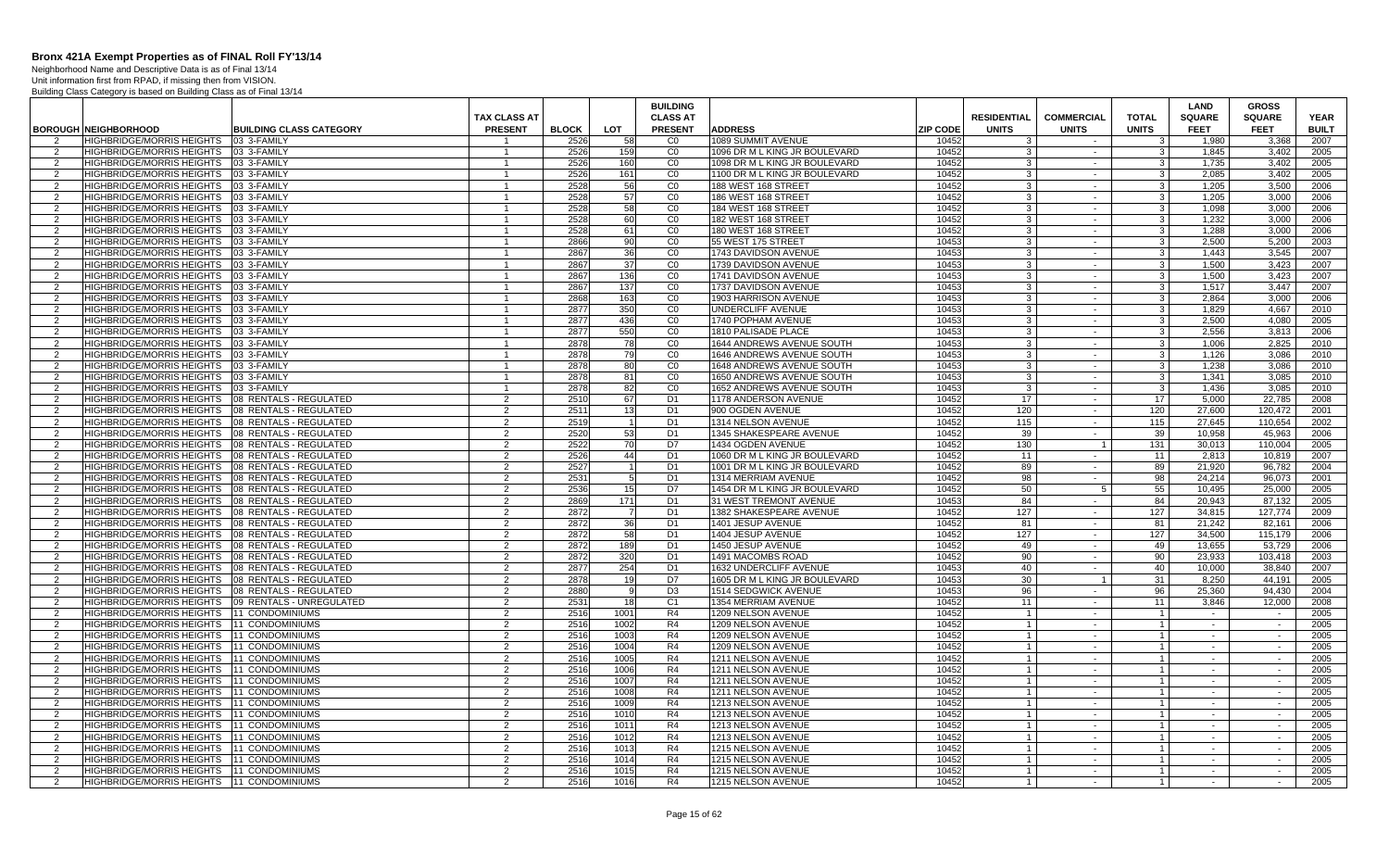Neighborhood Name and Descriptive Data is as of Final 13/14

|                |                                                  |                                |                |              |                | <b>BUILDING</b> |                               |                 |                    |                   |                | LAND          | <b>GROSS</b>  |              |
|----------------|--------------------------------------------------|--------------------------------|----------------|--------------|----------------|-----------------|-------------------------------|-----------------|--------------------|-------------------|----------------|---------------|---------------|--------------|
|                |                                                  |                                | TAX CLASS AT   |              |                | <b>CLASS AT</b> |                               |                 | <b>RESIDENTIAL</b> | <b>COMMERCIAL</b> | <b>TOTAL</b>   | <b>SQUARE</b> | <b>SQUARE</b> | <b>YEAR</b>  |
|                | <b>BOROUGH NEIGHBORHOOD</b>                      | <b>BUILDING CLASS CATEGORY</b> | <b>PRESENT</b> | <b>BLOCK</b> | LOT            | <b>PRESENT</b>  | <b>ADDRESS</b>                | <b>ZIP CODE</b> | <b>UNITS</b>       | <b>UNITS</b>      | <b>UNITS</b>   | <b>FEET</b>   | <b>FEET</b>   | <b>BUILT</b> |
| 2              | <b>HIGHBRIDGE/MORRIS HEIGHTS</b>                 | 03 3-FAMILY                    | -1             | 2526         | 58             | C <sub>0</sub>  | 1089 SUMMIT AVENUE            | 10452           | -3                 | $\sim$            | 3              | 1,980         | 3.368         | 2007         |
| 2              | <b>HIGHBRIDGE/MORRIS HEIGHTS</b>                 | 03 3-FAMILY                    | $\mathbf{1}$   | 2526         | 159            | CO              | 1096 DR M L KING JR BOULEVARD | 10452           | -3                 | $\sim$            | $\mathbf{3}$   | 1,845         | 3,402         | 2005         |
| 2              | HIGHBRIDGE/MORRIS HEIGHTS                        | 03 3-FAMILY                    | $\mathbf{1}$   | 2526         | 160            | CO              | 1098 DR M L KING JR BOULEVARD | 10452           | 3                  | $\sim$            | $\mathbf{3}$   | 1.735         | 3.402         | 2005         |
| $\mathcal{P}$  | <b>HIGHBRIDGE/MORRIS HEIGHTS</b>                 | 03 3-FAMILY                    | $\overline{1}$ | 2526         | 161            | CO              | 1100 DR M L KING JR BOULEVARD | 10452           | $\mathbf{3}$       | $\sim$            | 3 <sup>1</sup> | 2,085         | 3,402         | 2005         |
| $\overline{2}$ | HIGHBRIDGE/MORRIS HEIGHTS                        | 03 3-FAMILY                    | $\mathbf{1}$   | 2528         | 56             | CO              | 188 WEST 168 STREET           | 10452           | $\mathbf{3}$       | $\sim$            | $\mathbf{3}$   | 1.205         | 3,500         | 2006         |
| 2              | <b>HIGHBRIDGE/MORRIS HEIGHTS</b>                 | 03 3-FAMILY                    | $\mathbf{1}$   | 2528         | 57             | CO              | 186 WEST 168 STREET           | 10452           | $\mathbf{3}$       | $\sim$            | $\overline{3}$ | 1.205         | 3.000         | 2006         |
| 2              | HIGHBRIDGE/MORRIS HEIGHTS                        | 03 3-FAMILY                    | $\mathbf{1}$   | 2528         | 58             | CO              | 184 WEST 168 STREET           | 10452           | 3                  | $\sim$            | $\overline{3}$ | 1.098         | 3.000         | 2006         |
| 2              | HIGHBRIDGE/MORRIS HEIGHTS                        | 03 3-FAMILY                    | $\mathbf{1}$   | 2528         | 60             | CO              | 182 WEST 168 STREET           | 10452           | $\mathbf{3}$       | $\sim$            | 3 <sup>1</sup> | 1,232         | 3,000         | 2006         |
| $\overline{2}$ | HIGHBRIDGE/MORRIS HEIGHTS                        | 03 3-FAMILY                    | $\overline{1}$ | 2528         | 61             | CO              | 180 WEST 168 STREET           | 10452           | $\mathbf{3}$       | $\sim$            | $\mathbf{3}$   | 1.288         | 3.000         | 2006         |
| 2              | <b>HIGHBRIDGE/MORRIS HEIGHTS</b>                 | 03 3-FAMILY                    | $\overline{1}$ | 2866         | 90             | CO              | 55 WEST 175 STREET            | 10453           | -3                 | $\sim$            | $\mathbf{3}$   | 2.500         | 5.200         | 2003         |
| 2              | HIGHBRIDGE/MORRIS HEIGHTS                        | 03 3-FAMILY                    | $\mathbf{1}$   | 2867         | 36             | CO              | 1743 DAVIDSON AVENUE          | 10453           | 3                  | $\sim$            | 3 <sup>1</sup> | 1.443         | 3.545         | 2007         |
| 2              | HIGHBRIDGE/MORRIS HEIGHTS 03 3-FAMILY            |                                | $\overline{1}$ | 2867         | 37             | CO              | 1739 DAVIDSON AVENUE          | 10453           | $\cdot$ 3          | $\sim$            | $\mathbf{3}$   | 1,500         | 3,423         | 2007         |
| 2              | HIGHBRIDGE/MORRIS HEIGHTS                        | 03 3-FAMILY                    | $\mathbf{1}$   | 2867         | 136            | CO              | 1741 DAVIDSON AVENUE          | 10453           | $\overline{3}$     | $\sim$            | 3 <sup>1</sup> | 1,500         | 3.423         | 2007         |
| 2              | HIGHBRIDGE/MORRIS HEIGHTS 03 3-FAMILY            |                                | $\overline{1}$ | 2867         | 137            | CO              | 1737 DAVIDSON AVENUE          | 10453           | 3                  | $\sim$            | 3 <sup>1</sup> | 1.517         | 3.447         | 2007         |
| 2              | <b>HIGHBRIDGE/MORRIS HEIGHTS</b>                 | 03 3-FAMILY                    | $\mathbf{1}$   | 2868         | 163            | CO              | 1903 HARRISON AVENUE          | 10453           | 3                  | $\sim$            | - 3 I          | 2.864         | 3.000         | 2006         |
| 2              | HIGHBRIDGE/MORRIS HEIGHTS                        | 03 3-FAMILY                    | $\mathbf{1}$   | 2877         | 350            | $\overline{C}0$ | UNDERCLIFF AVENUE             | 10453           | $\mathbf{3}$       | $\sim$            | $\mathbf{3}$   | 1,829         | 4,667         | 2010         |
| 2              | HIGHBRIDGE/MORRIS HEIGHTS                        | 03 3-FAMILY                    | $\mathbf{1}$   | 2877         | 436            | $\overline{c}$  | 1740 POPHAM AVENUE            | 10453           | 3                  | $\sim$            | 3 <sup>1</sup> | 2.500         | 4.080         | 2005         |
| $\overline{2}$ | <b>HIGHBRIDGE/MORRIS HEIGHTS</b>                 | 03 3-FAMILY                    | $\overline{1}$ | 2877         | 550            | CO              | 1810 PALISADE PLACE           | 10453           | 3                  | $\sim$            | $\mathbf{3}$   | 2.556         | 3.813         | 2006         |
| 2              | HIGHBRIDGE/MORRIS HEIGHTS                        | 03 3-FAMILY                    | -1             | 2878         | 78             | CO              | 1644 ANDREWS AVENUE SOUTH     | 10453           | 3                  | $\sim$            | 3              | 1.006         | 2,825         | 2010         |
| $\overline{2}$ | HIGHBRIDGE/MORRIS HEIGHTS                        | 03 3-FAMILY                    | $\overline{1}$ | 2878         | 79             | CO              | 1646 ANDREWS AVENUE SOUTH     | 10453           | $\mathbf{3}$       | $\sim$            | $\mathbf{3}$   | 1,126         | 3,086         | 2010         |
| $\overline{2}$ | HIGHBRIDGE/MORRIS HEIGHTS 03 3-FAMILY            |                                | $\mathbf{1}$   | 2878         | 80             | CO              | 1648 ANDREWS AVENUE SOUTH     | 10453           | 3                  | $\sim$            | $\mathbf{3}$   | 1.238         | 3.086         | 2010         |
| 2              | <b>HIGHBRIDGE/MORRIS HEIGHTS</b>                 | 03 3-FAMILY                    | $\overline{1}$ | 2878         | 81             | CO              | 1650 ANDREWS AVENUE SOUTH     | 10453           | $\mathbf{3}$       | $\sim$            | 3 <sup>1</sup> | 1.341         | 3.085         | 2010         |
| 2              | <b>HIGHBRIDGE/MORRIS HEIGHTS</b>                 | 03 3-FAMILY                    | $\overline{1}$ | 2878         | 82             | CO              | 1652 ANDREWS AVENUE SOUTH     | 10453           | 3                  | $\sim$            | -3 I           | 1.436         | 3.085         | 2010         |
| 2              | <b>HIGHBRIDGE/MORRIS HEIGHTS</b>                 | 08 RENTALS - REGULATED         | 2              | 2510         | 67             | D <sub>1</sub>  | 1178 ANDERSON AVENUE          | 10452           | 17                 | $\sim$            | 17             | 5,000         | 22,785        | 2008         |
| $\overline{2}$ | HIGHBRIDGE/MORRIS HEIGHTS                        | 08 RENTALS - REGULATED         | $\overline{2}$ | 2511         | 13             | D1              | 900 OGDEN AVENUE              | 10452           | 120                | $\sim$            | 120            | 27,600        | 120,472       | 2001         |
| 2              | HIGHBRIDGE/MORRIS HEIGHTS                        | 08 RENTALS - REGULATED         | $\overline{2}$ | 2519         |                | D <sub>1</sub>  | 1314 NELSON AVENUE            | 10452           | 115                | $\sim$            | 115            | 27.645        | 110.654       | 2002         |
| 2              | HIGHBRIDGE/MORRIS HEIGHTS                        | 08 RENTALS - REGULATED         | 2              | 2520         | 53             | D <sub>1</sub>  | 1345 SHAKESPEARE AVENUE       | 10452           | 39                 | $\sim$            | 39             | 10.958        | 45.963        | 2006         |
| 2              | HIGHBRIDGE/MORRIS HEIGHTS                        | 08 RENTALS - REGULATED         | 2              | 2522         | 70             | D7              | 1434 OGDEN AVENUE             | 10452           | 130                | $\overline{1}$    | 131            | 30,013        | 110,004       | 2005         |
| $\overline{2}$ | HIGHBRIDGE/MORRIS HEIGHTS                        | 08 RENTALS - REGULATED         | 2              | 2526         | 44             | D <sub>1</sub>  | 1060 DR M L KING JR BOULEVARD | 10452           | 11                 | $\sim$            | 11             | 2,813         | 10,819        | 2007         |
| $\overline{2}$ | HIGHBRIDGE/MORRIS HEIGHTS 08 RENTALS - REGULATED |                                | $\overline{2}$ | 2527         |                | D <sub>1</sub>  | 1001 DR M L KING JR BOULEVARD | 10452           | 89                 | $\sim$            | 89             | 21,920        | 96,782        | 2004         |
| 2              | HIGHBRIDGE/MORRIS HEIGHTS 08 RENTALS - REGULATED |                                | 2              | 2531         | 5 <sup>1</sup> | D <sub>1</sub>  | 1314 MERRIAM AVENUE           | 10452           | 98                 | $\sim$            | 98             | 24.214        | 96.073        | 2001         |
| 2              | HIGHBRIDGE/MORRIS HEIGHTS 08 RENTALS - REGULATED |                                | $\overline{2}$ | 2536         | 15             | D7              | 1454 DR M L KING JR BOULEVARD | 10452           | 50                 | 5                 | 55             | 10.495        | 25.000        | 2005         |
| 2              | HIGHBRIDGE/MORRIS HEIGHTS                        | 08 RENTALS - REGULATED         | $\overline{2}$ | 2869         | 171            | D <sub>1</sub>  | 31 WEST TREMONT AVENUE        | 10453           | 84                 | $\sim$            | 84             | 20,943        | 87,132        | 2005         |
| $\overline{2}$ | HIGHBRIDGE/MORRIS HEIGHTS                        | 08 RENTALS - REGULATED         | $\overline{2}$ | 2872         | 7              | D1              | 1382 SHAKESPEARE AVENUE       | 10452           | 127                | $\sim$            | 127            | 34,815        | 127.774       | 2009         |
| 2              | HIGHBRIDGE/MORRIS HEIGHTS                        | 08 RENTALS - REGULATED         | 2              | 2872         | 36             | D <sub>1</sub>  | 1401 JESUP AVENUE             | 10452           | 81                 | $\sim$            | 81             | 21.242        | 82.161        | 2006         |
| 2              | HIGHBRIDGE/MORRIS HEIGHTS                        | 08 RENTALS - REGULATED         | 2              | 2872         | 58             | D <sub>1</sub>  | 1404 JESUP AVENUE             | 10452           | 127                | $\sim$            | 127            | 34.500        | 115,179       | 2006         |
| 2              | HIGHBRIDGE/MORRIS HEIGHTS 08 RENTALS - REGULATED |                                | 2              | 2872         | 189            | D <sub>1</sub>  | 1450 JESUP AVENUE             | 10452           | 49                 | $\sim$            | 49             | 13,655        | 53,729        | 2006         |
| 2              | HIGHBRIDGE/MORRIS HEIGHTS                        | 08 RENTALS - REGULATED         | 2              | 2872         | 320            | D <sub>1</sub>  | 1491 MACOMBS ROAD             | 10452           | 90                 | $\sim$            | 90             | 23,933        | 103.418       | 2003         |
| 2              | HIGHBRIDGE/MORRIS HEIGHTS 08 RENTALS - REGULATED |                                | 2              | 2877         | 254            | D <sub>1</sub>  | 1632 UNDERCLIFF AVENUE        | 10453           | 40                 | $\sim$            | 40             | 10,000        | 38.840        | 2007         |
| 2              | HIGHBRIDGE/MORRIS HEIGHTS 08 RENTALS - REGULATED |                                | 2              | 2878         | 19             | D <sub>7</sub>  | 1605 DR M L KING JR BOULEVARD | 10453           | 30                 | $\overline{1}$    | 31             | 8.250         | 44.191        | 2005         |
| $\overline{2}$ | HIGHBRIDGE/MORRIS HEIGHTS                        | 08 RENTALS - REGULATED         | $\overline{2}$ | 2880         |                | D <sub>3</sub>  | 1514 SEDGWICK AVENUE          | 10453           | 96                 |                   | 96             | 25,360        | 94,430        | 2004         |
| 2              | HIGHBRIDGE/MORRIS HEIGHTS                        | 09 RENTALS - UNREGULATED       | 2              | 253'         | 18             | C <sub>1</sub>  | 1354 MERRIAM AVENUE           | 10452           | 11                 | $\sim$            | 11             | 3.846         | 12,000        | 2008         |
| $\overline{2}$ | HIGHBRIDGE/MORRIS HEIGHTS                        | 11 CONDOMINIUMS                | 2              | 2516         | 1001           | R4              | 1209 NELSON AVENUE            | 10452           | $\overline{1}$     | $\sim$            | $\overline{1}$ | $\sim$        | $\sim$        | 2005         |
| 2              | HIGHBRIDGE/MORRIS HEIGHTS                        | <b>11 CONDOMINIUMS</b>         | 2              | 2516         | 1002           | R4              | 1209 NELSON AVENUE            | 10452           | $\overline{1}$     | $\sim$            | $\overline{1}$ | $\sim$        | $\sim$        | 2005         |
| $\mathcal{P}$  | HIGHBRIDGE/MORRIS HEIGHTS                        | 11 CONDOMINIUMS                | 2              | 2516         | 1003           | R4              | 1209 NELSON AVENUE            | 10452           | $\overline{1}$     | $\sim$            | $\mathbf{1}$   | $\sim$        | $\sim$        | 2005         |
| $\overline{2}$ | HIGHBRIDGE/MORRIS HEIGHTS   11 CONDOMINIUMS      |                                | 2              | 2516         | 1004           | R4              | 1209 NELSON AVENUE            | 10452           | $\overline{1}$     | $\sim$            | $\overline{1}$ | $\sim$        | $\sim$        | 2005         |
| 2              | <b>HIGHBRIDGE/MORRIS HEIGHTS</b>                 | <b>11 CONDOMINIUMS</b>         | 2              | 2516         | 1005           | R4              | 1211 NELSON AVENUE            | 10452           | $\overline{1}$     | $\sim$            | $\overline{1}$ | $\sim$        | $\sim$        | 2005         |
| 2              | HIGHBRIDGE/MORRIS HEIGHTS 11 CONDOMINIUMS        |                                | 2              | 2516         | 1006           | R4              | 1211 NELSON AVENUE            | 10452           | $\overline{1}$     | $\sim$            | $\mathbf{1}$   | $\sim$        | $\sim$        | 2005         |
| 2              | HIGHBRIDGE/MORRIS HEIGHTS                        | 11 CONDOMINIUMS                | $\overline{2}$ | 2516         | 1007           | R4              | 1211 NELSON AVENUE            | 10452           | $\overline{1}$     | $\sim$            | $\mathbf{1}$   | $\sim$        | $\sim$        | 2005         |
| $\overline{2}$ | HIGHBRIDGE/MORRIS HEIGHTS                        | 11 CONDOMINIUMS                | 2              | 2516         | 1008           | R4              | 1211 NELSON AVENUE            | 10452           | $\overline{1}$     | $\sim$            | $\overline{1}$ | $\sim$        | $\sim$        | 2005         |
| 2              | <b>HIGHBRIDGE/MORRIS HEIGHTS</b>                 | <b>11 CONDOMINIUMS</b>         | 2              | 2516         | 1009           | R4              | 1213 NELSON AVENUE            | 10452           | $\overline{1}$     | $\sim$            | $\overline{1}$ | $\sim$        | $\sim$        | 2005         |
| 2              | HIGHBRIDGE/MORRIS HEIGHTS                        | 11 CONDOMINIUMS                | 2              | 2516         | 1010           | R4              | 1213 NELSON AVENUE            | 10452           | $\overline{1}$     | $\sim$            | $\overline{1}$ | $\sim$        | $\sim$        | 2005         |
| 2              | HIGHBRIDGE/MORRIS HEIGHTS 11 CONDOMINIUMS        |                                | 2              | 2516         | 1011           | R4              | 1213 NELSON AVENUE            | 10452           | $\overline{1}$     | $\sim$            | $\overline{1}$ | $\sim$        | $\sim$        | 2005         |
| 2              | HIGHBRIDGE/MORRIS HEIGHTS                        | 11 CONDOMINIUMS                | $\overline{2}$ | 2516         | 1012           | R4              | 1213 NELSON AVENUE            | 10452           | $\overline{1}$     | $\sim$            | $\mathbf{1}$   | $\sim$        | $\sim$        | 2005         |
| 2              | HIGHBRIDGE/MORRIS HEIGHTS   11 CONDOMINIUMS      |                                | 2              | 2516         | 1013           | R4              | 1215 NELSON AVENUE            | 10452           | $\overline{1}$     | $\sim$            | $\overline{1}$ | $\sim$        | $\sim$        | 2005         |
| $\mathcal{P}$  | <b>HIGHBRIDGE/MORRIS HEIGHTS</b>                 | <b>11 CONDOMINIUMS</b>         | 2              | 2516         | 1014           | R4              | 1215 NELSON AVENUE            | 10452           | $\overline{1}$     | $\sim$            | $\overline{1}$ | $\sim$        | $\sim$ $\sim$ | 2005         |
| 2              | HIGHBRIDGE/MORRIS HEIGHTS   11 CONDOMINIUMS      |                                | $\overline{2}$ | 2516         | 1015           | R <sub>4</sub>  | 1215 NELSON AVENUE            | 10452           | $\overline{1}$     | $\sim$            | $\overline{1}$ | $\sim$        |               | 2005         |
| 2              | HIGHBRIDGE/MORRIS HEIGHTS   11 CONDOMINIUMS      |                                | 2              | 2516         | 1016           | R <sub>4</sub>  | 1215 NELSON AVENUE            | 10452           | $\overline{1}$     | $\sim$            | $\mathbf{1}$   | $\sim$        | $\sim$        | 2005         |
|                |                                                  |                                |                |              |                |                 |                               |                 |                    |                   |                |               |               |              |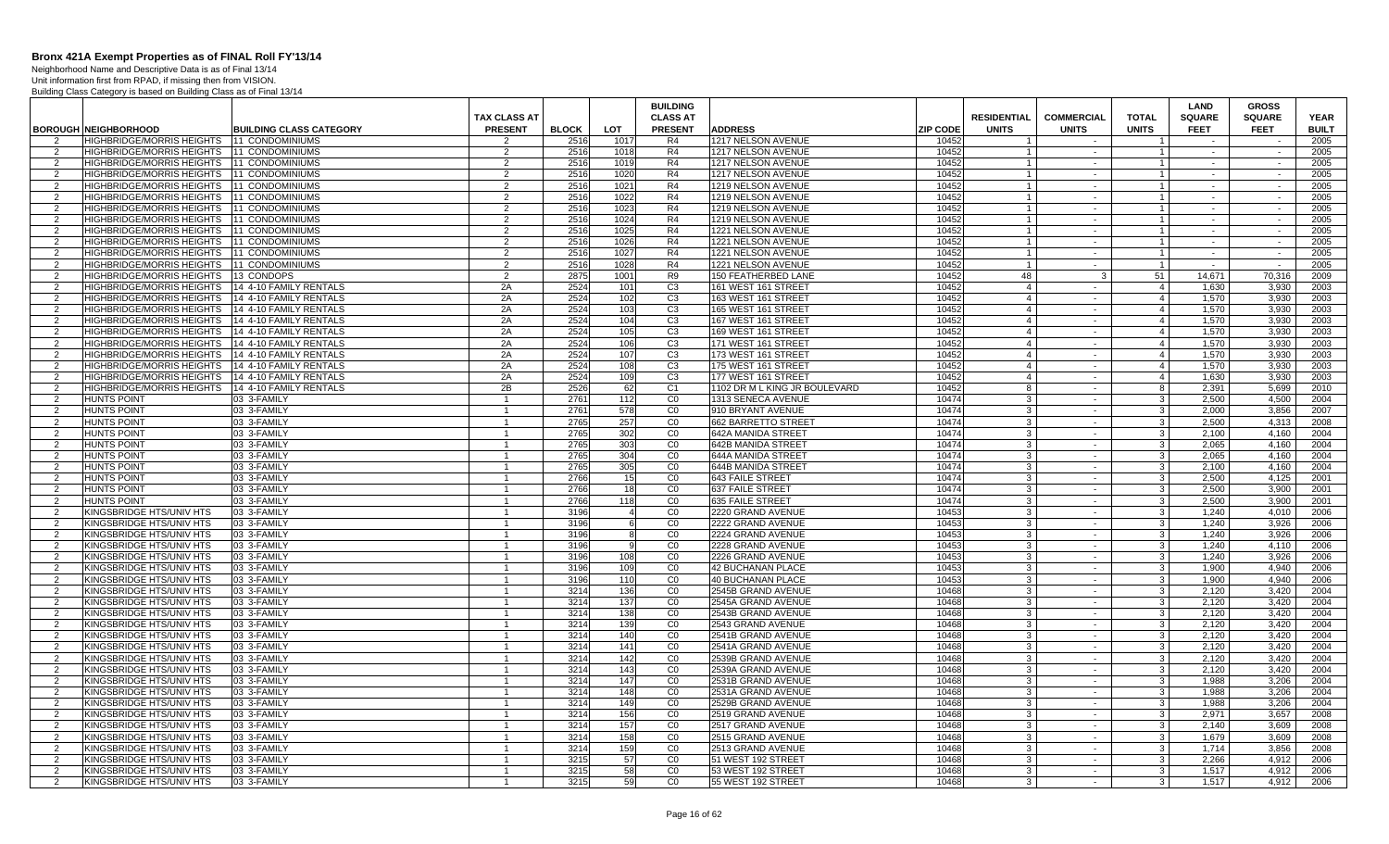Neighborhood Name and Descriptive Data is as of Final 13/14 Unit information first from RPAD, if missing then from VISION.

|                     |                                                      |                                | <b>TAX CLASS AT</b> |              |                  | <b>BUILDING</b><br><b>CLASS AT</b> |                                         |                 | <b>RESIDENTIAL</b>      | <b>COMMERCIAL</b> | <b>TOTAL</b>        | <b>LAND</b><br><b>SQUARE</b> | <b>GROSS</b><br><b>SQUARE</b> | <b>YEAR</b>  |
|---------------------|------------------------------------------------------|--------------------------------|---------------------|--------------|------------------|------------------------------------|-----------------------------------------|-----------------|-------------------------|-------------------|---------------------|------------------------------|-------------------------------|--------------|
|                     | <b>BOROUGH NEIGHBORHOOD</b>                          | <b>BUILDING CLASS CATEGORY</b> | <b>PRESENT</b>      | <b>BLOCK</b> | <b>LOT</b>       | <b>PRESENT</b>                     | <b>ADDRESS</b>                          | <b>ZIP CODE</b> | <b>UNITS</b>            | <b>UNITS</b>      | <b>UNITS</b>        | <b>FEET</b>                  | <b>FEET</b>                   | <b>BUILT</b> |
|                     | HIGHBRIDGE/MORRIS HEIGHTS   11 CONDOMINIUMS          |                                | 2                   | 2516         | 1017             | R4                                 | 1217 NELSON AVENUE                      | 10452           |                         |                   |                     |                              |                               | 2005         |
| 2                   | HIGHBRIDGE/MORRIS HEIGHTS 11 CONDOMINIUMS            |                                | 2                   | 2516         | 1018             | R4                                 | 1217 NELSON AVENUE                      | 10452           | $\overline{1}$          | $\sim$            | $\overline{1}$      | $\sim$                       | $\sim$                        | 2005         |
| 2                   | HIGHBRIDGE/MORRIS HEIGHTS 11 CONDOMINIUMS            |                                | 2                   | 2516         | 1019             | R4                                 | 1217 NELSON AVENUE                      | 10452           | $\overline{1}$          | $\sim$            | $\mathbf{1}$        | $\sim$                       | $\sim$                        | 2005         |
| 2                   | HIGHBRIDGE/MORRIS HEIGHTS   11 CONDOMINIUMS          |                                | 2                   | 2516         | 1020             | R4                                 | 1217 NELSON AVENUE                      | 10452           |                         | $\sim$            | $\overline{1}$      | $\sim$                       | $\sim$                        | 2005         |
| 2                   | HIGHBRIDGE/MORRIS HEIGHTS   11 CONDOMINIUMS          |                                | $\overline{2}$      | 2516         | 1021             | R4                                 | 1219 NELSON AVENUE                      | 10452           | $\overline{1}$          | $\sim$            | $\overline{1}$      | $\sim$                       | $\sim$                        | 2005         |
| 2                   | HIGHBRIDGE/MORRIS HEIGHTS 111 CONDOMINIUMS           |                                | 2                   | 2516         | 1022             | R4                                 | 1219 NELSON AVENUE                      | 10452           | $\overline{1}$          | $\sim$            | $\mathbf{1}$        | $\sim$                       | $\sim$                        | 2005         |
| $\overline{2}$      | HIGHBRIDGE/MORRIS HEIGHTS   11 CONDOMINIUMS          |                                | $\overline{2}$      | 2516         | 1023             | R4                                 | 1219 NELSON AVENUE                      | 10452           | $\overline{1}$          | $\sim$            | $\overline{1}$      | $\sim$                       | $\sim$                        | 2005         |
| 2                   | HIGHBRIDGE/MORRIS HEIGHTS 11 CONDOMINIUMS            |                                | $\overline{2}$      | 2516         | 1024             | R4                                 | 1219 NELSON AVENUE                      | 10452           |                         | $\sim$            | $\overline{1}$      |                              |                               | 2005         |
| 2                   | <b>HIGHBRIDGE/MORRIS HEIGHTS</b>                     | <b>11 CONDOMINIUMS</b>         | 2                   | 2516         | 1025             | R4                                 | 1221 NELSON AVENUE                      | 10452           | $\overline{\mathbf{1}}$ | $\sim$            | $\overline{1}$      | $\sim$                       | $\sim$                        | 2005         |
| 2                   | HIGHBRIDGE/MORRIS HEIGHTS   11 CONDOMINIUMS          |                                | $\overline{2}$      | 2516         | 1026             | R <sub>4</sub>                     | 1221 NELSON AVENUE                      | 10452           |                         | $\sim$            | $\overline{1}$      | $\sim$                       | $\sim$                        | 2005         |
| 2                   | HIGHBRIDGE/MORRIS HEIGHTS   11 CONDOMINIUMS          |                                | $\overline{2}$      | 2516         | 1027             | R4                                 | 1221 NELSON AVENUE                      | 10452           | $\overline{1}$          | $\sim$            | $\overline{1}$      | $\sim$                       | $\sim$                        | 2005         |
| 2                   | HIGHBRIDGE/MORRIS HEIGHTS   11 CONDOMINIUMS          |                                | 2                   | 2516         | 1028             | R4                                 | 1221 NELSON AVENUE                      | 10452           | $\overline{1}$          | $\sim$            | $\overline{1}$      | $\sim$                       | $\sim$                        | 2005         |
| 2                   | HIGHBRIDGE/MORRIS HEIGHTS 113 CONDOPS                |                                | $\overline{2}$      | 2875         | 1001             | R <sub>9</sub>                     | 150 FEATHERBED LANE                     | 10452           | 48                      | 3                 | 51                  | 14.671                       | 70.316                        | 2009         |
| 2                   | HIGHBRIDGE/MORRIS HEIGHTS 14 4-10 FAMILY RENTALS     |                                | 2A                  | 2524         | 101              | C <sub>3</sub>                     | 161 WEST 161 STREET                     | 10452           | $\overline{4}$          | $\sim$            | $\overline{4}$      | 1,630                        | 3.930                         | 2003         |
| 2                   | HIGHBRIDGE/MORRIS HEIGHTS 14 4-10 FAMILY RENTALS     |                                | 2A                  | 2524         | 102              | C3                                 | 163 WEST 161 STREET                     | 10452           | $\overline{4}$          | $\sim$            | $\overline{4}$      | 1.570                        | 3.930                         | 2003         |
| $\overline{2}$      | HIGHBRIDGE/MORRIS HEIGHTS   14 4-10 FAMILY RENTALS   |                                | 2A                  | 2524         | 103              | C <sub>3</sub>                     | 165 WEST 161 STREET                     | 10452           | $\overline{4}$          | $\sim$            | $\overline{4}$      | 1,570                        | 3,930                         | 2003         |
| 2                   | HIGHBRIDGE/MORRIS HEIGHTS   14 4-10 FAMILY RENTALS   |                                | 2A                  | 2524         | 104              | C <sub>3</sub>                     | 167 WEST 161 STREET                     | 10452           | $\overline{4}$          | $\sim$            | $\overline{4}$      | 1,570                        | 3.930                         | 2003         |
| 2                   | HIGHBRIDGE/MORRIS HEIGHTS                            | 14 4-10 FAMILY RENTALS         | 2A                  | 2524         | 105              | C <sub>3</sub>                     | 169 WEST 161 STREET                     | 10452           | $\overline{4}$          | $\sim$            | $\overline{4}$      | 1.570                        | 3.930                         | 2003         |
| 2                   | HIGHBRIDGE/MORRIS HEIGHTS   14 4-10 FAMILY RENTALS   |                                | 2A                  | 2524         | 106              | C <sub>3</sub>                     | 171 WEST 161 STREET                     | 10452           | $\overline{4}$          | $\sim$            | $\overline{4}$      | 1,570                        | 3.930                         | 2003         |
| 2                   | HIGHBRIDGE/MORRIS HEIGHTS   14 4-10 FAMILY RENTALS   |                                | 2A                  | 2524         | 107              | C <sub>3</sub>                     | 173 WEST 161 STREET                     | 10452           | $\overline{4}$          | $\sim$            | $\overline{4}$      | 1,570                        | 3,930                         | 2003         |
| 2                   | HIGHBRIDGE/MORRIS HEIGHTS   14 4-10 FAMILY RENTALS   |                                | 2A                  | 2524         | 108              | C <sub>3</sub>                     | 175 WEST 161 STREET                     | 10452           | $\overline{4}$          | $\sim$            | $\overline{4}$      | 1,570                        | 3,930                         | 2003         |
| 2                   | HIGHBRIDGE/MORRIS HEIGHTS 14 4-10 FAMILY RENTALS     |                                | 2A                  | 2524         | 109              | C <sub>3</sub>                     | 177 WEST 161 STREET                     | 10452           | $\overline{4}$          | $\sim$            | $\overline{4}$      | 1,630                        | 3.930                         | 2003         |
| 2                   | HIGHBRIDGE/MORRIS HEIGHTS 14 4-10 FAMILY RENTALS     |                                | 2B                  | 2526         | <b>621</b>       | C <sub>1</sub>                     | 1102 DR M L KING JR BOULEVARD           | 10452           | 8                       | $\sim$            | 8                   | 2.391                        | 5.699                         | 2010         |
| 2                   | <b>HUNTS POINT</b>                                   | 03 3-FAMILY                    |                     | 2761         | $\overline{112}$ | CO                                 | 1313 SENECA AVENUE                      | 10474           | $\mathbf{3}$            | $\sim$            | $\overline{3}$      | 2,500                        | 4,500                         | 2004         |
| $\overline{2}$      | <b>HUNTS POINT</b>                                   | 03 3-FAMILY                    | $\mathbf{1}$        | 2761         | 578              | CO                                 | 910 BRYANT AVENUE                       | 10474           | 3                       | $\sim$            | $\mathbf{3}$        | 2,000                        | 3,856                         | 2007         |
| 2                   | <b>HUNTS POINT</b>                                   | 03 3-FAMILY                    |                     | 2765         | 257              | CO                                 | 662 BARRETTO STREET                     | 10474           | 3                       | $\sim$            | $\mathbf{3}$        | 2.500                        | 4.313                         | 2008         |
| 2                   | <b>HUNTS POINT</b>                                   | 03 3-FAMILY                    |                     | 2765         | 302              | CO                                 | 642A MANIDA STREET                      | 10474           | 3                       | $\sim$            | 3                   | 2.100                        | 4.160                         | 2004         |
| 2                   | <b>HUNTS POINT</b>                                   | 03 3-FAMILY                    |                     | 2765         | 303              | CO                                 | 642B MANIDA STREET                      | 10474           | $\mathbf{3}$            | $\sim$            | $\mathbf{3}$        | 2,065                        | 4.160                         | 2004         |
| 2                   | <b>HUNTS POINT</b>                                   | 03 3-FAMILY                    |                     | 2765         | 304              | CO                                 | 644A MANIDA STREET                      | 10474           | 3                       | $\sim$            | $\mathbf{3}$        | 2,065                        | 4,160                         | 2004         |
| 2                   | <b>HUNTS POINT</b>                                   | 03 3-FAMILY                    | $\mathbf{1}$        | 2765         | 305              | CO                                 | 644B MANIDA STREET                      | 10474           | 3                       | $\sim$            | $\mathbf{3}$        | 2,100                        | 4,160                         | 2004         |
| 2                   | <b>HUNTS POINT</b>                                   | 03 3-FAMILY                    |                     | 2766         | 15               | CO                                 | <b>643 FAILE STREET</b>                 | 10474           | 3                       | $\sim$            | 3                   | 2.500                        | 4,125                         | 2001         |
| 2                   | <b>HUNTS POINT</b>                                   | 03 3-FAMILY                    | $\mathbf{1}$        | 2766         | 18               | CO                                 | 637 FAILE STREET                        | 10474           | 3                       | $\sim$            | $\mathbf{3}$        | 2.500                        | 3.900                         | 2001         |
| 2                   | <b>HUNTS POINT</b>                                   | 03 3-FAMILY                    |                     | 2766         | 118              | CO                                 | 635 FAILE STREET                        | 10474           | 3                       | $\sim$            | $\overline{3}$      | 2,500                        | 3,900                         | 2001         |
| 2                   | KINGSBRIDGE HTS/UNIV HTS                             | 03 3-FAMILY                    | $\mathbf{1}$        | 3196         | $\overline{4}$   | CO                                 | 2220 GRAND AVENUE                       | 10453           | 3                       | $\sim$            | $\mathbf{3}$        | 1,240                        | 4,010                         | 2006         |
| 2                   | KINGSBRIDGE HTS/UNIV HTS                             | 03 3-FAMILY                    |                     | 3196         |                  | $\overline{C}$                     | 2222 GRAND AVENUE                       | 10453           | 3                       | $\sim$            | 3                   | 1.240                        | 3.926                         | 2006         |
| 2                   | KINGSBRIDGE HTS/UNIV HTS                             | 03 3-FAMILY                    |                     | 3196         | 8                | CO                                 | 2224 GRAND AVENUE                       | 10453           | 3                       | $\sim$            | 3                   | 1.240                        | 3.926                         | 2006         |
| $\overline{2}$      | KINGSBRIDGE HTS/UNIV HTS                             | 03 3-FAMILY                    |                     | 3196         | 9                | CO                                 | 2228 GRAND AVENUE                       | 10453           | $\mathbf{3}$            | $\sim$            | $\mathbf{3}$        | 1,240                        | 4,110                         | 2006         |
| 2                   | KINGSBRIDGE HTS/UNIV HTS                             | 03 3-FAMILY                    |                     | 3196         | 108              | CO                                 | 2226 GRAND AVENUE                       | 10453           | 3                       | $\sim$            | $\overline{3}$      | 1,240                        | 3,926                         | 2006         |
| 2                   | KINGSBRIDGE HTS/UNIV HTS                             | 03 3-FAMILY                    | $\mathbf{1}$        | 3196         | 109              | CO                                 | <b>42 BUCHANAN PLACE</b>                | 10453           | 3                       | $\sim$            | $\mathbf{3}$        | 1.900                        | 4.940                         | 2006         |
| 2                   | KINGSBRIDGE HTS/UNIV HTS                             | 03 3-FAMILY                    |                     | 3196         | 110              | CO                                 | <b>40 BUCHANAN PLACE</b>                | 10453           | 3                       | $\sim$            | $\mathbf{3}$        | 1.900                        | 4.940                         | 2006         |
| 2                   | KINGSBRIDGE HTS/UNIV HTS                             | 03 3-FAMILY                    | $\mathbf{1}$        | 3214         | 136              | CO                                 | 2545B GRAND AVENUE                      | 10468           | 3                       | $\sim$            | $\mathbf{3}$        | 2.120                        | 3.420                         | 2004         |
| $\overline{2}$      | KINGSBRIDGE HTS/UNIV HTS                             | 03 3-FAMILY                    |                     | 3214         | 137              | CO                                 | 2545A GRAND AVENUE                      | 10468           | 3                       | $\sim$            | 3                   | 2,120                        | 3,420                         | 2004         |
| 2                   | KINGSBRIDGE HTS/UNIV HTS                             | 03 3-FAMILY                    | $\mathbf{1}$        | 3214         | 138              | CO                                 | 2543B GRAND AVENUE                      | 10468           | 3                       | $\sim$            | 3                   | 2,120                        | 3,420                         | 2004         |
| 2                   | KINGSBRIDGE HTS/UNIV HTS                             | 03 3-FAMILY                    |                     | 3214         | 139              | CO                                 | 2543 GRAND AVENUE                       | 10468           | 3                       | $\sim$            | 3                   | 2,120                        | 3,420                         | 2004         |
| 2                   | KINGSBRIDGE HTS/UNIV HTS                             | 03 3-FAMILY                    |                     | 3214         | 140              | CO                                 | 2541B GRAND AVENUE                      | 10468           | 3                       | $\sim$            | $\mathbf{3}$        | 2.120                        | 3.420                         | 2004         |
| 2                   | KINGSBRIDGE HTS/UNIV HTS                             | 03 3-FAMILY                    |                     | 3214         | 141              | CO                                 | 2541A GRAND AVENUE                      | 10468           | 3                       | $\sim$            | $\mathbf{3}$        | 2,120                        | 3,420                         | 2004         |
| 2                   | KINGSBRIDGE HTS/UNIV HTS                             | 03 3-FAMILY                    |                     | 3214         | 142              | CO                                 | 2539B GRAND AVENUE                      | 10468           | 3                       | $\sim$            | $\mathbf{3}$        | 2,120                        | 3,420                         | 2004         |
| 2                   | KINGSBRIDGE HTS/UNIV HTS                             | 03 3-FAMILY                    | $\mathbf{1}$        | 3214<br>3214 | 143              | CO                                 | 2539A GRAND AVENUE                      | 10468           | $\mathbf{3}$            | $\sim$            | دن                  | 2,120                        | 3.420                         | 2004         |
| 2                   | KINGSBRIDGE HTS/UNIV HTS                             | 03 3-FAMILY                    |                     |              | 147              | CO                                 | 2531B GRAND AVENUE                      | 10468           | 3                       | $\sim$            | $\mathbf{3}$        | 1.988                        | 3.206                         | 2004         |
| $\overline{2}$      | KINGSBRIDGE HTS/UNIV HTS                             | 03 3-FAMILY                    | $\mathbf{1}$        | 3214         | 148              | CO                                 | 2531A GRAND AVENUE                      | 10468           | 3                       | $\sim$            | 3                   | 1,988                        | 3,206                         | 2004         |
| $\overline{2}$      | KINGSBRIDGE HTS/UNIV HTS                             | 03 3-FAMILY<br>03 3-FAMILY     |                     | 3214<br>3214 | 149<br>156       | CO<br>$\overline{C}0$              | 2529B GRAND AVENUE                      | 10468<br>10468  | $\mathbf{3}$            | $\sim$            | 3<br>$\overline{3}$ | 1,988<br>2.971               | 3,206<br>3,657                | 2004<br>2008 |
| 2<br>$\overline{2}$ | KINGSBRIDGE HTS/UNIV HTS                             |                                |                     |              |                  |                                    | 2519 GRAND AVENUE                       | 10468           | 3                       | $\sim$<br>$\sim$  |                     |                              |                               |              |
| $\overline{2}$      | KINGSBRIDGE HTS/UNIV HTS<br>KINGSBRIDGE HTS/UNIV HTS | 03 3-FAMILY<br>03 3-FAMILY     |                     | 3214<br>3214 | 157              | CO<br>CO                           | 2517 GRAND AVENUE<br>2515 GRAND AVENUE  | 10468           | 3                       | $\sim$            | 3<br>$\mathbf{3}$   | 2,140<br>1.679               | 3.609<br>3.609                | 2008<br>2008 |
| 2                   |                                                      | 03 3-FAMILY                    | $\overline{1}$      | 3214         | 158              | CO                                 |                                         | 10468           | $\mathbf{3}$<br>3       | $\sim$            | $\mathbf{3}$        | 1,714                        | 3,856                         | 2008         |
| $\overline{2}$      | KINGSBRIDGE HTS/UNIV HTS<br>KINGSBRIDGE HTS/UNIV HTS | 03 3-FAMILY                    |                     | 3215         | 159<br>57        | CO                                 | 2513 GRAND AVENUE<br>51 WEST 192 STREET | 10468           | 3                       | $\sim$            | $\mathbf{3}$        | 2,266                        | 4.912                         | 2006         |
| 2                   | KINGSBRIDGE HTS/UNIV HTS                             | 03 3-FAMILY                    | $\overline{1}$      | 3215         | 58               | C <sub>0</sub>                     | 53 WEST 192 STREET                      | 10468           | 3                       | $\sim$            | $\mathbf{3}$        | 1.517                        | 4.912                         | 2006         |
| 2                   | KINGSBRIDGE HTS/UNIV HTS                             | 03 3-FAMILY                    |                     | 3215         | 59               | C <sub>0</sub>                     | 55 WEST 192 STREET                      | 10468           | $\mathbf{3}$            | $\sim$            | $\mathbf{3}$        | 1.517                        | 4.912                         | 2006         |
|                     |                                                      |                                |                     |              |                  |                                    |                                         |                 |                         |                   |                     |                              |                               |              |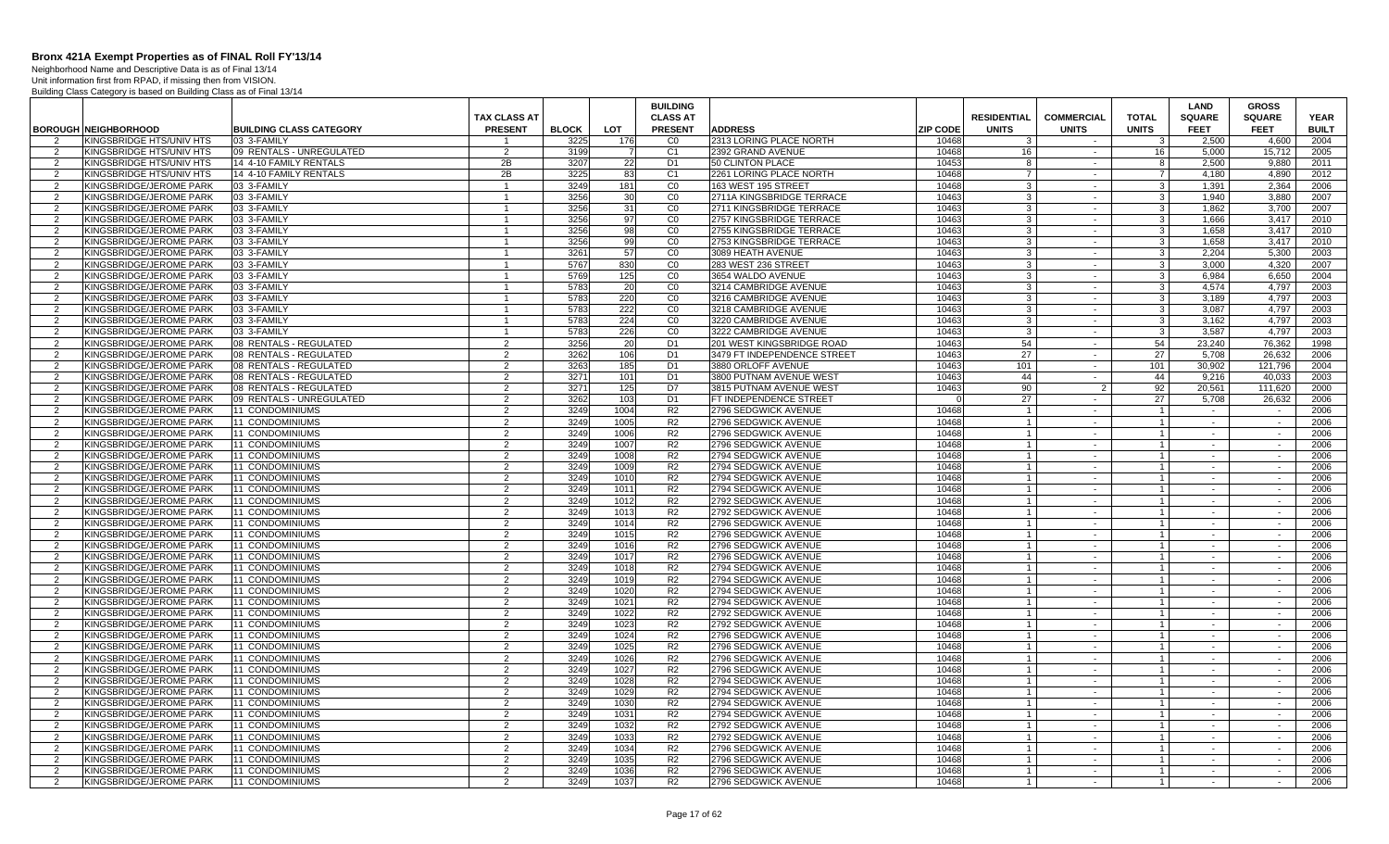Neighborhood Name and Descriptive Data is as of Final 13/14 Unit information first from RPAD, if missing then from VISION.

|                |                             |                                |                     |              |                 | <b>BUILDING</b> |                             |                 |                    |                   |                         | <b>LAND</b>   | <b>GROSS</b>  |              |
|----------------|-----------------------------|--------------------------------|---------------------|--------------|-----------------|-----------------|-----------------------------|-----------------|--------------------|-------------------|-------------------------|---------------|---------------|--------------|
|                |                             |                                | <b>TAX CLASS AT</b> |              |                 | <b>CLASS AT</b> |                             |                 | <b>RESIDENTIAL</b> | <b>COMMERCIAL</b> | <b>TOTAL</b>            | <b>SQUARE</b> | <b>SQUARE</b> | <b>YEAR</b>  |
|                | <b>BOROUGH NEIGHBORHOOD</b> | <b>BUILDING CLASS CATEGORY</b> | <b>PRESENT</b>      | <b>BLOCK</b> | <b>LOT</b>      | <b>PRESENT</b>  | <b>ADDRESS</b>              | <b>ZIP CODE</b> | <b>UNITS</b>       | <b>UNITS</b>      | <b>UNITS</b>            | <b>FEET</b>   | <b>FEET</b>   | <b>BUILT</b> |
| 2              | KINGSBRIDGE HTS/UNIV HTS    | 03 3-FAMILY                    |                     | 3225         | 176             | C <sub>0</sub>  | 2313 LORING PLACE NORTH     | 10468           | -3                 |                   | 3                       | 2.500         | 4.600         | 2004         |
| 2              | KINGSBRIDGE HTS/UNIV HTS    | 09 RENTALS - UNREGULATED       | 2                   | 3199         |                 | C <sub>1</sub>  | 2392 GRAND AVENUE           | 10468           | 16                 | $\sim$            | 16                      | 5.000         | 15.712        | 2005         |
| $\mathcal{P}$  | KINGSBRIDGE HTS/UNIV HTS    | 14 4-10 FAMILY RENTALS         | 2B                  | 3207         | 22              | D <sub>1</sub>  | 50 CLINTON PLACE            | 10453           | 8                  | $\sim$            | 8                       | 2,500         | 9,880         | 2011         |
| $\overline{2}$ | KINGSBRIDGE HTS/UNIV HTS    | 14 4-10 FAMILY RENTALS         | 2B                  | 3225         | 83              | C <sub>1</sub>  | 2261 LORING PLACE NORTH     | 10468           | $\overline{7}$     | $\sim$            | $\overline{7}$          | 4.180         | 4,890         | 2012         |
| 2              |                             | 03 3-FAMILY                    | $\mathbf{1}$        | 3249         |                 | CO              | 163 WEST 195 STREET         | 10468           | $\mathbf{3}$       | $\sim$            | 3 <sup>1</sup>          |               |               | 2006         |
|                | KINGSBRIDGE/JEROME PARK     |                                |                     |              | 181             |                 |                             |                 |                    |                   |                         | 1,391         | 2,364         |              |
| $\mathcal{P}$  | KINGSBRIDGE/JEROME PARK     | 03 3-FAMILY                    | $\mathbf{1}$        | 3256<br>3256 | 30 <sup>1</sup> | C <sub>0</sub>  | 2711A KINGSBRIDGE TERRACE   | 10463           | $\mathbf{3}$       | $\sim$            | $\overline{3}$          | 1.940         | 3.880         | 2007         |
| 2              | KINGSBRIDGE/JEROME PARK     | 03 3-FAMILY                    | $\mathbf{1}$        |              | 31              | CO              | 2711 KINGSBRIDGE TERRACE    | 10463           | $\mathbf{3}$       | $\sim$            | 3 <sup>1</sup>          | 1.862         | 3.700         | 2007         |
| $\overline{2}$ | KINGSBRIDGE/JEROME PARK     | 03 3-FAMILY                    |                     | 3256         | 97              | CO              | 2757 KINGSBRIDGE TERRACE    | 10463           | $\overline{3}$     | $\sim$            | $\mathbf{3}$            | 1,666         | 3,417         | 2010         |
| 2              | KINGSBRIDGE/JEROME PARK     | 03 3-FAMILY                    | $\mathbf{1}$        | 3256         | 98              | CO              | 2755 KINGSBRIDGE TERRACE    | 10463           | -3                 | $\sim$            | $\mathbf{3}$            | 1,658         | 3,417         | 2010         |
| $\overline{2}$ | KINGSBRIDGE/JEROME PARK     | 03 3-FAMILY                    |                     | 3256         | 99              | CO              | 2753 KINGSBRIDGE TERRACE    | 10463           | -3                 | $\sim$            | 3                       | 1.658         | 3,417         | 2010         |
| 2              | KINGSBRIDGE/JEROME PARK     | 03 3-FAMILY                    |                     | 3261         | 57              | CO              | 3089 HEATH AVENUE           | 10463           | -3                 | $\sim$            | $\mathbf{3}$            | 2.204         | 5,300         | 2003         |
| $\mathcal{P}$  | KINGSBRIDGE/JEROME PARK     | 03 3-FAMILY                    | $\overline{1}$      | 5767         | 830             | C <sub>0</sub>  | 283 WEST 236 STREET         | 10463           | 3                  | $\sim$            | 3 <sup>1</sup>          | 3,000         | 4,320         | 2007         |
| 2              | KINGSBRIDGE/JEROME PARK     | 03 3-FAMILY                    |                     | 5769         | 125             | CO              | 3654 WALDO AVENUE           | 10463           | 3                  | $\sim$            | $\mathbf{3}$            | 6.984         | 6,650         | 2004         |
| $\mathcal{P}$  | KINGSBRIDGE/JEROME PARK     | 03 3-FAMILY                    | $\mathbf{1}$        | 5783         | 20              | CO              | 3214 CAMBRIDGE AVENUE       | 10463           | $\mathbf{3}$       | $\sim$            | 3 <sup>1</sup>          | 4.574         | 4.797         | 2003         |
| 2              | KINGSBRIDGE/JEROME PARK     | 03 3-FAMILY                    | $\mathbf{1}$        | 5783         | 220             | CO              | 3216 CAMBRIDGE AVENUE       | 10463           | $\mathbf{3}$       | $\sim$            | 3 <sup>1</sup>          | 3.189         | 4.797         | 2003         |
| 2              | KINGSBRIDGE/JEROME PARK     | 03 3-FAMILY                    | $\mathbf{1}$        | 5783         | 222             | CO              | 3218 CAMBRIDGE AVENUE       | 10463           | $\mathbf{3}$       | $\sim$            | $\overline{\mathbf{3}}$ | 3.087         | 4.797         | 2003         |
| $\overline{2}$ | KINGSBRIDGE/JEROME PARK     | 03 3-FAMILY                    |                     | 5783         | 224             | CO              | 3220 CAMBRIDGE AVENUE       | 10463           | $\overline{3}$     | $\sim$            | 3 <sup>1</sup>          | 3,162         | 4,797         | 2003         |
| 2              | KINGSBRIDGE/JEROME PARK     | 03 3-FAMILY                    | $\mathbf{1}$        | 5783         | 226             | CO              | 3222 CAMBRIDGE AVENUE       | 10463           | -3                 | $\sim$            | $\mathbf{3}$            | 3.587         | 4.797         | 2003         |
| $\overline{2}$ | KINGSBRIDGE/JEROME PARK     | 08 RENTALS - REGULATED         | 2                   | 3256         | 20              | D <sub>1</sub>  | 201 WEST KINGSBRIDGE ROAD   | 10463           | 54                 | $\sim$            | 54                      | 23,240        | 76,362        | 1998         |
| $\overline{2}$ | KINGSBRIDGE/JEROME PARK     | 08 RENTALS - REGULATED         | $\overline{2}$      | 3262         | 106             | D <sub>1</sub>  | 3479 FT INDEPENDENCE STREET | 10463           | 27                 | $\sim$            | 27                      | 5.708         | 26.632        | 2006         |
| $\mathcal{P}$  | KINGSBRIDGE/JEROME PARK     | 08 RENTALS - REGULATED         | 2                   | 3263         | 185             | D <sub>1</sub>  | 3880 ORLOFF AVENUE          | 10463           | 101                | $\sim$            | 101                     | 30,902        | 121,796       | 2004         |
| $\overline{2}$ | KINGSBRIDGE/JEROME PARK     | 08 RENTALS - REGULATED         | 2                   | 3271         | 101             | D <sub>1</sub>  | 3800 PUTNAM AVENUE WEST     | 10463           | 44                 | $\sim$            | 44                      | 9.216         | 40.033        | 2003         |
| 2              | KINGSBRIDGE/JEROME PARK     | 08 RENTALS - REGULATED         | $\overline{2}$      | 3271         | 125             | D7              | 3815 PUTNAM AVENUE WEST     | 10463           | 90                 | $\overline{2}$    | 92                      | 20,561        | 111.620       | 2000         |
| $\overline{2}$ | KINGSBRIDGE/JEROME PARK     | 09 RENTALS - UNREGULATED       | $\overline{2}$      | 3262         | 103             | D <sub>1</sub>  | FT INDEPENDENCE STREET      | $\Omega$        | 27                 | $\sim$            | 27                      | 5.708         | 26,632        | 2006         |
| 2              | KINGSBRIDGE/JEROME PARK     | 11 CONDOMINIUMS                | $\overline{2}$      | 3249         | 1004            | R <sub>2</sub>  | 2796 SEDGWICK AVENUE        | 10468           | $\overline{1}$     | $\sim$            | $\overline{1}$          | $\sim$        | $\sim$        | 2006         |
| $\overline{2}$ | KINGSBRIDGE/JEROME PARK     | 11 CONDOMINIUMS                | $\overline{2}$      | 3249         | 1005            | R <sub>2</sub>  | 2796 SEDGWICK AVENUE        | 10468           | $\overline{1}$     | $\sim$            | $\overline{1}$          | $\sim$        | $\sim$        | 2006         |
| $\overline{2}$ | KINGSBRIDGE/JEROME PARK     | <b>11 CONDOMINIUMS</b>         | $\overline{2}$      | 3249         | 1006            | R <sub>2</sub>  | 2796 SEDGWICK AVENUE        | 10468           |                    | $\sim$            | $\overline{1}$          | $\sim$        | $\sim$        | 2006         |
| $\overline{2}$ | KINGSBRIDGE/JEROME PARK     | 11 CONDOMINIUMS                | $\overline{2}$      | 3249         | 1007            | R <sub>2</sub>  | 2796 SEDGWICK AVENUE        | 10468           |                    | $\sim$            | $\mathbf{1}$            | $\sim$        | $\sim$        | 2006         |
| 2              | KINGSBRIDGE/JEROME PARK     | <b>11 CONDOMINIUMS</b>         | $\overline{2}$      | 3249         | 1008            | R <sub>2</sub>  | 2794 SEDGWICK AVENUE        | 10468           |                    | $\sim$            | $\mathbf{1}$            | $\sim$        | $\sim$        | 2006         |
| $\mathcal{P}$  | KINGSBRIDGE/JEROME PARK     | 11 CONDOMINIUMS                | $\overline{2}$      | 3249         | 1009            | R <sub>2</sub>  | 2794 SEDGWICK AVENUE        | 10468           | $\overline{1}$     | $\sim$            | $\overline{1}$          | $\sim$        | $\sim$        | 2006         |
| $\overline{2}$ | KINGSBRIDGE/JEROME PARK     | 11 CONDOMINIUMS                | 2                   | 3249         | 1010            | R <sub>2</sub>  | 2794 SEDGWICK AVENUE        | 10468           |                    | $\sim$            | $\overline{1}$          | $\sim$        | $\sim$        | 2006         |
| 2              | KINGSBRIDGE/JEROME PARK     | 11 CONDOMINIUMS                | 2                   | 3249         | 1011            | R <sub>2</sub>  | 2794 SEDGWICK AVENUE        | 10468           | $\overline{1}$     | $\sim$            | $\overline{1}$          | $\sim$        | $\sim$        | 2006         |
| $\overline{2}$ | KINGSBRIDGE/JEROME PARK     | 11 CONDOMINIUMS                | $\overline{2}$      | 3249         | 1012            | R <sub>2</sub>  | 2792 SEDGWICK AVENUE        | 10468           | $\overline{1}$     | $\sim$            | $\overline{1}$          | $\sim$        | $\sim$        | 2006         |
| 2              | KINGSBRIDGE/JEROME PARK     | 11 CONDOMINIUMS                | $\overline{2}$      | 3249         | 1013            | R2              | 2792 SEDGWICK AVENUE        | 10468           | $\overline{1}$     | $\sim$            | $\overline{1}$          | $\sim$        | $\sim$        | 2006         |
| $\overline{2}$ | KINGSBRIDGE/JEROME PARK     | 11 CONDOMINIUMS                | $\overline{2}$      | 3249         | 1014            | R <sub>2</sub>  | 2796 SEDGWICK AVENUE        | 10468           | $\overline{1}$     | $\sim$            | $\overline{1}$          |               | $\sim$        | 2006         |
| $\overline{2}$ | KINGSBRIDGE/JEROME PARK     | <b>11 CONDOMINIUMS</b>         | $\overline{2}$      | 3249         | 1015            | R <sub>2</sub>  | 2796 SEDGWICK AVENUE        | 10468           |                    | $\sim$            | $\mathbf{1}$            | $\sim$        | $\sim$        | 2006         |
| $\overline{2}$ | KINGSBRIDGE/JEROME PARK     | 11 CONDOMINIUMS                | $\overline{2}$      | 3249         | 1016            | R <sub>2</sub>  | 2796 SEDGWICK AVENUE        | 10468           |                    | $\sim$            | $\overline{1}$          | $\sim$        | $\sim$        | 2006         |
| $\overline{2}$ | KINGSBRIDGE/JEROME PARK     | <b>11 CONDOMINIUMS</b>         | $\overline{2}$      | 3249         | 1017            | R <sub>2</sub>  | 2796 SEDGWICK AVENUE        | 10468           |                    | $\sim$            | $\overline{1}$          | $\sim$        | $\sim$        | 2006         |
| $\mathcal{P}$  | KINGSBRIDGE/JEROME PARK     | 11 CONDOMINIUMS                | $\overline{2}$      | 3249         | 1018            | R <sub>2</sub>  | 2794 SEDGWICK AVENUE        | 10468           | $\overline{1}$     | $\sim$            | $\overline{1}$          | $\sim$        | $\sim$        | 2006         |
| $\mathcal{P}$  | KINGSBRIDGE/JEROME PARK     | 11 CONDOMINIUMS                | 2                   | 3249         | 1019            | R <sub>2</sub>  | 2794 SEDGWICK AVENUE        | 10468           |                    | $\sim$            | $\mathbf{1}$            | $\sim$        |               | 2006         |
| 2              | KINGSBRIDGE/JEROME PARK     | 11 CONDOMINIUMS                | $\overline{2}$      | 3249         | 1020            | R <sub>2</sub>  | 2794 SEDGWICK AVENUE        | 10468           | $\overline{1}$     | $\sim$            | $\overline{1}$          | $\sim$        | $\sim$        | 2006         |
| $\overline{2}$ | KINGSBRIDGE/JEROME PARK     | 11 CONDOMINIUMS                | $\overline{2}$      | 3249         | 1021            | R <sub>2</sub>  | 2794 SEDGWICK AVENUE        | 10468           | $\overline{1}$     | $\sim$            | $\overline{1}$          | $\sim$        | $\sim$        | 2006         |
| 2              | KINGSBRIDGE/JEROME PARK     | 11 CONDOMINIUMS                | 2                   | 3249         | 1022            | R2              | 2792 SEDGWICK AVENUE        | 10468           | $\overline{1}$     | $\sim$            | $\overline{1}$          | $\sim$        | $\sim$        | 2006         |
| $\overline{2}$ | KINGSBRIDGE/JEROME PARK     | 11 CONDOMINIUMS                | $\overline{2}$      | 3249         | 1023            | R <sub>2</sub>  | 2792 SEDGWICK AVENUE        | 10468           | $\overline{1}$     | $\sim$            | $\mathbf{1}$            |               | $\sim$        | 2006         |
| 2              | KINGSBRIDGE/JEROME PARK     | 11 CONDOMINIUMS                | $\overline{2}$      | 3249         | 1024            | R <sub>2</sub>  | 2796 SEDGWICK AVENUE        | 10468           | $\overline{1}$     | $\sim$            | $\overline{1}$          | $\sim$        | $\sim$        | 2006         |
| $\overline{2}$ | KINGSBRIDGE/JEROME PARK     | 11 CONDOMINIUMS                | $\overline{2}$      | 3249         | 1025            | R <sub>2</sub>  | 2796 SEDGWICK AVENUE        | 10468           | $\overline{1}$     | $\sim$            | $\overline{1}$          | $\sim$        | $\sim$        | 2006         |
| $\overline{2}$ | KINGSBRIDGE/JEROME PARK     | <b>11 CONDOMINIUMS</b>         | $\overline{2}$      | 3249         | 1026            | R <sub>2</sub>  | 2796 SEDGWICK AVENUE        | 10468           |                    | $\sim$            | $\overline{1}$          | $\sim$        | $\sim$        | 2006         |
| 2              | KINGSBRIDGE/JEROME PARK     | 11 CONDOMINIUMS                | 2                   | 3249         | 1027            | R <sub>2</sub>  | 2796 SEDGWICK AVENUE        | 10468           | $\overline{1}$     | $\sim$            | $1 \vert$               | $\sim$        | $\sim$        | 2006         |
| $\mathcal{P}$  | KINGSBRIDGE/JEROME PARK     | 11 CONDOMINIUMS                | $\overline{2}$      | 3249         | 1028            | R <sub>2</sub>  | 2794 SEDGWICK AVENUE        | 10468           | $\overline{1}$     | $\sim$            | $\overline{1}$          | $\sim$        | $\sim$        | 2006         |
| 2              | KINGSBRIDGE/JEROME PARK     | 11 CONDOMINIUMS                | $\overline{2}$      | 3249         | 1029            | R <sub>2</sub>  | 2794 SEDGWICK AVENUE        | 10468           | $\overline{1}$     | $\sim$            | $\overline{1}$          | $\sim$        | $\sim$        | 2006         |
| $\overline{2}$ | KINGSBRIDGE/JEROME PARK     | 11 CONDOMINIUMS                | $\overline{2}$      | 3249         | 1030            | R <sub>2</sub>  | 2794 SEDGWICK AVENUE        | 10468           | $\overline{1}$     | $\sim$            | $\overline{1}$          | $\sim$        | $\sim$        | 2006         |
| 2              | KINGSBRIDGE/JEROME PARK     | 11 CONDOMINIUMS                | 2                   | 3249         | 1031            | R <sub>2</sub>  | 2794 SEDGWICK AVENUE        | 10468           | $\mathbf{1}$       | $\sim$            | $\overline{1}$          | $\sim$        | $\sim$        | 2006         |
| $\overline{2}$ | KINGSBRIDGE/JEROME PARK     | 11 CONDOMINIUMS                | 2                   | 3249         | 1032            | R <sub>2</sub>  | 2792 SEDGWICK AVENUE        | 10468           |                    | $\sim$            | $\overline{1}$          | $\sim$        | $\sim$        | 2006         |
| 2              | KINGSBRIDGE/JEROME PARK     | 11 CONDOMINIUMS                | 2                   | 3249         | 1033            | R <sub>2</sub>  | 2792 SEDGWICK AVENUE        | 10468           | $\overline{1}$     | $\sim$            | $\overline{1}$          | $\sim$        | $\sim$        | 2006         |
| $\overline{2}$ | KINGSBRIDGE/JEROME PARK     | 11 CONDOMINIUMS                | $\overline{2}$      | 3249         | 1034            | R <sub>2</sub>  | 2796 SEDGWICK AVENUE        | 10468           |                    | $\sim$            | $\mathbf{1}$            | $\sim$        | $\sim$        | 2006         |
| 2              | KINGSBRIDGE/JEROME PARK     | <b>11 CONDOMINIUMS</b>         | $\overline{2}$      | 3249         | 1035            | R <sub>2</sub>  | 2796 SEDGWICK AVENUE        | 10468           |                    | $\sim$            | $\overline{1}$          | $\sim$        | $\sim$        | 2006         |
| $\mathcal{P}$  | KINGSBRIDGE/JEROME PARK     | 11 CONDOMINIUMS                | 2                   | 3249         | 1036            | R2              | 2796 SEDGWICK AVENUE        | 10468           | $\overline{1}$     | $\sim$            | $\overline{1}$          | $\sim$        | $\sim$        | 2006         |
| 2              | KINGSBRIDGE/JEROME PARK     | 11 CONDOMINIUMS                | $\overline{2}$      | 3249         | 1037            | R2              | 2796 SEDGWICK AVENUE        | 10468           | $\overline{1}$     | $\sim$            | $\overline{1}$          | $\sim$        | $\sim$        | 2006         |
|                |                             |                                |                     |              |                 |                 |                             |                 |                    |                   |                         |               |               |              |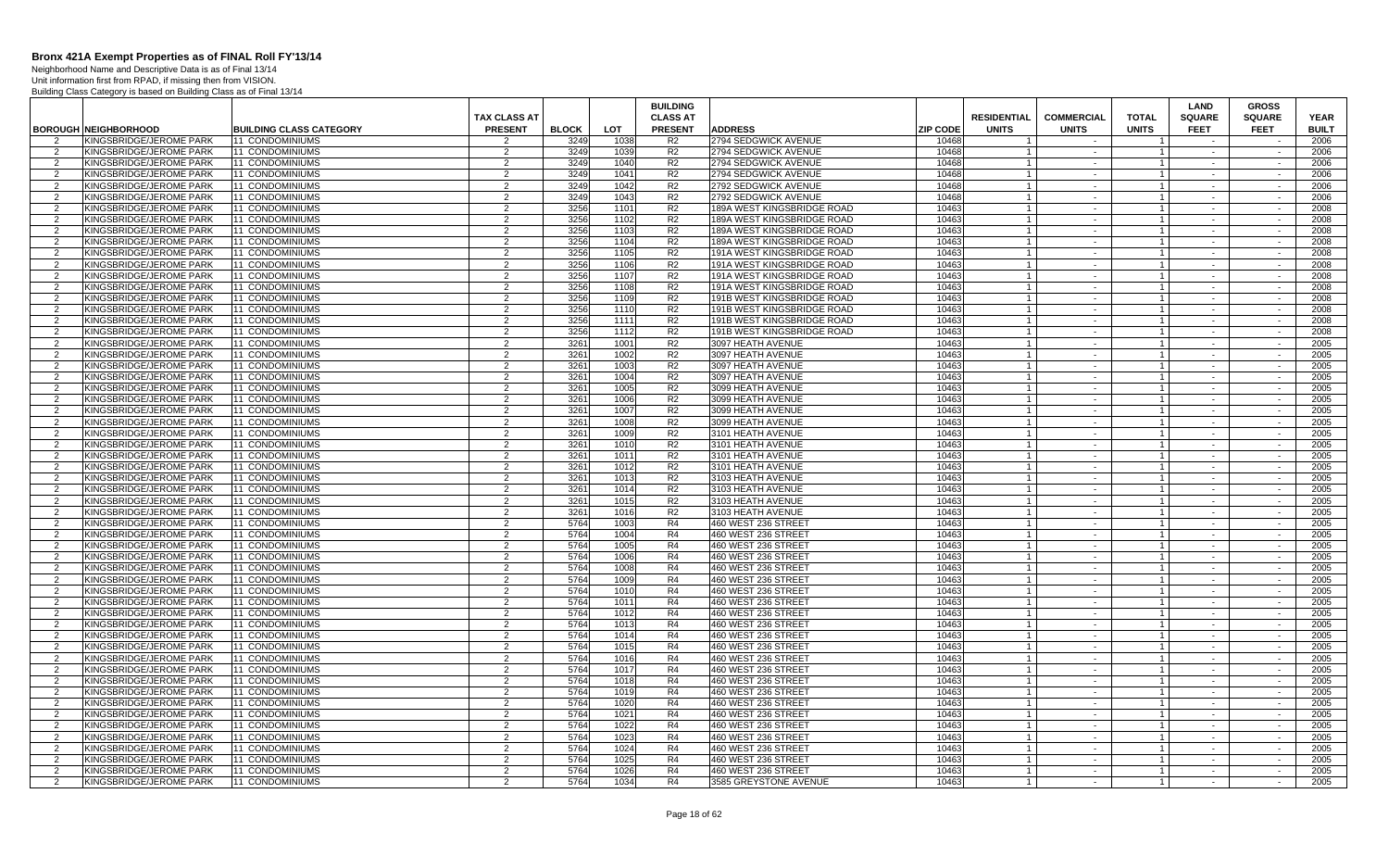Neighborhood Name and Descriptive Data is as of Final 13/14 Unit information first from RPAD, if missing then from VISION.

|                |                                                    |                                |                     |              |              | <b>BUILDING</b> |                                            |                 |                    |                   |                      | LAND             | <b>GROSS</b>     |              |
|----------------|----------------------------------------------------|--------------------------------|---------------------|--------------|--------------|-----------------|--------------------------------------------|-----------------|--------------------|-------------------|----------------------|------------------|------------------|--------------|
|                |                                                    |                                | TAX CLASS AT        |              |              | <b>CLASS AT</b> |                                            |                 | <b>RESIDENTIAL</b> | <b>COMMERCIAL</b> | <b>TOTAL</b>         | <b>SQUARE</b>    | <b>SQUARE</b>    | <b>YEAR</b>  |
|                | <b>BOROUGH NEIGHBORHOOD</b>                        | <b>BUILDING CLASS CATEGORY</b> | <b>PRESENT</b>      | <b>BLOCK</b> | <b>LOT</b>   | <b>PRESENT</b>  | <b>ADDRESS</b>                             | <b>ZIP CODE</b> | <b>UNITS</b>       | <b>UNITS</b>      | <b>UNITS</b>         | <b>FEET</b>      | <b>FEET</b>      | <b>BUILT</b> |
| 2              | KINGSBRIDGE/JEROME PARK                            | 11 CONDOMINIUMS                | 2                   | 3249         | 1038         | R2              | 2794 SEDGWICK AVENUE                       | 10468           |                    | $\sim$            |                      | $\sim$           |                  | 2006         |
| $\overline{2}$ | KINGSBRIDGE/JEROME PARK                            | 11 CONDOMINIUMS                | $\mathcal{P}$       | 3249         | 1039         | R <sub>2</sub>  | 2794 SEDGWICK AVENUE                       | 10468           |                    | $\sim$            |                      | $\sim$           | $\sim$           | 2006         |
| -2             | KINGSBRIDGE/JEROME PARK                            | 11 CONDOMINIUMS                | $\overline{2}$      | 3249         | 1040         | R2              | 2794 SEDGWICK AVENUE                       | 10468           |                    | $\sim$            | -1                   | $\sim$           | $\sim$           | 2006         |
| $\overline{2}$ | KINGSBRIDGE/JEROME PARK                            | 11 CONDOMINIUMS                | 2                   | 3249         | 1041         | R <sub>2</sub>  | 2794 SEDGWICK AVENUE                       | 10468           |                    |                   |                      | $\sim$           | $\sim$           | 2006         |
| 2              | KINGSBRIDGE/JEROME PARK                            | 11 CONDOMINIUMS                | 2                   | 3249         | 1042         | R <sub>2</sub>  | 2792 SEDGWICK AVENUE                       | 10468           |                    | $\sim$            | $\mathbf{1}$         | $\sim$           | $\sim$           | 2006         |
| $\overline{2}$ | KINGSBRIDGE/JEROME PARK                            | 11 CONDOMINIUMS                | 2                   | 3249         | 1043         | R <sub>2</sub>  | 2792 SEDGWICK AVENUE                       | 10468           |                    | $\sim$            | $\overline{1}$       | $\sim$           | $\sim$           | 2006         |
| 2              | KINGSBRIDGE/JEROME PARK                            | 11 CONDOMINIUMS                | 2                   | 3256         | 1101         | R <sub>2</sub>  | 189A WEST KINGSBRIDGE ROAD                 | 10463           |                    | $\sim$            | $\overline{1}$       | $\sim$           | $\sim$           | 2008         |
| 2              | KINGSBRIDGE/JEROME PARK                            | 11 CONDOMINIUMS                | 2                   | 3256         | 1102         | R2              | 189A WEST KINGSBRIDGE ROAD                 | 10463           | $\overline{1}$     | $\sim$            | 1                    | $\sim$           | $\sim$           | 2008         |
| $\overline{2}$ | KINGSBRIDGE/JEROME PARK                            | 11 CONDOMINIUMS                | 2                   | 3256         | 1103         | R2              | 189A WEST KINGSBRIDGE ROAD                 | 10463           |                    | $\sim$            | $\overline{1}$       | $\sim$           | $\sim$           | 2008         |
| 2              | KINGSBRIDGE/JEROME PARK                            | 11 CONDOMINIUMS                | 2                   | 3256         | 1104         | R <sub>2</sub>  | 189A WEST KINGSBRIDGE ROAD                 | 10463           | $\overline{1}$     | $\sim$            | $\mathbf{1}$         | $\sim$           | $\sim$           | 2008         |
| 2              | KINGSBRIDGE/JEROME PARK                            | 11 CONDOMINIUMS                | $\overline{2}$      | 3256         | 1105         | R <sub>2</sub>  | 191A WEST KINGSBRIDGE ROAD                 | 10463           |                    | $\blacksquare$    | -1                   | $\sim$           | $\sim$           | 2008         |
| 2              | KINGSBRIDGE/JEROME PARK                            | 11 CONDOMINIUMS                | 2                   | 3256         | 1106         | R <sub>2</sub>  | 191A WEST KINGSBRIDGE ROAD                 | 10463           |                    | $\sim$            | $\overline{1}$       | $\sim$           | $\sim$           | 2008         |
| $\overline{2}$ | KINGSBRIDGE/JEROME PARK                            | 11 CONDOMINIUMS                | 2                   | 3256         | 1107         | R <sub>2</sub>  | 191A WEST KINGSBRIDGE ROAD                 | 10463           |                    |                   |                      | $\sim$           | $\sim$           | 2008         |
| 2              | KINGSBRIDGE/JEROME PARK                            | 11 CONDOMINIUMS                | 2                   | 3256         | 1108         | R <sub>2</sub>  | 191A WEST KINGSBRIDGE ROAD                 | 10463           |                    | $\sim$            | $\mathbf{1}$         | $\sim$           | $\sim$           | 2008         |
| 2              | KINGSBRIDGE/JEROME PARK                            | 11 CONDOMINIUMS                | 2                   | 3256         | 1109         | R <sub>2</sub>  | 191B WEST KINGSBRIDGE ROAD                 | 10463           |                    | $\sim$            | $\mathbf{1}$         | $\sim$           | $\sim$           | 2008         |
| 2              | KINGSBRIDGE/JEROME PARK                            | 11 CONDOMINIUMS                | 2                   | 3256         | 1110         | R <sub>2</sub>  | 191B WEST KINGSBRIDGE ROAD                 | 10463           |                    | $\sim$            |                      | $\sim$           | $\sim$           | 2008         |
| 2              | KINGSBRIDGE/JEROME PARK                            | 11 CONDOMINIUMS                | $\overline{2}$      | 3256         | 1111         | R <sub>2</sub>  | 191B WEST KINGSBRIDGE ROAD                 | 10463           |                    | $\sim$            | $\mathbf{1}$         | $\sim$           | $\sim$           | 2008         |
| 2              | KINGSBRIDGE/JEROME PARK                            | 11 CONDOMINIUMS                | 2                   | 3256         | 1112         | R <sub>2</sub>  | 191B WEST KINGSBRIDGE ROAD                 | 10463           |                    | $\sim$            | $\overline{1}$       | $\sim$           | $\sim$           | 2008         |
| 2              | KINGSBRIDGE/JEROME PARK                            | 11 CONDOMINIUMS                | 2                   | 3261         | 1001         | R <sub>2</sub>  | 3097 HEATH AVENUE                          | 10463           | $\mathbf{1}$       | $\sim$            | $\mathbf{1}$         | $\sim$           | $\sim$           | 2005         |
| $\overline{2}$ | KINGSBRIDGE/JEROME PARK                            | 11 CONDOMINIUMS                | 2                   | 3261         | 1002         | R <sub>2</sub>  | 3097 HEATH AVENUE                          | 10463           |                    | $\sim$            |                      | $\sim$           | $\sim$           | 2005         |
| 2              | KINGSBRIDGE/JEROME PARK                            | 11 CONDOMINIUMS                | 2                   | 3261         | 1003         | R <sub>2</sub>  | 3097 HEATH AVENUE                          | 10463           | $\overline{1}$     | $\sim$            | $1 \vert$            | $\sim$           | $\sim$           | 2005         |
| 2              | KINGSBRIDGE/JEROME PARK                            | <b>11 CONDOMINIUMS</b>         | 2                   | 3261         | 1004         | R <sub>2</sub>  | 3097 HEATH AVENUE                          | 10463           |                    | $\sim$            |                      | $\sim$           | $\sim$           | 2005         |
| 2              | KINGSBRIDGE/JEROME PARK                            | 11 CONDOMINIUMS                | 2                   | 3261         | 1005         | R <sub>2</sub>  | 3099 HEATH AVENUE                          | 10463           |                    | $\sim$            | $\overline{1}$       | $\sim$           | $\sim$           | 2005         |
| $\overline{2}$ | KINGSBRIDGE/JEROME PARK                            | 11 CONDOMINIUMS                | 2                   | 3261         | 1006         | R <sub>2</sub>  | 3099 HEATH AVENUE                          | 10463           |                    |                   |                      | $\sim$           | $\sim$           | 2005         |
| 2              | KINGSBRIDGE/JEROME PARK                            | 11 CONDOMINIUMS                | $\overline{2}$      | 3261         | 1007         | R2              | 3099 HEATH AVENUE                          | 10463           |                    | $\sim$            | $\overline{1}$       | $\sim$           | $\sim$           | 2005         |
| $\overline{2}$ | KINGSBRIDGE/JEROME PARK                            | 11 CONDOMINIUMS                | $\overline{2}$      | 3261         | 1008         | R2              | 3099 HEATH AVENUE                          | 10463           |                    | $\sim$            |                      | $\sim$           | $\sim$           | 2005         |
| $\overline{2}$ | KINGSBRIDGE/JEROME PARK                            | 11 CONDOMINIUMS                | $\overline{2}$      | 3261         | 1009         | R <sub>2</sub>  | 3101 HEATH AVENUE                          | 10463           |                    | $\sim$            | $\mathbf{1}$         | $\sim$           | $\sim$           | 2005         |
| 2              | KINGSBRIDGE/JEROME PARK                            | 11 CONDOMINIUMS                | 2                   | 3261         | 1010         | R <sub>2</sub>  | 3101 HEATH AVENUE                          | 10463           |                    | $\sim$            | $\mathbf{1}$         | $\sim$           | $\sim$           | 2005         |
| 2              | KINGSBRIDGE/JEROME PARK                            | 11 CONDOMINIUMS                | 2                   | 3261         | 1011         | R <sub>2</sub>  | 3101 HEATH AVENUE                          | 10463           |                    | $\sim$            | $\overline{1}$       | $\sim$           | $\sim$           | 2005         |
| 2              | KINGSBRIDGE/JEROME PARK                            | 11 CONDOMINIUMS                | 2                   | 3261         | 1012         | R <sub>2</sub>  | 3101 HEATH AVENUE                          | 10463           | $\overline{1}$     | $\sim$            | $1 \vert$            | $\sim$           | $\sim$           | 2005         |
| 2              | KINGSBRIDGE/JEROME PARK                            | <b>11 CONDOMINIUMS</b>         | 2                   | 3261         | 1013         | R <sub>2</sub>  | 3103 HEATH AVENUE                          | 10463           |                    | $\sim$            | $\overline{1}$       | $\sim$           | $\sim$           | 2005         |
| 2              | KINGSBRIDGE/JEROME PARK                            | 11 CONDOMINIUMS                | 2                   | 3261         | 1014         | R <sub>2</sub>  | 3103 HEATH AVENUE                          | 10463           |                    | $\sim$            | $\mathbf{1}$         | $\sim$           | $\sim$           | 2005         |
| $\overline{2}$ | KINGSBRIDGE/JEROME PARK                            | 11 CONDOMINIUMS                | $\overline{2}$      | 3261         | 1015         | R <sub>2</sub>  | 3103 HEATH AVENUE                          | 10463           |                    | $\sim$            | $\overline{1}$       | $\sim$           | $\sim$           | 2005         |
|                | KINGSBRIDGE/JEROME PARK                            |                                |                     | 3261         | 1016         | R <sub>2</sub>  |                                            | 10463           | $\overline{1}$     |                   |                      |                  |                  | 2005         |
| $\overline{2}$ |                                                    | 11 CONDOMINIUMS                | $\overline{2}$<br>2 | 5764         |              |                 | 3103 HEATH AVENUE                          | 10463           |                    | $\sim$            | $\overline{1}$       | $\sim$           | $\sim$           | 2005         |
| 2              | KINGSBRIDGE/JEROME PARK<br>KINGSBRIDGE/JEROME PARK | 11 CONDOMINIUMS                |                     | 5764         | 1003<br>1004 | R4<br>R4        | 460 WEST 236 STREET<br>460 WEST 236 STREET | 10463           |                    |                   | $\mathbf{1}$         |                  | $\sim$           | 2005         |
| 2              |                                                    | 11 CONDOMINIUMS                | 2<br>2              | 5764         |              | R4              |                                            |                 |                    | $\sim$<br>$\sim$  | -1<br>$\overline{1}$ | $\sim$<br>$\sim$ | $\sim$<br>$\sim$ |              |
| 2              | KINGSBRIDGE/JEROME PARK                            | 11 CONDOMINIUMS                | 2                   |              | 1005         | R4              | 460 WEST 236 STREET                        | 10463<br>10463  |                    |                   |                      |                  |                  | 2005         |
| 2              | KINGSBRIDGE/JEROME PARK                            | 11 CONDOMINIUMS                |                     | 5764         | 1006         |                 | 460 WEST 236 STREET                        |                 |                    | $\sim$<br>$\sim$  | $\overline{1}$       | $\sim$<br>$\sim$ | $\sim$<br>$\sim$ | 2005         |
| 2              | KINGSBRIDGE/JEROME PARK                            | 11 CONDOMINIUMS                | 2                   | 5764         | 1008         | R4              | 460 WEST 236 STREET                        | 10463           |                    |                   | $\overline{1}$       |                  |                  | 2005         |
| 2              | KINGSBRIDGE/JEROME PARK                            | 11 CONDOMINIUMS                | 2                   | 5764         | 1009         | R4              | 460 WEST 236 STREET                        | 10463           |                    | $\sim$            |                      | $\sim$           | $\sim$           | 2005         |
| 2              | KINGSBRIDGE/JEROME PARK                            | 11 CONDOMINIUMS                | 2                   | 5764         | 1010         | R4              | 460 WEST 236 STREET                        | 10463           | $\overline{1}$     | $\sim$            | $\overline{1}$       | $\sim$           | $\sim$           | 2005         |
| $\overline{2}$ | KINGSBRIDGE/JEROME PARK                            | 11 CONDOMINIUMS                | 2                   | 5764         | 1011         | R4              | 460 WEST 236 STREET                        | 10463           |                    | $\sim$            |                      | $\sim$           | $\sim$           | 2005         |
| 2              | KINGSBRIDGE/JEROME PARK                            | 11 CONDOMINIUMS                | 2<br>$\overline{2}$ | 5764         | 1012         | R4<br>R4        | 460 WEST 236 STREET                        | 10463           | $\overline{1}$     | $\sim$            | $1 \vert$            | $\sim$           | $\sim$           | 2005         |
| 2              | KINGSBRIDGE/JEROME PARK                            | 11 CONDOMINIUMS                |                     | 5764         | 1013         |                 | 460 WEST 236 STREET                        | 10463           |                    |                   | $\mathbf{1}$         |                  | $\blacksquare$   | 2005         |
| 2              | KINGSBRIDGE/JEROME PARK                            | 11 CONDOMINIUMS                | 2                   | 5764         | 1014         | R4              | 460 WEST 236 STREET                        | 10463           |                    | $\sim$            | $\mathbf{1}$         | $\sim$           | $\sim$           | 2005         |
| $\overline{2}$ | KINGSBRIDGE/JEROME PARK                            | 11 CONDOMINIUMS                | 2                   | 5764         | 1015         | R4              | 460 WEST 236 STREET                        | 10463           |                    | $\blacksquare$    |                      | $\sim$           | $\sim$           | 2005         |
| 2              | KINGSBRIDGE/JEROME PARK                            | 11 CONDOMINIUMS                | 2                   | 5764         | 1016         | R <sub>4</sub>  | 460 WEST 236 STREET                        | 10463           |                    | $\sim$            | $\mathbf{1}$         | $\sim$           | $\sim$           | 2005         |
| 2              | KINGSBRIDGE/JEROME PARK                            | 11 CONDOMINIUMS                | 2                   | 5764         | 1017         | R4              | 460 WEST 236 STREET                        | 10463           |                    | $\sim$            | $\overline{1}$       | $\sim$           | $\sim$           | 2005         |
| $\overline{2}$ | KINGSBRIDGE/JEROME PARK                            | 11 CONDOMINIUMS                | $\mathcal{P}$       | 5764         | 1018         | R <sub>4</sub>  | 460 WEST 236 STREET                        | 10463           |                    | $\sim$            | $\overline{1}$       | $\sim$           | $\sim$           | 2005         |
| 2              | KINGSBRIDGE/JEROME PARK                            | 11 CONDOMINIUMS                | 2                   | 5764         | 1019         | R4              | 460 WEST 236 STREET                        | 10463           |                    | $\sim$            | $\overline{1}$       | $\sim$           | $\sim$           | 2005         |
| 2              | KINGSBRIDGE/JEROME PARK                            | 11 CONDOMINIUMS                | $\overline{2}$      | 5764         | 1020         | R4              | 460 WEST 236 STREET                        | 10463           |                    | $\sim$            | $\mathbf{1}$         | $\sim$           | $\sim$           | 2005         |
| 2              | KINGSBRIDGE/JEROME PARK                            | 11 CONDOMINIUMS                | 2                   | 5764         | 1021         | R4              | 460 WEST 236 STREET                        | 10463           | $\overline{1}$     | $\sim$            | 1 <sup>1</sup>       | $\sim$           | $\sim$           | 2005         |
| 2              | KINGSBRIDGE/JEROME PARK                            | <b>11 CONDOMINIUMS</b>         | 2                   | 5764         | 1022         | R4              | 460 WEST 236 STREET                        | 10463           |                    | $\sim$            | $\overline{1}$       | $\sim$           | $\sim$           | 2005         |
| 2              | KINGSBRIDGE/JEROME PARK                            | 11 CONDOMINIUMS                | 2                   | 5764         | 1023         | R4              | 460 WEST 236 STREET                        | 10463           | $\overline{1}$     | $\sim$            | $\overline{1}$       | $\sim$           | $\sim$           | 2005         |
| $\overline{2}$ | KINGSBRIDGE/JEROME PARK                            | 11 CONDOMINIUMS                | 2                   | 5764         | 1024         | R4              | 460 WEST 236 STREET                        | 10463           |                    | $\sim$            | $\overline{1}$       | $\sim$           | $\sim$           | 2005         |
| 2              | KINGSBRIDGE/JEROME PARK                            | 11 CONDOMINIUMS                | $\overline{2}$      | 5764         | 1025         | R4              | 460 WEST 236 STREET                        | 10463           |                    | $\sim$            | $\overline{1}$       | $\sim$           | $\sim$           | 2005         |
| $\overline{2}$ | KINGSBRIDGE/JEROME PARK                            | 11 CONDOMINIUMS                | $\mathcal{P}$       | 5764         | 1026         | R4              | 460 WEST 236 STREET                        | 10463           |                    | $\sim$            | $\overline{1}$       | $\sim$           | $\sim$           | 2005         |
| 2              | KINGSBRIDGE/JEROME PARK                            | 11 CONDOMINIUMS                | 2                   | 5764         | 1034         | R4              | 3585 GREYSTONE AVENUE                      | 10463           |                    | $\sim$            | -1                   | $\sim$           | $\sim$           | 2005         |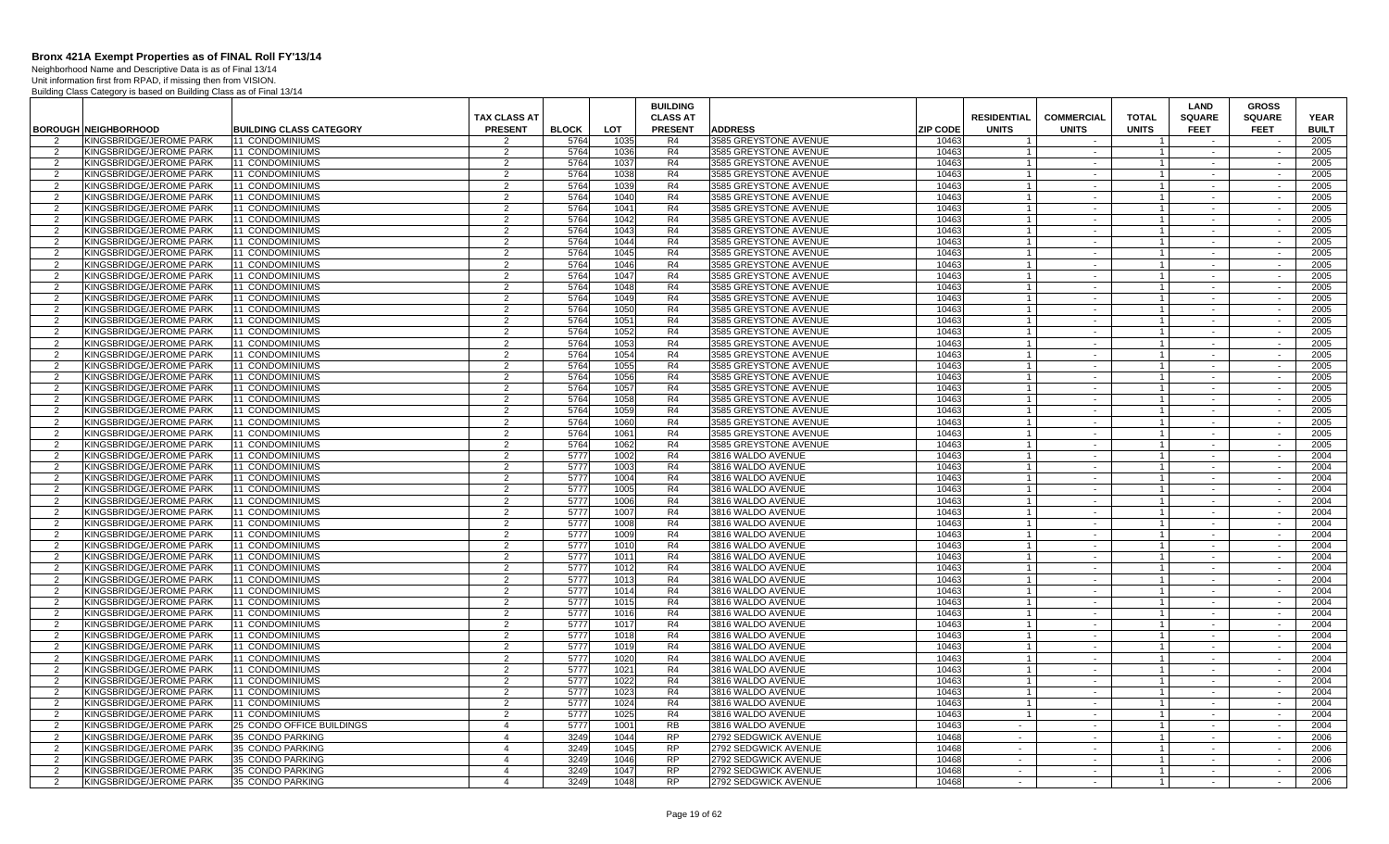Neighborhood Name and Descriptive Data is as of Final 13/14 Unit information first from RPAD, if missing then from VISION.

|                |                             |                                |                |              |            | <b>BUILDING</b> |                              |                 |                    |                          |                | LAND          | <b>GROSS</b>  |              |
|----------------|-----------------------------|--------------------------------|----------------|--------------|------------|-----------------|------------------------------|-----------------|--------------------|--------------------------|----------------|---------------|---------------|--------------|
|                |                             |                                | TAX CLASS AT   |              |            | <b>CLASS AT</b> |                              |                 | <b>RESIDENTIAL</b> | <b>COMMERCIAL</b>        | <b>TOTAL</b>   | <b>SQUARE</b> | <b>SQUARE</b> | <b>YEAR</b>  |
|                | <b>BOROUGH NEIGHBORHOOD</b> | <b>BUILDING CLASS CATEGORY</b> | <b>PRESENT</b> | <b>BLOCK</b> | <b>LOT</b> | <b>PRESENT</b>  | <b>ADDRESS</b>               | <b>ZIP CODE</b> | <b>UNITS</b>       | <b>UNITS</b>             | <b>UNITS</b>   | <b>FEET</b>   | <b>FEET</b>   | <b>BUILT</b> |
| 2              | KINGSBRIDGE/JEROME PARK     | 11 CONDOMINIUMS                | 2              | 5764         | 1035       | R4              | 3585 GREYSTONE AVENUE        | 10463           |                    | $\sim$                   |                | $\sim$        |               | 2005         |
| $\mathcal{P}$  | KINGSBRIDGE/JEROME PARK     | 11 CONDOMINIUMS                | 2              | 5764         | 1036       | R4              | <b>3585 GREYSTONE AVENUE</b> | 1046            |                    | $\sim$                   |                | $\sim$        |               | 2005         |
| -2             | KINGSBRIDGE/JEROME PARK     | 11 CONDOMINIUMS                | $\overline{2}$ | 5764         | 1037       | R <sub>4</sub>  | 3585 GREYSTONE AVENUE        | 10463           | -1                 | $\sim$                   |                | $\sim$        | $\sim$        | 2005         |
| $\overline{2}$ | KINGSBRIDGE/JEROME PARK     | 11 CONDOMINIUMS                | $\overline{2}$ | 5764         | 1038       | R <sub>4</sub>  | 3585 GREYSTONE AVENUE        | 10463           |                    |                          |                | $\sim$        | $\sim$        | 2005         |
| 2              | KINGSBRIDGE/JEROME PARK     | 11 CONDOMINIUMS                | 2              | 5764         | 1039       | R <sub>4</sub>  | 3585 GREYSTONE AVENUE        | 1046            |                    | $\sim$                   | $\mathbf{1}$   | $\sim$        | $\sim$        | 2005         |
| $\mathcal{P}$  | KINGSBRIDGE/JEROME PARK     | 11 CONDOMINIUMS                | $\mathcal{P}$  | 5764         | 1040       | R4              | 3585 GREYSTONE AVENUE        | 10463           |                    | $\sim$                   | $\mathbf{1}$   | $\sim$        | $\sim$        | 2005         |
| 2              | KINGSBRIDGE/JEROME PARK     | 11 CONDOMINIUMS                | 2              | 5764         | 1041       | R4              | 3585 GREYSTONE AVENUE        | 10463           |                    | $\sim$                   | $\mathbf{1}$   | $\sim$        | $\sim$        | 2005         |
| 2              | KINGSBRIDGE/JEROME PARK     | 11 CONDOMINIUMS                | 2              | 5764         | 1042       | R4              | 3585 GREYSTONE AVENUE        | 10463           | $\overline{1}$     | $\sim$                   | 1 <sup>1</sup> | $\sim$        | $\sim$        | 2005         |
| $\mathcal{P}$  | KINGSBRIDGE/JEROME PARK     | 11 CONDOMINIUMS                | 2              | 5764         | 1043       | R4              | 3585 GREYSTONE AVENUE        | 10463           |                    | $\sim$                   |                | $\sim$        | $\sim$        | 2005         |
| 2              | KINGSBRIDGE/JEROME PARK     | 11 CONDOMINIUMS                | 2              | 5764         | 1044       | R4              | 3585 GREYSTONE AVENUE        | 10463           | $\overline{1}$     | $\sim$                   | 1 <sup>1</sup> | $\sim$        | $\sim$        | 2005         |
| $\overline{2}$ | KINGSBRIDGE/JEROME PARK     | 11 CONDOMINIUMS                | $\overline{2}$ | 5764         | 1045       | R4              | 3585 GREYSTONE AVENUE        | 10463           |                    | $\sim$                   |                | $\sim$        | $\sim$        | 2005         |
| 2              | KINGSBRIDGE/JEROME PARK     | 11 CONDOMINIUMS                | $\overline{2}$ | 5764         | 1046       | R4              | 3585 GREYSTONE AVENUE        | 10463           | -1                 | $\sim$                   | $\mathbf{1}$   | $\sim$        | $\sim$        | 2005         |
| $\overline{2}$ | KINGSBRIDGE/JEROME PARK     | 11 CONDOMINIUMS                | 2              | 5764         | 1047       | R4              | 3585 GREYSTONE AVENUE        | 10463           |                    |                          |                |               |               | 2005         |
| 2              | KINGSBRIDGE/JEROME PARK     | 11 CONDOMINIUMS                | 2              | 5764         | 1048       | R4              | 3585 GREYSTONE AVENUE        | 10463           |                    | $\sim$                   | $\mathbf{1}$   | $\sim$        | $\sim$        | 2005         |
| $\mathcal{P}$  | KINGSBRIDGE/JEROME PARK     | 11 CONDOMINIUMS                | 2              | 5764         | 1049       | R <sub>4</sub>  | 3585 GREYSTONE AVENUE        | 10463           |                    | $\overline{\phantom{a}}$ |                | $\sim$        | $\sim$        | 2005         |
| $\overline{2}$ | KINGSBRIDGE/JEROME PARK     | 11 CONDOMINIUMS                | 2              | 5764         | 1050       | R <sub>4</sub>  | 3585 GREYSTONE AVENUE        | 10463           |                    | $\sim$                   |                | $\sim$        | $\sim$        | 2005         |
| $\mathcal{P}$  | KINGSBRIDGE/JEROME PARK     | 11 CONDOMINIUMS                | $\overline{2}$ | 5764         | 1051       | R4              | 3585 GREYSTONE AVENUE        | 10463           | $\mathbf{1}$       | $\sim$                   | $\mathbf{1}$   | $\sim$        | $\sim$        | 2005         |
| $\mathcal{P}$  | KINGSBRIDGE/JEROME PARK     | 11 CONDOMINIUMS                | 2              | 5764         | 1052       | R <sub>4</sub>  | 3585 GREYSTONE AVENUE        | 10463           |                    | $\sim$                   |                | $\sim$        | $\sim$        | 2005         |
| 2              | KINGSBRIDGE/JEROME PARK     | 11 CONDOMINIUMS                | 2              | 5764         | 1053       | R4              | 3585 GREYSTONE AVENUE        | 10463           | $\overline{1}$     | $\sim$                   | 1 <sup>1</sup> | $\sim$        | $\sim$        | 2005         |
| $\overline{2}$ | KINGSBRIDGE/JEROME PARK     | 11 CONDOMINIUMS                | 2              | 5764         | 1054       | R <sub>4</sub>  | 3585 GREYSTONE AVENUE        | 10463           |                    | $\sim$                   | $\mathbf{1}$   | $\sim$        | $\sim$        | 2005         |
| 2              | KINGSBRIDGE/JEROME PARK     | 11 CONDOMINIUMS                | 2              | 5764         | 1055       | R4              | 3585 GREYSTONE AVENUE        | 10463           | $\overline{1}$     | $\sim$                   | $1 \vert$      | $\sim$        | $\sim$        | 2005         |
| $\overline{2}$ | KINGSBRIDGE/JEROME PARK     | <b>11 CONDOMINIUMS</b>         | 2              | 5764         | 1056       | R4              | 3585 GREYSTONE AVENUE        | 10463           |                    | $\sim$                   |                | $\sim$        | $\sim$        | 2005         |
| 2              | KINGSBRIDGE/JEROME PARK     | 11 CONDOMINIUMS                | 2              | 5764         | 1057       | R <sub>4</sub>  | 3585 GREYSTONE AVENUE        | 1046            |                    | $\sim$                   | $\mathbf{1}$   | $\sim$        | $\sim$        | 2005         |
| $\overline{2}$ | KINGSBRIDGE/JEROME PARK     | 11 CONDOMINIUMS                | 2              | 5764         | 1058       | R4              | <b>3585 GREYSTONE AVENUE</b> | 10463           |                    | $\sim$                   |                | $\sim$        | $\sim$        | 2005         |
| 2              | KINGSBRIDGE/JEROME PARK     | 11 CONDOMINIUMS                | $\overline{2}$ | 5764         | 1059       | R4              | 3585 GREYSTONE AVENUE        | 10463           | $\overline{1}$     | $\sim$                   | $\mathbf{1}$   | $\sim$        | $\sim$        | 2005         |
| $\mathcal{P}$  | KINGSBRIDGE/JEROME PARK     | 11 CONDOMINIUMS                | $\overline{2}$ | 5764         | 1060       | R4              | 3585 GREYSTONE AVENUE        | 10463           |                    | $\sim$                   |                | $\sim$        | $\sim$        | 2005         |
| $\overline{2}$ | KINGSBRIDGE/JEROME PARK     | 11 CONDOMINIUMS                | 2              | 5764         | 1061       | R4              | 3585 GREYSTONE AVENUE        | 10463           |                    | $\sim$                   |                | $\sim$        | $\sim$        | 2005         |
| 2              | KINGSBRIDGE/JEROME PARK     | 11 CONDOMINIUMS                | 2              | 5764         | 1062       | R4              | 3585 GREYSTONE AVENUE        | 10463           | $\overline{1}$     | $\sim$                   | 1 <sup>1</sup> | $\sim$        | $\sim$        | 2005         |
| 2              | KINGSBRIDGE/JEROME PARK     | 11 CONDOMINIUMS                | 2              | 5777         | 1002       | R4              | 3816 WALDO AVENUE            | 10463           |                    | $\sim$                   |                | $\sim$        | $\sim$        | 2004         |
| 2              | KINGSBRIDGE/JEROME PARK     | <b>11 CONDOMINIUMS</b>         | 2              | 5777         | 1003       | R4              | 3816 WALDO AVENUE            | 10463           | $\overline{1}$     | $\sim$                   | 1 <sup>1</sup> | $\sim$        | $\sim$        | 2004         |
| $\mathcal{P}$  | KINGSBRIDGE/JEROME PARK     | <b>11 CONDOMINIUMS</b>         | $\mathcal{P}$  | 5777         | 1004       | R4              | 3816 WALDO AVENUE            | 10463           |                    | $\sim$                   | $\mathbf{1}$   | $\sim$        | $\sim$        | 2004         |
| 2              | KINGSBRIDGE/JEROME PARK     | 11 CONDOMINIUMS                | 2              | 5777         | 1005       | R4              | 3816 WALDO AVENUE            | 10463           | $\overline{1}$     | $\sim$                   | 1 <sup>1</sup> | $\sim$        | $\sim$        | 2004         |
| $\overline{2}$ | KINGSBRIDGE/JEROME PARK     | 11 CONDOMINIUMS                | $\overline{2}$ | 5777         | 1006       | R4              | 3816 WALDO AVENUE            | 10463           |                    |                          |                |               | $\sim$        | 2004         |
| $\overline{2}$ | KINGSBRIDGE/JEROME PARK     | 11 CONDOMINIUMS                | 2              | 5777         | 1007       | R4              | 3816 WALDO AVENUE            | 10463           | $\overline{1}$     | $\sim$                   | $\mathbf{1}$   | $\sim$        | $\sim$        | 2004         |
| 2              | KINGSBRIDGE/JEROME PARK     | 11 CONDOMINIUMS                | 2              | 5777         | 1008       | R <sub>4</sub>  | 3816 WALDO AVENUE            | 10463           |                    |                          |                |               |               | 2004         |
| -2             | KINGSBRIDGE/JEROME PARK     | <b>11 CONDOMINIUMS</b>         | 2              | 5777         | 1009       | R4              | 3816 WALDO AVENUE            | 10463           |                    | $\sim$                   | $\mathbf{1}$   | $\sim$        | $\sim$        | 2004         |
| $\overline{2}$ | KINGSBRIDGE/JEROME PARK     | 11 CONDOMINIUMS                | 2              | 5777         | 1010       | R4              | 3816 WALDO AVENUE            | 10463           |                    |                          |                | $\sim$        | $\sim$        | 2004         |
| 2              | KINGSBRIDGE/JEROME PARK     | 11 CONDOMINIUMS                | $\overline{2}$ | 5777         | 1011       | R4              | 3816 WALDO AVENUE            | 10463           |                    | $\sim$                   |                | $\sim$        | $\sim$        | 2004         |
| $\mathcal{D}$  | KINGSBRIDGE/JEROME PARK     | 11 CONDOMINIUMS                | $\mathcal{P}$  | 5777         | 1012       | R4              | 3816 WALDO AVENUE            | 10463           | $\mathbf{1}$       | $\sim$                   | $\mathbf{1}$   | $\sim$        | $\sim$        | 2004         |
| $\overline{2}$ | KINGSBRIDGE/JEROME PARK     | <b>11 CONDOMINIUMS</b>         | 2              | 5777         | 1013       | R4              | 3816 WALDO AVENUE            | 10463           |                    | $\sim$                   |                | $\sim$        | $\sim$        | 2004         |
| $\mathcal{P}$  | KINGSBRIDGE/JEROME PARK     | 11 CONDOMINIUMS                | 2              | 5777         | 1014       | R4              | 3816 WALDO AVENUE            | 10463           | $\overline{1}$     | $\sim$                   | 1 <sup>1</sup> | $\sim$        | $\sim$        | 2004         |
| 2              | KINGSBRIDGE/JEROME PARK     | 11 CONDOMINIUMS                | 2              | 5777         | 1015       | R4              | 3816 WALDO AVENUE            | 10463           |                    | $\overline{\phantom{a}}$ |                | $\sim$        | $\sim$        | 2004         |
| 2              | KINGSBRIDGE/JEROME PARK     | 11 CONDOMINIUMS                | 2              | 5777         | 1016       | R4              | 3816 WALDO AVENUE            | 10463           | $\overline{1}$     | $\sim$                   | 1 <sup>1</sup> | $\sim$        | $\sim$        | 2004         |
| 2              | KINGSBRIDGE/JEROME PARK     | 11 CONDOMINIUMS                | $\overline{2}$ | 5777         | 1017       | R4              | 3816 WALDO AVENUE            | 10463           |                    | $\sim$                   |                |               |               | 2004         |
| 2              | KINGSBRIDGE/JEROME PARK     | 11 CONDOMINIUMS                | 2              | 5777         | 1018       | R <sub>4</sub>  | 3816 WALDO AVENUE            | 10463           |                    | $\sim$                   | $\overline{1}$ | $\sim$        | $\sim$        | 2004         |
| $\overline{2}$ | KINGSBRIDGE/JEROME PARK     | 11 CONDOMINIUMS                | 2              | 5777         | 1019       | R4              | 3816 WALDO AVENUE            | 10463           |                    |                          |                |               |               | 2004         |
| 2              | KINGSBRIDGE/JEROME PARK     | 11 CONDOMINIUMS                | 2              | 5777         | 1020       | R4              | 3816 WALDO AVENUE            | 10463           | $\overline{1}$     | $\sim$                   | $\mathbf{1}$   | $\sim$        | $\sim$        | 2004         |
| $\mathcal{P}$  | KINGSBRIDGE/JEROME PARK     | <b>11 CONDOMINIUMS</b>         | 2              | 5777         | 1021       | R4              | 3816 WALDO AVENUE            | 10463           |                    | $\overline{\phantom{a}}$ |                | $\sim$        | $\sim$        | 2004         |
| $\overline{2}$ | KINGSBRIDGE/JEROME PARK     | 11 CONDOMINIUMS                | 2              | 5777         | 1022       | R <sub>4</sub>  | 3816 WALDO AVENUE            | 10463           |                    | $\sim$                   |                | $\sim$        | $\sim$        | 2004         |
| $\overline{2}$ | KINGSBRIDGE/JEROME PARK     | 11 CONDOMINIUMS                | 2              | 5777         | 1023       | R4              | 3816 WALDO AVENUE            | 10463           | $\overline{1}$     | $\sim$                   | $\mathbf{1}$   | $\sim$        | $\sim$        | 2004         |
| $\overline{2}$ | KINGSBRIDGE/JEROME PARK     | 11 CONDOMINIUMS                | 2              | 5777         | 1024       | R4              | 3816 WALDO AVENUE            | 10463           |                    | $\sim$                   |                | $\sim$        | $\sim$        | 2004         |
| 2              | KINGSBRIDGE/JEROME PARK     | 11 CONDOMINIUMS                | 2              | 5777         | 1025       | R4              | 3816 WALDO AVENUE            | 10463           | $\overline{1}$     | $\sim$                   | 1              | $\sim$        | $\sim$        | 2004         |
| $\overline{2}$ | KINGSBRIDGE/JEROME PARK     | 25 CONDO OFFICE BUILDINGS      | $\overline{4}$ | 5777         | 1001       | <b>RB</b>       | 3816 WALDO AVENUE            | 10463           | $\sim$             | $\sim$                   | $\mathbf{1}$   | $\sim$        | $\sim$        | 2004         |
| 2              | KINGSBRIDGE/JEROME PARK     | 35 CONDO PARKING               | $\overline{4}$ | 3249         | 1044       | <b>RP</b>       | 2792 SEDGWICK AVENUE         | 10468           | $\sim$             | $\sim$                   | $\mathbf{1}$   | $\sim$        | $\sim$        | 2006         |
| $\overline{2}$ | KINGSBRIDGE/JEROME PARK     | 35 CONDO PARKING               | $\overline{4}$ | 3249         | 1045       | <b>RP</b>       | 2792 SEDGWICK AVENUE         | 10468           | $\sim$             | $\sim$                   |                | $\sim$        | $\sim$        | 2006         |
| $\mathcal{P}$  | KINGSBRIDGE/JEROME PARK     | 35 CONDO PARKING               | $\overline{4}$ | 3249         | 1046       | <b>RP</b>       | 2792 SEDGWICK AVENUE         | 10468           | $\sim$             | $\sim$                   | $\mathbf{1}$   | $\sim$        | $\sim$        | 2006         |
| $\mathcal{P}$  | KINGSBRIDGE/JEROME PARK     | 35 CONDO PARKING               | $\overline{4}$ | 3249         | 1047       | <b>RP</b>       | 2792 SEDGWICK AVENUE         | 10468           | $\sim$             |                          | 1              | $\sim$        | $\sim$        | 2006         |
| 2              | KINGSBRIDGE/JEROME PARK     | 35 CONDO PARKING               | $\overline{4}$ | 3249         | 1048       | <b>RP</b>       | 2792 SEDGWICK AVENUE         | 10468           | $\sim$             | $\sim$                   |                |               | $\sim$        | 2006         |
|                |                             |                                |                |              |            |                 |                              |                 |                    |                          |                |               |               |              |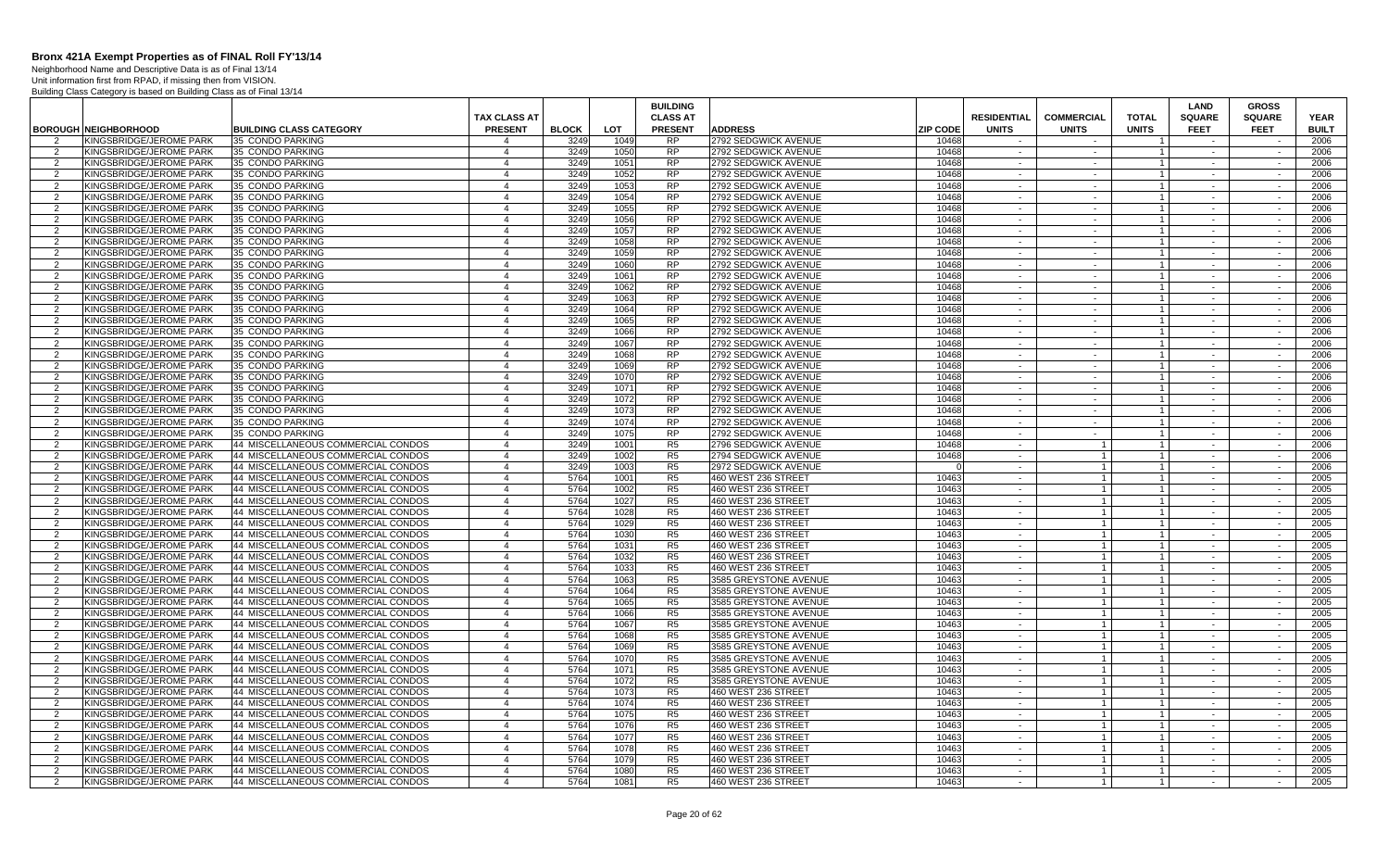Neighborhood Name and Descriptive Data is as of Final 13/14 Unit information first from RPAD, if missing then from VISION.

|                |                                                    |                                                                          |                                       |              |              | <b>BUILDING</b>                   |                                             |                 |                                    |                                   |                              | LAND                         | <b>GROSS</b>                 |                             |
|----------------|----------------------------------------------------|--------------------------------------------------------------------------|---------------------------------------|--------------|--------------|-----------------------------------|---------------------------------------------|-----------------|------------------------------------|-----------------------------------|------------------------------|------------------------------|------------------------------|-----------------------------|
|                | <b>BOROUGH NEIGHBORHOOD</b>                        | <b>BUILDING CLASS CATEGORY</b>                                           | <b>TAX CLASS AT</b><br><b>PRESENT</b> | <b>BLOCK</b> | LOT          | <b>CLASS AT</b><br><b>PRESENT</b> | <b>ADDRESS</b>                              | <b>ZIP CODE</b> | <b>RESIDENTIAL</b><br><b>UNITS</b> | <b>COMMERCIAL</b><br><b>UNITS</b> | <b>TOTAL</b><br><b>UNITS</b> | <b>SQUARE</b><br><b>FEET</b> | <b>SQUARE</b><br><b>FEET</b> | <b>YEAR</b><br><b>BUILT</b> |
|                | KINGSBRIDGE/JEROME PARK                            | 35 CONDO PARKING                                                         | Δ                                     | 3249         | 1049         | <b>RP</b>                         | 2792 SEDGWICK AVENUE                        | 10468           |                                    |                                   |                              |                              |                              | 2006                        |
| 2              | KINGSBRIDGE/JEROME PARK                            | 35 CONDO PARKING                                                         | $\overline{4}$                        | 3249         | 1050         | <b>RP</b>                         | 2792 SEDGWICK AVENUE                        | 10468           | $\sim$                             | $\sim$                            | $\overline{1}$               | $\sim$                       | $\sim$                       | 2006                        |
| 2              | KINGSBRIDGE/JEROME PARK                            | 35 CONDO PARKING                                                         | $\overline{4}$                        | 3249         | 1051         | <b>RP</b>                         | 2792 SEDGWICK AVENUE                        | 10468           | $\sim$ $\sim$                      | $\sim$                            | $\overline{1}$               | $\sim$                       | $\sim$                       | 2006                        |
| 2              | KINGSBRIDGE/JEROME PARK                            | 35 CONDO PARKING                                                         | $\overline{4}$                        | 3249         | 1052         | <b>RP</b>                         | 2792 SEDGWICK AVENUE                        | 10468           | $\sim$                             | $\sim$                            | $\overline{1}$               | $\sim$                       | $\sim$                       | 2006                        |
| 2              | KINGSBRIDGE/JEROME PARK                            | 35 CONDO PARKING                                                         | $\overline{4}$                        | 3249         | 1053         | <b>RP</b>                         | 2792 SEDGWICK AVENUE                        | 10468           | $\sim$                             | $\sim$                            | $\overline{1}$               | $\sim$                       | $\sim$                       | 2006                        |
| $\overline{2}$ | KINGSBRIDGE/JEROME PARK                            | 35 CONDO PARKING                                                         | $\overline{4}$                        | 3249         | 1054         | <b>RP</b>                         | 2792 SEDGWICK AVENUE                        | 10468           | $\sim$                             | $\sim$                            | $\overline{1}$               |                              | $\sim$                       | 2006                        |
| 2              | KINGSBRIDGE/JEROME PARK                            | 35 CONDO PARKING                                                         | $\overline{4}$                        | 3249         | 1055         | <b>RP</b>                         | 2792 SEDGWICK AVENUE                        | 10468           | $\sim$                             | $\sim$                            | $\overline{1}$               | $\sim$                       | $\sim$                       | 2006                        |
| $\overline{2}$ | KINGSBRIDGE/JEROME PARK                            | 35 CONDO PARKING                                                         | $\overline{4}$                        | 3249         | 1056         | <b>RP</b>                         | 2792 SEDGWICK AVENUE                        | 10468           | $\sim$                             |                                   | $\overline{1}$               |                              |                              | 2006                        |
| 2              | KINGSBRIDGE/JEROME PARK                            | 35 CONDO PARKING                                                         | $\overline{4}$                        | 3249         | 1057         | <b>RP</b>                         | 2792 SEDGWICK AVENUE                        | 10468           | $\sim$ $-$                         | $\sim$                            | $\overline{1}$               | $\sim$                       | $\sim$                       | 2006                        |
| $\overline{2}$ | KINGSBRIDGE/JEROME PARK                            | 35 CONDO PARKING                                                         | $\overline{4}$                        | 3249         | 1058         | <b>RP</b>                         | 2792 SEDGWICK AVENUE                        | 10468           | $\sim$                             | $\sim$                            | $\mathbf{1}$                 | $\sim$                       | $\sim$                       | 2006                        |
| 2              | KINGSBRIDGE/JEROME PARK                            | 35 CONDO PARKING                                                         | $\overline{4}$                        | 3249         | 1059         | <b>RP</b>                         | 2792 SEDGWICK AVENUE                        | 10468           | $\sim$                             | $\sim$                            | $\overline{1}$               | $\sim$                       | $\sim$                       | 2006                        |
| 2              | KINGSBRIDGE/JEROME PARK                            | 35 CONDO PARKING                                                         | $\overline{4}$                        | 3249         | 1060         | <b>RP</b>                         | 2792 SEDGWICK AVENUE                        | 10468           | $\sim$ $\sim$                      | $\sim$                            | $\overline{1}$               | $\sim$                       | $\sim$                       | 2006                        |
| 2              | KINGSBRIDGE/JEROME PARK                            | 35 CONDO PARKING                                                         | $\overline{4}$                        | 3249         | 1061         | <b>RP</b>                         | 2792 SEDGWICK AVENUE                        | 10468           | $\sim$                             | $\sim$                            | $\overline{1}$               | $\sim$                       | $\sim$                       | 2006                        |
| 2              | KINGSBRIDGE/JEROME PARK                            | 35 CONDO PARKING                                                         | $\overline{4}$                        | 3249         | 1062         | <b>RP</b>                         | 2792 SEDGWICK AVENUE                        | 10468           | $\sim$                             | $\sim$                            | $\overline{1}$               | $\sim$                       | $\sim$                       | 2006                        |
| $\overline{2}$ | KINGSBRIDGE/JEROME PARK                            | 35 CONDO PARKING                                                         | $\overline{4}$                        | 3249         | 1063         | RP                                | 2792 SEDGWICK AVENUE                        | 10468           | $\sim$                             | $\sim$                            | $\overline{1}$               | $\sim$                       | $\sim$                       | 2006                        |
| 2              | KINGSBRIDGE/JEROME PARK                            | 35 CONDO PARKING                                                         | $\overline{4}$                        | 3249         | 1064         | <b>RP</b>                         | 2792 SEDGWICK AVENUE                        | 10468           | $\sim$                             | $\sim$                            | $\overline{1}$               | $\sim$                       | $\sim$                       | 2006                        |
| $\overline{2}$ | KINGSBRIDGE/JEROME PARK                            | 35 CONDO PARKING                                                         | $\overline{4}$                        | 3249         | 1065         | <b>RP</b>                         | 2792 SEDGWICK AVENUE                        | 10468           | $\sim$                             |                                   | $\overline{1}$               |                              |                              | 2006                        |
| 2              | KINGSBRIDGE/JEROME PARK                            | 35 CONDO PARKING                                                         | $\overline{4}$                        | 3249         | 1066         | <b>RP</b>                         | 2792 SEDGWICK AVENUE                        | 10468           | $\sim$                             | $\sim$                            | $\overline{1}$               | $\sim$                       | $\sim$                       | 2006                        |
| 2              | <b>KINGSBRIDGE/JEROME PARK</b>                     | 35 CONDO PARKING                                                         | $\overline{4}$                        | 3249         | 1067         | <b>RP</b>                         | 2792 SEDGWICK AVENUE                        | 10468           | $\sim$                             | $\sim$                            | $\overline{1}$               | $\sim$                       | $\sim$                       | 2006                        |
| 2              | KINGSBRIDGE/JEROME PARK                            | 35 CONDO PARKING                                                         | $\overline{4}$                        | 3249         | 1068         | <b>RP</b>                         | 2792 SEDGWICK AVENUE                        | 10468           | $\sim$                             | $\sim$                            | $\overline{1}$               | $\sim$                       | $\sim$                       | 2006                        |
| 2              | KINGSBRIDGE/JEROME PARK                            | 35 CONDO PARKING                                                         | $\overline{4}$                        | 3249         | 1069         | <b>RP</b>                         | 2792 SEDGWICK AVENUE                        | 10468           | $\sim$ $\sim$                      | $\sim$                            | $\overline{1}$               | $\sim$                       | $\sim$                       | 2006                        |
| 2              | KINGSBRIDGE/JEROME PARK                            | 35 CONDO PARKING                                                         | $\overline{4}$                        | 3249         | 1070         | <b>RP</b>                         | 2792 SEDGWICK AVENUE                        | 10468           | $\sim$                             | $\sim$                            | $\overline{1}$               | $\sim$                       | $\sim$                       | 2006                        |
| 2              | KINGSBRIDGE/JEROME PARK                            | 35 CONDO PARKING                                                         | $\overline{4}$                        | 3249         | 1071         | <b>RP</b>                         | 2792 SEDGWICK AVENUE                        | 10468           | $\sim$                             | $\sim$                            | $\overline{1}$               | $\sim$                       | $\sim$                       | 2006                        |
| $\overline{2}$ | KINGSBRIDGE/JEROME PARK                            | 35 CONDO PARKING                                                         | $\overline{4}$                        | 3249         | 1072         | <b>RP</b>                         | 2792 SEDGWICK AVENUE                        | 10468           | $\sim$                             |                                   | $\overline{1}$               |                              | $\sim$                       | 2006                        |
| 2              | KINGSBRIDGE/JEROME PARK                            | 35 CONDO PARKING                                                         | $\overline{4}$                        | 3249         | 1073         | <b>RP</b>                         | 2792 SEDGWICK AVENUE                        | 10468           | $\sim$                             | $\sim$                            | $\overline{1}$               | $\sim$                       | $\sim$                       | 2006                        |
| $\overline{2}$ | KINGSBRIDGE/JEROME PARK                            | 35 CONDO PARKING                                                         | $\overline{4}$                        | 3249         | 1074         | <b>RP</b>                         | 2792 SEDGWICK AVENUE                        | 10468           | $\sim$                             |                                   | $\overline{1}$               |                              |                              | 2006                        |
| 2              | KINGSBRIDGE/JEROME PARK                            | 35 CONDO PARKING                                                         | $\overline{4}$                        | 3249         | 1075         | <b>RP</b>                         | 2792 SEDGWICK AVENUE                        | 10468           | $\sim$                             | $\sim$                            | $\overline{1}$               | $\sim$                       | $\sim$                       | 2006                        |
| 2              | KINGSBRIDGE/JEROME PARK                            | 44 MISCELLANEOUS COMMERCIAL CONDOS                                       | $\overline{4}$                        | 3249         | 1001         | R <sub>5</sub>                    | 2796 SEDGWICK AVENUE                        | 10468           | $\sim$                             | $\overline{1}$                    | $\overline{1}$               | $\sim$                       | $\sim$                       | 2006                        |
| 2              | KINGSBRIDGE/JEROME PARK                            | 44 MISCELLANEOUS COMMERCIAL CONDOS<br>44 MISCELLANEOUS COMMERCIAL CONDOS | $\overline{4}$                        | 3249<br>3249 | 1002         | R <sub>5</sub>                    | 2794 SEDGWICK AVENUE                        | 10468           | $\sim$                             | $\mathbf{1}$                      | $\overline{1}$               | $\sim$                       | $\sim$                       | 2006                        |
| 2              | KINGSBRIDGE/JEROME PARK<br>KINGSBRIDGE/JEROME PARK | 44 MISCELLANEOUS COMMERCIAL CONDOS                                       | $\overline{4}$<br>$\overline{4}$      | 5764         | 1003<br>1001 | R <sub>5</sub><br>R <sub>5</sub>  | 2972 SEDGWICK AVENUE<br>460 WEST 236 STREET | 10463           | $\sim$<br>$\sim$                   | $\vert$ 1<br>$\mathbf{1}$         | $\vert$ 1<br>$\overline{1}$  | $\sim$                       | $\sim$                       | 2006<br>2005                |
| 2<br>2         | KINGSBRIDGE/JEROME PARK                            | 44 MISCELLANEOUS COMMERCIAL CONDOS                                       | $\overline{4}$                        | 5764         | 1002         | R <sub>5</sub>                    | 460 WEST 236 STREET                         | 10463           | $\sim$                             | $\overline{1}$                    | $\mathbf{1}$                 | $\sim$                       | $\sim$                       | 2005                        |
| $\overline{2}$ | KINGSBRIDGE/JEROME PARK                            | 44 MISCELLANEOUS COMMERCIAL CONDOS                                       | $\overline{4}$                        | 5764         | 1027         | R <sub>5</sub>                    | 460 WEST 236 STREET                         | 10463           | $\sim$                             | 1                                 | $\overline{1}$               |                              |                              | 2005                        |
| $\overline{2}$ | KINGSBRIDGE/JEROME PARK                            | 44 MISCELLANEOUS COMMERCIAL CONDOS                                       | $\overline{4}$                        | 5764         | 1028         | R <sub>5</sub>                    | 460 WEST 236 STREET                         | 10463           | $\sim$                             | $\overline{1}$                    | $\overline{1}$               | $\sim$                       | $\sim$                       | 2005                        |
| $\mathcal{P}$  | KINGSBRIDGE/JEROME PARK                            | 44 MISCELLANEOUS COMMERCIAL CONDOS                                       | $\overline{4}$                        | 5764         | 1029         | R <sub>5</sub>                    | 460 WEST 236 STREET                         | 10463           | $\sim$                             | $\mathbf{1}$                      | $\overline{1}$               | $\sim$                       |                              | 2005                        |
| 2              | KINGSBRIDGE/JEROME PARK                            | 44 MISCELLANEOUS COMMERCIAL CONDOS                                       | $\overline{4}$                        | 5764         | 1030         | R <sub>5</sub>                    | 460 WEST 236 STREET                         | 10463           | $\sim$                             | $\overline{1}$                    | $\overline{1}$               | $\sim$                       | $\sim$                       | 2005                        |
| 2              | KINGSBRIDGE/JEROME PARK                            | 44 MISCELLANEOUS COMMERCIAL CONDOS                                       | $\overline{4}$                        | 5764         | 1031         | R <sub>5</sub>                    | 460 WEST 236 STREET                         | 10463           | $\sim$                             | $\overline{1}$                    | $\overline{1}$               | $\sim$                       | $\sim$                       | 2005                        |
| 2              | KINGSBRIDGE/JEROME PARK                            | 44 MISCELLANEOUS COMMERCIAL CONDOS                                       | $\overline{4}$                        | 5764         | 1032         | R <sub>5</sub>                    | 460 WEST 236 STREET                         | 10463           | $\sim$                             | $\mathbf{1}$                      | $\overline{1}$               | $\sim$                       | $\sim$                       | 2005                        |
| 2              | KINGSBRIDGE/JEROME PARK                            | 44 MISCELLANEOUS COMMERCIAL CONDOS                                       | $\overline{4}$                        | 5764         | 1033         | R5                                | 460 WEST 236 STREET                         | 10463           | $\sim$                             | $\overline{1}$                    | $\overline{1}$               | $\sim$                       | $\sim$                       | 2005                        |
| 2              | <b>KINGSBRIDGE/JEROME PARK</b>                     | 44 MISCELLANEOUS COMMERCIAL CONDOS                                       | $\overline{4}$                        | 5764         | 1063         | R <sub>5</sub>                    | 3585 GREYSTONE AVENUE                       | 10463           | $\sim$                             | $\mathbf{1}$                      | $\overline{1}$               |                              | $\sim$                       | 2005                        |
| 2              | KINGSBRIDGE/JEROME PARK                            | 44 MISCELLANEOUS COMMERCIAL CONDOS                                       | $\overline{4}$                        | 5764         | 1064         | R <sub>5</sub>                    | 3585 GREYSTONE AVENUE                       | 10463           | $\sim$                             | $\overline{1}$                    | $\mathbf{1}$                 | $\sim$                       | $\sim$                       | 2005                        |
| $\overline{2}$ | KINGSBRIDGE/JEROME PARK                            | 44 MISCELLANEOUS COMMERCIAL CONDOS                                       | $\overline{4}$                        | 5764         | 1065         | R <sub>5</sub>                    | 3585 GREYSTONE AVENUE                       | 10463           | $\sim$                             | 1                                 | $\overline{1}$               | $\sim$                       | $\sim$                       | 2005                        |
| 2              | KINGSBRIDGE/JEROME PARK                            | 44 MISCELLANEOUS COMMERCIAL CONDOS                                       | $\overline{4}$                        | 5764         | 1066         | R <sub>5</sub>                    | 3585 GREYSTONE AVENUE                       | 10463           | $\sim$                             | $\mathbf{1}$                      | $\overline{1}$               | $\sim$                       | $\sim$                       | 2005                        |
| 2              | <b>KINGSBRIDGE/JEROME PARK</b>                     | 44 MISCELLANEOUS COMMERCIAL CONDOS                                       | $\overline{4}$                        | 5764         | 1067         | R <sub>5</sub>                    | 3585 GREYSTONE AVENUE                       | 10463           | $\sim$                             | $\overline{1}$                    | $\overline{1}$               | $\sim$                       | $\sim$                       | 2005                        |
| 2              | KINGSBRIDGE/JEROME PARK                            | 44 MISCELLANEOUS COMMERCIAL CONDOS                                       | $\overline{4}$                        | 5764         | 1068         | R <sub>5</sub>                    | 3585 GREYSTONE AVENUE                       | 10463           | $\sim$                             | $\overline{1}$                    | $\overline{1}$               | $\sim$                       | $\sim$                       | 2005                        |
| 2              | KINGSBRIDGE/JEROME PARK                            | 44 MISCELLANEOUS COMMERCIAL CONDOS                                       | $\overline{4}$                        | 5764         | 1069         | R <sub>5</sub>                    | 3585 GREYSTONE AVENUE                       | 10463           | $\sim$ $\sim$                      | $\overline{1}$                    | $\overline{1}$               | $\sim$                       | $\sim$                       | 2005                        |
| 2              | KINGSBRIDGE/JEROME PARK                            | 44 MISCELLANEOUS COMMERCIAL CONDOS                                       | $\overline{4}$                        | 5764         | 1070         | R <sub>5</sub>                    | 3585 GREYSTONE AVENUE                       | 10463           | $\sim$                             | 1 <sup>1</sup>                    | $\overline{1}$               | $\sim$                       | $\sim$                       | 2005                        |
| 2              | KINGSBRIDGE/JEROME PARK                            | 44 MISCELLANEOUS COMMERCIAL CONDOS                                       | $\overline{4}$                        | 5764         | 1071         | R <sub>5</sub>                    | 3585 GREYSTONE AVENUE                       | 10463           | $\sim$                             | 1 <sup>1</sup>                    | $\overline{1}$               | $\sim$                       | $\sim$                       | 2005                        |
| $\overline{2}$ | KINGSBRIDGE/JEROME PARK                            | 44 MISCELLANEOUS COMMERCIAL CONDOS                                       | $\overline{4}$                        | 5764         | 1072         | R <sub>5</sub>                    | 3585 GREYSTONE AVENUE                       | 10463           | $\sim$                             | $\mathbf{1}$                      | $\overline{1}$               |                              |                              | 2005                        |
| 2              | KINGSBRIDGE/JEROME PARK                            | 44 MISCELLANEOUS COMMERCIAL CONDOS                                       | $\overline{4}$                        | 5764         | 1073         | R <sub>5</sub>                    | 460 WEST 236 STREET                         | 10463           | $\sim$                             | 1                                 | $\mathbf{1}$                 | $\sim$                       | $\sim$                       | 2005                        |
| $\overline{2}$ | KINGSBRIDGE/JEROME PARK                            | 44 MISCELLANEOUS COMMERCIAL CONDOS                                       | $\overline{4}$                        | 5764         | 1074         | R <sub>5</sub>                    | 460 WEST 236 STREET                         | 10463           | $\sim$                             | 1                                 | $\overline{1}$               | $\sim$                       | $\sim$                       | 2005                        |
| 2              | KINGSBRIDGE/JEROME PARK                            | 44 MISCELLANEOUS COMMERCIAL CONDOS                                       | $\overline{4}$                        | 5764         | 1075         | R <sub>5</sub>                    | 460 WEST 236 STREET                         | 10463           | $\sim$ $-$                         | 1                                 | $\overline{1}$               | $\sim$                       | $\sim$                       | 2005                        |
| 2              | KINGSBRIDGE/JEROME PARK                            | 44 MISCELLANEOUS COMMERCIAL CONDOS                                       | $\overline{4}$                        | 5764         | 1076         | R <sub>5</sub>                    | 460 WEST 236 STREET                         | 10463           | $\sim$                             | $\overline{1}$                    | $\overline{1}$               | $\sim$                       | $\sim$                       | 2005                        |
| 2              | KINGSBRIDGE/JEROME PARK                            | 44 MISCELLANEOUS COMMERCIAL CONDOS                                       | $\overline{4}$                        | 5764         | 1077         | R <sub>5</sub>                    | 460 WEST 236 STREET                         | 10463           | $\sim$                             | $\overline{1}$                    | $\overline{1}$               | $\sim$                       | $\sim$                       | 2005                        |
| 2              | KINGSBRIDGE/JEROME PARK                            | 44 MISCELLANEOUS COMMERCIAL CONDOS                                       | $\overline{4}$                        | 5764         | 1078         | R <sub>5</sub>                    | 460 WEST 236 STREET                         | 10463           | $\sim$ $\sim$                      | 1 <sup>1</sup>                    | $\overline{1}$               | $\sim$                       | $\sim$                       | 2005                        |
| $\overline{2}$ | KINGSBRIDGE/JEROME PARK                            | 44 MISCELLANEOUS COMMERCIAL CONDOS                                       | $\overline{4}$                        | 5764         | 1079         | R <sub>5</sub>                    | 460 WEST 236 STREET                         | 10463           | $\sim$                             | 1 <sup>1</sup>                    | $\overline{1}$               | $\sim$                       | $\sim$                       | 2005                        |
| 2              | KINGSBRIDGE/JEROME PARK                            | 44 MISCELLANEOUS COMMERCIAL CONDOS                                       | $\overline{4}$                        | 5764         | 1080         | R <sub>5</sub>                    | 460 WEST 236 STREET                         | 10463           | $\sim$                             | $\overline{1}$                    | $\overline{1}$               | $\sim$                       | $\sim$                       | 2005                        |
| 2              | KINGSBRIDGE/JEROME PARK                            | 44 MISCELLANEOUS COMMERCIAL CONDOS                                       | $\overline{4}$                        | 5764         | 1081         | R <sub>5</sub>                    | 460 WEST 236 STREET                         | 10463           | $\sim$                             | 1 <sup>1</sup>                    | $\overline{1}$               |                              | $\sim$                       | 2005                        |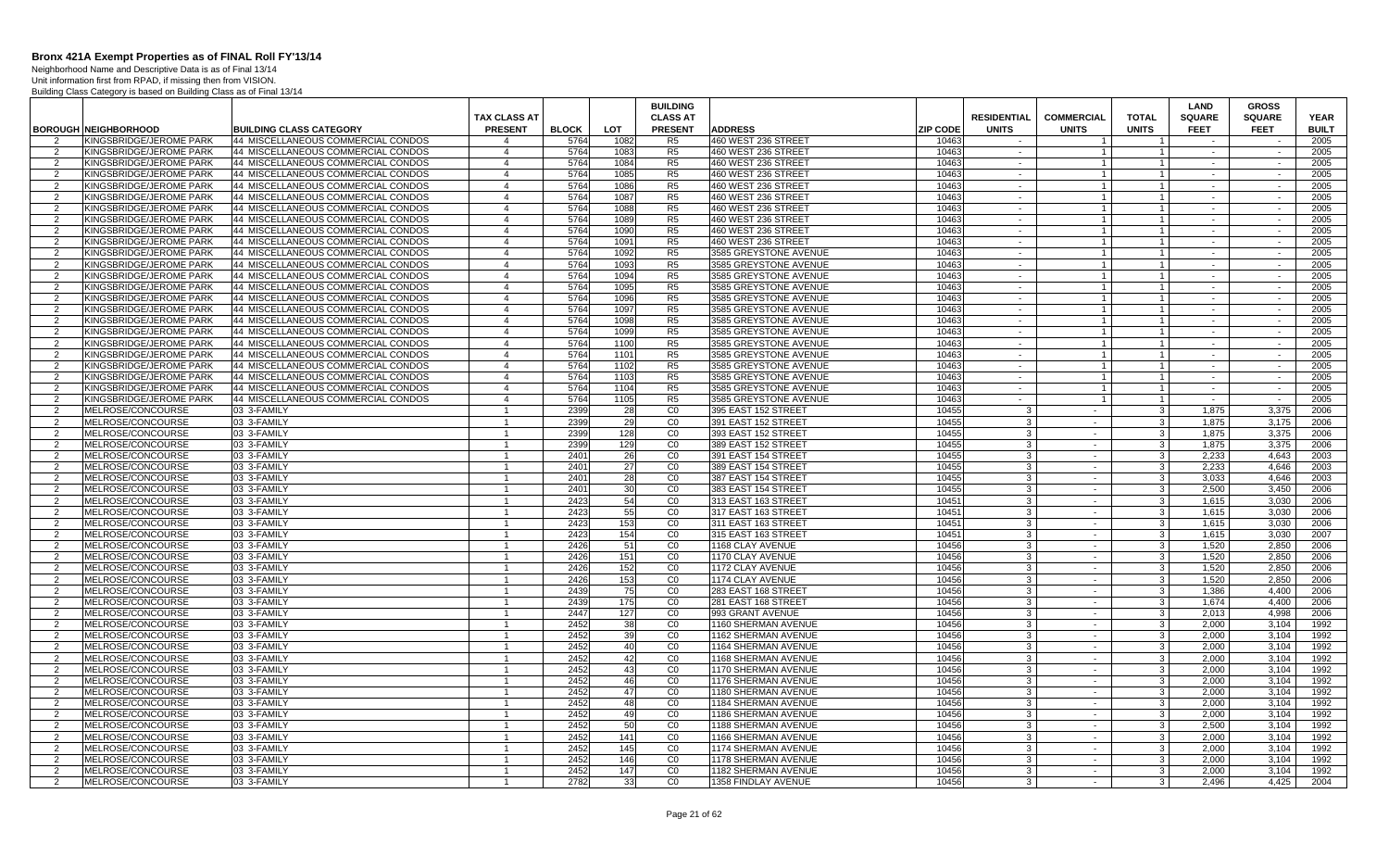Neighborhood Name and Descriptive Data is as of Final 13/14 Unit information first from RPAD, if missing then from VISION. Building Class Category is based on Building Class as of Final 13/14

|                     |                                                    |                                                                          |                                  |              |              | <b>BUILDING</b>      |                                                |                 |                    |                              |                | LAND             | <b>GROSS</b>                |              |
|---------------------|----------------------------------------------------|--------------------------------------------------------------------------|----------------------------------|--------------|--------------|----------------------|------------------------------------------------|-----------------|--------------------|------------------------------|----------------|------------------|-----------------------------|--------------|
|                     |                                                    |                                                                          | <b>TAX CLASS AT</b>              |              |              | <b>CLASS AT</b>      |                                                |                 | <b>RESIDENTIAL</b> | <b>COMMERCIAL</b>            | <b>TOTAL</b>   | <b>SQUARE</b>    | <b>SQUARE</b>               | <b>YEAR</b>  |
|                     | <b>BOROUGH NEIGHBORHOOD</b>                        | <b>BUILDING CLASS CATEGORY</b>                                           | <b>PRESENT</b>                   | <b>BLOCK</b> | <b>LOT</b>   | <b>PRESENT</b>       | <b>ADDRESS</b>                                 | <b>ZIP CODE</b> | <b>UNITS</b>       | <b>UNITS</b>                 | <b>UNITS</b>   | <b>FEET</b>      | <b>FEET</b>                 | <b>BUILT</b> |
| $\mathcal{P}$       | KINGSBRIDGE/JEROME PARK                            | 44 MISCELLANEOUS COMMERCIAL CONDOS                                       | $\Delta$                         | 5764         | 1082         | R <sub>5</sub>       | 460 WEST 236 STREET                            | 10463           |                    | $\mathbf{1}$                 |                | $\sim$           |                             | 2005         |
| $\overline{2}$      | KINGSBRIDGE/JEROME PARK                            | 44 MISCELLANEOUS COMMERCIAL CONDOS                                       | $\overline{4}$                   | 5764         | 1083         | R <sub>5</sub>       | 460 WEST 236 STREET                            | 10463           | $\sim$             | $\mathbf{1}$                 | $\overline{1}$ | $\sim$           | $\sim$                      | 2005         |
| 2                   | KINGSBRIDGE/JEROME PARK                            | 44 MISCELLANEOUS COMMERCIAL CONDOS                                       | $\overline{4}$                   | 5764         | 1084         | R <sub>5</sub>       | 460 WEST 236 STREET                            | 10463           | $\sim$             | $\overline{1}$               | $\overline{1}$ | $\sim$           | $\sim$                      | 2005         |
| 2                   | KINGSBRIDGE/JEROME PARK                            | 44 MISCELLANEOUS COMMERCIAL CONDOS                                       | $\overline{4}$                   | 5764         | 1085         | R <sub>5</sub>       | 460 WEST 236 STREET                            | 10463           | $\sim$             | $\mathbf{1}$                 |                | $\sim$           | $\sim$                      | 2005         |
| 2                   | KINGSBRIDGE/JEROME PARK                            | 44 MISCELLANEOUS COMMERCIAL CONDOS                                       | $\overline{4}$                   | 5764         | 1086         | R5                   | 460 WEST 236 STREET                            | 10463           | $\sim$             | $\mathbf{1}$                 | $\overline{1}$ | $\sim$           | $\sim$                      | 2005         |
| $\overline{2}$      | KINGSBRIDGE/JEROME PARK                            | 44 MISCELLANEOUS COMMERCIAL CONDOS                                       | $\overline{4}$                   | 5764         | 1087         | R5                   | 460 WEST 236 STREET                            | 10463           | $\sim$             | $\mathbf{1}$                 | $\mathbf{1}$   | $\sim$           | $\mathcal{L}^{\mathcal{A}}$ | 2005         |
| 2                   | KINGSBRIDGE/JEROME PARK                            | 44 MISCELLANEOUS COMMERCIAL CONDOS                                       | $\overline{4}$                   | 5764         | 1088         | R <sub>5</sub>       | 460 WEST 236 STREET                            | 10463           | $\sim$             | $\mathbf{1}$                 | $\overline{1}$ | $\sim$           | $\sim$                      | 2005         |
| $\overline{2}$      | KINGSBRIDGE/JEROME PARK                            | 44 MISCELLANEOUS COMMERCIAL CONDOS                                       | $\overline{4}$                   | 5764         | 1089         | R <sub>5</sub>       | 460 WEST 236 STREET                            | 10463           | $\sim$             | $\overline{1}$               | $\overline{1}$ | $\sim$           | $\sim$                      | 2005         |
| $\overline{2}$      | KINGSBRIDGE/JEROME PARK                            | 44 MISCELLANEOUS COMMERCIAL CONDOS                                       | $\overline{4}$                   | 5764         | 1090         | R <sub>5</sub>       | 460 WEST 236 STREET                            | 10463           | $\sim$             | $\mathbf{1}$                 |                | $\sim$           | $\sim$                      | 2005         |
| 2                   | KINGSBRIDGE/JEROME PARK                            | 44 MISCELLANEOUS COMMERCIAL CONDOS                                       | $\overline{4}$                   | 5764         | 1091         | R <sub>5</sub>       | 460 WEST 236 STREET                            | 10463           | $\sim$             | $\overline{1}$               | $1 \vert$      | $\sim$           | $\sim$                      | 2005         |
| 2                   | KINGSBRIDGE/JEROME PARK                            | 44 MISCELLANEOUS COMMERCIAL CONDOS                                       | $\overline{4}$                   | 5764         | 1092         | R5                   | 3585 GREYSTONE AVENUE                          | 10463           | $\sim$             | $\overline{1}$               | $\overline{1}$ | $\sim$           | $\sim$                      | 2005         |
| 2                   | KINGSBRIDGE/JEROME PARK                            | 44 MISCELLANEOUS COMMERCIAL CONDOS                                       | $\overline{4}$                   | 5764         | 1093         | R <sub>5</sub>       | 3585 GREYSTONE AVENUE                          | 10463           | $\sim$             | $\mathbf{1}$                 | $\mathbf{1}$   | $\sim$           | $\sim$                      | 2005         |
| $\overline{2}$      | KINGSBRIDGE/JEROME PARK                            | 44 MISCELLANEOUS COMMERCIAL CONDOS                                       | $\overline{4}$                   | 5764         | 1094         | R5                   | 3585 GREYSTONE AVENUE                          | 10463           | $\sim$             | $\mathbf{1}$                 |                | $\sim$           | $\sim$                      | 2005         |
| 2                   | KINGSBRIDGE/JEROME PARK                            | 44 MISCELLANEOUS COMMERCIAL CONDOS                                       | $\overline{4}$                   | 5764         | 1095         | R <sub>5</sub>       | 3585 GREYSTONE AVENUE                          | 10463           | $\sim$             | $\mathbf{1}$                 | $\overline{1}$ | $\sim$           | $\sim$                      | 2005         |
| $\overline{2}$      | KINGSBRIDGE/JEROME PARK                            | 44 MISCELLANEOUS COMMERCIAL CONDOS                                       | $\overline{4}$                   | 5764         | 1096         | R5                   | 3585 GREYSTONE AVENUE                          | 10463           | $\sim$             | $\mathbf{1}$                 | $\overline{1}$ | $\sim$           | $\sim$                      | 2005         |
| 2                   | KINGSBRIDGE/JEROME PARK                            | 44 MISCELLANEOUS COMMERCIAL CONDOS                                       | $\overline{4}$                   | 5764         | 1097         | R <sub>5</sub>       | 3585 GREYSTONE AVENUE                          | 10463           | $\sim$             | $\mathbf{1}$                 | $\mathbf{1}$   | $\sim$           | $\sim$                      | 2005         |
| 2                   | KINGSBRIDGE/JEROME PARK                            | 44 MISCELLANEOUS COMMERCIAL CONDOS                                       | $\overline{4}$                   | 5764         | 1098         | R5                   | 3585 GREYSTONE AVENUE                          | 10463           | $\sim$             | $\overline{1}$               | $\overline{1}$ | $\sim$           | $\sim$                      | 2005         |
| $\mathcal{P}$       | KINGSBRIDGE/JEROME PARK                            | 44 MISCELLANEOUS COMMERCIAL CONDOS                                       | $\overline{4}$                   | 5764         | 1099         | R5                   | 3585 GREYSTONE AVENUE                          | 10463           | $\sim$             | $\mathbf{1}$                 |                | $\sim$           | $\sim$                      | 2005         |
| 2                   | KINGSBRIDGE/JEROME PARK                            | 44 MISCELLANEOUS COMMERCIAL CONDOS                                       | $\overline{4}$                   | 5764<br>5764 | 1100         | R5<br>R5             | 3585 GREYSTONE AVENUE                          | 10463           | $\sim$             | $\overline{1}$               | $\overline{1}$ | $\sim$           | $\sim$                      | 2005<br>2005 |
| $\overline{2}$      | KINGSBRIDGE/JEROME PARK                            | 44 MISCELLANEOUS COMMERCIAL CONDOS                                       | $\overline{4}$                   |              | 1101         |                      | 3585 GREYSTONE AVENUE                          | 10463           | $\sim$             | $\mathbf{1}$                 |                | $\sim$           | $\sim$                      |              |
| 2<br>$\overline{2}$ | KINGSBRIDGE/JEROME PARK                            | 44 MISCELLANEOUS COMMERCIAL CONDOS                                       | $\overline{4}$<br>$\overline{4}$ | 5764         | 1102         | R <sub>5</sub>       | 3585 GREYSTONE AVENUE                          | 10463           | $\sim$<br>$\sim$   | $\mathbf{1}$                 | $\overline{1}$ | $\sim$<br>$\sim$ | $\sim$                      | 2005         |
| $\overline{2}$      | KINGSBRIDGE/JEROME PARK<br>KINGSBRIDGE/JEROME PARK | 44 MISCELLANEOUS COMMERCIAL CONDOS<br>44 MISCELLANEOUS COMMERCIAL CONDOS | $\overline{4}$                   | 5764<br>5764 | 1103<br>1104 | R <sub>5</sub><br>R5 | 3585 GREYSTONE AVENUE<br>3585 GREYSTONE AVENUE | 10463<br>10463  |                    | $\mathbf{1}$<br>$\mathbf{1}$ |                |                  | $\sim$<br>$\sim$            | 2005<br>2005 |
| 2                   | KINGSBRIDGE/JEROME PARK                            | 44 MISCELLANEOUS COMMERCIAL CONDOS                                       | $\overline{4}$                   | 5764         | 1105         | R <sub>5</sub>       | 3585 GREYSTONE AVENUE                          | 10463           | $\sim$<br>$\sim$   | $\overline{1}$               | $1 \vert$      | $\sim$<br>$\sim$ | $\sim$                      | 2005         |
| $\mathcal{P}$       | MELROSE/CONCOURSE                                  | 03 3-FAMILY                                                              | $\overline{1}$                   | 2399         | 28           | CO                   | 395 EAST 152 STREET                            | 10455           | Ŀ.                 | $\sim$                       | 3 <sup>1</sup> | 1.875            | 3,375                       | 2006         |
| 2                   | MELROSE/CONCOURSE                                  | 03 3-FAMILY                                                              | $\mathbf{1}$                     | 2399         | 29           | CO                   | 391 EAST 152 STREET                            | 10455           | -3                 | $\sim$                       | -3 I           | 1.875            | 3,175                       | 2006         |
| 2                   | MELROSE/CONCOURSE                                  | 03 3-FAMILY                                                              | $\overline{1}$                   | 2399         | 128          | $\overline{c}$       | 393 EAST 152 STREET                            | 10455           | 3                  | $\sim$                       | $\mathbf{3}$   | 1,875            | 3.375                       | 2006         |
| 2                   | MELROSE/CONCOURSE                                  | 03 3-FAMILY                                                              | $\overline{1}$                   | 2399         | 129          | CO                   | 389 EAST 152 STREET                            | 10455           | -3                 | $\sim$                       | $\mathbf{3}$   | 1,875            | 3,375                       | 2006         |
| $\overline{2}$      | MELROSE/CONCOURSE                                  | 03 3-FAMILY                                                              | $\overline{1}$                   | 2401         | 26           | CO                   | 391 EAST 154 STREET                            | 10455           |                    | $\sim$                       | $\mathbf{3}$   | 2,233            | 4.643                       | 2003         |
| 2                   | MELROSE/CONCOURSE                                  | 03 3-FAMILY                                                              |                                  | 2401         | 27           | CO                   | 389 EAST 154 STREET                            | 10455           | 3                  | $\sim$                       | $\mathbf{3}$   | 2.233            | 4.646                       | 2003         |
| $\mathcal{P}$       | MELROSE/CONCOURSE                                  | 03 3-FAMILY                                                              | $\overline{1}$                   | 2401         | 28           | CO                   | 387 EAST 154 STREET                            | 10455           |                    | $\sim$                       | $\mathcal{R}$  | 3,033            | 4,646                       | 2003         |
| 2                   | MELROSE/CONCOURSE                                  | 03 3-FAMILY                                                              |                                  | 2401         | 30           | CO                   | 383 EAST 154 STREET                            | 10455           |                    | $\sim$                       | 3 <sup>1</sup> | 2,500            | 3.450                       | 2006         |
| 2                   | MELROSE/CONCOURSE                                  | 03 3-FAMILY                                                              | $\overline{1}$                   | 2423         | 54           | $\overline{c}$       | 313 EAST 163 STREET                            | 10451           | 3                  | $\sim$                       | -3 I           | 1.615            | 3.030                       | 2006         |
| 2                   | MELROSE/CONCOURSE                                  | 03 3-FAMILY                                                              |                                  | 2423         | 55           | CO                   | 317 EAST 163 STREET                            | 10451           | 3                  | $\sim$                       | 3 <sup>1</sup> | 1.615            | 3.030                       | 2006         |
| 2                   | MELROSE/CONCOURSE                                  | 03 3-FAMILY                                                              | $\overline{1}$                   | 2423         | 153          | CO                   | 311 EAST 163 STREET                            | 10451           | 3                  | $\sim$                       | 3              | 1,615            | 3,030                       | 2006         |
| $\overline{2}$      | MELROSE/CONCOURSE                                  | 03 3-FAMILY                                                              | $\overline{1}$                   | 2423         | 154          | $\overline{C}0$      | 315 EAST 163 STREET                            | 10451           |                    | $\sim$                       | $\mathbf{3}$   | 1,615            | 3,030                       | 2007         |
| 2                   | MELROSE/CONCOURSE                                  | 03 3-FAMILY                                                              |                                  | 2426         | 51           | CO                   | <b>1168 CLAY AVENUE</b>                        | 10456           |                    | $\sim$                       | $\mathbf{3}$   | 1.520            | 2.850                       | 2006         |
| $\overline{2}$      | MELROSE/CONCOURSE                                  | 03 3-FAMILY                                                              | $\overline{1}$                   | 2426         | 151          | CO                   | 1170 CLAY AVENUE                               | 10456           | $\mathcal{A}$      | $\sim$                       | 3 <sup>1</sup> | 1,520            | 2,850                       | 2006         |
| 2                   | MELROSE/CONCOURSE                                  | 03 3-FAMILY                                                              |                                  | 2426         | 152          | CO                   | 1172 CLAY AVENUE                               | 10456           | 3                  | $\sim$                       | 3 <sup>1</sup> | 1.520            | 2.850                       | 2006         |
| 2                   | MELROSE/CONCOURSE                                  | 03 3-FAMILY                                                              | $\mathbf{1}$                     | 2426         | 153          | CO                   | <b>1174 CLAY AVENUE</b>                        | 10456           | $\cdot$ 3          | $\sim$                       | 3 <sup>1</sup> | 1.520            | 2.850                       | 2006         |
| 2                   | MELROSE/CONCOURSE                                  | 03 3-FAMILY                                                              | $\overline{1}$                   | 2439         | 75           | CO                   | 283 EAST 168 STREET                            | 10456           | 3                  | $\sim$                       | 3              | 1,386            | 4.400                       | 2006         |
| 2                   | MELROSE/CONCOURSE                                  | 03 3-FAMILY                                                              | $\overline{1}$                   | 2439         | 175          | $\overline{c}$       | 281 EAST 168 STREET                            | 10456           | 3                  | $\sim$                       | $\mathbf{3}$   | 1,674            | 4.400                       | 2006         |
| 2                   | MELROSE/CONCOURSE                                  | 03 3-FAMILY                                                              | $\overline{1}$                   | 2447         | 127          | $\overline{c}$       | 993 GRANT AVENUE                               | 10456           |                    | $\sim$                       | $\mathbf{3}$   | 2.013            | 4.998                       | 2006         |
| 2                   | MELROSE/CONCOURSE                                  | 03 3-FAMILY                                                              | -1                               | 2452         | 38           | CO                   | 1160 SHERMAN AVENUE                            | 10456           | 3                  | $\sim$                       | $\mathbf{3}$   | 2.000            | 3.104                       | 1992         |
| $\mathcal{P}$       | MELROSE/CONCOURSE                                  | 03 3-FAMILY                                                              | $\overline{1}$                   | 2452         | 39           | CO                   | 1162 SHERMAN AVENUE                            | 10456           | $\mathcal{R}$      | $\sim$                       | $\mathbf{3}$   | 2,000            | 3,104                       | 1992         |
| $\overline{2}$      | MELROSE/CONCOURSE                                  | 03 3-FAMILY                                                              |                                  | 2452         | 40           | CO                   | <b>1164 SHERMAN AVENUE</b>                     | 10456           | 3                  | $\sim$                       | 3 I            | 2.000            | 3,104                       | 1992         |
| 2                   | MELROSE/CONCOURSE                                  | 03 3-FAMILY                                                              | $\overline{1}$                   | 2452         | 42           | CO                   | <b>1168 SHERMAN AVENUE</b>                     | 10456           | $\mathcal{R}$      | $\sim$                       | $\overline{3}$ | 2.000            | 3.104                       | 1992         |
| 2                   | MELROSE/CONCOURSE                                  | 03 3-FAMILY                                                              | $\overline{1}$                   | 2452         | 43           | $\overline{C}0$      | 1170 SHERMAN AVENUE                            | 10456           |                    | $\sim$                       | 3 <sup>1</sup> | 2,000            | 3,104                       | 1992         |
| 2                   | MELROSE/CONCOURSE                                  | 03 3-FAMILY                                                              | -1                               | 2452         | 46           | $\overline{c}$       | 1176 SHERMAN AVENUE                            | 10456           | -3                 | $\sim$                       | $\mathbf{3}$   | 2,000            | 3,104                       | 1992         |
| 2                   | MELROSE/CONCOURSE                                  | 03 3-FAMILY                                                              | $\overline{1}$                   | 2452         | 47           | CO                   | 1180 SHERMAN AVENUE                            | 10456           |                    | $\sim$                       | $\mathbf{3}$   | 2.000            | 3.104                       | 1992         |
| 2                   | MELROSE/CONCOURSE                                  | 03 3-FAMILY                                                              | $\overline{1}$                   | 2452         | 48           | CO                   | 1184 SHERMAN AVENUE                            | 10456           | 3                  | $\sim$                       | 3              | 2,000            | 3,104                       | 1992         |
| $\overline{2}$      | MELROSE/CONCOURSE                                  | 03 3-FAMILY                                                              | $\overline{1}$                   | 2452         | 49           | $\overline{C}0$      | 1186 SHERMAN AVENUE                            | 10456           | 3                  | $\sim$                       | $\mathbf{3}$   | 2.000            | 3,104                       | 1992         |
| $\overline{2}$      | MELROSE/CONCOURSE                                  | 03 3-FAMILY                                                              | $\overline{1}$                   | 2452         | 50           | CO                   | 1188 SHERMAN AVENUE                            | 10456           |                    | $\sim$                       | 3 <sup>1</sup> | 2,500            | 3.104                       | 1992         |
| 2                   | MELROSE/CONCOURSE                                  | 03 3-FAMILY                                                              | $\overline{1}$                   | 2452         | 141          | CO                   | <b>1166 SHERMAN AVENUE</b>                     | 10456           | 3                  | $\sim$                       | $\overline{3}$ | 2.000            | 3.104                       | 1992         |
| 2                   | MELROSE/CONCOURSE                                  | 03 3-FAMILY                                                              |                                  | 2452         | 145          | CO                   | 1174 SHERMAN AVENUE                            | 10456           |                    | $\sim$                       | 3 <sup>1</sup> | 2,000            | 3,104                       | 1992         |
| 2                   | MELROSE/CONCOURSE                                  | 03 3-FAMILY                                                              | $\overline{1}$                   | 2452         | 146          | CO                   | <b>1178 SHERMAN AVENUE</b>                     | 10456           | $\mathcal{B}$      | $\sim$                       | $\mathbf{3}$   | 2.000            | 3.104                       | 1992         |
| 2                   | MELROSE/CONCOURSE                                  | 03 3-FAMILY                                                              |                                  | 2452         | 147          | CO                   | 1182 SHERMAN AVENUE                            | 10456           |                    | $\sim$                       | $\mathbf{3}$   | 2.000            | 3.104                       | 1992         |
| 2                   | MELROSE/CONCOURSE                                  | 03 3-FAMILY                                                              | $\overline{1}$                   | 2782         | 33           | CO                   | 1358 FINDLAY AVENUE                            | 10456           | $\mathcal{A}$      | $\sim$                       | $\mathbf{3}$   | 2,496            | 4,425                       | 2004         |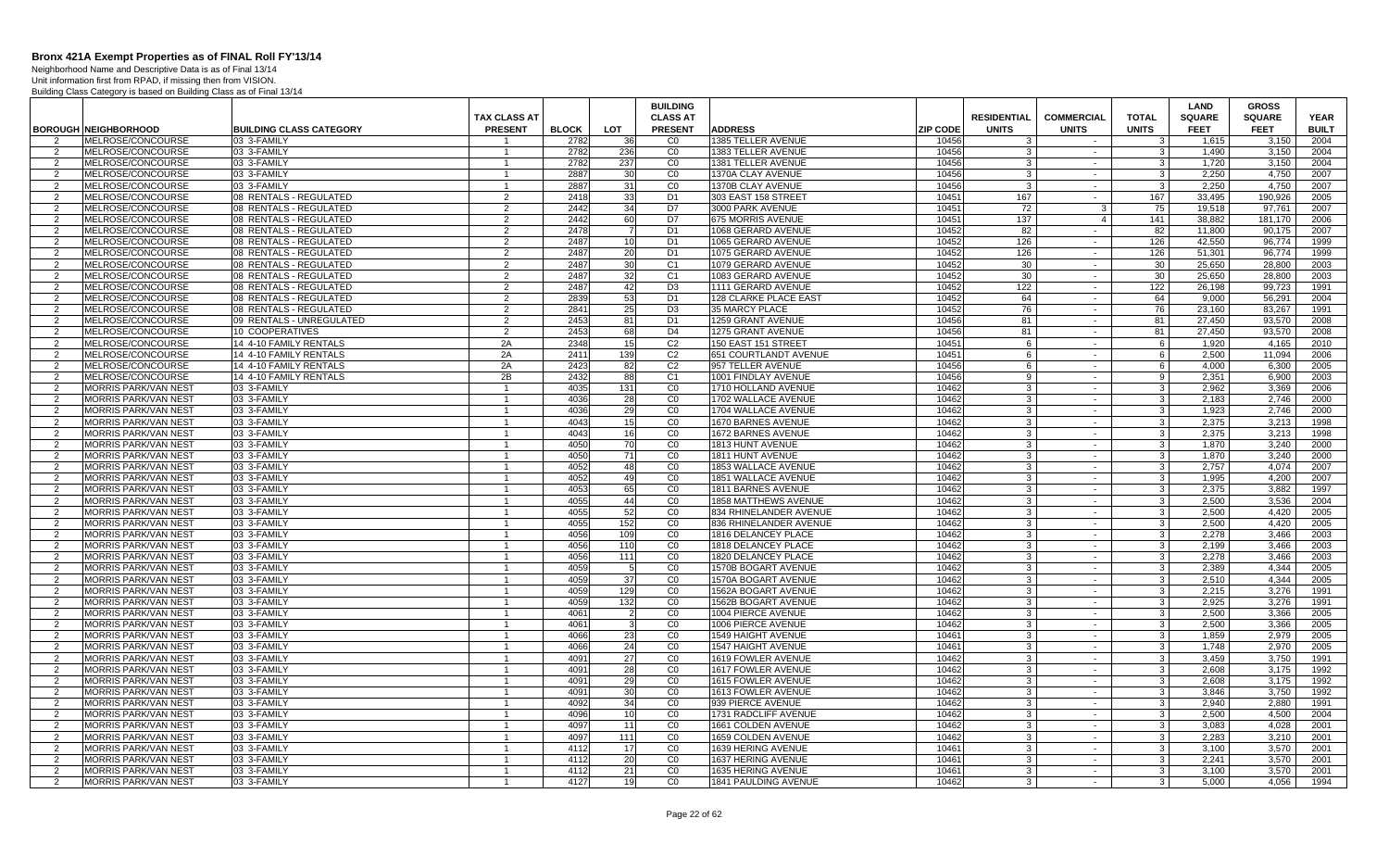Neighborhood Name and Descriptive Data is as of Final 13/14

| <b>PRESENT</b><br><b>LOT</b><br><b>PRESENT</b><br><b>ZIP CODE</b><br><b>FEET</b><br><b>BUILT</b><br><b>BOROUGH NEIGHBORHOOD</b><br><b>BUILDING CLASS CATEGORY</b><br><b>BLOCK</b><br><b>ADDRESS</b><br><b>UNITS</b><br><b>UNITS</b><br><b>UNITS</b><br><b>FEET</b><br>MELROSE/CONCOURSE<br>03 3-FAMILY<br>1385 TELLER AVENUE<br>10456<br>2004<br>2<br>2782<br>-36<br>C <sub>0</sub><br>$\mathbf{3}$<br>$\mathbf{3}$<br>1,615<br>3.150<br>$\overline{1}$<br>$\sim$<br>CO<br>MELROSE/CONCOURSE<br>03 3-FAMILY<br>2782<br>236<br>1383 TELLER AVENUE<br>10456<br>3 <sup>1</sup><br>3.150<br>2004<br>2<br>-3<br>1.490<br>$\overline{1}$<br>$\sim$<br>2782<br>10456<br>MELROSE/CONCOURSE<br>237<br>CO<br>1381 TELLER AVENUE<br>3<br>$\mathbf{3}$<br>1,720<br>3,150<br>2004<br>$\overline{2}$<br>03 3-FAMILY<br>$\mathbf{1}$<br>$\sim$<br>2887<br>MELROSE/CONCOURSE<br>03 3-FAMILY<br>CO<br>1370A CLAY AVENUE<br>10456<br>$\mathbf{3}$<br>2,250<br>4,750<br>2007<br>30<br>-3<br>-2<br>$\overline{1}$<br>$\sim$<br>CO<br>MELROSE/CONCOURSE<br>03 3-FAMILY<br>2887<br>31<br>1370B CLAY AVENUE<br>10456<br>$\mathbf{3}$<br>2.250<br>4,750<br>2007<br>-3<br>2<br>$\overline{1}$<br>$\sim$<br>MELROSE/CONCOURSE<br>2<br>2418<br>33<br>D <sub>1</sub><br>303 EAST 158 STREET<br>10451<br>167<br>167<br>33,495<br>190,926<br>2005<br>$\overline{2}$<br>08 RENTALS - REGULATED<br>$\sim$<br>2442<br>34<br>D7<br>10451<br>72<br>75<br>19,518<br>2<br>MELROSE/CONCOURSE<br>08 RENTALS - REGULATED<br>2<br>3000 PARK AVENUE<br>3<br>97.761<br>2007<br>MELROSE/CONCOURSE<br>08 RENTALS - REGULATED<br>2442<br>60<br>D7<br>675 MORRIS AVENUE<br>10451<br>137<br>$\overline{4}$<br>141<br>38,882<br>181,170<br>2006<br>2<br>2<br>2478<br>MELROSE/CONCOURSE<br>08 RENTALS - REGULATED<br>D <sub>1</sub><br>1068 GERARD AVENUE<br>10452<br>82<br>82<br>11.800<br>90,175<br>2007<br>2<br>2<br>$\sim$<br>2487<br>126<br>126<br>42,550<br>MELROSE/CONCOURSE<br>08 RENTALS - REGULATED<br>2<br>10<br>D <sub>1</sub><br>1065 GERARD AVENUE<br>10452<br>96,774<br>1999<br>2<br>$\sim$<br>2487<br>20<br>D1<br>MELROSE/CONCOURSE<br>08 RENTALS - REGULATED<br>2<br>1075 GERARD AVENUE<br>10452<br>126<br>126<br>51,301<br>96,774<br>1999<br>2<br>$\sim$<br>2487<br>30<br>C <sub>1</sub><br>10452<br>30<br>30<br>25,650<br>28,800<br>2003<br>MELROSE/CONCOURSE<br>08 RENTALS - REGULATED<br>$\overline{2}$<br>1079 GERARD AVENUE<br>2<br>$\sim$<br>2<br>2487<br>32<br>C <sub>1</sub><br>10452<br>30<br>30<br>25.650<br>MELROSE/CONCOURSE<br>08 RENTALS - REGULATED<br>1083 GERARD AVENUE<br>28.800<br>2003<br>2<br>$\sim$<br>MELROSE/CONCOURSE<br>2487<br>42<br>D <sub>3</sub><br>1111 GERARD AVENUE<br>10452<br>122<br>26,198<br>08 RENTALS - REGULATED<br>122<br>99,723<br>1991<br>2<br>2<br>$\sim$<br>08 RENTALS - REGULATED<br>2839<br>53<br>D1<br>128 CLARKE PLACE EAST<br>$\overline{2}$<br>MELROSE/CONCOURSE<br>2<br>10452<br>64<br>64<br>9,000<br>56,291<br>2004<br>$\sim$<br>25<br>MELROSE/CONCOURSE<br>08 RENTALS - REGULATED<br>2841<br>D <sub>3</sub><br>35 MARCY PLACE<br>10452<br>76<br>76<br>23,160<br>83,267<br>1991<br>2<br>2<br>$\sim$<br>MELROSE/CONCOURSE<br>09 RENTALS - UNREGULATED<br>2<br>2453<br>81<br>D <sub>1</sub><br>1259 GRANT AVENUE<br>10456<br>81<br>81<br>27.450<br>93,570<br>2008<br>2<br>$\sim$<br>2453<br>MELROSE/CONCOURSE<br>10 COOPERATIVES<br>$\mathcal{P}$<br>68<br>D <sub>4</sub><br>1275 GRANT AVENUE<br>10456<br>81<br>81<br>27,450<br>93,570<br>2008<br>2<br>$\sim$<br>2348<br>C <sub>2</sub><br>10451<br>MELROSE/CONCOURSE<br>14 4-10 FAMILY RENTALS<br>2A<br>15<br>150 EAST 151 STREET<br>6<br>6<br>1,920<br>4,165<br>2010<br>$\overline{2}$<br>$\sim$<br>2A<br>139<br>C <sub>2</sub><br>10451<br>6<br>2,500<br>MELROSE/CONCOURSE<br>14 4-10 FAMILY RENTALS<br>2411<br>651 COURTLANDT AVENUE<br>6<br>11,094<br>2006<br>2<br>$\sim$<br>2423<br>C <sub>2</sub><br>10456<br>6<br>4.000<br>MELROSE/CONCOURSE<br>2A<br>82<br>957 TELLER AVENUE<br>6<br>6.300<br>2005<br>14 4-10 FAMILY RENTALS<br>2<br>$\sim$<br>14 4-10 FAMILY RENTALS<br>2B<br>2432<br>88<br>C <sub>1</sub><br>10456<br>9<br>2,351<br>6,900<br>$\overline{2}$<br>MELROSE/CONCOURSE<br>1001 FINDLAY AVENUE<br>9<br>2003<br>$\sim$<br>4035<br>$\mathbf{3}$<br><b>MORRIS PARK/VAN NEST</b><br>03 3-FAMILY<br>131<br>CO<br>1710 HOLLAND AVENUE<br>10462<br>3<br>2.962<br>3,369<br>2006<br>$\overline{2}$<br>$\sim$<br><b>MORRIS PARK/VAN NEST</b><br>03 3-FAMILY<br>4036<br>28<br>CO<br>1702 WALLACE AVENUE<br>10462<br>-3<br>3 <sup>1</sup><br>2.183<br>2.746<br>2000<br>2<br>$\mathbf{1}$<br>$\sim$<br>4036<br>C <sub>0</sub><br><b>MORRIS PARK/VAN NEST</b><br>03 3-FAMILY<br>29<br>1704 WALLACE AVENUE<br>10462<br>3<br>$\mathbf{3}$<br>1.923<br>2.746<br>2000<br>$\mathcal{P}$<br>$\mathbf{1}$<br>$\sim$<br>4043<br>CO<br>10462<br>3 <sup>1</sup><br><b>MORRIS PARK/VAN NEST</b><br>03 3-FAMILY<br>15<br>1670 BARNES AVENUE<br>$\mathbf{3}$<br>2,375<br>3.213<br>1998<br>2<br>$\mathbf{1}$<br>$\sim$<br>4043<br>16<br>C <sub>0</sub><br>د<br>2,375<br><b>MORRIS PARK/VAN NEST</b><br>03 3-FAMILY<br>1672 BARNES AVENUE<br>10462<br>3<br>3,213<br>1998<br>-2<br>$\overline{1}$<br>$\sim$<br>CO<br><b>MORRIS PARK/VAN NEST</b><br>4050<br>70<br>10462<br>$\mathbf{3}$<br>1,870<br>3,240<br>2000<br>03 3-FAMILY<br>1813 HUNT AVENUE<br>-3<br>2<br>$\mathbf{1}$<br>$\sim$<br><b>MORRIS PARK/VAN NEST</b><br>4050<br>CO<br>10462<br>$\mathbf{3}$<br>1.870<br>3.240<br>03 3-FAMILY<br>$\overline{1}$<br>71<br>1811 HUNT AVENUE<br>2000<br>$\mathcal{P}$<br>-3<br>$\sim$<br>4052<br>48<br>CO<br>10462<br>$\mathbf{3}$<br>2,757<br>4,074<br>2007<br><b>MORRIS PARK/VAN NEST</b><br>03 3-FAMILY<br>1853 WALLACE AVENUE<br>-3<br>2<br>$\mathbf{1}$<br>$\sim$<br>$\overline{2}$<br><b>MORRIS PARK/VAN NEST</b><br>03 3-FAMILY<br>4052<br>49<br>CO<br>1851 WALLACE AVENUE<br>10462<br>3<br>$\mathbf{3}$<br>1.995<br>4,200<br>2007<br>$\overline{1}$<br>$\sim$<br><b>MORRIS PARK/VAN NEST</b><br>4053<br>65<br>CO<br>1811 BARNES AVENUE<br>10462<br>3<br>$\mathbf{3}$<br>2.375<br>3,882<br>1997<br>2<br>03 3-FAMILY<br>$\sim$<br>4055<br>CO<br>3 <sup>1</sup><br><b>MORRIS PARK/VAN NEST</b><br>03 3-FAMILY<br>44<br>1858 MATTHEWS AVENUE<br>10462<br>-3<br>2.500<br>3.536<br>2004<br>2<br>$\mathbf{1}$<br>$\sim$<br>4055<br>52<br>10462<br><b>MORRIS PARK/VAN NEST</b><br>03 3-FAMILY<br>CO<br>834 RHINELANDER AVENUE<br>3<br>$\mathbf{3}$<br>2,500<br>4,420<br>2005<br>2<br>$\mathbf{1}$<br>$\sim$<br>4055<br>152<br>CO<br>10462<br>3 <sup>1</sup><br>2.500<br>4.420<br>2005<br>2<br><b>MORRIS PARK/VAN NEST</b><br>03 3-FAMILY<br>836 RHINELANDER AVENUE<br>3<br>$\mathbf{1}$<br>$\sim$<br>4056<br>109<br>CO<br>2.278<br>3,466<br><b>MORRIS PARK/VAN NEST</b><br>03 3-FAMILY<br>1816 DELANCEY PLACE<br>10462<br>-3<br>3 <sup>1</sup><br>2003<br>2<br>$\overline{1}$<br>$\sim$<br>4056<br>CO<br>10462<br><b>MORRIS PARK/VAN NEST</b><br>03 3-FAMILY<br>110<br>1818 DELANCEY PLACE<br>$\mathbf{3}$<br>2,199<br>3,466<br>2003<br>2<br>$\overline{1}$<br>-3<br>$\sim$<br><b>MORRIS PARK/VAN NEST</b><br>03 3-FAMILY<br>4056<br>111<br>CO<br>1820 DELANCEY PLACE<br>10462<br>$\overline{3}$<br>$\mathbf{3}$<br>2,278<br>3,466<br>2003<br>$\overline{2}$<br>$\blacktriangleleft$<br>$\sim$<br><b>MORRIS PARK/VAN NEST</b><br>03 3-FAMILY<br>4059<br>CO<br>1570B BOGART AVENUE<br>10462<br>$\mathbf{3}$<br>2.389<br>4,344<br>2005<br>-3<br>2<br>5<br>-1<br>$\sim$<br><b>MORRIS PARK/VAN NEST</b><br>03 3-FAMILY<br>4059<br>37<br>CO<br>1570A BOGART AVENUE<br>10462<br>3 <sup>1</sup><br>2.510<br>4.344<br>2005<br>2<br>$\mathbf{1}$<br>-3<br>$\sim$<br>4059<br>129<br><b>MORRIS PARK/VAN NEST</b><br>03 3-FAMILY<br>C <sub>0</sub><br>1562A BOGART AVENUE<br>10462<br>-3<br>3 <sup>1</sup><br>2,215<br>3,276<br>1991<br>$\mathcal{P}$<br>$\overline{1}$<br>$\sim$<br>4059<br>132<br>CO<br>10462<br>3 <sup>1</sup><br>1991<br><b>MORRIS PARK/VAN NEST</b><br>03 3-FAMILY<br>1562B BOGART AVENUE<br>$\mathbf{3}$<br>2.925<br>3.276<br>2<br>$\overline{1}$<br>$\sim$<br>CO<br>$\overline{3}$<br><b>MORRIS PARK/VAN NEST</b><br>4061<br>1004 PIERCE AVENUE<br>10462<br>3<br>2.500<br>3.366<br>2005<br>03 3-FAMILY<br>$\overline{2}$<br>2<br>$\sim$<br>4061<br>CO<br>10462<br>2.500<br>3,366<br>2005<br>MORRIS PARK/VAN NEST<br>03 3-FAMILY<br>1006 PIERCE AVENUE<br>-3 I<br>2<br>-3<br>$\sim$<br>-1<br><b>MORRIS PARK/VAN NEST</b><br>4066<br>23<br>CO<br>10461<br>$\overline{3}$<br>1,859<br>2,979<br>2005<br>03 3-FAMILY<br>$\overline{1}$<br>1549 HAIGHT AVENUE<br>$\mathcal{P}$<br>-3<br>$\sim$<br><b>MORRIS PARK/VAN NEST</b><br>03 3-FAMILY<br>4066<br>CO<br>1547 HAIGHT AVENUE<br>10461<br>$\mathbf{3}$<br>1.748<br>2,970<br>2005<br>24<br>-3<br>2<br>-1<br>$\sim$<br>$\overline{2}$<br><b>MORRIS PARK/VAN NEST</b><br>03 3-FAMILY<br>4091<br>27<br>CO<br>1619 FOWLER AVENUE<br>10462<br>3<br>$\mathbf{3}$<br>3,459<br>3,750<br>1991<br>$\overline{1}$<br>$\sim$<br>28<br>$\overline{\omega}$<br><b>MORRIS PARK/VAN NEST</b><br>4091<br>CO<br>1617 FOWLER AVENUE<br>10462<br>3<br>2.608<br>3.175<br>1992<br>03 3-FAMILY<br>2<br>$\sim$<br>4091<br><b>MORRIS PARK/VAN NEST</b><br>03 3-FAMILY<br>29<br>CO<br>1615 FOWLER AVENUE<br>10462<br>$\mathbf{3}$<br>$\overline{3}$<br>2,608<br>3,175<br>1992<br>2<br>$\mathbf{1}$<br>$\sim$<br>4091<br>10462<br>1992<br><b>MORRIS PARK/VAN NEST</b><br>03 3-FAMILY<br>30<br>CO<br>1613 FOWLER AVENUE<br>-3<br>3 <sup>1</sup><br>3.846<br>3,750<br>2<br>$\mathbf{1}$<br>$\sim$<br>4092<br>34<br>CO<br>939 PIERCE AVENUE<br>10462<br>3 <sup>1</sup><br>2.940<br>2.880<br>1991<br><b>MORRIS PARK/VAN NEST</b><br>103 3-FAMILY<br>3<br>2<br>$\overline{1}$<br>$\sim$<br>4096<br>CO<br>10462<br>$\mathbf{3}$<br>2.500<br>MORRIS PARK/VAN NEST<br>03 3-FAMILY<br>10<br>1731 RADCLIFF AVENUE<br>4,500<br>2004<br>$\overline{2}$<br>$\overline{1}$<br>-3<br>$\sim$<br>4097<br>CO<br>10462<br>$\mathbf{3}$<br>3,083<br>4,028<br>2001<br><b>MORRIS PARK/VAN NEST</b><br>03 3-FAMILY<br>1661 COLDEN AVENUE<br>11<br>-3<br>2<br>$\overline{1}$<br>$\sim$<br><b>MORRIS PARK/VAN NEST</b><br>03 3-FAMILY<br>4097<br>111<br>CO<br>1659 COLDEN AVENUE<br>10462<br>$\overline{3}$<br>$\overline{3}$<br>2,283<br>3,210<br>2001<br>$\overline{2}$<br>$\overline{1}$<br>$\sim$<br><b>MORRIS PARK/VAN NEST</b><br>03 3-FAMILY<br>4112<br>CO<br>1639 HERING AVENUE<br>10461<br>$\mathbf{3}$<br>3.100<br>3,570<br>2001<br>17<br>-3<br>2<br>$\sim$<br>4112<br>CO<br>10461<br>3 <sup>1</sup><br>$\overline{2}$<br><b>MORRIS PARK/VAN NEST</b><br>03 3-FAMILY<br>$\blacktriangleleft$<br>20<br>1637 HERING AVENUE<br>$\mathbf{3}$<br>2.241<br>3,570<br>2001<br>$\sim$<br><b>MORRIS PARK/VAN NEST</b><br>03 3-FAMILY<br>4112<br>21<br>CO<br>1635 HERING AVENUE<br>10461<br>3<br>3 <sup>1</sup><br>3,100<br>3,570<br>2001<br>$\mathcal{P}$<br>$\sim$<br>4127<br>CO<br>10462<br>3 <sup>1</sup><br>5.000<br>1994<br>2<br><b>MORRIS PARK/VAN NEST</b><br>03 3-FAMILY<br>19<br>1841 PAULDING AVENUE<br>$\mathbf{3}$<br>4.056<br>$\mathbf{1}$<br>$\sim$ |  |                     |  | <b>BUILDING</b> |  |                    |                   |              | <b>LAND</b>   | <b>GROSS</b>  |             |
|--------------------------------------------------------------------------------------------------------------------------------------------------------------------------------------------------------------------------------------------------------------------------------------------------------------------------------------------------------------------------------------------------------------------------------------------------------------------------------------------------------------------------------------------------------------------------------------------------------------------------------------------------------------------------------------------------------------------------------------------------------------------------------------------------------------------------------------------------------------------------------------------------------------------------------------------------------------------------------------------------------------------------------------------------------------------------------------------------------------------------------------------------------------------------------------------------------------------------------------------------------------------------------------------------------------------------------------------------------------------------------------------------------------------------------------------------------------------------------------------------------------------------------------------------------------------------------------------------------------------------------------------------------------------------------------------------------------------------------------------------------------------------------------------------------------------------------------------------------------------------------------------------------------------------------------------------------------------------------------------------------------------------------------------------------------------------------------------------------------------------------------------------------------------------------------------------------------------------------------------------------------------------------------------------------------------------------------------------------------------------------------------------------------------------------------------------------------------------------------------------------------------------------------------------------------------------------------------------------------------------------------------------------------------------------------------------------------------------------------------------------------------------------------------------------------------------------------------------------------------------------------------------------------------------------------------------------------------------------------------------------------------------------------------------------------------------------------------------------------------------------------------------------------------------------------------------------------------------------------------------------------------------------------------------------------------------------------------------------------------------------------------------------------------------------------------------------------------------------------------------------------------------------------------------------------------------------------------------------------------------------------------------------------------------------------------------------------------------------------------------------------------------------------------------------------------------------------------------------------------------------------------------------------------------------------------------------------------------------------------------------------------------------------------------------------------------------------------------------------------------------------------------------------------------------------------------------------------------------------------------------------------------------------------------------------------------------------------------------------------------------------------------------------------------------------------------------------------------------------------------------------------------------------------------------------------------------------------------------------------------------------------------------------------------------------------------------------------------------------------------------------------------------------------------------------------------------------------------------------------------------------------------------------------------------------------------------------------------------------------------------------------------------------------------------------------------------------------------------------------------------------------------------------------------------------------------------------------------------------------------------------------------------------------------------------------------------------------------------------------------------------------------------------------------------------------------------------------------------------------------------------------------------------------------------------------------------------------------------------------------------------------------------------------------------------------------------------------------------------------------------------------------------------------------------------------------------------------------------------------------------------------------------------------------------------------------------------------------------------------------------------------------------------------------------------------------------------------------------------------------------------------------------------------------------------------------------------------------------------------------------------------------------------------------------------------------------------------------------------------------------------------------------------------------------------------------------------------------------------------------------------------------------------------------------------------------------------------------------------------------------------------------------------------------------------------------------------------------------------------------------------------------------------------------------------------------------------------------------------------------------------------------------------------------------------------------------------------------------------------------------------------------------------------------------------------------------------------------------------------------------------------------------------------------------------------------------------------------------------------------------------------------------------------------------------------------------------------------------------------------------------------------------------------------------------------------------------------------------------------------------------------------------------------------------------------------------------------------------------------------------------------------------------------------------------------------------------------------------------------------------------------------------------------------------------------------------------------------------------------------------------------------------------------------------------------------------------------------------------------------------------------------------------------------------------------------------------------------------------------------------------------------------------------------------------------------------------------------------------------------------------------------------------------------------------------------------------------------------------------------------------------------------------------------------------------------------------------------------------------------------------------------------------------------------------------------------------------------------------------------------------------------------------------------------------------------------------------------------------------------------------------------------------------------------------------------------------------------------------------------------------------------------------------------------------------------------------------------------------------------------------------------------------------------------------------------------------------------------------------------------------------------------------------------------------------------------------------------------------------------------------------------------------------------------------------------------------------------------------------------------------------------------------------------------------------------------------------------------------------------------------------------------------------------------------------------------------------------------------------------------------------------------------------------------------------------------------------------------------------------------------------------------------------------------------------------------------------------------------------------------------------------------------------------------------------------------------------------------------------------------------------------------------------------------------------------------------------------------------------------------------------------------------------------------------------------------------------------------------------------------------------------------------------------------------------------------------------------------------------------------------------------------------------------------------------------------------------------------------------------------------------------------------------------------------------------------------------------------------------------------------------------------------------------------------------------------------------------------------------------------------------------------------------------------------------------------------------------------------------------------------------------------------------------------------------------------------------------------------------------------------------------------|--|---------------------|--|-----------------|--|--------------------|-------------------|--------------|---------------|---------------|-------------|
|                                                                                                                                                                                                                                                                                                                                                                                                                                                                                                                                                                                                                                                                                                                                                                                                                                                                                                                                                                                                                                                                                                                                                                                                                                                                                                                                                                                                                                                                                                                                                                                                                                                                                                                                                                                                                                                                                                                                                                                                                                                                                                                                                                                                                                                                                                                                                                                                                                                                                                                                                                                                                                                                                                                                                                                                                                                                                                                                                                                                                                                                                                                                                                                                                                                                                                                                                                                                                                                                                                                                                                                                                                                                                                                                                                                                                                                                                                                                                                                                                                                                                                                                                                                                                                                                                                                                                                                                                                                                                                                                                                                                                                                                                                                                                                                                                                                                                                                                                                                                                                                                                                                                                                                                                                                                                                                                                                                                                                                                                                                                                                                                                                                                                                                                                                                                                                                                                                                                                                                                                                                                                                                                                                                                                                                                                                                                                                                                                                                                                                                                                                                                                                                                                                                                                                                                                                                                                                                                                                                                                                                                                                                                                                                                                                                                                                                                                                                                                                                                                                                                                                                                                                                                                                                                                                                                                                                                                                                                                                                                                                                                                                                                                                                                                                                                                                                                                                                                                                                                                                                                                                                                                                                                                                                                                                                                                                                                                                                                                                                                                                                                                                                                                                                                                                                                                                                                                                                                                                                                                                                                                                                                                                                                                                                                                                                                                                                                                                                                                                                                                                                                                                                                                                                                                                                                                                                                                                                                                                                                                                                                                                                                                                                                                                                                                                                                                                                                                                                                                                                                                                |  | <b>TAX CLASS AT</b> |  | <b>CLASS AT</b> |  | <b>RESIDENTIAL</b> | <b>COMMERCIAL</b> | <b>TOTAL</b> | <b>SQUARE</b> | <b>SQUARE</b> | <b>YEAR</b> |
|                                                                                                                                                                                                                                                                                                                                                                                                                                                                                                                                                                                                                                                                                                                                                                                                                                                                                                                                                                                                                                                                                                                                                                                                                                                                                                                                                                                                                                                                                                                                                                                                                                                                                                                                                                                                                                                                                                                                                                                                                                                                                                                                                                                                                                                                                                                                                                                                                                                                                                                                                                                                                                                                                                                                                                                                                                                                                                                                                                                                                                                                                                                                                                                                                                                                                                                                                                                                                                                                                                                                                                                                                                                                                                                                                                                                                                                                                                                                                                                                                                                                                                                                                                                                                                                                                                                                                                                                                                                                                                                                                                                                                                                                                                                                                                                                                                                                                                                                                                                                                                                                                                                                                                                                                                                                                                                                                                                                                                                                                                                                                                                                                                                                                                                                                                                                                                                                                                                                                                                                                                                                                                                                                                                                                                                                                                                                                                                                                                                                                                                                                                                                                                                                                                                                                                                                                                                                                                                                                                                                                                                                                                                                                                                                                                                                                                                                                                                                                                                                                                                                                                                                                                                                                                                                                                                                                                                                                                                                                                                                                                                                                                                                                                                                                                                                                                                                                                                                                                                                                                                                                                                                                                                                                                                                                                                                                                                                                                                                                                                                                                                                                                                                                                                                                                                                                                                                                                                                                                                                                                                                                                                                                                                                                                                                                                                                                                                                                                                                                                                                                                                                                                                                                                                                                                                                                                                                                                                                                                                                                                                                                                                                                                                                                                                                                                                                                                                                                                                                                                                                                                |  |                     |  |                 |  |                    |                   |              |               |               |             |
|                                                                                                                                                                                                                                                                                                                                                                                                                                                                                                                                                                                                                                                                                                                                                                                                                                                                                                                                                                                                                                                                                                                                                                                                                                                                                                                                                                                                                                                                                                                                                                                                                                                                                                                                                                                                                                                                                                                                                                                                                                                                                                                                                                                                                                                                                                                                                                                                                                                                                                                                                                                                                                                                                                                                                                                                                                                                                                                                                                                                                                                                                                                                                                                                                                                                                                                                                                                                                                                                                                                                                                                                                                                                                                                                                                                                                                                                                                                                                                                                                                                                                                                                                                                                                                                                                                                                                                                                                                                                                                                                                                                                                                                                                                                                                                                                                                                                                                                                                                                                                                                                                                                                                                                                                                                                                                                                                                                                                                                                                                                                                                                                                                                                                                                                                                                                                                                                                                                                                                                                                                                                                                                                                                                                                                                                                                                                                                                                                                                                                                                                                                                                                                                                                                                                                                                                                                                                                                                                                                                                                                                                                                                                                                                                                                                                                                                                                                                                                                                                                                                                                                                                                                                                                                                                                                                                                                                                                                                                                                                                                                                                                                                                                                                                                                                                                                                                                                                                                                                                                                                                                                                                                                                                                                                                                                                                                                                                                                                                                                                                                                                                                                                                                                                                                                                                                                                                                                                                                                                                                                                                                                                                                                                                                                                                                                                                                                                                                                                                                                                                                                                                                                                                                                                                                                                                                                                                                                                                                                                                                                                                                                                                                                                                                                                                                                                                                                                                                                                                                                                                                                |  |                     |  |                 |  |                    |                   |              |               |               |             |
|                                                                                                                                                                                                                                                                                                                                                                                                                                                                                                                                                                                                                                                                                                                                                                                                                                                                                                                                                                                                                                                                                                                                                                                                                                                                                                                                                                                                                                                                                                                                                                                                                                                                                                                                                                                                                                                                                                                                                                                                                                                                                                                                                                                                                                                                                                                                                                                                                                                                                                                                                                                                                                                                                                                                                                                                                                                                                                                                                                                                                                                                                                                                                                                                                                                                                                                                                                                                                                                                                                                                                                                                                                                                                                                                                                                                                                                                                                                                                                                                                                                                                                                                                                                                                                                                                                                                                                                                                                                                                                                                                                                                                                                                                                                                                                                                                                                                                                                                                                                                                                                                                                                                                                                                                                                                                                                                                                                                                                                                                                                                                                                                                                                                                                                                                                                                                                                                                                                                                                                                                                                                                                                                                                                                                                                                                                                                                                                                                                                                                                                                                                                                                                                                                                                                                                                                                                                                                                                                                                                                                                                                                                                                                                                                                                                                                                                                                                                                                                                                                                                                                                                                                                                                                                                                                                                                                                                                                                                                                                                                                                                                                                                                                                                                                                                                                                                                                                                                                                                                                                                                                                                                                                                                                                                                                                                                                                                                                                                                                                                                                                                                                                                                                                                                                                                                                                                                                                                                                                                                                                                                                                                                                                                                                                                                                                                                                                                                                                                                                                                                                                                                                                                                                                                                                                                                                                                                                                                                                                                                                                                                                                                                                                                                                                                                                                                                                                                                                                                                                                                                                                |  |                     |  |                 |  |                    |                   |              |               |               |             |
|                                                                                                                                                                                                                                                                                                                                                                                                                                                                                                                                                                                                                                                                                                                                                                                                                                                                                                                                                                                                                                                                                                                                                                                                                                                                                                                                                                                                                                                                                                                                                                                                                                                                                                                                                                                                                                                                                                                                                                                                                                                                                                                                                                                                                                                                                                                                                                                                                                                                                                                                                                                                                                                                                                                                                                                                                                                                                                                                                                                                                                                                                                                                                                                                                                                                                                                                                                                                                                                                                                                                                                                                                                                                                                                                                                                                                                                                                                                                                                                                                                                                                                                                                                                                                                                                                                                                                                                                                                                                                                                                                                                                                                                                                                                                                                                                                                                                                                                                                                                                                                                                                                                                                                                                                                                                                                                                                                                                                                                                                                                                                                                                                                                                                                                                                                                                                                                                                                                                                                                                                                                                                                                                                                                                                                                                                                                                                                                                                                                                                                                                                                                                                                                                                                                                                                                                                                                                                                                                                                                                                                                                                                                                                                                                                                                                                                                                                                                                                                                                                                                                                                                                                                                                                                                                                                                                                                                                                                                                                                                                                                                                                                                                                                                                                                                                                                                                                                                                                                                                                                                                                                                                                                                                                                                                                                                                                                                                                                                                                                                                                                                                                                                                                                                                                                                                                                                                                                                                                                                                                                                                                                                                                                                                                                                                                                                                                                                                                                                                                                                                                                                                                                                                                                                                                                                                                                                                                                                                                                                                                                                                                                                                                                                                                                                                                                                                                                                                                                                                                                                                                                |  |                     |  |                 |  |                    |                   |              |               |               |             |
|                                                                                                                                                                                                                                                                                                                                                                                                                                                                                                                                                                                                                                                                                                                                                                                                                                                                                                                                                                                                                                                                                                                                                                                                                                                                                                                                                                                                                                                                                                                                                                                                                                                                                                                                                                                                                                                                                                                                                                                                                                                                                                                                                                                                                                                                                                                                                                                                                                                                                                                                                                                                                                                                                                                                                                                                                                                                                                                                                                                                                                                                                                                                                                                                                                                                                                                                                                                                                                                                                                                                                                                                                                                                                                                                                                                                                                                                                                                                                                                                                                                                                                                                                                                                                                                                                                                                                                                                                                                                                                                                                                                                                                                                                                                                                                                                                                                                                                                                                                                                                                                                                                                                                                                                                                                                                                                                                                                                                                                                                                                                                                                                                                                                                                                                                                                                                                                                                                                                                                                                                                                                                                                                                                                                                                                                                                                                                                                                                                                                                                                                                                                                                                                                                                                                                                                                                                                                                                                                                                                                                                                                                                                                                                                                                                                                                                                                                                                                                                                                                                                                                                                                                                                                                                                                                                                                                                                                                                                                                                                                                                                                                                                                                                                                                                                                                                                                                                                                                                                                                                                                                                                                                                                                                                                                                                                                                                                                                                                                                                                                                                                                                                                                                                                                                                                                                                                                                                                                                                                                                                                                                                                                                                                                                                                                                                                                                                                                                                                                                                                                                                                                                                                                                                                                                                                                                                                                                                                                                                                                                                                                                                                                                                                                                                                                                                                                                                                                                                                                                                                                                                |  |                     |  |                 |  |                    |                   |              |               |               |             |
|                                                                                                                                                                                                                                                                                                                                                                                                                                                                                                                                                                                                                                                                                                                                                                                                                                                                                                                                                                                                                                                                                                                                                                                                                                                                                                                                                                                                                                                                                                                                                                                                                                                                                                                                                                                                                                                                                                                                                                                                                                                                                                                                                                                                                                                                                                                                                                                                                                                                                                                                                                                                                                                                                                                                                                                                                                                                                                                                                                                                                                                                                                                                                                                                                                                                                                                                                                                                                                                                                                                                                                                                                                                                                                                                                                                                                                                                                                                                                                                                                                                                                                                                                                                                                                                                                                                                                                                                                                                                                                                                                                                                                                                                                                                                                                                                                                                                                                                                                                                                                                                                                                                                                                                                                                                                                                                                                                                                                                                                                                                                                                                                                                                                                                                                                                                                                                                                                                                                                                                                                                                                                                                                                                                                                                                                                                                                                                                                                                                                                                                                                                                                                                                                                                                                                                                                                                                                                                                                                                                                                                                                                                                                                                                                                                                                                                                                                                                                                                                                                                                                                                                                                                                                                                                                                                                                                                                                                                                                                                                                                                                                                                                                                                                                                                                                                                                                                                                                                                                                                                                                                                                                                                                                                                                                                                                                                                                                                                                                                                                                                                                                                                                                                                                                                                                                                                                                                                                                                                                                                                                                                                                                                                                                                                                                                                                                                                                                                                                                                                                                                                                                                                                                                                                                                                                                                                                                                                                                                                                                                                                                                                                                                                                                                                                                                                                                                                                                                                                                                                                                                                |  |                     |  |                 |  |                    |                   |              |               |               |             |
|                                                                                                                                                                                                                                                                                                                                                                                                                                                                                                                                                                                                                                                                                                                                                                                                                                                                                                                                                                                                                                                                                                                                                                                                                                                                                                                                                                                                                                                                                                                                                                                                                                                                                                                                                                                                                                                                                                                                                                                                                                                                                                                                                                                                                                                                                                                                                                                                                                                                                                                                                                                                                                                                                                                                                                                                                                                                                                                                                                                                                                                                                                                                                                                                                                                                                                                                                                                                                                                                                                                                                                                                                                                                                                                                                                                                                                                                                                                                                                                                                                                                                                                                                                                                                                                                                                                                                                                                                                                                                                                                                                                                                                                                                                                                                                                                                                                                                                                                                                                                                                                                                                                                                                                                                                                                                                                                                                                                                                                                                                                                                                                                                                                                                                                                                                                                                                                                                                                                                                                                                                                                                                                                                                                                                                                                                                                                                                                                                                                                                                                                                                                                                                                                                                                                                                                                                                                                                                                                                                                                                                                                                                                                                                                                                                                                                                                                                                                                                                                                                                                                                                                                                                                                                                                                                                                                                                                                                                                                                                                                                                                                                                                                                                                                                                                                                                                                                                                                                                                                                                                                                                                                                                                                                                                                                                                                                                                                                                                                                                                                                                                                                                                                                                                                                                                                                                                                                                                                                                                                                                                                                                                                                                                                                                                                                                                                                                                                                                                                                                                                                                                                                                                                                                                                                                                                                                                                                                                                                                                                                                                                                                                                                                                                                                                                                                                                                                                                                                                                                                                                                                |  |                     |  |                 |  |                    |                   |              |               |               |             |
|                                                                                                                                                                                                                                                                                                                                                                                                                                                                                                                                                                                                                                                                                                                                                                                                                                                                                                                                                                                                                                                                                                                                                                                                                                                                                                                                                                                                                                                                                                                                                                                                                                                                                                                                                                                                                                                                                                                                                                                                                                                                                                                                                                                                                                                                                                                                                                                                                                                                                                                                                                                                                                                                                                                                                                                                                                                                                                                                                                                                                                                                                                                                                                                                                                                                                                                                                                                                                                                                                                                                                                                                                                                                                                                                                                                                                                                                                                                                                                                                                                                                                                                                                                                                                                                                                                                                                                                                                                                                                                                                                                                                                                                                                                                                                                                                                                                                                                                                                                                                                                                                                                                                                                                                                                                                                                                                                                                                                                                                                                                                                                                                                                                                                                                                                                                                                                                                                                                                                                                                                                                                                                                                                                                                                                                                                                                                                                                                                                                                                                                                                                                                                                                                                                                                                                                                                                                                                                                                                                                                                                                                                                                                                                                                                                                                                                                                                                                                                                                                                                                                                                                                                                                                                                                                                                                                                                                                                                                                                                                                                                                                                                                                                                                                                                                                                                                                                                                                                                                                                                                                                                                                                                                                                                                                                                                                                                                                                                                                                                                                                                                                                                                                                                                                                                                                                                                                                                                                                                                                                                                                                                                                                                                                                                                                                                                                                                                                                                                                                                                                                                                                                                                                                                                                                                                                                                                                                                                                                                                                                                                                                                                                                                                                                                                                                                                                                                                                                                                                                                                                                                |  |                     |  |                 |  |                    |                   |              |               |               |             |
|                                                                                                                                                                                                                                                                                                                                                                                                                                                                                                                                                                                                                                                                                                                                                                                                                                                                                                                                                                                                                                                                                                                                                                                                                                                                                                                                                                                                                                                                                                                                                                                                                                                                                                                                                                                                                                                                                                                                                                                                                                                                                                                                                                                                                                                                                                                                                                                                                                                                                                                                                                                                                                                                                                                                                                                                                                                                                                                                                                                                                                                                                                                                                                                                                                                                                                                                                                                                                                                                                                                                                                                                                                                                                                                                                                                                                                                                                                                                                                                                                                                                                                                                                                                                                                                                                                                                                                                                                                                                                                                                                                                                                                                                                                                                                                                                                                                                                                                                                                                                                                                                                                                                                                                                                                                                                                                                                                                                                                                                                                                                                                                                                                                                                                                                                                                                                                                                                                                                                                                                                                                                                                                                                                                                                                                                                                                                                                                                                                                                                                                                                                                                                                                                                                                                                                                                                                                                                                                                                                                                                                                                                                                                                                                                                                                                                                                                                                                                                                                                                                                                                                                                                                                                                                                                                                                                                                                                                                                                                                                                                                                                                                                                                                                                                                                                                                                                                                                                                                                                                                                                                                                                                                                                                                                                                                                                                                                                                                                                                                                                                                                                                                                                                                                                                                                                                                                                                                                                                                                                                                                                                                                                                                                                                                                                                                                                                                                                                                                                                                                                                                                                                                                                                                                                                                                                                                                                                                                                                                                                                                                                                                                                                                                                                                                                                                                                                                                                                                                                                                                                                                |  |                     |  |                 |  |                    |                   |              |               |               |             |
|                                                                                                                                                                                                                                                                                                                                                                                                                                                                                                                                                                                                                                                                                                                                                                                                                                                                                                                                                                                                                                                                                                                                                                                                                                                                                                                                                                                                                                                                                                                                                                                                                                                                                                                                                                                                                                                                                                                                                                                                                                                                                                                                                                                                                                                                                                                                                                                                                                                                                                                                                                                                                                                                                                                                                                                                                                                                                                                                                                                                                                                                                                                                                                                                                                                                                                                                                                                                                                                                                                                                                                                                                                                                                                                                                                                                                                                                                                                                                                                                                                                                                                                                                                                                                                                                                                                                                                                                                                                                                                                                                                                                                                                                                                                                                                                                                                                                                                                                                                                                                                                                                                                                                                                                                                                                                                                                                                                                                                                                                                                                                                                                                                                                                                                                                                                                                                                                                                                                                                                                                                                                                                                                                                                                                                                                                                                                                                                                                                                                                                                                                                                                                                                                                                                                                                                                                                                                                                                                                                                                                                                                                                                                                                                                                                                                                                                                                                                                                                                                                                                                                                                                                                                                                                                                                                                                                                                                                                                                                                                                                                                                                                                                                                                                                                                                                                                                                                                                                                                                                                                                                                                                                                                                                                                                                                                                                                                                                                                                                                                                                                                                                                                                                                                                                                                                                                                                                                                                                                                                                                                                                                                                                                                                                                                                                                                                                                                                                                                                                                                                                                                                                                                                                                                                                                                                                                                                                                                                                                                                                                                                                                                                                                                                                                                                                                                                                                                                                                                                                                                                                                |  |                     |  |                 |  |                    |                   |              |               |               |             |
|                                                                                                                                                                                                                                                                                                                                                                                                                                                                                                                                                                                                                                                                                                                                                                                                                                                                                                                                                                                                                                                                                                                                                                                                                                                                                                                                                                                                                                                                                                                                                                                                                                                                                                                                                                                                                                                                                                                                                                                                                                                                                                                                                                                                                                                                                                                                                                                                                                                                                                                                                                                                                                                                                                                                                                                                                                                                                                                                                                                                                                                                                                                                                                                                                                                                                                                                                                                                                                                                                                                                                                                                                                                                                                                                                                                                                                                                                                                                                                                                                                                                                                                                                                                                                                                                                                                                                                                                                                                                                                                                                                                                                                                                                                                                                                                                                                                                                                                                                                                                                                                                                                                                                                                                                                                                                                                                                                                                                                                                                                                                                                                                                                                                                                                                                                                                                                                                                                                                                                                                                                                                                                                                                                                                                                                                                                                                                                                                                                                                                                                                                                                                                                                                                                                                                                                                                                                                                                                                                                                                                                                                                                                                                                                                                                                                                                                                                                                                                                                                                                                                                                                                                                                                                                                                                                                                                                                                                                                                                                                                                                                                                                                                                                                                                                                                                                                                                                                                                                                                                                                                                                                                                                                                                                                                                                                                                                                                                                                                                                                                                                                                                                                                                                                                                                                                                                                                                                                                                                                                                                                                                                                                                                                                                                                                                                                                                                                                                                                                                                                                                                                                                                                                                                                                                                                                                                                                                                                                                                                                                                                                                                                                                                                                                                                                                                                                                                                                                                                                                                                                                                |  |                     |  |                 |  |                    |                   |              |               |               |             |
|                                                                                                                                                                                                                                                                                                                                                                                                                                                                                                                                                                                                                                                                                                                                                                                                                                                                                                                                                                                                                                                                                                                                                                                                                                                                                                                                                                                                                                                                                                                                                                                                                                                                                                                                                                                                                                                                                                                                                                                                                                                                                                                                                                                                                                                                                                                                                                                                                                                                                                                                                                                                                                                                                                                                                                                                                                                                                                                                                                                                                                                                                                                                                                                                                                                                                                                                                                                                                                                                                                                                                                                                                                                                                                                                                                                                                                                                                                                                                                                                                                                                                                                                                                                                                                                                                                                                                                                                                                                                                                                                                                                                                                                                                                                                                                                                                                                                                                                                                                                                                                                                                                                                                                                                                                                                                                                                                                                                                                                                                                                                                                                                                                                                                                                                                                                                                                                                                                                                                                                                                                                                                                                                                                                                                                                                                                                                                                                                                                                                                                                                                                                                                                                                                                                                                                                                                                                                                                                                                                                                                                                                                                                                                                                                                                                                                                                                                                                                                                                                                                                                                                                                                                                                                                                                                                                                                                                                                                                                                                                                                                                                                                                                                                                                                                                                                                                                                                                                                                                                                                                                                                                                                                                                                                                                                                                                                                                                                                                                                                                                                                                                                                                                                                                                                                                                                                                                                                                                                                                                                                                                                                                                                                                                                                                                                                                                                                                                                                                                                                                                                                                                                                                                                                                                                                                                                                                                                                                                                                                                                                                                                                                                                                                                                                                                                                                                                                                                                                                                                                                                                                |  |                     |  |                 |  |                    |                   |              |               |               |             |
|                                                                                                                                                                                                                                                                                                                                                                                                                                                                                                                                                                                                                                                                                                                                                                                                                                                                                                                                                                                                                                                                                                                                                                                                                                                                                                                                                                                                                                                                                                                                                                                                                                                                                                                                                                                                                                                                                                                                                                                                                                                                                                                                                                                                                                                                                                                                                                                                                                                                                                                                                                                                                                                                                                                                                                                                                                                                                                                                                                                                                                                                                                                                                                                                                                                                                                                                                                                                                                                                                                                                                                                                                                                                                                                                                                                                                                                                                                                                                                                                                                                                                                                                                                                                                                                                                                                                                                                                                                                                                                                                                                                                                                                                                                                                                                                                                                                                                                                                                                                                                                                                                                                                                                                                                                                                                                                                                                                                                                                                                                                                                                                                                                                                                                                                                                                                                                                                                                                                                                                                                                                                                                                                                                                                                                                                                                                                                                                                                                                                                                                                                                                                                                                                                                                                                                                                                                                                                                                                                                                                                                                                                                                                                                                                                                                                                                                                                                                                                                                                                                                                                                                                                                                                                                                                                                                                                                                                                                                                                                                                                                                                                                                                                                                                                                                                                                                                                                                                                                                                                                                                                                                                                                                                                                                                                                                                                                                                                                                                                                                                                                                                                                                                                                                                                                                                                                                                                                                                                                                                                                                                                                                                                                                                                                                                                                                                                                                                                                                                                                                                                                                                                                                                                                                                                                                                                                                                                                                                                                                                                                                                                                                                                                                                                                                                                                                                                                                                                                                                                                                                                                |  |                     |  |                 |  |                    |                   |              |               |               |             |
|                                                                                                                                                                                                                                                                                                                                                                                                                                                                                                                                                                                                                                                                                                                                                                                                                                                                                                                                                                                                                                                                                                                                                                                                                                                                                                                                                                                                                                                                                                                                                                                                                                                                                                                                                                                                                                                                                                                                                                                                                                                                                                                                                                                                                                                                                                                                                                                                                                                                                                                                                                                                                                                                                                                                                                                                                                                                                                                                                                                                                                                                                                                                                                                                                                                                                                                                                                                                                                                                                                                                                                                                                                                                                                                                                                                                                                                                                                                                                                                                                                                                                                                                                                                                                                                                                                                                                                                                                                                                                                                                                                                                                                                                                                                                                                                                                                                                                                                                                                                                                                                                                                                                                                                                                                                                                                                                                                                                                                                                                                                                                                                                                                                                                                                                                                                                                                                                                                                                                                                                                                                                                                                                                                                                                                                                                                                                                                                                                                                                                                                                                                                                                                                                                                                                                                                                                                                                                                                                                                                                                                                                                                                                                                                                                                                                                                                                                                                                                                                                                                                                                                                                                                                                                                                                                                                                                                                                                                                                                                                                                                                                                                                                                                                                                                                                                                                                                                                                                                                                                                                                                                                                                                                                                                                                                                                                                                                                                                                                                                                                                                                                                                                                                                                                                                                                                                                                                                                                                                                                                                                                                                                                                                                                                                                                                                                                                                                                                                                                                                                                                                                                                                                                                                                                                                                                                                                                                                                                                                                                                                                                                                                                                                                                                                                                                                                                                                                                                                                                                                                                                                |  |                     |  |                 |  |                    |                   |              |               |               |             |
|                                                                                                                                                                                                                                                                                                                                                                                                                                                                                                                                                                                                                                                                                                                                                                                                                                                                                                                                                                                                                                                                                                                                                                                                                                                                                                                                                                                                                                                                                                                                                                                                                                                                                                                                                                                                                                                                                                                                                                                                                                                                                                                                                                                                                                                                                                                                                                                                                                                                                                                                                                                                                                                                                                                                                                                                                                                                                                                                                                                                                                                                                                                                                                                                                                                                                                                                                                                                                                                                                                                                                                                                                                                                                                                                                                                                                                                                                                                                                                                                                                                                                                                                                                                                                                                                                                                                                                                                                                                                                                                                                                                                                                                                                                                                                                                                                                                                                                                                                                                                                                                                                                                                                                                                                                                                                                                                                                                                                                                                                                                                                                                                                                                                                                                                                                                                                                                                                                                                                                                                                                                                                                                                                                                                                                                                                                                                                                                                                                                                                                                                                                                                                                                                                                                                                                                                                                                                                                                                                                                                                                                                                                                                                                                                                                                                                                                                                                                                                                                                                                                                                                                                                                                                                                                                                                                                                                                                                                                                                                                                                                                                                                                                                                                                                                                                                                                                                                                                                                                                                                                                                                                                                                                                                                                                                                                                                                                                                                                                                                                                                                                                                                                                                                                                                                                                                                                                                                                                                                                                                                                                                                                                                                                                                                                                                                                                                                                                                                                                                                                                                                                                                                                                                                                                                                                                                                                                                                                                                                                                                                                                                                                                                                                                                                                                                                                                                                                                                                                                                                                                                                |  |                     |  |                 |  |                    |                   |              |               |               |             |
|                                                                                                                                                                                                                                                                                                                                                                                                                                                                                                                                                                                                                                                                                                                                                                                                                                                                                                                                                                                                                                                                                                                                                                                                                                                                                                                                                                                                                                                                                                                                                                                                                                                                                                                                                                                                                                                                                                                                                                                                                                                                                                                                                                                                                                                                                                                                                                                                                                                                                                                                                                                                                                                                                                                                                                                                                                                                                                                                                                                                                                                                                                                                                                                                                                                                                                                                                                                                                                                                                                                                                                                                                                                                                                                                                                                                                                                                                                                                                                                                                                                                                                                                                                                                                                                                                                                                                                                                                                                                                                                                                                                                                                                                                                                                                                                                                                                                                                                                                                                                                                                                                                                                                                                                                                                                                                                                                                                                                                                                                                                                                                                                                                                                                                                                                                                                                                                                                                                                                                                                                                                                                                                                                                                                                                                                                                                                                                                                                                                                                                                                                                                                                                                                                                                                                                                                                                                                                                                                                                                                                                                                                                                                                                                                                                                                                                                                                                                                                                                                                                                                                                                                                                                                                                                                                                                                                                                                                                                                                                                                                                                                                                                                                                                                                                                                                                                                                                                                                                                                                                                                                                                                                                                                                                                                                                                                                                                                                                                                                                                                                                                                                                                                                                                                                                                                                                                                                                                                                                                                                                                                                                                                                                                                                                                                                                                                                                                                                                                                                                                                                                                                                                                                                                                                                                                                                                                                                                                                                                                                                                                                                                                                                                                                                                                                                                                                                                                                                                                                                                                                                                |  |                     |  |                 |  |                    |                   |              |               |               |             |
|                                                                                                                                                                                                                                                                                                                                                                                                                                                                                                                                                                                                                                                                                                                                                                                                                                                                                                                                                                                                                                                                                                                                                                                                                                                                                                                                                                                                                                                                                                                                                                                                                                                                                                                                                                                                                                                                                                                                                                                                                                                                                                                                                                                                                                                                                                                                                                                                                                                                                                                                                                                                                                                                                                                                                                                                                                                                                                                                                                                                                                                                                                                                                                                                                                                                                                                                                                                                                                                                                                                                                                                                                                                                                                                                                                                                                                                                                                                                                                                                                                                                                                                                                                                                                                                                                                                                                                                                                                                                                                                                                                                                                                                                                                                                                                                                                                                                                                                                                                                                                                                                                                                                                                                                                                                                                                                                                                                                                                                                                                                                                                                                                                                                                                                                                                                                                                                                                                                                                                                                                                                                                                                                                                                                                                                                                                                                                                                                                                                                                                                                                                                                                                                                                                                                                                                                                                                                                                                                                                                                                                                                                                                                                                                                                                                                                                                                                                                                                                                                                                                                                                                                                                                                                                                                                                                                                                                                                                                                                                                                                                                                                                                                                                                                                                                                                                                                                                                                                                                                                                                                                                                                                                                                                                                                                                                                                                                                                                                                                                                                                                                                                                                                                                                                                                                                                                                                                                                                                                                                                                                                                                                                                                                                                                                                                                                                                                                                                                                                                                                                                                                                                                                                                                                                                                                                                                                                                                                                                                                                                                                                                                                                                                                                                                                                                                                                                                                                                                                                                                                                                                |  |                     |  |                 |  |                    |                   |              |               |               |             |
|                                                                                                                                                                                                                                                                                                                                                                                                                                                                                                                                                                                                                                                                                                                                                                                                                                                                                                                                                                                                                                                                                                                                                                                                                                                                                                                                                                                                                                                                                                                                                                                                                                                                                                                                                                                                                                                                                                                                                                                                                                                                                                                                                                                                                                                                                                                                                                                                                                                                                                                                                                                                                                                                                                                                                                                                                                                                                                                                                                                                                                                                                                                                                                                                                                                                                                                                                                                                                                                                                                                                                                                                                                                                                                                                                                                                                                                                                                                                                                                                                                                                                                                                                                                                                                                                                                                                                                                                                                                                                                                                                                                                                                                                                                                                                                                                                                                                                                                                                                                                                                                                                                                                                                                                                                                                                                                                                                                                                                                                                                                                                                                                                                                                                                                                                                                                                                                                                                                                                                                                                                                                                                                                                                                                                                                                                                                                                                                                                                                                                                                                                                                                                                                                                                                                                                                                                                                                                                                                                                                                                                                                                                                                                                                                                                                                                                                                                                                                                                                                                                                                                                                                                                                                                                                                                                                                                                                                                                                                                                                                                                                                                                                                                                                                                                                                                                                                                                                                                                                                                                                                                                                                                                                                                                                                                                                                                                                                                                                                                                                                                                                                                                                                                                                                                                                                                                                                                                                                                                                                                                                                                                                                                                                                                                                                                                                                                                                                                                                                                                                                                                                                                                                                                                                                                                                                                                                                                                                                                                                                                                                                                                                                                                                                                                                                                                                                                                                                                                                                                                                                                                |  |                     |  |                 |  |                    |                   |              |               |               |             |
|                                                                                                                                                                                                                                                                                                                                                                                                                                                                                                                                                                                                                                                                                                                                                                                                                                                                                                                                                                                                                                                                                                                                                                                                                                                                                                                                                                                                                                                                                                                                                                                                                                                                                                                                                                                                                                                                                                                                                                                                                                                                                                                                                                                                                                                                                                                                                                                                                                                                                                                                                                                                                                                                                                                                                                                                                                                                                                                                                                                                                                                                                                                                                                                                                                                                                                                                                                                                                                                                                                                                                                                                                                                                                                                                                                                                                                                                                                                                                                                                                                                                                                                                                                                                                                                                                                                                                                                                                                                                                                                                                                                                                                                                                                                                                                                                                                                                                                                                                                                                                                                                                                                                                                                                                                                                                                                                                                                                                                                                                                                                                                                                                                                                                                                                                                                                                                                                                                                                                                                                                                                                                                                                                                                                                                                                                                                                                                                                                                                                                                                                                                                                                                                                                                                                                                                                                                                                                                                                                                                                                                                                                                                                                                                                                                                                                                                                                                                                                                                                                                                                                                                                                                                                                                                                                                                                                                                                                                                                                                                                                                                                                                                                                                                                                                                                                                                                                                                                                                                                                                                                                                                                                                                                                                                                                                                                                                                                                                                                                                                                                                                                                                                                                                                                                                                                                                                                                                                                                                                                                                                                                                                                                                                                                                                                                                                                                                                                                                                                                                                                                                                                                                                                                                                                                                                                                                                                                                                                                                                                                                                                                                                                                                                                                                                                                                                                                                                                                                                                                                                                                                |  |                     |  |                 |  |                    |                   |              |               |               |             |
|                                                                                                                                                                                                                                                                                                                                                                                                                                                                                                                                                                                                                                                                                                                                                                                                                                                                                                                                                                                                                                                                                                                                                                                                                                                                                                                                                                                                                                                                                                                                                                                                                                                                                                                                                                                                                                                                                                                                                                                                                                                                                                                                                                                                                                                                                                                                                                                                                                                                                                                                                                                                                                                                                                                                                                                                                                                                                                                                                                                                                                                                                                                                                                                                                                                                                                                                                                                                                                                                                                                                                                                                                                                                                                                                                                                                                                                                                                                                                                                                                                                                                                                                                                                                                                                                                                                                                                                                                                                                                                                                                                                                                                                                                                                                                                                                                                                                                                                                                                                                                                                                                                                                                                                                                                                                                                                                                                                                                                                                                                                                                                                                                                                                                                                                                                                                                                                                                                                                                                                                                                                                                                                                                                                                                                                                                                                                                                                                                                                                                                                                                                                                                                                                                                                                                                                                                                                                                                                                                                                                                                                                                                                                                                                                                                                                                                                                                                                                                                                                                                                                                                                                                                                                                                                                                                                                                                                                                                                                                                                                                                                                                                                                                                                                                                                                                                                                                                                                                                                                                                                                                                                                                                                                                                                                                                                                                                                                                                                                                                                                                                                                                                                                                                                                                                                                                                                                                                                                                                                                                                                                                                                                                                                                                                                                                                                                                                                                                                                                                                                                                                                                                                                                                                                                                                                                                                                                                                                                                                                                                                                                                                                                                                                                                                                                                                                                                                                                                                                                                                                                                                |  |                     |  |                 |  |                    |                   |              |               |               |             |
|                                                                                                                                                                                                                                                                                                                                                                                                                                                                                                                                                                                                                                                                                                                                                                                                                                                                                                                                                                                                                                                                                                                                                                                                                                                                                                                                                                                                                                                                                                                                                                                                                                                                                                                                                                                                                                                                                                                                                                                                                                                                                                                                                                                                                                                                                                                                                                                                                                                                                                                                                                                                                                                                                                                                                                                                                                                                                                                                                                                                                                                                                                                                                                                                                                                                                                                                                                                                                                                                                                                                                                                                                                                                                                                                                                                                                                                                                                                                                                                                                                                                                                                                                                                                                                                                                                                                                                                                                                                                                                                                                                                                                                                                                                                                                                                                                                                                                                                                                                                                                                                                                                                                                                                                                                                                                                                                                                                                                                                                                                                                                                                                                                                                                                                                                                                                                                                                                                                                                                                                                                                                                                                                                                                                                                                                                                                                                                                                                                                                                                                                                                                                                                                                                                                                                                                                                                                                                                                                                                                                                                                                                                                                                                                                                                                                                                                                                                                                                                                                                                                                                                                                                                                                                                                                                                                                                                                                                                                                                                                                                                                                                                                                                                                                                                                                                                                                                                                                                                                                                                                                                                                                                                                                                                                                                                                                                                                                                                                                                                                                                                                                                                                                                                                                                                                                                                                                                                                                                                                                                                                                                                                                                                                                                                                                                                                                                                                                                                                                                                                                                                                                                                                                                                                                                                                                                                                                                                                                                                                                                                                                                                                                                                                                                                                                                                                                                                                                                                                                                                                                                                |  |                     |  |                 |  |                    |                   |              |               |               |             |
|                                                                                                                                                                                                                                                                                                                                                                                                                                                                                                                                                                                                                                                                                                                                                                                                                                                                                                                                                                                                                                                                                                                                                                                                                                                                                                                                                                                                                                                                                                                                                                                                                                                                                                                                                                                                                                                                                                                                                                                                                                                                                                                                                                                                                                                                                                                                                                                                                                                                                                                                                                                                                                                                                                                                                                                                                                                                                                                                                                                                                                                                                                                                                                                                                                                                                                                                                                                                                                                                                                                                                                                                                                                                                                                                                                                                                                                                                                                                                                                                                                                                                                                                                                                                                                                                                                                                                                                                                                                                                                                                                                                                                                                                                                                                                                                                                                                                                                                                                                                                                                                                                                                                                                                                                                                                                                                                                                                                                                                                                                                                                                                                                                                                                                                                                                                                                                                                                                                                                                                                                                                                                                                                                                                                                                                                                                                                                                                                                                                                                                                                                                                                                                                                                                                                                                                                                                                                                                                                                                                                                                                                                                                                                                                                                                                                                                                                                                                                                                                                                                                                                                                                                                                                                                                                                                                                                                                                                                                                                                                                                                                                                                                                                                                                                                                                                                                                                                                                                                                                                                                                                                                                                                                                                                                                                                                                                                                                                                                                                                                                                                                                                                                                                                                                                                                                                                                                                                                                                                                                                                                                                                                                                                                                                                                                                                                                                                                                                                                                                                                                                                                                                                                                                                                                                                                                                                                                                                                                                                                                                                                                                                                                                                                                                                                                                                                                                                                                                                                                                                                                                                |  |                     |  |                 |  |                    |                   |              |               |               |             |
|                                                                                                                                                                                                                                                                                                                                                                                                                                                                                                                                                                                                                                                                                                                                                                                                                                                                                                                                                                                                                                                                                                                                                                                                                                                                                                                                                                                                                                                                                                                                                                                                                                                                                                                                                                                                                                                                                                                                                                                                                                                                                                                                                                                                                                                                                                                                                                                                                                                                                                                                                                                                                                                                                                                                                                                                                                                                                                                                                                                                                                                                                                                                                                                                                                                                                                                                                                                                                                                                                                                                                                                                                                                                                                                                                                                                                                                                                                                                                                                                                                                                                                                                                                                                                                                                                                                                                                                                                                                                                                                                                                                                                                                                                                                                                                                                                                                                                                                                                                                                                                                                                                                                                                                                                                                                                                                                                                                                                                                                                                                                                                                                                                                                                                                                                                                                                                                                                                                                                                                                                                                                                                                                                                                                                                                                                                                                                                                                                                                                                                                                                                                                                                                                                                                                                                                                                                                                                                                                                                                                                                                                                                                                                                                                                                                                                                                                                                                                                                                                                                                                                                                                                                                                                                                                                                                                                                                                                                                                                                                                                                                                                                                                                                                                                                                                                                                                                                                                                                                                                                                                                                                                                                                                                                                                                                                                                                                                                                                                                                                                                                                                                                                                                                                                                                                                                                                                                                                                                                                                                                                                                                                                                                                                                                                                                                                                                                                                                                                                                                                                                                                                                                                                                                                                                                                                                                                                                                                                                                                                                                                                                                                                                                                                                                                                                                                                                                                                                                                                                                                                                                |  |                     |  |                 |  |                    |                   |              |               |               |             |
|                                                                                                                                                                                                                                                                                                                                                                                                                                                                                                                                                                                                                                                                                                                                                                                                                                                                                                                                                                                                                                                                                                                                                                                                                                                                                                                                                                                                                                                                                                                                                                                                                                                                                                                                                                                                                                                                                                                                                                                                                                                                                                                                                                                                                                                                                                                                                                                                                                                                                                                                                                                                                                                                                                                                                                                                                                                                                                                                                                                                                                                                                                                                                                                                                                                                                                                                                                                                                                                                                                                                                                                                                                                                                                                                                                                                                                                                                                                                                                                                                                                                                                                                                                                                                                                                                                                                                                                                                                                                                                                                                                                                                                                                                                                                                                                                                                                                                                                                                                                                                                                                                                                                                                                                                                                                                                                                                                                                                                                                                                                                                                                                                                                                                                                                                                                                                                                                                                                                                                                                                                                                                                                                                                                                                                                                                                                                                                                                                                                                                                                                                                                                                                                                                                                                                                                                                                                                                                                                                                                                                                                                                                                                                                                                                                                                                                                                                                                                                                                                                                                                                                                                                                                                                                                                                                                                                                                                                                                                                                                                                                                                                                                                                                                                                                                                                                                                                                                                                                                                                                                                                                                                                                                                                                                                                                                                                                                                                                                                                                                                                                                                                                                                                                                                                                                                                                                                                                                                                                                                                                                                                                                                                                                                                                                                                                                                                                                                                                                                                                                                                                                                                                                                                                                                                                                                                                                                                                                                                                                                                                                                                                                                                                                                                                                                                                                                                                                                                                                                                                                                                                |  |                     |  |                 |  |                    |                   |              |               |               |             |
|                                                                                                                                                                                                                                                                                                                                                                                                                                                                                                                                                                                                                                                                                                                                                                                                                                                                                                                                                                                                                                                                                                                                                                                                                                                                                                                                                                                                                                                                                                                                                                                                                                                                                                                                                                                                                                                                                                                                                                                                                                                                                                                                                                                                                                                                                                                                                                                                                                                                                                                                                                                                                                                                                                                                                                                                                                                                                                                                                                                                                                                                                                                                                                                                                                                                                                                                                                                                                                                                                                                                                                                                                                                                                                                                                                                                                                                                                                                                                                                                                                                                                                                                                                                                                                                                                                                                                                                                                                                                                                                                                                                                                                                                                                                                                                                                                                                                                                                                                                                                                                                                                                                                                                                                                                                                                                                                                                                                                                                                                                                                                                                                                                                                                                                                                                                                                                                                                                                                                                                                                                                                                                                                                                                                                                                                                                                                                                                                                                                                                                                                                                                                                                                                                                                                                                                                                                                                                                                                                                                                                                                                                                                                                                                                                                                                                                                                                                                                                                                                                                                                                                                                                                                                                                                                                                                                                                                                                                                                                                                                                                                                                                                                                                                                                                                                                                                                                                                                                                                                                                                                                                                                                                                                                                                                                                                                                                                                                                                                                                                                                                                                                                                                                                                                                                                                                                                                                                                                                                                                                                                                                                                                                                                                                                                                                                                                                                                                                                                                                                                                                                                                                                                                                                                                                                                                                                                                                                                                                                                                                                                                                                                                                                                                                                                                                                                                                                                                                                                                                                                                                                |  |                     |  |                 |  |                    |                   |              |               |               |             |
|                                                                                                                                                                                                                                                                                                                                                                                                                                                                                                                                                                                                                                                                                                                                                                                                                                                                                                                                                                                                                                                                                                                                                                                                                                                                                                                                                                                                                                                                                                                                                                                                                                                                                                                                                                                                                                                                                                                                                                                                                                                                                                                                                                                                                                                                                                                                                                                                                                                                                                                                                                                                                                                                                                                                                                                                                                                                                                                                                                                                                                                                                                                                                                                                                                                                                                                                                                                                                                                                                                                                                                                                                                                                                                                                                                                                                                                                                                                                                                                                                                                                                                                                                                                                                                                                                                                                                                                                                                                                                                                                                                                                                                                                                                                                                                                                                                                                                                                                                                                                                                                                                                                                                                                                                                                                                                                                                                                                                                                                                                                                                                                                                                                                                                                                                                                                                                                                                                                                                                                                                                                                                                                                                                                                                                                                                                                                                                                                                                                                                                                                                                                                                                                                                                                                                                                                                                                                                                                                                                                                                                                                                                                                                                                                                                                                                                                                                                                                                                                                                                                                                                                                                                                                                                                                                                                                                                                                                                                                                                                                                                                                                                                                                                                                                                                                                                                                                                                                                                                                                                                                                                                                                                                                                                                                                                                                                                                                                                                                                                                                                                                                                                                                                                                                                                                                                                                                                                                                                                                                                                                                                                                                                                                                                                                                                                                                                                                                                                                                                                                                                                                                                                                                                                                                                                                                                                                                                                                                                                                                                                                                                                                                                                                                                                                                                                                                                                                                                                                                                                                                                                |  |                     |  |                 |  |                    |                   |              |               |               |             |
|                                                                                                                                                                                                                                                                                                                                                                                                                                                                                                                                                                                                                                                                                                                                                                                                                                                                                                                                                                                                                                                                                                                                                                                                                                                                                                                                                                                                                                                                                                                                                                                                                                                                                                                                                                                                                                                                                                                                                                                                                                                                                                                                                                                                                                                                                                                                                                                                                                                                                                                                                                                                                                                                                                                                                                                                                                                                                                                                                                                                                                                                                                                                                                                                                                                                                                                                                                                                                                                                                                                                                                                                                                                                                                                                                                                                                                                                                                                                                                                                                                                                                                                                                                                                                                                                                                                                                                                                                                                                                                                                                                                                                                                                                                                                                                                                                                                                                                                                                                                                                                                                                                                                                                                                                                                                                                                                                                                                                                                                                                                                                                                                                                                                                                                                                                                                                                                                                                                                                                                                                                                                                                                                                                                                                                                                                                                                                                                                                                                                                                                                                                                                                                                                                                                                                                                                                                                                                                                                                                                                                                                                                                                                                                                                                                                                                                                                                                                                                                                                                                                                                                                                                                                                                                                                                                                                                                                                                                                                                                                                                                                                                                                                                                                                                                                                                                                                                                                                                                                                                                                                                                                                                                                                                                                                                                                                                                                                                                                                                                                                                                                                                                                                                                                                                                                                                                                                                                                                                                                                                                                                                                                                                                                                                                                                                                                                                                                                                                                                                                                                                                                                                                                                                                                                                                                                                                                                                                                                                                                                                                                                                                                                                                                                                                                                                                                                                                                                                                                                                                                                                                |  |                     |  |                 |  |                    |                   |              |               |               |             |
|                                                                                                                                                                                                                                                                                                                                                                                                                                                                                                                                                                                                                                                                                                                                                                                                                                                                                                                                                                                                                                                                                                                                                                                                                                                                                                                                                                                                                                                                                                                                                                                                                                                                                                                                                                                                                                                                                                                                                                                                                                                                                                                                                                                                                                                                                                                                                                                                                                                                                                                                                                                                                                                                                                                                                                                                                                                                                                                                                                                                                                                                                                                                                                                                                                                                                                                                                                                                                                                                                                                                                                                                                                                                                                                                                                                                                                                                                                                                                                                                                                                                                                                                                                                                                                                                                                                                                                                                                                                                                                                                                                                                                                                                                                                                                                                                                                                                                                                                                                                                                                                                                                                                                                                                                                                                                                                                                                                                                                                                                                                                                                                                                                                                                                                                                                                                                                                                                                                                                                                                                                                                                                                                                                                                                                                                                                                                                                                                                                                                                                                                                                                                                                                                                                                                                                                                                                                                                                                                                                                                                                                                                                                                                                                                                                                                                                                                                                                                                                                                                                                                                                                                                                                                                                                                                                                                                                                                                                                                                                                                                                                                                                                                                                                                                                                                                                                                                                                                                                                                                                                                                                                                                                                                                                                                                                                                                                                                                                                                                                                                                                                                                                                                                                                                                                                                                                                                                                                                                                                                                                                                                                                                                                                                                                                                                                                                                                                                                                                                                                                                                                                                                                                                                                                                                                                                                                                                                                                                                                                                                                                                                                                                                                                                                                                                                                                                                                                                                                                                                                                                                                |  |                     |  |                 |  |                    |                   |              |               |               |             |
|                                                                                                                                                                                                                                                                                                                                                                                                                                                                                                                                                                                                                                                                                                                                                                                                                                                                                                                                                                                                                                                                                                                                                                                                                                                                                                                                                                                                                                                                                                                                                                                                                                                                                                                                                                                                                                                                                                                                                                                                                                                                                                                                                                                                                                                                                                                                                                                                                                                                                                                                                                                                                                                                                                                                                                                                                                                                                                                                                                                                                                                                                                                                                                                                                                                                                                                                                                                                                                                                                                                                                                                                                                                                                                                                                                                                                                                                                                                                                                                                                                                                                                                                                                                                                                                                                                                                                                                                                                                                                                                                                                                                                                                                                                                                                                                                                                                                                                                                                                                                                                                                                                                                                                                                                                                                                                                                                                                                                                                                                                                                                                                                                                                                                                                                                                                                                                                                                                                                                                                                                                                                                                                                                                                                                                                                                                                                                                                                                                                                                                                                                                                                                                                                                                                                                                                                                                                                                                                                                                                                                                                                                                                                                                                                                                                                                                                                                                                                                                                                                                                                                                                                                                                                                                                                                                                                                                                                                                                                                                                                                                                                                                                                                                                                                                                                                                                                                                                                                                                                                                                                                                                                                                                                                                                                                                                                                                                                                                                                                                                                                                                                                                                                                                                                                                                                                                                                                                                                                                                                                                                                                                                                                                                                                                                                                                                                                                                                                                                                                                                                                                                                                                                                                                                                                                                                                                                                                                                                                                                                                                                                                                                                                                                                                                                                                                                                                                                                                                                                                                                                                                |  |                     |  |                 |  |                    |                   |              |               |               |             |
|                                                                                                                                                                                                                                                                                                                                                                                                                                                                                                                                                                                                                                                                                                                                                                                                                                                                                                                                                                                                                                                                                                                                                                                                                                                                                                                                                                                                                                                                                                                                                                                                                                                                                                                                                                                                                                                                                                                                                                                                                                                                                                                                                                                                                                                                                                                                                                                                                                                                                                                                                                                                                                                                                                                                                                                                                                                                                                                                                                                                                                                                                                                                                                                                                                                                                                                                                                                                                                                                                                                                                                                                                                                                                                                                                                                                                                                                                                                                                                                                                                                                                                                                                                                                                                                                                                                                                                                                                                                                                                                                                                                                                                                                                                                                                                                                                                                                                                                                                                                                                                                                                                                                                                                                                                                                                                                                                                                                                                                                                                                                                                                                                                                                                                                                                                                                                                                                                                                                                                                                                                                                                                                                                                                                                                                                                                                                                                                                                                                                                                                                                                                                                                                                                                                                                                                                                                                                                                                                                                                                                                                                                                                                                                                                                                                                                                                                                                                                                                                                                                                                                                                                                                                                                                                                                                                                                                                                                                                                                                                                                                                                                                                                                                                                                                                                                                                                                                                                                                                                                                                                                                                                                                                                                                                                                                                                                                                                                                                                                                                                                                                                                                                                                                                                                                                                                                                                                                                                                                                                                                                                                                                                                                                                                                                                                                                                                                                                                                                                                                                                                                                                                                                                                                                                                                                                                                                                                                                                                                                                                                                                                                                                                                                                                                                                                                                                                                                                                                                                                                                                                                |  |                     |  |                 |  |                    |                   |              |               |               |             |
|                                                                                                                                                                                                                                                                                                                                                                                                                                                                                                                                                                                                                                                                                                                                                                                                                                                                                                                                                                                                                                                                                                                                                                                                                                                                                                                                                                                                                                                                                                                                                                                                                                                                                                                                                                                                                                                                                                                                                                                                                                                                                                                                                                                                                                                                                                                                                                                                                                                                                                                                                                                                                                                                                                                                                                                                                                                                                                                                                                                                                                                                                                                                                                                                                                                                                                                                                                                                                                                                                                                                                                                                                                                                                                                                                                                                                                                                                                                                                                                                                                                                                                                                                                                                                                                                                                                                                                                                                                                                                                                                                                                                                                                                                                                                                                                                                                                                                                                                                                                                                                                                                                                                                                                                                                                                                                                                                                                                                                                                                                                                                                                                                                                                                                                                                                                                                                                                                                                                                                                                                                                                                                                                                                                                                                                                                                                                                                                                                                                                                                                                                                                                                                                                                                                                                                                                                                                                                                                                                                                                                                                                                                                                                                                                                                                                                                                                                                                                                                                                                                                                                                                                                                                                                                                                                                                                                                                                                                                                                                                                                                                                                                                                                                                                                                                                                                                                                                                                                                                                                                                                                                                                                                                                                                                                                                                                                                                                                                                                                                                                                                                                                                                                                                                                                                                                                                                                                                                                                                                                                                                                                                                                                                                                                                                                                                                                                                                                                                                                                                                                                                                                                                                                                                                                                                                                                                                                                                                                                                                                                                                                                                                                                                                                                                                                                                                                                                                                                                                                                                                                                                |  |                     |  |                 |  |                    |                   |              |               |               |             |
|                                                                                                                                                                                                                                                                                                                                                                                                                                                                                                                                                                                                                                                                                                                                                                                                                                                                                                                                                                                                                                                                                                                                                                                                                                                                                                                                                                                                                                                                                                                                                                                                                                                                                                                                                                                                                                                                                                                                                                                                                                                                                                                                                                                                                                                                                                                                                                                                                                                                                                                                                                                                                                                                                                                                                                                                                                                                                                                                                                                                                                                                                                                                                                                                                                                                                                                                                                                                                                                                                                                                                                                                                                                                                                                                                                                                                                                                                                                                                                                                                                                                                                                                                                                                                                                                                                                                                                                                                                                                                                                                                                                                                                                                                                                                                                                                                                                                                                                                                                                                                                                                                                                                                                                                                                                                                                                                                                                                                                                                                                                                                                                                                                                                                                                                                                                                                                                                                                                                                                                                                                                                                                                                                                                                                                                                                                                                                                                                                                                                                                                                                                                                                                                                                                                                                                                                                                                                                                                                                                                                                                                                                                                                                                                                                                                                                                                                                                                                                                                                                                                                                                                                                                                                                                                                                                                                                                                                                                                                                                                                                                                                                                                                                                                                                                                                                                                                                                                                                                                                                                                                                                                                                                                                                                                                                                                                                                                                                                                                                                                                                                                                                                                                                                                                                                                                                                                                                                                                                                                                                                                                                                                                                                                                                                                                                                                                                                                                                                                                                                                                                                                                                                                                                                                                                                                                                                                                                                                                                                                                                                                                                                                                                                                                                                                                                                                                                                                                                                                                                                                                                                |  |                     |  |                 |  |                    |                   |              |               |               |             |
|                                                                                                                                                                                                                                                                                                                                                                                                                                                                                                                                                                                                                                                                                                                                                                                                                                                                                                                                                                                                                                                                                                                                                                                                                                                                                                                                                                                                                                                                                                                                                                                                                                                                                                                                                                                                                                                                                                                                                                                                                                                                                                                                                                                                                                                                                                                                                                                                                                                                                                                                                                                                                                                                                                                                                                                                                                                                                                                                                                                                                                                                                                                                                                                                                                                                                                                                                                                                                                                                                                                                                                                                                                                                                                                                                                                                                                                                                                                                                                                                                                                                                                                                                                                                                                                                                                                                                                                                                                                                                                                                                                                                                                                                                                                                                                                                                                                                                                                                                                                                                                                                                                                                                                                                                                                                                                                                                                                                                                                                                                                                                                                                                                                                                                                                                                                                                                                                                                                                                                                                                                                                                                                                                                                                                                                                                                                                                                                                                                                                                                                                                                                                                                                                                                                                                                                                                                                                                                                                                                                                                                                                                                                                                                                                                                                                                                                                                                                                                                                                                                                                                                                                                                                                                                                                                                                                                                                                                                                                                                                                                                                                                                                                                                                                                                                                                                                                                                                                                                                                                                                                                                                                                                                                                                                                                                                                                                                                                                                                                                                                                                                                                                                                                                                                                                                                                                                                                                                                                                                                                                                                                                                                                                                                                                                                                                                                                                                                                                                                                                                                                                                                                                                                                                                                                                                                                                                                                                                                                                                                                                                                                                                                                                                                                                                                                                                                                                                                                                                                                                                                                                |  |                     |  |                 |  |                    |                   |              |               |               |             |
|                                                                                                                                                                                                                                                                                                                                                                                                                                                                                                                                                                                                                                                                                                                                                                                                                                                                                                                                                                                                                                                                                                                                                                                                                                                                                                                                                                                                                                                                                                                                                                                                                                                                                                                                                                                                                                                                                                                                                                                                                                                                                                                                                                                                                                                                                                                                                                                                                                                                                                                                                                                                                                                                                                                                                                                                                                                                                                                                                                                                                                                                                                                                                                                                                                                                                                                                                                                                                                                                                                                                                                                                                                                                                                                                                                                                                                                                                                                                                                                                                                                                                                                                                                                                                                                                                                                                                                                                                                                                                                                                                                                                                                                                                                                                                                                                                                                                                                                                                                                                                                                                                                                                                                                                                                                                                                                                                                                                                                                                                                                                                                                                                                                                                                                                                                                                                                                                                                                                                                                                                                                                                                                                                                                                                                                                                                                                                                                                                                                                                                                                                                                                                                                                                                                                                                                                                                                                                                                                                                                                                                                                                                                                                                                                                                                                                                                                                                                                                                                                                                                                                                                                                                                                                                                                                                                                                                                                                                                                                                                                                                                                                                                                                                                                                                                                                                                                                                                                                                                                                                                                                                                                                                                                                                                                                                                                                                                                                                                                                                                                                                                                                                                                                                                                                                                                                                                                                                                                                                                                                                                                                                                                                                                                                                                                                                                                                                                                                                                                                                                                                                                                                                                                                                                                                                                                                                                                                                                                                                                                                                                                                                                                                                                                                                                                                                                                                                                                                                                                                                                                                                |  |                     |  |                 |  |                    |                   |              |               |               |             |
|                                                                                                                                                                                                                                                                                                                                                                                                                                                                                                                                                                                                                                                                                                                                                                                                                                                                                                                                                                                                                                                                                                                                                                                                                                                                                                                                                                                                                                                                                                                                                                                                                                                                                                                                                                                                                                                                                                                                                                                                                                                                                                                                                                                                                                                                                                                                                                                                                                                                                                                                                                                                                                                                                                                                                                                                                                                                                                                                                                                                                                                                                                                                                                                                                                                                                                                                                                                                                                                                                                                                                                                                                                                                                                                                                                                                                                                                                                                                                                                                                                                                                                                                                                                                                                                                                                                                                                                                                                                                                                                                                                                                                                                                                                                                                                                                                                                                                                                                                                                                                                                                                                                                                                                                                                                                                                                                                                                                                                                                                                                                                                                                                                                                                                                                                                                                                                                                                                                                                                                                                                                                                                                                                                                                                                                                                                                                                                                                                                                                                                                                                                                                                                                                                                                                                                                                                                                                                                                                                                                                                                                                                                                                                                                                                                                                                                                                                                                                                                                                                                                                                                                                                                                                                                                                                                                                                                                                                                                                                                                                                                                                                                                                                                                                                                                                                                                                                                                                                                                                                                                                                                                                                                                                                                                                                                                                                                                                                                                                                                                                                                                                                                                                                                                                                                                                                                                                                                                                                                                                                                                                                                                                                                                                                                                                                                                                                                                                                                                                                                                                                                                                                                                                                                                                                                                                                                                                                                                                                                                                                                                                                                                                                                                                                                                                                                                                                                                                                                                                                                                                                                |  |                     |  |                 |  |                    |                   |              |               |               |             |
|                                                                                                                                                                                                                                                                                                                                                                                                                                                                                                                                                                                                                                                                                                                                                                                                                                                                                                                                                                                                                                                                                                                                                                                                                                                                                                                                                                                                                                                                                                                                                                                                                                                                                                                                                                                                                                                                                                                                                                                                                                                                                                                                                                                                                                                                                                                                                                                                                                                                                                                                                                                                                                                                                                                                                                                                                                                                                                                                                                                                                                                                                                                                                                                                                                                                                                                                                                                                                                                                                                                                                                                                                                                                                                                                                                                                                                                                                                                                                                                                                                                                                                                                                                                                                                                                                                                                                                                                                                                                                                                                                                                                                                                                                                                                                                                                                                                                                                                                                                                                                                                                                                                                                                                                                                                                                                                                                                                                                                                                                                                                                                                                                                                                                                                                                                                                                                                                                                                                                                                                                                                                                                                                                                                                                                                                                                                                                                                                                                                                                                                                                                                                                                                                                                                                                                                                                                                                                                                                                                                                                                                                                                                                                                                                                                                                                                                                                                                                                                                                                                                                                                                                                                                                                                                                                                                                                                                                                                                                                                                                                                                                                                                                                                                                                                                                                                                                                                                                                                                                                                                                                                                                                                                                                                                                                                                                                                                                                                                                                                                                                                                                                                                                                                                                                                                                                                                                                                                                                                                                                                                                                                                                                                                                                                                                                                                                                                                                                                                                                                                                                                                                                                                                                                                                                                                                                                                                                                                                                                                                                                                                                                                                                                                                                                                                                                                                                                                                                                                                                                                                                                |  |                     |  |                 |  |                    |                   |              |               |               |             |
|                                                                                                                                                                                                                                                                                                                                                                                                                                                                                                                                                                                                                                                                                                                                                                                                                                                                                                                                                                                                                                                                                                                                                                                                                                                                                                                                                                                                                                                                                                                                                                                                                                                                                                                                                                                                                                                                                                                                                                                                                                                                                                                                                                                                                                                                                                                                                                                                                                                                                                                                                                                                                                                                                                                                                                                                                                                                                                                                                                                                                                                                                                                                                                                                                                                                                                                                                                                                                                                                                                                                                                                                                                                                                                                                                                                                                                                                                                                                                                                                                                                                                                                                                                                                                                                                                                                                                                                                                                                                                                                                                                                                                                                                                                                                                                                                                                                                                                                                                                                                                                                                                                                                                                                                                                                                                                                                                                                                                                                                                                                                                                                                                                                                                                                                                                                                                                                                                                                                                                                                                                                                                                                                                                                                                                                                                                                                                                                                                                                                                                                                                                                                                                                                                                                                                                                                                                                                                                                                                                                                                                                                                                                                                                                                                                                                                                                                                                                                                                                                                                                                                                                                                                                                                                                                                                                                                                                                                                                                                                                                                                                                                                                                                                                                                                                                                                                                                                                                                                                                                                                                                                                                                                                                                                                                                                                                                                                                                                                                                                                                                                                                                                                                                                                                                                                                                                                                                                                                                                                                                                                                                                                                                                                                                                                                                                                                                                                                                                                                                                                                                                                                                                                                                                                                                                                                                                                                                                                                                                                                                                                                                                                                                                                                                                                                                                                                                                                                                                                                                                                                                                |  |                     |  |                 |  |                    |                   |              |               |               |             |
|                                                                                                                                                                                                                                                                                                                                                                                                                                                                                                                                                                                                                                                                                                                                                                                                                                                                                                                                                                                                                                                                                                                                                                                                                                                                                                                                                                                                                                                                                                                                                                                                                                                                                                                                                                                                                                                                                                                                                                                                                                                                                                                                                                                                                                                                                                                                                                                                                                                                                                                                                                                                                                                                                                                                                                                                                                                                                                                                                                                                                                                                                                                                                                                                                                                                                                                                                                                                                                                                                                                                                                                                                                                                                                                                                                                                                                                                                                                                                                                                                                                                                                                                                                                                                                                                                                                                                                                                                                                                                                                                                                                                                                                                                                                                                                                                                                                                                                                                                                                                                                                                                                                                                                                                                                                                                                                                                                                                                                                                                                                                                                                                                                                                                                                                                                                                                                                                                                                                                                                                                                                                                                                                                                                                                                                                                                                                                                                                                                                                                                                                                                                                                                                                                                                                                                                                                                                                                                                                                                                                                                                                                                                                                                                                                                                                                                                                                                                                                                                                                                                                                                                                                                                                                                                                                                                                                                                                                                                                                                                                                                                                                                                                                                                                                                                                                                                                                                                                                                                                                                                                                                                                                                                                                                                                                                                                                                                                                                                                                                                                                                                                                                                                                                                                                                                                                                                                                                                                                                                                                                                                                                                                                                                                                                                                                                                                                                                                                                                                                                                                                                                                                                                                                                                                                                                                                                                                                                                                                                                                                                                                                                                                                                                                                                                                                                                                                                                                                                                                                                                                                                |  |                     |  |                 |  |                    |                   |              |               |               |             |
|                                                                                                                                                                                                                                                                                                                                                                                                                                                                                                                                                                                                                                                                                                                                                                                                                                                                                                                                                                                                                                                                                                                                                                                                                                                                                                                                                                                                                                                                                                                                                                                                                                                                                                                                                                                                                                                                                                                                                                                                                                                                                                                                                                                                                                                                                                                                                                                                                                                                                                                                                                                                                                                                                                                                                                                                                                                                                                                                                                                                                                                                                                                                                                                                                                                                                                                                                                                                                                                                                                                                                                                                                                                                                                                                                                                                                                                                                                                                                                                                                                                                                                                                                                                                                                                                                                                                                                                                                                                                                                                                                                                                                                                                                                                                                                                                                                                                                                                                                                                                                                                                                                                                                                                                                                                                                                                                                                                                                                                                                                                                                                                                                                                                                                                                                                                                                                                                                                                                                                                                                                                                                                                                                                                                                                                                                                                                                                                                                                                                                                                                                                                                                                                                                                                                                                                                                                                                                                                                                                                                                                                                                                                                                                                                                                                                                                                                                                                                                                                                                                                                                                                                                                                                                                                                                                                                                                                                                                                                                                                                                                                                                                                                                                                                                                                                                                                                                                                                                                                                                                                                                                                                                                                                                                                                                                                                                                                                                                                                                                                                                                                                                                                                                                                                                                                                                                                                                                                                                                                                                                                                                                                                                                                                                                                                                                                                                                                                                                                                                                                                                                                                                                                                                                                                                                                                                                                                                                                                                                                                                                                                                                                                                                                                                                                                                                                                                                                                                                                                                                                                                                |  |                     |  |                 |  |                    |                   |              |               |               |             |
|                                                                                                                                                                                                                                                                                                                                                                                                                                                                                                                                                                                                                                                                                                                                                                                                                                                                                                                                                                                                                                                                                                                                                                                                                                                                                                                                                                                                                                                                                                                                                                                                                                                                                                                                                                                                                                                                                                                                                                                                                                                                                                                                                                                                                                                                                                                                                                                                                                                                                                                                                                                                                                                                                                                                                                                                                                                                                                                                                                                                                                                                                                                                                                                                                                                                                                                                                                                                                                                                                                                                                                                                                                                                                                                                                                                                                                                                                                                                                                                                                                                                                                                                                                                                                                                                                                                                                                                                                                                                                                                                                                                                                                                                                                                                                                                                                                                                                                                                                                                                                                                                                                                                                                                                                                                                                                                                                                                                                                                                                                                                                                                                                                                                                                                                                                                                                                                                                                                                                                                                                                                                                                                                                                                                                                                                                                                                                                                                                                                                                                                                                                                                                                                                                                                                                                                                                                                                                                                                                                                                                                                                                                                                                                                                                                                                                                                                                                                                                                                                                                                                                                                                                                                                                                                                                                                                                                                                                                                                                                                                                                                                                                                                                                                                                                                                                                                                                                                                                                                                                                                                                                                                                                                                                                                                                                                                                                                                                                                                                                                                                                                                                                                                                                                                                                                                                                                                                                                                                                                                                                                                                                                                                                                                                                                                                                                                                                                                                                                                                                                                                                                                                                                                                                                                                                                                                                                                                                                                                                                                                                                                                                                                                                                                                                                                                                                                                                                                                                                                                                                                                                |  |                     |  |                 |  |                    |                   |              |               |               |             |
|                                                                                                                                                                                                                                                                                                                                                                                                                                                                                                                                                                                                                                                                                                                                                                                                                                                                                                                                                                                                                                                                                                                                                                                                                                                                                                                                                                                                                                                                                                                                                                                                                                                                                                                                                                                                                                                                                                                                                                                                                                                                                                                                                                                                                                                                                                                                                                                                                                                                                                                                                                                                                                                                                                                                                                                                                                                                                                                                                                                                                                                                                                                                                                                                                                                                                                                                                                                                                                                                                                                                                                                                                                                                                                                                                                                                                                                                                                                                                                                                                                                                                                                                                                                                                                                                                                                                                                                                                                                                                                                                                                                                                                                                                                                                                                                                                                                                                                                                                                                                                                                                                                                                                                                                                                                                                                                                                                                                                                                                                                                                                                                                                                                                                                                                                                                                                                                                                                                                                                                                                                                                                                                                                                                                                                                                                                                                                                                                                                                                                                                                                                                                                                                                                                                                                                                                                                                                                                                                                                                                                                                                                                                                                                                                                                                                                                                                                                                                                                                                                                                                                                                                                                                                                                                                                                                                                                                                                                                                                                                                                                                                                                                                                                                                                                                                                                                                                                                                                                                                                                                                                                                                                                                                                                                                                                                                                                                                                                                                                                                                                                                                                                                                                                                                                                                                                                                                                                                                                                                                                                                                                                                                                                                                                                                                                                                                                                                                                                                                                                                                                                                                                                                                                                                                                                                                                                                                                                                                                                                                                                                                                                                                                                                                                                                                                                                                                                                                                                                                                                                                                                |  |                     |  |                 |  |                    |                   |              |               |               |             |
|                                                                                                                                                                                                                                                                                                                                                                                                                                                                                                                                                                                                                                                                                                                                                                                                                                                                                                                                                                                                                                                                                                                                                                                                                                                                                                                                                                                                                                                                                                                                                                                                                                                                                                                                                                                                                                                                                                                                                                                                                                                                                                                                                                                                                                                                                                                                                                                                                                                                                                                                                                                                                                                                                                                                                                                                                                                                                                                                                                                                                                                                                                                                                                                                                                                                                                                                                                                                                                                                                                                                                                                                                                                                                                                                                                                                                                                                                                                                                                                                                                                                                                                                                                                                                                                                                                                                                                                                                                                                                                                                                                                                                                                                                                                                                                                                                                                                                                                                                                                                                                                                                                                                                                                                                                                                                                                                                                                                                                                                                                                                                                                                                                                                                                                                                                                                                                                                                                                                                                                                                                                                                                                                                                                                                                                                                                                                                                                                                                                                                                                                                                                                                                                                                                                                                                                                                                                                                                                                                                                                                                                                                                                                                                                                                                                                                                                                                                                                                                                                                                                                                                                                                                                                                                                                                                                                                                                                                                                                                                                                                                                                                                                                                                                                                                                                                                                                                                                                                                                                                                                                                                                                                                                                                                                                                                                                                                                                                                                                                                                                                                                                                                                                                                                                                                                                                                                                                                                                                                                                                                                                                                                                                                                                                                                                                                                                                                                                                                                                                                                                                                                                                                                                                                                                                                                                                                                                                                                                                                                                                                                                                                                                                                                                                                                                                                                                                                                                                                                                                                                                                                |  |                     |  |                 |  |                    |                   |              |               |               |             |
|                                                                                                                                                                                                                                                                                                                                                                                                                                                                                                                                                                                                                                                                                                                                                                                                                                                                                                                                                                                                                                                                                                                                                                                                                                                                                                                                                                                                                                                                                                                                                                                                                                                                                                                                                                                                                                                                                                                                                                                                                                                                                                                                                                                                                                                                                                                                                                                                                                                                                                                                                                                                                                                                                                                                                                                                                                                                                                                                                                                                                                                                                                                                                                                                                                                                                                                                                                                                                                                                                                                                                                                                                                                                                                                                                                                                                                                                                                                                                                                                                                                                                                                                                                                                                                                                                                                                                                                                                                                                                                                                                                                                                                                                                                                                                                                                                                                                                                                                                                                                                                                                                                                                                                                                                                                                                                                                                                                                                                                                                                                                                                                                                                                                                                                                                                                                                                                                                                                                                                                                                                                                                                                                                                                                                                                                                                                                                                                                                                                                                                                                                                                                                                                                                                                                                                                                                                                                                                                                                                                                                                                                                                                                                                                                                                                                                                                                                                                                                                                                                                                                                                                                                                                                                                                                                                                                                                                                                                                                                                                                                                                                                                                                                                                                                                                                                                                                                                                                                                                                                                                                                                                                                                                                                                                                                                                                                                                                                                                                                                                                                                                                                                                                                                                                                                                                                                                                                                                                                                                                                                                                                                                                                                                                                                                                                                                                                                                                                                                                                                                                                                                                                                                                                                                                                                                                                                                                                                                                                                                                                                                                                                                                                                                                                                                                                                                                                                                                                                                                                                                                                                |  |                     |  |                 |  |                    |                   |              |               |               |             |
|                                                                                                                                                                                                                                                                                                                                                                                                                                                                                                                                                                                                                                                                                                                                                                                                                                                                                                                                                                                                                                                                                                                                                                                                                                                                                                                                                                                                                                                                                                                                                                                                                                                                                                                                                                                                                                                                                                                                                                                                                                                                                                                                                                                                                                                                                                                                                                                                                                                                                                                                                                                                                                                                                                                                                                                                                                                                                                                                                                                                                                                                                                                                                                                                                                                                                                                                                                                                                                                                                                                                                                                                                                                                                                                                                                                                                                                                                                                                                                                                                                                                                                                                                                                                                                                                                                                                                                                                                                                                                                                                                                                                                                                                                                                                                                                                                                                                                                                                                                                                                                                                                                                                                                                                                                                                                                                                                                                                                                                                                                                                                                                                                                                                                                                                                                                                                                                                                                                                                                                                                                                                                                                                                                                                                                                                                                                                                                                                                                                                                                                                                                                                                                                                                                                                                                                                                                                                                                                                                                                                                                                                                                                                                                                                                                                                                                                                                                                                                                                                                                                                                                                                                                                                                                                                                                                                                                                                                                                                                                                                                                                                                                                                                                                                                                                                                                                                                                                                                                                                                                                                                                                                                                                                                                                                                                                                                                                                                                                                                                                                                                                                                                                                                                                                                                                                                                                                                                                                                                                                                                                                                                                                                                                                                                                                                                                                                                                                                                                                                                                                                                                                                                                                                                                                                                                                                                                                                                                                                                                                                                                                                                                                                                                                                                                                                                                                                                                                                                                                                                                                                                |  |                     |  |                 |  |                    |                   |              |               |               |             |
|                                                                                                                                                                                                                                                                                                                                                                                                                                                                                                                                                                                                                                                                                                                                                                                                                                                                                                                                                                                                                                                                                                                                                                                                                                                                                                                                                                                                                                                                                                                                                                                                                                                                                                                                                                                                                                                                                                                                                                                                                                                                                                                                                                                                                                                                                                                                                                                                                                                                                                                                                                                                                                                                                                                                                                                                                                                                                                                                                                                                                                                                                                                                                                                                                                                                                                                                                                                                                                                                                                                                                                                                                                                                                                                                                                                                                                                                                                                                                                                                                                                                                                                                                                                                                                                                                                                                                                                                                                                                                                                                                                                                                                                                                                                                                                                                                                                                                                                                                                                                                                                                                                                                                                                                                                                                                                                                                                                                                                                                                                                                                                                                                                                                                                                                                                                                                                                                                                                                                                                                                                                                                                                                                                                                                                                                                                                                                                                                                                                                                                                                                                                                                                                                                                                                                                                                                                                                                                                                                                                                                                                                                                                                                                                                                                                                                                                                                                                                                                                                                                                                                                                                                                                                                                                                                                                                                                                                                                                                                                                                                                                                                                                                                                                                                                                                                                                                                                                                                                                                                                                                                                                                                                                                                                                                                                                                                                                                                                                                                                                                                                                                                                                                                                                                                                                                                                                                                                                                                                                                                                                                                                                                                                                                                                                                                                                                                                                                                                                                                                                                                                                                                                                                                                                                                                                                                                                                                                                                                                                                                                                                                                                                                                                                                                                                                                                                                                                                                                                                                                                                                                |  |                     |  |                 |  |                    |                   |              |               |               |             |
|                                                                                                                                                                                                                                                                                                                                                                                                                                                                                                                                                                                                                                                                                                                                                                                                                                                                                                                                                                                                                                                                                                                                                                                                                                                                                                                                                                                                                                                                                                                                                                                                                                                                                                                                                                                                                                                                                                                                                                                                                                                                                                                                                                                                                                                                                                                                                                                                                                                                                                                                                                                                                                                                                                                                                                                                                                                                                                                                                                                                                                                                                                                                                                                                                                                                                                                                                                                                                                                                                                                                                                                                                                                                                                                                                                                                                                                                                                                                                                                                                                                                                                                                                                                                                                                                                                                                                                                                                                                                                                                                                                                                                                                                                                                                                                                                                                                                                                                                                                                                                                                                                                                                                                                                                                                                                                                                                                                                                                                                                                                                                                                                                                                                                                                                                                                                                                                                                                                                                                                                                                                                                                                                                                                                                                                                                                                                                                                                                                                                                                                                                                                                                                                                                                                                                                                                                                                                                                                                                                                                                                                                                                                                                                                                                                                                                                                                                                                                                                                                                                                                                                                                                                                                                                                                                                                                                                                                                                                                                                                                                                                                                                                                                                                                                                                                                                                                                                                                                                                                                                                                                                                                                                                                                                                                                                                                                                                                                                                                                                                                                                                                                                                                                                                                                                                                                                                                                                                                                                                                                                                                                                                                                                                                                                                                                                                                                                                                                                                                                                                                                                                                                                                                                                                                                                                                                                                                                                                                                                                                                                                                                                                                                                                                                                                                                                                                                                                                                                                                                                                                                                |  |                     |  |                 |  |                    |                   |              |               |               |             |
|                                                                                                                                                                                                                                                                                                                                                                                                                                                                                                                                                                                                                                                                                                                                                                                                                                                                                                                                                                                                                                                                                                                                                                                                                                                                                                                                                                                                                                                                                                                                                                                                                                                                                                                                                                                                                                                                                                                                                                                                                                                                                                                                                                                                                                                                                                                                                                                                                                                                                                                                                                                                                                                                                                                                                                                                                                                                                                                                                                                                                                                                                                                                                                                                                                                                                                                                                                                                                                                                                                                                                                                                                                                                                                                                                                                                                                                                                                                                                                                                                                                                                                                                                                                                                                                                                                                                                                                                                                                                                                                                                                                                                                                                                                                                                                                                                                                                                                                                                                                                                                                                                                                                                                                                                                                                                                                                                                                                                                                                                                                                                                                                                                                                                                                                                                                                                                                                                                                                                                                                                                                                                                                                                                                                                                                                                                                                                                                                                                                                                                                                                                                                                                                                                                                                                                                                                                                                                                                                                                                                                                                                                                                                                                                                                                                                                                                                                                                                                                                                                                                                                                                                                                                                                                                                                                                                                                                                                                                                                                                                                                                                                                                                                                                                                                                                                                                                                                                                                                                                                                                                                                                                                                                                                                                                                                                                                                                                                                                                                                                                                                                                                                                                                                                                                                                                                                                                                                                                                                                                                                                                                                                                                                                                                                                                                                                                                                                                                                                                                                                                                                                                                                                                                                                                                                                                                                                                                                                                                                                                                                                                                                                                                                                                                                                                                                                                                                                                                                                                                                                                                                |  |                     |  |                 |  |                    |                   |              |               |               |             |
|                                                                                                                                                                                                                                                                                                                                                                                                                                                                                                                                                                                                                                                                                                                                                                                                                                                                                                                                                                                                                                                                                                                                                                                                                                                                                                                                                                                                                                                                                                                                                                                                                                                                                                                                                                                                                                                                                                                                                                                                                                                                                                                                                                                                                                                                                                                                                                                                                                                                                                                                                                                                                                                                                                                                                                                                                                                                                                                                                                                                                                                                                                                                                                                                                                                                                                                                                                                                                                                                                                                                                                                                                                                                                                                                                                                                                                                                                                                                                                                                                                                                                                                                                                                                                                                                                                                                                                                                                                                                                                                                                                                                                                                                                                                                                                                                                                                                                                                                                                                                                                                                                                                                                                                                                                                                                                                                                                                                                                                                                                                                                                                                                                                                                                                                                                                                                                                                                                                                                                                                                                                                                                                                                                                                                                                                                                                                                                                                                                                                                                                                                                                                                                                                                                                                                                                                                                                                                                                                                                                                                                                                                                                                                                                                                                                                                                                                                                                                                                                                                                                                                                                                                                                                                                                                                                                                                                                                                                                                                                                                                                                                                                                                                                                                                                                                                                                                                                                                                                                                                                                                                                                                                                                                                                                                                                                                                                                                                                                                                                                                                                                                                                                                                                                                                                                                                                                                                                                                                                                                                                                                                                                                                                                                                                                                                                                                                                                                                                                                                                                                                                                                                                                                                                                                                                                                                                                                                                                                                                                                                                                                                                                                                                                                                                                                                                                                                                                                                                                                                                                                                                |  |                     |  |                 |  |                    |                   |              |               |               |             |
|                                                                                                                                                                                                                                                                                                                                                                                                                                                                                                                                                                                                                                                                                                                                                                                                                                                                                                                                                                                                                                                                                                                                                                                                                                                                                                                                                                                                                                                                                                                                                                                                                                                                                                                                                                                                                                                                                                                                                                                                                                                                                                                                                                                                                                                                                                                                                                                                                                                                                                                                                                                                                                                                                                                                                                                                                                                                                                                                                                                                                                                                                                                                                                                                                                                                                                                                                                                                                                                                                                                                                                                                                                                                                                                                                                                                                                                                                                                                                                                                                                                                                                                                                                                                                                                                                                                                                                                                                                                                                                                                                                                                                                                                                                                                                                                                                                                                                                                                                                                                                                                                                                                                                                                                                                                                                                                                                                                                                                                                                                                                                                                                                                                                                                                                                                                                                                                                                                                                                                                                                                                                                                                                                                                                                                                                                                                                                                                                                                                                                                                                                                                                                                                                                                                                                                                                                                                                                                                                                                                                                                                                                                                                                                                                                                                                                                                                                                                                                                                                                                                                                                                                                                                                                                                                                                                                                                                                                                                                                                                                                                                                                                                                                                                                                                                                                                                                                                                                                                                                                                                                                                                                                                                                                                                                                                                                                                                                                                                                                                                                                                                                                                                                                                                                                                                                                                                                                                                                                                                                                                                                                                                                                                                                                                                                                                                                                                                                                                                                                                                                                                                                                                                                                                                                                                                                                                                                                                                                                                                                                                                                                                                                                                                                                                                                                                                                                                                                                                                                                                                                                                |  |                     |  |                 |  |                    |                   |              |               |               |             |
|                                                                                                                                                                                                                                                                                                                                                                                                                                                                                                                                                                                                                                                                                                                                                                                                                                                                                                                                                                                                                                                                                                                                                                                                                                                                                                                                                                                                                                                                                                                                                                                                                                                                                                                                                                                                                                                                                                                                                                                                                                                                                                                                                                                                                                                                                                                                                                                                                                                                                                                                                                                                                                                                                                                                                                                                                                                                                                                                                                                                                                                                                                                                                                                                                                                                                                                                                                                                                                                                                                                                                                                                                                                                                                                                                                                                                                                                                                                                                                                                                                                                                                                                                                                                                                                                                                                                                                                                                                                                                                                                                                                                                                                                                                                                                                                                                                                                                                                                                                                                                                                                                                                                                                                                                                                                                                                                                                                                                                                                                                                                                                                                                                                                                                                                                                                                                                                                                                                                                                                                                                                                                                                                                                                                                                                                                                                                                                                                                                                                                                                                                                                                                                                                                                                                                                                                                                                                                                                                                                                                                                                                                                                                                                                                                                                                                                                                                                                                                                                                                                                                                                                                                                                                                                                                                                                                                                                                                                                                                                                                                                                                                                                                                                                                                                                                                                                                                                                                                                                                                                                                                                                                                                                                                                                                                                                                                                                                                                                                                                                                                                                                                                                                                                                                                                                                                                                                                                                                                                                                                                                                                                                                                                                                                                                                                                                                                                                                                                                                                                                                                                                                                                                                                                                                                                                                                                                                                                                                                                                                                                                                                                                                                                                                                                                                                                                                                                                                                                                                                                                                                                |  |                     |  |                 |  |                    |                   |              |               |               |             |
|                                                                                                                                                                                                                                                                                                                                                                                                                                                                                                                                                                                                                                                                                                                                                                                                                                                                                                                                                                                                                                                                                                                                                                                                                                                                                                                                                                                                                                                                                                                                                                                                                                                                                                                                                                                                                                                                                                                                                                                                                                                                                                                                                                                                                                                                                                                                                                                                                                                                                                                                                                                                                                                                                                                                                                                                                                                                                                                                                                                                                                                                                                                                                                                                                                                                                                                                                                                                                                                                                                                                                                                                                                                                                                                                                                                                                                                                                                                                                                                                                                                                                                                                                                                                                                                                                                                                                                                                                                                                                                                                                                                                                                                                                                                                                                                                                                                                                                                                                                                                                                                                                                                                                                                                                                                                                                                                                                                                                                                                                                                                                                                                                                                                                                                                                                                                                                                                                                                                                                                                                                                                                                                                                                                                                                                                                                                                                                                                                                                                                                                                                                                                                                                                                                                                                                                                                                                                                                                                                                                                                                                                                                                                                                                                                                                                                                                                                                                                                                                                                                                                                                                                                                                                                                                                                                                                                                                                                                                                                                                                                                                                                                                                                                                                                                                                                                                                                                                                                                                                                                                                                                                                                                                                                                                                                                                                                                                                                                                                                                                                                                                                                                                                                                                                                                                                                                                                                                                                                                                                                                                                                                                                                                                                                                                                                                                                                                                                                                                                                                                                                                                                                                                                                                                                                                                                                                                                                                                                                                                                                                                                                                                                                                                                                                                                                                                                                                                                                                                                                                                                                                |  |                     |  |                 |  |                    |                   |              |               |               |             |
|                                                                                                                                                                                                                                                                                                                                                                                                                                                                                                                                                                                                                                                                                                                                                                                                                                                                                                                                                                                                                                                                                                                                                                                                                                                                                                                                                                                                                                                                                                                                                                                                                                                                                                                                                                                                                                                                                                                                                                                                                                                                                                                                                                                                                                                                                                                                                                                                                                                                                                                                                                                                                                                                                                                                                                                                                                                                                                                                                                                                                                                                                                                                                                                                                                                                                                                                                                                                                                                                                                                                                                                                                                                                                                                                                                                                                                                                                                                                                                                                                                                                                                                                                                                                                                                                                                                                                                                                                                                                                                                                                                                                                                                                                                                                                                                                                                                                                                                                                                                                                                                                                                                                                                                                                                                                                                                                                                                                                                                                                                                                                                                                                                                                                                                                                                                                                                                                                                                                                                                                                                                                                                                                                                                                                                                                                                                                                                                                                                                                                                                                                                                                                                                                                                                                                                                                                                                                                                                                                                                                                                                                                                                                                                                                                                                                                                                                                                                                                                                                                                                                                                                                                                                                                                                                                                                                                                                                                                                                                                                                                                                                                                                                                                                                                                                                                                                                                                                                                                                                                                                                                                                                                                                                                                                                                                                                                                                                                                                                                                                                                                                                                                                                                                                                                                                                                                                                                                                                                                                                                                                                                                                                                                                                                                                                                                                                                                                                                                                                                                                                                                                                                                                                                                                                                                                                                                                                                                                                                                                                                                                                                                                                                                                                                                                                                                                                                                                                                                                                                                                                                                |  |                     |  |                 |  |                    |                   |              |               |               |             |
|                                                                                                                                                                                                                                                                                                                                                                                                                                                                                                                                                                                                                                                                                                                                                                                                                                                                                                                                                                                                                                                                                                                                                                                                                                                                                                                                                                                                                                                                                                                                                                                                                                                                                                                                                                                                                                                                                                                                                                                                                                                                                                                                                                                                                                                                                                                                                                                                                                                                                                                                                                                                                                                                                                                                                                                                                                                                                                                                                                                                                                                                                                                                                                                                                                                                                                                                                                                                                                                                                                                                                                                                                                                                                                                                                                                                                                                                                                                                                                                                                                                                                                                                                                                                                                                                                                                                                                                                                                                                                                                                                                                                                                                                                                                                                                                                                                                                                                                                                                                                                                                                                                                                                                                                                                                                                                                                                                                                                                                                                                                                                                                                                                                                                                                                                                                                                                                                                                                                                                                                                                                                                                                                                                                                                                                                                                                                                                                                                                                                                                                                                                                                                                                                                                                                                                                                                                                                                                                                                                                                                                                                                                                                                                                                                                                                                                                                                                                                                                                                                                                                                                                                                                                                                                                                                                                                                                                                                                                                                                                                                                                                                                                                                                                                                                                                                                                                                                                                                                                                                                                                                                                                                                                                                                                                                                                                                                                                                                                                                                                                                                                                                                                                                                                                                                                                                                                                                                                                                                                                                                                                                                                                                                                                                                                                                                                                                                                                                                                                                                                                                                                                                                                                                                                                                                                                                                                                                                                                                                                                                                                                                                                                                                                                                                                                                                                                                                                                                                                                                                                                                                |  |                     |  |                 |  |                    |                   |              |               |               |             |
|                                                                                                                                                                                                                                                                                                                                                                                                                                                                                                                                                                                                                                                                                                                                                                                                                                                                                                                                                                                                                                                                                                                                                                                                                                                                                                                                                                                                                                                                                                                                                                                                                                                                                                                                                                                                                                                                                                                                                                                                                                                                                                                                                                                                                                                                                                                                                                                                                                                                                                                                                                                                                                                                                                                                                                                                                                                                                                                                                                                                                                                                                                                                                                                                                                                                                                                                                                                                                                                                                                                                                                                                                                                                                                                                                                                                                                                                                                                                                                                                                                                                                                                                                                                                                                                                                                                                                                                                                                                                                                                                                                                                                                                                                                                                                                                                                                                                                                                                                                                                                                                                                                                                                                                                                                                                                                                                                                                                                                                                                                                                                                                                                                                                                                                                                                                                                                                                                                                                                                                                                                                                                                                                                                                                                                                                                                                                                                                                                                                                                                                                                                                                                                                                                                                                                                                                                                                                                                                                                                                                                                                                                                                                                                                                                                                                                                                                                                                                                                                                                                                                                                                                                                                                                                                                                                                                                                                                                                                                                                                                                                                                                                                                                                                                                                                                                                                                                                                                                                                                                                                                                                                                                                                                                                                                                                                                                                                                                                                                                                                                                                                                                                                                                                                                                                                                                                                                                                                                                                                                                                                                                                                                                                                                                                                                                                                                                                                                                                                                                                                                                                                                                                                                                                                                                                                                                                                                                                                                                                                                                                                                                                                                                                                                                                                                                                                                                                                                                                                                                                                                                                |  |                     |  |                 |  |                    |                   |              |               |               |             |
|                                                                                                                                                                                                                                                                                                                                                                                                                                                                                                                                                                                                                                                                                                                                                                                                                                                                                                                                                                                                                                                                                                                                                                                                                                                                                                                                                                                                                                                                                                                                                                                                                                                                                                                                                                                                                                                                                                                                                                                                                                                                                                                                                                                                                                                                                                                                                                                                                                                                                                                                                                                                                                                                                                                                                                                                                                                                                                                                                                                                                                                                                                                                                                                                                                                                                                                                                                                                                                                                                                                                                                                                                                                                                                                                                                                                                                                                                                                                                                                                                                                                                                                                                                                                                                                                                                                                                                                                                                                                                                                                                                                                                                                                                                                                                                                                                                                                                                                                                                                                                                                                                                                                                                                                                                                                                                                                                                                                                                                                                                                                                                                                                                                                                                                                                                                                                                                                                                                                                                                                                                                                                                                                                                                                                                                                                                                                                                                                                                                                                                                                                                                                                                                                                                                                                                                                                                                                                                                                                                                                                                                                                                                                                                                                                                                                                                                                                                                                                                                                                                                                                                                                                                                                                                                                                                                                                                                                                                                                                                                                                                                                                                                                                                                                                                                                                                                                                                                                                                                                                                                                                                                                                                                                                                                                                                                                                                                                                                                                                                                                                                                                                                                                                                                                                                                                                                                                                                                                                                                                                                                                                                                                                                                                                                                                                                                                                                                                                                                                                                                                                                                                                                                                                                                                                                                                                                                                                                                                                                                                                                                                                                                                                                                                                                                                                                                                                                                                                                                                                                                                                                |  |                     |  |                 |  |                    |                   |              |               |               |             |
|                                                                                                                                                                                                                                                                                                                                                                                                                                                                                                                                                                                                                                                                                                                                                                                                                                                                                                                                                                                                                                                                                                                                                                                                                                                                                                                                                                                                                                                                                                                                                                                                                                                                                                                                                                                                                                                                                                                                                                                                                                                                                                                                                                                                                                                                                                                                                                                                                                                                                                                                                                                                                                                                                                                                                                                                                                                                                                                                                                                                                                                                                                                                                                                                                                                                                                                                                                                                                                                                                                                                                                                                                                                                                                                                                                                                                                                                                                                                                                                                                                                                                                                                                                                                                                                                                                                                                                                                                                                                                                                                                                                                                                                                                                                                                                                                                                                                                                                                                                                                                                                                                                                                                                                                                                                                                                                                                                                                                                                                                                                                                                                                                                                                                                                                                                                                                                                                                                                                                                                                                                                                                                                                                                                                                                                                                                                                                                                                                                                                                                                                                                                                                                                                                                                                                                                                                                                                                                                                                                                                                                                                                                                                                                                                                                                                                                                                                                                                                                                                                                                                                                                                                                                                                                                                                                                                                                                                                                                                                                                                                                                                                                                                                                                                                                                                                                                                                                                                                                                                                                                                                                                                                                                                                                                                                                                                                                                                                                                                                                                                                                                                                                                                                                                                                                                                                                                                                                                                                                                                                                                                                                                                                                                                                                                                                                                                                                                                                                                                                                                                                                                                                                                                                                                                                                                                                                                                                                                                                                                                                                                                                                                                                                                                                                                                                                                                                                                                                                                                                                                                                                |  |                     |  |                 |  |                    |                   |              |               |               |             |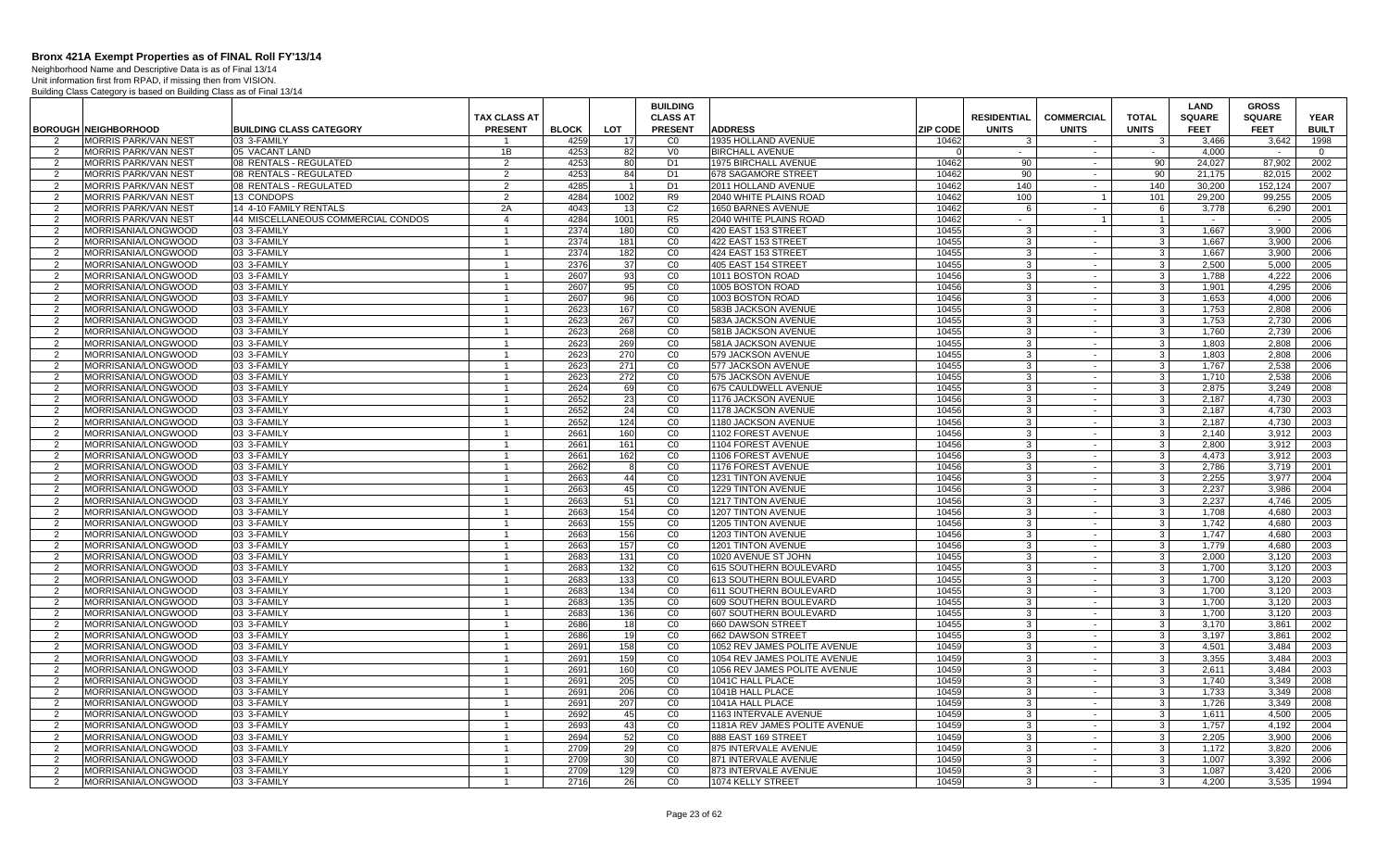Neighborhood Name and Descriptive Data is as of Final 13/14 Unit information first from RPAD, if missing then from VISION.

|                     |                                                            |                                               |                              |                      |                        | <b>BUILDING</b>      |                                             |                          |                    |                   |                         | <b>LAND</b>          | <b>GROSS</b>   |                      |
|---------------------|------------------------------------------------------------|-----------------------------------------------|------------------------------|----------------------|------------------------|----------------------|---------------------------------------------|--------------------------|--------------------|-------------------|-------------------------|----------------------|----------------|----------------------|
|                     |                                                            |                                               | <b>TAX CLASS AT</b>          |                      |                        | <b>CLASS AT</b>      |                                             |                          | <b>RESIDENTIAL</b> | <b>COMMERCIAL</b> | <b>TOTAL</b>            | <b>SQUARE</b>        | <b>SQUARE</b>  | <b>YEAR</b>          |
|                     | <b>BOROUGH NEIGHBORHOOD</b><br><b>MORRIS PARK/VAN NEST</b> | <b>BUILDING CLASS CATEGORY</b><br>03 3-FAMILY | <b>PRESENT</b>               | <b>BLOCK</b><br>4259 | <b>LOT</b><br>17       | <b>PRESENT</b><br>CO | <b>ADDRESS</b><br>1935 HOLLAND AVENUE       | <b>ZIP CODE</b><br>10462 | <b>UNITS</b>       | <b>UNITS</b>      | <b>UNITS</b><br>-3      | <b>FEET</b><br>3.466 | <b>FEET</b>    | <b>BUILT</b><br>1998 |
| 2                   | MORRIS PARK/VAN NEST                                       | 05 VACANT LAND                                | 1B                           | 4253                 | 82                     | V <sub>0</sub>       | <b>BIRCHALL AVENUE</b>                      |                          | $\sim$ 100 $\mu$   | $\sim$            | $\sim 10^{-1}$          | 4,000                | 3,642          | $\overline{0}$       |
| 2                   | <b>MORRIS PARK/VAN NEST</b>                                | 08 RENTALS - REGULATED                        | $\overline{2}$               | 4253                 | 80                     | D <sub>1</sub>       | 1975 BIRCHALL AVENUE                        | 10462                    | 90                 | $\sim$            | 90                      | 24,027               | 87,902         | 2002                 |
| $\overline{2}$      | <b>MORRIS PARK/VAN NEST</b>                                | 08 RENTALS - REGULATED                        | 2                            | 4253                 | 84                     | D <sub>1</sub>       | 678 SAGAMORE STREET                         | 10462                    | 90                 | $\sim$            | 90                      | 21.175               | 82.015         | 2002                 |
| 2                   | <b>MORRIS PARK/VAN NEST</b>                                | 08 RENTALS - REGULATED                        | 2                            | 4285                 | $\overline{1}$         | D <sub>1</sub>       | 2011 HOLLAND AVENUE                         | 10462                    | 140                | $\sim$            | 140                     | 30.200               | 152,124        | 2007                 |
| 2                   | <b>MORRIS PARK/VAN NEST</b>                                | 13 CONDOPS                                    | 2                            | 4284                 | 1002                   | R <sub>9</sub>       | 2040 WHITE PLAINS ROAD                      | 10462                    | 100                | $\overline{1}$    | 101                     | 29.200               | 99.255         | 2005                 |
| 2                   | <b>MORRIS PARK/VAN NEST</b>                                | 14 4-10 FAMILY RENTALS                        | 2A                           | 4043                 | 13                     | C <sub>2</sub>       | 1650 BARNES AVENUE                          | 10462                    | 6                  | $\sim$            | 6                       | 3,778                | 6,290          | 2001                 |
| $\overline{2}$      | MORRIS PARK/VAN NEST                                       | 44 MISCELLANEOUS COMMERCIAL CONDOS            | $\overline{4}$               | 4284                 | 1001                   | R <sub>5</sub>       | 2040 WHITE PLAINS ROAD                      | 10462                    | $\sim$             | $\overline{1}$    | $\overline{1}$          |                      |                | 2005                 |
| $\overline{2}$      | MORRISANIA/LONGWOOD                                        | 03 3-FAMILY                                   | 1                            | 2374                 | 180                    | CO                   | 420 EAST 153 STREET                         | 10455                    | -3                 | $\sim$            | $\mathbf{3}$            | 1.667                | 3.900          | 2006                 |
| $\overline{2}$      | MORRISANIA/LONGWOOD                                        | 03 3-FAMILY                                   | $\mathbf{1}$                 | 2374                 | 181                    | CO                   | 422 EAST 153 STREET                         | 10455                    | -3                 | $\sim$            | $\mathbf{3}$            | 1,667                | 3,900          | 2006                 |
| 2                   | MORRISANIA/LONGWOOD                                        | 03 3-FAMILY                                   | 1                            | 2374                 | 182                    | CO                   | 424 EAST 153 STREET                         | 10455                    | -3                 | $\sim$            | $\overline{3}$          | 1,667                | 3,900          | 2006                 |
| 2                   | MORRISANIA/LONGWOOD                                        | 03 3-FAMILY                                   | $\mathbf{1}$                 | 2376                 | 37                     | CO                   | 405 EAST 154 STREET                         | 10455                    | -3                 | $\sim$            | 3 <sup>1</sup>          | 2.500                | 5.000          | 2005                 |
| $\overline{2}$      | MORRISANIA/LONGWOOD                                        | 03 3-FAMILY                                   | $\mathbf{1}$                 | 2607                 | 93                     | C <sub>0</sub>       | 1011 BOSTON ROAD                            | 10456                    | -3                 | $\sim$            | 3 <sup>1</sup>          | 1.788                | 4,222          | 2006                 |
| 2                   | MORRISANIA/LONGWOOD                                        | 03 3-FAMILY                                   | $\overline{1}$               | 2607                 | 95                     | CO                   | 1005 BOSTON ROAD                            | 10456                    | $\mathbf{3}$       | $\sim$            | $\overline{\mathbf{3}}$ | 1.901                | 4,295          | 2006                 |
| $\overline{2}$      | MORRISANIA/LONGWOOD                                        | 03 3-FAMILY                                   | $\mathbf{1}$                 | 2607                 | 96                     | CO                   | 1003 BOSTON ROAD                            | 10456                    | -3                 | $\sim$            | د                       | 1,653                | 4,000          | 2006                 |
| 2                   | MORRISANIA/LONGWOOD                                        | 03 3-FAMILY                                   | $\mathbf{1}$                 | 2623                 | 167                    | CO                   | 583B JACKSON AVENUE                         | 10455                    | -3                 | $\sim$            | $\mathbf{3}$            | 1.753                | 2.808          | 2006                 |
| 2                   | MORRISANIA/LONGWOOD                                        | 03 3-FAMILY                                   | $\overline{1}$               | 2623                 | 267                    | CO                   | 583A JACKSON AVENUE                         | 10455                    | -3                 | $\sim$            | $\mathbf{3}$            | 1,753                | 2,730          | 2006                 |
| $\overline{2}$      | MORRISANIA/LONGWOOD                                        | 03 3-FAMILY                                   | $\mathbf{1}$                 | 2623                 | 268                    | CO                   | 581B JACKSON AVENUE                         | 10455                    | 3                  | $\sim$            | $\mathbf{3}$            | 1,760                | 2,739          | 2006                 |
| 2                   | MORRISANIA/LONGWOOD                                        | 03 3-FAMILY                                   | $\mathbf{1}$                 | 2623                 | 269                    | C <sub>0</sub>       | 581A JACKSON AVENUE                         | 10455                    | -3                 | - 10              | د                       | 1,803                | 2,808          | 2006                 |
| 2                   | MORRISANIA/LONGWOOD                                        | 03 3-FAMILY                                   | $\mathbf{1}$                 | 2623                 | 270                    | CO                   | 579 JACKSON AVENUE                          | 10455                    | 3<br>$\cdot$ 3     | $\sim$<br>$\sim$  | $\mathbf{3}$            | 1.803                | 2,808          | 2006                 |
| 2                   | MORRISANIA/LONGWOOD                                        | 03 3-FAMILY                                   | $\mathbf{1}$                 | 2623                 | 271                    | CO                   | 577 JACKSON AVENUE                          | 10455<br>10455           | 3                  |                   | 3 <sup>1</sup>          | 1,767                | 2,538<br>2.538 | 2006<br>2006         |
| $\overline{2}$<br>2 | MORRISANIA/LONGWOOD<br><b>MORRISANIA/LONGWOOD</b>          | 03 3-FAMILY<br>03 3-FAMILY                    | $\mathbf{1}$<br>$\mathbf{1}$ | 2623<br>2624         | 272<br>69              | CO<br>CO             | 575 JACKSON AVENUE<br>675 CAULDWELL AVENUE  | 10455                    | -3                 | $\sim$<br>$\sim$  | 3 <sup>1</sup><br>د     | 1.710<br>2.875       | 3,249          | 2008                 |
| $\overline{2}$      | MORRISANIA/LONGWOOD                                        | 03 3-FAMILY                                   | $\overline{1}$               | 2652                 | 23                     | CO                   | 1176 JACKSON AVENUE                         | 10456                    | 3                  | $\sim$            | $\mathbf{3}$            | 2.187                | 4.730          | 2003                 |
| 2                   | MORRISANIA/LONGWOOD                                        | 03 3-FAMILY                                   | $\overline{1}$               | 2652                 | 24                     | CO                   | 1178 JACKSON AVENUE                         | 10456                    | -3                 | $\sim$            | $\mathbf{3}$            | 2,187                | 4,730          | 2003                 |
| 2                   | MORRISANIA/LONGWOOD                                        | 03 3-FAMILY                                   | $\overline{1}$               | 2652                 | 124                    | CO                   | 1180 JACKSON AVENUE                         | 10456                    | 3                  | $\sim$            | $\mathbf{3}$            | 2,187                | 4,730          | 2003                 |
| $\overline{2}$      | MORRISANIA/LONGWOOD                                        | 03 3-FAMILY                                   |                              | 2661                 | 160                    | CO                   | 1102 FOREST AVENUE                          | 10456                    | -3                 | $\sim$            | $\mathbf{3}$            | 2.140                | 3.912          | 2003                 |
| 2                   | MORRISANIA/LONGWOOD                                        | 03 3-FAMILY                                   | $\mathbf{1}$                 | 2661                 | 161                    | CO                   | 1104 FOREST AVENUE                          | 10456                    | -3                 | $\sim$            | 3 <sup>1</sup>          | 2.800                | 3.912          | 2003                 |
| $\overline{2}$      | MORRISANIA/LONGWOOD                                        | 03 3-FAMILY                                   | $\mathbf{1}$                 | 2661                 | 162                    | CO                   | 1106 FOREST AVENUE                          | 10456                    | -3                 | $\sim$            | $\mathbf{3}$            | 4,473                | 3,912          | 2003                 |
| 2                   | MORRISANIA/LONGWOOD                                        | 03 3-FAMILY                                   | $\mathbf{1}$                 | 2662                 | -8                     | CO                   | 1176 FOREST AVENUE                          | 10456                    | 3                  | $\sim$ $-$        | 3 <sup>1</sup>          | 2,786                | 3,719          | 2001                 |
| 2                   | MORRISANIA/LONGWOOD                                        | 03 3-FAMILY                                   | $\mathbf{1}$                 | 2663                 | 44                     | CO                   | 1231 TINTON AVENUE                          | 10456                    | 3                  | $\sim$            | 3 <sup>1</sup>          | 2.255                | 3.977          | 2004                 |
| 2                   | MORRISANIA/LONGWOOD                                        | 03 3-FAMILY                                   | $\overline{1}$               | 2663                 | 45                     | CO                   | 1229 TINTON AVENUE                          | 10456                    | -3                 | $\sim$            | $\mathbf{3}$            | 2.237                | 3.986          | 2004                 |
| $\overline{2}$      | MORRISANIA/LONGWOOD                                        | 03 3-FAMILY                                   | $\overline{1}$               | 2663                 | 51                     | CO                   | 1217 TINTON AVENUE                          | 10456                    | 3                  | $\sim$            | $\mathbf{3}$            | 2,237                | 4,746          | 2005                 |
| 2                   | MORRISANIA/LONGWOOD                                        | 03 3-FAMILY                                   | 1                            | 2663                 | 154                    | CO                   | <b>1207 TINTON AVENUE</b>                   | 10456                    | -3                 | $\sim$            | 3                       | 1.708                | 4,680          | 2003                 |
| 2                   | MORRISANIA/LONGWOOD                                        | 03 3-FAMILY                                   | $\overline{1}$               | 2663                 | 155                    | CO                   | 1205 TINTON AVENUE                          | 10456                    | 3                  | $\sim$            | 3 <sup>1</sup>          | 1.742                | 4.680          | 2003                 |
| 2                   | MORRISANIA/LONGWOOD                                        | 03 3-FAMILY                                   | $\overline{1}$               | 2663                 | 156                    | C <sub>0</sub>       | <b>1203 TINTON AVENUE</b>                   | 10456                    | -3                 | $\sim$            | $\mathbf{3}$            | 1.747                | 4.680          | 2003                 |
| 2                   | MORRISANIA/LONGWOOD                                        | 03 3-FAMILY                                   | $\mathbf{1}$                 | 2663                 | 157                    | $_{\rm CO}$          | 1201 TINTON AVENUE                          | 10456                    | 3                  | $\sim$            | 3 <sup>1</sup>          | 1,779                | 4,680          | 2003                 |
| 2                   | MORRISANIA/LONGWOOD                                        | 03 3-FAMILY                                   | $\overline{1}$               | 2683                 | 131                    | CO                   | 1020 AVENUE ST JOHN                         | 10455                    | -3                 | $\sim$            | $\mathbf{3}$            | 2.000                | 3,120          | 2003                 |
| 2                   | MORRISANIA/LONGWOOD                                        | 03 3-FAMILY                                   | $\mathbf{1}$                 | 2683                 | 132                    | CO                   | 615 SOUTHERN BOULEVARD                      | 10455                    | -3                 | $\sim$            | 3 <sup>1</sup>          | 1.700                | 3.120          | 2003                 |
| $\overline{2}$      | MORRISANIA/LONGWOOD                                        | 03 3-FAMILY                                   | $\overline{1}$               | 2683                 | 133                    | CO                   | 613 SOUTHERN BOULEVARD                      | 10455                    | 3                  | $\sim$            | $\mathbf{3}$            | 1.700                | 3.120          | 2003                 |
| 2                   | MORRISANIA/LONGWOOD                                        | 03 3-FAMILY                                   | $\overline{1}$               | 2683                 | 134                    | CO                   | 611 SOUTHERN BOULEVARD                      | 10455                    | -3                 | $\sim$            | $\mathbf{3}$            | 1,700                | 3,120          | 2003                 |
| $\overline{2}$      | MORRISANIA/LONGWOOD                                        | 03 3-FAMILY<br>03 3-FAMILY                    | $\mathbf{1}$<br>$\mathbf 1$  | 2683<br>2683         | 135                    | CO<br>CO             | 609 SOUTHERN BOULEVARD                      | 10455<br>10455           | 3<br>3             | $\sim$            | $\mathbf{3}$<br>3       | 1,700<br>1.700       | 3,120          | 2003<br>2003         |
| 2<br>2              | MORRISANIA/LONGWOOD<br>MORRISANIA/LONGWOOD                 | 03 3-FAMILY                                   | $\mathbf{1}$                 | 2686                 | 136<br>18 <sup>1</sup> | CO                   | 607 SOUTHERN BOULEVARD<br>660 DAWSON STREET | 10455                    | $\mathbf{3}$       | $\sim$<br>$\sim$  | 3 <sup>1</sup>          | 3.170                | 3,120<br>3.861 | 2002                 |
| 2                   | MORRISANIA/LONGWOOD                                        | 03 3-FAMILY                                   | $\mathbf{1}$                 | 2686                 | 19                     | CO                   | 662 DAWSON STREET                           | 10455                    | 3                  | $\sim$            | $\overline{3}$          | 3.197                | 3,861          | 2002                 |
| 2                   | MORRISANIA/LONGWOOD                                        | 03 3-FAMILY                                   | $\mathbf{1}$                 | 2691                 | 158                    | CO                   | 1052 REV JAMES POLITE AVENUE                | 10459                    | -3                 | $\sim$            | $\overline{\mathbf{3}}$ | 4.501                | 3.484          | 2003                 |
| $\overline{2}$      | MORRISANIA/LONGWOOD                                        | 03 3-FAMILY                                   | $\overline{1}$               | 2691                 | 159                    | CO                   | 1054 REV JAMES POLITE AVENUE                | 10459                    | 3                  | $\sim$            | 3 <sup>1</sup>          | 3.355                | 3.484          | 2003                 |
| 2                   | MORRISANIA/LONGWOOD                                        | 03 3-FAMILY                                   | $\mathbf{1}$                 | 2691                 | 160                    | C <sub>0</sub>       | 1056 REV JAMES POLITE AVENUE                | 10459                    | 3                  | $\sim$            | 3                       | 2,611                | 3,484          | 2003                 |
| $\overline{2}$      | MORRISANIA/LONGWOOD                                        | 03 3-FAMILY                                   | $\overline{1}$               | 2691                 | 205                    | CO                   | 1041C HALL PLACE                            | 10459                    | -3                 | $\sim$            | $\mathbf{3}$            | 1.740                | 3,349          | 2008                 |
| 2                   | MORRISANIA/LONGWOOD                                        | 03 3-FAMILY                                   | -1                           | 2691                 | 206                    | CO                   | 1041B HALL PLACE                            | 10459                    | 3                  | $\sim$            | 3                       | 1.733                | 3,349          | 2008                 |
| 2                   | MORRISANIA/LONGWOOD                                        | 03 3-FAMILY                                   | $\mathbf{1}$                 | 2691                 | 207                    | CO                   | 1041A HALL PLACE                            | 10459                    | 3                  | $\sim$            | $\mathbf{3}$            | 1.726                | 3.349          | 2008                 |
| $\overline{2}$      | MORRISANIA/LONGWOOD                                        | 03 3-FAMILY                                   |                              | 2692                 | 45                     | C <sub>0</sub>       | 1163 INTERVALE AVENUE                       | 10459                    | $\mathbf{3}$       | $\sim$            | 3                       | 1,611                | 4,500          | 2005                 |
| 2                   | MORRISANIA/LONGWOOD                                        | 03 3-FAMILY                                   | $\mathbf{1}$                 | 2693                 | 43                     | CO                   | 1181A REV JAMES POLITE AVENUE               | 10459                    | $\mathbf{3}$       | $\sim$            | 3 <sup>1</sup>          | 1,757                | 4.192          | 2004                 |
| 2                   | MORRISANIA/LONGWOOD                                        | 03 3-FAMILY                                   | $\overline{1}$               | 2694                 | 52                     | CO                   | 888 EAST 169 STREET                         | 10459                    | 3                  | $\sim$            | 3 <sup>1</sup>          | 2.205                | 3.900          | 2006                 |
| 2                   | MORRISANIA/LONGWOOD                                        | 03 3-FAMILY                                   | $\overline{1}$               | 2709                 | 29                     | CO                   | 875 INTERVALE AVENUE                        | 10459                    | -3                 | $\sim$            | 3 <sup>1</sup>          | 1.172                | 3.820          | 2006                 |
| $\overline{2}$      | MORRISANIA/LONGWOOD                                        | 03 3-FAMILY                                   | $\mathbf{1}$                 | 2709                 | 30                     | CO                   | 871 INTERVALE AVENUE                        | 10459                    | $\mathcal{R}$      |                   | 3                       | 1,007                | 3,392          | 2006                 |
| 2                   | MORRISANIA/LONGWOOD                                        | 03 3-FAMILY                                   | 1                            | 2709                 | 129                    | CO                   | 873 INTERVALE AVENUE                        | 10459                    | 3                  | $\sim$            | $\mathbf{3}$            | 1,087                | 3,420          | 2006                 |
| $\overline{2}$      | MORRISANIA/LONGWOOD                                        | 03 3-FAMILY                                   |                              | 2716                 | 26                     | CO                   | 1074 KELLY STREET                           | 10459                    | 3                  |                   | $\mathbf{3}$            | 4.200                | 3,535          | 1994                 |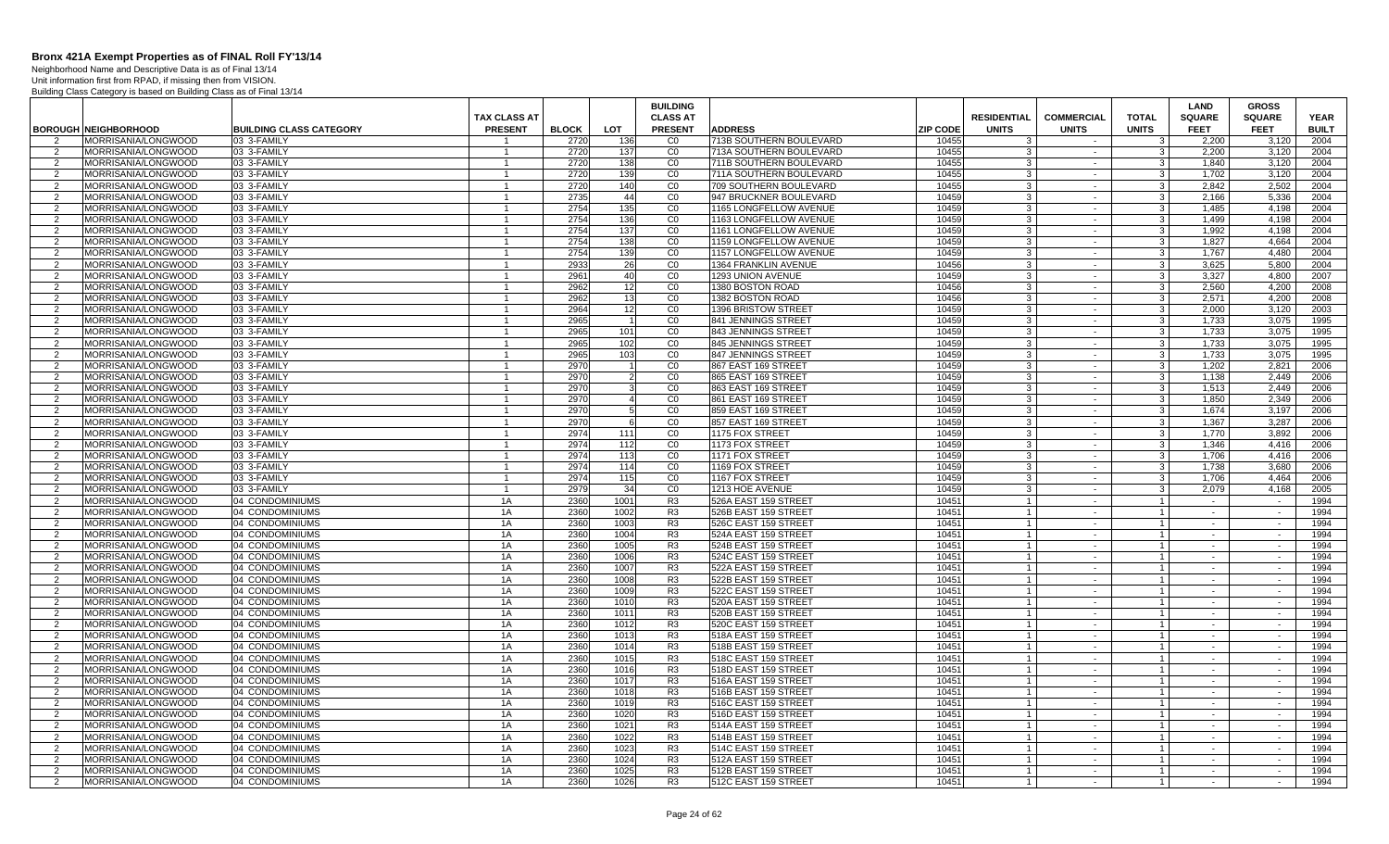Neighborhood Name and Descriptive Data is as of Final 13/14

|                |                                                   |                                    |                                  |              |                      | <b>BUILDING</b>                  |                                                                      |                                  |                   |                                | LAND             | <b>GROSS</b>     |              |
|----------------|---------------------------------------------------|------------------------------------|----------------------------------|--------------|----------------------|----------------------------------|----------------------------------------------------------------------|----------------------------------|-------------------|--------------------------------|------------------|------------------|--------------|
|                |                                                   |                                    | <b>TAX CLASS AT</b>              |              |                      | <b>CLASS AT</b>                  |                                                                      | <b>RESIDENTIAL</b>               | <b>COMMERCIAL</b> | <b>TOTAL</b>                   | <b>SQUARE</b>    | <b>SQUARE</b>    | <b>YEAR</b>  |
|                | <b>BOROUGH NEIGHBORHOOD</b>                       | <b>BUILDING CLASS CATEGORY</b>     | <b>PRESENT</b>                   | <b>BLOCK</b> | LOT                  | <b>PRESENT</b>                   | <b>ADDRESS</b><br><b>ZIP CODE</b>                                    | <b>UNITS</b>                     | <b>UNITS</b>      | <b>UNITS</b>                   | <b>FEET</b>      | <b>FEET</b>      | <b>BUILT</b> |
|                | <b>MORRISANIA/LONGWOOD</b><br>MORRISANIA/LONGWOOD | 03 3-FAMILY<br>03 3-FAMILY         | -1                               | 2720<br>2720 | 136<br>137           | CO<br>CO                         | 713B SOUTHERN BOULEVARD<br>10455<br>713A SOUTHERN BOULEVARD<br>10455 | -3<br>-3                         | $\sim$            | 3<br>$\mathbf{3}$              | 2,200<br>2.200   | 3,120            | 2004<br>2004 |
| 2<br>2         | MORRISANIA/LONGWOOD                               | 03 3-FAMILY                        | $\mathbf{1}$                     | 2720         | 138                  | CO                               | 711B SOUTHERN BOULEVARD<br>10455                                     | $\cdot$ 3                        | $\sim$            | 3 <sup>1</sup>                 | 1,840            | 3,120<br>3,120   | 2004         |
| $\overline{2}$ | MORRISANIA/LONGWOOD                               | 03 3-FAMILY                        | $\overline{1}$                   | 2720         | 139                  | CO                               | 711A SOUTHERN BOULEVARD<br>10455                                     | 3                                | $\sim$            | $\mathbf{3}$                   | 1.702            | 3,120            | 2004         |
| 2              | MORRISANIA/LONGWOOD                               | 03 3-FAMILY                        | $\mathbf{1}$                     | 2720         | 140                  | $\overline{C}0$                  | 709 SOUTHERN BOULEVARD<br>10455                                      | 3                                | $\sim$            | 3 <sup>1</sup>                 | 2.842            | 2,502            | 2004         |
| $\mathcal{P}$  | MORRISANIA/LONGWOOD                               | 03 3-FAMILY                        | $\overline{1}$                   | 2735         | 44                   | C <sub>0</sub>                   | 947 BRUCKNER BOULEVARD<br>10459                                      | $\cdot$ 3                        | $\sim$            | 3 <sup>1</sup>                 | 2.166            | 5,336            | 2004         |
| 2              | MORRISANIA/LONGWOOD                               | 03 3-FAMILY                        | $\mathbf{1}$                     | 2754         | 135                  | CO                               | 10459<br>1165 LONGFELLOW AVENUE                                      | -3                               | $\sim$            | 3 <sup>1</sup>                 | 1.485            | 4.198            | 2004         |
| $\overline{2}$ | MORRISANIA/LONGWOOD                               | 03 3-FAMILY                        | $\overline{1}$                   | 2754         | 136                  | CO                               | 1163 LONGFELLOW AVENUE<br>10459                                      | 3                                | $\blacksquare$    | 3 <sup>1</sup>                 | 1,499            | 4,198            | 2004         |
| 2              | MORRISANIA/LONGWOOD                               | 03 3-FAMILY                        | $\overline{1}$                   | 2754         | 137                  | $\overline{C}$                   | 10459<br>1161 LONGFELLOW AVENUE                                      | -3                               | $\sim$            | 3 <sup>1</sup>                 | 1.992            | 4.198            | 2004         |
| $\overline{2}$ | MORRISANIA/LONGWOOD                               | 03 3-FAMILY                        | $\overline{1}$                   | 2754         | 138                  | CO                               | 10459<br>1159 LONGFELLOW AVENUE                                      | -3                               | $\sim$            | 3                              | 1.827            | 4.664            | 2004         |
| 2              | MORRISANIA/LONGWOOD                               | 03 3-FAMILY                        | -1                               | 2754         | 139                  | CO                               | 1157 LONGFELLOW AVENUE<br>10459                                      | -3                               | $\sim$            | 3                              | 1.767            | 4.480            | 2004         |
| $\mathcal{P}$  | MORRISANIA/LONGWOOD                               | 03 3-FAMILY                        | $\mathbf{1}$                     | 2933         | 26                   | CO                               | 1364 FRANKLIN AVENUE<br>10456                                        | $\mathbf{3}$                     | $\sim$            | 3 <sup>1</sup>                 | 3,625            | 5,800            | 2004         |
| $\overline{2}$ | MORRISANIA/LONGWOOD                               | 03 3-FAMILY                        | $\mathbf{1}$                     | 2961         | 40                   | CO                               | 1293 UNION AVENUE<br>10459                                           | 3                                | $\sim$            | $\mathbf{3}$                   | 3.327            | 4,800            | 2007         |
| 2              | MORRISANIA/LONGWOOD                               | 03 3-FAMILY                        | $\mathbf{1}$                     | 2962         | 12                   | CO                               | 1380 BOSTON ROAD<br>10456                                            | $\mathbf{3}$                     | $\sim$            | 3 <sup>1</sup>                 | 2,560            | 4,200            | 2008         |
| 2              | MORRISANIA/LONGWOOD                               | 03 3-FAMILY                        | $\mathbf{1}$                     | 2962         | 13                   | CO                               | 1382 BOSTON ROAD<br>10456                                            | -3                               | $\sim$            | 3 <sup>1</sup>                 | 2.571            | 4.200            | 2008         |
| 2              | MORRISANIA/LONGWOOD                               | 03 3-FAMILY                        | $\overline{1}$                   | 2964         | 12                   | CO                               | 10459<br>1396 BRISTOW STREET                                         | 3                                | $\sim$            | 3 <sup>1</sup>                 | 2.000            | 3.120            | 2003         |
| $\overline{2}$ | MORRISANIA/LONGWOOD                               | 03 3-FAMILY                        | $\overline{1}$                   | 2965         |                      | CO                               | 841 JENNINGS STREET<br>10459                                         | 3                                | $\blacksquare$    | $\mathbf{3}$                   | 1,733            | 3,075            | 1995         |
| 2              | MORRISANIA/LONGWOOD                               | 03 3-FAMILY                        | $\overline{1}$                   | 2965         | 101                  | CO                               | 10459<br>843 JENNINGS STREET                                         | -3                               | $\sim$            | 3 <sup>1</sup>                 | 1,733            | 3,075            | 1995         |
| 2              | MORRISANIA/LONGWOOD                               | 03 3-FAMILY                        | $\mathbf{1}$                     | 2965         | 102                  | CO                               | 845 JENNINGS STREET<br>10459                                         | 3                                | $\sim$            | 3                              | 1,733            | 3,075            | 1995         |
| $\overline{2}$ | MORRISANIA/LONGWOOD                               | 03 3-FAMILY                        |                                  | 2965         | 103                  | CO                               | 10459<br>847 JENNINGS STREET                                         | 3                                | $\sim$            | $\mathbf{3}$                   | 1.733            | 3.075            | 1995         |
| $\overline{2}$ | MORRISANIA/LONGWOOD                               | 03 3-FAMILY                        | $\overline{1}$<br>$\overline{1}$ | 2970         |                      | CO                               | 10459<br>867 EAST 169 STREET                                         | $\mathbf{3}$                     | $\sim$            | 3 <sup>1</sup>                 | 1,202            | 2,821            | 2006         |
| $\overline{2}$ | MORRISANIA/LONGWOOD<br>MORRISANIA/LONGWOOD        | 03 3-FAMILY<br>03 3-FAMILY         | $\mathbf{1}$                     | 2970<br>2970 | $\overline{2}$<br>-3 | CO<br>CO                         | 865 EAST 169 STREET<br>10459<br>10459<br>863 EAST 169 STREET         | 3<br>$\mathbf{3}$                | $\sim$<br>$\sim$  | $\mathbf{3}$<br>3 <sup>1</sup> | 1.138<br>1,513   | 2.449<br>2.449   | 2006<br>2006 |
| 2<br>2         | MORRISANIA/LONGWOOD                               | 03 3-FAMILY                        | $\mathbf{1}$                     | 2970         | $\overline{4}$       | CO                               | 861 EAST 169 STREET<br>10459                                         | -3                               | $\sim$            | 3 <sup>1</sup>                 | 1.850            | 2.349            | 2006         |
| 2              | MORRISANIA/LONGWOOD                               | 03 3-FAMILY                        | $\mathbf{1}$                     | 2970         | -5                   | CO                               | 10459<br>859 EAST 169 STREET                                         | -3                               | $\sim$ $-$        | 3 <sup>1</sup>                 | 1.674            | 3.197            | 2006         |
| $\overline{2}$ | MORRISANIA/LONGWOOD                               | 03 3-FAMILY                        | $\overline{1}$                   | 2970         |                      | CO                               | 857 EAST 169 STREET<br>10459                                         | 3                                |                   | $\mathbf{3}$                   | 1,367            | 3,287            | 2006         |
| 2              | MORRISANIA/LONGWOOD                               | 03 3-FAMILY                        | -1                               | 2974         | 111                  | $\overline{C}0$                  | 1175 FOX STREET<br>10459                                             | -3                               | $\sim$            | $\mathbf{3}$                   | 1,770            | 3,892            | 2006         |
| 2              | MORRISANIA/LONGWOOD                               | 03 3-FAMILY                        | $\overline{1}$                   | 2974         | 112                  | CO                               | 1173 FOX STREET<br>10459                                             | $\mathbf{3}$                     | $\sim$            | $\mathbf{3}$                   | 1.346            | 4,416            | 2006         |
| $\overline{2}$ | MORRISANIA/LONGWOOD                               | 03 3-FAMILY                        | $\overline{1}$                   | 2974         | 113                  | CO                               | 1171 FOX STREET<br>10459                                             | 3                                | $\sim$            | 3                              | 1.706            | 4.416            | 2006         |
| $\overline{2}$ | MORRISANIA/LONGWOOD                               | 03 3-FAMILY                        | $\overline{1}$                   | 2974         | 114                  | CO                               | 1169 FOX STREET<br>10459                                             | $\cdot$ 3                        | $\sim$            | 3 <sup>1</sup>                 | 1.738            | 3.680            | 2006         |
| $\overline{2}$ | MORRISANIA/LONGWOOD                               | 03 3-FAMILY                        | $\overline{1}$                   | 2974         | 115                  | CO                               | 1167 FOX STREET<br>10459                                             | $\mathbf{3}$                     | $\sim$            | $\mathbf{3}$                   | 1.706            | 4.464            | 2006         |
| 2              | MORRISANIA/LONGWOOD                               | 03 3-FAMILY                        | $\mathbf{1}$                     | 2979         | 34                   | CO                               | 10459<br>1213 HOE AVENUE                                             | 3                                | $\sim$            | 3 <sup>1</sup>                 | 2.079            | 4.168            | 2005         |
| 2              | MORRISANIA/LONGWOOD                               | 04 CONDOMINIUMS                    | 1A                               | 2360         | 1001                 | R <sub>3</sub>                   | 10451<br>526A EAST 159 STREET                                        | $\overline{1}$                   | $\sim$            | $\overline{1}$                 | $\sim$           | $\sim$           | 1994         |
| 2              | MORRISANIA/LONGWOOD                               | 04 CONDOMINIUMS                    | 1A                               | 2360         | 1002                 | R <sub>3</sub>                   | 10451<br>526B EAST 159 STREET                                        | $\overline{1}$                   | $\sim$ $-$        | $\overline{1}$                 | $\sim$           | $\sim$           | 1994         |
| 2              | MORRISANIA/LONGWOOD                               | 04 CONDOMINIUMS                    | 1A                               | 2360         | 1003                 | R <sub>3</sub>                   | 526C EAST 159 STREET<br>10451                                        | $\overline{1}$                   | $\sim$            | $\overline{1}$                 |                  |                  | 1994         |
| 2              | MORRISANIA/LONGWOOD                               | 04 CONDOMINIUMS                    | 1A                               | 2360         | 1004                 | R <sub>3</sub>                   | 524A EAST 159 STREET<br>10451                                        | $\mathbf{1}$                     | $\sim$            | $\overline{1}$                 | $\sim$           | $\sim$           | 1994         |
| $\overline{2}$ | MORRISANIA/LONGWOOD                               | 04 CONDOMINIUMS                    | 1A                               | 2360         | 1005                 | R <sub>3</sub>                   | 524B EAST 159 STREET<br>10451                                        | $\overline{1}$                   | $\sim$            | $\overline{1}$                 | $\sim$           | $\sim$           | 1994         |
| 2              | MORRISANIA/LONGWOOD                               | 04 CONDOMINIUMS                    | 1A                               | 2360         | 1006                 | R <sub>3</sub>                   | 524C EAST 159 STREET<br>10451                                        | $\overline{1}$                   | $\sim$            | $\mathbf{1}$                   | $\sim$           | $\sim$           | 1994         |
| $\overline{2}$ | MORRISANIA/LONGWOOD                               | 04 CONDOMINIUMS                    | 1A                               | 2360         | 1007                 | R <sub>3</sub>                   | 10451<br>522A EAST 159 STREET                                        | $\overline{1}$                   | $\sim$            | $\overline{1}$                 | $\sim$           | $\sim$           | 1994         |
| 2              | MORRISANIA/LONGWOOD                               | 04 CONDOMINIUMS                    | 1A                               | 2360         | 1008                 | R <sub>3</sub><br>R <sub>3</sub> | 522B EAST 159 STREET<br>10451                                        | $\overline{1}$                   | $\sim$            | $\overline{1}$                 | $\sim$           | $\sim$           | 1994         |
| 2<br>2         | MORRISANIA/LONGWOOD<br>MORRISANIA/LONGWOOD        | 04 CONDOMINIUMS<br>04 CONDOMINIUMS | 1A<br>1A                         | 2360<br>2360 | 1009<br>1010         | R <sub>3</sub>                   | 10451<br>522C EAST 159 STREET<br>10451<br>520A EAST 159 STREET       | $\overline{1}$<br>$\overline{1}$ | $\sim$            | $\mathbf{1}$<br>$\mathbf{1}$   | $\sim$           | $\sim$           | 1994<br>1994 |
| 2              | MORRISANIA/LONGWOOD                               | 04 CONDOMINIUMS                    | 1A                               | 2360         | 1011                 | R <sub>3</sub>                   | 10451<br>520B EAST 159 STREET                                        | $\overline{1}$                   | $\sim$<br>$\sim$  | $\overline{1}$                 | $\sim$<br>$\sim$ | $\sim$<br>$\sim$ | 1994         |
| 2              | MORRISANIA/LONGWOOD                               | 04 CONDOMINIUMS                    | 1A                               | 2360         | 1012                 | R <sub>3</sub>                   | 10451<br>520C EAST 159 STREET                                        | $\overline{1}$                   | $\sim$            | $\overline{1}$                 | $\sim$           | $\sim$           | 1994         |
| 2              | MORRISANIA/LONGWOOD                               | 04 CONDOMINIUMS                    | 1A                               | 2360         | 1013                 | R <sub>3</sub>                   | 10451<br>518A EAST 159 STREET                                        | $\overline{1}$                   | $\sim$            | $\mathbf{1}$                   | $\sim$           | $\sim$           | 1994         |
| $\overline{2}$ | MORRISANIA/LONGWOOD                               | 04 CONDOMINIUMS                    | 1A                               | 2360         | 1014                 | R <sub>3</sub>                   | 518B EAST 159 STREET<br>10451                                        | $\overline{1}$                   | $\sim$            | $\overline{1}$                 | $\sim$           | $\sim$           | 1994         |
| 2              | MORRISANIA/LONGWOOD                               | 04 CONDOMINIUMS                    | 1A                               | 2360         | 1015                 | R <sub>3</sub>                   | 518C EAST 159 STREET<br>10451                                        |                                  | $\sim$            | $\mathbf{1}$                   | $\sim$           | $\sim$           | 1994         |
| 2              | MORRISANIA/LONGWOOD                               | 04 CONDOMINIUMS                    | 1A                               | 2360         | 1016                 | R <sub>3</sub>                   | 518D EAST 159 STREET<br>10451                                        | $\overline{1}$                   | $\sim$            | $\overline{1}$                 | $\sim$           | $\sim$           | 1994         |
| 2              | MORRISANIA/LONGWOOD                               | 04 CONDOMINIUMS                    | 1A                               | 2360         | 1017                 | R <sub>3</sub>                   | 516A EAST 159 STREET<br>10451                                        | $\overline{1}$                   | $\sim$            | $\overline{1}$                 | $\sim$           | $\sim$           | 1994         |
| 2              | MORRISANIA/LONGWOOD                               | 04 CONDOMINIUMS                    | 1A                               | 2360         | 1018                 | R <sub>3</sub>                   | 10451<br>516B EAST 159 STREET                                        | $\overline{1}$                   | $\sim$            | $\overline{1}$                 | $\sim$           | $\sim$           | 1994         |
| 2              | MORRISANIA/LONGWOOD                               | 04 CONDOMINIUMS                    | 1A                               | 2360         | 1019                 | R <sub>3</sub>                   | 516C EAST 159 STREET<br>10451                                        | $\overline{1}$                   | $\sim$            | $\overline{1}$                 | $\sim$           | $\sim$           | 1994         |
| 2              | MORRISANIA/LONGWOOD                               | 04 CONDOMINIUMS                    | 1A                               | 2360         | 1020                 | R3                               | 10451<br>516D EAST 159 STREET                                        | $\overline{1}$                   | $\sim$            | $\overline{1}$                 | $\sim$           | $\sim$           | 1994         |
| 2              | MORRISANIA/LONGWOOD                               | 04 CONDOMINIUMS                    | 1A                               | 2360         | 1021                 | R <sub>3</sub>                   | 10451<br>514A EAST 159 STREET                                        | $\overline{1}$                   | $\sim$            | $\overline{1}$                 | $\sim$           | $\sim$           | 1994         |
| 2              | <b>MORRISANIA/LONGWOOD</b>                        | 04 CONDOMINIUMS                    | 1A                               | 2360         | 1022                 | R <sub>3</sub>                   | 10451<br>514B EAST 159 STREET                                        | $\overline{1}$                   | $\sim$            | $\overline{1}$                 | $\sim$           | $\sim$           | 1994         |
| $\overline{2}$ | MORRISANIA/LONGWOOD                               | 04 CONDOMINIUMS                    | 1A                               | 2360         | 1023                 | R <sub>3</sub>                   | 514C EAST 159 STREET<br>10451                                        | $\overline{1}$                   | $\sim$            | $\overline{1}$                 | $\sim$           | $\sim$           | 1994         |
| 2              | <b>MORRISANIA/LONGWOOD</b>                        | 04 CONDOMINIUMS                    | 1A                               | 2360         | 1024                 | R <sub>3</sub>                   | 512A EAST 159 STREET<br>10451                                        |                                  | $\sim$            | $\overline{1}$                 | $\sim$           | $\sim$           | 1994         |
| 2              | MORRISANIA/LONGWOOD                               | 04 CONDOMINIUMS                    | 1A                               | 2360         | 1025                 | R <sub>3</sub>                   | 10451<br>512B EAST 159 STREET                                        | $\overline{1}$                   | $\sim$            | $\overline{1}$                 | $\sim$           | $\sim$           | 1994         |
| 2              | MORRISANIA/LONGWOOD                               | 04 CONDOMINIUMS                    | 1A                               | 2360         | 1026                 | R <sub>3</sub>                   | 512C EAST 159 STREET<br>10451                                        | $\overline{1}$                   | $\sim$            | $\overline{1}$                 | $\sim$           | $\sim$           | 1994         |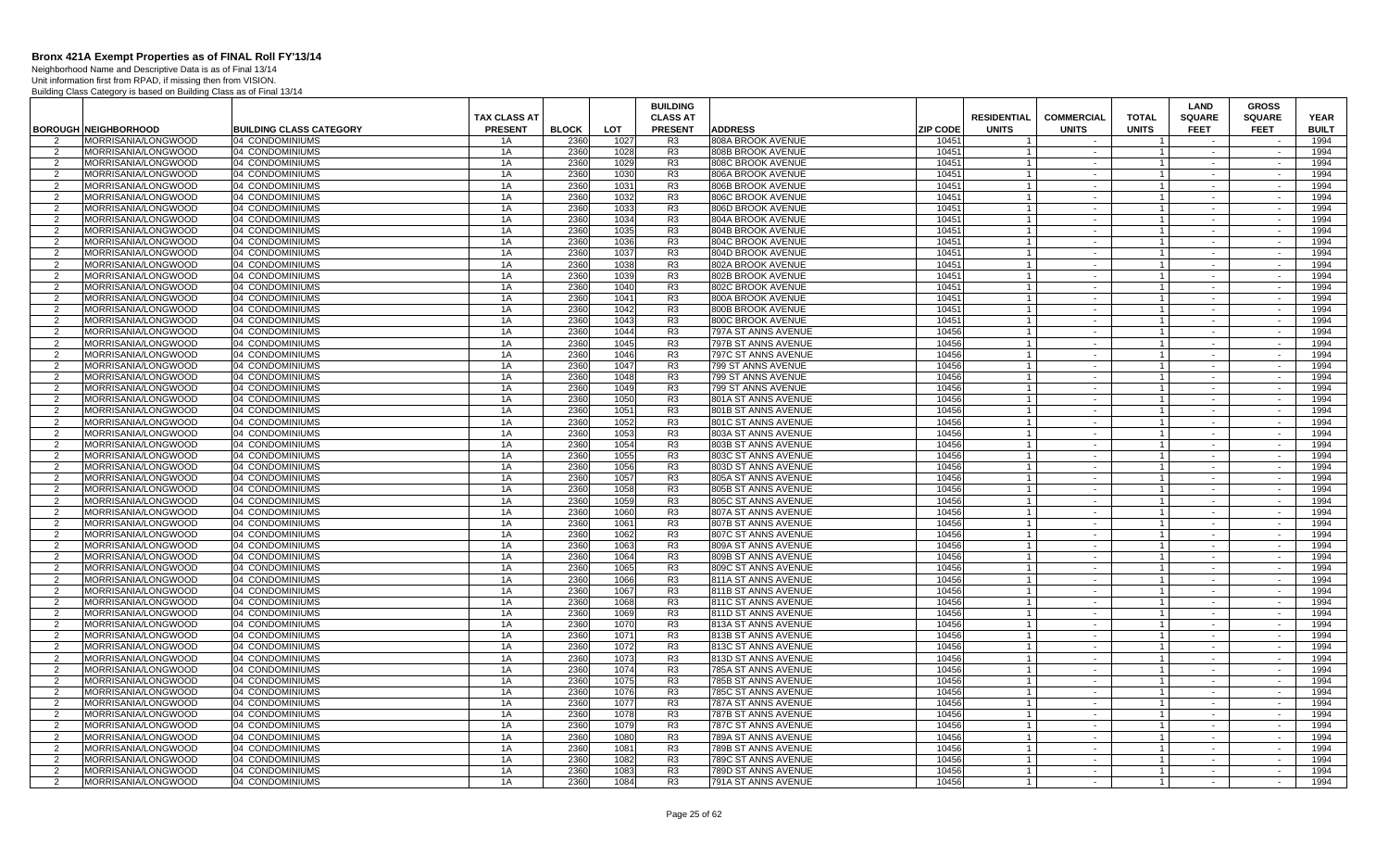Neighborhood Name and Descriptive Data is as of Final 13/14 Unit information first from RPAD, if missing then from VISION.

|                     |                                                    |                                                   |                      |                      |              | <b>BUILDING</b>                  |                                            |                          |                                  |                   |                                  | <b>LAND</b>      | <b>GROSS</b>     |                      |
|---------------------|----------------------------------------------------|---------------------------------------------------|----------------------|----------------------|--------------|----------------------------------|--------------------------------------------|--------------------------|----------------------------------|-------------------|----------------------------------|------------------|------------------|----------------------|
|                     |                                                    |                                                   | <b>TAX CLASS AT</b>  |                      |              | <b>CLASS AT</b>                  |                                            |                          | <b>RESIDENTIAL</b>               | <b>COMMERCIAL</b> | <b>TOTAL</b>                     | <b>SQUARE</b>    | <b>SQUARE</b>    | <b>YEAR</b>          |
| $\mathcal{P}$       | <b>BOROUGH NEIGHBORHOOD</b><br>MORRISANIA/LONGWOOD | <b>BUILDING CLASS CATEGORY</b><br>04 CONDOMINIUMS | <b>PRESENT</b><br>1A | <b>BLOCK</b><br>2360 | LOT<br>1027  | <b>PRESENT</b><br>R <sub>3</sub> | <b>ADDRESS</b><br>808A BROOK AVENUE        | <b>ZIP CODE</b><br>10451 | <b>UNITS</b>                     | <b>UNITS</b>      | <b>UNITS</b>                     | <b>FEET</b>      | <b>FEET</b>      | <b>BUILT</b><br>1994 |
| 2                   | MORRISANIA/LONGWOOD                                | 04 CONDOMINIUMS                                   | 1A                   | 2360                 | 1028         | R <sub>3</sub>                   | 808B BROOK AVENUE                          | 10451                    |                                  | $\sim$            | $\overline{1}$                   | $\sim$           | $\sim$           | 1994                 |
| 2                   | MORRISANIA/LONGWOOD                                | 04 CONDOMINIUMS                                   | 1A                   | 2360                 | 1029         | R <sub>3</sub>                   | 808C BROOK AVENUE                          | 10451                    | $\overline{1}$                   | $\sim$            | $\overline{1}$                   | $\sim$           | $\sim$           | 1994                 |
| 2                   | MORRISANIA/LONGWOOD                                | 04 CONDOMINIUMS                                   | 1A                   | 2360                 | 1030         | R <sub>3</sub>                   | 806A BROOK AVENUE                          | 10451                    | $\overline{1}$                   | $\sim$            | $\overline{1}$                   | $\sim$           | $\sim$           | 1994                 |
| 2                   | MORRISANIA/LONGWOOD                                | 04 CONDOMINIUMS                                   | 1A                   | 2360                 | 1031         | R <sub>3</sub>                   | 806B BROOK AVENUE                          | 10451                    | $\overline{1}$                   | $\sim$ $-$        | $\overline{1}$                   | $\sim$           | $\sim$           | 1994                 |
| $\overline{2}$      | MORRISANIA/LONGWOOD                                | 04 CONDOMINIUMS                                   | 1A                   | 2360                 | 1032         | R <sub>3</sub>                   | 806C BROOK AVENUE                          | 10451                    |                                  | $\sim$            | $\overline{1}$                   |                  | $\sim$           | 1994                 |
| 2                   | MORRISANIA/LONGWOOD                                | 04 CONDOMINIUMS                                   | 1A                   | 2360                 | 1033         | R <sub>3</sub>                   | 806D BROOK AVENUE                          | 10451                    | $\overline{1}$                   | $\sim$ $-$        | $\overline{1}$                   | $\sim$           | $\sim$           | 1994                 |
| $\overline{2}$      | MORRISANIA/LONGWOOD                                | 04 CONDOMINIUMS                                   | 1A                   | 2360                 | 1034         | R <sub>3</sub>                   | 804A BROOK AVENUE                          | 10451                    | $\overline{1}$                   | $\sim$            | $\overline{1}$                   | $\sim$           |                  | 1994                 |
| 2                   | MORRISANIA/LONGWOOD                                | 04 CONDOMINIUMS                                   | 1A                   | 2360                 | 1035         | R <sub>3</sub>                   | 804B BROOK AVENUE                          | 10451                    | $\overline{1}$                   | $\sim$            | $\mathbf{1}$                     | $\sim$           | $\sim$           | 1994                 |
| $\overline{2}$      | MORRISANIA/LONGWOOD                                | 04 CONDOMINIUMS                                   | 1A                   | 2360                 | 1036         | R <sub>3</sub>                   | 804C BROOK AVENUE                          | 10451                    | $\overline{1}$                   | $\sim$            | $\mathbf{1}$                     | $\sim$           | $\sim$           | 1994                 |
| 2                   | MORRISANIA/LONGWOOD                                | 04 CONDOMINIUMS                                   | 1A                   | 2360                 | 1037         | R <sub>3</sub>                   | 804D BROOK AVENUE                          | 10451                    |                                  | $\sim$            | $\mathbf{1}$                     | $\sim$           | $\sim$           | 1994                 |
| 2                   | MORRISANIA/LONGWOOD                                | 04 CONDOMINIUMS                                   | 1A                   | 2360                 | 1038         | R <sub>3</sub>                   | 802A BROOK AVENUE                          | 10451                    | $\overline{1}$                   | $\sim$            | $\overline{1}$                   | $\sim$           | $\sim$           | 1994                 |
| 2                   | MORRISANIA/LONGWOOD                                | 04 CONDOMINIUMS                                   | 1A                   | 2360                 | 1039         | R <sub>3</sub>                   | 802B BROOK AVENUE                          | 10451                    | $\overline{1}$                   | $\sim$            | $\overline{1}$                   | $\sim$           | $\sim$           | 1994                 |
| 2                   | MORRISANIA/LONGWOOD                                | 04 CONDOMINIUMS                                   | 1A                   | 2360                 | 1040         | R3                               | 802C BROOK AVENUE                          | 10451                    | $\overline{1}$                   | $\sim$            | $\overline{1}$                   | $\sim$           | $\sim$           | 1994                 |
| 2                   | MORRISANIA/LONGWOOD                                | 04 CONDOMINIUMS                                   | 1A                   | 2360                 | 1041         | R <sub>3</sub>                   | 800A BROOK AVENUE                          | 10451                    | $\overline{1}$                   | $\sim$            | $\mathbf{1}$                     | $\sim$           | $\sim$           | 1994                 |
| 2                   | MORRISANIA/LONGWOOD                                | 04 CONDOMINIUMS                                   | 1A                   | 2360                 | 1042         | R <sub>3</sub>                   | 800B BROOK AVENUE                          | 10451                    | $\overline{1}$                   | $\sim$            | $\overline{1}$                   | $\sim$           | $\sim$           | 1994                 |
| $\overline{2}$      | MORRISANIA/LONGWOOD                                | 04 CONDOMINIUMS                                   | 1A                   | 2360                 | 1043         | R <sub>3</sub>                   | 800C BROOK AVENUE                          | 10451                    | $\overline{1}$                   | $\sim$            | $\overline{1}$                   | $\sim$           |                  | 1994                 |
| 2                   | MORRISANIA/LONGWOOD                                | 04 CONDOMINIUMS                                   | 1A                   | 2360                 | 1044         | R <sub>3</sub>                   | 797A ST ANNS AVENUE                        | 10456                    | $\overline{1}$                   | $\sim$            | $\mathbf{1}$                     | $\sim$           | $\sim$           | 1994                 |
| 2                   | MORRISANIA/LONGWOOD                                | 04 CONDOMINIUMS                                   | 1A                   | 2360                 | 1045         | R <sub>3</sub>                   | 797B ST ANNS AVENUE                        | 10456                    | $\overline{1}$                   | $\sim$            | $\overline{1}$                   | $\sim$           | $\sim$           | 1994                 |
| 2                   | MORRISANIA/LONGWOOD                                | 04 CONDOMINIUMS                                   | 1A                   | 2360                 | 1046         | R <sub>3</sub>                   | 797C ST ANNS AVENUE                        | 10456                    | $\overline{1}$                   | $\sim$            | $\overline{1}$                   | $\sim$           | $\sim$           | 1994                 |
| 2                   | MORRISANIA/LONGWOOD                                | 04 CONDOMINIUMS                                   | 1A                   | 2360<br>2360         | 1047         | R3                               | 799 ST ANNS AVENUE                         | 10456                    | $\overline{1}$                   | $\sim$            | $\overline{1}$                   | $\sim$           | $\sim$           | 1994                 |
| 2                   | MORRISANIA/LONGWOOD<br>MORRISANIA/LONGWOOD         | 04 CONDOMINIUMS<br>04 CONDOMINIUMS                | 1A<br>1A             | 2360                 | 1048<br>1049 | R <sub>3</sub><br>R <sub>3</sub> | 799 ST ANNS AVENUE<br>799 ST ANNS AVENUE   | 10456<br>10456           | $\overline{1}$<br>$\overline{1}$ | $\sim$            | $\overline{1}$                   | $\sim$           | $\sim$           | 1994<br>1994         |
| 2<br>$\overline{2}$ | MORRISANIA/LONGWOOD                                | 04 CONDOMINIUMS                                   | 1A                   | 2360                 | 1050         | R <sub>3</sub>                   | 801A ST ANNS AVENUE                        | 10456                    |                                  | $\sim$<br>$\sim$  | $\overline{1}$<br>$\overline{1}$ | $\sim$           | $\sim$<br>$\sim$ | 1994                 |
| $\overline{2}$      | MORRISANIA/LONGWOOD                                | 04 CONDOMINIUMS                                   | 1A                   | 2360                 | 1051         | R <sub>3</sub>                   | 801B ST ANNS AVENUE                        | 10456                    | $\overline{1}$                   | $\sim$            | $\overline{1}$                   | $\sim$           | $\sim$           | 1994                 |
| $\overline{2}$      | MORRISANIA/LONGWOOD                                | 04 CONDOMINIUMS                                   | 1A                   | 2360                 | 1052         | R <sub>3</sub>                   | 801C ST ANNS AVENUE                        | 10456                    | $\overline{1}$                   | $\sim$            | $\overline{1}$                   |                  |                  | 1994                 |
| 2                   | MORRISANIA/LONGWOOD                                | 04 CONDOMINIUMS                                   | 1A                   | 2360                 | 1053         | R <sub>3</sub>                   | 803A ST ANNS AVENUE                        | 10456                    |                                  | $\sim$            | $\overline{1}$                   | $\sim$           | $\sim$           | 1994                 |
| 2                   | MORRISANIA/LONGWOOD                                | 04 CONDOMINIUMS                                   | 1A                   | 2360                 | 1054         | R <sub>3</sub>                   | 803B ST ANNS AVENUE                        | 10456                    | $\overline{1}$                   | $\sim$            | $\overline{1}$                   | $\sim$           | $\sim$           | 1994                 |
| 2                   | MORRISANIA/LONGWOOD                                | 04 CONDOMINIUMS                                   | 1A                   | 2360                 | 1055         | R <sub>3</sub>                   | 803C ST ANNS AVENUE                        | 10456                    |                                  | $\sim$            | $\overline{1}$                   | $\sim$           | $\sim$           | 1994                 |
| 2                   | MORRISANIA/LONGWOOD                                | 04 CONDOMINIUMS                                   | 1A                   | 2360                 | 1056         | R <sub>3</sub>                   | 803D ST ANNS AVENUE                        | 10456                    | $\overline{1}$                   | $\sim$            | $\overline{1}$                   | $\sim$           | $\sim$           | 1994                 |
| $\overline{2}$      | MORRISANIA/LONGWOOD                                | 04 CONDOMINIUMS                                   | 1A                   | 2360                 | 1057         | R <sub>3</sub>                   | 805A ST ANNS AVENUE                        | 10456                    | $\overline{1}$                   | $\sim$            | $\overline{1}$                   |                  |                  | 1994                 |
| 2                   | MORRISANIA/LONGWOOD                                | 04 CONDOMINIUMS                                   | 1A                   | 2360                 | 1058         | R <sub>3</sub>                   | 805B ST ANNS AVENUE                        | 10456                    |                                  | $\sim$            | $\mathbf{1}$                     | $\sim$           | $\sim$           | 1994                 |
| $\overline{2}$      | MORRISANIA/LONGWOOD                                | 04 CONDOMINIUMS                                   | 1A                   | 2360                 | 1059         | R <sub>3</sub>                   | 805C ST ANNS AVENUE                        | 10456                    |                                  | $\sim$            | $\overline{1}$                   |                  | $\sim$           | 1994                 |
| $\overline{2}$      | MORRISANIA/LONGWOOD                                | 04 CONDOMINIUMS                                   | 1A                   | 2360                 | 1060         | R <sub>3</sub>                   | 807A ST ANNS AVENUE                        | 10456                    | $\overline{1}$                   | $\sim$            | $\overline{1}$                   | $\sim$           | $\sim$           | 1994                 |
| $\mathcal{P}$       | MORRISANIA/LONGWOOD                                | 04 CONDOMINIUMS                                   | 1A                   | 2360                 | 1061         | R <sub>3</sub>                   | 807B ST ANNS AVENUE                        | 10456                    | $\overline{1}$                   | $\sim$            | $\overline{1}$                   | $\sim$           |                  | 1994                 |
| $\overline{2}$      | MORRISANIA/LONGWOOD                                | 04 CONDOMINIUMS                                   | 1A                   | 2360                 | 1062         | R <sub>3</sub>                   | 807C ST ANNS AVENUE                        | 10456                    |                                  | $\sim$            |                                  | $\sim$           | $\sim$           | 1994                 |
| 2                   | MORRISANIA/LONGWOOD                                | 04 CONDOMINIUMS                                   | 1A                   | 2360                 | 1063         | R <sub>3</sub>                   | 809A ST ANNS AVENUE                        | 10456                    | $\overline{1}$                   | $\sim$            | $\overline{1}$                   | $\sim$           | $\sim$           | 1994                 |
| 2                   | MORRISANIA/LONGWOOD                                | 04 CONDOMINIUMS                                   | 1A                   | 2360                 | 1064         | R <sub>3</sub>                   | 809B ST ANNS AVENUE                        | 10456                    | $\overline{1}$                   | $\sim$            | $\overline{1}$                   | $\sim$           | $\sim$           | 1994                 |
| 2                   | MORRISANIA/LONGWOOD                                | 04 CONDOMINIUMS                                   | 1A                   | 2360                 | 1065         | R <sub>3</sub>                   | 809C ST ANNS AVENUE                        | 10456                    | $\overline{1}$                   | $\sim$ $-$        | $\overline{1}$                   | $\sim$           | $\sim$           | 1994                 |
| 2                   | MORRISANIA/LONGWOOD                                | 04 CONDOMINIUMS                                   | 1A                   | 2360                 | 1066         | R <sub>3</sub>                   | 811A ST ANNS AVENUE                        | 10456                    | $\overline{1}$                   | $\sim$            | $\overline{1}$                   |                  | $\sim$           | 1994                 |
| 2                   | MORRISANIA/LONGWOOD                                | 04 CONDOMINIUMS                                   | 1A                   | 2360                 | 1067         | R <sub>3</sub>                   | 811B ST ANNS AVENUE                        | 10456                    |                                  | $\sim$            | $\mathbf{1}$                     | $\sim$           | $\sim$           | 1994                 |
| $\overline{2}$      | MORRISANIA/LONGWOOD                                | 04 CONDOMINIUMS                                   | 1A                   | 2360                 | 1068         | R <sub>3</sub>                   | 811C ST ANNS AVENUE                        | 10456                    |                                  | $\sim$            | $\overline{1}$                   | $\sim$           | $\sim$           | 1994                 |
| 2<br>2              | MORRISANIA/LONGWOOD<br>MORRISANIA/LONGWOOD         | 04 CONDOMINIUMS<br>04 CONDOMINIUMS                | 1A<br>1A             | 2360<br>2360         | 1069<br>107  | R <sub>3</sub><br>R <sub>3</sub> | 811D ST ANNS AVENUE                        | 10456<br>10456           | $\overline{1}$<br>$\overline{1}$ | $\sim$<br>$\sim$  | $\overline{1}$<br>$\overline{1}$ | $\sim$<br>$\sim$ | $\sim$<br>$\sim$ | 1994<br>1994         |
|                     | MORRISANIA/LONGWOOD                                | 04 CONDOMINIUMS                                   | 1A                   | 2360                 |              | R <sub>3</sub>                   | 813A ST ANNS AVENUE<br>813B ST ANNS AVENUE | 10456                    | $\overline{1}$                   | $\sim$            | $\overline{1}$                   |                  | $\sim$           | 1994                 |
| 2<br>2              | MORRISANIA/LONGWOOD                                | 04 CONDOMINIUMS                                   | 1A                   | 2360                 | 1071<br>1072 | R <sub>3</sub>                   | 813C ST ANNS AVENUE                        | 10456                    | $\overline{1}$                   | $\sim$            | $\overline{1}$                   | $\sim$<br>$\sim$ | $\sim$           | 1994                 |
| 2                   | MORRISANIA/LONGWOOD                                | 04 CONDOMINIUMS                                   | 1A                   | 2360                 | 1073         | R <sub>3</sub>                   | 813D ST ANNS AVENUE                        | 10456                    | $\overline{1}$                   | $\sim$            | $\overline{1}$                   | $\sim$           | $\sim$           | 1994                 |
| 2                   | MORRISANIA/LONGWOOD                                | 04 CONDOMINIUMS                                   | 1A                   | 2360                 | 1074         | R3                               | 785A ST ANNS AVENUE                        | 10456                    | $\overline{1}$                   | $\sim$            | $\overline{1}$                   | $\sim$           | $\sim$           | 1994                 |
| 2                   | MORRISANIA/LONGWOOD                                | 04 CONDOMINIUMS                                   | 1A                   | 2360                 | 1075         | R <sub>3</sub>                   | 785B ST ANNS AVENUE                        | 10456                    |                                  | $\sim$            | $\overline{1}$                   |                  |                  | 1994                 |
| 2                   | MORRISANIA/LONGWOOD                                | 04 CONDOMINIUMS                                   | 1A                   | 2360                 | 1076         | R <sub>3</sub>                   | 785C ST ANNS AVENUE                        | 10456                    |                                  | $\sim$            | $\mathbf{1}$                     | $\sim$           | $\sim$           | 1994                 |
| $\overline{2}$      | MORRISANIA/LONGWOOD                                | 04 CONDOMINIUMS                                   | 1A                   | 2360                 | 1077         | R <sub>3</sub>                   | 787A ST ANNS AVENUE                        | 10456                    | $\overline{1}$                   | $\sim$            | $\overline{1}$                   | $\sim$           | $\sim$           | 1994                 |
| 2                   | MORRISANIA/LONGWOOD                                | 04 CONDOMINIUMS                                   | 1A                   | 2360                 | 1078         | R3                               | 787B ST ANNS AVENUE                        | 10456                    | $\overline{1}$                   | $\sim$            | $\overline{1}$                   | $\sim$           | $\sim$           | 1994                 |
| 2                   | MORRISANIA/LONGWOOD                                | 04 CONDOMINIUMS                                   | 1A                   | 2360                 | 1079         | R <sub>3</sub>                   | 787C ST ANNS AVENUE                        | 10456                    | $\overline{1}$                   | $\sim$            | $\overline{1}$                   | $\sim$           | $\sim$           | 1994                 |
| 2                   | MORRISANIA/LONGWOOD                                | 04 CONDOMINIUMS                                   | 1A                   | 2360                 | 1080         | R <sub>3</sub>                   | 789A ST ANNS AVENUE                        | 10456                    | $\overline{1}$                   | $\sim$            | $\overline{1}$                   | $\sim$           | $\sim$           | 1994                 |
| 2                   | MORRISANIA/LONGWOOD                                | 04 CONDOMINIUMS                                   | 1A                   | 2360                 | 1081         | R <sub>3</sub>                   | 789B ST ANNS AVENUE                        | 10456                    | $\overline{1}$                   | $\sim$            | $\overline{1}$                   | $\sim$           | $\sim$           | 1994                 |
| $\overline{2}$      | MORRISANIA/LONGWOOD                                | 04 CONDOMINIUMS                                   | 1A                   | 2360                 | 1082         | R <sub>3</sub>                   | 789C ST ANNS AVENUE                        | 10456                    | $\overline{1}$                   | $\sim$            | $\overline{1}$                   |                  | $\sim$           | 1994                 |
| 2                   | MORRISANIA/LONGWOOD                                | 04 CONDOMINIUMS                                   | 1A                   | 2360                 | 1083         | R <sub>3</sub>                   | 789D ST ANNS AVENUE                        | 10456                    | $\overline{1}$                   | $\sim$            | $\overline{1}$                   | $\sim$           | $\sim$           | 1994                 |
| 2                   | MORRISANIA/LONGWOOD                                | 04 CONDOMINIUMS                                   | 1A                   | 2360                 | 1084         | R <sub>3</sub>                   | 791A ST ANNS AVENUE                        | 10456                    | $\overline{1}$                   |                   | $\overline{1}$                   |                  | $\sim$           | 1994                 |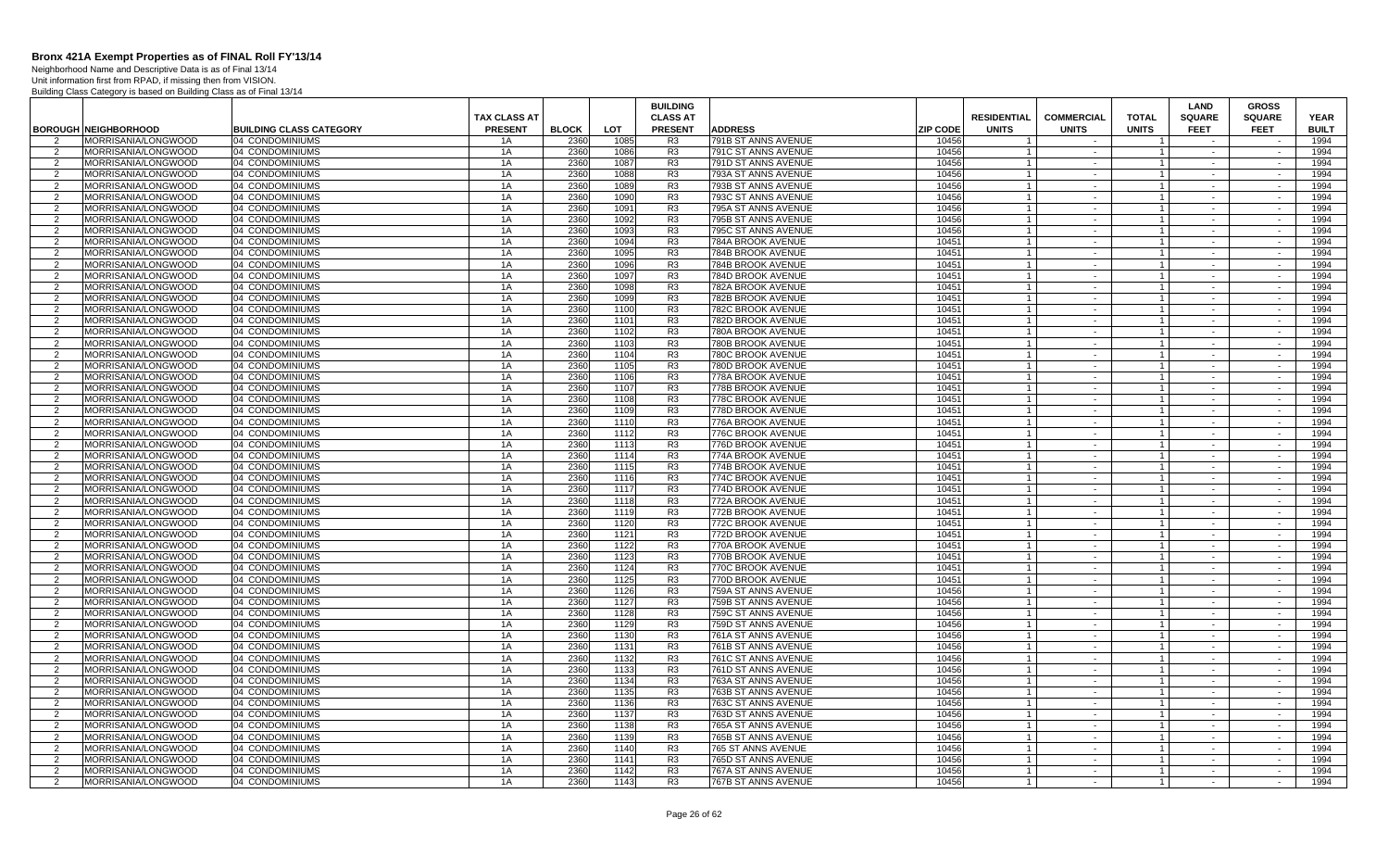Neighborhood Name and Descriptive Data is as of Final 13/14 Unit information first from RPAD, if missing then from VISION.

|                |                                            |                                    |                     |              |              | <b>BUILDING</b>                  |                                        |                 |                                  |                      |                                  | <b>LAND</b>      | <b>GROSS</b>     |              |
|----------------|--------------------------------------------|------------------------------------|---------------------|--------------|--------------|----------------------------------|----------------------------------------|-----------------|----------------------------------|----------------------|----------------------------------|------------------|------------------|--------------|
|                |                                            |                                    | <b>TAX CLASS AT</b> |              |              | <b>CLASS AT</b>                  |                                        |                 | <b>RESIDENTIAL</b>               | <b>COMMERCIAL</b>    | <b>TOTAL</b>                     | <b>SQUARE</b>    | <b>SQUARE</b>    | <b>YEAR</b>  |
|                | <b>BOROUGH NEIGHBORHOOD</b>                | <b>BUILDING CLASS CATEGORY</b>     | <b>PRESENT</b>      | <b>BLOCK</b> | LOT          | <b>PRESENT</b>                   | <b>ADDRESS</b>                         | <b>ZIP CODE</b> | <b>UNITS</b>                     | <b>UNITS</b>         | <b>UNITS</b>                     | <b>FEET</b>      | <b>FEET</b>      | <b>BUILT</b> |
|                | MORRISANIA/LONGWOOD                        | 04 CONDOMINIUMS                    | 1A                  | 2360         | 1085         | R <sub>3</sub>                   | 791B ST ANNS AVENUE                    | 10456           |                                  |                      |                                  |                  |                  | 1994         |
| 2              | MORRISANIA/LONGWOOD                        | 04 CONDOMINIUMS                    | 1A                  | 2360         | 1086         | R <sub>3</sub>                   | 791C ST ANNS AVENUE                    | 10456           |                                  | $\sim$               | $\mathbf{1}$                     | $\sim$           | $\sim$           | 1994         |
| 2              | MORRISANIA/LONGWOOD                        | 04 CONDOMINIUMS                    | 1A                  | 2360         | 1087         | R <sub>3</sub>                   | 791D ST ANNS AVENUE                    | 10456           | $\overline{1}$                   | $\sim$               | $\overline{1}$                   | $\sim$           | $\sim$           | 1994         |
| $\overline{2}$ | MORRISANIA/LONGWOOD                        | 04 CONDOMINIUMS                    | 1A                  | 2360         | 1088         | R <sub>3</sub>                   | 793A ST ANNS AVENUE                    | 10456           |                                  | $\sim$               | $\overline{1}$                   | $\sim$           | $\sim$           | 1994         |
| 2              | MORRISANIA/LONGWOOD                        | 04 CONDOMINIUMS                    | 1A                  | 2360         | 1089         | R <sub>3</sub>                   | 793B ST ANNS AVENUE                    | 10456           | $\overline{1}$                   | $\sim$               | $\overline{1}$                   | $\sim$           | $\sim$           | 1994         |
| 2              | MORRISANIA/LONGWOOD                        | 04 CONDOMINIUMS                    | 1A                  | 2360         | 1090         | R <sub>3</sub>                   | 793C ST ANNS AVENUE                    | 10456           | $\overline{1}$                   | $\sim$               | $\overline{1}$                   | $\sim$           | $\sim$           | 1994         |
| 2              | MORRISANIA/LONGWOOD                        | 04 CONDOMINIUMS                    | 1A                  | 2360         | 1091         | R <sub>3</sub>                   | 795A ST ANNS AVENUE                    | 10456           | $\overline{1}$                   | $\sim$               | $\overline{1}$                   | $\sim$           | $\sim$           | 1994         |
| 2              | MORRISANIA/LONGWOOD                        | 04 CONDOMINIUMS                    | 1A                  | 2360         | 1092         | R <sub>3</sub>                   | 795B ST ANNS AVENUE                    | 10456           | $\overline{1}$                   | $\sim$               | $\overline{1}$                   |                  | $\sim$           | 1994         |
| 2              | MORRISANIA/LONGWOOD                        | 04 CONDOMINIUMS                    | 1A                  | 2360         | 1093         | R <sub>3</sub>                   | 795C ST ANNS AVENUE                    | 10456           | $\overline{1}$                   | $\sim$               | $\mathbf{1}$                     | $\sim$           | $\sim$           | 1994         |
| $\overline{2}$ | MORRISANIA/LONGWOOD                        | 04 CONDOMINIUMS                    | 1A                  | 2360         | 1094         | R <sub>3</sub>                   | 784A BROOK AVENUE                      | 10451           |                                  | $\sim$               | $\overline{1}$                   | $\sim$           | $\sim$           | 1994         |
| 2              | MORRISANIA/LONGWOOD                        | 04 CONDOMINIUMS                    | 1A                  | 2360         | 1095         | R <sub>3</sub>                   | 784B BROOK AVENUE                      | 10451           | $\overline{1}$                   | $\sim$               | $\overline{1}$                   | $\sim$           | $\sim$           | 1994         |
| $\overline{2}$ | MORRISANIA/LONGWOOD                        | 04 CONDOMINIUMS                    | 1A                  | 2360         | 1096         | R <sub>3</sub>                   | 784B BROOK AVENUE                      | 10451           | $\overline{1}$                   | $\sim$               | $\overline{1}$                   | $\sim$           | $\sim$           | 1994         |
| 2              | MORRISANIA/LONGWOOD                        | 04 CONDOMINIUMS                    | 1A                  | 2360         | 1097         | R <sub>3</sub>                   | 784D BROOK AVENUE                      | 10451           | $\overline{1}$                   | $\sim$               | $\overline{1}$                   | $\sim$           | $\sim$           | 1994         |
| 2              | MORRISANIA/LONGWOOD                        | 04 CONDOMINIUMS                    | 1A                  | 2360         | 1098         | R <sub>3</sub>                   | 782A BROOK AVENUE                      | 10451           | $\overline{1}$                   | $\sim$               | $\overline{1}$                   | $\sim$           | $\sim$           | 1994         |
| 2              | MORRISANIA/LONGWOOD                        | 04 CONDOMINIUMS                    | 1A                  | 2360         | 1099         | R <sub>3</sub>                   | 782B BROOK AVENUE                      | 10451           | $\overline{1}$                   | $\sim$               | $\mathbf{1}$                     | $\sim$           | $\sim$           | 1994         |
| 2              | MORRISANIA/LONGWOOD                        | 04 CONDOMINIUMS                    | 1A                  | 2360         | 1100         | R <sub>3</sub>                   | 782C BROOK AVENUE                      | 10451           | $\overline{1}$                   | $\sim$ $-$           | $\overline{1}$                   | $\sim$           | $\sim$           | 1994         |
| 2              | MORRISANIA/LONGWOOD                        | 04 CONDOMINIUMS                    | 1A                  | 2360         | 1101         | R <sub>3</sub>                   | 782D BROOK AVENUE                      | 10451           | $\overline{1}$                   | $\blacksquare$       | $\overline{1}$                   |                  |                  | 1994         |
| 2              | MORRISANIA/LONGWOOD                        | 04 CONDOMINIUMS                    | 1A                  | 2360         | 1102         | R <sub>3</sub>                   | 780A BROOK AVENUE                      | 10451           | $\overline{1}$                   | $\sim$<br>$\sim$     | $\mathbf{1}$                     | $\sim$           | $\sim$           | 1994         |
| $\overline{2}$ | MORRISANIA/LONGWOOD                        | 04 CONDOMINIUMS                    | 1A                  | 2360         | 1103         | R <sub>3</sub>                   | 780B BROOK AVENUE                      | 10451           | $\overline{1}$                   |                      | $\overline{1}$                   | $\sim$           | $\sim$           | 1994         |
| 2              | MORRISANIA/LONGWOOD                        | 04 CONDOMINIUMS                    | 1A                  | 2360         | 1104         | R <sub>3</sub>                   | 780C BROOK AVENUE                      | 10451           |                                  | $\sim$               |                                  | $\sim$           | $\sim$<br>$\sim$ | 1994         |
| 2              | MORRISANIA/LONGWOOD                        | 04 CONDOMINIUMS                    | 1A                  | 2360         | 1105         | R <sub>3</sub>                   | 780D BROOK AVENUE                      | 10451           | $\overline{1}$<br>$\overline{1}$ | $\sim$               | $\overline{1}$<br>$\overline{1}$ | $\sim$           |                  | 1994         |
| 2              | MORRISANIA/LONGWOOD                        | 04 CONDOMINIUMS                    | 1A                  | 2360<br>2360 | 1106<br>1107 | R <sub>3</sub>                   | 778A BROOK AVENUE                      | 10451<br>10451  |                                  | $\sim$               |                                  | $\sim$           | $\sim$           | 1994<br>1994 |
| 2              | MORRISANIA/LONGWOOD                        | 04 CONDOMINIUMS                    | 1A                  |              |              | R <sub>3</sub><br>R <sub>3</sub> | 778B BROOK AVENUE                      |                 | $\overline{1}$<br>$\overline{1}$ | $\sim$               | $\overline{1}$                   | $\sim$           | $\sim$           |              |
| 2              | MORRISANIA/LONGWOOD<br>MORRISANIA/LONGWOOD | 04 CONDOMINIUMS<br>04 CONDOMINIUMS | 1A<br>1A            | 2360<br>2360 | 1108<br>1109 | R <sub>3</sub>                   | 778C BROOK AVENUE<br>778D BROOK AVENUE | 10451<br>10451  | $\overline{1}$                   | $\sim$<br>$\sim$ $-$ | $\overline{1}$                   | $\sim$<br>$\sim$ | $\sim$<br>$\sim$ | 1994<br>1994 |
| 2<br>2         | MORRISANIA/LONGWOOD                        | 04 CONDOMINIUMS                    | 1A                  | 2360         | 1110         | R <sub>3</sub>                   | 776A BROOK AVENUE                      | 10451           | $\overline{1}$                   |                      | $\overline{1}$<br>$\overline{1}$ |                  |                  | 1994         |
|                | MORRISANIA/LONGWOOD                        | 04 CONDOMINIUMS                    | 1A                  | 2360         | 1112         | R <sub>3</sub>                   | 776C BROOK AVENUE                      | 10451           | $\mathbf{1}$                     | $\sim$               | $\overline{1}$                   | $\sim$           | $\sim$           | 1994         |
| 2<br>2         | MORRISANIA/LONGWOOD                        | 04 CONDOMINIUMS                    | 1A                  | 2360         | 1113         | R <sub>3</sub>                   | 776D BROOK AVENUE                      | 10451           | $\overline{1}$                   | $\sim$               | $\overline{1}$                   | $\sim$           | $\sim$           | 1994         |
| 2              | MORRISANIA/LONGWOOD                        | 04 CONDOMINIUMS                    | 1A                  | 2360         | 1114         | R <sub>3</sub>                   | 774A BROOK AVENUE                      | 10451           |                                  | $\sim$               | $\overline{1}$                   | $\sim$           | $\sim$           | 1994         |
| 2              | MORRISANIA/LONGWOOD                        | 04 CONDOMINIUMS                    | 1A                  | 2360         | 1115         | R <sub>3</sub>                   | 774B BROOK AVENUE                      | 10451           | $\overline{1}$                   | $\sim$               | $\overline{1}$                   | $\sim$           | $\sim$           | 1994         |
| 2              | MORRISANIA/LONGWOOD                        | 04 CONDOMINIUMS                    | 1A                  | 2360         | 1116         | R <sub>3</sub>                   | 774C BROOK AVENUE                      | 10451           | $\overline{1}$                   | $\sim$               | $\overline{1}$                   | $\sim$           | $\sim$           | 1994         |
| 2              | MORRISANIA/LONGWOOD                        | 04 CONDOMINIUMS                    | 1A                  | 2360         | 1117         | R <sub>3</sub>                   | 774D BROOK AVENUE                      | 10451           | $\overline{1}$                   | $\sim$               | $\overline{1}$                   | $\sim$           | $\sim$           | 1994         |
| 2              | MORRISANIA/LONGWOOD                        | 04 CONDOMINIUMS                    | 1A                  | 2360         | 1118         | R <sub>3</sub>                   | 772A BROOK AVENUE                      | 10451           | $\overline{1}$                   | $\sim$               | $\overline{1}$                   | $\sim$           | $\sim$           | 1994         |
| 2              | MORRISANIA/LONGWOOD                        | 04 CONDOMINIUMS                    | 1A                  | 2360         | 1119         | R <sub>3</sub>                   | 772B BROOK AVENUE                      | 10451           | $\overline{1}$                   | $\sim$ $-$           | $\overline{1}$                   | $\sim$           | $\sim$           | 1994         |
| 2              | MORRISANIA/LONGWOOD                        | 04 CONDOMINIUMS                    | 1A                  | 2360         | 1120         | R <sub>3</sub>                   | 772C BROOK AVENUE                      | 10451           | $\overline{1}$                   | $\sim$               | $\overline{1}$                   |                  |                  | 1994         |
| 2              | MORRISANIA/LONGWOOD                        | 04 CONDOMINIUMS                    | 1A                  | 2360         | 1121         | R <sub>3</sub>                   | 772D BROOK AVENUE                      | 10451           | $\overline{1}$                   | $\sim$               | $\overline{1}$                   | $\sim$           | $\sim$           | 1994         |
| $\overline{2}$ | MORRISANIA/LONGWOOD                        | 04 CONDOMINIUMS                    | 1A                  | 2360         | 1122         | R <sub>3</sub>                   | 770A BROOK AVENUE                      | 10451           |                                  | $\sim$               | $\overline{1}$                   | $\sim$           |                  | 1994         |
| 2              | MORRISANIA/LONGWOOD                        | 04 CONDOMINIUMS                    | 1A                  | 2360         | 1123         | R <sub>3</sub>                   | 770B BROOK AVENUE                      | 10451           | $\overline{1}$                   | $\sim$               | $\overline{1}$                   | $\sim$           | $\sim$           | 1994         |
| 2              | MORRISANIA/LONGWOOD                        | 04 CONDOMINIUMS                    | 1A                  | 2360         | 1124         | R <sub>3</sub>                   | 770C BROOK AVENUE                      | 10451           | $\overline{1}$                   | $\sim$               | $\overline{1}$                   | $\sim$           |                  | 1994         |
| $\overline{2}$ | MORRISANIA/LONGWOOD                        | 04 CONDOMINIUMS                    | 1A                  | 2360         | 1125         | R <sub>3</sub>                   | 770D BROOK AVENUE                      | 10451           |                                  | $\sim$               | $\overline{1}$                   | $\sim$           | $\sim$           | 1994         |
| 2              | MORRISANIA/LONGWOOD                        | 04 CONDOMINIUMS                    | 1A                  | 2360         | 1126         | R <sub>3</sub>                   | 759A ST ANNS AVENUE                    | 10456           | $\overline{1}$                   | $\sim$               | $\overline{1}$                   | $\sim$           | $\sim$           | 1994         |
| 2              | MORRISANIA/LONGWOOD                        | 04 CONDOMINIUMS                    | 1A                  | 2360         | 1127         | R <sub>3</sub>                   | 759B ST ANNS AVENUE                    | 10456           | $\overline{1}$                   | $\sim$               | $\overline{1}$                   | $\sim$           | $\sim$           | 1994         |
| 2              | MORRISANIA/LONGWOOD                        | 04 CONDOMINIUMS                    | 1A                  | 2360         | 1128         | R <sub>3</sub>                   | 759C ST ANNS AVENUE                    | 10456           | $\overline{1}$                   | $\sim$               | $\overline{1}$                   | $\sim$           | $\sim$           | 1994         |
| 2              | MORRISANIA/LONGWOOD                        | 04 CONDOMINIUMS                    | 1A                  | 2360         | 1129         | R <sub>3</sub>                   | 759D ST ANNS AVENUE                    | 10456           | $\overline{1}$                   | $\sim$               | $\overline{1}$                   |                  | $\sim$           | 1994         |
| 2              | MORRISANIA/LONGWOOD                        | 04 CONDOMINIUMS                    | 1A                  | 2360         | 1130         | R <sub>3</sub>                   | 761A ST ANNS AVENUE                    | 10456           |                                  | $\sim$               | $\mathbf{1}$                     | $\sim$           | $\sim$           | 1994         |
| $\overline{2}$ | MORRISANIA/LONGWOOD                        | 04 CONDOMINIUMS                    | 1A                  | 2360         | 1131         | R <sub>3</sub>                   | 761B ST ANNS AVENUE                    | 10456           | $\overline{1}$                   | $\sim$               | $\mathbf{1}$                     | $\sim$           | $\sim$           | 1994         |
| 2              | MORRISANIA/LONGWOOD                        | 04 CONDOMINIUMS                    | 1A                  | 2360         | 1132         | R <sub>3</sub>                   | 761C ST ANNS AVENUE                    | 10456           |                                  | $\sim$               | $\overline{1}$                   | $\sim$           | $\sim$           | 1994         |
| 2              | MORRISANIA/LONGWOOD                        | 04 CONDOMINIUMS                    | 1A                  | 2360         | 1133         | R <sub>3</sub>                   | 761D ST ANNS AVENUE                    | 10456           | $\overline{1}$                   | $\sim$               | $\overline{1}$                   | $\sim$           | $\sim$           | 1994         |
| 2              | MORRISANIA/LONGWOOD                        | 04 CONDOMINIUMS                    | 1A                  | 2360         | 1134         | R <sub>3</sub>                   | 763A ST ANNS AVENUE                    | 10456           | $\overline{1}$                   | $\sim$               | $\overline{1}$                   | $\sim$           | $\sim$           | 1994         |
| 2              | MORRISANIA/LONGWOOD                        | 04 CONDOMINIUMS                    | 1A                  | 2360         | 1135         | R <sub>3</sub>                   | 763B ST ANNS AVENUE                    | 10456           | $\overline{1}$                   | $\sim$               | $\mathbf{1}$                     | $\sim$           | $\sim$           | 1994         |
| 2              | MORRISANIA/LONGWOOD                        | 04 CONDOMINIUMS                    | 1A                  | 2360         | 1136         | R <sub>3</sub>                   | <b>763C ST ANNS AVENUE</b>             | 10456           | $\overline{1}$                   | $\sim$               | $\overline{1}$                   | $\sim$           | $\sim$           | 1994         |
| 2              | MORRISANIA/LONGWOOD                        | 04 CONDOMINIUMS                    | 1A                  | 2360         | 1137         | R <sub>3</sub>                   | 763D ST ANNS AVENUE                    | 10456           | $\overline{1}$                   | $\sim$               | $\overline{1}$                   | $\sim$           | $\sim$           | 1994         |
| $\overline{2}$ | MORRISANIA/LONGWOOD                        | 04 CONDOMINIUMS                    | 1A                  | 2360         | 1138         | R <sub>3</sub>                   | 765A ST ANNS AVENUE                    | 10456           | $\overline{1}$                   | $\sim$               | $\overline{1}$                   | $\sim$           | $\sim$           | 1994         |
| 2              | MORRISANIA/LONGWOOD                        | 04 CONDOMINIUMS                    | 1A                  | 2360         | 1139         | R <sub>3</sub>                   | 765B ST ANNS AVENUE                    | 10456           |                                  | $\sim$               | $\overline{1}$                   | $\sim$           | $\sim$           | 1994         |
| $\overline{2}$ | MORRISANIA/LONGWOOD                        | 04 CONDOMINIUMS                    | 1A                  | 2360         | 1140         | R <sub>3</sub>                   | 765 ST ANNS AVENUE                     | 10456           |                                  | $\sim$               | $\overline{1}$                   | $\sim$           | $\sim$           | 1994         |
| 2              | MORRISANIA/LONGWOOD                        | 04 CONDOMINIUMS                    | 1A                  | 2360         | 1141         | R <sub>3</sub>                   | 765D ST ANNS AVENUE                    | 10456           |                                  | $\sim$               | $\overline{1}$                   | $\sim$           |                  | 1994         |
| 2              | MORRISANIA/LONGWOOD                        | 04 CONDOMINIUMS                    | 1A                  | 2360         | 1142         | R <sub>3</sub>                   | 767A ST ANNS AVENUE                    | 10456           | $\overline{1}$                   | $\sim$               | $\overline{1}$                   | $\sim$           | $\sim$           | 1994         |
| 2              | MORRISANIA/LONGWOOD                        | 04 CONDOMINIUMS                    | 1A                  | 2360         | 1143         | R <sub>3</sub>                   | 767B ST ANNS AVENUE                    | 10456           | $\overline{1}$                   | $\sim$               | $\overline{1}$                   | $\sim$           | $\sim$           | 1994         |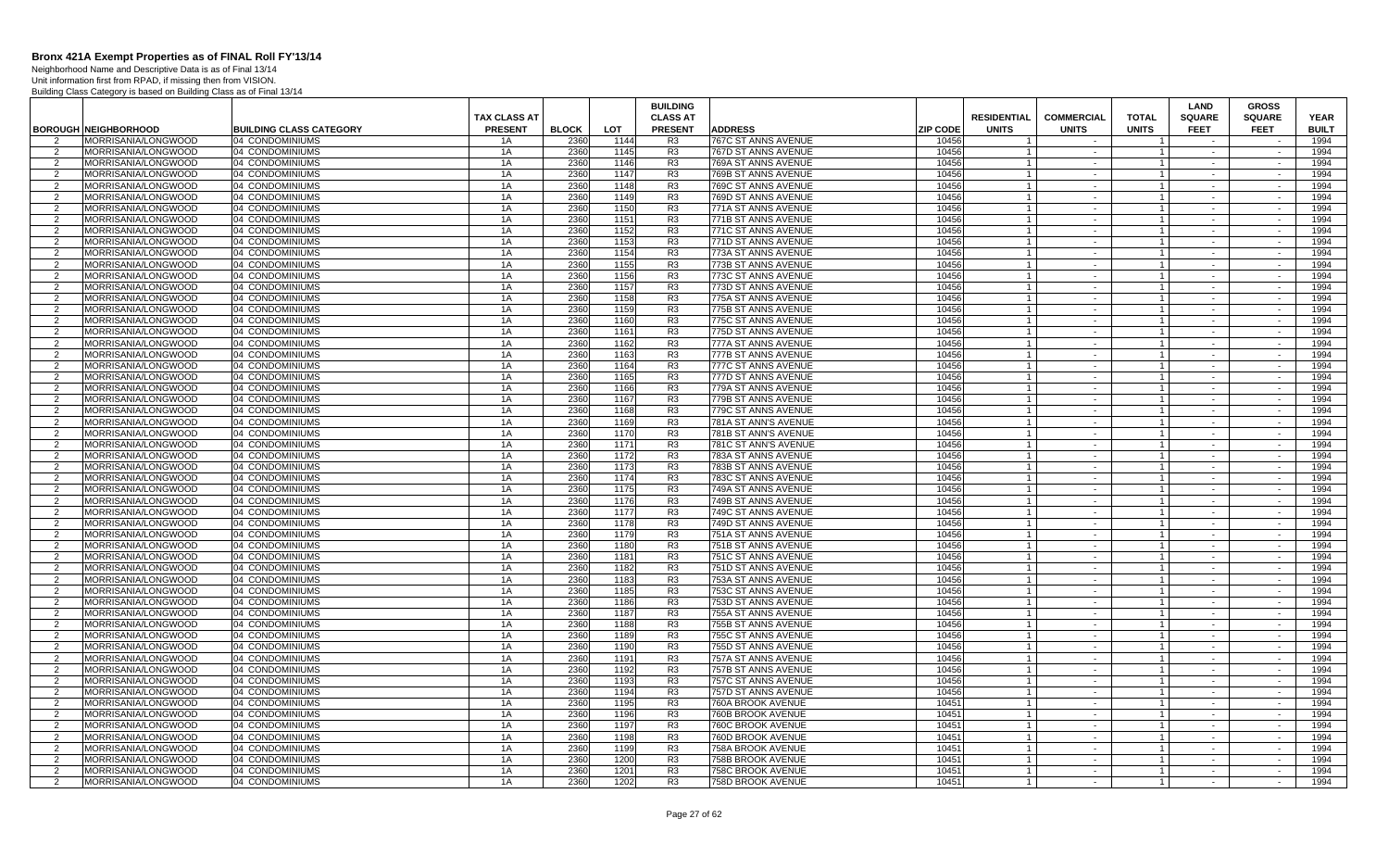Neighborhood Name and Descriptive Data is as of Final 13/14 Unit information first from RPAD, if missing then from VISION.

|                     |                                            |                                                   |                     |              |                    | <b>BUILDING</b>                  |                                              |                          |                    |                   |                                  | <b>LAND</b>      | <b>GROSS</b>     |                      |
|---------------------|--------------------------------------------|---------------------------------------------------|---------------------|--------------|--------------------|----------------------------------|----------------------------------------------|--------------------------|--------------------|-------------------|----------------------------------|------------------|------------------|----------------------|
|                     |                                            |                                                   | <b>TAX CLASS AT</b> |              |                    | <b>CLASS AT</b>                  |                                              |                          | <b>RESIDENTIAL</b> | <b>COMMERCIAL</b> | <b>TOTAL</b>                     | <b>SQUARE</b>    | <b>SQUARE</b>    | <b>YEAR</b>          |
| $\mathcal{P}$       | <b>BOROUGH NEIGHBORHOOD</b>                | <b>BUILDING CLASS CATEGORY</b><br>04 CONDOMINIUMS | <b>PRESENT</b>      | <b>BLOCK</b> | <b>LOT</b><br>1144 | <b>PRESENT</b><br>R <sub>3</sub> | <b>ADDRESS</b>                               | <b>ZIP CODE</b><br>10456 | <b>UNITS</b>       | <b>UNITS</b>      | <b>UNITS</b>                     | <b>FEET</b>      | <b>FEET</b>      | <b>BUILT</b><br>1994 |
| 2                   | MORRISANIA/LONGWOOD<br>MORRISANIA/LONGWOOD | 04 CONDOMINIUMS                                   | 1A<br>1A            | 2360<br>2360 | 1145               | R <sub>3</sub>                   | 767C ST ANNS AVENUE<br>767D ST ANNS AVENUE   | 10456                    |                    | $\sim$            | $\overline{1}$                   | $\sim$           | $\sim$           | 1994                 |
| 2                   | <b>MORRISANIA/LONGWOOD</b>                 | 04 CONDOMINIUMS                                   | 1A                  | 2360         | 1146               | R <sub>3</sub>                   | 769A ST ANNS AVENUE                          | 10456                    | $\overline{1}$     | $\sim$            | $\overline{1}$                   | $\sim$           | $\sim$           | 1994                 |
| 2                   | MORRISANIA/LONGWOOD                        | 04 CONDOMINIUMS                                   | 1A                  | 2360         | 1147               | R <sub>3</sub>                   | 769B ST ANNS AVENUE                          | 10456                    | $\overline{1}$     | $\sim$            | $\overline{1}$                   | $\sim$           | $\sim$           | 1994                 |
| 2                   | MORRISANIA/LONGWOOD                        | 04 CONDOMINIUMS                                   | 1A                  | 2360         | 1148               | R <sub>3</sub>                   | 769C ST ANNS AVENUE                          | 10456                    | $\overline{1}$     | $\sim$ $-$        | $\overline{1}$                   | $\sim$           | $\sim$           | 1994                 |
| $\overline{2}$      | MORRISANIA/LONGWOOD                        | 04 CONDOMINIUMS                                   | 1A                  | 2360         | 1149               | R <sub>3</sub>                   | 769D ST ANNS AVENUE                          | 10456                    |                    | $\sim$            | $\overline{1}$                   |                  | $\sim$           | 1994                 |
| 2                   | MORRISANIA/LONGWOOD                        | 04 CONDOMINIUMS                                   | 1A                  | 2360         | 1150               | R <sub>3</sub>                   | 771A ST ANNS AVENUE                          | 10456                    | $\overline{1}$     | $\sim$ $-$        | $\overline{1}$                   | $\sim$           | $\sim$           | 1994                 |
| $\overline{2}$      | MORRISANIA/LONGWOOD                        | 04 CONDOMINIUMS                                   | 1A                  | 2360         | 1151               | R <sub>3</sub>                   | 771B ST ANNS AVENUE                          | 10456                    | $\overline{1}$     | $\sim$            | $\overline{1}$                   | $\sim$           |                  | 1994                 |
| 2                   | MORRISANIA/LONGWOOD                        | 04 CONDOMINIUMS                                   | 1A                  | 2360         | 1152               | R <sub>3</sub>                   | 771C ST ANNS AVENUE                          | 10456                    | $\overline{1}$     | $\sim$            | $\overline{1}$                   | $\sim$           | $\sim$           | 1994                 |
| $\overline{2}$      | MORRISANIA/LONGWOOD                        | 04 CONDOMINIUMS                                   | 1A                  | 2360         | 1153               | R <sub>3</sub>                   | 771D ST ANNS AVENUE                          | 10456                    | $\overline{1}$     | $\sim$            | $\mathbf{1}$                     | $\sim$           | $\sim$           | 1994                 |
| 2                   | MORRISANIA/LONGWOOD                        | 04 CONDOMINIUMS                                   | 1A                  | 2360         | 1154               | R <sub>3</sub>                   | 773A ST ANNS AVENUE                          | 10456                    |                    | $\sim$            | $\mathbf{1}$                     | $\sim$           | $\sim$           | 1994                 |
| 2                   | MORRISANIA/LONGWOOD                        | 04 CONDOMINIUMS                                   | 1A                  | 2360         | 1155               | R <sub>3</sub>                   | 773B ST ANNS AVENUE                          | 10456                    | $\overline{1}$     | $\sim$            | $\overline{1}$                   | $\sim$           | $\sim$           | 1994                 |
| 2                   | MORRISANIA/LONGWOOD                        | 04 CONDOMINIUMS                                   | 1A                  | 2360         | 1156               | R <sub>3</sub>                   | 773C ST ANNS AVENUE                          | 10456                    | $\overline{1}$     | $\sim$            | $\overline{1}$                   | $\sim$           | $\sim$           | 1994                 |
| 2                   | MORRISANIA/LONGWOOD                        | 04 CONDOMINIUMS                                   | 1A                  | 2360         | 1157               | R3                               | 773D ST ANNS AVENUE                          | 10456                    | $\overline{1}$     | $\sim$            | $\overline{1}$                   | $\sim$           | $\sim$           | 1994                 |
| 2                   | MORRISANIA/LONGWOOD                        | 04 CONDOMINIUMS                                   | 1A                  | 2360         | 1158               | R <sub>3</sub>                   | 775A ST ANNS AVENUE                          | 10456                    | $\overline{1}$     | $\sim$            | $\overline{1}$                   | $\sim$           | $\sim$           | 1994                 |
| 2                   | MORRISANIA/LONGWOOD                        | 04 CONDOMINIUMS                                   | 1A                  | 2360         | 1159               | R <sub>3</sub>                   | 775B ST ANNS AVENUE                          | 10456                    | $\overline{1}$     | $\sim$            | $\overline{1}$                   | $\sim$           | $\sim$           | 1994                 |
| $\overline{2}$      | MORRISANIA/LONGWOOD                        | 04 CONDOMINIUMS                                   | 1A                  | 2360         | 1160               | R <sub>3</sub>                   | 775C ST ANNS AVENUE                          | 10456                    | $\overline{1}$     | $\sim$            | $\overline{1}$                   | $\sim$           |                  | 1994                 |
| 2                   | MORRISANIA/LONGWOOD                        | 04 CONDOMINIUMS                                   | 1A                  | 2360         | 1161               | R <sub>3</sub>                   | 775D ST ANNS AVENUE                          | 10456                    | $\overline{1}$     | $\sim$            | $\mathbf{1}$                     | $\sim$           | $\sim$           | 1994                 |
| 2                   | MORRISANIA/LONGWOOD                        | 04 CONDOMINIUMS                                   | 1A                  | 2360         | 1162               | R <sub>3</sub>                   | 777A ST ANNS AVENUE                          | 10456                    | $\overline{1}$     | $\sim$            | $\overline{1}$                   | $\sim$           | $\sim$           | 1994                 |
| 2                   | MORRISANIA/LONGWOOD                        | 04 CONDOMINIUMS                                   | 1A                  | 2360         | 1163               | R <sub>3</sub>                   | 777B ST ANNS AVENUE                          | 10456                    | $\overline{1}$     | $\sim$            | $\overline{1}$                   | $\sim$           | $\sim$           | 1994                 |
| 2                   | MORRISANIA/LONGWOOD                        | 04 CONDOMINIUMS                                   | 1A                  | 2360         | 1164               | R3                               | 777C ST ANNS AVENUE                          | 10456                    | $\overline{1}$     | $\sim$            | $\overline{1}$                   | $\sim$           | $\sim$           | 1994                 |
| 2                   | MORRISANIA/LONGWOOD                        | 04 CONDOMINIUMS                                   | 1A                  | 2360         | 1165               | R <sub>3</sub>                   | 777D ST ANNS AVENUE                          | 10456                    | $\overline{1}$     | $\sim$            | $\overline{1}$                   | $\sim$           | $\sim$           | 1994                 |
| 2                   | MORRISANIA/LONGWOOD                        | 04 CONDOMINIUMS                                   | 1A                  | 2360         | 1166               | R <sub>3</sub>                   | 779A ST ANNS AVENUE                          | 10456                    | $\overline{1}$     | $\sim$            | $\overline{1}$                   | $\sim$           | $\sim$           | 1994                 |
| 2                   | MORRISANIA/LONGWOOD                        | 04 CONDOMINIUMS                                   | 1A                  | 2360         | 1167               | R <sub>3</sub>                   | 779B ST ANNS AVENUE                          | 10456                    |                    | $\sim$            | $\overline{1}$                   |                  | $\sim$           | 1994                 |
| $\overline{2}$      | MORRISANIA/LONGWOOD                        | 04 CONDOMINIUMS                                   | 1A                  | 2360         | 1168               | R <sub>3</sub>                   | 779C ST ANNS AVENUE                          | 10456                    | $\overline{1}$     | $\sim$            | $\overline{1}$                   | $\sim$           | $\sim$           | 1994                 |
| $\overline{2}$      | MORRISANIA/LONGWOOD                        | 04 CONDOMINIUMS                                   | 1A                  | 2360         | 1169               | R <sub>3</sub>                   | 781A ST ANN'S AVENUE                         | 10456                    | $\overline{1}$     | $\sim$            | $\overline{1}$<br>$\overline{1}$ |                  |                  | 1994                 |
| 2<br>2              | MORRISANIA/LONGWOOD<br>MORRISANIA/LONGWOOD | 04 CONDOMINIUMS<br>04 CONDOMINIUMS                | 1A<br>1A            | 2360<br>2360 | 1170<br>1171       | R <sub>3</sub><br>R <sub>3</sub> | 781B ST ANN'S AVENUE<br>781C ST ANN'S AVENUE | 10456<br>10456           | $\overline{1}$     | $\sim$<br>$\sim$  | $\overline{1}$                   | $\sim$<br>$\sim$ | $\sim$<br>$\sim$ | 1994<br>1994         |
| 2                   | MORRISANIA/LONGWOOD                        | 04 CONDOMINIUMS                                   | 1A                  | 2360         | 1172               | R <sub>3</sub>                   | 783A ST ANNS AVENUE                          | 10456                    |                    | $\sim$            | $\overline{1}$                   | $\sim$           | $\sim$           | 1994                 |
| 2                   | MORRISANIA/LONGWOOD                        | 04 CONDOMINIUMS                                   | 1A                  | 2360         | 1173               | R <sub>3</sub>                   | 783B ST ANNS AVENUE                          | 10456                    | $\overline{1}$     | $\sim$            | $\overline{1}$                   | $\sim$           | $\sim$           | 1994                 |
| 2                   | MORRISANIA/LONGWOOD                        | 04 CONDOMINIUMS                                   | 1A                  | 2360         | 1174               | R <sub>3</sub>                   | 783C ST ANNS AVENUE                          | 10456                    | $\overline{1}$     | $\sim$            | $\overline{1}$                   |                  |                  | 1994                 |
| 2                   | MORRISANIA/LONGWOOD                        | 04 CONDOMINIUMS                                   | 1A                  | 2360         | 1175               | R <sub>3</sub>                   | 749A ST ANNS AVENUE                          | 10456                    |                    | $\sim$            | $\mathbf{1}$                     | $\sim$           | $\sim$           | 1994                 |
| $\overline{2}$      | MORRISANIA/LONGWOOD                        | 04 CONDOMINIUMS                                   | 1A                  | 2360         | 1176               | R <sub>3</sub>                   | 749B ST ANNS AVENUE                          | 10456                    |                    | $\sim$            | $\overline{1}$                   |                  | $\sim$           | 1994                 |
| $\overline{2}$      | MORRISANIA/LONGWOOD                        | 04 CONDOMINIUMS                                   | 1A                  | 2360         | 1177               | R <sub>3</sub>                   | 749C ST ANNS AVENUE                          | 10456                    | $\overline{1}$     | $\sim$            | $\overline{1}$                   | $\sim$           | $\sim$           | 1994                 |
| $\mathcal{P}$       | MORRISANIA/LONGWOOD                        | 04 CONDOMINIUMS                                   | 1A                  | 2360         | 1178               | R <sub>3</sub>                   | 749D ST ANNS AVENUE                          | 10456                    | $\overline{1}$     | $\sim$            | $\overline{1}$                   | $\sim$           |                  | 1994                 |
| $\overline{2}$      | MORRISANIA/LONGWOOD                        | 04 CONDOMINIUMS                                   | 1A                  | 2360         | 1179               | R <sub>3</sub>                   | 751A ST ANNS AVENUE                          | 10456                    |                    | $\sim$            |                                  | $\sim$           | $\sim$           | 1994                 |
| 2                   | MORRISANIA/LONGWOOD                        | 04 CONDOMINIUMS                                   | 1A                  | 2360         | 1180               | R <sub>3</sub>                   | 751B ST ANNS AVENUE                          | 10456                    | $\overline{1}$     | $\sim$            | $\overline{1}$                   | $\sim$           | $\sim$           | 1994                 |
| 2                   | MORRISANIA/LONGWOOD                        | 04 CONDOMINIUMS                                   | 1A                  | 2360         | 1181               | R <sub>3</sub>                   | 751C ST ANNS AVENUE                          | 10456                    | $\overline{1}$     | $\sim$            | $\overline{1}$                   | $\sim$           | $\sim$           | 1994                 |
| 2                   | MORRISANIA/LONGWOOD                        | 04 CONDOMINIUMS                                   | 1A                  | 2360         | 1182               | R3                               | 751D ST ANNS AVENUE                          | 10456                    | $\overline{1}$     | $\sim$ $-$        | $\overline{1}$                   | $\sim$           | $\sim$           | 1994                 |
| 2                   | MORRISANIA/LONGWOOD                        | 04 CONDOMINIUMS                                   | 1A                  | 2360         | 1183               | R3                               | 753A ST ANNS AVENUE                          | 10456                    | $\overline{1}$     | $\sim$            | $\overline{1}$                   |                  | $\sim$           | 1994                 |
| 2                   | MORRISANIA/LONGWOOD                        | 04 CONDOMINIUMS                                   | 1A                  | 2360         | 1185               | R <sub>3</sub>                   | 753C ST ANNS AVENUE                          | 10456                    |                    | $\sim$            | $\mathbf{1}$                     | $\sim$           | $\sim$           | 1994                 |
| $\overline{2}$      | MORRISANIA/LONGWOOD                        | 04 CONDOMINIUMS                                   | 1A                  | 2360         | 1186               | R <sub>3</sub>                   | 753D ST ANNS AVENUE                          | 10456                    |                    | $\sim$            | $\overline{1}$                   | $\sim$           | $\sim$           | 1994                 |
| 2                   | MORRISANIA/LONGWOOD                        | 04 CONDOMINIUMS                                   | 1A                  | 2360         | 1187               | R <sub>3</sub>                   | 755A ST ANNS AVENUE                          | 10456                    | $\overline{1}$     | $\sim$            | $\overline{1}$                   | $\sim$           | $\sim$           | 1994                 |
| 2                   | MORRISANIA/LONGWOOD                        | 04 CONDOMINIUMS                                   | 1A                  | 2360         | 1188               | R <sub>3</sub>                   | 755B ST ANNS AVENUE                          | 10456                    | $\overline{1}$     | $\sim$            | $\overline{1}$                   | $\sim$           | $\sim$           | 1994                 |
| 2                   | MORRISANIA/LONGWOOD                        | 04 CONDOMINIUMS                                   | 1A                  | 2360         | 1189               | R <sub>3</sub>                   | 755C ST ANNS AVENUE                          | 10456                    | $\overline{1}$     | $\sim$            | $\overline{1}$                   | $\sim$           | $\sim$           | 1994                 |
| 2                   | MORRISANIA/LONGWOOD                        | 04 CONDOMINIUMS                                   | 1A                  | 2360         | 1190               | R <sub>3</sub>                   | 755D ST ANNS AVENUE                          | 10456                    | $\overline{1}$     | $\sim$            | $\overline{1}$                   | $\sim$           | $\sim$           | 1994                 |
| 2                   | MORRISANIA/LONGWOOD                        | 04 CONDOMINIUMS                                   | 1A                  | 2360         | 1191               | R <sub>3</sub>                   | 757A ST ANNS AVENUE                          | 10456                    | $\overline{1}$     | $\sim$            | $\overline{1}$                   | $\sim$           | $\sim$           | 1994                 |
| 2                   | MORRISANIA/LONGWOOD                        | 04 CONDOMINIUMS                                   | 1A                  | 2360         | 1192               | R3                               | 757B ST ANNS AVENUE                          | 10456                    | $\overline{1}$     | $\sim$            | $\overline{1}$                   | $\sim$           | $\sim$           | 1994                 |
| 2                   | MORRISANIA/LONGWOOD<br>MORRISANIA/LONGWOOD | 04 CONDOMINIUMS                                   | 1A                  | 2360<br>2360 | 1193               | R <sub>3</sub><br>R <sub>3</sub> | 757C ST ANNS AVENUE                          | 10456<br>10456           |                    | $\sim$            | $\overline{1}$                   |                  |                  | 1994<br>1994         |
| 2<br>$\overline{2}$ | MORRISANIA/LONGWOOD                        | 04 CONDOMINIUMS                                   | 1A<br>1A            | 2360         | 1194<br>1195       | R <sub>3</sub>                   | 757D ST ANNS AVENUE<br>760A BROOK AVENUE     | 10451                    | $\overline{1}$     | $\sim$<br>$\sim$  | $\mathbf{1}$<br>$\overline{1}$   | $\sim$<br>$\sim$ | $\sim$<br>$\sim$ | 1994                 |
| 2                   | MORRISANIA/LONGWOOD                        | 04 CONDOMINIUMS<br>04 CONDOMINIUMS                | 1A                  | 2360         | 1196               | R <sub>3</sub>                   | 760B BROOK AVENUE                            | 10451                    | $\overline{1}$     | $\sim$            | $\overline{1}$                   | $\sim$           | $\sim$           | 1994                 |
| 2                   | MORRISANIA/LONGWOOD                        | 04 CONDOMINIUMS                                   | 1A                  | 2360         | 1197               | R <sub>3</sub>                   | 760C BROOK AVENUE                            | 10451                    | $\overline{1}$     | $\sim$            | $\overline{1}$                   | $\sim$           | $\sim$           | 1994                 |
| 2                   | MORRISANIA/LONGWOOD                        | 04 CONDOMINIUMS                                   | 1A                  | 2360         | 1198               | R <sub>3</sub>                   | 760D BROOK AVENUE                            | 10451                    | $\overline{1}$     | $\sim$            | $\overline{1}$                   | $\sim$           | $\sim$           | 1994                 |
| 2                   | MORRISANIA/LONGWOOD                        | 04 CONDOMINIUMS                                   | 1A                  | 2360         | 1199               | R <sub>3</sub>                   | 758A BROOK AVENUE                            | 10451                    | $\overline{1}$     | $\sim$            | $\overline{1}$                   | $\sim$           | $\sim$           | 1994                 |
| $\overline{2}$      | MORRISANIA/LONGWOOD                        | 04 CONDOMINIUMS                                   | 1A                  | 2360         | 1200               | R <sub>3</sub>                   | 758B BROOK AVENUE                            | 10451                    | $\overline{1}$     | $\sim$            | $\overline{1}$                   |                  | $\sim$           | 1994                 |
| 2                   | MORRISANIA/LONGWOOD                        | 04 CONDOMINIUMS                                   | 1A                  | 2360         | 1201               | R <sub>3</sub>                   | 758C BROOK AVENUE                            | 10451                    | $\overline{1}$     | $\sim$            | $\overline{1}$                   | $\sim$           | $\sim$           | 1994                 |
| 2                   | MORRISANIA/LONGWOOD                        | 04 CONDOMINIUMS                                   | 1A                  | 2360         | 1202               | R <sub>3</sub>                   | 758D BROOK AVENUE                            | 10451                    | $\overline{1}$     |                   | $\overline{1}$                   |                  | $\sim$           | 1994                 |
|                     |                                            |                                                   |                     |              |                    |                                  |                                              |                          |                    |                   |                                  |                  |                  |                      |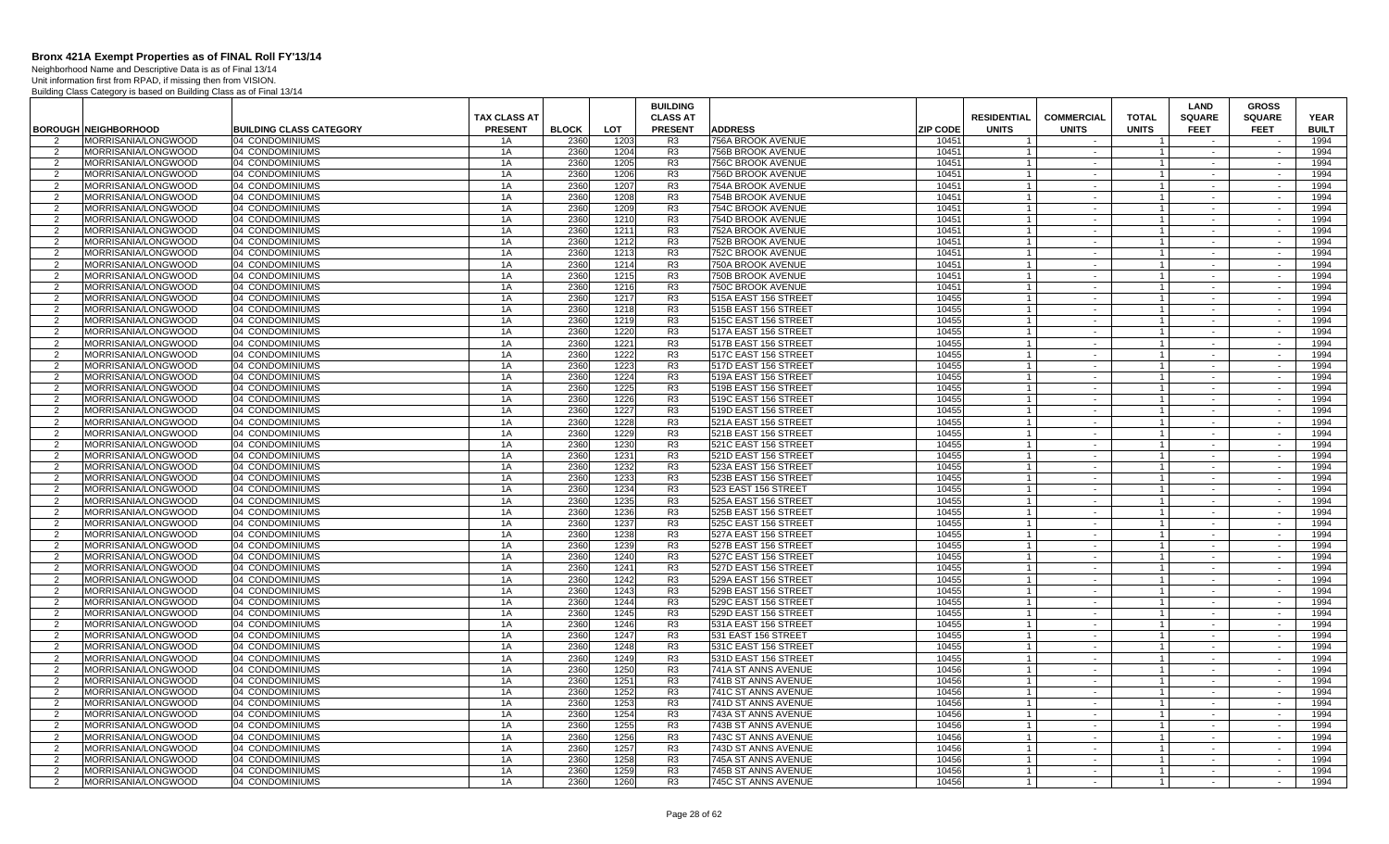Neighborhood Name and Descriptive Data is as of Final 13/14 Unit information first from RPAD, if missing then from VISION.

|                     |                                                           |                                                   |                                       |                      |              | <b>BUILDING</b>                   |                                              |                 |                                  |                                   |                                | LAND                         | <b>GROSS</b>                 |                             |  |
|---------------------|-----------------------------------------------------------|---------------------------------------------------|---------------------------------------|----------------------|--------------|-----------------------------------|----------------------------------------------|-----------------|----------------------------------|-----------------------------------|--------------------------------|------------------------------|------------------------------|-----------------------------|--|
|                     |                                                           |                                                   | <b>TAX CLASS AT</b><br><b>PRESENT</b> |                      | LOT          | <b>CLASS AT</b><br><b>PRESENT</b> | <b>ADDRESS</b>                               | <b>ZIP CODE</b> | <b>RESIDENTIAL</b>               | <b>COMMERCIAL</b><br><b>UNITS</b> | <b>TOTAL</b><br><b>UNITS</b>   | <b>SQUARE</b><br><b>FEET</b> | <b>SQUARE</b><br><b>FEET</b> | <b>YEAR</b><br><b>BUILT</b> |  |
|                     | <b>BOROUGH NEIGHBORHOOD</b><br><b>MORRISANIA/LONGWOOD</b> | <b>BUILDING CLASS CATEGORY</b><br>04 CONDOMINIUMS | 1A                                    | <b>BLOCK</b><br>2360 | 1203         | R <sub>3</sub>                    | 756A BROOK AVENUE                            | 10451           | <b>UNITS</b>                     |                                   |                                |                              |                              | 1994                        |  |
| 2                   | MORRISANIA/LONGWOOD                                       | 04 CONDOMINIUMS                                   | 1A                                    | 2360                 | 1204         | R <sub>3</sub>                    | 756B BROOK AVENUE                            | 10451           |                                  | $\sim$                            | $\mathbf{1}$                   | $\sim$                       | $\sim$                       | 1994                        |  |
| 2                   | MORRISANIA/LONGWOOD                                       | 04 CONDOMINIUMS                                   | 1A                                    | 2360                 | 1205         | R <sub>3</sub>                    | 756C BROOK AVENUE                            | 10451           | $\overline{1}$                   | $\sim$                            | $\overline{1}$                 | $\sim$                       | $\sim$                       | 1994                        |  |
| $\overline{2}$      | MORRISANIA/LONGWOOD                                       | 04 CONDOMINIUMS                                   | 1A                                    | 2360                 | 1206         | R <sub>3</sub>                    | 756D BROOK AVENUE                            | 10451           |                                  | $\sim$                            | $\mathbf{1}$                   | $\sim$                       | $\sim$                       | 1994                        |  |
| $\mathcal{P}$       | MORRISANIA/LONGWOOD                                       | 04 CONDOMINIUMS                                   | 1A                                    | 2360                 | 1207         | R <sub>3</sub>                    | 754A BROOK AVENUE                            | 10451           | $\overline{1}$                   | $\sim$                            | $\overline{1}$                 | $\sim$                       | $\sim$                       | 1994                        |  |
| $\mathcal{P}$       | MORRISANIA/LONGWOOD                                       | 04 CONDOMINIUMS                                   | 1A                                    | 2360                 | 1208         | R <sub>3</sub>                    | 754B BROOK AVENUE                            | 10451           | $\overline{1}$                   | $\sim$                            | $\mathbf{1}$                   | $\sim$                       | $\sim$                       | 1994                        |  |
| 2                   | MORRISANIA/LONGWOOD                                       | 04 CONDOMINIUMS                                   | 1A                                    | 2360                 | 1209         | R <sub>3</sub>                    | 754C BROOK AVENUE                            | 10451           | $\overline{1}$                   | $\sim$                            | $\mathbf{1}$                   | $\sim$                       | $\sim$                       | 1994                        |  |
| 2                   | MORRISANIA/LONGWOOD                                       | 04 CONDOMINIUMS                                   | 1A                                    | 2360                 | 1210         | R <sub>3</sub>                    | 754D BROOK AVENUE                            | 10451           |                                  | $\sim$                            | $\mathbf{1}$                   |                              |                              | 1994                        |  |
| 2                   | MORRISANIA/LONGWOOD                                       | 04 CONDOMINIUMS                                   | 1A                                    | 2360                 | 1211         | R <sub>3</sub>                    | 752A BROOK AVENUE                            | 10451           |                                  | $\sim$                            | $\mathbf{1}$                   | $\sim$                       | $\sim$                       | 1994                        |  |
| $\overline{2}$      | MORRISANIA/LONGWOOD                                       | 04 CONDOMINIUMS                                   | 1A                                    | 2360                 | 1212         | R <sub>3</sub>                    | 752B BROOK AVENUE                            | 10451           |                                  | $\sim$                            | $\mathbf{1}$                   | $\sim$                       | $\sim$                       | 1994                        |  |
| 2                   | <b>MORRISANIA/LONGWOOD</b>                                | 04 CONDOMINIUMS                                   | 1A                                    | 2360                 | 1213         | R3                                | 752C BROOK AVENUE                            | 10451           |                                  | $\sim$                            | $\mathbf{1}$                   | $\sim$                       | $\sim$                       | 1994                        |  |
| 2                   | MORRISANIA/LONGWOOD                                       | 04 CONDOMINIUMS                                   | 1A                                    | 2360                 | 1214         | R <sub>3</sub>                    | 750A BROOK AVENUE                            | 10451           | $\overline{1}$                   | $\sim$                            | $\overline{1}$                 | $\sim$                       | $\sim$                       | 1994                        |  |
| 2                   | MORRISANIA/LONGWOOD                                       | 04 CONDOMINIUMS                                   | 1A                                    | 2360                 | 1215         | R <sub>3</sub>                    | 750B BROOK AVENUE                            | 10451           |                                  | $\sim$                            | $\mathbf{1}$                   | $\sim$                       | $\sim$                       | 1994                        |  |
| 2                   | MORRISANIA/LONGWOOD                                       | 04 CONDOMINIUMS                                   | 1A                                    | 2360                 | 1216         | R <sub>3</sub>                    | 750C BROOK AVENUE                            | 10451           | $\mathbf{1}$                     | $\sim$                            | $\overline{1}$                 | $\sim$                       | $\sim$                       | 1994                        |  |
| $\overline{2}$      | MORRISANIA/LONGWOOD                                       | 04 CONDOMINIUMS                                   | 1A                                    | 2360                 | 1217         | R3                                | 515A EAST 156 STREET                         | 10455           |                                  | $\sim$                            | $\mathbf{1}$                   |                              | $\sim$                       | 1994                        |  |
| 2                   | MORRISANIA/LONGWOOD                                       | 04 CONDOMINIUMS                                   | 1A                                    | 2360                 | 1218         | R3                                | 515B EAST 156 STREET                         | 10455           |                                  | $\sim$                            | $\mathbf{1}$                   | $\sim$                       | $\sim$                       | 1994                        |  |
| 2                   | MORRISANIA/LONGWOOD                                       | 04 CONDOMINIUMS                                   | 1A                                    | 2360                 | 1219         | R <sub>3</sub>                    | 515C EAST 156 STREET                         | 10455           |                                  | $\sim$                            | 1 <sup>1</sup>                 |                              |                              | 1994                        |  |
| 2                   | MORRISANIA/LONGWOOD                                       | 04 CONDOMINIUMS                                   | 1A                                    | 2360                 | 1220         | R <sub>3</sub>                    | 517A EAST 156 STREET                         | 10455           |                                  | $\sim$                            | $\mathbf{1}$                   | $\sim$                       | $\sim$                       | 1994                        |  |
| $\overline{2}$      | MORRISANIA/LONGWOOD                                       | 04 CONDOMINIUMS                                   | 1A                                    | 2360                 | 1221         | R <sub>3</sub>                    | 517B EAST 156 STREET                         | 10455           |                                  | $\sim$                            | $\mathbf{1}$                   | $\sim$                       | $\sim$                       | 1994                        |  |
| $\overline{2}$      | MORRISANIA/LONGWOOD                                       | 04 CONDOMINIUMS                                   | 1A                                    | 2360                 | 1222         | R <sub>3</sub>                    | 517C EAST 156 STREET                         | 10455           |                                  | $\sim$                            | $\mathbf{1}$                   | $\sim$                       | $\sim$                       | 1994                        |  |
| 2                   | MORRISANIA/LONGWOOD                                       | 04 CONDOMINIUMS                                   | 1A                                    | 2360                 | 1223         | R <sub>3</sub>                    | 517D EAST 156 STREET                         | 10455           | $\mathbf{1}$                     | $\sim$                            | $\overline{1}$                 | $\sim$                       | $\sim$                       | 1994                        |  |
| 2                   | MORRISANIA/LONGWOOD                                       | 04 CONDOMINIUMS                                   | 1A                                    | 2360<br>2360         | 1224         | R <sub>3</sub><br>R <sub>3</sub>  | 519A EAST 156 STREET                         | 10455           | $\overline{1}$                   | $\sim$<br>$\sim$                  | $\mathbf{1}$                   | $\sim$<br>$\sim$             | $\sim$<br>$\sim$             | 1994<br>1994                |  |
| 2<br>$\overline{2}$ | MORRISANIA/LONGWOOD<br>MORRISANIA/LONGWOOD                | 04 CONDOMINIUMS<br>04 CONDOMINIUMS                | 1A<br>1A                              | 2360                 | 1225<br>1226 | R <sub>3</sub>                    | 519B EAST 156 STREET<br>519C EAST 156 STREET | 10455<br>10455  |                                  | $\sim$                            | $1 \vert$<br>$\mathbf{1}$      |                              |                              | 1994                        |  |
| 2                   | MORRISANIA/LONGWOOD                                       | 04 CONDOMINIUMS                                   | 1A                                    | 2360                 | 1227         | R <sub>3</sub>                    | 519D EAST 156 STREET                         | 10455           |                                  | $\sim$                            | $\mathbf{1}$                   | $\sim$                       | $\sim$                       | 1994                        |  |
| $\overline{2}$      | MORRISANIA/LONGWOOD                                       | 04 CONDOMINIUMS                                   | 1A                                    | 2360                 | 1228         | R <sub>3</sub>                    | 521A EAST 156 STREET                         | 10455           |                                  | $\sim$                            | $\mathbf{1}$                   |                              |                              | 1994                        |  |
| 2                   | MORRISANIA/LONGWOOD                                       | 04 CONDOMINIUMS                                   | 1A                                    | 2360                 | 1229         | R <sub>3</sub>                    | 521B EAST 156 STREET                         | 10455           |                                  | $\sim$                            | $\mathbf{1}$                   | $\sim$                       | $\sim$                       | 1994                        |  |
| $\overline{2}$      | MORRISANIA/LONGWOOD                                       | 04 CONDOMINIUMS                                   | 1A                                    | 2360                 | 1230         | R <sub>3</sub>                    | 521C EAST 156 STREET                         | 10455           | $\overline{1}$                   | $\sim$                            | $\overline{1}$                 | $\sim$                       | $\sim$                       | 1994                        |  |
| 2                   | MORRISANIA/LONGWOOD                                       | 04 CONDOMINIUMS                                   | 1A                                    | 2360                 | 1231         | R <sub>3</sub>                    | 521D EAST 156 STREET                         | 10455           |                                  | $\sim$                            | $\mathbf{1}$                   | $\sim$                       | $\sim$                       | 1994                        |  |
| 2                   | MORRISANIA/LONGWOOD                                       | 04 CONDOMINIUMS                                   | 1A                                    | 2360                 | 1232         | R <sub>3</sub>                    | 523A EAST 156 STREET                         | 10455           | $\mathbf{1}$                     | $\sim$                            | $\overline{1}$                 | $\sim$                       | $\sim$                       | 1994                        |  |
| 2                   | MORRISANIA/LONGWOOD                                       | 04 CONDOMINIUMS                                   | 1A                                    | 2360                 | 1233         | R <sub>3</sub>                    | 523B EAST 156 STREET                         | 10455           | $\overline{1}$                   | $\sim$                            | $1 \mid$                       | $\sim$                       | $\sim$                       | 1994                        |  |
| 2                   | MORRISANIA/LONGWOOD                                       | 04 CONDOMINIUMS                                   | 1A                                    | 2360                 | 1234         | R <sub>3</sub>                    | 523 EAST 156 STREET                          | 10455           |                                  | $\sim$                            | $\mathbf{1}$                   | $\sim$                       | $\sim$                       | 1994                        |  |
| 2                   | MORRISANIA/LONGWOOD                                       | 04 CONDOMINIUMS                                   | 1A                                    | 2360                 | 1235         | R <sub>3</sub>                    | 525A EAST 156 STREET                         | 10455           |                                  | $\sim$                            | $\mathbf{1}$                   |                              |                              | 1994                        |  |
| 2                   | MORRISANIA/LONGWOOD                                       | 04 CONDOMINIUMS                                   | 1A                                    | 2360                 | 1236         | R <sub>3</sub>                    | 525B EAST 156 STREET                         | 10455           |                                  | $\sim$                            | $\mathbf{1}$                   | $\sim$                       | $\sim$                       | 1994                        |  |
| $\mathcal{P}$       | MORRISANIA/LONGWOOD                                       | 04 CONDOMINIUMS                                   | 1A                                    | 2360                 | 1237         | R <sub>3</sub>                    | 525C EAST 156 STREET                         | 10455           | $\overline{1}$                   | $\sim$                            | $\mathbf{1}$                   | $\sim$                       | $\sim$                       | 1994                        |  |
| 2                   | MORRISANIA/LONGWOOD                                       | 04 CONDOMINIUMS                                   | 1A                                    | 2360                 | 1238         | R <sub>3</sub>                    | 527A EAST 156 STREET                         | 10455           | $\overline{1}$                   | $\sim$                            | $\mathbf{1}$                   | $\sim$                       | $\sim$                       | 1994                        |  |
| 2                   | MORRISANIA/LONGWOOD                                       | 04 CONDOMINIUMS                                   | 1A                                    | 2360                 | 1239         | R <sub>3</sub>                    | 527B EAST 156 STREET                         | 10455           | $\overline{1}$                   | $\sim$                            | $\overline{1}$                 | $\sim$                       | $\sim$                       | 1994                        |  |
| 2                   | MORRISANIA/LONGWOOD                                       | 04 CONDOMINIUMS                                   | 1A                                    | 2360                 | 1240         | R <sub>3</sub>                    | 527C EAST 156 STREET                         | 10455           |                                  | $\sim$                            | $\mathbf{1}$                   | $\sim$                       | $\sim$                       | 1994                        |  |
| 2                   | MORRISANIA/LONGWOOD                                       | 04 CONDOMINIUMS                                   | 1A                                    | 2360                 | 1241         | R <sub>3</sub>                    | 527D EAST 156 STREET                         | 10455           | $\overline{1}$                   | $\sim$                            | $\overline{1}$                 | $\sim$                       | $\sim$                       | 1994                        |  |
| $\overline{2}$      | MORRISANIA/LONGWOOD                                       | 04 CONDOMINIUMS                                   | 1A                                    | 2360                 | 1242         | R <sub>3</sub>                    | 529A EAST 156 STREET                         | 10455           |                                  | $\sim$                            | $1 \mid$                       |                              |                              | 1994                        |  |
| 2                   | MORRISANIA/LONGWOOD                                       | 04 CONDOMINIUMS                                   | 1A                                    | 2360                 | 1243         | R <sub>3</sub>                    | 529B EAST 156 STREET                         | 10455           |                                  | $\sim$                            | $\mathbf{1}$                   | $\sim$                       | $\sim$                       | 1994                        |  |
| $\overline{2}$      | MORRISANIA/LONGWOOD                                       | 04 CONDOMINIUMS                                   | 1A                                    | 2360                 | 1244         | R <sub>3</sub>                    | 529C EAST 156 STREET                         | 10455           |                                  | $\sim$                            | $\mathbf{1}$                   |                              | $\sim$                       | 1994                        |  |
| 2                   | <b>MORRISANIA/LONGWOOD</b>                                | 04 CONDOMINIUMS                                   | 1A                                    | 2360                 | 1245         | R <sub>3</sub>                    | 529D EAST 156 STREET                         | 10455           | $\overline{1}$<br>$\overline{1}$ | $\sim$                            | $\mathbf{1}$                   | $\sim$<br>$\sim$             | $\sim$<br>$\sim$             | 1994                        |  |
| 2                   | MORRISANIA/LONGWOOD                                       | 04 CONDOMINIUMS                                   | 1A                                    | 2360                 | 1246         | R <sub>3</sub>                    | 531A EAST 156 STREET                         | 10455           |                                  | $\sim$                            | $\mathbf{1}$                   |                              |                              | 1994                        |  |
| $\overline{2}$<br>2 | MORRISANIA/LONGWOOD<br>MORRISANIA/LONGWOOD                | 04 CONDOMINIUMS<br>04 CONDOMINIUMS                | 1A<br>1A                              | 2360<br>2360         | 1247         | R <sub>3</sub><br>R <sub>3</sub>  | 531 EAST 156 STREET                          | 10455<br>10455  | $\overline{1}$                   | $\sim$<br>$\sim$                  | $\mathbf{1}$<br>$\overline{1}$ | $\sim$<br>$\sim$             | $\sim$<br>$\sim$             | 1994<br>1994                |  |
| $\mathcal{P}$       |                                                           | 04 CONDOMINIUMS                                   |                                       | 2360                 | 1248         | R <sub>3</sub>                    | 531C EAST 156 STREET                         | 10455           |                                  | $\sim$                            | $\mathbf{1}$                   | $\sim$                       |                              | 1994                        |  |
| 2                   | MORRISANIA/LONGWOOD<br>MORRISANIA/LONGWOOD                | 04 CONDOMINIUMS                                   | 1A<br>1A                              | 2360                 | 1249<br>1250 | R3                                | 531D EAST 156 STREET<br>741A ST ANNS AVENUE  | 10456           | $\overline{1}$                   | $\sim$                            | $\overline{1}$                 | $\sim$                       | $\sim$<br>$\sim$             | 1994                        |  |
| 2                   | MORRISANIA/LONGWOOD                                       | 04 CONDOMINIUMS                                   | 1A                                    | 2360                 | 1251         | R <sub>3</sub>                    | 741B ST ANNS AVENUE                          | 10456           |                                  | $\sim$                            | $\mathbf{1}$                   |                              |                              | 1994                        |  |
| 2                   | MORRISANIA/LONGWOOD                                       | 04 CONDOMINIUMS                                   | 1A                                    | 2360                 | 1252         | R <sub>3</sub>                    | 741C ST ANNS AVENUE                          | 10456           |                                  | $\sim$                            | $\mathbf{1}$                   | $\sim$                       | $\sim$                       | 1994                        |  |
| $\overline{2}$      | MORRISANIA/LONGWOOD                                       | 04 CONDOMINIUMS                                   | 1A                                    | 2360                 | 1253         | R <sub>3</sub>                    | 741D ST ANNS AVENUE                          | 10456           |                                  | $\sim$                            | $\mathbf{1}$                   | $\sim$                       | $\sim$                       | 1994                        |  |
| 2                   | <b>MORRISANIA/LONGWOOD</b>                                | 04 CONDOMINIUMS                                   | 1A                                    | 2360                 | 1254         | R3                                | 743A ST ANNS AVENUE                          | 10456           |                                  | $\sim$                            | $\mathbf{1}$                   | $\sim$                       | $\sim$                       | 1994                        |  |
| 2                   | MORRISANIA/LONGWOOD                                       | 04 CONDOMINIUMS                                   | 1A                                    | 2360                 | 1255         | R <sub>3</sub>                    | 743B ST ANNS AVENUE                          | 10456           | $\overline{1}$                   | $\sim$                            | $\overline{1}$                 | $\sim$                       | $\sim$                       | 1994                        |  |
| 2                   | MORRISANIA/LONGWOOD                                       | 04 CONDOMINIUMS                                   | 1A                                    | 2360                 | 1256         | R <sub>3</sub>                    | 743C ST ANNS AVENUE                          | 10456           |                                  | $\sim$                            | $\mathbf{1}$                   | $\sim$                       | $\sim$                       | 1994                        |  |
| $\mathcal{P}$       | MORRISANIA/LONGWOOD                                       | 04 CONDOMINIUMS                                   | 1A                                    | 2360                 | 1257         | R <sub>3</sub>                    | 743D ST ANNS AVENUE                          | 10456           | $\mathbf{1}$                     | $\sim$                            | $\overline{1}$                 | $\sim$                       | $\sim$                       | 1994                        |  |
| $\overline{2}$      | MORRISANIA/LONGWOOD                                       | 04 CONDOMINIUMS                                   | 1A                                    | 2360                 | 1258         | R <sub>3</sub>                    | 745A ST ANNS AVENUE                          | 10456           | $\overline{1}$                   | $\sim$                            | $\mathbf{1}$                   |                              | $\sim$                       | 1994                        |  |
| 2                   | MORRISANIA/LONGWOOD                                       | 04 CONDOMINIUMS                                   | 1A                                    | 2360                 | 1259         | R <sub>3</sub>                    | 745B ST ANNS AVENUE                          | 10456           |                                  | $\sim$                            | $\mathbf{1}$                   | $\sim$                       | $\sim$                       | 1994                        |  |
| 2                   | MORRISANIA/LONGWOOD                                       | 04 CONDOMINIUMS                                   | 1A                                    | 2360                 | 1260         | R <sub>3</sub>                    | 745C ST ANNS AVENUE                          | 10456           | $\overline{1}$                   |                                   | 1                              |                              | $\sim$                       | 1994                        |  |
|                     |                                                           |                                                   |                                       |                      |              |                                   |                                              |                 |                                  |                                   |                                |                              |                              |                             |  |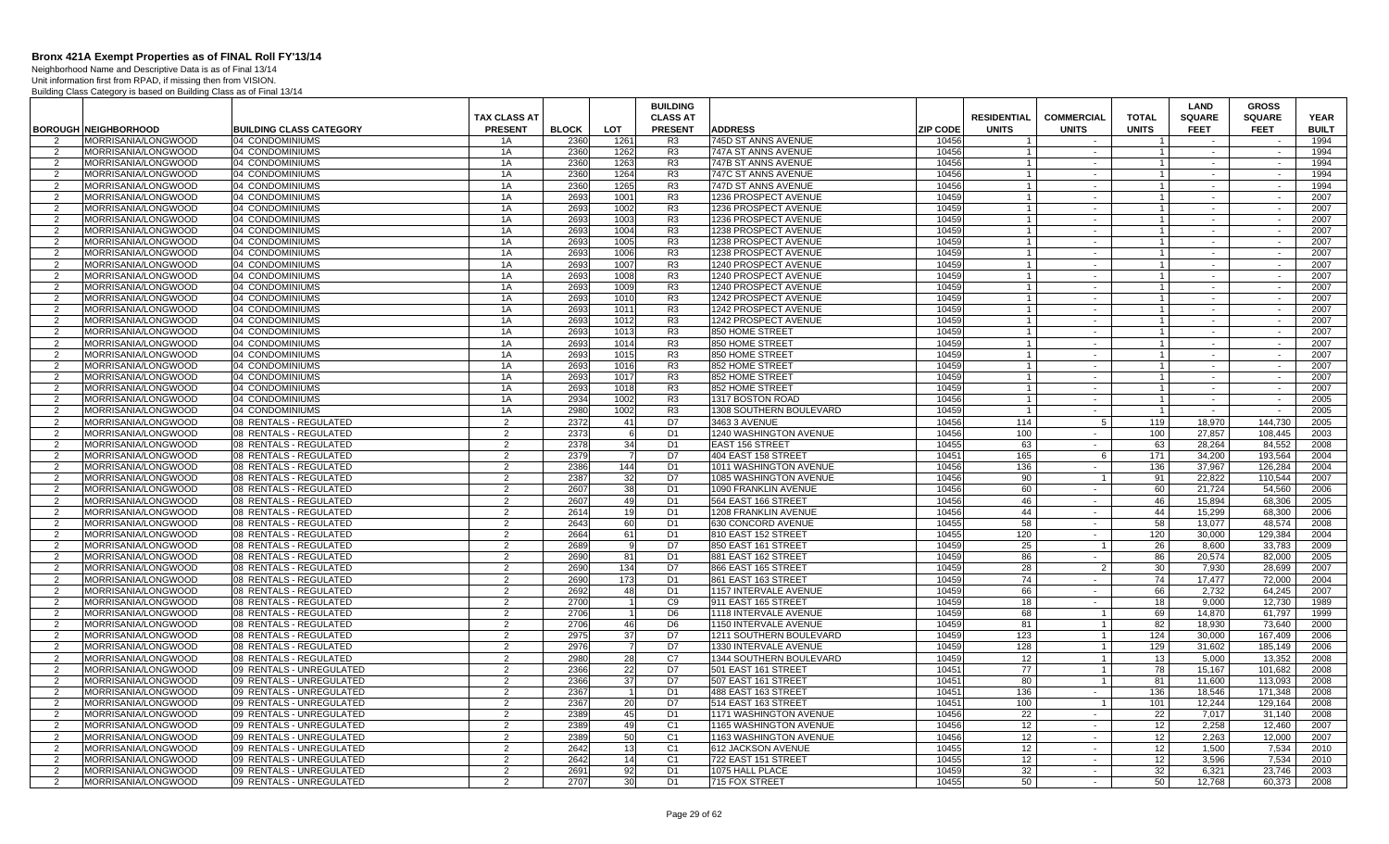Neighborhood Name and Descriptive Data is as of Final 13/14 Unit information first from RPAD, if missing then from VISION.

|                     |                                            |                                                      |                     |              |                | <b>BUILDING</b>                  |                                                  |                 |                    |                   |                | <b>LAND</b>      | <b>GROSS</b>       |              |
|---------------------|--------------------------------------------|------------------------------------------------------|---------------------|--------------|----------------|----------------------------------|--------------------------------------------------|-----------------|--------------------|-------------------|----------------|------------------|--------------------|--------------|
|                     |                                            |                                                      | <b>TAX CLASS AT</b> |              |                | <b>CLASS AT</b>                  |                                                  |                 | <b>RESIDENTIAL</b> | <b>COMMERCIAL</b> | <b>TOTAL</b>   | <b>SQUARE</b>    | <b>SQUARE</b>      | <b>YEAR</b>  |
|                     | <b>BOROUGH NEIGHBORHOOD</b>                | <b>BUILDING CLASS CATEGORY</b>                       | <b>PRESENT</b>      | <b>BLOCK</b> | LOT            | <b>PRESENT</b>                   | <b>ADDRESS</b>                                   | <b>ZIP CODE</b> | <b>UNITS</b>       | <b>UNITS</b>      | <b>UNITS</b>   | <b>FEET</b>      | <b>FEET</b>        | <b>BUILT</b> |
| 2                   | MORRISANIA/LONGWOOD<br>MORRISANIA/LONGWOOD | 04 CONDOMINIUMS<br>04 CONDOMINIUMS                   | 1A<br>1A            | 2360<br>2360 | 1261<br>1262   | R <sub>3</sub><br>R <sub>3</sub> | 745D ST ANNS AVENUE<br>747A ST ANNS AVENUE       | 10456<br>10456  |                    | $\sim$            | $\overline{1}$ | $\sim$           | $\sim$             | 1994<br>1994 |
| 2                   | MORRISANIA/LONGWOOD                        | 04 CONDOMINIUMS                                      | 1A                  | 2360         | 1263           | R <sub>3</sub>                   | 747B ST ANNS AVENUE                              | 10456           | $\overline{1}$     | $\sim$            | $\overline{1}$ | $\sim$           | $\sim$             | 1994         |
| $\overline{2}$      | MORRISANIA/LONGWOOD                        | 04 CONDOMINIUMS                                      | 1A                  | 2360         | 1264           | R <sub>3</sub>                   | 747C ST ANNS AVENUE                              | 10456           |                    | $\sim$            | $\overline{1}$ | $\sim$           | $\sim$             | 1994         |
| 2                   | MORRISANIA/LONGWOOD                        | 04 CONDOMINIUMS                                      | 1A                  | 2360         | 1265           | R <sub>3</sub>                   | 747D ST ANNS AVENUE                              | 10456           | $\overline{1}$     | $\sim$            | $\overline{1}$ | $\sim$           | $\sim$             | 1994         |
| 2                   | MORRISANIA/LONGWOOD                        | 04 CONDOMINIUMS                                      | 1A                  | 2693         | 1001           | R <sub>3</sub>                   | 1236 PROSPECT AVENUE                             | 10459           | $\overline{1}$     | $\sim$            | $\overline{1}$ | $\sim$           | $\sim$             | 2007         |
| 2                   | MORRISANIA/LONGWOOD                        | 04 CONDOMINIUMS                                      | 1A                  | 2693         | 1002           | R <sub>3</sub>                   | 1236 PROSPECT AVENUE                             | 10459           | $\overline{1}$     | $\sim$            | $\overline{1}$ | $\sim$           | $\sim$             | 2007         |
| 2                   | MORRISANIA/LONGWOOD                        | 04 CONDOMINIUMS                                      | 1A                  | 2693         | 1003           | R <sub>3</sub>                   | 1236 PROSPECT AVENUE                             | 10459           | $\overline{1}$     | $\sim$            | $\overline{1}$ |                  | $\sim$             | 2007         |
| 2                   | MORRISANIA/LONGWOOD                        | 04 CONDOMINIUMS                                      | 1A                  | 2693         | 1004           | R3                               | 1238 PROSPECT AVENUE                             | 10459           | $\overline{1}$     | $\sim$            | $\overline{1}$ | $\sim$           | $\sim$             | 2007         |
| $\overline{2}$      | MORRISANIA/LONGWOOD                        | 04 CONDOMINIUMS                                      | 1A                  | 2693         | 1005           | R <sub>3</sub>                   | 1238 PROSPECT AVENUE                             | 10459           |                    | $\sim$            | $\overline{1}$ | $\sim$           | $\sim$             | 2007         |
| 2                   | MORRISANIA/LONGWOOD                        | 04 CONDOMINIUMS                                      | 1A                  | 2693         | 1006           | R <sub>3</sub>                   | 1238 PROSPECT AVENUE                             | 10459           | $\overline{1}$     | $\sim$            | $\overline{1}$ | $\sim$           | $\sim$             | 2007         |
| $\overline{2}$      | MORRISANIA/LONGWOOD                        | 04 CONDOMINIUMS                                      | 1A                  | 2693         | 1007           | R <sub>3</sub>                   | 1240 PROSPECT AVENUE                             | 10459           | $\overline{1}$     | $\sim$            | $\overline{1}$ | $\sim$           | $\sim$             | 2007         |
| 2                   | MORRISANIA/LONGWOOD                        | 04 CONDOMINIUMS                                      | 1A                  | 2693         | 1008           | R <sub>3</sub>                   | 1240 PROSPECT AVENUE                             | 10459           | $\overline{1}$     | $\sim$            | $\overline{1}$ | $\sim$           | $\sim$             | 2007         |
| 2                   | MORRISANIA/LONGWOOD                        | 04 CONDOMINIUMS                                      | 1A                  | 2693         | 1009           | R <sub>3</sub>                   | 1240 PROSPECT AVENUE                             | 10459           | $\overline{1}$     | $\sim$            | $\overline{1}$ | $\sim$           | $\sim$             | 2007         |
| 2                   | MORRISANIA/LONGWOOD                        | 04 CONDOMINIUMS                                      | 1A                  | 2693         | 1010           | R <sub>3</sub>                   | 1242 PROSPECT AVENUE                             | 10459           | $\overline{1}$     | $\sim$            | $\overline{1}$ | $\sim$           | $\sim$             | 2007         |
| 2                   | MORRISANIA/LONGWOOD                        | 04 CONDOMINIUMS                                      | 1A                  | 2693         | 1011           | R <sub>3</sub>                   | 1242 PROSPECT AVENUE                             | 10459           | $\overline{1}$     | $\sim$            | $\overline{1}$ | $\sim$           | $\sim$             | 2007         |
| 2                   | MORRISANIA/LONGWOOD                        | 04 CONDOMINIUMS                                      | 1A                  | 2693         | 1012           | R <sub>3</sub>                   | 1242 PROSPECT AVENUE                             | 10459           | $\overline{1}$     |                   | $\overline{1}$ |                  |                    | 2007         |
| 2                   | MORRISANIA/LONGWOOD                        | 04 CONDOMINIUMS                                      | 1A                  | 2693         | 1013           | R <sub>3</sub>                   | 850 HOME STREET                                  | 10459           | $\overline{1}$     | $\sim$            | $\mathbf{1}$   | $\sim$           | $\sim$             | 2007         |
| $\overline{2}$      | MORRISANIA/LONGWOOD                        | 04 CONDOMINIUMS                                      | 1A                  | 2693         | 1014           | R <sub>3</sub>                   | 850 HOME STREET                                  | 10459           | $\overline{1}$     | $\sim$            | $\overline{1}$ | $\sim$           | $\sim$             | 2007         |
| 2                   | MORRISANIA/LONGWOOD                        | 04 CONDOMINIUMS                                      | 1A                  | 2693         | 1015           | R <sub>3</sub>                   | 850 HOME STREET                                  | 10459           |                    | $\sim$            |                | $\sim$           | $\sim$             | 2007         |
| 2                   | MORRISANIA/LONGWOOD                        | 04 CONDOMINIUMS                                      | 1A                  | 2693         | 1016           | R <sub>3</sub>                   | 852 HOME STREET                                  | 10459           | $\overline{1}$     | $\sim$            | $\overline{1}$ | $\sim$           | $\sim$             | 2007         |
| 2                   | MORRISANIA/LONGWOOD                        | 04 CONDOMINIUMS                                      | 1A                  | 2693         | 1017           | R <sub>3</sub>                   | 852 HOME STREET                                  | 10459           | $\overline{1}$     | $\sim$            | $\overline{1}$ | $\sim$           | $\sim$             | 2007         |
| 2                   | MORRISANIA/LONGWOOD                        | 04 CONDOMINIUMS                                      | 1A                  | 2693         | 1018           | R <sub>3</sub>                   | 852 HOME STREET                                  | 10459           | $\overline{1}$     | $\sim$            | $\overline{1}$ | $\sim$           | $\sim$             | 2007         |
| 2                   | MORRISANIA/LONGWOOD                        | 04 CONDOMINIUMS                                      | 1A                  | 2934         | 1002           | R <sub>3</sub>                   | 1317 BOSTON ROAD                                 | 10456           | $\overline{1}$     | $\sim$            | $\overline{1}$ | $\sim$           | $\sim$             | 2005         |
| 2                   | MORRISANIA/LONGWOOD                        | 04 CONDOMINIUMS                                      | 1A                  | 2980         | 1002           | R <sub>3</sub>                   | 1308 SOUTHERN BOULEVARD                          | 10459           | $\overline{1}$     | $\sim$            | $\overline{1}$ | $\sim$           | $\sim$             | 2005         |
| 2                   | MORRISANIA/LONGWOOD                        | 08 RENTALS - REGULATED                               | $\overline{2}$      | 2372         | 41             | D7                               | 3463 3 AVENUE                                    | 10456           | 114                | 5                 | 119            | 18,970           | 144,730            | 2005         |
| -2                  | MORRISANIA/LONGWOOD                        | 08 RENTALS - REGULATED                               | $\overline{2}$      | 2373         | -6             | D1                               | 1240 WASHINGTON AVENUE                           | 10456           | 100                | $\sim$<br>$\sim$  | 100            | 27,857           | 108,445            | 2003         |
| 2                   | MORRISANIA/LONGWOOD                        | 08 RENTALS - REGULATED                               | 2                   | 2378<br>2379 | 34             | D <sub>1</sub>                   | <b>EAST 156 STREET</b>                           | 10455           | 63                 |                   | 63             | 28.264           | 84,552             | 2008         |
| 2<br>2              | MORRISANIA/LONGWOOD<br>MORRISANIA/LONGWOOD | 08 RENTALS - REGULATED                               | $\overline{2}$<br>2 | 2386         | 144            | D7<br>D <sub>1</sub>             | 404 EAST 158 STREET                              | 10451<br>10456  | 165<br>136         | 6<br>$\sim$       | 171            | 34,200<br>37.967 | 193.564<br>126.284 | 2004<br>2004 |
| 2                   | MORRISANIA/LONGWOOD                        | 08 RENTALS - REGULATED<br>08 RENTALS - REGULATED     | 2                   | 2387         | 32             | D7                               | 1011 WASHINGTON AVENUE<br>1085 WASHINGTON AVENUE | 10456           | 90                 | $\overline{1}$    | 136<br>91      | 22,822           | 110,544            | 2007         |
| 2                   | MORRISANIA/LONGWOOD                        | 08 RENTALS - REGULATED                               | 2                   | 2607         | 38             | D <sub>1</sub>                   | 1090 FRANKLIN AVENUE                             | 10456           | 60                 | $\sim$            | 60             | 21,724           | 54.560             | 2006         |
| 2                   | MORRISANIA/LONGWOOD                        | 08 RENTALS - REGULATED                               | 2                   | 2607         | 49             | D <sub>1</sub>                   | 564 EAST 166 STREET                              | 10456           | 46                 | $\sim$            | 46             | 15,894           | 68.306             | 2005         |
| 2                   | MORRISANIA/LONGWOOD                        | 08 RENTALS - REGULATED                               | 2                   | 2614         | 19             | D <sub>1</sub>                   | 1208 FRANKLIN AVENUE                             | 10456           | 44                 | $\sim$            | 44             | 15.299           | 68.300             | 2006         |
| 2                   | MORRISANIA/LONGWOOD                        | 08 RENTALS - REGULATED                               | 2                   | 2643         | 60             | D <sub>1</sub>                   | 630 CONCORD AVENUE                               | 10455           | 58                 | $\sim$            | 58             | 13,077           | 48,574             | 2008         |
| 2                   | MORRISANIA/LONGWOOD                        | 08 RENTALS - REGULATED                               | $\overline{2}$      | 2664         | 61             | D1                               | 810 EAST 152 STREET                              | 10455           | 120                | $\sim$            | 120            | 30,000           | 129,384            | 2004         |
| $\overline{2}$      | MORRISANIA/LONGWOOD                        | 08 RENTALS - REGULATED                               | $\overline{2}$      | 2689         | 9              | D7                               | 850 EAST 161 STREET                              | 10459           | 25                 | $\overline{1}$    | 26             | 8,600            | 33,783             | 2009         |
| 2                   | MORRISANIA/LONGWOOD                        | 08 RENTALS - REGULATED                               | $\overline{2}$      | 2690         | 81             | D <sub>1</sub>                   | 881 EAST 162 STREET                              | 10459           | 86                 | $\sim$            | 86             | 20,574           | 82.000             | 2005         |
| 2                   | MORRISANIA/LONGWOOD                        | 08 RENTALS - REGULATED                               | 2                   | 2690         | 134            | D7                               | 866 EAST 165 STREET                              | 10459           | 28                 | 2                 | 30             | 7.930            | 28.699             | 2007         |
| 2                   | MORRISANIA/LONGWOOD                        | 08 RENTALS - REGULATED                               | 2                   | 2690         | 173            | D <sub>1</sub>                   | 861 EAST 163 STREET                              | 10459           | 74                 | $\sim$            | 74             | 17,477           | 72,000             | 2004         |
| 2                   | MORRISANIA/LONGWOOD                        | 08 RENTALS - REGULATED                               | 2                   | 2692         | 48             | D <sub>1</sub>                   | 1157 INTERVALE AVENUE                            | 10459           | 66                 | $\sim$            | 66             | 2,732            | 64.245             | 2007         |
| 2                   | MORRISANIA/LONGWOOD                        | 08 RENTALS - REGULATED                               | 2                   | 2700         |                | C9                               | 911 EAST 165 STREET                              | 10459           | 18                 | $\sim$            | 18             | 9.000            | 12.730             | 1989         |
| 2                   | MORRISANIA/LONGWOOD                        | 08 RENTALS - REGULATED                               | 2                   | 2706         | $\overline{1}$ | D <sub>6</sub>                   | 1118 INTERVALE AVENUE                            | 10459           | 68                 | $\overline{1}$    | 69             | 14.870           | 61.797             | 1999         |
| 2                   | MORRISANIA/LONGWOOD                        | 08 RENTALS - REGULATED                               | $\overline{2}$      | 2706         | 46             | D <sub>6</sub>                   | 1150 INTERVALE AVENUE                            | 10459           | 81                 | $\mathbf{1}$      | 82             | 18.930           | 73.640             | 2000         |
| 2                   | MORRISANIA/LONGWOOD                        | 08 RENTALS - REGULATED                               | $\overline{2}$      | 2975         | 37             | D7                               | 1211 SOUTHERN BOULEVARD                          | 10459           | 123                | 1                 | 124            | 30,000           | 167,409            | 2006         |
| $\overline{2}$      | MORRISANIA/LONGWOOD                        | 08 RENTALS - REGULATED                               | $\overline{2}$      | 2976         | $\overline{7}$ | D7                               | 1330 INTERVALE AVENUE                            | 10459           | 128                | 1                 | 129            | 31,602           | 185,149            | 2006         |
| 2                   | MORRISANIA/LONGWOOD                        | 08 RENTALS - REGULATED                               | $\overline{2}$      | 2980         | 28             | C7                               | 1344 SOUTHERN BOULEVARD                          | 10459           | 12                 | $\mathbf{1}$      | 13             | 5,000            | 13.352             | 2008         |
| 2                   | MORRISANIA/LONGWOOD                        | 09 RENTALS - UNREGULATED                             | 2                   | 2366         | 22             | D7                               | 501 EAST 161 STREET                              | 10451           | 77                 | - 1 I             | 78             | 15,167           | 101.682            | 2008         |
| 2                   | MORRISANIA/LONGWOOD                        | 09 RENTALS - UNREGULATED                             | $\overline{2}$      | 2366         | 37             | D7                               | 507 EAST 161 STREET                              | 10451           | 80                 | $\overline{1}$    | 81             | 11,600           | 113,093            | 2008         |
| 2                   | MORRISANIA/LONGWOOD                        | 09 RENTALS - UNREGULATED                             | 2                   | 2367         | $\overline{1}$ | D <sub>1</sub>                   | 488 EAST 163 STREET                              | 10451           | 136                | $\sim$            | 136            | 18,546           | 171.348            | 2008         |
| 2                   | MORRISANIA/LONGWOOD                        | 09 RENTALS - UNREGULATED                             | 2                   | 2367<br>2389 | 20             | D7                               | 514 EAST 163 STREET                              | 10451<br>10456  | 100                | $\overline{1}$    | 101            | 12.244           | 129.164            | 2008         |
| 2<br>$\overline{2}$ | MORRISANIA/LONGWOOD<br>MORRISANIA/LONGWOOD | 09 RENTALS - UNREGULATED<br>09 RENTALS - UNREGULATED | 2<br>2              | 2389         | 45<br>49       | D <sub>1</sub><br>C <sub>1</sub> | 1171 WASHINGTON AVENUE<br>1165 WASHINGTON AVENUE | 10456           | 22<br>12           | $\sim$<br>$\sim$  | 22<br>12       | 7,017<br>2.258   | 31,140<br>12,460   | 2008<br>2007 |
| 2                   | MORRISANIA/LONGWOOD                        | 09 RENTALS - UNREGULATED                             | $\overline{2}$      | 2389         | 50             | C <sub>1</sub>                   | 1163 WASHINGTON AVENUE                           | 10456           | 12                 | $\sim$            | 12             | 2,263            | 12,000             | 2007         |
| $\overline{2}$      | MORRISANIA/LONGWOOD                        | 09 RENTALS - UNREGULATED                             | $\overline{2}$      | 2642         | 13             | C <sub>1</sub>                   | 612 JACKSON AVENUE                               | 10455           | 12                 | $\sim$            | 12             | 1,500            | 7,534              | 2010         |
| 2                   | MORRISANIA/LONGWOOD                        | 09 RENTALS - UNREGULATED                             | $\overline{2}$      | 2642         | 14             | C <sub>1</sub>                   | 722 EAST 151 STREET                              | 10455           | 12                 | $\sim$            | 12             | 3.596            | 7,534              | 2010         |
| 2                   | MORRISANIA/LONGWOOD                        | 09 RENTALS - UNREGULATED                             | 2                   | 2691         | 92             | D <sub>1</sub>                   | 1075 HALL PLACE                                  | 10459           | 32                 | $\sim$            | 32             | 6.321            | 23.746             | 2003         |
| 2                   | MORRISANIA/LONGWOOD                        | 09 RENTALS - UNREGULATED                             | 2                   | 2707         | 30             | D <sub>1</sub>                   | 715 FOX STREET                                   | 10455           | 50                 | $\sim$            | 50             | 12,768           | 60,373             | 2008         |
|                     |                                            |                                                      |                     |              |                |                                  |                                                  |                 |                    |                   |                |                  |                    |              |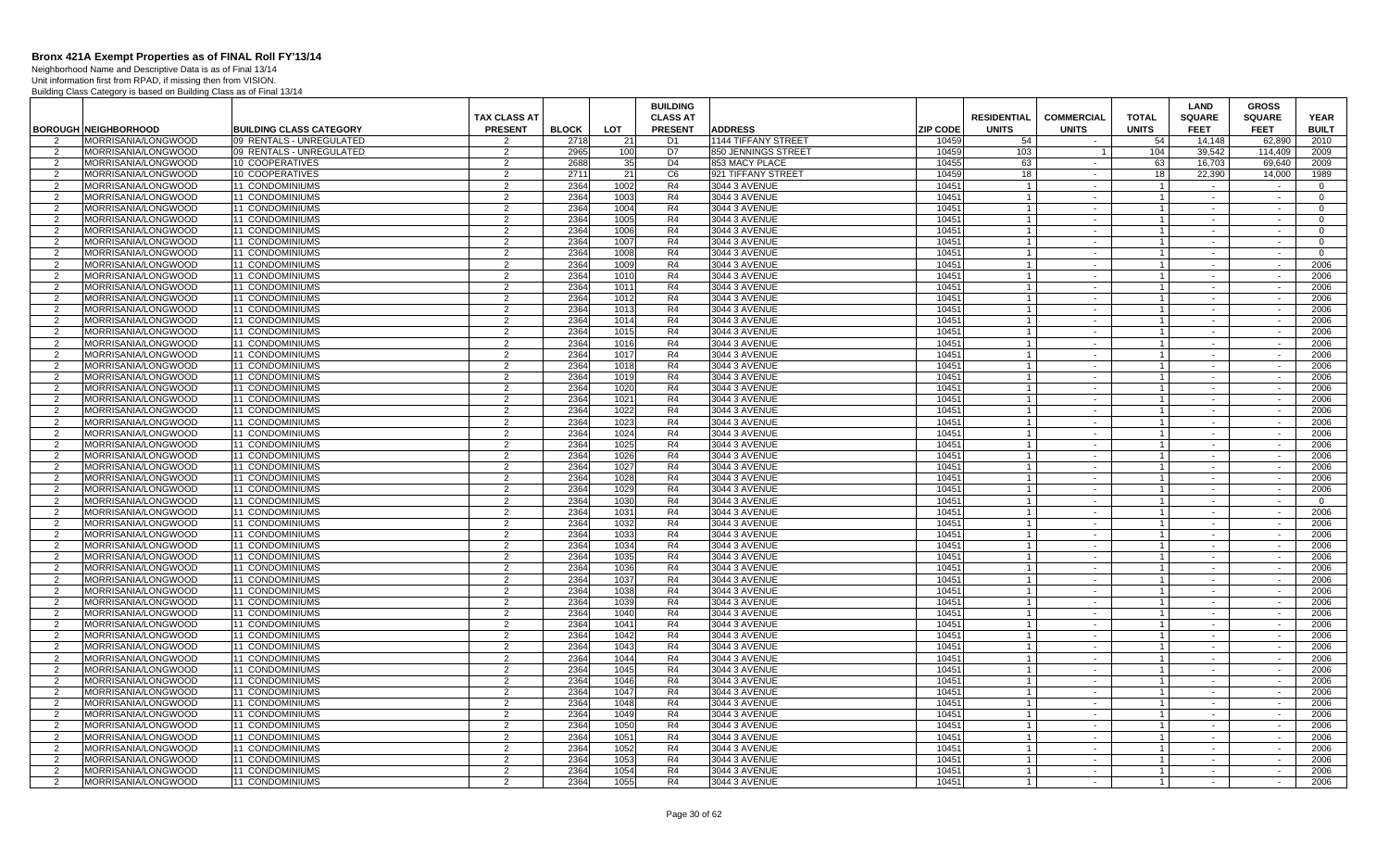Neighborhood Name and Descriptive Data is as of Final 13/14 Unit information first from RPAD, if missing then from VISION.

|                |                             |                                |                     |              |      | <b>BUILDING</b> |                            |                 |                    |                          |                | LAND          | <b>GROSS</b>  |                |
|----------------|-----------------------------|--------------------------------|---------------------|--------------|------|-----------------|----------------------------|-----------------|--------------------|--------------------------|----------------|---------------|---------------|----------------|
|                |                             |                                | <b>TAX CLASS AT</b> |              |      | <b>CLASS AT</b> |                            |                 | <b>RESIDENTIAL</b> | <b>COMMERCIAL</b>        | <b>TOTAL</b>   | <b>SQUARE</b> | <b>SQUARE</b> | <b>YEAR</b>    |
|                | <b>BOROUGH NEIGHBORHOOD</b> | <b>BUILDING CLASS CATEGORY</b> | <b>PRESENT</b>      | <b>BLOCK</b> | LOT  | <b>PRESENT</b>  | <b>ADDRESS</b>             | <b>ZIP CODE</b> | <b>UNITS</b>       | <b>UNITS</b>             | <b>UNITS</b>   | <b>FEET</b>   | <b>FEET</b>   | <b>BUILT</b>   |
|                | MORRISANIA/LONGWOOD         | 09 RENTALS - UNREGULATED       |                     | 2718         | 21   | D <sub>1</sub>  | <b>1144 TIFFANY STREET</b> | 10459           | 54                 |                          | 54             | 14.148        | 62.890        | 2010           |
| 2              | MORRISANIA/LONGWOOD         | 09 RENTALS - UNREGULATED       | 2                   | 2965         | 100  | D7              | 850 JENNINGS STREET        | 10459           | 103                |                          | 104            | 39.542        | 114.409       | 2009           |
| 2              | MORRISANIA/LONGWOOD         | 10 COOPERATIVES                | $\overline{2}$      | 2688         | 35   | D <sub>4</sub>  | 853 MACY PLACE             | 10455           | 63                 | $\sim$                   | 63             | 16,703        | 69.640        | 2009           |
| $\overline{2}$ | MORRISANIA/LONGWOOD         | 10 COOPERATIVES                | 2                   | 2711         | 21   | C <sub>6</sub>  | 921 TIFFANY STREET         | 10459           | 18                 | $\blacksquare$           | 18             | 22,390        | 14,000        | 1989           |
| 2              | MORRISANIA/LONGWOOD         | 11 CONDOMINIUMS                | $\overline{2}$      | 2364         | 1002 | R <sub>4</sub>  | 3044 3 AVENUE              | 10451           | $\overline{1}$     | $\sim$                   | $\overline{1}$ | $\sim$        | $\sim$        | $\Omega$       |
| 2              | MORRISANIA/LONGWOOD         | <b>11 CONDOMINIUMS</b>         | $\mathcal{P}$       | 2364         | 1003 | R4              | 3044 3 AVENUE              | 10451           | $\overline{1}$     | $\sim$                   | $\overline{1}$ | $\sim$        | $\sim$        | $\Omega$       |
| 2              | MORRISANIA/LONGWOOD         | 11 CONDOMINIUMS                | 2                   | 2364         | 1004 | R4              | 3044 3 AVENUE              | 10451           | $\overline{1}$     | $\sim$                   | $\overline{1}$ | $\sim$ $-$    | $\sim$        | $\mathbf{0}$   |
| 2              | MORRISANIA/LONGWOOD         | 11 CONDOMINIUMS                | $\overline{2}$      | 2364         | 1005 | R <sub>4</sub>  | 3044 3 AVENUE              | 10451           |                    | $\blacksquare$           | $\overline{1}$ | $\sim$        | $\sim$        | $\Omega$       |
| $\overline{2}$ | MORRISANIA/LONGWOOD         | 11 CONDOMINIUMS                | 2                   | 2364         | 1006 | R4              | 3044 3 AVENUE              | 10451           |                    | $\sim$                   | $\overline{1}$ | $\sim$        | $\sim$        | $\Omega$       |
| $\overline{2}$ | MORRISANIA/LONGWOOD         | 11 CONDOMINIUMS                | 2                   | 2364         | 1007 | R4              | 3044 3 AVENUE              | 10451           |                    | $\blacksquare$           |                | $\sim$        | $\sim$        | $\Omega$       |
| 2              | MORRISANIA/LONGWOOD         | <b>11 CONDOMINIUMS</b>         | 2                   | 2364         | 1008 | R4              | 3044 3 AVENUE              | 10451           |                    | $\sim$                   | $\mathbf{1}$   | $\sim$ $-$    | $\sim$        | $\overline{0}$ |
| 2              | MORRISANIA/LONGWOOD         | 11 CONDOMINIUMS                | 2                   | 2364         | 1009 | R4              | 3044 3 AVENUE              | 10451           |                    | $\sim$                   | $\overline{1}$ | $\sim$        | $\sim$        | 2006           |
| $\overline{2}$ | MORRISANIA/LONGWOOD         | 11 CONDOMINIUMS                | 2                   | 2364         | 1010 | R4              | 3044 3 AVENUE              | 10451           |                    | $\sim$                   | $\overline{1}$ | $\sim$        | $\sim$        | 2006           |
| 2              | MORRISANIA/LONGWOOD         | 11 CONDOMINIUMS                | $\overline{2}$      | 2364         | 1011 | R <sub>4</sub>  | 3044 3 AVENUE              | 10451           | $\overline{1}$     | $\sim$                   | $\overline{1}$ | $\sim$        | $\sim$        | 2006           |
| 2              | MORRISANIA/LONGWOOD         | <b>11 CONDOMINIUMS</b>         | 2                   | 2364         | 1012 | R4              | 3044 3 AVENUE              | 10451           |                    | $\sim$                   | $\mathbf{1}$   | $\sim$        | $\sim$        | 2006           |
| 2              | MORRISANIA/LONGWOOD         | 11 CONDOMINIUMS                | 2                   | 2364         | 1013 | R4              | 3044 3 AVENUE              | 10451           | $\overline{1}$     | $\sim$                   | $\overline{1}$ | $\sim$        | $\sim$        | 2006           |
| 2              | MORRISANIA/LONGWOOD         | 11 CONDOMINIUMS                | 2                   | 2364         | 1014 | R4              | 3044 3 AVENUE              | 10451           |                    | $\sim$                   |                | $\sim$        | $\sim$        | 2006           |
| 2              | MORRISANIA/LONGWOOD         | 11 CONDOMINIUMS                | 2                   | 2364         | 1015 | R4              | 3044 3 AVENUE              | 10451           |                    | $\sim$                   | $\overline{1}$ | $\sim$        | $\sim$        | 2006           |
| $\overline{2}$ | MORRISANIA/LONGWOOD         | 11 CONDOMINIUMS                | $\overline{2}$      | 2364         | 1016 | R4              | 3044 3 AVENUE              | 10451           |                    | $\sim$                   | $\mathbf{1}$   | $\sim$        | $\sim$        | 2006           |
| 2              | MORRISANIA/LONGWOOD         | 11 CONDOMINIUMS                | 2                   | 2364         | 1017 | R4              | 3044 3 AVENUE              | 10451           |                    | $\sim$                   | $\overline{1}$ | $\sim$        | $\sim$        | 2006           |
| 2              | MORRISANIA/LONGWOOD         | 11 CONDOMINIUMS                | 2                   | 2364         | 1018 | R4              | 3044 3 AVENUE              | 10451           |                    | $\sim$                   | $\overline{1}$ | $\sim$        | $\sim$        | 2006           |
| 2              | MORRISANIA/LONGWOOD         | <b>11 CONDOMINIUMS</b>         | 2                   | 2364         | 1019 | R4              | 3044 3 AVENUE              | 10451           |                    | $\sim$                   | $\overline{1}$ | $\sim$        | $\sim$        | 2006           |
| 2              | MORRISANIA/LONGWOOD         | 11 CONDOMINIUMS                | $\mathcal{P}$       | 2364         | 1020 | R4              | 3044 3 AVENUE              | 10451           | $\overline{1}$     | $\sim$                   | $\mathbf{1}$   | $\sim$        | $\sim$        | 2006           |
| 2              | MORRISANIA/LONGWOOD         | 11 CONDOMINIUMS                | 2                   | 2364         | 1021 | R4              | 3044 3 AVENUE              | 10451           |                    | $\sim$                   | $\overline{1}$ | $\sim$        | $\sim$        | 2006           |
| 2              | MORRISANIA/LONGWOOD         | 11 CONDOMINIUMS                | 2                   | 2364         | 1022 | R4              | 3044 3 AVENUE              | 10451           | $\overline{1}$     | $\sim$                   | $\overline{1}$ | $\sim$        | $\sim$        | 2006           |
| 2              | MORRISANIA/LONGWOOD         | 11 CONDOMINIUMS                | 2                   | 2364         | 1023 | R4              | 3044 3 AVENUE              | 10451           |                    | $\sim$                   | $\mathbf{1}$   | $\sim$        | $\sim$        | 2006           |
| 2              | MORRISANIA/LONGWOOD         | 11 CONDOMINIUMS                | 2                   | 2364         | 1024 | R4              | 3044 3 AVENUE              | 10451           |                    | $\sim$                   | $\mathbf{1}$   | $\sim$        | $\sim$        | 2006           |
| $\overline{2}$ | MORRISANIA/LONGWOOD         | 11 CONDOMINIUMS                | $\mathfrak{p}$      | 2364         | 1025 | R <sub>4</sub>  | 3044 3 AVENUE              | 10451           |                    | $\mathbf{r}$             | $\mathbf{1}$   | $\sim$        | $\sim$        | 2006           |
| $\overline{2}$ | MORRISANIA/LONGWOOD         | 11 CONDOMINIUMS                | $\overline{2}$      | 2364         | 1026 | R4              | 3044 3 AVENUE              | 10451           |                    | $\sim$                   | $\overline{1}$ | $\sim$        | $\sim$        | 2006           |
| 2              | MORRISANIA/LONGWOOD         | 11 CONDOMINIUMS                | 2                   | 2364         | 1027 | R4              | 3044 3 AVENUE              | 10451           |                    | $\sim$                   | $\mathbf{1}$   | $\sim$        | $\sim$        | 2006           |
| 2              | MORRISANIA/LONGWOOD         | <b>11 CONDOMINIUMS</b>         | 2                   | 2364         | 1028 | R4              | 3044 3 AVENUE              | 10451           |                    | $\sim$                   | $\overline{1}$ | $\sim$        | $\sim$        | 2006           |
| 2              | MORRISANIA/LONGWOOD         | <b>11 CONDOMINIUMS</b>         | $\mathcal{P}$       | 2364         | 1029 | R4              | 3044 3 AVENUE              | 10451           | $\overline{1}$     | $\sim$                   | $\overline{1}$ | $\sim$        | $\sim$        | 2006           |
| 2              | MORRISANIA/LONGWOOD         | 11 CONDOMINIUMS                | $\mathcal{P}$       | 2364         | 1030 | R4              | 3044 3 AVENUE              | 10451           |                    | $\sim$                   | $\overline{1}$ | $\sim$        | $\sim$        | $\Omega$       |
| 2              | MORRISANIA/LONGWOOD         | 11 CONDOMINIUMS                | 2                   | 2364         | 1031 | R4              | 3044 3 AVENUE              | 10451           | $\overline{1}$     | $\sim$                   | $\overline{1}$ | $\sim$        | $\sim$        | 2006           |
| $\overline{2}$ | MORRISANIA/LONGWOOD         | 11 CONDOMINIUMS                | 2                   | 2364         | 1032 | R4              | 3044 3 AVENUE              | 10451           |                    | $\sim$                   | $\mathbf{1}$   | $\sim$        | $\sim$        | 2006           |
| 2              | MORRISANIA/LONGWOOD         | <b>11 CONDOMINIUMS</b>         | 2                   | 2364         | 1033 | R4              | 3044 3 AVENUE              | 10451           |                    | $\sim$                   | $\overline{1}$ | $\sim$        | $\sim$        | 2006           |
| $\overline{2}$ | MORRISANIA/LONGWOOD         | 11 CONDOMINIUMS                | $\overline{2}$      | 2364         | 1034 | R4              | 3044 3 AVENUE              | 10451           |                    | $\mathbf{r}$             | $\mathbf 1$    | $\sim$        | $\sim$        | 2006           |
| $\overline{2}$ | MORRISANIA/LONGWOOD         | 11 CONDOMINIUMS                | 2                   | 2364         | 1035 | R4              | 3044 3 AVENUE              | 10451           |                    | $\sim$                   | $\overline{1}$ | $\sim$        | $\sim$        | 2006           |
| 2              | MORRISANIA/LONGWOOD         | 11 CONDOMINIUMS                | 2                   | 2364         | 1036 | R4              | 3044 3 AVENUE              | 10451           |                    | $\sim$                   | $\mathbf{1}$   | $\sim$        | $\sim$        | 2006           |
| 2              | MORRISANIA/LONGWOOD         | 11 CONDOMINIUMS                | 2                   | 2364         | 1037 | R4              | 3044 3 AVENUE              | 10451           |                    | $\sim$                   | $\mathbf{1}$   | $\sim$        | $\sim$        | 2006           |
| 2              | MORRISANIA/LONGWOOD         | <b>11 CONDOMINIUMS</b>         | 2                   | 2364         | 1038 | R4              | 3044 3 AVENUE              | 10451           | $\overline{1}$     | $\sim$                   | $\overline{1}$ | $\sim$        | $\sim$        | 2006           |
| 2              | MORRISANIA/LONGWOOD         | 11 CONDOMINIUMS                | 2                   | 2364         | 1039 | R4              | 3044 3 AVENUE              | 10451           |                    | $\sim$                   | $\overline{1}$ | $\sim$        | $\sim$        | 2006           |
| 2              | MORRISANIA/LONGWOOD         | 11 CONDOMINIUMS                | 2                   | 2364         | 1040 | R4              | 3044 3 AVENUE              | 10451           | $\overline{1}$     | $\sim$                   | $\overline{1}$ | $\sim$        | $\sim$        | 2006           |
| 2              | MORRISANIA/LONGWOOD         | 11 CONDOMINIUMS                | $\overline{2}$      | 2364         | 1041 | R <sub>4</sub>  | 3044 3 AVENUE              | 10451           |                    | $\sim$                   | $\overline{1}$ | $\sim$        | $\sim$        | 2006           |
| 2              | MORRISANIA/LONGWOOD         | 11 CONDOMINIUMS                | 2                   | 2364         | 1042 | R4              | 3044 3 AVENUE              | 10451           |                    | $\sim$                   | $\overline{1}$ | $\sim$        | $\sim$        | 2006           |
| $\overline{2}$ | MORRISANIA/LONGWOOD         | 11 CONDOMINIUMS                | $\overline{2}$      | 2364         | 1043 | R4              | 3044 3 AVENUE              | 10451           |                    | $\mathbf{r}$             |                | $\sim$        | $\sim$        | 2006           |
| 2              | MORRISANIA/LONGWOOD         | <b>11 CONDOMINIUMS</b>         | 2                   | 2364         | 1044 | R4              | 3044 3 AVENUE              | 10451           |                    | $\sim$                   | $\overline{1}$ | $\sim$        | $\sim$        | 2006           |
| 2              | MORRISANIA/LONGWOOD         | 11 CONDOMINIUMS                | 2                   | 2364         | 1045 | R4              | 3044 3 AVENUE              | 10451           |                    | $\sim$                   | $\overline{1}$ | $\sim$        | $\sim$        | 2006           |
| 2              | MORRISANIA/LONGWOOD         | 11 CONDOMINIUMS                | 2                   | 2364         | 1046 | R4              | 3044 3 AVENUE              | 10451           |                    | $\sim$                   | $\overline{1}$ | $\sim$        | $\sim$        | 2006           |
| 2              | MORRISANIA/LONGWOOD         | 11 CONDOMINIUMS                | $\overline{2}$      | 2364         | 1047 | R <sub>4</sub>  | 3044 3 AVENUE              | 10451           | $\overline{1}$     | $\sim$                   | $\mathbf{1}$   | $\sim$        | $\sim$        | 2006           |
| 2              | MORRISANIA/LONGWOOD         | 11 CONDOMINIUMS                | 2                   | 2364         | 1048 | R4              | 3044 3 AVENUE              | 10451           |                    | $\sim$                   | $\overline{1}$ | $\sim$        | $\sim$        | 2006           |
| 2              | MORRISANIA/LONGWOOD         | <b>11 CONDOMINIUMS</b>         | 2                   | 2364         | 1049 | R4              | 3044 3 AVENUE              | 10451           | $\overline{1}$     | $\sim$                   | $\overline{1}$ | $\sim$        | $\sim$        | 2006           |
| 2              | MORRISANIA/LONGWOOD         | 11 CONDOMINIUMS                | 2                   | 2364         | 1050 | R4              | 3044 3 AVENUE              | 10451           |                    | $\sim$                   | $\overline{1}$ | $\sim$        | $\sim$        | 2006           |
| 2              | MORRISANIA/LONGWOOD         | 11 CONDOMINIUMS                | 2                   | 2364         | 1051 | R4              | 3044 3 AVENUE              | 10451           |                    | $\sim$                   | $\overline{1}$ | $\sim$        | $\sim$        | 2006           |
| $\overline{2}$ | MORRISANIA/LONGWOOD         | 11 CONDOMINIUMS                | 2                   | 2364         | 1052 | R4              | 3044 3 AVENUE              | 10451           |                    | $\overline{\phantom{a}}$ |                |               | $\sim$        | 2006           |
| 2              | MORRISANIA/LONGWOOD         | <b>11 CONDOMINIUMS</b>         | 2                   | 2364         | 1053 | R4              | 3044 3 AVENUE              | 10451           |                    | $\sim$                   | $\overline{1}$ | $\sim$        | $\sim$        | 2006           |
| 2              | MORRISANIA/LONGWOOD         | <b>11 CONDOMINIUMS</b>         | 2                   | 2364         | 1054 | R4              | 3044 3 AVENUE              | 10451           |                    | $\sim$                   | $\overline{1}$ | $\sim$ $-$    | $\sim$        | 2006           |
| $\overline{2}$ | MORRISANIA/LONGWOOD         | 11 CONDOMINIUMS                | 2                   | 2364         | 1055 | R4              | 3044 3 AVENUE              | 10451           |                    | $\sim$                   | $\overline{1}$ | $\sim$        | $\sim$        | 2006           |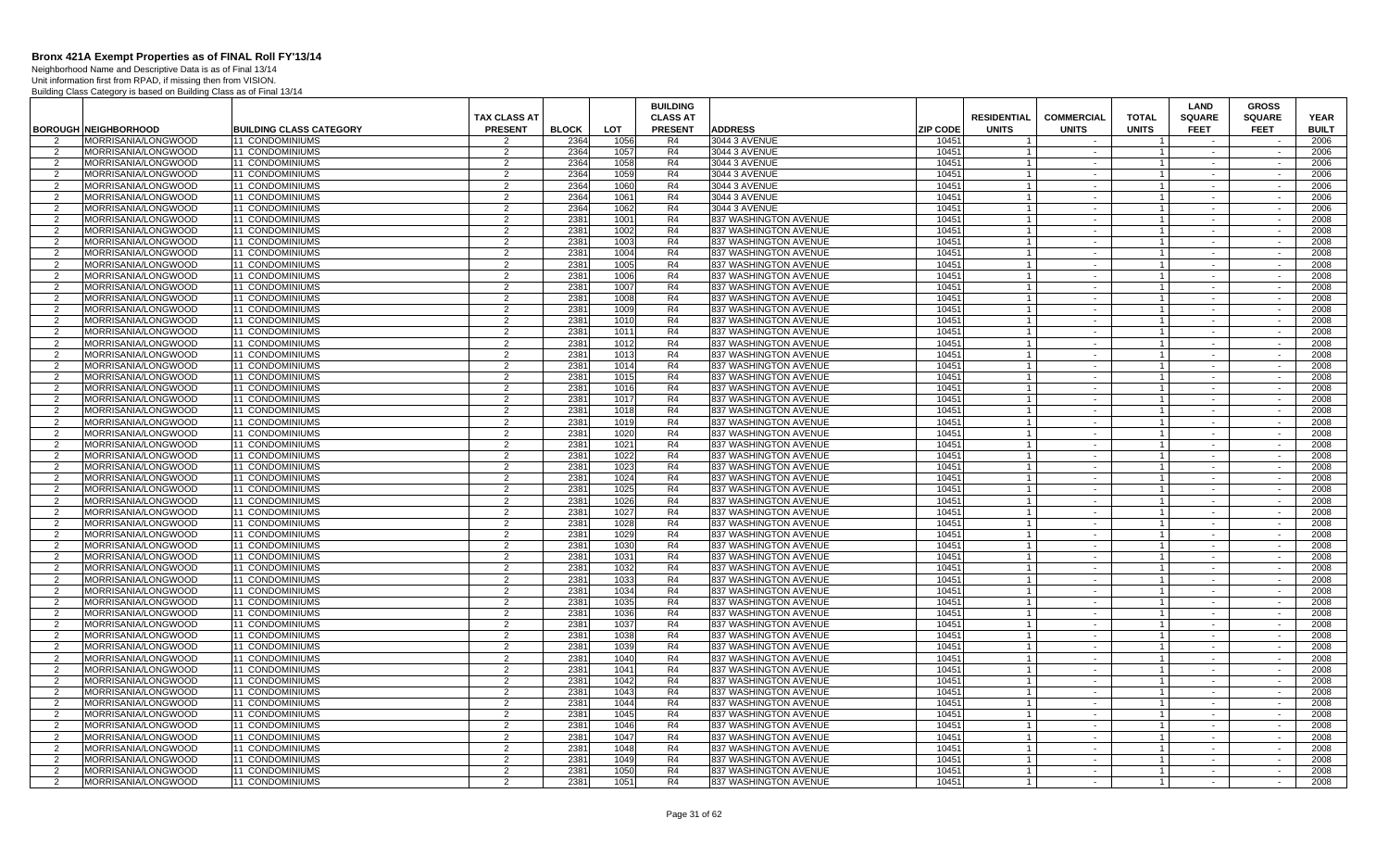Neighborhood Name and Descriptive Data is as of Final 13/14 Unit information first from RPAD, if missing then from VISION.

|                    |                                                   |                                    |                                  |              |              | <b>BUILDING</b>      |                                                |                 |                                  |                      |                                  | <b>LAND</b>      | <b>GROSS</b>             |              |
|--------------------|---------------------------------------------------|------------------------------------|----------------------------------|--------------|--------------|----------------------|------------------------------------------------|-----------------|----------------------------------|----------------------|----------------------------------|------------------|--------------------------|--------------|
|                    |                                                   |                                    | <b>TAX CLASS AT</b>              |              |              | <b>CLASS AT</b>      |                                                |                 | <b>RESIDENTIAL</b>               | <b>COMMERCIAL</b>    | <b>TOTAL</b>                     | <b>SQUARE</b>    | <b>SQUARE</b>            | <b>YEAR</b>  |
|                    | <b>BOROUGH NEIGHBORHOOD</b>                       | <b>BUILDING CLASS CATEGORY</b>     | <b>PRESENT</b>                   | <b>BLOCK</b> | <b>LOT</b>   | <b>PRESENT</b>       | <b>ADDRESS</b>                                 | <b>ZIP CODE</b> | <b>UNITS</b>                     | <b>UNITS</b>         | <b>UNITS</b>                     | <b>FEET</b>      | <b>FEET</b>              | <b>BUILT</b> |
| $\mathcal{P}$      | MORRISANIA/LONGWOOD                               | <b>11 CONDOMINIUMS</b>             | $\mathfrak{p}$                   | 2364         | 1056         | R <sub>4</sub>       | 3044 3 AVENUE                                  | 10451           |                                  |                      |                                  |                  |                          | 2006         |
| 2                  | MORRISANIA/LONGWOOD                               | <b>11 CONDOMINIUMS</b>             | 2                                | 2364         | 1057         | R <sub>4</sub>       | 3044 3 AVENUE                                  | 10451           |                                  | $\sim$               | $\overline{1}$                   | $\sim$           | $\sim$                   | 2006         |
| 2                  | <b>MORRISANIA/LONGWOOD</b>                        | 11 CONDOMINIUMS                    | 2                                | 2364         | 1058         | R4                   | 3044 3 AVENUE                                  | 10451           | $\overline{1}$                   | $\sim$               | $\overline{1}$                   | $\sim$           | $\sim$                   | 2006         |
| $\mathcal{P}$      | MORRISANIA/LONGWOOD                               | 11 CONDOMINIUMS                    | $\overline{2}$                   | 2364         | 1059         | R <sub>4</sub>       | 3044 3 AVENUE                                  | 10451           |                                  | $\sim$               | $\overline{1}$                   | $\sim$           | $\sim$                   | 2006         |
| 2                  | MORRISANIA/LONGWOOD                               | 11 CONDOMINIUMS                    | $\overline{2}$                   | 2364         | 1060         | R4                   | 3044 3 AVENUE                                  | 10451           | $\overline{1}$                   | $\sim$               | $\mathbf{1}$                     | $\sim$           | $\sim$                   | 2006         |
| $\overline{2}$     | MORRISANIA/LONGWOOD                               | 11 CONDOMINIUMS                    | $\overline{2}$                   | 2364         | 1061         | R <sub>4</sub>       | 3044 3 AVENUE                                  | 10451           | $\overline{1}$                   | $\sim$               | $\mathbf{1}$                     | $\sim$           | $\sim$                   | 2006         |
| 2                  | MORRISANIA/LONGWOOD                               | 11 CONDOMINIUMS                    | 2                                | 2364         | 1062         | R <sub>4</sub>       | 3044 3 AVENUE                                  | 10451           |                                  | $\sim$               | $\overline{1}$                   | $\sim$           | $\sim$                   | 2006         |
| $\overline{2}$     | MORRISANIA/LONGWOOD                               | 11 CONDOMINIUMS                    | $\overline{2}$                   | 2381         | 1001         | R <sub>4</sub>       | 837 WASHINGTON AVENUE                          | 10451           | $\overline{1}$                   | $\sim$               | $\overline{1}$                   | $\sim$           | $\sim$                   | 2008         |
| 2                  | MORRISANIA/LONGWOOD                               | 11 CONDOMINIUMS                    | $\overline{2}$                   | 2381         | 1002         | R4                   | 837 WASHINGTON AVENUE                          | 10451           | $\overline{1}$                   | $\sim$               | $\overline{1}$                   | $\sim$           | $\sim$                   | 2008         |
| $\overline{2}$     | MORRISANIA/LONGWOOD                               | 11 CONDOMINIUMS                    | $\overline{2}$                   | 2381         | 1003         | R4                   | 837 WASHINGTON AVENUE                          | 10451           |                                  | $\sim$               | $\mathbf{1}$                     | $\sim$           | $\sim$                   | 2008         |
| $\overline{2}$     | MORRISANIA/LONGWOOD                               | <b>11 CONDOMINIUMS</b>             | 2                                | 2381         | 1004         | R <sub>4</sub>       | 837 WASHINGTON AVENUE                          | 10451           |                                  | $\sim$               | $\overline{1}$                   | $\sim$           | $\sim$                   | 2008         |
| 2                  | MORRISANIA/LONGWOOD                               | 11 CONDOMINIUMS                    | 2                                | 2381         | 1005         | R4                   | 837 WASHINGTON AVENUE                          | 10451           | $\overline{1}$                   | $\sim$               | $\overline{1}$                   | $\sim$           | $\sim$                   | 2008         |
| $\mathcal{P}$      | <b>MORRISANIA/LONGWOOD</b>                        | <b>11 CONDOMINIUMS</b>             | $\overline{2}$                   | 2381         | 1006         | R <sub>4</sub>       | 837 WASHINGTON AVENUE                          | 10451           | $\overline{1}$                   | $\sim$               | $\overline{1}$                   | $\sim$           | $\sim$                   | 2008         |
| 2                  | MORRISANIA/LONGWOOD                               | 11 CONDOMINIUMS                    | $\overline{2}$                   | 2381         | 1007         | R4                   | 837 WASHINGTON AVENUE                          | 10451           | $\overline{1}$                   | $\sim$               | $\overline{1}$                   | $\sim$           | $\sim$ $\sim$            | 2008         |
| $\overline{2}$     | MORRISANIA/LONGWOOD                               | 11 CONDOMINIUMS                    | $\overline{2}$                   | 2381         | 1008         | R4                   | 837 WASHINGTON AVENUE                          | 10451           | $\overline{1}$                   | $\sim$               | $\overline{1}$                   | $\sim$           | $\sim$                   | 2008         |
| 2                  | MORRISANIA/LONGWOOD                               | 11 CONDOMINIUMS                    | 2                                | 2381         | 1009         | R <sub>4</sub>       | 837 WASHINGTON AVENUE                          | 10451           | $\mathbf{1}$                     | $\sim$               | $\overline{1}$                   | $\sim$           | $\sim$                   | 2008         |
| $\overline{2}$     | MORRISANIA/LONGWOOD                               | 11 CONDOMINIUMS                    | $\overline{2}$                   | 2381         | 1010         | R <sub>4</sub>       | 837 WASHINGTON AVENUE                          | 10451           |                                  | $\sim$               | $\overline{1}$                   |                  | $\sim$                   | 2008         |
| 2                  | MORRISANIA/LONGWOOD                               | 11 CONDOMINIUMS                    | 2                                | 2381         | 1011         | R4                   | 837 WASHINGTON AVENUE                          | 10451           | $\overline{1}$                   | $\sim$               | $\overline{1}$                   | $\sim$           | $\sim$                   | 2008         |
| 2                  | MORRISANIA/LONGWOOD                               | 11 CONDOMINIUMS                    | $\overline{2}$                   | 2381         | 1012         | R4                   | 837 WASHINGTON AVENUE                          | 10451           | $\overline{1}$                   | $\sim$               | $\mathbf{1}$                     | $\sim$           | $\sim$                   | 2008         |
| $\overline{2}$     | MORRISANIA/LONGWOOD                               | 11 CONDOMINIUMS                    | 2                                | 2381         | 1013         | R <sub>4</sub>       | 837 WASHINGTON AVENUE                          | 10451           |                                  | $\sim$               | $\mathbf{1}$                     | $\sim$           | $\sim$                   | 2008         |
| 2                  | MORRISANIA/LONGWOOD                               | 11 CONDOMINIUMS                    | 2                                | 2381         | 1014         | R4                   | 837 WASHINGTON AVENUE                          | 10451           | $\overline{1}$                   | $\sim$               | $\overline{1}$                   | $\sim$           | $\sim$                   | 2008         |
| $\mathcal{P}$      | <b>MORRISANIA/LONGWOOD</b>                        | <b>11 CONDOMINIUMS</b>             | $\overline{2}$                   | 2381         | 1015         | R <sub>4</sub>       | 837 WASHINGTON AVENUE                          | 10451           |                                  | $\sim$               | $\overline{1}$                   | $\sim$           | $\sim$                   | 2008         |
| 2                  | <b>MORRISANIA/LONGWOOD</b>                        | 11 CONDOMINIUMS                    | 2                                | 2381         | 1016         | R4                   | 837 WASHINGTON AVENUE                          | 10451           | $\overline{1}$                   | $\sim$               | $1 \vert$                        | $\sim$           | $\sim$                   | 2008         |
| $\overline{2}$     | MORRISANIA/LONGWOOD                               | 11 CONDOMINIUMS                    | $\overline{2}$                   | 2381         | 1017         | R4                   | 837 WASHINGTON AVENUE                          | 10451           |                                  |                      | $\overline{1}$                   |                  |                          | 2008         |
| 2                  | MORRISANIA/LONGWOOD                               | 11 CONDOMINIUMS                    | $\overline{2}$                   | 2381         | 1018         | R4                   | 837 WASHINGTON AVENUE                          | 10451           | $\overline{1}$                   | $\sim$               | $\mathbf{1}$                     | $\sim$           | $\sim$                   | 2008         |
| $\overline{2}$     | MORRISANIA/LONGWOOD                               | 11 CONDOMINIUMS                    | $\overline{2}$                   | 2381         | 1019         | R4                   | 837 WASHINGTON AVENUE                          | 10451           |                                  | $\sim$               | $\overline{1}$                   |                  | $\overline{\phantom{a}}$ | 2008         |
| $\overline{2}$     | MORRISANIA/LONGWOOD                               | <b>11 CONDOMINIUMS</b>             | 2                                | 2381         | 1020         | R <sub>4</sub>       | 837 WASHINGTON AVENUE                          | 10451           |                                  | $\sim$               | $\mathbf{1}$                     | $\sim$           | $\sim$                   | 2008         |
| $\mathcal{P}$      | MORRISANIA/LONGWOOD                               | 11 CONDOMINIUMS                    | $\overline{2}$                   | 2381         | 1021         | R <sub>4</sub>       | 837 WASHINGTON AVENUE                          | 10451           | $\overline{1}$                   | $\sim$               | $\overline{1}$                   | $\sim$           | $\sim$                   | 2008         |
| $\overline{2}$     | MORRISANIA/LONGWOOD                               | <b>11 CONDOMINIUMS</b>             | $\overline{2}$                   | 2381         | 1022         | R4                   | 837 WASHINGTON AVENUE                          | 10451           |                                  | $\sim$               | $\overline{1}$                   | $\sim$           | $\sim$                   | 2008         |
| 2                  | MORRISANIA/LONGWOOD                               | 11 CONDOMINIUMS                    | 2                                | 2381         | 1023         | R4                   | 837 WASHINGTON AVENUE                          | 10451           | $\overline{1}$                   | $\sim$               | $\overline{1}$                   | $\sim$           | $\sim$                   | 2008         |
| $\overline{2}$     | MORRISANIA/LONGWOOD                               | <b>11 CONDOMINIUMS</b>             | 2                                | 2381         | 1024         | R <sub>4</sub>       | 837 WASHINGTON AVENUE                          | 10451           | $\overline{1}$                   | $\sim$               | $\overline{1}$                   | $\sim$           | $\sim$                   | 2008         |
| 2                  | <b>MORRISANIA/LONGWOOD</b>                        | 11 CONDOMINIUMS                    | 2                                | 2381         | 1025         | R4                   | 837 WASHINGTON AVENUE                          | 10451           | $\overline{1}$                   | $\sim$ $-$           | $\overline{1}$                   | $\sim$           | $\sim$                   | 2008         |
| $\overline{2}$     | MORRISANIA/LONGWOOD                               | 11 CONDOMINIUMS                    | 2                                | 2381         | 1026         | R <sub>4</sub>       | 837 WASHINGTON AVENUE                          | 10451           | $\overline{1}$                   | $\sim$               | $\mathbf{1}$                     |                  | $\sim$                   | 2008         |
| $\overline{2}$     | MORRISANIA/LONGWOOD                               | 11 CONDOMINIUMS                    | $\overline{2}$                   | 2381         | 1027         | R4                   | 837 WASHINGTON AVENUE                          | 10451           | $\overline{1}$                   | $\sim$               | $\overline{1}$                   | $\sim$           | $\sim$                   | 2008         |
| $\overline{2}$     | MORRISANIA/LONGWOOD                               | 11 CONDOMINIUMS                    | 2                                | 2381         | 1028         | R <sub>4</sub>       | 837 WASHINGTON AVENUE                          | 10451           |                                  | $\sim$               | $\overline{1}$                   |                  | $\sim$                   | 2008         |
| 2                  | MORRISANIA/LONGWOOD                               | 11 CONDOMINIUMS                    | 2                                | 2381         | 1029         | R <sub>4</sub>       | 837 WASHINGTON AVENUE                          | 10451           |                                  | $\sim$               | $\mathbf{1}$                     | $\sim$           | $\sim$                   | 2008         |
| $\overline{2}$     | MORRISANIA/LONGWOOD                               | 11 CONDOMINIUMS                    | 2                                | 2381         | 1030         | R <sub>4</sub>       | 837 WASHINGTON AVENUE                          | 10451           | $\overline{1}$                   | $\sim$               | $\mathbf{1}$                     | $\sim$           | $\sim$                   | 2008         |
| 2                  | MORRISANIA/LONGWOOD                               | 11 CONDOMINIUMS                    | $\overline{2}$                   | 2381         | 1031         | R4                   | 837 WASHINGTON AVENUE                          | 10451           |                                  | $\sim$               | $\overline{1}$                   | $\sim$           | $\sim$                   | 2008         |
| $\mathcal{P}$      | MORRISANIA/LONGWOOD                               | 11 CONDOMINIUMS                    | $\overline{2}$                   | 2381         | 1032         | R4                   | 837 WASHINGTON AVENUE                          | 10451           | $\overline{1}$                   | $\sim$               | $\overline{1}$                   | $\sim$           | $\sim$                   | 2008         |
| 2                  | MORRISANIA/LONGWOOD                               | 11 CONDOMINIUMS                    | 2                                | 2381         | 1033         | R <sub>4</sub>       | 837 WASHINGTON AVENUE                          | 10451           |                                  | $\sim$               | $\mathbf{1}$                     | $\sim$           | $\sim$                   | 2008         |
| 2                  | <b>MORRISANIA/LONGWOOD</b>                        | 11 CONDOMINIUMS                    | 2                                | 2381         | 1034         | R4                   | 837 WASHINGTON AVENUE                          | 10451           | $\overline{1}$                   | $\sim$ $-$           | $\overline{1}$                   | $\sim$           | $\sim$                   | 2008         |
| 2                  | MORRISANIA/LONGWOOD                               | 11 CONDOMINIUMS                    | 2                                | 2381         | 1035         | R <sub>4</sub>       | 837 WASHINGTON AVENUE                          | 10451           | $\overline{1}$                   | $\sim$               | $\overline{1}$                   | $\sim$           | $\sim$                   | 2008         |
| $\overline{2}$     | MORRISANIA/LONGWOOD                               | 11 CONDOMINIUMS                    | 2                                | 2381         | 1036         | R4                   | 837 WASHINGTON AVENUE                          | 10451           | $\overline{1}$                   | $\sim$               | $\overline{1}$                   | $\sim$           | $\sim$                   | 2008         |
| $\mathcal{P}$      | MORRISANIA/LONGWOOD                               | 11 CONDOMINIUMS                    | $\overline{2}$                   | 2381         | 1037         | R4                   | 837 WASHINGTON AVENUE                          | 10451           | $\overline{1}$                   | $\sim$               | $\overline{1}$                   |                  |                          | 2008         |
| -2                 | MORRISANIA/LONGWOOD                               | 11 CONDOMINIUMS                    | $\overline{2}$                   | 2381         | 1038         | R4                   | 837 WASHINGTON AVENUE                          | 10451           |                                  | $\sim$               | $\mathbf{1}$                     | $\sim$           | $\sim$                   | 2008         |
| $\overline{2}$     | MORRISANIA/LONGWOOD                               | 11 CONDOMINIUMS                    | 2                                | 2381         | 1039         | R4                   | 837 WASHINGTON AVENUE                          | 10451           | $\overline{1}$                   | $\sim$               | $\mathbf{1}$                     | $\sim$           | $\sim$                   | 2008         |
| 2                  | MORRISANIA/LONGWOOD                               | <b>11 CONDOMINIUMS</b>             | $\overline{2}$                   | 2381         | 1040         | R <sub>4</sub>       | 837 WASHINGTON AVENUE                          | 10451           |                                  | $\sim$<br>$\sim$     | $\mathbf{1}$                     | $\sim$<br>$\sim$ | $\sim$<br>$\sim$         | 2008         |
| 2<br>$\mathcal{P}$ | <b>MORRISANIA/LONGWOOD</b><br>MORRISANIA/LONGWOOD | 11 CONDOMINIUMS<br>11 CONDOMINIUMS | $\overline{2}$<br>$\overline{2}$ | 2381<br>2381 | 1041         | R4<br>R <sub>4</sub> | 837 WASHINGTON AVENUE                          | 10451<br>10451  | $\overline{1}$<br>$\overline{1}$ |                      | $1 \vert$<br>$\overline{1}$      | $\sim$           | $\sim$                   | 2008<br>2008 |
|                    | MORRISANIA/LONGWOOD                               | 11 CONDOMINIUMS                    | $\overline{2}$                   | 2381         | 1042<br>1043 | R4                   | 837 WASHINGTON AVENUE                          | 10451           | $\overline{1}$                   | $\sim$<br>$\sim$ $-$ | $\overline{1}$                   | $\sim$           | $\sim$                   | 2008         |
| 2<br>2             | MORRISANIA/LONGWOOD                               | 11 CONDOMINIUMS                    | $\overline{2}$                   | 2381         | 1044         | R <sub>4</sub>       | 837 WASHINGTON AVENUE<br>837 WASHINGTON AVENUE | 10451           | $\overline{1}$                   |                      |                                  |                  |                          | 2008         |
| 2                  | MORRISANIA/LONGWOOD                               | 11 CONDOMINIUMS                    | 2                                | 2381         | 1045         | R <sub>4</sub>       | 837 WASHINGTON AVENUE                          | 10451           | $\overline{1}$                   | $\sim$<br>$\sim$     | $\overline{1}$<br>$\overline{1}$ | $\sim$<br>$\sim$ | $\sim$<br>$\sim$         | 2008         |
| $\overline{2}$     | MORRISANIA/LONGWOOD                               | 11 CONDOMINIUMS                    | $\overline{2}$                   | 2381         | 1046         | R <sub>4</sub>       | 837 WASHINGTON AVENUE                          | 10451           |                                  | $\sim$               | $\overline{1}$                   | $\sim$           | $\sim$                   | 2008         |
| 2                  | MORRISANIA/LONGWOOD                               | 11 CONDOMINIUMS                    | $\overline{2}$                   | 2381         | 1047         | R4                   | 837 WASHINGTON AVENUE                          | 10451           |                                  | $\sim$               | $\overline{1}$                   | $\sim$           | $\sim$                   | 2008         |
| $\overline{2}$     | MORRISANIA/LONGWOOD                               | 11 CONDOMINIUMS                    | 2                                | 2381         | 1048         | R4                   | 837 WASHINGTON AVENUE                          | 10451           |                                  | $\sim$               | $\mathbf{1}$                     | $\sim$           | $\sim$                   | 2008         |
| 2                  | MORRISANIA/LONGWOOD                               | <b>11 CONDOMINIUMS</b>             | 2                                | 2381         | 1049         | R <sub>4</sub>       | 837 WASHINGTON AVENUE                          | 10451           |                                  | $\sim$               | $\overline{1}$                   |                  |                          | 2008         |
| $\mathcal{P}$      | MORRISANIA/LONGWOOD                               | 11 CONDOMINIUMS                    | 2                                | 2381         | 1050         | R4                   | 837 WASHINGTON AVENUE                          | 10451           | $\overline{1}$                   | $\sim$               | $\overline{1}$                   | $\sim$<br>$\sim$ | $\sim$                   | 2008         |
| 2                  | MORRISANIA/LONGWOOD                               | 11 CONDOMINIUMS                    | 2                                | 2381         | 1051         | R <sub>4</sub>       | 837 WASHINGTON AVENUE                          | 10451           | $\overline{1}$                   | $\sim$               | $\overline{1}$                   | $\sim$           | $\sim$                   | 2008         |
|                    |                                                   |                                    |                                  |              |              |                      |                                                |                 |                                  |                      |                                  |                  |                          |              |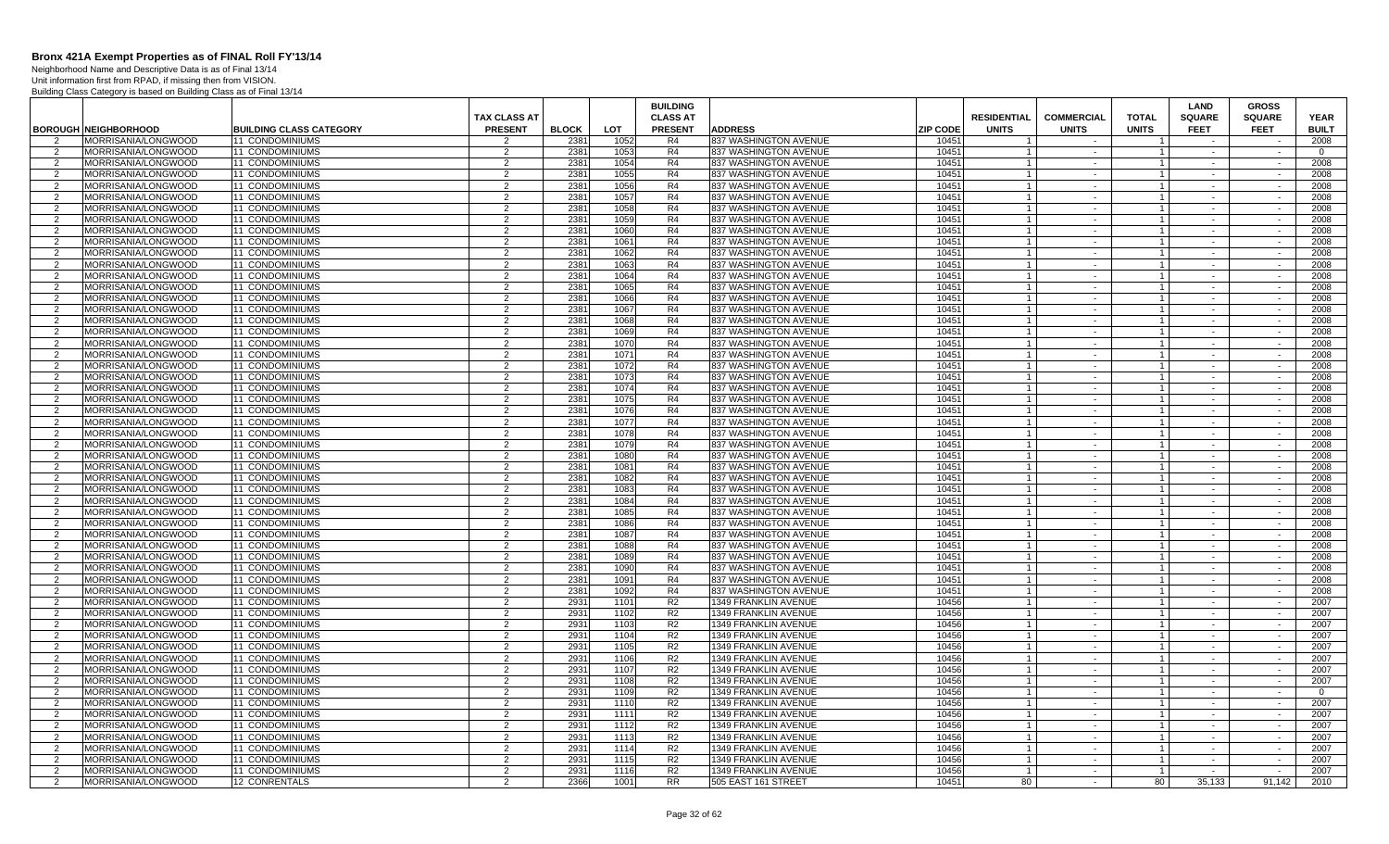Neighborhood Name and Descriptive Data is as of Final 13/14 Unit information first from RPAD, if missing then from VISION.

|                     |                                            |                                    | TAX CLASS AT        |                  |              | <b>BUILDING</b><br><b>CLASS AT</b> |                                                |                 | <b>RESIDENTIAL</b>      | <b>COMMERCIAL</b>        | <b>TOTAL</b>            | LAND<br><b>SQUARE</b> | <b>GROSS</b><br><b>SQUARE</b> | <b>YEAR</b>    |
|---------------------|--------------------------------------------|------------------------------------|---------------------|------------------|--------------|------------------------------------|------------------------------------------------|-----------------|-------------------------|--------------------------|-------------------------|-----------------------|-------------------------------|----------------|
|                     | <b>BOROUGH NEIGHBORHOOD</b>                | <b>BUILDING CLASS CATEGORY</b>     | <b>PRESENT</b>      | <b>BLOCK</b>     | <b>LOT</b>   | <b>PRESENT</b>                     | <b>ADDRESS</b>                                 | <b>ZIP CODE</b> | <b>UNITS</b>            | <b>UNITS</b>             | <b>UNITS</b>            | <b>FEET</b>           | <b>FEET</b>                   | <b>BUILT</b>   |
| $\overline{2}$      | <b>MORRISANIA/LONGWOOD</b>                 | <b>11 CONDOMINIUMS</b>             | $\mathcal{P}$       | 2381             | 1052         | R4                                 | 837 WASHINGTON AVENUE                          | 10451           | $\overline{1}$          | $\sim$                   | $\overline{\mathbf{1}}$ | $\sim$ $-$            | $\sim$                        | 2008           |
| 2                   | MORRISANIA/LONGWOOD                        | 11 CONDOMINIUMS                    | 2                   | 2381             | 1053         | R4                                 | 837 WASHINGTON AVENUE                          | 10451           |                         | $\blacksquare$           |                         | $\sim$                | $\sim$                        | $\overline{0}$ |
| 2                   | MORRISANIA/LONGWOOD                        | 11 CONDOMINIUMS                    | 2                   | 238 <sup>1</sup> | 1054         | R4                                 | 837 WASHINGTON AVENUE                          | 10451           |                         | $\sim$                   | $\overline{1}$          | $\sim$                | $\sim$                        | 2008           |
| $\overline{2}$      | MORRISANIA/LONGWOOD                        | 11 CONDOMINIUMS                    | 2                   | 238'             | 1055         | R4                                 | 837 WASHINGTON AVENUE                          | 10451           |                         | $\sim$                   |                         |                       |                               | 2008           |
| 2                   | MORRISANIA/LONGWOOD                        | <b>11 CONDOMINIUMS</b>             | 2                   | 2381             | 1056         | R4                                 | 837 WASHINGTON AVENUE                          | 10451           |                         | $\sim$                   | $\overline{1}$          | $\sim$                | $\sim$                        | 2008           |
| $\mathcal{P}$       | MORRISANIA/LONGWOOD                        | <b>11 CONDOMINIUMS</b>             | $\overline{2}$      | 2381             | 1057         | R4                                 | 837 WASHINGTON AVENUE                          | 10451           |                         | $\sim$                   |                         | $\sim$                | $\sim$                        | 2008           |
| $\overline{2}$      | MORRISANIA/LONGWOOD                        | 11 CONDOMINIUMS                    | 2                   | 2381             | 1058         | R4                                 | 837 WASHINGTON AVENUE                          | 10451           |                         | $\sim$                   | $\overline{1}$          | $\sim$                | $\sim$                        | 2008           |
| $\mathcal{P}$       | MORRISANIA/LONGWOOD                        | 11 CONDOMINIUMS                    | 2                   | 2381             | 1059         | R <sub>4</sub>                     | 837 WASHINGTON AVENUE                          | 10451           | $\overline{1}$          | $\sim$                   | $\overline{1}$          | $\sim$                | $\sim$                        | 2008           |
| $\overline{2}$      | MORRISANIA/LONGWOOD                        | 11 CONDOMINIUMS                    | 2                   | 2381             | 1060         | R4                                 | 837 WASHINGTON AVENUE                          | 10451           |                         | $\sim$                   | $\overline{1}$          | $\sim$                | $\sim$                        | 2008           |
| 2                   | MORRISANIA/LONGWOOD                        | 11 CONDOMINIUMS                    | 2                   | 2381             | 1061         | R <sub>4</sub>                     | 837 WASHINGTON AVENUE                          | 10451           | $\overline{1}$          | $\sim$                   | $\mathbf{1}$            | $\sim$                | $\sim$                        | 2008           |
| 2                   | <b>MORRISANIA/LONGWOOD</b>                 | <b>11 CONDOMINIUMS</b>             | 2                   | 2381             | 1062         | R4                                 | 837 WASHINGTON AVENUE                          | 10451           | $\overline{1}$          | $\sim$                   | $\mathbf{1}$            | $\sim$                | $\sim$                        | 2008           |
| 2                   | MORRISANIA/LONGWOOD                        | <b>11 CONDOMINIUMS</b>             | 2                   | 2381             | 1063         | R4                                 | 837 WASHINGTON AVENUE                          | 10451           | $\overline{1}$          | $\sim$                   | $\overline{1}$          | $\sim$                | $\sim$                        | 2008           |
| $\overline{2}$      | MORRISANIA/LONGWOOD                        | <b>11 CONDOMINIUMS</b>             | 2                   | 2381             | 1064         | R4                                 | 837 WASHINGTON AVENUE                          | 10451           | $\overline{1}$          | $\sim$                   |                         | $\sim$                | $\sim$                        | 2008           |
| 2                   | MORRISANIA/LONGWOOD                        | <b>11 CONDOMINIUMS</b>             | 2                   | 2381             | 1065         | R <sub>4</sub>                     | 837 WASHINGTON AVENUE                          | 10451           | $\overline{1}$          | $\sim$                   | $\overline{1}$          | $\sim$                | $\sim$                        | 2008           |
| $\overline{2}$      | MORRISANIA/LONGWOOD                        | 11 CONDOMINIUMS                    | $\overline{2}$      | 238'             | 1066         | R4                                 | 837 WASHINGTON AVENUE                          | 10451           |                         | $\sim$                   |                         | $\sim$                | $\sim$                        | 2008           |
| -2                  | MORRISANIA/LONGWOOD                        | 11 CONDOMINIUMS                    | 2                   | 2381             | 1067         | R4                                 | 837 WASHINGTON AVENUE                          | 10451           |                         | $\sim$                   | $\overline{1}$          | $\sim$                | $\sim$                        | 2008           |
| 2                   | MORRISANIA/LONGWOOD                        | 11 CONDOMINIUMS                    | 2                   | 2381             | 1068         | R4                                 | 837 WASHINGTON AVENUE                          | 10451           | $\overline{1}$          | $\sim$                   | $\overline{1}$          | $\sim$                | $\sim$                        | 2008           |
| 2                   | MORRISANIA/LONGWOOD                        | <b>11 CONDOMINIUMS</b>             | 2                   | 2381             | 1069         | R4                                 | 837 WASHINGTON AVENUE                          | 10451           |                         | $\sim$                   | $\overline{1}$          | $\sim$                | $\sim$                        | 2008           |
| 2                   | MORRISANIA/LONGWOOD                        | 11 CONDOMINIUMS                    | 2                   | 2381             | 1070         | R4                                 | 837 WASHINGTON AVENUE                          | 10451           |                         | $\sim$                   | $\overline{1}$          | $\sim$                | $\sim$                        | 2008           |
| $\mathcal{P}$       | MORRISANIA/LONGWOOD                        | <b>11 CONDOMINIUMS</b>             | 2                   | 2381             | 1071         | R4                                 | 837 WASHINGTON AVENUE                          | 10451           |                         | $\sim$                   | $\mathbf{1}$            | $\sim$                | $\sim$                        | 2008           |
| 2                   | <b>MORRISANIA/LONGWOOD</b>                 | <b>11 CONDOMINIUMS</b>             | 2                   | 2381             | 1072         | R4                                 | 837 WASHINGTON AVENUE                          | 10451           | $\overline{1}$          | $\sim$                   | $\overline{1}$          | $\sim$                | $\sim$                        | 2008           |
| $\mathcal{P}$       | MORRISANIA/LONGWOOD                        | <b>11 CONDOMINIUMS</b>             | $\mathcal{P}$       | 2381             | 1073         | R4                                 | 837 WASHINGTON AVENUE                          | 10451           |                         | $\sim$                   | $\overline{1}$          | $\sim$                | $\sim$                        | 2008           |
| $\overline{2}$      | MORRISANIA/LONGWOOD                        | <b>11 CONDOMINIUMS</b>             | 2                   | 2381             | 1074         | R4                                 | 837 WASHINGTON AVENUE                          | 10451           | $\overline{1}$          | $\sim$                   | $\overline{1}$          | $\sim$                | $\sim$                        | 2008           |
| $\overline{2}$      | MORRISANIA/LONGWOOD                        | 11 CONDOMINIUMS                    | $\overline{2}$      | 2381             | 1075         | R4                                 | 837 WASHINGTON AVENUE                          | 10451           |                         | $\overline{\phantom{a}}$ |                         |                       | $\sim$                        | 2008           |
| 2                   | MORRISANIA/LONGWOOD                        | 11 CONDOMINIUMS                    | 2                   | 238 <sup>1</sup> | 1076         | R4                                 | 837 WASHINGTON AVENUE                          | 10451           |                         | $\sim$                   | $\overline{1}$          | $\sim$                | $\sim$                        | 2008           |
| $\overline{2}$      | MORRISANIA/LONGWOOD                        | 11 CONDOMINIUMS                    | 2                   | 2381             | 1077         | R4                                 | 837 WASHINGTON AVENUE                          | 10451           |                         | $\sim$                   |                         |                       | $\sim$                        | 2008           |
| 2                   | MORRISANIA/LONGWOOD                        | <b>11 CONDOMINIUMS</b>             | 2                   | 2381             | 1078         | R4                                 | 837 WASHINGTON AVENUE                          | 10451           |                         | $\sim$                   | -1                      | $\sim$                | $\sim$                        | 2008           |
| $\mathcal{P}$       | MORRISANIA/LONGWOOD                        | <b>11 CONDOMINIUMS</b>             | 2                   | 2381             | 1079         | R4                                 | 837 WASHINGTON AVENUE                          | 10451           |                         | $\sim$                   | $\overline{1}$          | $\sim$                | $\sim$                        | 2008           |
| $\overline{2}$      | MORRISANIA/LONGWOOD                        | 11 CONDOMINIUMS                    | 2                   | 2381             | 1080         | R <sub>4</sub>                     | 837 WASHINGTON AVENUE                          | 10451           |                         | $\sim$                   | $\overline{1}$          | $\sim$                | $\sim$                        | 2008           |
| 2                   | MORRISANIA/LONGWOOD                        | 11 CONDOMINIUMS                    | 2                   | 2381             | 1081         | R4                                 | 837 WASHINGTON AVENUE                          | 10451           | $\overline{1}$          | $\sim$                   | $\overline{1}$          | $\sim$                | $\sim$                        | 2008           |
| 2                   | MORRISANIA/LONGWOOD                        | 11 CONDOMINIUMS                    | $\overline{2}$      | 2381             | 1082         | R4                                 | 837 WASHINGTON AVENUE                          | 10451           | $\overline{1}$          | $\sim$                   | $\overline{1}$          | $\sim$                | $\sim$                        | 2008           |
| 2                   | MORRISANIA/LONGWOOD                        | <b>11 CONDOMINIUMS</b>             | 2                   | 2381             | 1083         | R4                                 | 837 WASHINGTON AVENUE                          | 10451           | $\overline{1}$          | $\sim$                   | $\overline{1}$          | $\sim$                | $\sim$                        | 2008           |
| $\overline{2}$      | MORRISANIA/LONGWOOD                        | <b>11 CONDOMINIUMS</b>             | 2                   | 2381             | 1084         | R4                                 | 837 WASHINGTON AVENUE                          | 10451           | $\overline{1}$          | $\sim$                   | $\mathbf{1}$            | $\sim$                | $\sim$                        | 2008           |
| 2                   | MORRISANIA/LONGWOOD                        | <b>11 CONDOMINIUMS</b>             | 2                   | 2381             | 1085         | R4<br>R4                           | 837 WASHINGTON AVENUE                          | 10451           | $\overline{1}$          | $\sim$                   | $\overline{1}$          | $\sim$ $-$            | $\sim$                        | 2008<br>2008   |
| $\overline{2}$      | MORRISANIA/LONGWOOD<br>MORRISANIA/LONGWOOD | 11 CONDOMINIUMS                    | 2                   | 2381<br>238'     | 1086<br>1087 | R4                                 | 837 WASHINGTON AVENUE<br>837 WASHINGTON AVENUE | 10451<br>10451  |                         | $\sim$<br>$\sim$         | $\overline{1}$          | $\sim$                | $\sim$<br>$\sim$              | 2008           |
| 2<br>$\overline{2}$ | MORRISANIA/LONGWOOD                        | 11 CONDOMINIUMS<br>11 CONDOMINIUMS | 2<br>$\overline{2}$ | 2381             | 1088         | R <sub>4</sub>                     | 837 WASHINGTON AVENUE                          | 10451           |                         | $\sim$                   |                         | $\sim$                | $\sim$                        | 2008           |
| $\overline{2}$      | MORRISANIA/LONGWOOD                        | 11 CONDOMINIUMS                    | $\overline{2}$      | 2381             | 1089         | R4                                 | 837 WASHINGTON AVENUE                          | 10451           |                         | $\sim$                   | -1<br>$\overline{1}$    | $\sim$                | $\sim$                        | 2008           |
| $\overline{2}$      | MORRISANIA/LONGWOOD                        | 11 CONDOMINIUMS                    | 2                   | 2381             | 1090         | R4                                 | 837 WASHINGTON AVENUE                          | 10451           | $\overline{1}$          | $\sim$                   | $\overline{1}$          | $\sim$                | $\sim$                        | 2008           |
| $\overline{2}$      | MORRISANIA/LONGWOOD                        | <b>11 CONDOMINIUMS</b>             | 2                   | 2381             | 1091         | R4                                 | 837 WASHINGTON AVENUE                          | 10451           |                         | $\sim$                   | $\overline{1}$          | $\sim$                | $\sim$                        | 2008           |
| 2                   | MORRISANIA/LONGWOOD                        | <b>11 CONDOMINIUMS</b>             | 2                   | 2381             | 1092         | R4                                 | 837 WASHINGTON AVENUE                          | 10451           | $\overline{1}$          | $\sim$                   | $\overline{1}$          | $\sim$                | $\sim$                        | 2008           |
| $\mathcal{P}$       | MORRISANIA/LONGWOOD                        | <b>11 CONDOMINIUMS</b>             | 2                   | 2931             | 1101         | R <sub>2</sub>                     | <b>1349 FRANKLIN AVENUE</b>                    | 10456           |                         | $\sim$                   |                         | $\sim$                | $\sim$                        | 2007           |
| 2                   | MORRISANIA/LONGWOOD                        | 11 CONDOMINIUMS                    | $\overline{2}$      | 2931             | 1102         | R <sub>2</sub>                     | 1349 FRANKLIN AVENUE                           | 10456           | $\overline{1}$          | $\sim$                   | $\overline{1}$          | $\sim$                | $\sim$                        | 2007           |
| 2                   | MORRISANIA/LONGWOOD                        | 11 CONDOMINIUMS                    | 2                   | 2931             | 1103         | R <sub>2</sub>                     | 1349 FRANKLIN AVENUE                           | 10456           |                         | $\sim$                   |                         | $\sim$                | $\sim$                        | 2007           |
| 2                   | MORRISANIA/LONGWOOD                        | <b>11 CONDOMINIUMS</b>             | 2                   | 2931             | 1104         | R <sub>2</sub>                     | 1349 FRANKLIN AVENUE                           | 10456           |                         | $\sim$                   | $\overline{1}$          | $\sim$                | $\sim$                        | 2007           |
| $\overline{2}$      | MORRISANIA/LONGWOOD                        | 11 CONDOMINIUMS                    | 2                   | 2931             | 1105         | R <sub>2</sub>                     | 1349 FRANKLIN AVENUE                           | 10456           |                         | $\overline{\phantom{a}}$ |                         |                       | $\blacksquare$                | 2007           |
| 2                   | MORRISANIA/LONGWOOD                        | <b>11 CONDOMINIUMS</b>             | 2                   | 2931             | 1106         | R <sub>2</sub>                     | 1349 FRANKLIN AVENUE                           | 10456           |                         | $\sim$                   | $\overline{1}$          | $\sim$                | $\sim$                        | 2007           |
| $\mathcal{P}$       | MORRISANIA/LONGWOOD                        | 11 CONDOMINIUMS                    | 2                   | 2931             | 1107         | R <sub>2</sub>                     | 1349 FRANKLIN AVENUE                           | 10456           | $\overline{1}$          | $\sim$                   | $\mathbf{1}$            | $\sim$                | $\sim$                        | 2007           |
| $\overline{2}$      | MORRISANIA/LONGWOOD                        | <b>11 CONDOMINIUMS</b>             | 2                   | 2931             | 1108         | R <sub>2</sub>                     | <b>1349 FRANKLIN AVENUE</b>                    | 10456           |                         | $\sim$                   | $\overline{1}$          | $\sim$                | $\sim$                        | 2007           |
| $\mathcal{P}$       | MORRISANIA/LONGWOOD                        | 11 CONDOMINIUMS                    | 2                   | 2931             | 1109         | R <sub>2</sub>                     | 1349 FRANKLIN AVENUE                           | 10456           | $\overline{1}$          | $\sim$                   | $\overline{1}$          | $\sim$                | $\mathcal{L}_{\mathcal{A}}$   | $\Omega$       |
| $\overline{2}$      | MORRISANIA/LONGWOOD                        | 11 CONDOMINIUMS                    | 2                   | 2931             | 1110         | R <sub>2</sub>                     | 1349 FRANKLIN AVENUE                           | 10456           |                         | $\sim$                   | $\overline{1}$          | $\sim$                | $\sim$                        | 2007           |
| 2                   | MORRISANIA/LONGWOOD                        | 11 CONDOMINIUMS                    | 2                   | 2931             | 1111         | R <sub>2</sub>                     | 1349 FRANKLIN AVENUE                           | 10456           | $\overline{1}$          | $\sim$                   | $\overline{1}$          | $\sim$                | $\sim$                        | 2007           |
| 2                   | MORRISANIA/LONGWOOD                        | <b>11 CONDOMINIUMS</b>             | 2                   | 2931             | 1112         | R <sub>2</sub>                     | 1349 FRANKLIN AVENUE                           | 10456           | $\overline{\mathbf{1}}$ | $\sim$                   | $\mathbf{1}$            | $\sim$                | $\sim$                        | 2007           |
| 2                   | MORRISANIA/LONGWOOD                        | <b>11 CONDOMINIUMS</b>             | 2                   | 2931             | 1113         | R <sub>2</sub>                     | <b>1349 FRANKLIN AVENUE</b>                    | 10456           | $\overline{1}$          | $\sim$                   | $\overline{1}$          | $\sim$                | $\sim$                        | 2007           |
| $\overline{2}$      | MORRISANIA/LONGWOOD                        | 11 CONDOMINIUMS                    | 2                   | 2931             | 1114         | R <sub>2</sub>                     | <b>1349 FRANKLIN AVENUE</b>                    | 10456           |                         | $\sim$                   | $\mathbf{1}$            | $\sim$                | $\sim$                        | 2007           |
| $\mathcal{P}$       | MORRISANIA/LONGWOOD                        | <b>11 CONDOMINIUMS</b>             | 2                   | 2931             | 1115         | R <sub>2</sub>                     | <b>1349 FRANKLIN AVENUE</b>                    | 10456           |                         | $\sim$                   | $\overline{1}$          | $\sim$                | $\sim$                        | 2007           |
| $\mathcal{P}$       | MORRISANIA/LONGWOOD                        | 11 CONDOMINIUMS                    | $\mathcal{P}$       | 2931             | 1116         | R <sub>2</sub>                     | 1349 FRANKLIN AVENUE                           | 10456           |                         | $\sim$                   |                         | $\sim$                |                               | 2007           |
| 2                   | MORRISANIA/LONGWOOD                        | 12 CONRENTALS                      | 2                   | 2366             | 1001         | RR                                 | 505 EAST 161 STREET                            | 10451           | 80                      | $\sim$                   | 80                      | 35,133                | 91,142                        | 2010           |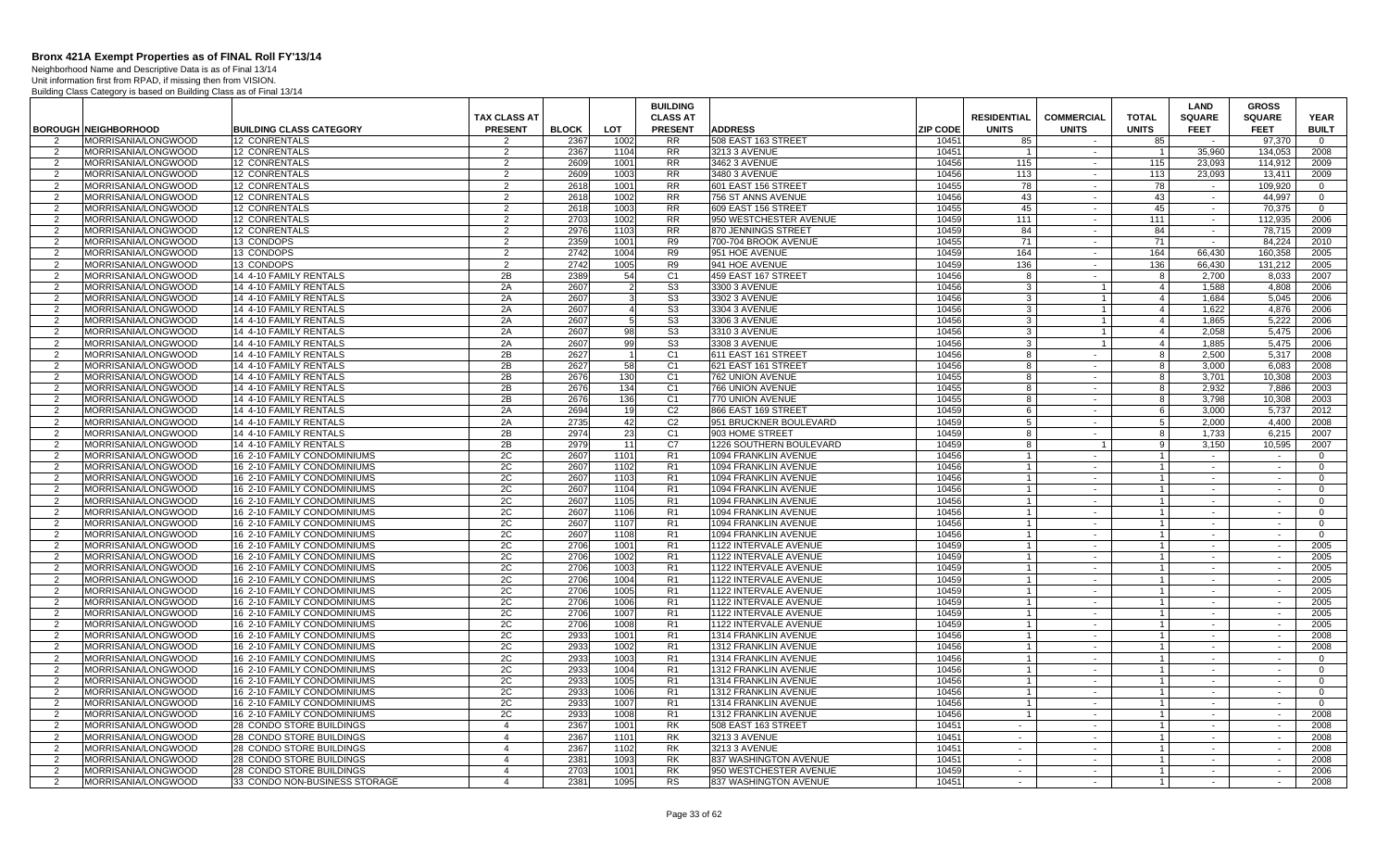Neighborhood Name and Descriptive Data is as of Final 13/14

|                     |                                                   |                                                            |                     |              |                | <b>BUILDING</b>                  |                                              |                 |                                  |                                |                     | LAND             | <b>GROSS</b>     |                            |
|---------------------|---------------------------------------------------|------------------------------------------------------------|---------------------|--------------|----------------|----------------------------------|----------------------------------------------|-----------------|----------------------------------|--------------------------------|---------------------|------------------|------------------|----------------------------|
|                     |                                                   |                                                            | <b>TAX CLASS AT</b> |              |                | <b>CLASS AT</b>                  |                                              |                 | <b>RESIDENTIAL</b>               | <b>COMMERCIAL</b>              | <b>TOTAL</b>        | <b>SQUARE</b>    | <b>SQUARE</b>    | <b>YEAR</b>                |
|                     | <b>BOROUGH NEIGHBORHOOD</b>                       | <b>BUILDING CLASS CATEGORY</b>                             | <b>PRESENT</b>      | <b>BLOCK</b> | <b>LOT</b>     | <b>PRESENT</b>                   | <b>ADDRESS</b>                               | <b>ZIP CODE</b> | <b>UNITS</b>                     | <b>UNITS</b>                   | <b>UNITS</b>        | <b>FEET</b>      | <b>FEET</b>      | <b>BUILT</b>               |
| $\mathcal{P}$       | MORRISANIA/LONGWOOD                               | 12 CONRENTALS                                              | $\mathcal{P}$       | 2367         | 1002           | <b>RR</b>                        | 508 EAST 163 STREET                          | 10451           | 85                               |                                | 85                  |                  | 97,370           | $\Omega$                   |
| 2                   | MORRISANIA/LONGWOOD                               | <b>12 CONRENTALS</b>                                       | 2                   | 2367         | 1104           | <b>RR</b>                        | 3213 3 AVENUE                                | 10451           | $\overline{1}$                   | $\sim$                         |                     | 35,960           | 134.053          | 2008                       |
| 2                   | MORRISANIA/LONGWOOD                               | 12 CONRENTALS                                              | 2                   | 2609         | 1001           | <b>RR</b>                        | 3462 3 AVENUE                                | 10456           | 115                              | $\sim$                         | 115                 | 23,093           | 114,912          | 2009                       |
| 2                   | <b>MORRISANIA/LONGWOOD</b>                        | 12 CONRENTALS                                              | 2                   | 2609         | 1003           | <b>RR</b>                        | 3480 3 AVENUE                                | 10456           | 113                              | $\sim$                         | 113                 | 23,093           | 13.411           | 2009                       |
| 2                   | MORRISANIA/LONGWOOD                               | <b>12 CONRENTALS</b>                                       | 2                   | 2618         | 1001           | <b>RR</b>                        | 601 EAST 156 STREET                          | 10455           | 78                               | $\sim$                         | 78                  | $\sim$           | 109.920          | $\overline{0}$             |
| $\mathcal{P}$       | MORRISANIA/LONGWOOD                               | 12 CONRENTALS                                              | $\overline{2}$      | 2618         | 1002           | $\overline{RR}$                  | 756 ST ANNS AVENUE                           | 10456           | 43                               | $\sim$                         | 43                  | $\sim$           | 44.997           | $\Omega$                   |
| 2                   | MORRISANIA/LONGWOOD                               | 12 CONRENTALS                                              | $\overline{2}$      | 2618         | 1003           | <b>RR</b>                        | 609 EAST 156 STREET                          | 10455           | 45                               | $\sim$                         | 45                  | $\sim$           | 70,375           | $\Omega$                   |
| $\overline{2}$      | MORRISANIA/LONGWOOD                               | 12 CONRENTALS                                              | 2                   | 2703         | 1002           | <b>RR</b>                        | 950 WESTCHESTER AVENUE                       | 10459           | 111                              | $\sim$                         | 111                 | $\sim$           | 112,935          | 2006                       |
| 2                   | MORRISANIA/LONGWOOD                               | <b>12 CONRENTALS</b>                                       | 2                   | 2976         | 1103           | <b>RR</b>                        | 870 JENNINGS STREET                          | 10459           | 84                               | $\sim$                         | 84                  | $\sim$           | 78,715           | 2009                       |
| $\mathcal{P}$       | MORRISANIA/LONGWOOD                               | 13 CONDOPS                                                 | 2                   | 2359         | 1001           | R <sub>9</sub>                   | 700-704 BROOK AVENUE                         | 10455           | 71                               | $\sim$                         | 71                  | $\sim$           | 84,224           | 2010                       |
| 2                   | MORRISANIA/LONGWOOD                               | 13 CONDOPS                                                 | 2                   | 2742         | 1004           | R9                               | 951 HOE AVENUE                               | 10459           | 164                              | $\sim$                         | 164                 | 66.430           | 160.358          | 2005                       |
| 2                   | MORRISANIA/LONGWOOD                               | 13 CONDOPS                                                 | 2                   | 2742         | 1005           | R <sub>9</sub>                   | 941 HOE AVENUE                               | 10459           | 136                              | $\sim$                         | 136                 | 66,430           | 131.212          | 2005                       |
| 2                   | <b>MORRISANIA/LONGWOOD</b>                        | 14 4-10 FAMILY RENTALS                                     | 2B                  | 2389         | 54             | C <sub>1</sub>                   | 459 EAST 167 STREET                          | 10456           | -8                               | $\sim$                         | 8                   | 2.700            | 8,033            | 2007                       |
| 2                   | MORRISANIA/LONGWOOD                               | 14 4-10 FAMILY RENTALS                                     | 2A                  | 2607         | 2              | S <sub>3</sub>                   | 3300 3 AVENUE                                | 10456           | 3                                | $\overline{1}$                 | $\overline{4}$      | 1.588            | 4.808            | 2006                       |
| $\overline{2}$      | MORRISANIA/LONGWOOD                               | 14 4-10 FAMILY RENTALS                                     | 2A                  | 2607         | 3              | S3                               | 3302 3 AVENUE                                | 10456           | -3                               | 1                              | $\overline{4}$      | 1.684            | 5.045            | 2006                       |
| 2                   | MORRISANIA/LONGWOOD                               | 14 4-10 FAMILY RENTALS                                     | 2A                  | 2607         | $\overline{4}$ | S <sub>3</sub>                   | 3304 3 AVENUE                                | 10456           | -3                               | $\mathbf{1}$                   | $\overline{4}$      | 1,622            | 4,876            | 2006                       |
| $\overline{2}$      | MORRISANIA/LONGWOOD                               | 14 4-10 FAMILY RENTALS                                     | 2A                  | 2607         |                | S <sub>3</sub>                   | 3306 3 AVENUE                                | 10456           | $\mathbf{3}$                     | $\mathbf{1}$                   | $\overline{4}$      | 1,865            | 5,222            | 2006                       |
| 2                   | MORRISANIA/LONGWOOD                               | 14 4-10 FAMILY RENTALS                                     | 2A                  | 2607         | 98             | S <sub>3</sub>                   | 3310 3 AVENUE                                | 10456           | 3<br>$\cdot$ 3                   | $\mathbf{1}$<br>$\overline{1}$ | $\overline{4}$      | 2.058            | 5,475            | 2006                       |
| 2<br>$\mathcal{P}$  | MORRISANIA/LONGWOOD                               | 14 4-10 FAMILY RENTALS                                     | 2A                  | 2607         | 99             | S <sub>3</sub><br>C <sub>1</sub> | 3308 3 AVENUE                                | 10456<br>10456  | -8                               |                                | $\overline{4}$      | 1.885            | 5,475            | 2006                       |
|                     | MORRISANIA/LONGWOOD                               | 14 4-10 FAMILY RENTALS                                     | 2B<br>2B            | 2627<br>2627 | 58             | C <sub>1</sub>                   | 611 EAST 161 STREET                          | 10456           | 8                                | $\sim$<br>$\sim$               | 8<br>8 <sup>1</sup> | 2,500<br>3.000   | 5,317<br>6.083   | 2008<br>2008               |
| 2<br>2              | MORRISANIA/LONGWOOD<br><b>MORRISANIA/LONGWOOD</b> | 14 4-10 FAMILY RENTALS<br>14 4-10 FAMILY RENTALS           | 2B                  | 2676         | 130            | C <sub>1</sub>                   | 621 EAST 161 STREET<br>762 UNION AVENUE      | 10455           | 8                                |                                | 8                   | 3.701            | 10.308           | 2003                       |
| 2                   | MORRISANIA/LONGWOOD                               | 14 4-10 FAMILY RENTALS                                     | 2B                  | 2676         | 134            | C <sub>1</sub>                   | 766 UNION AVENUE                             | 10455           | 8                                | $\sim$<br>$\sim$               | 8                   | 2.932            | 7,886            | 2003                       |
| $\overline{2}$      | MORRISANIA/LONGWOOD                               | 14 4-10 FAMILY RENTALS                                     | 2B                  | 2676         | 136            | C <sub>1</sub>                   | 770 UNION AVENUE                             | 10455           | 8                                | $\sim$                         | 8                   | 3.798            | 10.308           | 2003                       |
| 2                   | MORRISANIA/LONGWOOD                               | 14 4-10 FAMILY RENTALS                                     | 2A                  | 2694         | 19             | C <sub>2</sub>                   | 866 EAST 169 STREET                          | 10459           | 6                                | $\sim$                         | 6                   | 3,000            | 5,737            | 2012                       |
| $\overline{2}$      | MORRISANIA/LONGWOOD                               | 14 4-10 FAMILY RENTALS                                     | 2A                  | 2735         | 42             | C <sub>2</sub>                   | 951 BRUCKNER BOULEVARD                       | 10459           | 5                                | $\sim$                         | 5 <sup>5</sup>      | 2.000            | 4.400            | 2008                       |
| 2                   | MORRISANIA/LONGWOOD                               | 14 4-10 FAMILY RENTALS                                     | 2B                  | 2974         | 23             | C <sub>1</sub>                   | 903 HOME STREET                              | 10459           | -8                               | $\sim$                         | 8                   | 1.733            | 6,215            | 2007                       |
| 2                   | <b>MORRISANIA/LONGWOOD</b>                        | 14 4-10 FAMILY RENTALS                                     | 2B                  | 2979         | 11             | C7                               | 1226 SOUTHERN BOULEVARD                      | 10459           | 8                                | $\overline{1}$                 | 9                   | 3.150            | 10,595           | 2007                       |
| $\mathcal{P}$       | MORRISANIA/LONGWOOD                               | 16 2-10 FAMILY CONDOMINIUMS                                | 2C                  | 2607         | 1101           | R1                               | 1094 FRANKLIN AVENUE                         | 10456           |                                  | $\sim$                         | $\overline{1}$      | $\sim$           | $\sim$           | $\mathbf{0}$               |
| 2                   | MORRISANIA/LONGWOOD                               | 16 2-10 FAMILY CONDOMINIUMS                                | 2C                  | 2607         | 1102           | R1                               | 1094 FRANKLIN AVENUE                         | 10456           | $\overline{1}$                   | $\sim$ $-$                     | $\overline{1}$      | $\sim$           | $\sim$           | $\overline{0}$             |
| $\overline{2}$      | <b>MORRISANIA/LONGWOOD</b>                        | 16 2-10 FAMILY CONDOMINIUMS                                | 2C                  | 2607         | 1103           | R1                               | 1094 FRANKLIN AVENUE                         | 10456           | $\overline{1}$                   | $\sim$                         | $\overline{1}$      | $\sim$           | $\sim$           | $\Omega$                   |
| 2                   | MORRISANIA/LONGWOOD                               | 16 2-10 FAMILY CONDOMINIUMS                                | 2C                  | 2607         | 1104           | R1                               | 1094 FRANKLIN AVENUE                         | 10456           | $\overline{1}$                   | $\sim$                         | $\mathbf{1}$        | $\sim$           | $\sim$           | $\Omega$                   |
| $\overline{2}$      | MORRISANIA/LONGWOOD                               | 16 2-10 FAMILY CONDOMINIUMS                                | 2C                  | 2607         | 1105           | R <sub>1</sub>                   | 1094 FRANKLIN AVENUE                         | 10456           | $\overline{1}$                   | $\sim$                         |                     | $\sim$           | $\sim$           | $\Omega$                   |
| $\overline{2}$      | MORRISANIA/LONGWOOD                               | 16 2-10 FAMILY CONDOMINIUMS                                | 2C                  | 2607         | 1106           | R <sub>1</sub>                   | 1094 FRANKLIN AVENUE                         | 10456           | $\overline{1}$                   | $\sim$                         | $\overline{1}$      | $\sim$           | $\sim$           | $\Omega$                   |
| $\mathcal{P}$       | MORRISANIA/LONGWOOD                               | 16 2-10 FAMILY CONDOMINIUMS                                | 2C                  | 2607         | 1107           | R1                               | 1094 FRANKLIN AVENUE                         | 10456           | $\overline{1}$                   | $\sim$                         |                     | $\sim$           |                  | $\Omega$                   |
| 2                   | MORRISANIA/LONGWOOD                               | 16 2-10 FAMILY CONDOMINIUMS                                | 2C                  | 2607         | 1108           | R1                               | 1094 FRANKLIN AVENUE                         | 10456           | $\overline{1}$                   | $\sim$                         |                     | $\sim$           | $\sim$           | $\Omega$                   |
| $\mathcal{P}$       | <b>MORRISANIA/LONGWOOD</b>                        | 16 2-10 FAMILY CONDOMINIUMS                                | 2C                  | 2706         | 1001           | R1                               | 1122 INTERVALE AVENUE                        | 10459           | $\overline{1}$                   | $\sim$                         | $\overline{1}$      | $\sim$           | $\sim$           | 2005                       |
| $\mathcal{P}$       | MORRISANIA/LONGWOOD                               | 16 2-10 FAMILY CONDOMINIUMS                                | 2C                  | 2706         | 1002           | R1                               | 1122 INTERVALE AVENUE                        | 10459           | $\overline{1}$                   | $\sim$                         | $\mathbf{1}$        | $\sim$           | $\sim$           | 2005                       |
| 2                   | <b>IMORRISANIA/LONGWOOD</b>                       | 16 2-10 FAMILY CONDOMINIUMS                                | 2C                  | 2706         | 1003           | R1                               | 1122 INTERVALE AVENUE                        | 10459           | $\overline{1}$                   | $\sim$                         | $\overline{1}$      | $\sim$           | $\sim$           | 2005                       |
| $\overline{2}$      | MORRISANIA/LONGWOOD                               | 16 2-10 FAMILY CONDOMINIUMS                                | 2C                  | 2706         | 1004           | R1                               | 1122 INTERVALE AVENUE                        | 10459           | $\overline{1}$                   | $\sim$                         |                     | $\sim$           | $\sim$           | 2005                       |
| 2                   | MORRISANIA/LONGWOOD                               | 16 2-10 FAMILY CONDOMINIUMS                                | 2C                  | 2706         | 1005           | R1                               | 1122 INTERVALE AVENUE                        | 10459           | $\overline{1}$                   | $\sim$                         | $\mathbf{1}$        | $\sim$           | $\sim$           | 2005                       |
| $\mathcal{P}$       | MORRISANIA/LONGWOOD                               | 16 2-10 FAMILY CONDOMINIUMS                                | 2C                  | 2706         | 1006           | R <sub>1</sub>                   | 1122 INTERVALE AVENUE                        | 10459           | $\overline{1}$                   | $\mathbf{r}$                   |                     | $\sim$           | $\sim$           | 2005                       |
| 2                   | MORRISANIA/LONGWOOD                               | 16 2-10 FAMILY CONDOMINIUMS                                | 2C                  | 2706         | 1007           | R <sub>1</sub>                   | 1122 INTERVALE AVENUE                        | 10459           | $\overline{1}$                   | $\sim$                         | $\overline{1}$      | $\sim$           | $\sim$           | 2005                       |
| $\mathcal{P}$       | MORRISANIA/LONGWOOD                               | 16 2-10 FAMILY CONDOMINIUMS                                | 2C                  | 2706         | 1008           | R <sub>1</sub>                   | 1122 INTERVALE AVENUE                        | 10459           | $\overline{1}$                   | $\sim$                         | $\overline{1}$      | $\sim$           | $\sim$           | 2005                       |
| $\overline{2}$      | <b>MORRISANIA/LONGWOOD</b>                        | 16 2-10 FAMILY CONDOMINIUMS                                | 2C                  | 2933         | 1001           | R1                               | 1314 FRANKLIN AVENUE                         | 10456           | $\overline{1}$                   | $\sim$                         | $\overline{1}$      | $\sim$           | $\sim$           | 2008                       |
| 2                   | MORRISANIA/LONGWOOD                               | 16 2-10 FAMILY CONDOMINIUMS                                | 2C                  | 2933         | 1002           | R1                               | 1312 FRANKLIN AVENUE                         | 10456           | $\overline{1}$                   | $\sim$                         | $\overline{1}$      | $\sim$           | $\sim$           | 2008                       |
| 2                   | MORRISANIA/LONGWOOD                               | 16 2-10 FAMILY CONDOMINIUMS                                | 2C                  | 2933         | 1003           | R1                               | 1314 FRANKLIN AVENUE                         | 10456           | $\overline{1}$                   | $\sim$                         | $\overline{1}$      | $\sim$           | $\sim$           | $\mathbf{0}$               |
| 2                   | MORRISANIA/LONGWOOD                               | 16 2-10 FAMILY CONDOMINIUMS                                | 2C                  | 2933         | 1004           | R1                               | 1312 FRANKLIN AVENUE                         | 10456           | $\overline{1}$<br>$\overline{1}$ | $\sim$                         | $\overline{1}$      | $\sim$           | $\sim$           | $\mathbf{0}$               |
| $\overline{2}$<br>2 | MORRISANIA/LONGWOOD<br>MORRISANIA/LONGWOOD        | 16 2-10 FAMILY CONDOMINIUMS<br>16 2-10 FAMILY CONDOMINIUMS | 2C<br>2C            | 2933<br>2933 | 1005<br>1006   | R1<br>R1                         | 1314 FRANKLIN AVENUE<br>1312 FRANKLIN AVENUE | 10456<br>10456  | $\overline{1}$                   | $\sim$<br>$\sim$               | $\mathbf{1}$        | $\sim$<br>$\sim$ | $\sim$<br>$\sim$ | $\overline{0}$<br>$\Omega$ |
| $\mathcal{P}$       | MORRISANIA/LONGWOOD                               | 16 2-10 FAMILY CONDOMINIUMS                                | 2C                  | 2933         | 1007           | R <sub>1</sub>                   | 1314 FRANKLIN AVENUE                         | 10456           | $\overline{1}$                   | $\sim$                         |                     | $\sim$           | $\sim$           | $\overline{0}$             |
| 2                   | MORRISANIA/LONGWOOD                               | 16 2-10 FAMILY CONDOMINIUMS                                | 2C                  | 2933         | 1008           | R1                               | 1312 FRANKLIN AVENUE                         | 10456           | $\overline{1}$                   | $\sim$                         | $\overline{1}$      | $\sim$           | $\sim$           | 2008                       |
| $\mathcal{P}$       | MORRISANIA/LONGWOOD                               | 28 CONDO STORE BUILDINGS                                   | $\overline{4}$      | 2367         | 1001           | <b>RK</b>                        | 508 EAST 163 STREET                          | 10451           | $\sim$ $-$                       | $\sim$                         | $\overline{1}$      | $\sim$           | $\sim$           | 2008                       |
| $\mathcal{P}$       | <b>MORRISANIA/LONGWOOD</b>                        | 28 CONDO STORE BUILDINGS                                   | $\overline{4}$      | 2367         | 1101           | <b>RK</b>                        | 3213 3 AVENUE                                | 10451           | $\sim$                           | $\sim$                         | $\overline{1}$      | $\sim$           | $\sim$           | 2008                       |
| $\mathcal{P}$       | MORRISANIA/LONGWOOD                               | 28 CONDO STORE BUILDINGS                                   | $\overline{4}$      | 2367         | 1102           | <b>RK</b>                        | 3213 3 AVENUE                                | 10451           | $\sim$                           | $\sim$                         | $\overline{1}$      | $\sim$           | $\sim$           | 2008                       |
| 2                   | MORRISANIA/LONGWOOD                               | 28 CONDO STORE BUILDINGS                                   | $\overline{4}$      | 2381         | 1093           | <b>RK</b>                        | 837 WASHINGTON AVENUE                        | 10451           | $\sim$                           | $\sim$                         | $\mathbf{1}$        | $\sim$           | $\sim$           | 2008                       |
| 2                   | MORRISANIA/LONGWOOD                               | 28 CONDO STORE BUILDINGS                                   | $\overline{4}$      | 2703         | 1001           | <b>RK</b>                        | 950 WESTCHESTER AVENUE                       | 10459           | $\sim$                           | $\sim$                         | $\overline{1}$      | $\sim$           | $\sim$           | 2006                       |
| 2                   | MORRISANIA/LONGWOOD                               | 33 CONDO NON-BUSINESS STORAGE                              | $\overline{4}$      | 2381         | 1095           | <b>RS</b>                        | 837 WASHINGTON AVENUE                        | 10451           | $\sim$                           | $\sim$                         |                     | $\sim$           | $\sim$           | 2008                       |
|                     |                                                   |                                                            |                     |              |                |                                  |                                              |                 |                                  |                                |                     |                  |                  |                            |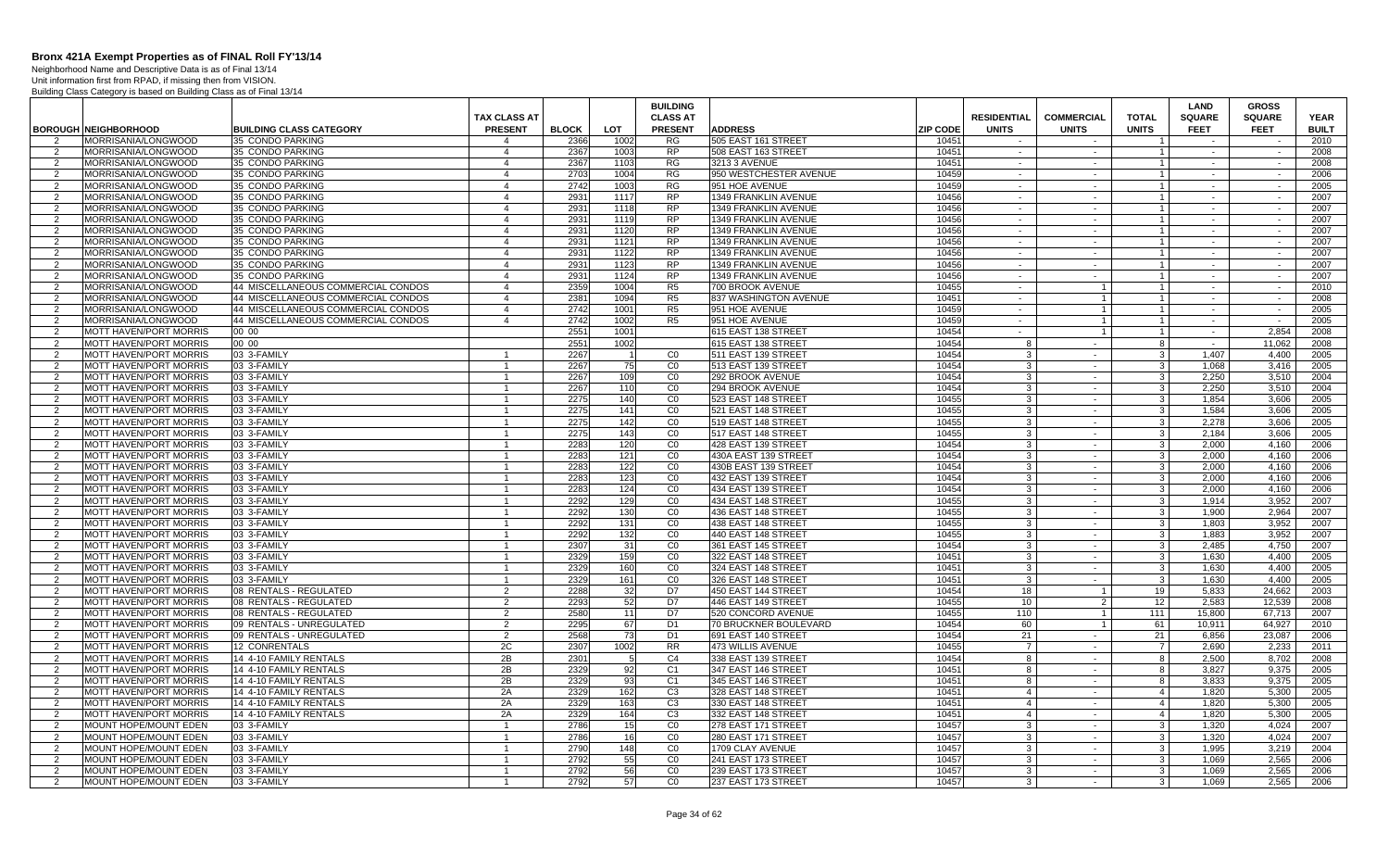Neighborhood Name and Descriptive Data is as of Final 13/14 Unit information first from RPAD, if missing then from VISION.

|                     |                                                                |                                                    |                                  |                      |             | <b>BUILDING</b>                  |                                            |                          |                                  |                        |                                | <b>LAND</b>           | <b>GROSS</b>                            |                      |
|---------------------|----------------------------------------------------------------|----------------------------------------------------|----------------------------------|----------------------|-------------|----------------------------------|--------------------------------------------|--------------------------|----------------------------------|------------------------|--------------------------------|-----------------------|-----------------------------------------|----------------------|
|                     |                                                                |                                                    | <b>TAX CLASS AT</b>              |                      |             | <b>CLASS AT</b>                  |                                            |                          | <b>RESIDENTIAL</b>               | <b>COMMERCIAL</b>      | <b>TOTAL</b>                   | <b>SQUARE</b>         | <b>SQUARE</b>                           | <b>YEAR</b>          |
| 2                   | <b>BOROUGH NEIGHBORHOOD</b><br>MORRISANIA/LONGWOOD             | <b>BUILDING CLASS CATEGORY</b><br>35 CONDO PARKING | <b>PRESENT</b><br>$\overline{4}$ | <b>BLOCK</b><br>2366 | LOT<br>1002 | <b>PRESENT</b><br>RG             | <b>ADDRESS</b><br>505 EAST 161 STREET      | <b>ZIP CODE</b><br>10451 | <b>UNITS</b><br>$\sim$           | <b>UNITS</b><br>$\sim$ | <b>UNITS</b><br>$\overline{1}$ | <b>FEET</b><br>$\sim$ | <b>FEET</b><br>$\overline{\phantom{a}}$ | <b>BUILT</b><br>2010 |
| 2                   | IMORRISANIA/LONGWOOD                                           | 35 CONDO PARKING                                   | $\overline{4}$                   | 2367                 | 1003        | RP                               | 508 EAST 163 STREET                        | 10451                    | $\sim$                           | $\sim$                 | 1                              | $\sim$                | $\sim$                                  | 2008                 |
| 2                   | <b>IMORRISANIA/LONGWOOD</b>                                    | 35 CONDO PARKING                                   | $\overline{4}$                   | 2367                 | 1103        | RG.                              | 3213 3 AVENUE                              | 10451                    | $\sim$                           | $\sim$                 | $\overline{1}$                 | $\sim$                | $\sim$                                  | 2008                 |
| 2                   | <b>MORRISANIA/LONGWOOD</b>                                     | 35 CONDO PARKING                                   | $\overline{4}$                   | 2703                 | 1004        | RG                               | 950 WESTCHESTER AVENUE                     | 10459                    | $\sim$                           | $\sim$                 | 1                              | $\sim$                | $\sim$                                  | 2006                 |
| 2                   | MORRISANIA/LONGWOOD                                            | 35 CONDO PARKING                                   | $\overline{4}$                   | 2742                 | 1003        | <b>RG</b>                        | 951 HOE AVENUE                             | 10459                    | $\sim$ $-$                       | $\sim$                 | $\overline{1}$                 | $\sim$                | $\sim$                                  | 2005                 |
| $\mathcal{P}$       | MORRISANIA/LONGWOOD                                            | 35 CONDO PARKING                                   | $\overline{4}$                   | 2931                 | 1117        | RP                               | 1349 FRANKLIN AVENUE                       | 10456                    | $\sim$                           | $\sim$                 | $1 \mid$                       |                       |                                         | 2007                 |
| 2                   | MORRISANIA/LONGWOOD                                            | 35 CONDO PARKING                                   | $\overline{4}$                   | 2931                 | 1118        | <b>RP</b>                        | 1349 FRANKLIN AVENUE                       | 10456                    | $\sim$                           | $\sim$                 | $\overline{1}$                 | $\sim$                | $\sim$                                  | 2007                 |
| 2                   | MORRISANIA/LONGWOOD                                            | 35 CONDO PARKING                                   | $\overline{4}$                   | 2931                 | 1119        | <b>RP</b>                        | 1349 FRANKLIN AVENUE                       | 10456                    | $\sim$                           | $\sim$                 | $\overline{1}$                 | $\sim$                | $\sim$                                  | 2007                 |
| $\overline{2}$      | MORRISANIA/LONGWOOD                                            | 35 CONDO PARKING                                   | $\overline{4}$                   | 2931                 | 1120        | <b>RP</b>                        | 1349 FRANKLIN AVENUE                       | 10456                    | $\sim$                           | $\sim$                 | $\overline{1}$                 | $\sim$                | $\sim$                                  | 2007                 |
| $\overline{2}$      | MORRISANIA/LONGWOOD                                            | 35 CONDO PARKING                                   | $\overline{4}$                   | 2931                 | 1121        | <b>RP</b>                        | 1349 FRANKLIN AVENUE                       | 10456                    | $\sim$                           | $\sim$                 | $\overline{1}$                 | $\sim$                | $\sim$                                  | 2007                 |
| 2                   | MORRISANIA/LONGWOOD                                            | 35 CONDO PARKING                                   | $\overline{4}$                   | 293'                 | 1122        | <b>RP</b>                        | <b>1349 FRANKLIN AVENUE</b>                | 10456                    | $\sim$                           | $\sim$                 | $\overline{1}$                 | $\sim$                | $\sim$                                  | 2007                 |
| 2                   | MORRISANIA/LONGWOOD                                            | 35 CONDO PARKING                                   | $\overline{4}$                   | 2931                 | 1123        | <b>RP</b>                        | 1349 FRANKLIN AVENUE                       | 10456                    | $\sim$                           | $\sim$                 | $\overline{1}$                 | $\sim$                | $\sim$                                  | 2007                 |
| $\mathcal{P}$       | MORRISANIA/LONGWOOD                                            | 35 CONDO PARKING                                   | $\overline{4}$                   | 2931                 | 1124        | <b>RP</b>                        | 1349 FRANKLIN AVENUE                       | 10456                    | $\sim$                           | $\sim$                 | $\overline{1}$                 | $\sim$                | $\sim$                                  | 2007                 |
| 2                   | MORRISANIA/LONGWOOD                                            | 44 MISCELLANEOUS COMMERCIAL CONDOS                 | $\overline{4}$                   | 2359                 | 1004        | R5                               | 700 BROOK AVENUE                           | 10455                    | $\sim$                           | $\overline{1}$         | $\overline{1}$                 | $\sim$                | $\sim$                                  | 2010                 |
| 2                   | MORRISANIA/LONGWOOD                                            | 44 MISCELLANEOUS COMMERCIAL CONDOS                 | $\overline{4}$                   | 2381                 | 1094        | R5                               | 837 WASHINGTON AVENUE                      | 10451                    | $\sim$                           |                        | $\overline{1}$                 | $\sim$                | $\sim$                                  | 2008                 |
| 2                   | MORRISANIA/LONGWOOD                                            | 44 MISCELLANEOUS COMMERCIAL CONDOS                 | $\overline{4}$                   | 2742                 | 1001        | R <sub>5</sub>                   | 951 HOE AVENUE                             | 10459                    | $\sim$                           |                        | $\overline{1}$                 | $\sim$                | $\sim$                                  | 2005                 |
| $\overline{2}$      | MORRISANIA/LONGWOOD                                            | 44 MISCELLANEOUS COMMERCIAL CONDOS                 | $\overline{4}$                   | 2742                 | 1002        | R <sub>5</sub>                   | 951 HOE AVENUE                             | 10459                    | $\sim$                           |                        | $\overline{1}$                 | $\sim$                |                                         | 2005                 |
| 2                   | <b>MOTT HAVEN/PORT MORRIS</b>                                  | 00 00                                              |                                  | 2551                 | 1001        |                                  | 615 EAST 138 STREET                        | 10454                    | $\sim$                           |                        | $\overline{1}$                 | $\sim$                | 2.854                                   | 2008                 |
| $\mathcal{P}$       | <b>MOTT HAVEN/PORT MORRIS</b>                                  | 00 00                                              |                                  | 2551                 | 1002        |                                  | 615 EAST 138 STREET                        | 10454                    | 8                                | $\sim$                 | $^{\circ}$                     | $\sim$                | 11,062                                  | 2008                 |
| $\overline{2}$      | <b>MOTT HAVEN/PORT MORRIS</b>                                  | 03 3-FAMILY                                        |                                  | 2267                 |             | CO                               | 511 EAST 139 STREET                        | 10454                    | 3                                | $\sim$                 | س                              | 1,407                 | 4,400                                   | 2005                 |
| $\mathcal{P}$       | <b>MOTT HAVEN/PORT MORRIS</b>                                  | 03 3-FAMILY                                        | $\overline{1}$                   | 2267                 | 75          | CO                               | 513 EAST 139 STREET                        | 10454                    | 3                                | $\sim$                 | 3 <sup>1</sup>                 | 1.068                 | 3.416                                   | 2005                 |
| $\overline{2}$      | <b>MOTT HAVEN/PORT MORRIS</b>                                  | 03 3-FAMILY                                        |                                  | 2267                 | 109         | CO                               | 292 BROOK AVENUE                           | 10454                    | 3                                | $\sim$                 | 3 <sup>5</sup>                 | 2,250                 | 3.510                                   | 2004                 |
| 2                   | <b>MOTT HAVEN/PORT MORRIS</b>                                  | 03 3-FAMILY                                        | $\mathbf{1}$                     | 2267                 | 110         | CO                               | 294 BROOK AVENUE                           | 10454                    | $\mathbf{3}$                     | $\sim$                 | 3 <sup>1</sup>                 | 2.250                 | 3.510                                   | 2004                 |
| $\overline{2}$      | <b>MOTT HAVEN/PORT MORRIS</b>                                  | 03 3-FAMILY                                        |                                  | 2275                 | 140         | CO                               | 523 EAST 148 STREET                        | 10455                    | 3                                | $\sim$                 | 3 <sup>1</sup>                 | 1.854                 | 3.606                                   | 2005                 |
| $\overline{2}$      | <b>MOTT HAVEN/PORT MORRIS</b>                                  | 03 3-FAMILY                                        | $\mathbf{1}$                     | 2275                 | 141         | CO                               | 521 EAST 148 STREET                        | 10455                    | $\mathbf{3}$                     | $\sim$                 | 3 <sup>1</sup>                 | 1,584                 | 3,606                                   | 2005                 |
| $\overline{2}$      | <b>MOTT HAVEN/PORT MORRIS</b><br><b>MOTT HAVEN/PORT MORRIS</b> | 03 3-FAMILY<br>03 3-FAMILY                         |                                  | 2275<br>2275         | 142<br>143  | CO<br>$\overline{C}0$            | 519 EAST 148 STREET<br>517 EAST 148 STREET | 10455<br>10455           | $\mathbf{3}$                     | $\sim$                 | 3 <sup>1</sup>                 | 2,278<br>2,184        | 3,606<br>3,606                          | 2005<br>2005         |
| 2<br>$\overline{2}$ | <b>MOTT HAVEN/PORT MORRIS</b>                                  | 03 3-FAMILY                                        |                                  | 2283                 | 120         | CO                               | 428 EAST 139 STREET                        | 10454                    | 3<br>3                           | $\sim$<br>$\sim$       | $\mathbf{3}$<br>3 <sup>1</sup> | 2,000                 | 4,160                                   | 2006                 |
| 2                   | <b>MOTT HAVEN/PORT MORRIS</b>                                  | 03 3-FAMILY                                        |                                  | 2283                 | 121         | CO                               | 430A EAST 139 STREET                       | 10454                    | 3                                | $\sim$                 | $\mathbf{3}$                   | 2.000                 | 4,160                                   | 2006                 |
| $\mathcal{P}$       | <b>MOTT HAVEN/PORT MORRIS</b>                                  | 03 3-FAMILY                                        |                                  | 2283                 | 122         | CO                               | 430B EAST 139 STREET                       | 10454                    | 3                                | $\sim$                 | 3 <sup>1</sup>                 | 2.000                 | 4.160                                   | 2006                 |
| $\mathcal{P}$       | <b>MOTT HAVEN/PORT MORRIS</b>                                  | 03 3-FAMILY                                        |                                  | 2283                 | 123         | C <sub>0</sub>                   | 432 EAST 139 STREET                        | 10454                    | 3                                | $\sim$                 | $\mathbf{3}$                   | 2.000                 | 4,160                                   | 2006                 |
| 2                   | <b>MOTT HAVEN/PORT MORRIS</b>                                  | 03 3-FAMILY                                        | $\mathbf{1}$                     | 2283                 | 124         | CO                               | 434 EAST 139 STREET                        | 10454                    | $\mathbf{3}$                     | $\sim$                 | 3 <sup>1</sup>                 | 2,000                 | 4,160                                   | 2006                 |
| $\overline{2}$      | <b>MOTT HAVEN/PORT MORRIS</b>                                  | 03 3-FAMILY                                        |                                  | 2292                 | 129         | CO                               | 434 EAST 148 STREET                        | 10455                    | 3                                | $\sim$                 | 3 <sup>1</sup>                 | 1.914                 | 3,952                                   | 2007                 |
| 2                   | <b>MOTT HAVEN/PORT MORRIS</b>                                  | 03 3-FAMILY                                        | $\overline{1}$                   | 2292                 | 130         | CO                               | 436 EAST 148 STREET                        | 10455                    | 3                                | $\sim$                 | 3 <sup>1</sup>                 | 1.900                 | 2.964                                   | 2007                 |
| 2                   | <b>MOTT HAVEN/PORT MORRIS</b>                                  | 03 3-FAMILY                                        |                                  | 2292                 | 131         | CO                               | 438 EAST 148 STREET                        | 10455                    | 3                                | $\sim$                 | 3 <sup>1</sup>                 | 1.803                 | 3.952                                   | 2007                 |
| 2                   | <b>MOTT HAVEN/PORT MORRIS</b>                                  | 03 3-FAMILY                                        |                                  | 2292                 | 132         | CO                               | 440 EAST 148 STREET                        | 10455                    | 3                                | $\sim$                 | 3 <sup>1</sup>                 | 1.883                 | 3,952                                   | 2007                 |
| $\overline{2}$      | MOTT HAVEN/PORT MORRIS                                         | 03 3-FAMILY                                        |                                  | 2307                 | 31          | CO                               | 361 EAST 145 STREET                        | 10454                    | $\mathbf{3}$                     | $\sim$                 | 3 <sup>1</sup>                 | 2.485                 | 4.750                                   | 2007                 |
| 2                   | <b>MOTT HAVEN/PORT MORRIS</b>                                  | 03 3-FAMILY                                        | $\overline{1}$                   | 2329                 | 159         | CO                               | 322 EAST 148 STREET                        | 10451                    | 3                                | $\sim$                 | $\mathbf{3}$                   | 1,630                 | 4,400                                   | 2005                 |
| $\overline{2}$      | <b>MOTT HAVEN/PORT MORRIS</b>                                  | 03 3-FAMILY                                        | $\overline{1}$                   | 2329                 | 160         | CO                               | 324 EAST 148 STREET                        | 10451                    | 3                                | $\sim$                 | 3 <sup>1</sup>                 | 1,630                 | 4,400                                   | 2005                 |
| 2                   | <b>MOTT HAVEN/PORT MORRIS</b>                                  | 03 3-FAMILY                                        |                                  | 2329                 | 161         | CO                               | 326 EAST 148 STREET                        | 10451                    | 3                                | $\sim$                 | $\mathbf{3}$                   | 1.630                 | 4,400                                   | 2005                 |
| 2                   | <b>MOTT HAVEN/PORT MORRIS</b>                                  | 08 RENTALS - REGULATED                             | $\overline{2}$                   | 2288                 | 32          | D7                               | 450 EAST 144 STREET                        | 10454                    | 18                               | $\overline{1}$         | 19                             | 5,833                 | 24.662                                  | 2003                 |
| $\mathcal{P}$       | <b>MOTT HAVEN/PORT MORRIS</b>                                  | 08 RENTALS - REGULATED                             | 2                                | 2293                 | 52          | D7                               | 446 EAST 149 STREET                        | 10455                    | 10                               | 2 <sup>1</sup>         | 12                             | 2,583                 | 12,539                                  | 2008                 |
| 2                   | <b>MOTT HAVEN/PORT MORRIS</b>                                  | 08 RENTALS - REGULATED                             | 2                                | 2580                 | 11          | D7                               | 520 CONCORD AVENUE                         | 10455                    | 110                              | $\vert$ 1              | 111                            | 15.800                | 67,713                                  | 2007                 |
| 2                   | <b>MOTT HAVEN/PORT MORRIS</b>                                  | 09 RENTALS - UNREGULATED                           | $\overline{2}$                   | 2295                 | 67          | D <sub>1</sub>                   | 70 BRUCKNER BOULEVARD                      | 10454                    | 60                               | $\mathbf{1}$           | 61                             | 10.911                | 64.927                                  | 2010                 |
| 2                   | <b>MOTT HAVEN/PORT MORRIS</b>                                  | 09 RENTALS - UNREGULATED                           | $\overline{2}$                   | 2568                 | 73          | D <sub>1</sub>                   | 691 EAST 140 STREET                        | 10454                    | 21                               | $\sim$                 | 21                             | 6,856                 | 23,087                                  | 2006                 |
| $\overline{2}$      | MOTT HAVEN/PORT MORRIS                                         | 12 CONRENTALS                                      | 2C                               | 2307                 | 1002        | $\overline{RR}$                  | 473 WILLIS AVENUE                          | 10455                    | $\overline{7}$                   | $\sim$                 | $\overline{7}$                 | 2,690                 | 2,233                                   | 2011                 |
| 2                   | <b>MOTT HAVEN/PORT MORRIS</b>                                  | 14 4-10 FAMILY RENTALS                             | 2B                               | 2301                 | -5          | C <sub>4</sub>                   | 338 EAST 139 STREET                        | 10454                    | 8                                | $\sim$                 | $^{\circ}$                     | 2.500                 | 8,702                                   | 2008                 |
| $\overline{2}$      | <b>MOTT HAVEN/PORT MORRIS</b>                                  | 14 4-10 FAMILY RENTALS                             | 2B                               | 2329                 | 92          | C <sub>1</sub>                   | 347 EAST 146 STREET                        | 10451                    | 8                                | $\sim$                 | 8                              | 3,827                 | 9,375                                   | 2005                 |
| 2<br>$\mathcal{P}$  | <b>MOTT HAVEN/PORT MORRIS</b>                                  | 14 4-10 FAMILY RENTALS                             | 2B<br>2A                         | 2329                 | 93          | C <sub>1</sub><br>C <sub>3</sub> | 345 EAST 146 STREET                        | 1045'<br>10451           | 8                                | $\sim$<br>$\sim$       | 8<br>$\overline{4}$            | 3.833                 | 9,375                                   | 2005                 |
| $\mathcal{P}$       | <b>MOTT HAVEN/PORT MORRIS</b><br><b>MOTT HAVEN/PORT MORRIS</b> | 14 4-10 FAMILY RENTALS                             | 2A                               | 2329                 | 162<br>163  | C <sub>3</sub>                   | 328 EAST 148 STREET                        | 10451                    | $\overline{4}$<br>$\overline{4}$ | $\sim$                 | $\overline{4}$                 | 1,820<br>1,820        | 5.300<br>5,300                          | 2005<br>2005         |
| 2                   | <b>MOTT HAVEN/PORT MORRIS</b>                                  | 14 4-10 FAMILY RENTALS<br>14 4-10 FAMILY RENTALS   | 2A                               | 2329<br>2329         | 164         | C <sub>3</sub>                   | 330 EAST 148 STREET<br>332 EAST 148 STREET | 10451                    | $\overline{4}$                   | $\sim$                 | 4 <sup>1</sup>                 | 1,820                 | 5,300                                   | 2005                 |
| 2                   | MOUNT HOPE/MOUNT EDEN                                          | 03 3-FAMILY                                        | $\overline{1}$                   | 2786                 | 15          | CO                               | 278 EAST 171 STREET                        | 10457                    | 3                                | $\sim$                 | سا                             | 1.320                 | 4.024                                   | 2007                 |
| 2                   | <b>MOUNT HOPE/MOUNT EDEN</b>                                   | 03 3-FAMILY                                        | $\overline{1}$                   | 2786                 | 16          | CO                               | 280 EAST 171 STREET                        | 10457                    | 3                                | $\sim$                 | 3 <sup>1</sup>                 | 1,320                 | 4,024                                   | 2007                 |
| $\overline{2}$      | MOUNT HOPE/MOUNT EDEN                                          | 03 3-FAMILY                                        |                                  | 2790                 | 148         | CO                               | 1709 CLAY AVENUE                           | 10457                    | 3                                | $\sim$                 | 3 <sup>1</sup>                 | 1.995                 | 3.219                                   | 2004                 |
| $\mathcal{P}$       | MOUNT HOPE/MOUNT EDEN                                          | 03 3-FAMILY                                        |                                  | 2792                 | 55          | CO                               | 241 EAST 173 STREET                        | 10457                    | 3                                | $\sim$                 | 3 <sup>1</sup>                 | 1.069                 | 2.565                                   | 2006                 |
| $\mathcal{P}$       | MOUNT HOPE/MOUNT EDEN                                          | 03 3-FAMILY                                        |                                  | 2792                 | 56          | C <sub>0</sub>                   | 239 EAST 173 STREET                        | 10457                    | 3                                | $\sim$                 | 3 <sup>5</sup>                 | 1,069                 | 2,565                                   | 2006                 |
| 2                   | MOUNT HOPE/MOUNT EDEN                                          | 03 3-FAMILY                                        |                                  | 2792                 | 57          | CO                               | 237 EAST 173 STREET                        | 10457                    | $\mathbf{3}$                     | $\sim$                 | 3 <sup>1</sup>                 | 1,069                 | 2,565                                   | 2006                 |
|                     |                                                                |                                                    |                                  |                      |             |                                  |                                            |                          |                                  |                        |                                |                       |                                         |                      |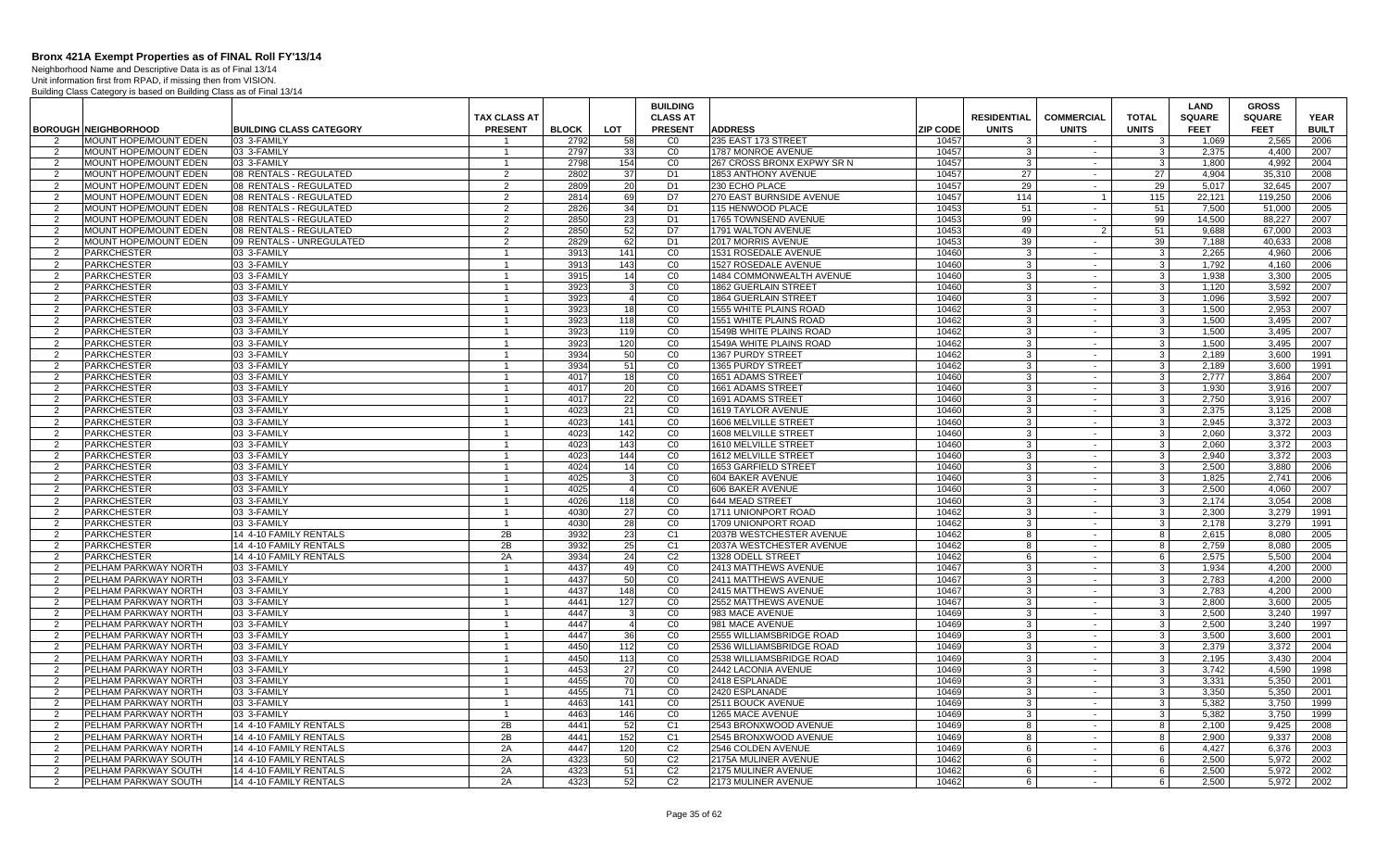Neighborhood Name and Descriptive Data is as of Final 13/14

|                |                             |                                |                      |              |                 | <b>BUILDING</b> |                                |                 |                    |                          |               | LAND          | <b>GROSS</b>  |              |
|----------------|-----------------------------|--------------------------------|----------------------|--------------|-----------------|-----------------|--------------------------------|-----------------|--------------------|--------------------------|---------------|---------------|---------------|--------------|
|                |                             |                                | TAX CLASS AT         |              |                 | <b>CLASS AT</b> |                                |                 | <b>RESIDENTIAL</b> | <b>COMMERCIAL</b>        | <b>TOTAL</b>  | <b>SQUARE</b> | <b>SQUARE</b> | <b>YEAR</b>  |
|                | <b>BOROUGH NEIGHBORHOOD</b> | <b>BUILDING CLASS CATEGORY</b> | <b>PRESENT</b>       | <b>BLOCK</b> | <b>LOT</b>      | <b>PRESENT</b>  | <b>ADDRESS</b>                 | <b>ZIP CODE</b> | <b>UNITS</b>       | <b>UNITS</b>             | <b>UNITS</b>  | <b>FEET</b>   | <b>FEET</b>   | <b>BUILT</b> |
|                | MOUNT HOPE/MOUNT EDEN       | 03 3-FAMILY                    |                      | 2792         | 58              | C <sub>0</sub>  | 235 EAST 173 STREET            | 10457           | 3                  | $\sim$                   |               | 1,069         | 2,565         | 2006         |
| 2              | MOUNT HOPE/MOUNT EDEN       | 03 3-FAMILY                    | -1                   | 2797         | 33              | $\overline{C}0$ | 1787 MONROE AVENUE             | 10457           | 3                  | $\sim$                   | -3            | 2,375         | 4,400         | 2007         |
| $\overline{2}$ | MOUNT HOPE/MOUNT EDEN       | 03 3-FAMILY                    | $\overline{1}$       | 2798         | 154             | CO              | 267 CROSS BRONX EXPWY SR N     | 10457           | 3                  | $\sim$                   | $\mathcal{R}$ | 1.800         | 4.992         | 2004         |
| 2              | MOUNT HOPE/MOUNT EDEN       | 08 RENTALS - REGULATED         | 2                    | 2802         | 37              | D <sub>1</sub>  | 1853 ANTHONY AVENUE            | 10457           | 27                 | $\sim$                   | 27            | 4.904         | 35,310        | 2008         |
| $\overline{2}$ | MOUNT HOPE/MOUNT EDEN       | 08 RENTALS - REGULATED         | 2                    | 2809         | 20              | D <sub>1</sub>  | 230 ECHO PLACE                 | 10457           | 29                 | $\sim$                   | 29            | 5,017         | 32,645        | 2007         |
| $\overline{2}$ | MOUNT HOPE/MOUNT EDEN       | 08 RENTALS - REGULATED         | 2                    | 2814         | 69              | D7              | 270 EAST BURNSIDE AVENUE       | 10457           | 114                |                          | 115           | 22,121        | 119,250       | 2006         |
| 2              | MOUNT HOPE/MOUNT EDEN       | 08 RENTALS - REGULATED         | 2                    | 2826         | 34              | D <sub>1</sub>  | 1115 HENWOOD PLACE             | 10453           | 51                 | $\sim$                   | 51            | 7.500         | 51.000        | 2005         |
| 2              | MOUNT HOPE/MOUNT EDEN       | 08 RENTALS - REGULATED         | 2                    | 2850         | 23              | D <sub>1</sub>  | 1765 TOWNSEND AVENUE           | 10453           | 99                 | $\blacksquare$           | 99            | 14.500        | 88.227        | 2007         |
| $\overline{2}$ | MOUNT HOPE/MOUNT EDEN       | 08 RENTALS - REGULATED         | $\overline{2}$       | 2850         | 52              | D7              | 1791 WALTON AVENUE             | 10453           | 49                 | 2                        | 51            | 9,688         | 67,000        | 2003         |
| $\overline{2}$ | MOUNT HOPE/MOUNT EDEN       | 09 RENTALS - UNREGULATED       | 2                    | 2829         | 62              | D1              | 2017 MORRIS AVENUE             | 10453           | 39                 | $\overline{\phantom{a}}$ | 39            | 7,188         | 40,633        | 2008         |
| 2              | <b>PARKCHESTER</b>          | 03 3-FAMILY                    |                      | 3913         | 141             | CO              | 1531 ROSEDALE AVENUE           | 10460           | 3                  | $\sim$                   | 3             | 2,265         | 4,960         | 2006         |
| 2              | <b>PARKCHESTER</b>          | 03 3-FAMILY                    | $\blacktriangleleft$ | 3913         | 143             | CO              | 1527 ROSEDALE AVENUE           | 10460           | 3                  | $\sim$                   | $\mathbf{3}$  | 1.792         | 4.160         | 2006         |
| 2              | <b>PARKCHESTER</b>          | 03 3-FAMILY                    |                      | 3915         | 14              | CO              | 1484 COMMONWEALTH AVENUE       | 10460           | 3                  | $\sim$                   | 3             | 1,938         | 3,300         | 2005         |
| 2              | <b>PARKCHESTER</b>          | 03 3-FAMILY                    | $\blacktriangleleft$ | 3923         | 3               | CO              | 1862 GUERLAIN STREET           | 10460           | 3                  | $\sim$                   | $\mathbf{3}$  | 1.120         | 3,592         | 2007         |
| $\overline{2}$ | <b>PARKCHESTER</b>          | 03 3-FAMILY                    |                      | 3923         | $\overline{4}$  | CO              | 1864 GUERLAIN STREET           | 10460           | 3                  | $\sim$                   | 3             | 1.096         | 3,592         | 2007         |
| 2              | <b>PARKCHESTER</b>          | 03 3-FAMILY                    | $\mathbf{1}$         | 3923         | 18 <sup>1</sup> | CO              | 1555 WHITE PLAINS ROAD         | 10462           | 3                  | $\sim$                   | 3             | 1.500         | 2.953         | 2007         |
| 2              | <b>PARKCHESTER</b>          | 03 3-FAMILY                    |                      | 3923         | 118             | CO              | 1551 WHITE PLAINS ROAD         | 10462           | 3                  | $\mathbf{r}$             | 3             | 1,500         | 3,495         | 2007         |
| 2              | <b>PARKCHESTER</b>          | 03 3-FAMILY                    | -1                   | 3923         | 119             | CO              | <b>1549B WHITE PLAINS ROAD</b> | 10462           | 3                  | $\sim$                   | $\mathbf{3}$  | 1.500         | 3,495         | 2007         |
| $\overline{2}$ | <b>PARKCHESTER</b>          | 03 3-FAMILY                    |                      | 3923         | 120             | CO              | 1549A WHITE PLAINS ROAD        | 10462           | 3                  | $\sim$                   | 3             | 1,500         | 3,495         | 2007         |
| $\overline{2}$ | <b>PARKCHESTER</b>          | 03 3-FAMILY                    |                      | 3934         | 50              | CO              | 1367 PURDY STREET              | 10462           | 3                  | $\sim$                   | 3             | 2.189         | 3.600         | 1991         |
| 2              | <b>PARKCHESTER</b>          | 03 3-FAMILY                    | $\overline{1}$       | 3934         | 51              | CO              | 1365 PURDY STREET              | 10462           | 3 <sup>1</sup>     | $\sim$                   | $\mathbf{3}$  | 2,189         | 3,600         | 1991         |
| 2              | <b>PARKCHESTER</b>          | 03 3-FAMILY                    |                      | 4017         | 18              | CO              | 1651 ADAMS STREET              | 10460           | 3                  | $\sim$                   | 3             | 2.777         | 3.864         | 2007         |
| 2              | <b>PARKCHESTER</b>          | 03 3-FAMILY                    | $\mathbf{1}$         | 4017         | 20              | CO              | 1661 ADAMS STREET              | 10460           | -3 I               | $\sim$                   | $\mathbf{3}$  | 1.930         | 3.916         | 2007         |
| $\overline{2}$ | <b>PARKCHESTER</b>          | 03 3-FAMILY                    |                      | 4017         | 22              | CO              | 1691 ADAMS STREET              | 10460           | 3                  | $\sim$                   | 3             | 2.750         | 3.916         | 2007         |
| $\overline{2}$ | <b>PARKCHESTER</b>          | 03 3-FAMILY                    | $\mathbf{1}$         | 4023         | 21              | CO              | 1619 TAYLOR AVENUE             | 10460           | 3                  | $\sim$                   | $\mathbf{3}$  | 2,375         | 3,125         | 2008         |
| 2              | <b>PARKCHESTER</b>          | 03 3-FAMILY                    | $\overline{1}$       | 4023         | 141             | CO              | 1606 MELVILLE STREET           | 10460           | 3                  | $\sim$                   | 3             | 2.945         | 3.372         | 2003         |
| 2              | <b>PARKCHESTER</b>          | 03 3-FAMILY                    |                      | 4023         | 142             | CO              | 1608 MELVILLE STREET           | 10460           | 3                  | $\sim$                   | 3             | 2,060         | 3,372         | 2003         |
| 2              | <b>PARKCHESTER</b>          | 03 3-FAMILY                    | $\blacktriangleleft$ | 4023         | 143             | CO              | 1610 MELVILLE STREET           | 10460           | 3                  | $\sim$                   | 3             | 2,060         | 3,372         | 2003         |
| $\overline{2}$ | <b>PARKCHESTER</b>          | 03 3-FAMILY                    |                      | 4023         | 144             | CO              | 1612 MELVILLE STREET           | 10460           | 3                  | $\sim$                   | 3             | 2.940         | 3,372         | 2003         |
| 2              | <b>PARKCHESTER</b>          | 03 3-FAMILY                    | $\overline{1}$       | 4024         | 14              | CO              | 1653 GARFIELD STREET           | 10460           | -3 I               | $\sim$                   | $\mathbf{3}$  | 2.500         | 3.880         | 2006         |
| 2              | <b>PARKCHESTER</b>          | 03 3-FAMILY                    | $\overline{1}$       | 4025         |                 | C <sub>0</sub>  | 604 BAKER AVENUE               | 10460           | $\overline{3}$     | $\sim$                   | $\cdot$ 3     | 1.825         | 2.741         | 2006         |
| 2              | <b>PARKCHESTER</b>          | 03 3-FAMILY                    | $\mathbf{1}$         | 4025         | $\overline{4}$  | CO              | 606 BAKER AVENUE               | 10460           | $\mathbf{3}$       | $\sim$                   | 3             | 2.500         | 4.060         | 2007         |
| $\overline{2}$ | <b>PARKCHESTER</b>          | 03 3-FAMILY                    | $\overline{1}$       | 4026         | 118             | $\overline{C}$  | 644 MEAD STREET                | 10460           | 3                  | $\blacksquare$           | 3             | 2,174         | 3,054         | 2008         |
| 2              | <b>PARKCHESTER</b>          | 03 3-FAMILY                    | $\overline{1}$       | 4030         | 27              | $\overline{c}$  | 1711 UNIONPORT ROAD            | 10462           | 3                  | $\sim$                   | -3            | 2.300         | 3.279         | 1991         |
| $\overline{2}$ | <b>PARKCHESTER</b>          | 03 3-FAMILY                    | $\overline{1}$       | 4030         | 28              | CO              | 1709 UNIONPORT ROAD            | 10462           | 3                  | $\sim$                   | -3            | 2.178         | 3.279         | 1991         |
| 2              | <b>PARKCHESTER</b>          | 14 4-10 FAMILY RENTALS         | 2B                   | 3932         | 23              | C <sub>1</sub>  | 2037B WESTCHESTER AVENUE       | 10462           | 8                  | $\sim$                   | 8             | 2,615         | 8,080         | 2005         |
| 2              | <b>PARKCHESTER</b>          | 14 4-10 FAMILY RENTALS         | 2B                   | 3932         | 25              | C <sub>1</sub>  | 2037A WESTCHESTER AVENUE       | 10462           | 8                  | $\sim$                   | 8             | 2,759         | 8,080         | 2005         |
| $\overline{2}$ | <b>PARKCHESTER</b>          | 14 4-10 FAMILY RENTALS         | 2A                   | 3934         | 24              | C <sub>2</sub>  | 1328 ODELL STREET              | 10462           | 6                  | $\sim$                   | 6             | 2,575         | 5,500         | 2004         |
| 2              | PELHAM PARKWAY NORTH        | 03 3-FAMILY                    | $\overline{1}$       | 4437         | 49              | CO              | 2413 MATTHEWS AVENUE           | 10467           | $\overline{3}$     | $\sim$                   | $\mathbf{3}$  | 1.934         | 4.200         | 2000         |
| $\overline{2}$ | PELHAM PARKWAY NORTH        | 03 3-FAMILY                    | $\overline{1}$       | 4437         | 50              | $\overline{C}0$ | 2411 MATTHEWS AVENUE           | 10467           | 3 <sup>1</sup>     | $\sim$                   | 3             | 2,783         | 4,200         | 2000         |
| 2              | PELHAM PARKWAY NORTH        | 03 3-FAMILY                    | -1                   | 4437         | 148             | CO              | 2415 MATTHEWS AVENUE           | 10467           | $\mathbf{3}$       | $\sim$                   | 3             | 2.783         | 4,200         | 2000         |
| $\overline{2}$ | PELHAM PARKWAY NORTH        | 03 3-FAMILY                    | $\overline{1}$       | 4441         | 127             | CO              | 2552 MATTHEWS AVENUE           | 10467           | 3                  | $\sim$                   | 3             | 2.800         | 3.600         | 2005         |
| 2              | PELHAM PARKWAY NORTH        | 03 3-FAMILY                    | $\overline{1}$       | 4447         |                 | CO              | 983 MACE AVENUE                | 10469           | 3                  | $\sim$                   | -3            | 2.500         | 3.240         | 1997         |
| 2              | PELHAM PARKWAY NORTH        | 03 3-FAMILY                    | $\overline{1}$       | 4447         | $\overline{4}$  | CO              | 981 MACE AVENUE                | 10469           | 3                  | $\sim$                   | $\cdot$ 3     | 2,500         | 3,240         | 1997         |
| 2              | PELHAM PARKWAY NORTH        | 03 3-FAMILY                    |                      | 4447         | 36              | CO              | 2555 WILLIAMSBRIDGE ROAD       | 10469           | 3                  | $\sim$                   | 3             | 3.500         | 3.600         | 2001         |
| 2              | PELHAM PARKWAY NORTH        | 03 3-FAMILY                    | $\mathbf{1}$         | 4450         | 112             | CO              | 2536 WILLIAMSBRIDGE ROAD       | 10469           | 3 <sup>1</sup>     | $\sim$                   | $\mathbf{3}$  | 2.379         | 3,372         | 2004         |
| 2              | PELHAM PARKWAY NORTH        | 03 3-FAMILY                    |                      | 4450         | 113             | C <sub>0</sub>  | 2538 WILLIAMSBRIDGE ROAD       | 10469           | $\mathcal{R}$      | $\sim$                   | $\mathcal{R}$ | 2.195         | 3.430         | 2004         |
| 2              | PELHAM PARKWAY NORTH        | 03 3-FAMILY                    | $\mathbf{1}$         | 4453         | 27              | $\overline{C}0$ | 2442 LACONIA AVENUE            | 10469           | 3 <sup>1</sup>     | $\sim$                   | $\mathbf{3}$  | 3,742         | 4,590         | 1998         |
| $\overline{2}$ | PELHAM PARKWAY NORTH        | 03 3-FAMILY                    | $\overline{1}$       | 4455         | 70              | CO              | 2418 ESPLANADE                 | 10469           | 3                  | $\sim$                   | 3             | 3,331         | 5.350         | 2001         |
| 2              | PELHAM PARKWAY NORTH        | 03 3-FAMILY                    | -1                   | 4455         | 71              | CO              | 2420 ESPLANADE                 | 10469           | 3                  | $\sim$                   | -3            | 3.350         | 5.350         | 2001         |
| $\overline{2}$ | PELHAM PARKWAY NORTH        | 03 3-FAMILY                    | $\blacktriangleleft$ | 4463         | 141             | CO              | 2511 BOUCK AVENUE              | 10469           | 3                  | $\sim$                   | 3             | 5.382         | 3.750         | 1999         |
| 2              | PELHAM PARKWAY NORTH        | 03 3-FAMILY                    |                      | 4463         | 146             | $\overline{C}0$ | 1265 MACE AVENUE               | 10469           | 3                  | $\sim$                   | 3             | 5,382         | 3,750         | 1999         |
| 2              | PELHAM PARKWAY NORTH        | 14 4-10 FAMILY RENTALS         | 2B                   | 4441         | 52              | C <sub>1</sub>  | 2543 BRONXWOOD AVENUE          | 10469           | 8                  | $\sim$                   | 8             | 2.100         | 9,425         | 2008         |
| 2              | PELHAM PARKWAY NORTH        | 14 4-10 FAMILY RENTALS         | 2B                   | 4441         | 152             | C <sub>1</sub>  | 2545 BRONXWOOD AVENUE          | 10469           | 8                  | $\sim$                   | 8             | 2.900         | 9.337         | 2008         |
| 2              | PELHAM PARKWAY NORTH        | 14 4-10 FAMILY RENTALS         | 2A                   | 4447         | 120             | C <sub>2</sub>  | 2546 COLDEN AVENUE             | 10469           | 6                  | $\sim$                   | 6             | 4,427         | 6,376         | 2003         |
| $\overline{2}$ | PELHAM PARKWAY SOUTH        | 14 4-10 FAMILY RENTALS         | 2A                   | 4323         | 50              | C <sub>2</sub>  | 2175A MULINER AVENUE           | 10462           | 6                  | $\sim$                   | 6             | 2.500         | 5,972         | 2002         |
| 2              | PELHAM PARKWAY SOUTH        | 14 4-10 FAMILY RENTALS         | 2A                   | 4323         | 51              | C <sub>2</sub>  | 2175 MULINER AVENUE            | 10462           | -6                 | $\sim$                   | 6             | 2.500         | 5.972         | 2002         |
| 2              | PELHAM PARKWAY SOUTH        | 14 4-10 FAMILY RENTALS         | 2A                   | 4323         | 52              | C <sub>2</sub>  | 2173 MULINER AVENUE            | 10462           | 6                  | $\sim$                   | 6             | 2.500         | 5.972         | 2002         |
|                |                             |                                |                      |              |                 |                 |                                |                 |                    |                          |               |               |               |              |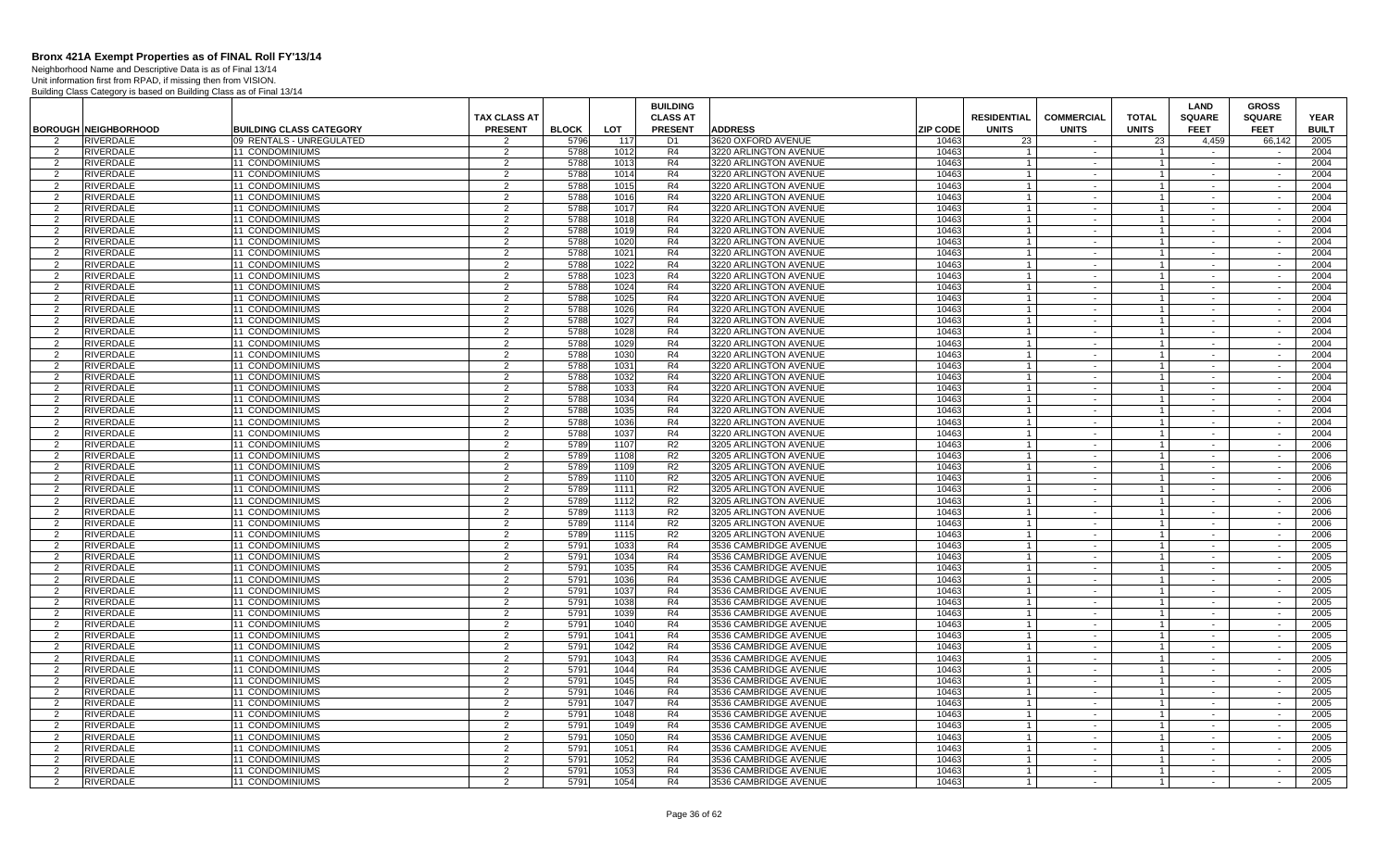Neighborhood Name and Descriptive Data is as of Final 13/14 Unit information first from RPAD, if missing then from VISION.

|                |                             |                                |                     |              |            | <b>BUILDING</b> |                       |                 |                    |                   |                | LAND          | <b>GROSS</b>  |              |
|----------------|-----------------------------|--------------------------------|---------------------|--------------|------------|-----------------|-----------------------|-----------------|--------------------|-------------------|----------------|---------------|---------------|--------------|
|                |                             |                                | <b>TAX CLASS AT</b> |              |            | <b>CLASS AT</b> |                       |                 | <b>RESIDENTIAL</b> | <b>COMMERCIAL</b> | <b>TOTAL</b>   | <b>SQUARE</b> | <b>SQUARE</b> | <b>YEAR</b>  |
|                | <b>BOROUGH NEIGHBORHOOD</b> | <b>BUILDING CLASS CATEGORY</b> | <b>PRESENT</b>      | <b>BLOCK</b> | <b>LOT</b> | <b>PRESENT</b>  | <b>ADDRESS</b>        | <b>ZIP CODE</b> | <b>UNITS</b>       | <b>UNITS</b>      | <b>UNITS</b>   | <b>FEET</b>   | <b>FEET</b>   | <b>BUILT</b> |
|                | <b>RIVERDALE</b>            | 09 RENTALS - UNREGULATED       |                     | 5796         | 117        | D <sub>1</sub>  | 3620 OXFORD AVENUE    | 10463           | 23                 |                   | 23             | 4.459         | 66.142        | 2005         |
| 2              | RIVERDALE                   | 11 CONDOMINIUMS                | 2                   | 5788         | 1012       | R4              | 3220 ARLINGTON AVENUE | 10463           |                    | $\sim$            |                | $\sim$        | $\sim$        | 2004         |
| 2              | <b>RIVERDALE</b>            | 11 CONDOMINIUMS                | $\mathcal{P}$       | 5788         | 1013       | R4              | 3220 ARLINGTON AVENUE | 10463           | $\overline{1}$     | $\sim$            | $\vert$ 1      | $\sim$        | $\sim$        | 2004         |
| 2              | <b>RIVERDALE</b>            | <b>11 CONDOMINIUMS</b>         | 2                   | 5788         | 1014       | R4              | 3220 ARLINGTON AVENUE | 10463           | $\overline{1}$     | $\sim$            | $\mathbf{1}$   |               | $\sim$        | 2004         |
| 2              | <b>RIVERDALE</b>            | 11 CONDOMINIUMS                | 2                   | 5788         | 1015       | R4              | 3220 ARLINGTON AVENUE | 10463           | $\overline{1}$     | $\sim$            | $\overline{1}$ | $\sim$        | $\sim$        | 2004         |
| 2              | RIVERDALE                   | <b>11 CONDOMINIUMS</b>         | 2                   | 5788         | 1016       | R <sub>4</sub>  | 3220 ARLINGTON AVENUE | 10463           |                    | $\sim$            | $\mathbf{1}$   |               |               | 2004         |
| 2              | RIVERDALE                   | <b>11 CONDOMINIUMS</b>         | 2                   | 5788         | 1017       | R <sub>4</sub>  | 3220 ARLINGTON AVENUE | 10463           |                    | $\sim$            | $\mathbf{1}$   | $\sim$        | $\sim$        | 2004         |
| 2              | <b>RIVERDALE</b>            | 11 CONDOMINIUMS                | $\overline{2}$      | 578          | 1018       | R4              | 3220 ARLINGTON AVENUE | 10463           |                    | $\sim$            | $\mathbf{1}$   |               |               | 2004         |
| 2              | RIVERDALE                   | 11 CONDOMINIUMS                | 2                   | 5788         | 1019       | R4              | 3220 ARLINGTON AVENUE | 10463           |                    | $\sim$            | $\mathbf{1}$   | $\sim$        | $\sim$        | 2004         |
| $\overline{2}$ | <b>RIVERDALE</b>            | 11 CONDOMINIUMS                | 2                   | 5788         | 1020       | R4              | 3220 ARLINGTON AVENUE | 10463           |                    | $\sim$            | $\mathbf{1}$   | $\sim$        | $\sim$        | 2004         |
| 2              | RIVERDALE                   | <b>11 CONDOMINIUMS</b>         | 2                   | 5788         | 1021       | R4              | 3220 ARLINGTON AVENUE | 10463           |                    | $\sim$            | $\mathbf{1}$   | $\sim$        | $\sim$        | 2004         |
| 2              | <b>RIVERDALE</b>            | <b>11 CONDOMINIUMS</b>         | $\mathcal{P}$       | 5788         | 1022       | R4              | 3220 ARLINGTON AVENUE | 10463           | $\overline{1}$     | $\sim$            | $\vert$ 1      | $\sim$        | $\sim$        | 2004         |
| 2              | <b>RIVERDALE</b>            | 11 CONDOMINIUMS                | 2                   | 5788         | 1023       | R4              | 3220 ARLINGTON AVENUE | 10463           | $\overline{1}$     | $\sim$            | $\mathbf{1}$   |               | $\sim$        | 2004         |
| 2              | <b>RIVERDALE</b>            | 11 CONDOMINIUMS                | 2                   | 5788         | 1024       | R4              | 3220 ARLINGTON AVENUE | 10463           | $\overline{1}$     | $\sim$            | $1 \vert$      | $\sim$        | $\sim$        | 2004         |
| 2              | RIVERDALE                   | 11 CONDOMINIUMS                | 2                   | 5788         | 1025       | R4              | 3220 ARLINGTON AVENUE | 10463           |                    | $\sim$            | $\mathbf{1}$   |               | $\sim$        | 2004         |
| 2              | RIVERDALE                   | <b>11 CONDOMINIUMS</b>         | 2                   | 5788         | 1026       | R <sub>4</sub>  | 3220 ARLINGTON AVENUE | 10463           |                    | $\sim$            | $\mathbf{1}$   | $\sim$        | $\sim$        | 2004         |
| 2              | <b>RIVERDALE</b>            | 11 CONDOMINIUMS                | 2                   | 5788         | 1027       | R4              | 3220 ARLINGTON AVENUE | 10463           |                    | $\sim$            | $\mathbf{1}$   |               |               | 2004         |
| 2              | <b>RIVERDALE</b>            | 11 CONDOMINIUMS                | 2                   | 5788         | 1028       | R4              | 3220 ARLINGTON AVENUE | 10463           |                    | $\sim$            | $\mathbf{1}$   | $\sim$        | $\sim$        | 2004         |
| 2              | <b>RIVERDALE</b>            | 11 CONDOMINIUMS                | 2                   | 5788         | 1029       | R4              | 3220 ARLINGTON AVENUE | 10463           | $\overline{1}$     | $\sim$            | $\mathbf{1}$   | $\sim$        | $\sim$        | 2004         |
| 2              | RIVERDALE                   | <b>11 CONDOMINIUMS</b>         | 2                   | 5788         | 1030       | R4              | 3220 ARLINGTON AVENUE | 10463           |                    | $\sim$            | $\mathbf{1}$   | $\sim$        | $\sim$        | 2004         |
| 2              | <b>RIVERDALE</b>            | <b>11 CONDOMINIUMS</b>         | $\mathcal{P}$       | 5788         | 1031       | R4              | 3220 ARLINGTON AVENUE | 10463           | $\mathbf{1}$       | $\sim$            | $\vert$ 1      | $\sim$        | $\sim$        | 2004         |
| $\mathcal{P}$  | <b>RIVERDALE</b>            | 11 CONDOMINIUMS                | $\mathcal{P}$       | 5788         | 1032       | R4              | 3220 ARLINGTON AVENUE | 10463           | $\overline{1}$     | $\sim$            | $\mathbf{1}$   | $\sim$        | $\sim$        | 2004         |
| 2              | RIVERDALE                   | 11 CONDOMINIUMS                | $\overline{2}$      | 5788         | 1033       | R4              | 3220 ARLINGTON AVENUE | 10463           | -1                 | $\sim$            | $1 \vert$      | $\sim$        | $\sim$        | 2004         |
| 2              | <b>RIVERDALE</b>            | 11 CONDOMINIUMS                | 2                   | 5788         | 1034       | R4              | 3220 ARLINGTON AVENUE | 10463           |                    | $\sim$            | $\mathbf{1}$   |               |               | 2004         |
| 2              | RIVERDALE                   | <b>11 CONDOMINIUMS</b>         | 2                   | 5788         | 1035       | R <sub>4</sub>  | 3220 ARLINGTON AVENUE | 10463           |                    | $\sim$            | $\mathbf{1}$   | $\sim$        | $\sim$        | 2004         |
| 2              | <b>RIVERDALE</b>            | 11 CONDOMINIUMS                | $\overline{2}$      | 5788         | 1036       | R4              | 3220 ARLINGTON AVENUE | 10463           |                    | $\sim$            | $\mathbf{1}$   |               |               | 2004         |
| 2              | RIVERDALE                   | 11 CONDOMINIUMS                | 2                   | 5788         | 1037       | R4              | 3220 ARLINGTON AVENUE | 10463           |                    | $\sim$            | $\mathbf{1}$   | $\sim$        | $\sim$        | 2004         |
| 2              | <b>RIVERDALE</b>            | 11 CONDOMINIUMS                | 2                   | 5789         | 1107       | R2              | 3205 ARLINGTON AVENUE | 10463           | $\overline{1}$     | $\sim$            | $\overline{1}$ | $\sim$        | $\sim$        | 2006         |
| 2              | <b>RIVERDALE</b>            | <b>11 CONDOMINIUMS</b>         | 2                   | 5789         | 1108       | R2              | 3205 ARLINGTON AVENUE | 10463           |                    | $\sim$            | $\mathbf{1}$   | $\sim$        | $\sim$        | 2006         |
| 2              | <b>RIVERDALE</b>            | <b>11 CONDOMINIUMS</b>         | 2                   | 5789         | 1109       | R <sub>2</sub>  | 3205 ARLINGTON AVENUE | 10463           | $\overline{1}$     | $\sim$            | $\vert$ 1      | $\sim$        | $\sim$        | 2006         |
| 2              | <b>RIVERDALE</b>            | <b>11 CONDOMINIUMS</b>         | $\mathcal{P}$       | 5789         | 1110       | R <sub>2</sub>  | 3205 ARLINGTON AVENUE | 10463           | $\overline{1}$     | $\sim$            | $\mathbf{1}$   | $\sim$        |               | 2006         |
| 2              | <b>RIVERDALE</b>            | 11 CONDOMINIUMS                | 2                   | 5789         | 1111       | R2              | 3205 ARLINGTON AVENUE | 10463           | -1                 | $\sim$            | $\mathbf{1}$   | $\sim$        | $\sim$        | 2006         |
| 2              | <b>RIVERDALE</b>            | 11 CONDOMINIUMS                | $\overline{2}$      | 578          | 1112       | R <sub>2</sub>  | 3205 ARLINGTON AVENUE | 10463           |                    | $\sim$            | $\mathbf{1}$   |               |               | 2006         |
| 2              | <b>RIVERDALE</b>            | <b>11 CONDOMINIUMS</b>         | 2                   | 578          | 1113       | R <sub>2</sub>  | 3205 ARLINGTON AVENUE | 10463           |                    | $\sim$            | $\mathbf{1}$   | $\sim$        | $\sim$        | 2006         |
| 2              | <b>RIVERDALE</b>            | <b>11 CONDOMINIUMS</b>         | 2                   | 578          | 1114       | R <sub>2</sub>  | 3205 ARLINGTON AVENUE | 10463           |                    | $\sim$            | $\mathbf{1}$   |               | $\sim$        | 2006         |
| 2              | RIVERDALE                   | 11 CONDOMINIUMS                | 2                   | 5789         | 1115       | R <sub>2</sub>  | 3205 ARLINGTON AVENUE | 10463           |                    | $\sim$            | $\mathbf{1}$   | $\sim$        | $\sim$        | 2006         |
| 2              | <b>RIVERDALE</b>            | 11 CONDOMINIUMS                | 2                   | 5791         | 1033       | R4              | 3536 CAMBRIDGE AVENUE | 10463           | $\overline{1}$     | $\sim$            | $\overline{1}$ | $\sim$        | $\sim$        | 2005         |
| 2              | <b>RIVERDALE</b>            | <b>11 CONDOMINIUMS</b>         | 2                   | 5791         | 1034       | R4              | 3536 CAMBRIDGE AVENUE | 10463           |                    | $\sim$            | $\mathbf{1}$   | $\sim$        | $\sim$        | 2005         |
| 2              | <b>RIVERDALE</b>            | <b>11 CONDOMINIUMS</b>         | $\mathcal{P}$       | 5791         | 1035       | R4              | 3536 CAMBRIDGE AVENUE | 10463           | $\mathbf{1}$       | $\sim$            | $\vert$ 1      | $\sim$        | $\sim$        | 2005         |
| 2              | <b>RIVERDALE</b>            | <b>11 CONDOMINIUMS</b>         | 2                   | 579'         | 1036       | R4              | 3536 CAMBRIDGE AVENUE | 10463           | $\overline{1}$     | $\sim$            | 1 <sup>1</sup> | $\sim$        | $\sim$        | 2005         |
| $\overline{2}$ | <b>RIVERDALE</b>            | 11 CONDOMINIUMS                | 2                   | 579'         | 1037       | R4              | 3536 CAMBRIDGE AVENUE | 10463           |                    | $\sim$            | $\mathbf{1}$   | $\sim$        | $\sim$        | 2005         |
| 2              | <b>RIVERDALE</b>            | 11 CONDOMINIUMS                | 2                   | 579'         | 1038       | R4              | 3536 CAMBRIDGE AVENUE | 10463           |                    | $\sim$            | $\mathbf{1}$   |               |               | 2005         |
| 2              | <b>RIVERDALE</b>            | <b>11 CONDOMINIUMS</b>         | 2                   | 5791         | 1039       | R <sub>4</sub>  | 3536 CAMBRIDGE AVENUE | 10463           |                    | $\sim$            | $\mathbf{1}$   | $\sim$        | $\sim$        | 2005         |
| 2              | <b>RIVERDALE</b>            | 11 CONDOMINIUMS                | 2                   | 5791         | 1040       | R4              | 3536 CAMBRIDGE AVENUE | 10463           |                    | $\sim$            | $\mathbf{1}$   |               | $\sim$        | 2005         |
| $\mathcal{P}$  | RIVERDALE                   | 11 CONDOMINIUMS                | 2                   | 5791         | 1041       | R <sub>4</sub>  | 3536 CAMBRIDGE AVENUE | 10463           |                    | $\sim$            |                | $\sim$        | $\sim$        | 2005         |
| 2              | RIVERDALE                   | 11 CONDOMINIUMS                | 2                   | 5791         | 1042       | R4              | 3536 CAMBRIDGE AVENUE | 10463           | $\overline{1}$     | $\sim$            | 1 <sup>1</sup> | $\sim$        | $\sim$        | 2005         |
| 2              | RIVERDALE                   | <b>11 CONDOMINIUMS</b>         | 2                   | 5791         | 1043       | R4              | 3536 CAMBRIDGE AVENUE | 10463           |                    | $\sim$            | $\mathbf{1}$   | $\sim$        | $\sim$        | 2005         |
| 2              | <b>RIVERDALE</b>            | <b>11 CONDOMINIUMS</b>         | 2                   | 579'         | 1044       | R4              | 3536 CAMBRIDGE AVENUE | 10463           | $\overline{1}$     | $\sim$            | $\overline{1}$ | $\sim$        | $\sim$        | 2005         |
| 2              | <b>RIVERDALE</b>            | 11 CONDOMINIUMS                | 2                   | 5791         | 1045       | R <sub>4</sub>  | 3536 CAMBRIDGE AVENUE | 10463           |                    | $\sim$            | $\mathbf{1}$   |               | $\sim$        | 2005         |
| 2              | RIVERDALE                   | 11 CONDOMINIUMS                | 2                   | 5791         | 1046       | R4              | 3536 CAMBRIDGE AVENUE | 10463           |                    | $\sim$            | $\mathbf{1}$   | $\sim$        | $\sim$        | 2005         |
| $\overline{2}$ | <b>RIVERDALE</b>            | 11 CONDOMINIUMS                | $\overline{2}$      | 579'         | 1047       | R4              | 3536 CAMBRIDGE AVENUE | 10463           |                    | $\sim$            | $\mathbf{1}$   |               | $\sim$        | 2005         |
| 2              | RIVERDALE                   | <b>11 CONDOMINIUMS</b>         | 2                   | 5791         | 1048       | R4              | 3536 CAMBRIDGE AVENUE | 10463           |                    | $\sim$            | $\mathbf{1}$   | $\sim$        | $\sim$        | 2005         |
| 2              | <b>RIVERDALE</b>            | 11 CONDOMINIUMS                | 2                   | 5791         | 1049       | R4              | 3536 CAMBRIDGE AVENUE | 10463           |                    | $\sim$            | $\mathbf{1}$   | $\sim$        | $\sim$        | 2005         |
| $\mathcal{P}$  | RIVERDALE                   | 11 CONDOMINIUMS                | 2                   | 5791         | 1050       | R4              | 3536 CAMBRIDGE AVENUE | 10463           |                    | $\sim$            |                | $\sim$        | $\sim$        | 2005         |
| 2              | RIVERDALE                   | 11 CONDOMINIUMS                | 2                   | 5791         | 1051       | R4              | 3536 CAMBRIDGE AVENUE | 10463           | $\overline{1}$     | $\sim$            | 1 <sup>1</sup> | $\sim$        | $\sim$        | 2005         |
| $\mathcal{P}$  | RIVERDALE                   | 11 CONDOMINIUMS                | $\mathfrak{p}$      | 5791         | 1052       | R4              | 3536 CAMBRIDGE AVENUE | 10463           |                    | $\sim$            | $-1$           | $\sim$        | $\sim$        | 2005         |
| 2              | <b>RIVERDALE</b>            | <b>11 CONDOMINIUMS</b>         | 2                   | 5791         | 1053       | R4              | 3536 CAMBRIDGE AVENUE | 10463           | $\overline{1}$     | $\sim$            | $\overline{1}$ | $\sim$        | $\sim$        | 2005         |
| 2              | <b>RIVERDALE</b>            | <b>11 CONDOMINIUMS</b>         | 2                   | 5791         | 1054       | R4              | 3536 CAMBRIDGE AVENUE | 10463           |                    | $\sim$            | $\mathbf{1}$   |               | $\sim$        | 2005         |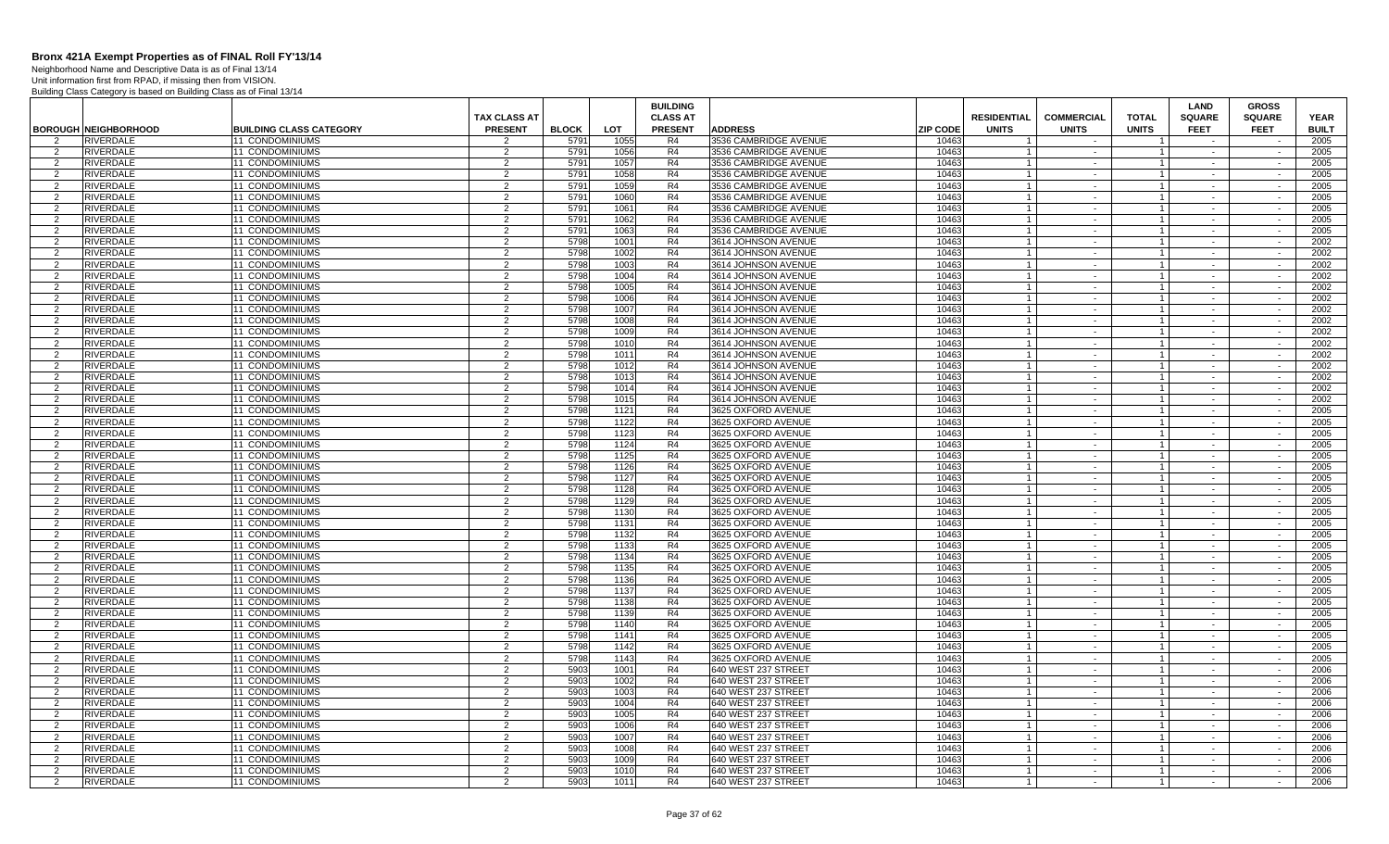Neighborhood Name and Descriptive Data is as of Final 13/14 Unit information first from RPAD, if missing then from VISION.

|                    |                                      |                                           |                     |              |              | <b>BUILDING</b> |                                          |                 |                    |                   |                                | LAND             | <b>GROSS</b>     |              |
|--------------------|--------------------------------------|-------------------------------------------|---------------------|--------------|--------------|-----------------|------------------------------------------|-----------------|--------------------|-------------------|--------------------------------|------------------|------------------|--------------|
|                    |                                      |                                           | <b>TAX CLASS AT</b> |              |              | <b>CLASS AT</b> |                                          |                 | <b>RESIDENTIAL</b> | <b>COMMERCIAL</b> | <b>TOTAL</b>                   | <b>SQUARE</b>    | <b>SQUARE</b>    | <b>YEAR</b>  |
|                    | <b>BOROUGH NEIGHBORHOOD</b>          | <b>BUILDING CLASS CATEGORY</b>            | <b>PRESENT</b>      | <b>BLOCK</b> | <b>LOT</b>   | <b>PRESENT</b>  | <b>ADDRESS</b>                           | <b>ZIP CODE</b> | <b>UNITS</b>       | <b>UNITS</b>      | <b>UNITS</b>                   | <b>FEET</b>      | <b>FEET</b>      | <b>BUILT</b> |
|                    | <b>RIVERDALE</b>                     | <b>11 CONDOMINIUMS</b>                    |                     | 5791         | 1055         | R4              | 3536 CAMBRIDGE AVENUE                    | 10463           |                    |                   |                                |                  |                  | 2005         |
| 2                  | RIVERDALE                            | <b>11 CONDOMINIUMS</b>                    | 2                   | 579          | 1056         | R4              | 3536 CAMBRIDGE AVENUE                    | 10463           |                    | $\sim$            | $\mathbf{1}$                   | $\sim$           | $\sim$           | 2005         |
| 2                  | <b>RIVERDALE</b>                     | 11 CONDOMINIUMS                           | $\mathcal{P}$       | 5791         | 1057         | R4              | 3536 CAMBRIDGE AVENUE                    | 10463           | $\overline{1}$     | $\sim$            | $\vert$ 1                      | $\sim$           | $\sim$           | 2005         |
| 2                  | <b>RIVERDALE</b>                     | <b>11 CONDOMINIUMS</b>                    | 2                   | 5791         | 1058         | R4              | 3536 CAMBRIDGE AVENUE                    | 10463           |                    | $\sim$            | $\mathbf{1}$                   |                  | $\sim$           | 2005         |
| 2                  | <b>RIVERDALE</b>                     | <b>11 CONDOMINIUMS</b>                    | 2                   | 5791         | 1059         | R4              | 3536 CAMBRIDGE AVENUE                    | 10463           | $\overline{1}$     | $\sim$            | $\overline{1}$                 | $\sim$           | $\sim$           | 2005         |
| $\mathcal{P}$      | <b>RIVERDALE</b>                     | 11 CONDOMINIUMS                           | $\mathfrak{p}$      | 5791         | 1060         | R <sub>4</sub>  | 3536 CAMBRIDGE AVENUE                    | 10463           |                    |                   | $\mathbf{1}$                   |                  |                  | 2005         |
| 2                  | RIVERDALE                            | 11 CONDOMINIUMS                           | 2                   | 5791         | 1061         | R4              | 3536 CAMBRIDGE AVENUE                    | 10463           |                    | $\sim$            | $\mathbf{1}$                   | $\sim$           | $\sim$           | 2005         |
| 2                  | RIVERDALE                            | 11 CONDOMINIUMS                           | $\overline{2}$      | 5791         | 1062         | R4              | 3536 CAMBRIDGE AVENUE                    | 10463           |                    | $\sim$            | $\mathbf{1}$                   |                  |                  | 2005         |
| 2                  | <b>RIVERDALE</b>                     | <b>11 CONDOMINIUMS</b>                    | 2                   | 5791         | 1063         | R4              | 3536 CAMBRIDGE AVENUE                    | 10463           |                    | $\sim$            | $\mathbf{1}$                   | $\sim$           | $\sim$           | 2005         |
| 2                  | <b>RIVERDALE</b>                     | <b>11 CONDOMINIUMS</b>                    | 2                   | 5798         | 1001         | R <sub>4</sub>  | 3614 JOHNSON AVENUE                      | 10463           |                    | $\sim$            | $\mathbf{1}$                   | $\sim$           | $\sim$           | 2002         |
| 2                  | RIVERDALE                            | <b>11 CONDOMINIUMS</b>                    | 2                   | 5798         | 1002         | R4              | 3614 JOHNSON AVENUE                      | 10463           |                    | $\sim$            | $\mathbf{1}$                   | $\sim$           | $\sim$           | 2002         |
| 2                  | <b>RIVERDALE</b>                     | 11 CONDOMINIUMS                           | $\mathcal{P}$       | 5798         | 1003         | R4              | 3614 JOHNSON AVENUE                      | 10463           | $\overline{1}$     | $\sim$            | $\vert$ 1                      | $\sim$           | $\sim$           | 2002         |
| 2                  | <b>RIVERDALE</b>                     | 11 CONDOMINIUMS                           | 2                   | 5798         | 1004         | R <sub>4</sub>  | 3614 JOHNSON AVENUE                      | 10463           |                    | $\sim$            | $\mathbf{1}$                   | $\sim$           | $\sim$           | 2002         |
| 2                  | <b>RIVERDALE</b>                     | <b>11 CONDOMINIUMS</b>                    | 2                   | 5798         | 1005         | R4              | 3614 JOHNSON AVENUE                      | 10463           | $\overline{1}$     | $\sim$            | $\mathbf{1}$                   | $\sim$           | $\sim$           | 2002         |
| $\mathcal{P}$      | RIVERDALE                            | 11 CONDOMINIUMS                           | $\overline{2}$      | 5798         | 1006         | R4              | 3614 JOHNSON AVENUE                      | 10463           |                    | $\sim$            | $\mathbf{1}$                   |                  | $\sim$           | 2002         |
| 2                  | RIVERDALE                            | 11 CONDOMINIUMS                           | 2                   | 5798         | 1007         | R4              | 3614 JOHNSON AVENUE                      | 10463           |                    | $\sim$            | $\mathbf{1}$                   | $\sim$           | $\sim$           | 2002         |
| 2                  | <b>RIVERDALE</b>                     | 11 CONDOMINIUMS                           | $\overline{2}$      | 5798         | 1008         | R4              | 3614 JOHNSON AVENUE                      | 10463           |                    | $\sim$            | $\mathbf{1}$                   | $\sim$           | $\sim$           | 2002         |
| 2                  | RIVERDALE                            | <b>11 CONDOMINIUMS</b>                    | 2                   | 5798         | 1009         | R <sub>4</sub>  | 3614 JOHNSON AVENUE                      | 10463           |                    | $\sim$            | 1                              | $\sim$           | $\sim$           | 2002         |
| 2                  | RIVERDALE                            | <b>11 CONDOMINIUMS</b>                    | $\mathcal{P}$       | 5798         | 1010         | R4              | 3614 JOHNSON AVENUE                      | 10463           | $\overline{1}$     | $\sim$            | $\mathbf{1}$                   | $\sim$           | $\sim$           | 2002         |
| $\mathcal{P}$      | <b>RIVERDALE</b>                     | 11 CONDOMINIUMS                           | $\mathfrak{p}$      | 5798         | 1011         | R4              | 3614 JOHNSON AVENUE                      | 10463           |                    | $\sim$            | $\mathbf{1}$                   | $\sim$           | $\sim$           | 2002         |
| 2                  | <b>RIVERDALE</b>                     | 11 CONDOMINIUMS                           | $\overline{2}$      | 5798         | 1012         | R4              | 3614 JOHNSON AVENUE                      | 10463           | $\mathbf{1}$       | $\sim$            | $\vert$ 1                      | $\sim$           | $\sim$           | 2002         |
| 2                  | <b>RIVERDALE</b>                     | <b>11 CONDOMINIUMS</b>                    | 2                   | 5798         | 1013         | R4              | 3614 JOHNSON AVENUE                      | 10463           |                    | $\sim$            | $\mathbf{1}$                   | $\sim$           | $\sim$           | 2002         |
| 2                  | RIVERDALE                            | <b>11 CONDOMINIUMS</b>                    | 2                   | 5798         | 1014         | R4              | 3614 JOHNSON AVENUE                      | 10463           |                    | $\sim$            | $\mathbf{1}$                   | $\sim$           | $\sim$           | 2002         |
| 2                  | <b>RIVERDALE</b>                     | <b>11 CONDOMINIUMS</b>                    | $\overline{2}$      | 5798         | 1015         | R <sub>4</sub>  | 3614 JOHNSON AVENUE                      | 10463           |                    | $\sim$            | $\mathbf{1}$                   | $\sim$           | $\sim$           | 2002         |
| 2                  | RIVERDALE                            | 11 CONDOMINIUMS                           | 2                   | 5798         | 1121         | R4              | 3625 OXFORD AVENUE                       | 10463           |                    | $\sim$            | $\mathbf{1}$                   | $\sim$           | $\sim$           | 2005         |
| 2                  | RIVERDALE                            | 11 CONDOMINIUMS                           | $\overline{2}$      | 5798         | 1122         | R <sub>4</sub>  | 3625 OXFORD AVENUE                       | 10463           |                    | $\sim$            | $\mathbf{1}$                   | $\sim$           | $\sim$           | 2005         |
| 2                  | RIVERDALE                            | <b>11 CONDOMINIUMS</b>                    | 2                   | 5798         | 1123         | R4              | 3625 OXFORD AVENUE                       | 10463           |                    | $\sim$            |                                | $\sim$           |                  | 2005         |
| 2                  | <b>RIVERDALE</b>                     | <b>11 CONDOMINIUMS</b>                    | $\overline{2}$      | 5798         | 1124         | R4              | 3625 OXFORD AVENUE                       | 10463           | $\overline{1}$     | $\sim$            | $\vert$ 1                      | $\sim$           | $\sim$           | 2005         |
| $\mathcal{P}$      | <b>RIVERDALE</b>                     | 11 CONDOMINIUMS                           | $\mathfrak{p}$      | 5798         | 1125         | R <sub>4</sub>  | 3625 OXFORD AVENUE                       | 10463           | $\overline{1}$     | $\sim$            | $\mathbf{1}$                   | $\sim$           | $\sim$           | 2005         |
| 2                  | <b>RIVERDALE</b>                     | 11 CONDOMINIUMS                           | 2                   | 5798         | 1126         | R4              | 3625 OXFORD AVENUE                       | 10463           | $\overline{1}$     | $\sim$            | $\vert$ 1                      | $\sim$           | $\sim$           | 2005         |
| 2                  | <b>RIVERDALE</b>                     | <b>11 CONDOMINIUMS</b>                    | 2                   | 5798         | 1127         | R4              | 3625 OXFORD AVENUE                       | 10463           | $\overline{1}$     | $\sim$            | 1 <sup>1</sup>                 | $\sim$           | $\sim$           | 2005         |
| 2                  | <b>RIVERDALE</b>                     | <b>11 CONDOMINIUMS</b>                    | 2                   | 5798         | 1128         | R4              | 3625 OXFORD AVENUE                       | 10463           |                    | $\sim$            | $\overline{1}$                 | $\sim$           | $\sim$           | 2005         |
| 2                  | RIVERDALE                            | 11 CONDOMINIUMS                           | $\overline{2}$      | 5798         | 1129         | R4              | 3625 OXFORD AVENUE                       | 10463           |                    | $\sim$            | $\mathbf{1}$                   | $\sim$           | $\sim$           | 2005         |
| 2                  | RIVERDALE                            | 11 CONDOMINIUMS                           | 2                   | 5798         | 1130         | R4              | 3625 OXFORD AVENUE                       | 10463           |                    | $\sim$            | $\mathbf{1}$                   | $\sim$           | $\sim$           | 2005         |
| 2                  | <b>RIVERDALE</b>                     | 11 CONDOMINIUMS                           | 2                   | 5798         | 1131         | R <sub>4</sub>  | 3625 OXFORD AVENUE                       | 10463           |                    | $\sim$            | $\mathbf{1}$                   | $\sim$           | $\sim$           | 2005         |
| 2                  | RIVERDALE                            | <b>11 CONDOMINIUMS</b>                    | 2                   | 579          | 1132         | R4              | 3625 OXFORD AVENUE                       | 10463           |                    | $\sim$            |                                |                  |                  | 2005         |
| 2                  | <b>RIVERDALE</b>                     | <b>11 CONDOMINIUMS</b>                    | $\overline{2}$      | 5798         | 1133         | R <sub>4</sub>  | 3625 OXFORD AVENUE                       | 10463           | $\overline{1}$     | $\sim$            | 1 <sup>1</sup>                 | $\sim$           | $\sim$           | 2005         |
| 2                  | <b>RIVERDALE</b>                     | 11 CONDOMINIUMS                           | $\mathfrak{p}$      | 5798         | 1134         | R <sub>4</sub>  | 3625 OXFORD AVENUE                       | 10463           | $\overline{1}$     | $\sim$            | $\mathbf{1}$                   | $\sim$           | $\sim$           | 2005         |
| 2                  | <b>RIVERDALE</b>                     | 11 CONDOMINIUMS                           | 2                   | 5798         | 1135         | R4              | 3625 OXFORD AVENUE                       | 10463           | $\overline{1}$     | $\sim$            | $\overline{1}$                 | $\sim$           | $\sim$           | 2005         |
| 2                  | <b>RIVERDALE</b>                     | 11 CONDOMINIUMS                           | $\overline{2}$      | 5798         | 1136         | R4              | 3625 OXFORD AVENUE                       | 10463           | $\overline{1}$     | $\sim$            | $1 \vert$                      |                  | $\sim$           | 2005         |
| 2                  | <b>RIVERDALE</b>                     | <b>11 CONDOMINIUMS</b>                    | 2                   | 5798         | 1137         | R4              | 3625 OXFORD AVENUE                       | 10463           |                    | $\sim$            | $\overline{1}$                 | $\sim$           | $\sim$           | 2005         |
| $\overline{2}$     | RIVERDALE                            | 11 CONDOMINIUMS                           | $\overline{2}$      | 5798         | 1138         | R4              | 3625 OXFORD AVENUE                       | 10463           |                    | $\sim$            | $\mathbf{1}$                   | $\sim$           | $\sim$           | 2005         |
| 2                  | RIVERDALE                            | 11 CONDOMINIUMS                           | 2                   | 5798         | 1139         | R4<br>R4        | 3625 OXFORD AVENUE                       | 10463<br>10463  |                    | $\sim$            | $\mathbf{1}$                   | $\sim$<br>$\sim$ | $\sim$<br>$\sim$ | 2005         |
| 2<br>$\mathcal{P}$ | <b>RIVERDALE</b><br><b>RIVERDALE</b> | 11 CONDOMINIUMS<br><b>11 CONDOMINIUMS</b> | $\overline{2}$<br>2 | 5798<br>5798 | 1140<br>1141 | R4              | 3625 OXFORD AVENUE<br>3625 OXFORD AVENUE | 10463           | $\overline{1}$     | $\sim$<br>$\sim$  | $\overline{1}$<br>$\mathbf{1}$ |                  | $\sim$           | 2005<br>2005 |
| 2                  |                                      |                                           | $\overline{2}$      |              |              | R4              |                                          |                 | $\overline{1}$     | $\sim$            | 1 <sup>1</sup>                 | $\sim$           | $\sim$           |              |
| $\overline{2}$     | <b>RIVERDALE</b><br><b>RIVERDALE</b> | 11 CONDOMINIUMS<br><b>11 CONDOMINIUMS</b> | 2                   | 5798<br>5798 | 1142<br>1143 | R4              | 3625 OXFORD AVENUE<br>3625 OXFORD AVENUE | 10463<br>10463  | $\overline{1}$     | $\sim$            | $\mathbf{1}$                   |                  | $\sim$           | 2005<br>2005 |
|                    | <b>RIVERDALE</b>                     | 11 CONDOMINIUMS                           |                     | 5903         | 1001         | R4              | 640 WEST 237 STREET                      | 10463           |                    |                   |                                | $\sim$           |                  | 2006         |
| 2<br>2             | <b>RIVERDALE</b>                     | 11 CONDOMINIUMS                           | 2<br>2              | 5903         | 1002         | R4              | 640 WEST 237 STREET                      | 10463           | -1                 | $\sim$<br>$\sim$  | 1 <sup>1</sup><br>$\mathbf{1}$ | $\sim$           | $\sim$           | 2006         |
| 2                  | <b>RIVERDALE</b>                     | <b>11 CONDOMINIUMS</b>                    | 2                   | 5903         | 1003         | R4              | 640 WEST 237 STREET                      | 10463           |                    | $\sim$            | $\mathbf{1}$                   | $\sim$           | $\sim$           | 2006         |
| $\overline{2}$     | <b>RIVERDALE</b>                     | 11 CONDOMINIUMS                           | $\mathcal{P}$       | 5903         | 1004         | R4              | 640 WEST 237 STREET                      | 10463           |                    | $\sim$            | $\mathbf{1}$                   | $\sim$           | $\sim$           | 2006         |
| 2                  | RIVERDALE                            | 11 CONDOMINIUMS                           | 2                   | 5903         | 1005         | R4              | 640 WEST 237 STREET                      | 10463           |                    | $\sim$            | $\mathbf{1}$                   | $\sim$           | $\sim$           | 2006         |
| 2                  | <b>RIVERDALE</b>                     | 11 CONDOMINIUMS                           | $\overline{2}$      | 5903         | 1006         | R4              | 640 WEST 237 STREET                      | 10463           | $\overline{1}$     | $\sim$            | $\overline{1}$                 | $\sim$           | $\sim$           | 2006         |
| $\mathcal{P}$      | <b>RIVERDALE</b>                     | <b>11 CONDOMINIUMS</b>                    | $\mathcal{P}$       | 5903         | 1007         | R4              | 640 WEST 237 STREET                      | 10463           | $\overline{1}$     | $\sim$            | $\mathbf{1}$                   |                  | $\sim$           | 2006         |
| 2                  | <b>RIVERDALE</b>                     | 11 CONDOMINIUMS                           | $\mathcal{P}$       | 5903         | 1008         | R4              | 640 WEST 237 STREET                      | 10463           | $\overline{1}$     | $\sim$            | 1 <sup>1</sup>                 | $\sim$           | $\sim$           | 2006         |
| 2                  | RIVERDALE                            | <b>11 CONDOMINIUMS</b>                    | 2                   | 5903         | 1009         | R <sub>4</sub>  | 640 WEST 237 STREET                      | 10463           | $\overline{1}$     | $\sim$            | $\mathbf{1}$                   |                  |                  | 2006         |
| 2                  | <b>RIVERDALE</b>                     | 11 CONDOMINIUMS                           | 2                   | 5903         | 1010         | R <sub>4</sub>  | 640 WEST 237 STREET                      | 10463           |                    | $\sim$            | $\mathbf{1}$                   | $\sim$           | $\sim$           | 2006         |
| 2                  | <b>RIVERDALE</b>                     | 11 CONDOMINIUMS                           | $\mathfrak{p}$      | 5903         | 1011         | R4              | 640 WEST 237 STREET                      | 10463           |                    |                   | 1 <sup>1</sup>                 |                  | $\sim$           | 2006         |
|                    |                                      |                                           |                     |              |              |                 |                                          |                 |                    |                   |                                |                  |                  |              |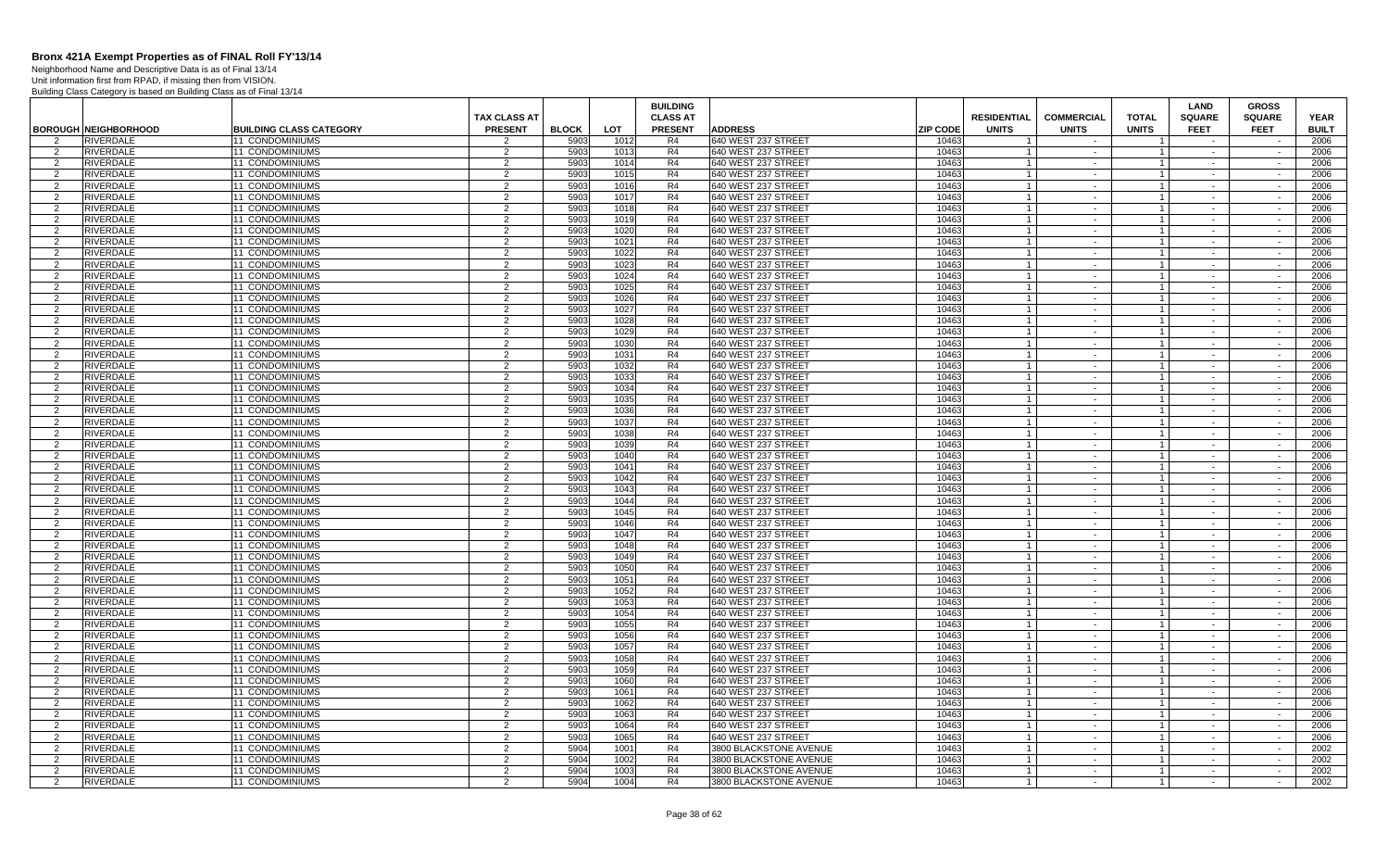Neighborhood Name and Descriptive Data is as of Final 13/14 Unit information first from RPAD, if missing then from VISION.

|                     |                                      |                                           |                     |              |              | <b>BUILDING</b>      |                                            |                 |                    |                      |                                  | <b>LAND</b>      | <b>GROSS</b>     |              |
|---------------------|--------------------------------------|-------------------------------------------|---------------------|--------------|--------------|----------------------|--------------------------------------------|-----------------|--------------------|----------------------|----------------------------------|------------------|------------------|--------------|
|                     |                                      |                                           | <b>TAX CLASS AT</b> |              |              | <b>CLASS AT</b>      |                                            |                 | <b>RESIDENTIAL</b> | <b>COMMERCIAL</b>    | <b>TOTAL</b>                     | <b>SQUARE</b>    | <b>SQUARE</b>    | <b>YEAR</b>  |
|                     | <b>BOROUGH NEIGHBORHOOD</b>          | <b>BUILDING CLASS CATEGORY</b>            | <b>PRESENT</b>      | <b>BLOCK</b> | <b>LOT</b>   | <b>PRESENT</b>       | <b>ADDRESS</b>                             | <b>ZIP CODE</b> | <b>UNITS</b>       | <b>UNITS</b>         | <b>UNITS</b>                     | <b>FEET</b>      | <b>FEET</b>      | <b>BUILT</b> |
| 2                   | <b>RIVERDALE</b>                     | <b>11 CONDOMINIUMS</b>                    | 2                   | 5903         | 1012         | R4                   | 640 WEST 237 STREET                        | 10463           | $\overline{1}$     | $\sim$               | $\overline{1}$                   | $\sim$           |                  | 2006         |
| 2                   | <b>RIVERDALE</b>                     | <b>11 CONDOMINIUMS</b>                    | 2                   | 5903         | 1013         | R4                   | 640 WEST 237 STREET                        | 10463           |                    | $\sim$               | $\overline{1}$                   | $\sim$           |                  | 2006         |
| 2                   | <b>RIVERDALE</b>                     | 11 CONDOMINIUMS                           | 2                   | 5903         | 1014         | R4                   | 640 WEST 237 STREET                        | 10463           | $\overline{1}$     | $\sim$ $-$           | $\overline{1}$                   | $\sim$           | $\sim$           | 2006         |
| $\mathcal{P}$       | RIVERDALE                            | 11 CONDOMINIUMS                           | 2                   | 5903         | 1015         | R4                   | 640 WEST 237 STREET                        | 10463           |                    | $\sim$               | $\overline{1}$                   |                  |                  | 2006         |
| 2                   | <b>RIVERDALE</b>                     | 11 CONDOMINIUMS                           | $\overline{2}$      | 5903         | 1016         | R4                   | 640 WEST 237 STREET                        | 10463           |                    | $\sim$               | $\overline{1}$                   | $\sim$           | $\sim$           | 2006         |
| $\mathcal{P}$       | <b>RIVERDALE</b>                     | 11 CONDOMINIUMS                           | 2                   | 5903         | 1017         | R4                   | 640 WEST 237 STREET                        | 10463           |                    | $\sim$               | $\overline{1}$                   | $\sim$           | $\sim$           | 2006         |
| 2                   | <b>RIVERDALE</b>                     | <b>11 CONDOMINIUMS</b>                    | $\overline{2}$      | 5903         | 1018         | R <sub>4</sub>       | 640 WEST 237 STREET                        | 10463           |                    | $\sim$               | $\overline{1}$                   | $\sim$           | $\sim$           | 2006         |
| $\mathcal{P}$       | <b>RIVERDALE</b>                     | 11 CONDOMINIUMS                           | $\overline{2}$      | 5903         | 1019         | R4                   | 640 WEST 237 STREET                        | 10463           | $\overline{1}$     | $\sim$               | $\overline{1}$                   | $\sim$           |                  | 2006         |
| $\overline{2}$      | <b>RIVERDALE</b>                     | 11 CONDOMINIUMS                           | 2                   | 5903         | 1020         | R <sub>4</sub>       | 640 WEST 237 STREET                        | 10463           |                    | $\sim$               | $\mathbf{1}$                     | $\sim$           | $\sim$           | 2006         |
| 2                   | <b>RIVERDALE</b>                     | 11 CONDOMINIUMS                           | $\overline{2}$      | 5903         | 1021         | R4                   | 640 WEST 237 STREET                        | 10463           | $\overline{1}$     | $\sim$               | $\overline{1}$                   | $\sim$           | $\sim$           | 2006         |
| $\overline{2}$      | <b>RIVERDALE</b>                     | 11 CONDOMINIUMS                           | 2                   | 5903         | 1022         | R4                   | 640 WEST 237 STREET                        | 10463           |                    | $\sim$               | $\overline{1}$                   | $\sim$           | $\sim$           | 2006         |
| 2                   | <b>RIVERDALE</b>                     | 11 CONDOMINIUMS                           | 2                   | 5903         | 1023         | R4                   | 640 WEST 237 STREET                        | 10463           | $\overline{1}$     | $\sim$ $-$           | $\overline{1}$                   | $\sim$           | $\sim$           | 2006         |
| $\overline{2}$      | <b>RIVERDALE</b>                     | 11 CONDOMINIUMS                           | 2                   | 5903         | 1024         | R <sub>4</sub>       | 640 WEST 237 STREET                        | 10463           |                    | $\sim$               | $\overline{1}$                   |                  |                  | 2006         |
| 2                   | RIVERDALE                            | 11 CONDOMINIUMS                           | $\overline{2}$      | 5903         | 1025         | R4                   | 640 WEST 237 STREET                        | 10463           |                    | $\sim$               | $\mathbf{1}$                     | $\sim$           | $\sim$           | 2006         |
| $\overline{2}$      | <b>RIVERDALE</b>                     | 11 CONDOMINIUMS                           | $\overline{2}$      | 5903         | 1026         | R4                   | 640 WEST 237 STREET                        | 10463           |                    | $\sim$               | $\overline{1}$                   | $\sim$           | $\sim$           | 2006         |
| 2<br>$\mathcal{D}$  | <b>RIVERDALE</b>                     | <b>11 CONDOMINIUMS</b>                    | $\overline{2}$      | 5903         | 1027         | R <sub>4</sub>       | 640 WEST 237 STREET                        | 10463           | $\overline{1}$     | $\sim$               | $\overline{1}$                   | $\sim$           | $\sim$           | 2006         |
|                     | <b>RIVERDALE</b>                     | 11 CONDOMINIUMS                           | $\overline{2}$      | 5903         | 1028         | R4                   | 640 WEST 237 STREET                        | 10463           |                    | $\sim$               | $\overline{1}$                   | $\sim$           | $\sim$           | 2006         |
| $\overline{2}$      | <b>RIVERDALE</b><br><b>RIVERDALE</b> | 11 CONDOMINIUMS<br>11 CONDOMINIUMS        | 2<br>$\overline{2}$ | 5903<br>5903 | 1029<br>1030 | R <sub>4</sub><br>R4 | 640 WEST 237 STREET                        | 10463<br>10463  | $\overline{1}$     | $\sim$<br>$\sim$ $-$ | $\mathbf{1}$<br>$\overline{1}$   | $\sim$<br>$\sim$ | $\sim$<br>$\sim$ | 2006<br>2006 |
| 2<br>$\overline{2}$ | <b>RIVERDALE</b>                     | <b>11 CONDOMINIUMS</b>                    | $\overline{2}$      | 5903         | 1031         | R <sub>4</sub>       | 640 WEST 237 STREET<br>640 WEST 237 STREET | 10463           |                    |                      | $\overline{1}$                   |                  |                  | 2006         |
| 2                   | <b>RIVERDALE</b>                     | 11 CONDOMINIUMS                           | 2                   | 5903         | 1032         | R4                   | 640 WEST 237 STREET                        | 10463           | $\overline{1}$     | $\sim$<br>$\sim$ $-$ | $\overline{1}$                   | $\sim$<br>$\sim$ | $\sim$<br>$\sim$ | 2006         |
| $\mathcal{P}$       | <b>RIVERDALE</b>                     | 11 CONDOMINIUMS                           | 2                   | 5903         | 1033         | R4                   | 640 WEST 237 STREET                        | 10463           |                    | $\sim$               | $\overline{1}$                   |                  |                  | 2006         |
| $\overline{2}$      | <b>RIVERDALE</b>                     | 11 CONDOMINIUMS                           | 2                   | 5903         | 1034         | R4                   | 640 WEST 237 STREET                        | 10463           |                    | $\sim$               | $\mathbf{1}$                     | $\sim$           | $\sim$           | 2006         |
| $\overline{2}$      | <b>RIVERDALE</b>                     | 11 CONDOMINIUMS                           | 2                   | 5903         | 1035         | R4                   | 640 WEST 237 STREET                        | 10463           |                    | $\sim$               | $\mathbf{1}$                     | $\sim$           | $\sim$           | 2006         |
| 2                   | <b>RIVERDALE</b>                     | <b>11 CONDOMINIUMS</b>                    | $\overline{2}$      | 5903         | 1036         | R <sub>4</sub>       | 640 WEST 237 STREET                        | 10463           |                    | $\sim$               | $\overline{1}$                   | $\sim$           | $\sim$           | 2006         |
| $\mathcal{D}$       | <b>RIVERDALE</b>                     | 11 CONDOMINIUMS                           | $\overline{2}$      | 5903         | 1037         | R <sub>4</sub>       | 640 WEST 237 STREET                        | 10463           |                    | $\sim$               | $\overline{1}$                   |                  | $\sim$           | 2006         |
| $\mathcal{P}$       | <b>RIVERDALE</b>                     | 11 CONDOMINIUMS                           | 2                   | 5903         | 1038         | R <sub>4</sub>       | 640 WEST 237 STREET                        | 10463           |                    | $\sim$               | $\overline{1}$                   | $\sim$           | $\sim$           | 2006         |
| 2                   | <b>RIVERDALE</b>                     | 11 CONDOMINIUMS                           | $\overline{2}$      | 5903         | 1039         | R4                   | 640 WEST 237 STREET                        | 10463           | $\overline{1}$     | $\sim$               | $\overline{1}$                   | $\sim$           | $\sim$           | 2006         |
| $\overline{2}$      | <b>RIVERDALE</b>                     | <b>11 CONDOMINIUMS</b>                    | $\overline{2}$      | 5903         | 1040         | R <sub>4</sub>       | 640 WEST 237 STREET                        | 10463           |                    | $\sim$               | $\overline{1}$                   | $\sim$           | $\sim$           | 2006         |
| 2                   | <b>RIVERDALE</b>                     | 11 CONDOMINIUMS                           | 2                   | 5903         | 1041         | R4                   | 640 WEST 237 STREET                        | 10463           | $\overline{1}$     | $\sim$ $-$           | $\overline{1}$                   | $\sim$           | $\sim$           | 2006         |
| $\mathcal{P}$       | RIVERDALE                            | 11 CONDOMINIUMS                           | $\mathfrak{D}$      | 5903         | 1042         | R4                   | 640 WEST 237 STREET                        | 10463           |                    | $\sim$               | $\overline{1}$                   |                  |                  | 2006         |
| 2                   | <b>RIVERDALE</b>                     | 11 CONDOMINIUMS                           | 2                   | 5903         | 1043         | R4                   | 640 WEST 237 STREET                        | 10463           |                    | $\sim$               | $\mathbf{1}$                     | $\sim$           | $\sim$           | 2006         |
| $\overline{2}$      | <b>RIVERDALE</b>                     | 11 CONDOMINIUMS                           | 2                   | 5903         | 1044         | R4                   | 640 WEST 237 STREET                        | 10463           |                    | $\sim$               | $\mathbf{1}$                     | $\sim$           | $\sim$           | 2006         |
| 2                   | <b>RIVERDALE</b>                     | <b>11 CONDOMINIUMS</b>                    | $\overline{2}$      | 5903         | 1045         | R <sub>4</sub>       | 640 WEST 237 STREET                        | 10463           |                    | $\sim$               | $\overline{1}$                   | $\sim$           | $\sim$           | 2006         |
| $\mathcal{D}$       | <b>RIVERDALE</b>                     | 11 CONDOMINIUMS                           | $\overline{2}$      | 5903         | 1046         | R <sub>4</sub>       | 640 WEST 237 STREET                        | 10463           |                    | $\sim$               | $\overline{1}$                   | $\sim$           | $\sim$           | 2006         |
| $\overline{2}$      | <b>RIVERDALE</b>                     | 11 CONDOMINIUMS                           | 2                   | 5903         | 1047         | R <sub>4</sub>       | 640 WEST 237 STREET                        | 10463           |                    | $\sim$               | $\overline{1}$                   | $\sim$           | $\sim$           | 2006         |
| 2                   | <b>RIVERDALE</b>                     | 11 CONDOMINIUMS                           | $\overline{2}$      | 5903         | 1048         | R4                   | 640 WEST 237 STREET                        | 10463           | $\overline{1}$     | $\sim$               | $\overline{1}$                   | $\sim$           | $\sim$           | 2006         |
| $\overline{2}$      | <b>RIVERDALE</b>                     | 11 CONDOMINIUMS                           | $\overline{2}$      | 5903         | 1049         | R <sub>4</sub>       | 640 WEST 237 STREET                        | 10463           |                    | $\sim$               | $\overline{1}$                   | $\sim$           | $\sim$           | 2006         |
| 2                   | <b>RIVERDALE</b>                     | 11 CONDOMINIUMS                           | 2                   | 5903         | 1050         | R4                   | 640 WEST 237 STREET                        | 10463           | $\overline{1}$     | $\sim$ $-$           | $\overline{1}$                   | $\sim$           | $\sim$           | 2006         |
| 2                   | <b>RIVERDALE</b>                     | 11 CONDOMINIUMS                           | $\overline{2}$      | 5903         | 1051         | R4                   | 640 WEST 237 STREET                        | 10463           |                    | $\sim$               | $\overline{1}$                   |                  | $\sim$           | 2006         |
| 2                   | RIVERDALE                            | 11 CONDOMINIUMS                           | $\overline{2}$      | 5903         | 1052         | R4                   | 640 WEST 237 STREET                        | 10463           |                    | $\sim$               | $\mathbf{1}$                     | $\sim$           | $\sim$           | 2006         |
| $\overline{2}$      | <b>RIVERDALE</b>                     | 11 CONDOMINIUMS                           | 2                   | 5903<br>5903 | 1053         | R4                   | 640 WEST 237 STREET                        | 10463           |                    | $\sim$               | $\overline{1}$                   | $\sim$           | $\sim$           | 2006         |
| 2<br>$\mathcal{P}$  | <b>RIVERDALE</b><br><b>RIVERDALE</b> | <b>11 CONDOMINIUMS</b><br>11 CONDOMINIUMS | $\overline{2}$<br>2 | 5903         | 1054<br>1055 | R <sub>4</sub><br>R4 | 640 WEST 237 STREET<br>640 WEST 237 STREET | 10463<br>10463  | $\overline{1}$     | $\sim$<br>$\sim$     | $\overline{1}$<br>$\overline{1}$ | $\sim$<br>$\sim$ | $\sim$<br>$\sim$ | 2006<br>2006 |
| $\mathcal{P}$       | <b>RIVERDALE</b>                     | <b>11 CONDOMINIUMS</b>                    | $\overline{2}$      | 5903         | 1056         | R <sub>4</sub>       | 640 WEST 237 STREET                        | 10463           |                    | $\sim$               | $\overline{1}$                   | $\sim$           | $\sim$           | 2006         |
| 2                   | <b>RIVERDALE</b>                     | 11 CONDOMINIUMS                           | $\overline{2}$      | 5903         | 1057         | R4                   | 640 WEST 237 STREET                        | 10463           | $\overline{1}$     | $\sim$               | $\overline{1}$                   | $\sim$           | $\sim$           | 2006         |
| 2                   | <b>RIVERDALE</b>                     | 11 CONDOMINIUMS                           | $\overline{2}$      | 5903         | 1058         | R <sub>4</sub>       | 640 WEST 237 STREET                        | 10463           |                    | $\sim$               | $\overline{1}$                   | $\sim$           | $\sim$           | 2006         |
| 2                   | <b>RIVERDALE</b>                     | 11 CONDOMINIUMS                           | 2                   | 5903         | 1059         | R4                   | 640 WEST 237 STREET                        | 10463           | $\overline{1}$     | $\sim$               | $\overline{1}$                   | $\sim$           | $\sim$           | 2006         |
| $\overline{2}$      | <b>RIVERDALE</b>                     | 11 CONDOMINIUMS                           | $\overline{2}$      | 5903         | 1060         | R <sub>4</sub>       | 640 WEST 237 STREET                        | 10463           |                    | $\sim$               | $\overline{1}$                   |                  |                  | 2006         |
| 2                   | <b>RIVERDALE</b>                     | 11 CONDOMINIUMS                           | $\overline{2}$      | 5903         | 1061         | R4                   | 640 WEST 237 STREET                        | 10463           |                    | $\sim$               | $\mathbf{1}$                     | $\sim$           | $\sim$           | 2006         |
| $\overline{2}$      | <b>RIVERDALE</b>                     | 11 CONDOMINIUMS                           | 2                   | 5903         | 1062         | R4                   | 640 WEST 237 STREET                        | 10463           |                    | $\sim$               | $\mathbf{1}$                     | $\sim$           | $\sim$           | 2006         |
| 2                   | <b>RIVERDALE</b>                     | 11 CONDOMINIUMS                           | $\overline{2}$      | 5903         | 1063         | R4                   | 640 WEST 237 STREET                        | 10463           |                    | $\sim$               | $\overline{1}$                   | $\sim$           | $\sim$           | 2006         |
| 2                   | <b>RIVERDALE</b>                     | 11 CONDOMINIUMS                           | $\overline{2}$      | 5903         | 1064         | R4                   | 640 WEST 237 STREET                        | 10463           | $\overline{1}$     | $\sim$               | $\overline{1}$                   | $\sim$           | $\sim$           | 2006         |
| $\mathcal{P}$       | <b>RIVERDALE</b>                     | <b>11 CONDOMINIUMS</b>                    | $\overline{2}$      | 5903         | 1065         | R <sub>4</sub>       | 640 WEST 237 STREET                        | 10463           |                    | $\sim$               | $\overline{1}$                   | $\sim$           | $\sim$           | 2006         |
| $\mathcal{P}$       | <b>RIVERDALE</b>                     | 11 CONDOMINIUMS                           | $\overline{2}$      | 5904         | 1001         | R4                   | 3800 BLACKSTONE AVENUE                     | 10463           | $\overline{1}$     | $\sim$               | $\overline{1}$                   | $\sim$           | $\sim$           | 2002         |
| 2                   | <b>RIVERDALE</b>                     | <b>11 CONDOMINIUMS</b>                    | $\overline{2}$      | 5904         | 1002         | R <sub>4</sub>       | 3800 BLACKSTONE AVENUE                     | 10463           |                    | $\sim$               | $\overline{1}$                   |                  | $\sim$           | 2002         |
| 2                   | <b>RIVERDALE</b>                     | 11 CONDOMINIUMS                           | 2                   | 5904         | 1003         | R <sub>4</sub>       | 3800 BLACKSTONE AVENUE                     | 10463           |                    | $\sim$               | $\overline{1}$                   | $\sim$           | $\sim$           | 2002         |
| 2                   | <b>RIVERDALE</b>                     | 11 CONDOMINIUMS                           | 2                   | 5904         | 1004         | R <sub>4</sub>       | 3800 BLACKSTONE AVENUE                     | 10463           | $\overline{1}$     | $\sim$               | $\overline{1}$                   |                  | $\sim$           | 2002         |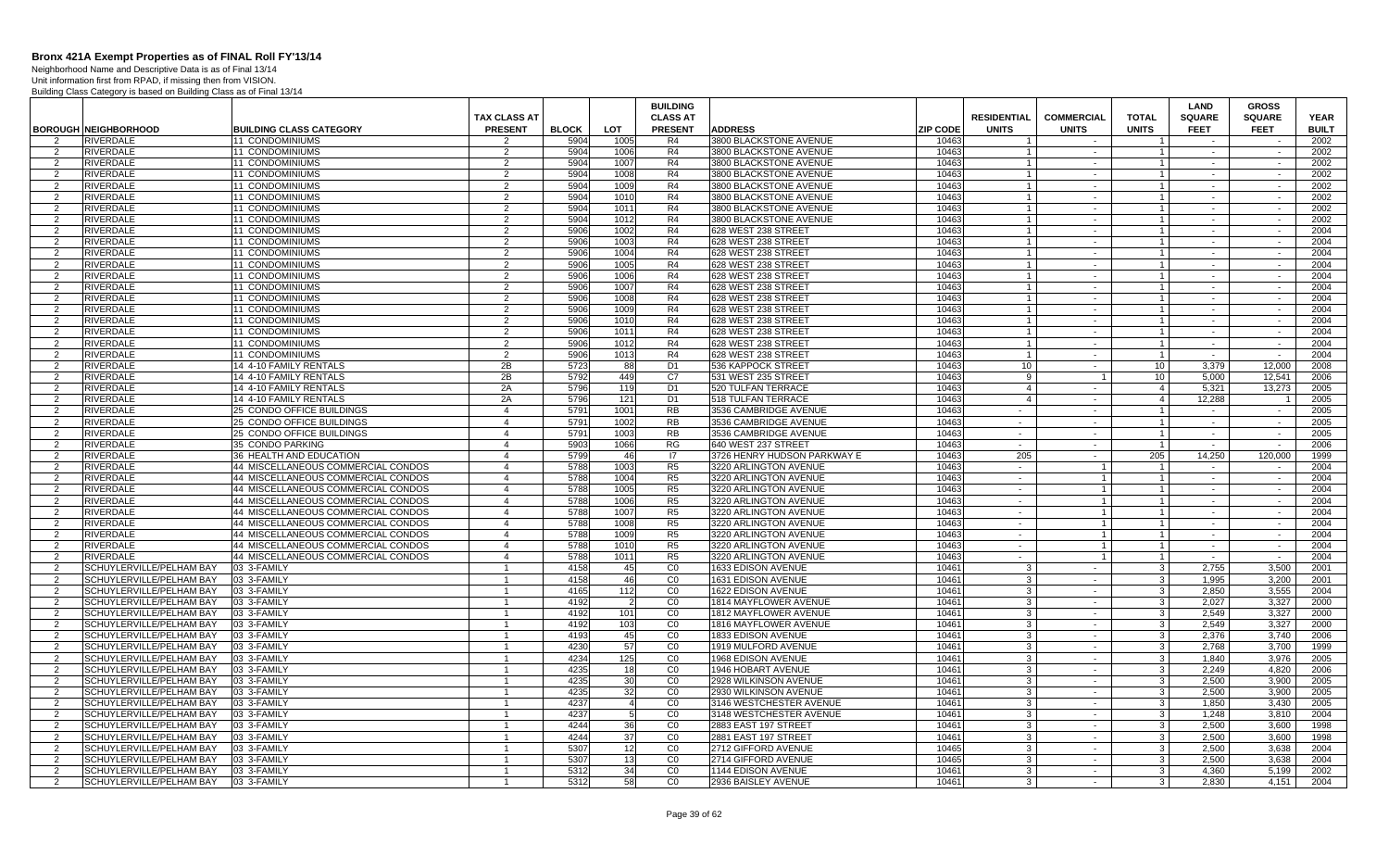Neighborhood Name and Descriptive Data is as of Final 13/14 Unit information first from RPAD, if missing then from VISION.

|                     |                                                      |                                    |                                |              |                       | <b>BUILDING</b> |                                                |                 |                    |                   |                              | LAND           | <b>GROSS</b>   |              |
|---------------------|------------------------------------------------------|------------------------------------|--------------------------------|--------------|-----------------------|-----------------|------------------------------------------------|-----------------|--------------------|-------------------|------------------------------|----------------|----------------|--------------|
|                     |                                                      |                                    | <b>TAX CLASS AT</b>            |              |                       | <b>CLASS AT</b> |                                                |                 | <b>RESIDENTIAL</b> | <b>COMMERCIAL</b> | <b>TOTAL</b>                 | <b>SQUARE</b>  | <b>SQUARE</b>  | <b>YEAR</b>  |
|                     | <b>BOROUGH NEIGHBORHOOD</b>                          | <b>BUILDING CLASS CATEGORY</b>     | <b>PRESENT</b>                 | <b>BLOCK</b> | <b>LOT</b>            | <b>PRESENT</b>  | <b>ADDRESS</b>                                 | <b>ZIP CODE</b> | <b>UNITS</b>       | <b>UNITS</b>      | <b>UNITS</b>                 | <b>FEET</b>    | <b>FEET</b>    | <b>BUILT</b> |
|                     | <b>RIVERDALE</b>                                     | <b>11 CONDOMINIUMS</b>             | 2                              | 5904         | 1005                  | R4              | 3800 BLACKSTONE AVENUE                         | 10463           |                    |                   |                              |                |                | 2002         |
| 2                   | <b>RIVERDALE</b>                                     | 11 CONDOMINIUMS                    | 2                              | 5904         | 1006                  | R4              | 3800 BLACKSTONE AVENUE                         | 10463           |                    | $\sim$            |                              | $\sim$         | $\sim$         | 2002         |
| 2                   | RIVERDALE                                            | 11 CONDOMINIUMS                    | $\overline{2}$                 | 5904         | 1007                  | R4              | 3800 BLACKSTONE AVENUE                         | 10463           | $\overline{1}$     | $\sim$            | $\overline{1}$               | $\sim$         | $\sim$         | 2002         |
| 2                   | <b>RIVERDALE</b>                                     | 11 CONDOMINIUMS                    | 2                              | 5904         | 1008                  | R4              | 3800 BLACKSTONE AVENUE                         | 10463           | $\overline{1}$     | $\sim$            | $\mathbf{1}$                 | $\sim$         | $\sim$         | 2002         |
| 2                   | <b>RIVERDALE</b>                                     | <b>11 CONDOMINIUMS</b>             | $\overline{2}$                 | 5904         | 1009                  | R <sub>4</sub>  | 3800 BLACKSTONE AVENUE                         | 10463           | $\overline{1}$     | $\sim$            | $\vert$ 1                    | $\sim$         | $\sim$         | 2002         |
| $\overline{2}$      | <b>RIVERDALE</b>                                     | <b>11 CONDOMINIUMS</b>             | $\overline{2}$                 | 5904         | 1010                  | R <sub>4</sub>  | 3800 BLACKSTONE AVENUE                         | 10463           | $\overline{1}$     | $\sim$            | 1 <sup>1</sup>               | $\sim$         | $\sim$         | 2002         |
| 2                   | <b>RIVERDALE</b>                                     | 11 CONDOMINIUMS                    | $\overline{2}$                 | 5904         | 1011                  | R4              | 3800 BLACKSTONE AVENUE                         | 10463           | $\overline{1}$     | $\sim$            | $\mathbf{1}$                 | $\sim$         | $\sim$         | 2002         |
| 2                   | <b>RIVERDALE</b>                                     | 11 CONDOMINIUMS                    | 2                              | 5904         | 1012                  | R4              | 3800 BLACKSTONE AVENUE                         | 10463           |                    | $\sim$            | $\mathbf{1}$                 |                |                | 2002         |
| 2                   | RIVERDALE                                            | <b>11 CONDOMINIUMS</b>             | 2                              | 5906         | 1002                  | R <sub>4</sub>  | 628 WEST 238 STREET                            | 10463           |                    | $\sim$            | $\mathbf{1}$                 | $\sim$         | $\sim$         | 2004         |
| 2                   | <b>RIVERDALE</b>                                     | 11 CONDOMINIUMS                    | $\overline{2}$                 | 5906         | 1003                  | R4              | 628 WEST 238 STREET                            | 10463           |                    | $\sim$            | $\mathbf{1}$                 |                | $\sim$         | 2004         |
| $\overline{2}$      | RIVERDALE                                            | 11 CONDOMINIUMS                    | $\overline{2}$                 | 5906         | 1004                  | R4              | 628 WEST 238 STREET                            | 10463           |                    | $\sim$            | $\mathbf{1}$                 | $\sim$         | $\sim$         | 2004         |
| 2                   | <b>RIVERDALE</b>                                     | 11 CONDOMINIUMS                    | $\overline{2}$                 | 5906         | 1005                  | R4              | 628 WEST 238 STREET                            | 10463           | $\overline{1}$     | $\sim$            | $\overline{1}$               | $\sim$         | $\sim$         | 2004         |
| $\mathcal{P}$       | <b>RIVERDALE</b>                                     | <b>11 CONDOMINIUMS</b>             | 2                              | 5906         | 1006                  | R4              | 628 WEST 238 STREET                            | 10463           | $\overline{1}$     | $\sim$            | $\mathbf{1}$                 | $\sim$         | $\sim$         | 2004         |
| 2                   | <b>RIVERDALE</b>                                     | 11 CONDOMINIUMS                    | $\overline{2}$                 | 5906         | 1007                  | R4              | 628 WEST 238 STREET                            | 10463           | $\mathbf{1}$       | $\sim$            | $\overline{1}$               | $\sim$         | $\sim$         | 2004         |
| 2                   | <b>RIVERDALE</b>                                     | 11 CONDOMINIUMS                    | $\overline{2}$                 | 5906         | 1008                  | R4              | 628 WEST 238 STREET                            | 10463           |                    | $\sim$            | 1 <sup>1</sup>               | $\sim$         | $\sim$         | 2004         |
| 2                   | <b>RIVERDALE</b>                                     | 11 CONDOMINIUMS                    | $\overline{2}$                 | 5906         | 1009                  | R <sub>4</sub>  | 628 WEST 238 STREET                            | 10463           | $\overline{1}$     | $\sim$            | $\mathbf{1}$                 | $\sim$         | $\sim$         | 2004         |
| 2                   | <b>RIVERDALE</b>                                     | 11 CONDOMINIUMS                    | 2                              | 590          | 1010                  | R <sub>4</sub>  | 628 WEST 238 STREET                            | 10463           |                    | $\sim$            | $\mathbf{1}$                 |                |                | 2004         |
| 2                   | <b>RIVERDALE</b>                                     | 11 CONDOMINIUMS                    | 2                              | 5906         | 1011                  | R4              | 628 WEST 238 STREET                            | 10463           | $\overline{1}$     | $\sim$            | $\mathbf{1}$                 | $\sim$         | $\sim$         | 2004         |
| $\overline{2}$      | RIVERDALE                                            | 11 CONDOMINIUMS                    | 2                              | 5906         | 1012                  | R4              | 628 WEST 238 STREET                            | 10463           | $\overline{1}$     | $\sim$            | $\mathbf{1}$                 | $\sim$         | $\sim$         | 2004         |
| 2                   | RIVERDALE                                            | <b>11 CONDOMINIUMS</b>             | $\overline{2}$                 | 5906         | 1013                  | R <sub>4</sub>  | 628 WEST 238 STREET                            | 10463           | $\overline{1}$     | $\sim$            | $\mathbf{1}$                 | $\sim$         | $\sim$         | 2004         |
| 2                   | <b>RIVERDALE</b>                                     | 14 4-10 FAMILY RENTALS             | 2B                             | 5723         | 88                    | D <sub>1</sub>  | 536 KAPPOCK STREET                             | 10463           | 10                 | $\sim$            | 10 <sup>1</sup>              | 3.379          | 12.000         | 2008         |
| $\mathcal{P}$       | <b>RIVERDALE</b>                                     | 14 4-10 FAMILY RENTALS             | 2B                             | 5792         | 449                   | C <sub>7</sub>  | 531 WEST 235 STREET                            | 10463           | 9                  |                   | 10 <sup>°</sup>              | 5,000          | 12,541         | 2006         |
| 2                   | <b>RIVERDALE</b>                                     | 14 4-10 FAMILY RENTALS             | 2A                             | 5796         | 119                   | D <sub>1</sub>  | 520 TULFAN TERRACE                             | 10463           | $\overline{4}$     | $\sim$            | $4 \mid$                     | 5,321          | 13,273         | 2005         |
| $\overline{2}$      | RIVERDALE                                            | 14 4-10 FAMILY RENTALS             | 2A                             | 5796         | 121                   | D <sub>1</sub>  | 518 TULFAN TERRACE                             | 10463           | $\overline{4}$     | $\sim$            | $\overline{4}$               | 12,288         |                | 2005         |
| 2                   | <b>RIVERDALE</b>                                     | 25 CONDO OFFICE BUILDINGS          | $\overline{4}$                 | 5791         | 1001                  | <b>RB</b>       | 3536 CAMBRIDGE AVENUE                          | 10463           | $\sim$             | $\sim$            | $\mathbf{1}$                 | $\sim$         | $\sim$         | 2005         |
| 2                   | <b>RIVERDALE</b>                                     | <b>25 CONDO OFFICE BUILDINGS</b>   | $\overline{4}$                 | 5791         | 1002                  | <b>RB</b>       | 3536 CAMBRIDGE AVENUE                          | 10463           | $\sim$             | $\sim$            | $\mathbf{1}$                 | $\sim$         | $\sim$         | 2005         |
| $\overline{2}$      | RIVERDALE                                            | 25 CONDO OFFICE BUILDINGS          | $\overline{4}$                 | 579'         | 1003                  | <b>RB</b>       | 3536 CAMBRIDGE AVENUE                          | 10463           | $\sim$             | $\sim$            | $\mathbf{1}$                 | $\sim$         | $\sim$         | 2005         |
| 2                   | RIVERDALE                                            | 35 CONDO PARKING                   | $\overline{4}$                 | 5903         | 1066                  | <b>RG</b>       | 640 WEST 237 STREET                            | 10463           | $\sim$             | $\sim$            | $\overline{1}$               | $\sim$         | $\sim$         | 2006         |
| 2                   | RIVERDALE                                            | 36 HEALTH AND EDUCATION            | $\overline{4}$                 | 5799         | 46                    | 17              | 3726 HENRY HUDSON PARKWAY E                    | 10463           | 205                | $\sim$            | 205                          | 14,250         | 120,000        | 1999         |
| 2                   | <b>RIVERDALE</b>                                     | 44 MISCELLANEOUS COMMERCIAL CONDOS | $\overline{4}$                 | 5788         | 1003                  | R <sub>5</sub>  | 3220 ARLINGTON AVENUE                          | 10463           | $\sim$ $-$         | $\overline{1}$    | $\overline{1}$               | $\sim$         | $\sim$         | 2004         |
| 2                   | <b>RIVERDALE</b>                                     | 44 MISCELLANEOUS COMMERCIAL CONDOS | $\overline{4}$                 | 5788         | 1004                  | R <sub>5</sub>  | 3220 ARLINGTON AVENUE                          | 10463           | $\sim$             | $\mathbf{1}$      | $\mathbf{1}$                 | $\sim$         | $\sim$         | 2004         |
| 2                   | <b>RIVERDALE</b>                                     | 44 MISCELLANEOUS COMMERCIAL CONDOS | $\overline{4}$                 | 5788         | 1005                  | R <sub>5</sub>  | 3220 ARLINGTON AVENUE                          | 10463           | $\sim$ $-$         | $\mathbf{1}$      | $\overline{1}$               | $\sim$         | $\sim$         | 2004         |
| $\overline{2}$      | <b>RIVERDALE</b>                                     | 44 MISCELLANEOUS COMMERCIAL CONDOS | $\overline{4}$                 | 5788         | 1006                  | R <sub>5</sub>  | 3220 ARLINGTON AVENUE                          | 10463           | $\sim$             |                   | $\mathbf{1}$                 | $\sim$         | $\sim$         | 2004         |
| 2                   | RIVERDALE                                            | 44 MISCELLANEOUS COMMERCIAL CONDOS | $\overline{4}$                 | 5788         | 1007                  | R <sub>5</sub>  | 3220 ARLINGTON AVENUE                          | 10463           | $\sim$             |                   | $\mathbf{1}$                 | $\sim$         | $\sim$         | 2004         |
| 2                   | <b>RIVERDALE</b>                                     | 44 MISCELLANEOUS COMMERCIAL CONDOS | $\overline{4}$                 | 578          | 1008                  | R <sub>5</sub>  | 3220 ARLINGTON AVENUE                          | 10463           | $\sim$             | $\mathbf{1}$      | $\mathbf{1}$                 | $\sim$         | $\sim$         | 2004         |
| 2                   | RIVERDALE                                            | 44 MISCELLANEOUS COMMERCIAL CONDOS | $\overline{4}$                 | 5788         | 1009                  | R5              | 3220 ARLINGTON AVENUE                          | 10463           | $\sim$             |                   | $\mathbf{1}$                 | $\sim$         | $\sim$         | 2004         |
| 2                   | <b>RIVERDALE</b>                                     | 44 MISCELLANEOUS COMMERCIAL CONDOS | $\overline{4}$                 | 5788         | 1010                  | R5              | 3220 ARLINGTON AVENUE                          | 10463           | $\sim$ $-$         | $\mathbf{1}$      | $\vert$ 1                    | $\sim$         | $\sim$         | 2004         |
| $\mathcal{P}$       | RIVERDALE                                            | 44 MISCELLANEOUS COMMERCIAL CONDOS | $\overline{4}$                 | 5788         | 1011                  | R <sub>5</sub>  | 3220 ARLINGTON AVENUE                          | 10463           | $\sim$             |                   | $\mathbf{1}$                 | $\sim$         | $\sim$         | 2004         |
| 2                   | SCHUYLERVILLE/PELHAM BAY                             | 03 3-FAMILY                        | $\mathbf{1}$                   | 4158         | 45                    | CO              | 1633 EDISON AVENUE                             | 10461           | $\mathbf{3}$       | $\sim$            | 3 <sup>1</sup>               | 2,755          | 3,500          | 2001         |
| 2                   | SCHUYLERVILLE/PELHAM BAY                             | 03 3-FAMILY                        | $\overline{1}$                 | 4158         | 46                    | CO              | 1631 EDISON AVENUE                             | 10461           | 3                  | $\sim$            | 3 <sup>1</sup>               | 1,995          | 3.200          | 2001         |
| 2                   | SCHUYLERVILLE/PELHAM BAY                             | 03 3-FAMILY                        |                                | 4165         | 112                   | CO              | <b>1622 EDISON AVENUE</b>                      | 10461           | 3                  | $\sim$            | $\mathbf{3}$                 | 2.850          | 3.555          | 2004         |
| $\overline{2}$      | SCHUYLERVILLE/PELHAM BAY                             | 03 3-FAMILY                        | $\mathbf{1}$                   | 4192         |                       | CO              | 1814 MAYFLOWER AVENUE                          | 1046'           | 3                  | $\sim$            | $\mathbf{3}$                 | 2.027          | 3,327          | 2000         |
| 2                   | SCHUYLERVILLE/PELHAM BAY                             | 03 3-FAMILY                        | $\mathbf{1}$<br>$\overline{1}$ | 4192         | 101                   | CO              | 1812 MAYFLOWER AVENUE                          | 1046'           | 3                  | $\sim$<br>$\sim$  | $\mathbf{3}$                 | 2,549          | 3,327          | 2000         |
| 2                   | SCHUYLERVILLE/PELHAM BAY                             | 03 3-FAMILY                        |                                | 4192         | 103                   | CO              | 1816 MAYFLOWER AVENUE                          | 1046'           | 3                  |                   | 3 <sup>1</sup>               | 2,549          | 3,327          | 2000         |
| 2                   | SCHUYLERVILLE/PELHAM BAY                             | 03 3-FAMILY                        |                                | 4193         | 45                    | CO              | 1833 EDISON AVENUE                             | 10461           | 3                  | $\sim$<br>$\sim$  | $\mathbf{3}$                 | 2.376          | 3.740          | 2006         |
| 2                   | SCHUYLERVILLE/PELHAM BAY                             | 03 3-FAMILY                        | $\overline{1}$                 | 4230         | 57                    | CO              | 1919 MULFORD AVENUE                            | 10461           | $\mathbf{3}$       |                   | 3 <sup>1</sup>               | 2.768          | 3.700          | 1999         |
| $\mathcal{P}$       | SCHUYLERVILLE/PELHAM BAY                             | 03 3-FAMILY                        | $\overline{1}$                 | 4234         | 125                   | CO              | 1968 EDISON AVENUE                             | 10461           | $\mathbf{3}$       | $\sim$            | $\mathbf{3}$                 | 1,840          | 3,976          | 2005         |
| -2                  | SCHUYLERVILLE/PELHAM BAY                             | 03 3-FAMILY                        | -1<br>$\mathbf{1}$             | 4235<br>4235 | 18 <sup>l</sup><br>30 | CO<br>CO        | 1946 HOBART AVENUE                             | 10461<br>10461  | 3                  | $\sim$            | $3 \mid$                     | 2,249          | 4,820<br>3.900 | 2006<br>2005 |
| 2                   | SCHUYLERVILLE/PELHAM BAY<br>SCHUYLERVILLE/PELHAM BAY | 03 3-FAMILY<br>03 3-FAMILY         |                                | 4235         | 32                    | CO              | 2928 WILKINSON AVENUE<br>2930 WILKINSON AVENUE | 10461           | 3                  | $\sim$<br>$\sim$  | $\mathbf{3}$<br>$\mathbf{3}$ | 2,500<br>2.500 | 3.900          | 2005         |
| 2<br>$\overline{2}$ | SCHUYLERVILLE/PELHAM BAY                             | 03 3-FAMILY                        | -1<br>$\mathbf{1}$             | 4237         |                       | CO              | 3146 WESTCHESTER AVENUE                        | 1046            | 3<br>$\mathbf{3}$  | $\sim$            | 3 <sup>1</sup>               | 1,850          | 3,430          | 2005         |
|                     | SCHUYLERVILLE/PELHAM BAY                             | 03 3-FAMILY                        |                                | 4237         |                       | CO              | 3148 WESTCHESTER AVENUE                        | 1046'           | 3                  | $\sim$            | $\overline{3}$               | 1.248          | 3,810          | 2004         |
| 2<br>2              | SCHUYLERVILLE/PELHAM BAY                             | 03 3-FAMILY                        | $\overline{1}$                 | 4244         | 36                    | CO              | 2883 EAST 197 STREET                           | 10461           | $\mathbf{3}$       | $\sim$            | $\overline{\mathbf{3}}$      | 2.500          | 3.600          | 1998         |
| $\mathcal{P}$       | SCHUYLERVILLE/PELHAM BAY                             | 03 3-FAMILY                        | $\overline{1}$                 | 4244         | 37                    | CO              | 2881 EAST 197 STREET                           | 10461           | 3                  | $\sim$            | $\mathbf{3}$                 | 2.500          | 3.600          | 1998         |
| 2                   | SCHUYLERVILLE/PELHAM BAY                             | 03 3-FAMILY                        | $\overline{1}$                 | 5307         | 12                    | CO              | 2712 GIFFORD AVENUE                            | 10465           | 3                  | $\sim$            | 3 <sup>1</sup>               | 2,500          | 3,638          | 2004         |
| 2                   | SCHUYLERVILLE/PELHAM BAY                             | 03 3-FAMILY                        | $\mathbf{1}$                   | 5307         | 13                    | CO              | 2714 GIFFORD AVENUE                            | 10465           | $\mathbf{3}$       |                   | 3 <sup>1</sup>               | 2.500          | 3.638          | 2004         |
| 2                   | SCHUYLERVILLE/PELHAM BAY                             | 03 3-FAMILY                        | -1                             | 5312         | 34                    | CO              | 1144 EDISON AVENUE                             | 10461           | 3                  | $\sim$<br>$\sim$  | $\mathbf{3}$                 | 4.360          | 5.199          | 2002         |
| 2                   | SCHUYLERVILLE/PELHAM BAY                             | 03 3-FAMILY                        |                                | 5312         | 58                    | CO              | 2936 BAISLEY AVENUE                            | 10461           | 3                  |                   | 3 <sup>1</sup>               | 2.830          | 4,151          | 2004         |
|                     |                                                      |                                    |                                |              |                       |                 |                                                |                 |                    |                   |                              |                |                |              |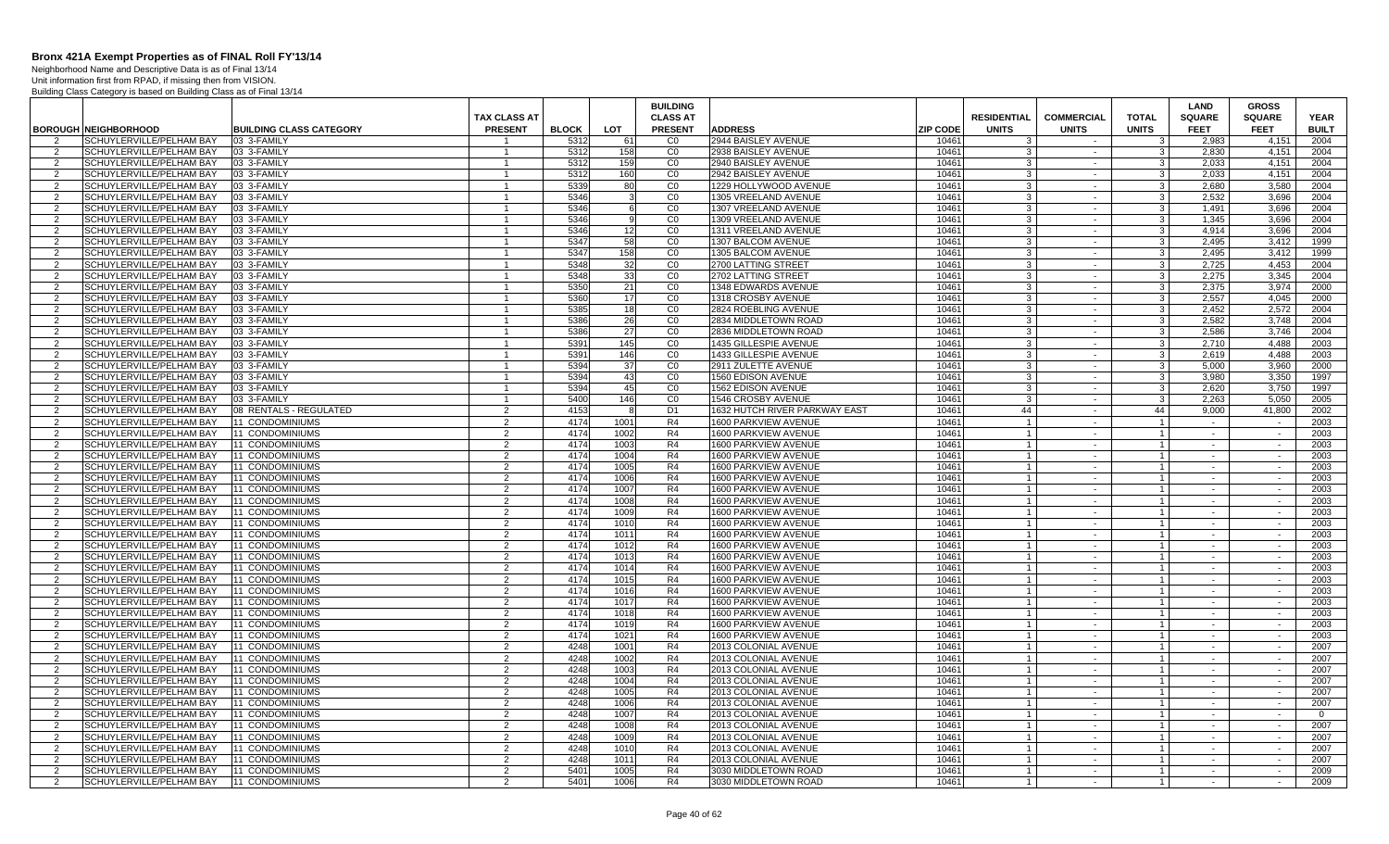Neighborhood Name and Descriptive Data is as of Final 13/14 Unit information first from RPAD, if missing then from VISION.

|                    |                                                      |                                    |                                |              |              | <b>BUILDING</b>      |                                                       |                                  |                   |                                  | LAND             | <b>GROSS</b>     |                |
|--------------------|------------------------------------------------------|------------------------------------|--------------------------------|--------------|--------------|----------------------|-------------------------------------------------------|----------------------------------|-------------------|----------------------------------|------------------|------------------|----------------|
|                    |                                                      |                                    | <b>TAX CLASS AT</b>            |              |              | <b>CLASS AT</b>      |                                                       | <b>RESIDENTIAL</b>               | <b>COMMERCIAL</b> | <b>TOTAL</b>                     | <b>SQUARE</b>    | <b>SQUARE</b>    | <b>YEAR</b>    |
|                    | <b>BOROUGH NEIGHBORHOOD</b>                          | <b>BUILDING CLASS CATEGORY</b>     | <b>PRESENT</b>                 | <b>BLOCK</b> | <b>LOT</b>   | <b>PRESENT</b>       | <b>ADDRESS</b><br><b>ZIP CODE</b>                     | <b>UNITS</b>                     | <b>UNITS</b>      | <b>UNITS</b>                     | <b>FEET</b>      | <b>FEET</b>      | <b>BUILT</b>   |
| 2                  | SCHUYLERVILLE/PELHAM BAY                             | 03 3-FAMILY                        | $\overline{1}$                 | 5312         | 61           | C <sub>0</sub>       | 2944 BAISLEY AVENUE<br>10461                          | $\cdot$ 3                        | $\sim$            | $\mathbf{3}$                     | 2.983            | 4,151            | 2004           |
| 2                  | SCHUYLERVILLE/PELHAM BAY                             | 03 3-FAMILY                        | $\overline{1}$                 | 5312         | 158          | CO                   | 10461<br>2938 BAISLEY AVENUE<br>10461                 | -3                               | $\sim$            | -3 I                             | 2,830            | 4.151            | 2004           |
| 2<br>2             | SCHUYLERVILLE/PELHAM BAY<br>SCHUYLERVILLE/PELHAM BAY | 03 3-FAMILY<br>03 3-FAMILY         | $\mathbf{1}$<br>$\overline{1}$ | 5312<br>5312 | 159<br>160   | CO<br>CO             | 2940 BAISLEY AVENUE<br>10461<br>2942 BAISLEY AVENUE   | 3<br>3                           | $\sim$<br>$\sim$  | - 3 I<br>3 <sup>1</sup>          | 2.033<br>2.033   | 4.151<br>4.151   | 2004<br>2004   |
|                    | SCHUYLERVILLE/PELHAM BAY                             | 03 3-FAMILY                        | $\overline{1}$                 | 5339         | 80           | CO                   | 10461<br>1229 HOLLYWOOD AVENUE                        | $\mathbf{B}$                     | $\sim$            | $\mathbf{3}$                     | 2,680            | 3,580            | 2004           |
| 2<br>$\mathcal{P}$ | SCHUYLERVILLE/PELHAM BAY                             | 03 3-FAMILY                        | $\overline{1}$                 | 5346         |              | CO                   | 10461<br>1305 VREELAND AVENUE                         | 3                                | $\sim$            | 3 <sup>1</sup>                   | 2.532            | 3.696            | 2004           |
| 2                  | SCHUYLERVILLE/PELHAM BAY                             | 03 3-FAMILY                        | -1                             | 5346         | 6            | CO                   | 1307 VREELAND AVENUE<br>10461                         | -3                               | $\sim$            | 3                                | 1.491            | 3,696            | 2004           |
| $\overline{2}$     | SCHUYLERVILLE/PELHAM BAY                             | 03 3-FAMILY                        | $\overline{1}$                 | 5346         |              | CO                   | 1309 VREELAND AVENUE<br>10461                         | 3                                | $\sim$            | 3 <sup>1</sup>                   | 1.345            | 3.696            | 2004           |
| 2                  | SCHUYLERVILLE/PELHAM BAY                             | 03 3-FAMILY                        |                                | 5346         | 12           | CO                   | 1311 VREELAND AVENUE<br>10461                         | 3                                | $\sim$            | $\mathbf{3}$                     | 4.914            | 3.696            | 2004           |
| $\mathcal{P}$      | SCHUYLERVILLE/PELHAM BAY                             | 03 3-FAMILY                        | $\mathbf{1}$                   | 5347         | 58           | CO                   | 1307 BALCOM AVENUE<br>10461                           | 3                                | $\sim$            | $\mathbf{3}$                     | 2,495            | 3,412            | 1999           |
| $\overline{2}$     | SCHUYLERVILLE/PELHAM BAY                             | 03 3-FAMILY                        | $\mathbf{1}$                   | 5347         | 158          | CO                   | 1305 BALCOM AVENUE<br>10461                           | 3                                | $\sim$            | 3 <sup>1</sup>                   | 2,495            | 3,412            | 1999           |
| 2                  | SCHUYLERVILLE/PELHAM BAY                             | 03 3-FAMILY                        | $\overline{1}$                 | 5348         | 32           | CO                   | 10461<br>2700 LATTING STREET                          | -3                               | $\sim$            | - 3 I                            | 2,725            | 4.453            | 2004           |
| 2                  | SCHUYLERVILLE/PELHAM BAY                             | 03 3-FAMILY                        | $\overline{1}$                 | 5348         | 33           | CO                   | 2702 LATTING STREET<br>10461                          | -3                               | $\sim$            | $3 \mid$                         | 2.275            | 3.345            | 2004           |
| 2                  | SCHUYLERVILLE/PELHAM BAY                             | 03 3-FAMILY                        | $\overline{1}$                 | 5350         | 21           | CO                   | 10461<br>1348 EDWARDS AVENUE                          | $\mathbf{B}$                     | $\sim$            | 3 <sup>1</sup>                   | 2.375            | 3.974            | 2000           |
| $\overline{2}$     | SCHUYLERVILLE/PELHAM BAY                             | 03 3-FAMILY                        | $\overline{1}$                 | 5360         | 17           | CO                   | 1318 CROSBY AVENUE<br>10461                           | 3                                | $\sim$            | 3                                | 2.557            | 4.045            | 2000           |
| 2                  | SCHUYLERVILLE/PELHAM BAY                             | 03 3-FAMILY                        | $\overline{1}$                 | 5385         | 18           | CO                   | 10461<br>2824 ROEBLING AVENUE                         | -3                               | $\sim$            | 3                                | 2,452            | 2,572            | 2004           |
| $\overline{2}$     | SCHUYLERVILLE/PELHAM BAY                             | 03 3-FAMILY                        | $\mathbf{1}$                   | 5386         | 26           | CO                   | 2834 MIDDLETOWN ROAD<br>10461                         | 3                                | $\sim$            | $\mathbf{3}$                     | 2.582            | 3,748            | 2004           |
| 2                  | SCHUYLERVILLE/PELHAM BAY                             | 03 3-FAMILY                        |                                | 5386         | 27           | CO                   | 2836 MIDDLETOWN ROAD<br>10461                         | -3                               | $\sim$            | $\mathbf{3}$                     | 2.586            | 3.746            | 2004           |
| 2                  | SCHUYLERVILLE/PELHAM BAY                             | 03 3-FAMILY                        | $\mathbf{1}$                   | 5391         | 145          | CO                   | 1435 GILLESPIE AVENUE<br>10461                        | -3                               | $\sim$            | 3 <sup>1</sup>                   | 2.710            | 4.488            | 2003           |
| $\overline{2}$     | SCHUYLERVILLE/PELHAM BAY                             | 03 3-FAMILY                        | $\overline{1}$                 | 5391         | 146          | C <sub>0</sub>       | 10461<br>1433 GILLESPIE AVENUE                        | 3                                | $\sim$            | 3 <sup>1</sup>                   | 2.619            | 4.488            | 2003           |
| 2                  | SCHUYLERVILLE/PELHAM BAY                             | 03 3-FAMILY                        | $\overline{1}$                 | 5394         | 37           | CO                   | 10461<br>2911 ZULETTE AVENUE                          | $\mathbf{3}$                     | $\sim$            | 3 <sup>1</sup>                   | 5,000            | 3,960            | 2000           |
| 2                  | SCHUYLERVILLE/PELHAM BAY                             | 03 3-FAMILY                        | $\overline{1}$                 | 5394         | 43           | CO                   | 10461<br>1560 EDISON AVENUE                           | 3                                | $\sim$            | $\mathbf{3}$                     | 3.980            | 3.350            | 1997           |
| 2                  | SCHUYLERVILLE/PELHAM BAY                             | 03 3-FAMILY                        | -1                             | 5394         | 45           | $\overline{C}0$      | 10461<br><b>1562 EDISON AVENUE</b>                    | 3                                | $\sim$            | $3 \mid$                         | 2,620            | 3.750            | 1997           |
| $\overline{2}$     | SCHUYLERVILLE/PELHAM BAY                             | 03 3-FAMILY                        | $\overline{1}$                 | 5400         | 146          | CO                   | 10461<br>1546 CROSBY AVENUE                           | -3                               | $\sim$            | 3                                | 2.263            | 5.050            | 2005           |
| 2                  | SCHUYLERVILLE/PELHAM BAY                             | 08 RENTALS - REGULATED             | 2                              | 4153         |              | D <sub>1</sub>       | 10461<br><b>1632 HUTCH RIVER PARKWAY EAST</b>         | 44                               | $\sim$            | 44                               | 9.000            | 41.800           | 2002           |
| $\overline{2}$     | SCHUYLERVILLE/PELHAM BAY                             | 11 CONDOMINIUMS                    | 2                              | 4174         | 1001         | R4                   | 10461<br>1600 PARKVIEW AVENUE                         | $\overline{1}$                   | $\sim$            | $\overline{1}$                   |                  |                  | 2003           |
| 2                  | SCHUYLERVILLE/PELHAM BAY                             | 11 CONDOMINIUMS                    | 2                              | 4174         | 1002         | R4                   | 1600 PARKVIEW AVENUE<br>10461                         | $\overline{1}$                   | $\sim$            | $\overline{1}$                   | $\sim$           | $\sim$           | 2003           |
| $\overline{2}$     | SCHUYLERVILLE/PELHAM BAY                             | 11 CONDOMINIUMS                    | 2                              | 4174         | 1003         | R <sub>4</sub>       | 1600 PARKVIEW AVENUE<br>10461                         | $\overline{1}$                   | $\sim$            | $\overline{1}$                   | $\sim$           | $\sim$           | 2003           |
| 2                  | SCHUYLERVILLE/PELHAM BAY                             | 11 CONDOMINIUMS                    | 2                              | 4174         | 1004         | R4                   | 1600 PARKVIEW AVENUE<br>10461                         | $\overline{1}$                   | $\sim$            | $\overline{1}$                   | $\sim$           | $\sim$           | 2003           |
| 2                  | SCHUYLERVILLE/PELHAM BAY                             | 11 CONDOMINIUMS                    | 2                              | 4174         | 1005         | R4                   | 1600 PARKVIEW AVENUE<br>10461                         | $\overline{1}$                   | $\sim$            | $\overline{1}$                   | $\sim$           | $\sim$           | 2003           |
| $\mathcal{P}$      | SCHUYLERVILLE/PELHAM BAY                             | 11 CONDOMINIUMS                    | $\mathcal{P}$                  | 4174         | 1006         | R4                   | 1600 PARKVIEW AVENUE<br>10461                         | $\overline{1}$                   | $\sim$            | $\overline{1}$                   | $\sim$           | $\sim$           | 2003           |
| 2                  | SCHUYLERVILLE/PELHAM BAY                             | 11 CONDOMINIUMS                    | 2                              | 4174         | 1007         | R <sub>4</sub>       | 10461<br>1600 PARKVIEW AVENUE                         | $\overline{1}$                   | $\sim$            | $\overline{1}$                   | $\sim$           | $\sim$           | 2003           |
| 2                  | SCHUYLERVILLE/PELHAM BAY                             | 11 CONDOMINIUMS                    | 2                              | 4174         | 1008         | R4                   | 1600 PARKVIEW AVENUE<br>10461                         | $\overline{1}$                   | $\sim$            | 1                                |                  | $\sim$           | 2003           |
| 2                  | SCHUYLERVILLE/PELHAM BAY                             | 11 CONDOMINIUMS                    | 2                              | 4174         | 1009         | R4                   | 10461<br>1600 PARKVIEW AVENUE                         | $\overline{1}$                   | $\sim$            | $\overline{1}$                   | $\sim$           | $\sim$           | 2003           |
| $\overline{2}$     | SCHUYLERVILLE/PELHAM BAY                             | 11 CONDOMINIUMS                    | 2                              | 4174         | 1010         | R4                   | 10461<br>1600 PARKVIEW AVENUE                         | $\overline{1}$                   | $\sim$            | $\overline{1}$                   |                  | $\sim$           | 2003           |
| 2                  | SCHUYLERVILLE/PELHAM BAY                             | 11 CONDOMINIUMS                    | 2                              | 4174         | 1011         | R4                   | 1600 PARKVIEW AVENUE<br>10461                         | $\overline{1}$                   | $\sim$            | $\overline{1}$                   | $\sim$           | $\sim$           | 2003           |
| $\mathcal{P}$      | SCHUYLERVILLE/PELHAM BAY                             | 11 CONDOMINIUMS                    | 2                              | 4174         | 1012         | R <sub>4</sub>       | 1600 PARKVIEW AVENUE<br>10461                         | $\overline{1}$                   | $\sim$            | $\overline{1}$                   | $\sim$           | $\sim$           | 2003           |
| $\overline{2}$     | SCHUYLERVILLE/PELHAM BAY                             | 11 CONDOMINIUMS                    | 2                              | 4174         | 1013         | R <sub>4</sub>       | 10461<br>1600 PARKVIEW AVENUE                         | $\overline{1}$                   | $\sim$            | $\overline{1}$                   | $\sim$           | $\sim$           | 2003           |
| 2                  | SCHUYLERVILLE/PELHAM BAY                             | <b>11 CONDOMINIUMS</b>             | 2                              | 4174         | 1014         | R4                   | 1600 PARKVIEW AVENUE<br>10461                         | $\overline{1}$                   | $\sim$            | $\overline{1}$                   | $\sim$           | $\sim$           | 2003           |
| 2                  | SCHUYLERVILLE/PELHAM BAY                             | <b>11 CONDOMINIUMS</b>             | 2                              | 4174         | 1015         | R4                   | 1600 PARKVIEW AVENUE<br>10461                         | $\overline{1}$                   | $\sim$            | $\mathbf{1}$                     | $\sim$           | $\sim$           | 2003           |
| 2                  | SCHUYLERVILLE/PELHAM BAY                             | 11 CONDOMINIUMS                    | 2                              | 4174         | 1016         | R4                   | 10461<br>1600 PARKVIEW AVENUE                         | $\overline{1}$                   | $\sim$            | $\overline{1}$                   | $\sim$           | $\sim$           | 2003           |
| 2                  | SCHUYLERVILLE/PELHAM BAY                             | 11 CONDOMINIUMS                    | $\overline{2}$                 | 4174         | 1017         | R <sub>4</sub>       | 1600 PARKVIEW AVENUE<br>10461                         | $\overline{1}$                   | $\sim$            | $\overline{1}$                   |                  | $\sim$           | 2003           |
| 2                  | SCHUYLERVILLE/PELHAM BAY                             | 11 CONDOMINIUMS                    | $\overline{2}$                 | 4174         | 1018         | R4                   | 10461<br>1600 PARKVIEW AVENUE                         | $\overline{1}$                   | $\sim$            | $\overline{1}$                   | $\sim$           | $\sim$           | 2003           |
| $\overline{2}$     | SCHUYLERVILLE/PELHAM BAY                             | 11 CONDOMINIUMS                    | $\overline{2}$                 | 4174         | 1019         | R4                   | 1600 PARKVIEW AVENUE<br>10461                         | $\overline{1}$                   | $\sim$            | $\overline{1}$                   | $\sim$           | $\sim$           | 2003           |
| 2                  | SCHUYLERVILLE/PELHAM BAY                             | 11 CONDOMINIUMS                    | 2                              | 4174         | 1021         | R4                   | 1600 PARKVIEW AVENUE<br>10461                         |                                  | $\sim$            | $\mathbf{1}$                     | $\sim$           | $\sim$           | 2003           |
| $\overline{2}$     | SCHUYLERVILLE/PELHAM BAY                             | 11 CONDOMINIUMS                    | 2                              | 4248         | 1001         | R4                   | 2013 COLONIAL AVENUE<br>10461                         | $\overline{1}$                   | $\sim$            | $\overline{1}$                   | $\sim$           | $\sim$           | 2007           |
| 2                  | SCHUYLERVILLE/PELHAM BAY                             | 11 CONDOMINIUMS                    | 2                              | 4248         | 1002         | R4                   | 10461<br>2013 COLONIAL AVENUE                         | $\overline{1}$                   | $\sim$            | $\overline{1}$                   | $\sim$           | $\sim$           | 2007           |
| 2                  | SCHUYLERVILLE/PELHAM BAY                             | 11 CONDOMINIUMS                    | 2                              | 4248         | 1003         | R4                   | 2013 COLONIAL AVENUE<br>10461                         | $\overline{1}$                   | $\sim$            | $1 \vert$                        | $\sim$           | $\sim$           | 2007           |
| 2                  | SCHUYLERVILLE/PELHAM BAY                             | 11 CONDOMINIUMS                    | 2                              | 4248         | 1004         | R4                   | 10461<br>2013 COLONIAL AVENUE                         | $\overline{1}$                   | $\sim$            | $\overline{1}$                   | $\sim$           | $\sim$           | 2007           |
| 2                  | SCHUYLERVILLE/PELHAM BAY                             | <b>11 CONDOMINIUMS</b>             | 2                              | 4248         | 1005         | R <sub>4</sub>       | 10461<br>2013 COLONIAL AVENUE                         | $\overline{1}$                   | $\sim$            | $\overline{1}$                   | $\sim$           | $\sim$           | 2007           |
| 2                  | SCHUYLERVILLE/PELHAM BAY                             | 11 CONDOMINIUMS                    | 2                              | 4248         | 1006         | R <sub>4</sub>       | 10461<br>2013 COLONIAL AVENUE                         | $\overline{1}$                   | $\sim$            | $\overline{1}$                   | $\sim$           | $\sim$           | 2007           |
| 2                  | SCHUYLERVILLE/PELHAM BAY                             | 11 CONDOMINIUMS                    | 2                              | 4248         | 1007         | R4                   | 10461<br>2013 COLONIAL AVENUE                         | $\overline{1}$<br>$\overline{1}$ | $\sim$<br>$\sim$  | $\overline{1}$<br>$\overline{1}$ | $\sim$<br>$\sim$ | $\sim$<br>$\sim$ | $\overline{0}$ |
| $\overline{2}$     | SCHUYLERVILLE/PELHAM BAY                             | 11 CONDOMINIUMS                    | 2                              | 4248         | 1008         | R <sub>4</sub>       | 10461<br>2013 COLONIAL AVENUE                         |                                  |                   |                                  |                  |                  | 2007           |
| 2                  | SCHUYLERVILLE/PELHAM BAY                             | 11 CONDOMINIUMS                    | 2<br>$\overline{2}$            | 4248         | 1009         | R4                   | 10461<br>2013 COLONIAL AVENUE                         | $\overline{1}$<br>$\overline{1}$ | $\sim$<br>$\sim$  | $\overline{1}$<br>$\mathbf{1}$   | $\sim$<br>$\sim$ | $\sim$<br>$\sim$ | 2007           |
| $\overline{2}$     | SCHUYLERVILLE/PELHAM BAY<br>SCHUYLERVILLE/PELHAM BAY | 11 CONDOMINIUMS<br>11 CONDOMINIUMS | 2                              | 4248<br>4248 | 1010<br>1011 | R <sub>4</sub><br>R4 | 2013 COLONIAL AVENUE<br>10461<br>10461                | $\overline{1}$                   |                   | $\overline{1}$                   |                  |                  | 2007<br>2007   |
| 2<br>2             | SCHUYLERVILLE/PELHAM BAY                             | <b>11 CONDOMINIUMS</b>             | 2                              | 5401         | 1005         | R4                   | 2013 COLONIAL AVENUE<br>10461<br>3030 MIDDLETOWN ROAD | $\overline{1}$                   | $\sim$<br>$\sim$  | $\overline{1}$                   | $\sim$<br>$\sim$ | $\sim$<br>$\sim$ | 2009           |
| 2                  |                                                      | <b>11 CONDOMINIUMS</b>             | $\mathcal{P}$                  | 5401         | 1006         | R4                   | 10461                                                 | $\overline{1}$                   | $\sim$            | $\overline{1}$                   | $\sim$           | $\sim$           | 2009           |
|                    | SCHUYLERVILLE/PELHAM BAY                             |                                    |                                |              |              |                      | 3030 MIDDLETOWN ROAD                                  |                                  |                   |                                  |                  |                  |                |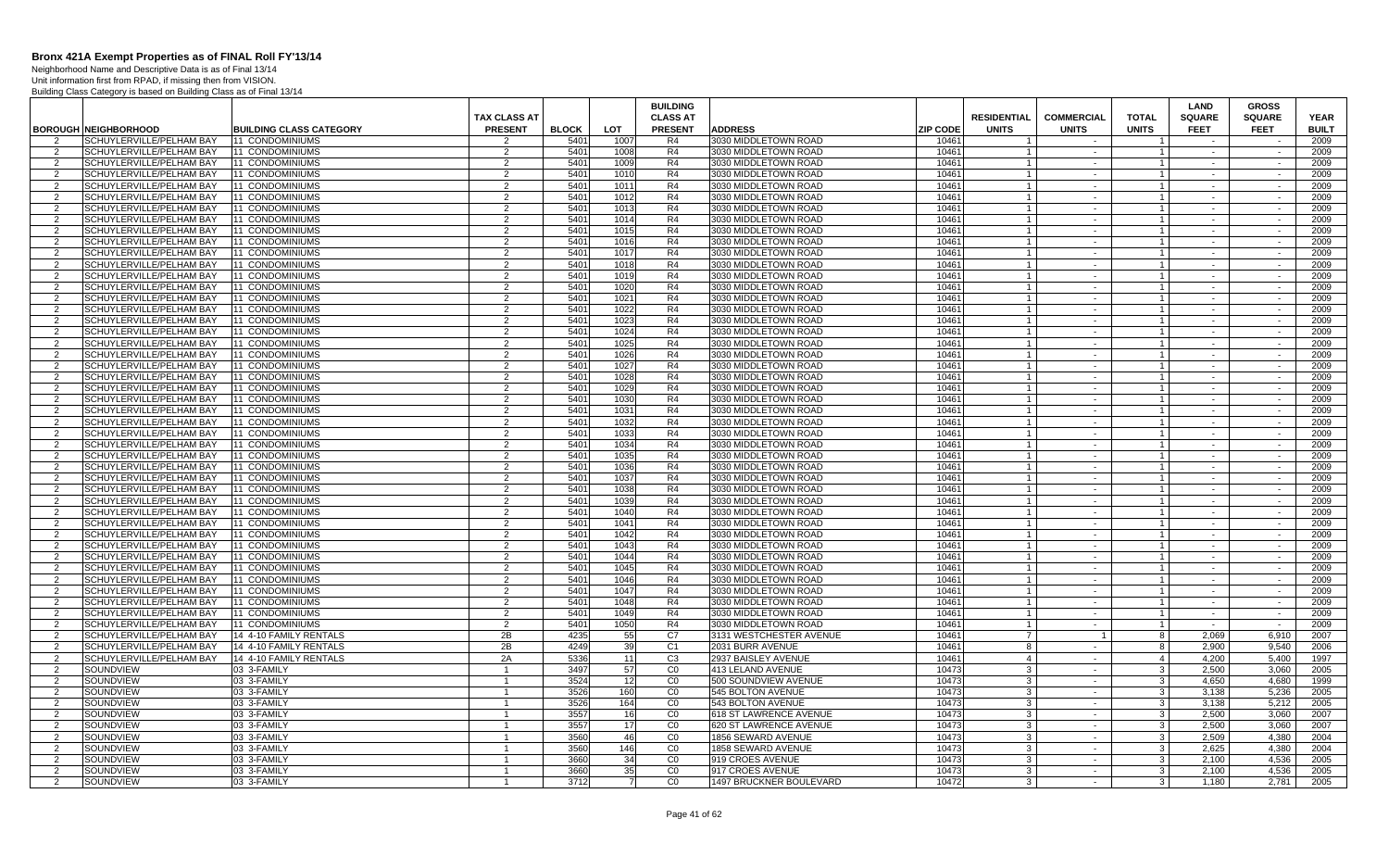Neighborhood Name and Descriptive Data is as of Final 13/14 Unit information first from RPAD, if missing then from VISION. Building Class Category is based on Building Class as of Final 13/14

|                                  |                                                      |                                                  |                     |              |              | <b>BUILDING</b>      |                                              |                 |                     |                   |                                | <b>LAND</b>      | <b>GROSS</b>     |              |
|----------------------------------|------------------------------------------------------|--------------------------------------------------|---------------------|--------------|--------------|----------------------|----------------------------------------------|-----------------|---------------------|-------------------|--------------------------------|------------------|------------------|--------------|
|                                  |                                                      |                                                  | <b>TAX CLASS AT</b> |              |              | <b>CLASS AT</b>      |                                              |                 | <b>RESIDENTIAL</b>  | <b>COMMERCIAL</b> | <b>TOTAL</b>                   | <b>SQUARE</b>    | <b>SQUARE</b>    | <b>YEAR</b>  |
|                                  | <b>BOROUGH NEIGHBORHOOD</b>                          | <b>BUILDING CLASS CATEGORY</b>                   | <b>PRESENT</b>      | <b>BLOCK</b> | LOT          | <b>PRESENT</b>       | <b>ADDRESS</b>                               | <b>ZIP CODE</b> | <b>UNITS</b>        | <b>UNITS</b>      | <b>UNITS</b>                   | <b>FEET</b>      | <b>FEET</b>      | <b>BUILT</b> |
| 2                                | SCHUYLERVILLE/PELHAM BAY                             | 11 CONDOMINIUMS                                  | 2                   | 540          | 1007         | R4                   | 3030 MIDDLETOWN ROAD                         | 10461           |                     | $\sim$            |                                | $\sim$           |                  | 2009         |
| 2                                | SCHUYLERVILLE/PELHAM BAY                             | 11 CONDOMINIUMS                                  | 2                   | 540'         | 1008         | R <sub>4</sub>       | 3030 MIDDLETOWN ROAD                         | 10461           | $\overline{1}$      | $\sim$            | $\overline{1}$                 | $\sim$ $-$       | $\sim$           | 2009         |
| 2                                | SCHUYLERVILLE/PELHAM BAY                             | 11 CONDOMINIUMS                                  | 2                   | 5401         | 1009         | R4                   | 3030 MIDDLETOWN ROAD                         | 10461           |                     | $\sim$            | $\mathbf{1}$                   | $\sim$ $-$       | $\sim$           | 2009         |
| 2                                | SCHUYLERVILLE/PELHAM BAY                             | 11 CONDOMINIUMS                                  | 2                   | 5401         | 1010         | R4                   | 3030 MIDDLETOWN ROAD                         | 10461           | $\overline{1}$      | $\sim$            | $\overline{1}$                 | $\sim$           | $\sim$           | 2009         |
| $\overline{2}$                   | SCHUYLERVILLE/PELHAM BAY                             | 11 CONDOMINIUMS                                  | 2                   | 5401         | 1011         | R4                   | 3030 MIDDLETOWN ROAD                         | 10461           |                     | $\sim$            | $\overline{1}$                 | $\sim$           | $\sim$           | 2009         |
| 2                                | SCHUYLERVILLE/PELHAM BAY                             | 11 CONDOMINIUMS                                  | 2                   | 5401         | 1012         | R4                   | 3030 MIDDLETOWN ROAD                         | 10461           | $\overline{1}$      | $\sim$            | $\overline{1}$                 | $\sim$ $-$       | $\sim$           | 2009         |
| $\overline{2}$                   | SCHUYLERVILLE/PELHAM BAY                             | 11 CONDOMINIUMS                                  | 2                   | 5401         | 1013         | R4                   | 3030 MIDDLETOWN ROAD                         | 10461           |                     | $\sim$            | $\mathbf{1}$                   | $\sim$           | $\sim$           | 2009         |
| 2                                | SCHUYLERVILLE/PELHAM BAY                             | 11 CONDOMINIUMS                                  | 2                   | 5401         | 1014         | R4                   | 3030 MIDDLETOWN ROAD                         | 10461           | $\overline{1}$      | $\sim$            | $\overline{1}$                 | $\sim$           | $\sim$           | 2009         |
| $\overline{2}$                   | SCHUYLERVILLE/PELHAM BAY                             | 11 CONDOMINIUMS                                  | 2                   | 540          | 1015         | R4                   | 3030 MIDDLETOWN ROAD                         | 10461           | $\overline{1}$      | $\sim$            | $\overline{1}$                 | $\sim$           | $\sim$           | 2009         |
| 2                                | SCHUYLERVILLE/PELHAM BAY                             | 11 CONDOMINIUMS                                  | 2                   | 5401         | 1016         | R4                   | 3030 MIDDLETOWN ROAD                         | 10461           |                     | $\sim$            |                                | $\sim$           | $\sim$           | 2009         |
| 2                                | SCHUYLERVILLE/PELHAM BAY                             | 11 CONDOMINIUMS                                  | 2                   | 540'         | 1017         | R4                   | 3030 MIDDLETOWN ROAD                         | 10461           | $\overline{1}$      | $\sim$            | $\mathbf{1}$                   | $\sim$           | $\sim$           | 2009         |
| 2                                | SCHUYLERVILLE/PELHAM BAY                             | 11 CONDOMINIUMS                                  | 2<br>2              | 5401         | 1018         | R4<br>R4             | 3030 MIDDLETOWN ROAD                         | 10461<br>10461  | $\overline{1}$      | $\sim$<br>$\sim$  | $\overline{1}$                 | $\sim$           | $\sim$<br>$\sim$ | 2009         |
| 2<br>$\overline{2}$              | SCHUYLERVILLE/PELHAM BAY<br>SCHUYLERVILLE/PELHAM BAY | 11 CONDOMINIUMS<br>11 CONDOMINIUMS               | 2                   | 5401<br>5401 | 1019         | R4                   | 3030 MIDDLETOWN ROAD<br>3030 MIDDLETOWN ROAD | 10461           | $\overline{1}$      |                   | $\overline{1}$                 | $\sim$           |                  | 2009<br>2009 |
| 2                                | SCHUYLERVILLE/PELHAM BAY                             | 11 CONDOMINIUMS                                  | 2                   | 540'         | 1020<br>1021 | R <sub>4</sub>       | 3030 MIDDLETOWN ROAD                         | 10461           | $\overline{1}$      | $\sim$<br>$\sim$  | $\overline{1}$                 | $\sim$<br>$\sim$ | $\sim$<br>$\sim$ | 2009         |
| $\overline{2}$                   | SCHUYLERVILLE/PELHAM BAY                             | 11 CONDOMINIUMS                                  | 2                   | 5401         | 1022         | R4                   | 3030 MIDDLETOWN ROAD                         | 10461           |                     | $\sim$            |                                | $\sim$           | $\sim$           | 2009         |
| 2                                | SCHUYLERVILLE/PELHAM BAY                             | 11 CONDOMINIUMS                                  | 2                   | 5401         | 1023         | R4                   | 3030 MIDDLETOWN ROAD                         | 10461           | $\overline{1}$      | $\sim$            | $\overline{1}$                 | $\sim$           | $\sim$           | 2009         |
| $\overline{2}$                   | SCHUYLERVILLE/PELHAM BAY                             | 11 CONDOMINIUMS                                  | 2                   | 540          | 1024         | R4                   | 3030 MIDDLETOWN ROAD                         | 10461           | $\overline{1}$      | $\sim$            | $\overline{1}$                 | $\sim$           | $\sim$           | 2009         |
| 2                                | SCHUYLERVILLE/PELHAM BAY                             | 11 CONDOMINIUMS                                  | 2                   | 5401         | 1025         | R4                   | 3030 MIDDLETOWN ROAD                         | 10461           |                     | $\sim$            |                                | $\sim$           | $\sim$           | 2009         |
| 2                                | SCHUYLERVILLE/PELHAM BAY                             | 11 CONDOMINIUMS                                  | 2                   | 5401         | 1026         | R4                   | 3030 MIDDLETOWN ROAD                         | 10461           | $\overline{1}$      | $\sim$            | $\overline{1}$                 | $\sim$           | $\sim$           | 2009         |
| $\mathcal{P}$                    | SCHUYLERVILLE/PELHAM BAY                             | 11 CONDOMINIUMS                                  | 2                   | 5401         | 1027         | R4                   | 3030 MIDDLETOWN ROAD                         | 10461           |                     | $\sim$            | $\overline{1}$                 | $\sim$           | $\sim$           | 2009         |
| 2                                | SCHUYLERVILLE/PELHAM BAY                             | 11 CONDOMINIUMS                                  | 2                   | 5401         | 1028         | R4                   | 3030 MIDDLETOWN ROAD                         | 10461           | $\overline{1}$      | $\sim$            | $\overline{1}$                 | $\sim$           | $\sim$           | 2009         |
| 2                                | SCHUYLERVILLE/PELHAM BAY                             | 11 CONDOMINIUMS                                  | $\overline{2}$      | 540'         | 1029         | R4                   | 3030 MIDDLETOWN ROAD                         | 10461           | $\mathbf{1}$        | $\sim$            | $\mathbf{1}$                   | $\sim$           | $\sim$           | 2009         |
| 2                                | SCHUYLERVILLE/PELHAM BAY                             | 11 CONDOMINIUMS                                  | 2                   | 5401         | 1030         | R4                   | 3030 MIDDLETOWN ROAD                         | 10461           | $\overline{1}$      | $\sim$            | $\overline{1}$                 | $\sim$           | $\sim$           | 2009         |
| $\mathcal{P}$                    | SCHUYLERVILLE/PELHAM BAY                             | 11 CONDOMINIUMS                                  | 2                   | 5401         | 1031         | R4                   | 3030 MIDDLETOWN ROAD                         | 10461           |                     | $\sim$            | $\mathbf{1}$                   | $\sim$           | $\sim$           | 2009         |
| 2                                | SCHUYLERVILLE/PELHAM BAY                             | 11 CONDOMINIUMS                                  | $\overline{2}$      | 5401         | 1032         | R4                   | 3030 MIDDLETOWN ROAD                         | 10461           | $\overline{1}$      | $\sim$            | $\overline{1}$                 | $\sim$           | $\sim$           | 2009         |
| $\mathcal{P}$                    | SCHUYLERVILLE/PELHAM BAY                             | 11 CONDOMINIUMS                                  | $\overline{2}$      | 540          | 1033         | R4                   | 3030 MIDDLETOWN ROAD                         | 10461           | $\overline{1}$      | $\sim$            | $\overline{1}$                 | $\sim$           | $\sim$           | 2009         |
| 2                                | SCHUYLERVILLE/PELHAM BAY                             | 11 CONDOMINIUMS                                  | 2                   | 5401         | 1034         | R4                   | 3030 MIDDLETOWN ROAD                         | 10461           |                     | $\sim$            | $\overline{1}$                 | $\sim$           | $\sim$           | 2009         |
| 2                                | SCHUYLERVILLE/PELHAM BAY                             | 11 CONDOMINIUMS                                  | 2                   | 5401         | 1035         | R4                   | 3030 MIDDLETOWN ROAD                         | 10461           | $\overline{1}$      | $\sim$            | $\overline{1}$                 | $\sim$           | $\sim$           | 2009         |
| $\mathcal{P}$                    | SCHUYLERVILLE/PELHAM BAY                             | 11 CONDOMINIUMS                                  | 2                   | 5401         | 1036         | R4                   | 3030 MIDDLETOWN ROAD                         | 10461           |                     | $\sim$            | $\mathbf{1}$                   | $\sim$ $-$       | $\sim$           | 2009         |
| 2                                | SCHUYLERVILLE/PELHAM BAY                             | 11 CONDOMINIUMS                                  | 2                   | 5401         | 1037         | R4                   | 3030 MIDDLETOWN ROAD                         | 10461           | $\overline{1}$      | $\sim$            | $\overline{1}$                 | $\sim$           | $\sim$           | 2009         |
| $\overline{2}$                   | SCHUYLERVILLE/PELHAM BAY                             | 11 CONDOMINIUMS                                  | 2                   | 5401         | 1038         | R4                   | 3030 MIDDLETOWN ROAD                         | 10461           |                     | $\sim$            |                                |                  | $\sim$           | 2009         |
| 2                                | SCHUYLERVILLE/PELHAM BAY                             | 11 CONDOMINIUMS                                  | 2                   | 5401         | 1039         | R4                   | 3030 MIDDLETOWN ROAD                         | 10461           | $\overline{1}$      | $\sim$            | $\overline{1}$                 | $\sim$           | $\sim$           | 2009         |
| $\mathcal{P}$                    | SCHUYLERVILLE/PELHAM BAY                             | 11 CONDOMINIUMS                                  | $\mathcal{P}$       | 5401         | 1040         | R4                   | 3030 MIDDLETOWN ROAD                         | 10461           |                     | $\sim$            |                                | $\sim$           | $\sim$           | 2009         |
| 2                                | SCHUYLERVILLE/PELHAM BAY                             | 11 CONDOMINIUMS                                  | $\overline{2}$      | 5401         | 1041         | R4                   | 3030 MIDDLETOWN ROAD                         | 10461           | $\overline{1}$      | $\sim$            | $\overline{1}$                 | $\sim$           | $\sim$           | 2009         |
| $\overline{2}$                   | SCHUYLERVILLE/PELHAM BAY                             | 11 CONDOMINIUMS                                  | $\overline{2}$      | 540          | 1042         | R <sub>4</sub>       | 3030 MIDDLETOWN ROAD                         | 10461           | $\mathbf{1}$        | $\sim$            | $\overline{1}$                 | $\sim$           | $\sim$           | 2009         |
| 2                                | SCHUYLERVILLE/PELHAM BAY                             | 11 CONDOMINIUMS                                  | 2                   | 5401         | 1043         | R4                   | 3030 MIDDLETOWN ROAD                         | 10461           |                     | $\sim$            | $\overline{1}$                 | $\sim$           | $\sim$           | 2009         |
| $\mathcal{P}$                    | SCHUYLERVILLE/PELHAM BAY                             | 11 CONDOMINIUMS                                  | 2                   | 5401         | 1044         | R4                   | 3030 MIDDLETOWN ROAD                         | 10461           | $\overline{1}$      | $\sim$            | $\overline{1}$                 | $\sim$           | $\sim$           | 2009         |
| $\mathcal{P}$                    | SCHUYLERVILLE/PELHAM BAY                             | 11 CONDOMINIUMS                                  | 2                   | 5401         | 1045         | R4                   | 3030 MIDDLETOWN ROAD                         | 10461           |                     | $\sim$            | $\overline{1}$                 | $\sim$ $-$       | $\sim$           | 2009         |
| 2                                | SCHUYLERVILLE/PELHAM BAY                             | 11 CONDOMINIUMS                                  | 2                   | 540'         | 1046         | R4                   | 3030 MIDDLETOWN ROAD                         | 10461           | $\overline{1}$      | $\sim$            | $\overline{1}$                 | $\sim$ $-$       | $\sim$           | 2009         |
| $\overline{2}$                   | SCHUYLERVILLE/PELHAM BAY                             | 11 CONDOMINIUMS                                  | $\overline{2}$      | 5401         | 1047         | R4                   | 3030 MIDDLETOWN ROAD                         | 10461           |                     | $\sim$            |                                |                  | $\sim$           | 2009         |
| 2                                | SCHUYLERVILLE/PELHAM BAY                             | 11 CONDOMINIUMS                                  | 2                   | 5401         | 1048         | R4                   | 3030 MIDDLETOWN ROAD                         | 10461           |                     | $\sim$            | $\overline{1}$                 | $\sim$ $-$       | $\sim$           | 2009         |
| $\mathcal{P}$                    | SCHUYLERVILLE/PELHAM BAY                             | 11 CONDOMINIUMS<br><b>11 CONDOMINIUMS</b>        | 2<br>2              | 5401<br>540' | 1049         | R4<br>R4             | 3030 MIDDLETOWN ROAD                         | 10461<br>10461  | $\overline{1}$      | $\sim$            | $\overline{1}$<br>$\mathbf{1}$ | $\sim$<br>$\sim$ | $\sim$<br>$\sim$ | 2009<br>2009 |
| $\overline{2}$<br>$\overline{2}$ | SCHUYLERVILLE/PELHAM BAY                             |                                                  |                     | 4235         | 1050         |                      | 3030 MIDDLETOWN ROAD                         | 10461           |                     | $\sim$            |                                | 2.069            |                  |              |
| $\overline{2}$                   | SCHUYLERVILLE/PELHAM BAY<br>SCHUYLERVILLE/PELHAM BAY | 14 4-10 FAMILY RENTALS<br>14 4-10 FAMILY RENTALS | 2B<br>2B            | 4249         | 55<br>39     | C7<br>C <sub>1</sub> | 3131 WESTCHESTER AVENUE<br>2031 BURR AVENUE  | 10461           | $\overline{7}$<br>8 | $\sim$            | 8<br>8                         | 2.900            | 6,910<br>9.540   | 2007<br>2006 |
| $\mathcal{P}$                    | SCHUYLERVILLE/PELHAM BAY                             | 14 4-10 FAMILY RENTALS                           | 2A                  | 5336         | 11           | C <sub>3</sub>       | 2937 BAISLEY AVENUE                          | 10461           | $\overline{4}$      | $\sim$            | $\overline{4}$                 | 4.200            | 5.400            | 1997         |
| 2                                | SOUNDVIEW                                            | 03 3-FAMILY                                      |                     | 3497         | 57           | $\overline{C}0$      | 413 LELAND AVENUE                            | 10473           | -3                  | $\sim$            | 3 <sup>1</sup>                 | 2,500            | 3,060            | 2005         |
| 2                                | SOUNDVIEW                                            | 03 3-FAMILY                                      | $\mathbf{1}$        | 3524         | 12           | CO                   | 500 SOUNDVIEW AVENUE                         | 10473           | $\mathbf{3}$        | $\sim$            | $\mathbf{3}$                   | 4.650            | 4,680            | 1999         |
| $\overline{2}$                   | SOUNDVIEW                                            | 03 3-FAMILY                                      | $\overline{1}$      | 3526         | 160          | $\overline{C}$       | 545 BOLTON AVENUE                            | 10473           | 3                   | $\sim$            | 3 <sup>1</sup>                 | 3.138            | 5.236            | 2005         |
| 2                                | SOUNDVIEW                                            | 03 3-FAMILY                                      | $\mathbf{1}$        | 3526         | 164          | CO                   | 543 BOLTON AVENUE                            | 10473           | -3                  | $\sim$            | 3 <sup>1</sup>                 | 3.138            | 5.212            | 2005         |
| 2                                | SOUNDVIEW                                            | 03 3-FAMILY                                      | $\mathbf{1}$        | 3557         | 16           | CO                   | 618 ST LAWRENCE AVENUE                       | 10473           | 3                   | $\sim$            | 3 <sup>1</sup>                 | 2.500            | 3.060            | 2007         |
| $\overline{2}$                   | SOUNDVIEW                                            | 03 3-FAMILY                                      |                     | 3557         | 17           | CO                   | 620 ST LAWRENCE AVENUE                       | 10473           | $\mathbf{B}$        | $\sim$            | 3 <sup>1</sup>                 | 2.500            | 3,060            | 2007         |
| 2                                | SOUNDVIEW                                            | 03 3-FAMILY                                      | $\overline{1}$      | 3560         | 46           | CO                   | 1856 SEWARD AVENUE                           | 10473           | $\mathbf{3}$        | $\sim$            | 3 <sup>1</sup>                 | 2.509            | 4.380            | 2004         |
| 2                                | SOUNDVIEW                                            | 03 3-FAMILY                                      |                     | 3560         | 146          | CO                   | 1858 SEWARD AVENUE                           | 10473           | -3                  | $\sim$            | 3 <sup>1</sup>                 | 2,625            | 4,380            | 2004         |
| $\mathcal{P}$                    | SOUNDVIEW                                            | 03 3-FAMILY                                      | $\overline{1}$      | 3660         | 34           | C <sub>0</sub>       | 919 CROES AVENUE                             | 10473           | $\mathbf{3}$        | $\sim$            | $\mathbf{3}$                   | 2.100            | 4.536            | 2005         |
| $\overline{2}$                   | SOUNDVIEW                                            | 03 3-FAMILY                                      |                     | 3660         | 35           | CO                   | 917 CROES AVENUE                             | 10473           | 3                   | $\sim$            | $\mathbf{3}$                   | 2,100            | 4,536            | 2005         |
| 2                                | SOUNDVIEW                                            | 03 3-FAMILY                                      | -1                  | 3712         | 7            | CO                   | 1497 BRUCKNER BOULEVARD                      | 10472           | 3                   | $\sim$            | 3 <sup>1</sup>                 | 1,180            | 2.781            | 2005         |
|                                  |                                                      |                                                  |                     |              |              |                      |                                              |                 |                     |                   |                                |                  |                  |              |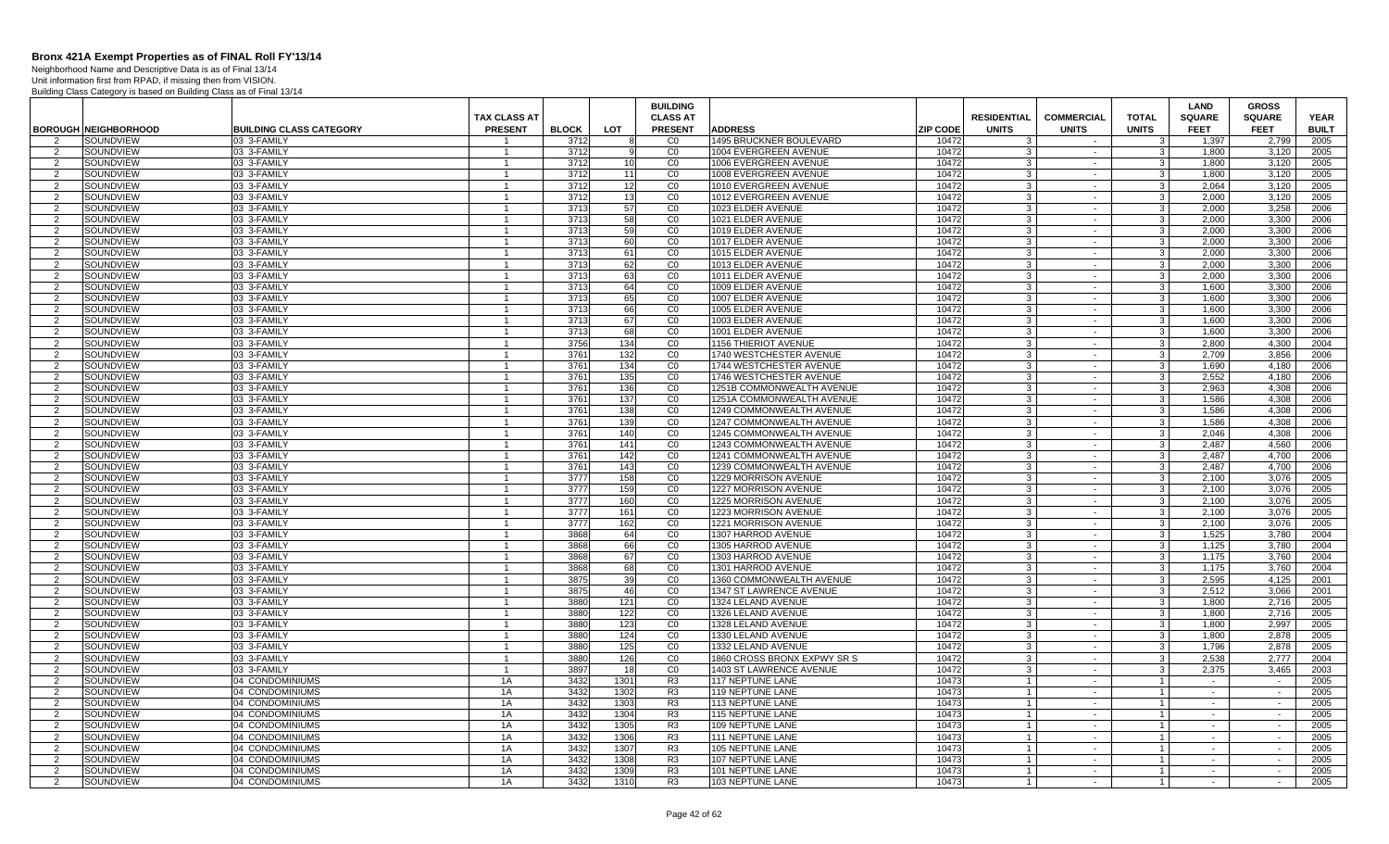Neighborhood Name and Descriptive Data is as of Final 13/14

|                                 |                             |                                    | <b>TAX CLASS AT</b>            |              |                 | <b>BUILDING</b><br><b>CLASS AT</b> |                                              |                 | <b>RESIDENTIAL</b> | <b>COMMERCIAL</b> | <b>TOTAL</b>                   | <b>LAND</b><br><b>SQUARE</b> | <b>GROSS</b><br><b>SQUARE</b> | <b>YEAR</b>  |
|---------------------------------|-----------------------------|------------------------------------|--------------------------------|--------------|-----------------|------------------------------------|----------------------------------------------|-----------------|--------------------|-------------------|--------------------------------|------------------------------|-------------------------------|--------------|
|                                 | <b>BOROUGH NEIGHBORHOOD</b> | <b>BUILDING CLASS CATEGORY</b>     | <b>PRESENT</b>                 | <b>BLOCK</b> | <b>LOT</b>      | <b>PRESENT</b>                     | <b>ADDRESS</b>                               | <b>ZIP CODE</b> | <b>UNITS</b>       | <b>UNITS</b>      | <b>UNITS</b>                   | <b>FEET</b>                  | <b>FEET</b>                   | <b>BUILT</b> |
| $\overline{2}$                  | SOUNDVIEW                   | 03 3-FAMILY                        |                                | 3712         |                 | C <sub>0</sub>                     | 1495 BRUCKNER BOULEVARD                      | 10472           | 3                  | $\sim$            | -3                             | 1.397                        | 2.799                         | 2005         |
| $\overline{2}$                  | SOUNDVIEW                   | 03 3-FAMILY                        |                                | 3712         |                 | CO                                 | 1004 EVERGREEN AVENUE                        | 10472           | 3                  | $\sim$            |                                | 1.800                        | 3.120                         | 2005         |
| 2                               | SOUNDVIEW                   | 03 3-FAMILY                        | $\mathbf{1}$                   | 3712         | 10              | CO                                 | 1006 EVERGREEN AVENUE                        | 10472           | 3                  | $\sim$            | 3                              | 1,800                        | 3,120                         | 2005         |
| $\overline{2}$                  | SOUNDVIEW                   | 03 3-FAMILY                        | $\mathbf{1}$                   | 3712         | 11              | CO                                 | 1008 EVERGREEN AVENUE                        | 10472           | $\mathbf{3}$       | $\sim$            | $\mathbf{3}$                   | 1.800                        | 3,120                         | 2005         |
| 2                               | SOUNDVIEW                   | 03 3-FAMILY                        |                                | 3712         | 12              | CO                                 | 1010 EVERGREEN AVENUE                        | 10472           | 3                  | $\sim$            | 3                              | 2,064                        | 3,120                         | 2005         |
| $\overline{2}$                  | SOUNDVIEW                   | 03 3-FAMILY                        | $\mathbf{1}$                   | 3712         | 13              | CO                                 | 1012 EVERGREEN AVENUE                        | 10472           | 3                  | $\sim$            | 3                              | 2.000                        | 3,120                         | 2005         |
| $\mathcal{P}$                   | SOUNDVIEW                   | 03 3-FAMILY                        | $\overline{1}$                 | 3713         | 57              | CO                                 | 1023 ELDER AVENUE                            | 10472           | 3                  | $\sim$            | $\mathcal{A}$                  | 2,000                        | 3,258                         | 2006         |
| 2                               | SOUNDVIEW                   | 03 3-FAMILY                        | $\overline{1}$                 | 3713         | 58              | CO                                 | 1021 ELDER AVENUE                            | 10472           | 3 <sup>1</sup>     | $\sim$            | $\mathbf{3}$                   | 2.000                        | 3,300                         | 2006         |
| 2                               | SOUNDVIEW                   | 03 3-FAMILY                        | $\mathbf{1}$                   | 3713         | 59              | CO                                 | 1019 ELDER AVENUE                            | 10472           | 3                  | $\sim$            | 3                              | 2.000                        | 3.300                         | 2006         |
| 2                               | SOUNDVIEW                   | 03 3-FAMILY                        | $\mathbf{1}$                   | 3713         | 60              | CO                                 | 1017 ELDER AVENUE                            | 10472           | 3 <sup>1</sup>     | $\sim$            | $\mathbf{3}$                   | 2.000                        | 3.300                         | 2006         |
| $\overline{2}$                  | SOUNDVIEW                   | 03 3-FAMILY                        | $\overline{1}$                 | 3713         | 61              | $\overline{C}0$<br>CO              | 1015 ELDER AVENUE                            | 10472           | 3                  | $\sim$            | $\mathcal{R}$                  | 2,000                        | 3,300                         | 2006         |
| 2<br>$\overline{2}$             | SOUNDVIEW                   | 03 3-FAMILY                        | $\mathbf{1}$<br>$\mathbf{1}$   | 3713<br>3713 | 62              | CO                                 | 1013 ELDER AVENUE                            | 10472<br>10472  | 3<br>$\mathbf{3}$  | $\sim$<br>$\sim$  | 3<br>$\mathbf{3}$              | 2,000<br>2.000               | 3,300<br>3.300                | 2006<br>2006 |
| 2                               | SOUNDVIEW<br>SOUNDVIEW      | 03 3-FAMILY<br>03 3-FAMILY         |                                | 3713         | 63<br>64        | CO                                 | 1011 ELDER AVENUE<br>1009 ELDER AVENUE       | 10472           | 3                  | $\sim$            | 3                              | 1.600                        | 3.300                         | 2006         |
| 2                               | SOUNDVIEW                   | 03 3-FAMILY                        | $\mathbf{1}$                   | 3713         | 65              | CO                                 | 1007 ELDER AVENUE                            | 10472           | 3 <sup>1</sup>     | $\sim$            | 3                              | 1,600                        | 3,300                         | 2006         |
| 2                               | SOUNDVIEW                   | 03 3-FAMILY                        | $\mathbf{1}$                   | 3713         | 66              | $\overline{C}$                     | 1005 ELDER AVENUE                            | 10472           | 3                  | $\sim$            | 3                              | 1.600                        | 3,300                         | 2006         |
| 2                               | SOUNDVIEW                   | 03 3-FAMILY                        | $\overline{1}$                 | 3713         | 67              | CO                                 | 1003 ELDER AVENUE                            | 10472           | 3 <sup>1</sup>     | $\sim$            | $\mathbf{3}$                   | 1.600                        | 3.300                         | 2006         |
| 2                               | SOUNDVIEW                   | 03 3-FAMILY                        | $\overline{1}$                 | 3713         | 68              | $_{\rm CO}$                        | 1001 ELDER AVENUE                            | 10472           | 3                  | $\blacksquare$    | 3                              | 1,600                        | 3,300                         | 2006         |
| 2                               | SOUNDVIEW                   | 03 3-FAMILY                        | $\mathbf{1}$                   | 3756         | 134             | $\overline{c}$                     | 1156 THIERIOT AVENUE                         | 10472           | 3                  | $\sim$            | 3                              | 2,800                        | 4,300                         | 2004         |
| 2                               | SOUNDVIEW                   | 03 3-FAMILY                        | $\mathbf{1}$                   | 3761         | 132             | CO                                 | 1740 WESTCHESTER AVENUE                      | 10472           | 3                  | $\sim$            | 3                              | 2,709                        | 3,856                         | 2006         |
| $\overline{2}$                  | SOUNDVIEW                   | 03 3-FAMILY                        |                                | 3761         | 134             | CO                                 | 1744 WESTCHESTER AVENUE                      | 10472           | 3                  | $\sim$            | 3                              | 1.690                        | 4,180                         | 2006         |
| 2                               | SOUNDVIEW                   | 03 3-FAMILY                        | $\mathbf{1}$                   | 3761         | 135             | $_{\rm CO}$                        | 1746 WESTCHESTER AVENUE                      | 10472           | $\mathbf{3}$       | $\sim$            | $\mathbf{3}$                   | 2,552                        | 4,180                         | 2006         |
| $\overline{2}$                  | SOUNDVIEW                   | 03 3-FAMILY                        | $\mathbf{1}$                   | 3761         | 136             | CO                                 | 1251B COMMONWEALTH AVENUE                    | 10472           | 3                  | $\sim$            | 3                              | 2,963                        | 4,308                         | 2006         |
| 2                               | SOUNDVIEW                   | 03 3-FAMILY                        | $\mathbf{1}$                   | 3761         | 137             | CO                                 | 1251A COMMONWEALTH AVENUE                    | 10472           | $\mathbf{3}$       | $\sim$            | $\mathbf{3}$                   | 1,586                        | 4.308                         | 2006         |
| 2                               | SOUNDVIEW                   | 03 3-FAMILY                        | $\mathbf{1}$                   | 3761         | 138             | CO                                 | 1249 COMMONWEALTH AVENUE                     | 10472           | 3                  | $\sim$            | 3                              | 1.586                        | 4.308                         | 2006         |
| 2                               | SOUNDVIEW                   | 03 3-FAMILY                        | $\mathbf{1}$                   | 3761         | 139             | $_{\rm CO}$                        | 1247 COMMONWEALTH AVENUE                     | 10472           | 3                  | $\sim$            | 3                              | 1,586                        | 4,308                         | 2006         |
| $\overline{2}$                  | SOUNDVIEW                   | 03 3-FAMILY                        | $\overline{1}$                 | 3761         | 140             | $\overline{c}$                     | 1245 COMMONWEALTH AVENUE                     | 10472           | $\mathbf{3}$       | $\sim$            | 3                              | 2.046                        | 4,308                         | 2006         |
| 2                               | SOUNDVIEW                   | 03 3-FAMILY                        | -1                             | 3761         | 141             | CO                                 | 1243 COMMONWEALTH AVENUE                     | 10472           | 3                  | $\sim$            | 3                              | 2,487                        | 4,560                         | 2006         |
| $\overline{2}$                  | SOUNDVIEW                   | 03 3-FAMILY                        | $\overline{1}$                 | 3761         | 142             | CO                                 | 1241 COMMONWEALTH AVENUE                     | 10472           | 3                  | $\sim$            | 3                              | 2,487                        | 4.700                         | 2006         |
| $\overline{2}$                  | SOUNDVIEW                   | 03 3-FAMILY                        |                                | 3761         | 143             | CO                                 | 1239 COMMONWEALTH AVENUE                     | 10472           | 3                  | $\sim$            | 3                              | 2,487                        | 4.700                         | 2006         |
| 2                               | SOUNDVIEW                   | 03 3-FAMILY                        | $\mathbf{1}$                   | 3777         | 158             | CO                                 | 1229 MORRISON AVENUE                         | 10472           | $\mathbf{3}$       | $\sim$            | $\mathbf{3}$                   | 2.100                        | 3.076                         | 2005         |
| 2                               | SOUNDVIEW                   | 03 3-FAMILY                        | $\mathbf{1}$                   | 3777         | 159             | $\overline{C}$                     | 1227 MORRISON AVENUE                         | 10472           | 3                  | $\sim$            | 3                              | 2.100                        | 3.076                         | 2005         |
| 2<br>$\mathcal{P}$              | SOUNDVIEW                   | 03 3-FAMILY                        | $\mathbf{1}$<br>$\overline{1}$ | 3777         | 160             | CO<br>$\overline{c}$               | 1225 MORRISON AVENUE                         | 10472           | $\mathbf{3}$       | $\sim$            | $\mathbf{3}$                   | 2.100                        | 3.076                         | 2005         |
|                                 | SOUNDVIEW<br>SOUNDVIEW      | 03 3-FAMILY<br>03 3-FAMILY         |                                | 3777<br>3777 | 161<br>162      | $\overline{c}$                     | 1223 MORRISON AVENUE<br>1221 MORRISON AVENUE | 10472<br>10472  | 3<br>3             | $\blacksquare$    | 3<br>$\mathbf{3}$              | 2,100<br>2,100               | 3,076<br>3,076                | 2005<br>2005 |
| 2<br>$\overline{2}$             | SOUNDVIEW                   | 03 3-FAMILY                        | $\mathbf{1}$<br>$\overline{1}$ | 3868         | 64              | CO                                 | 1307 HARROD AVENUE                           | 10472           | 3                  | $\sim$<br>$\sim$  | 3                              | 1,525                        | 3,780                         | 2004         |
| 2                               | SOUNDVIEW                   | 03 3-FAMILY                        |                                | 3868         | 66              | CO                                 | 1305 HARROD AVENUE                           | 10472           | 3                  | $\sim$            | 3                              | 1.125                        | 3.780                         | 2004         |
| 2                               | SOUNDVIEW                   | 03 3-FAMILY                        | $\mathbf{1}$                   | 3868         | 67              | $_{\rm CO}$                        | 1303 HARROD AVENUE                           | 10472           | 3                  | $\sim$            | $\mathbf{3}$                   | 1,175                        | 3,760                         | 2004         |
| $\overline{2}$                  | SOUNDVIEW                   | 03 3-FAMILY                        |                                | 3868         | 68              | CO                                 | 1301 HARROD AVENUE                           | 10472           | 3                  | $\sim$            | 3                              | 1,175                        | 3,760                         | 2004         |
| 2                               | SOUNDVIEW                   | 03 3-FAMILY                        | $\mathbf{1}$                   | 3875         | 39              | CO                                 | 1360 COMMONWEALTH AVENUE                     | 10472           | 3 <sup>1</sup>     | $\sim$            | $\mathbf{3}$                   | 2.595                        | 4.125                         | 2001         |
| 2                               | SOUNDVIEW                   | 03 3-FAMILY                        | $\overline{1}$                 | 3875         | 46              | CO                                 | 1347 ST LAWRENCE AVENUE                      | 10472           | 3                  | $\sim$            | $\mathbf{3}$                   | 2.512                        | 3.066                         | 2001         |
| 2                               | SOUNDVIEW                   | 03 3-FAMILY                        | $\mathbf{1}$                   | 3880         | 121             | $\overline{c}$                     | 1324 LELAND AVENUE                           | 10472           | $\mathbf{3}$       | $\sim$            | 3                              | 1,800                        | 2,716                         | 2005         |
| $\overline{2}$                  | SOUNDVIEW                   | 03 3-FAMILY                        | $\mathbf{1}$                   | 3880         | 122             | $\overline{C}$                     | 1326 LELAND AVENUE                           | 10472           | 3                  | $\sim$            | 3                              | 1.800                        | 2.716                         | 2005         |
| 2                               | SOUNDVIEW                   | 03 3-FAMILY                        | -1                             | 3880         | 123             | CO                                 | 1328 LELAND AVENUE                           | 10472           | 3                  | $\sim$            | 3                              | 1.800                        | 2.997                         | 2005         |
| $\overline{2}$                  | SOUNDVIEW                   | 03 3-FAMILY                        | $\overline{1}$                 | 3880         | 124             | CO                                 | 1330 LELAND AVENUE                           | 10472           | 3                  | $\sim$            | 3                              | 1.800                        | 2.878                         | 2005         |
| $\overline{2}$                  | SOUNDVIEW                   | 03 3-FAMILY                        |                                | 3880         | 125             | CO                                 | 1332 LELAND AVENUE                           | 10472           | 3                  | $\sim$            | 3                              | 1.796                        | 2,878                         | 2005         |
| 2                               | SOUNDVIEW                   | 03 3-FAMILY                        | $\mathbf{1}$                   | 3880         | 126             | CO                                 | 1860 CROSS BRONX EXPWY SR S                  | 10472           | $\mathbf{3}$       | $\sim$            | $\mathbf{3}$                   | 2.538                        | 2.777                         | 2004         |
| 2                               | SOUNDVIEW                   | 03 3-FAMILY                        | $\mathbf{1}$                   | 3897         | 18 <sup>1</sup> | CO                                 | 1403 ST LAWRENCE AVENUE                      | 10472           | 3 <sup>1</sup>     | $\sim$            | 3                              | 2,375                        | 3,465                         | 2003         |
| 2                               | SOUNDVIEW                   | 04 CONDOMINIUMS                    | 1A                             | 3432         | 1301            | R3                                 | <b>117 NEPTUNE LANE</b>                      | 10473           | $\overline{1}$     | $\sim$            | $\overline{1}$                 | $\sim$                       | $\sim$                        | 2005         |
| 2                               | SOUNDVIEW                   | 04 CONDOMINIUMS                    | 1A                             | 3432         | 1302            | R <sub>3</sub>                     | 119 NEPTUNE LANE                             | 10473           |                    | $\sim$            | $\overline{1}$                 | $\sim$                       | $\blacksquare$                | 2005         |
| 2                               | SOUNDVIEW                   | 04 CONDOMINIUMS                    | 1A                             | 3432         | 1303            | R <sub>3</sub>                     | 113 NEPTUNE LANE                             | 10473           |                    | $\sim$            | $\overline{1}$                 | $\sim$                       | $\sim$                        | 2005         |
| 2                               | SOUNDVIEW                   | 04 CONDOMINIUMS                    | 1A                             | 3432         | 1304            | R <sub>3</sub>                     | 115 NEPTUNE LANE                             | 10473           |                    | $\sim$            | $\mathbf{1}$                   | $\sim$ $-$                   | $\sim$                        | 2005         |
| 2                               | SOUNDVIEW                   | 04 CONDOMINIUMS                    | 1A                             | 3432         | 1305            | R <sub>3</sub>                     | 109 NEPTUNE LANE                             | 10473           |                    | $\sim$<br>$\sim$  | $\overline{1}$                 | $\sim$                       | $\sim$                        | 2005         |
| $\overline{2}$                  | SOUNDVIEW                   | 04 CONDOMINIUMS                    | 1A                             | 3432         | 1306            | R <sub>3</sub>                     | 111 NEPTUNE LANE                             | 10473           |                    |                   | $\mathbf{1}$<br>$\overline{1}$ | $\sim$                       | $\sim$                        | 2005         |
| $\overline{2}$<br>$\mathcal{P}$ | SOUNDVIEW<br>SOUNDVIEW      | 04 CONDOMINIUMS<br>04 CONDOMINIUMS | 1A<br>1A                       | 3432<br>3432 | 1307<br>1308    | R <sub>3</sub><br>R3               | 105 NEPTUNE LANE<br>107 NEPTUNE LANE         | 10473<br>10473  | $\overline{1}$     | $\sim$<br>$\sim$  | $\overline{1}$                 | $\sim$<br>$\sim$ $-$         | $\sim$<br>$\sim$              | 2005<br>2005 |
| 2                               | SOUNDVIEW                   | 04 CONDOMINIUMS                    | 1A                             | 3432         | 1309            | R <sub>3</sub>                     | 101 NEPTUNE LANE                             | 10473           |                    | $\blacksquare$    | $\overline{1}$                 | $\sim$                       | $\sim$                        | 2005         |
| 2                               | SOUNDVIEW                   | 04 CONDOMINIUMS                    | 1A                             | 3432         | 1310            | R <sub>3</sub>                     | 103 NEPTUNE LANE                             | 10473           |                    | $\blacksquare$    | $\mathbf{1}$                   | $\sim$                       | $\sim$                        | 2005         |
|                                 |                             |                                    |                                |              |                 |                                    |                                              |                 |                    |                   |                                |                              |                               |              |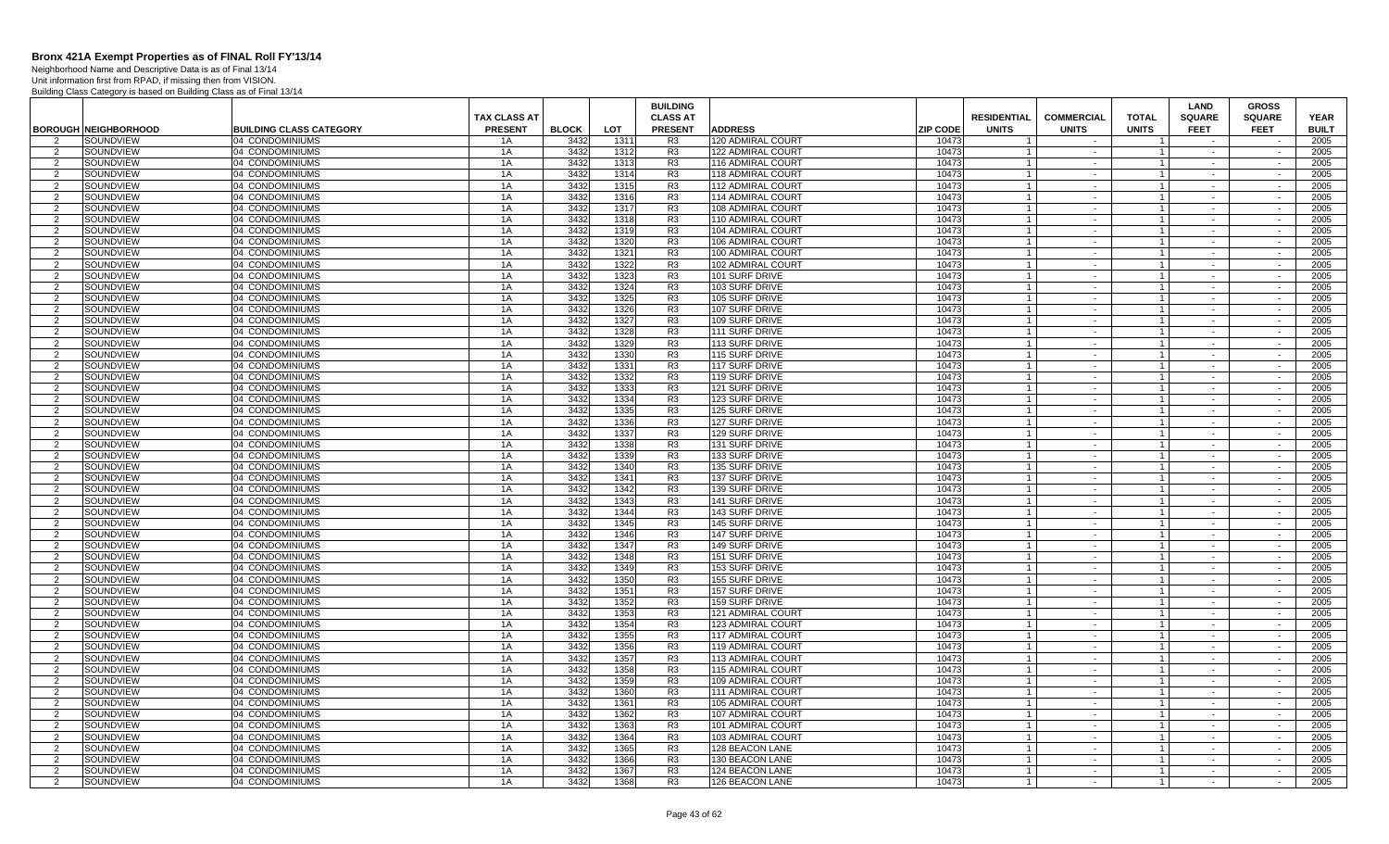Neighborhood Name and Descriptive Data is as of Final 13/14 Unit information first from RPAD, if missing then from VISION.

|                                  |                               |                                    |                                       |              |              | <b>BUILDING</b>                   |                                                |                 |                                    |                                   |                              | LAND                         | <b>GROSS</b>                 |                             |
|----------------------------------|-------------------------------|------------------------------------|---------------------------------------|--------------|--------------|-----------------------------------|------------------------------------------------|-----------------|------------------------------------|-----------------------------------|------------------------------|------------------------------|------------------------------|-----------------------------|
|                                  | <b>BOROUGH NEIGHBORHOOD</b>   | <b>BUILDING CLASS CATEGORY</b>     | <b>TAX CLASS AT</b><br><b>PRESENT</b> | <b>BLOCK</b> | LOT          | <b>CLASS AT</b><br><b>PRESENT</b> | <b>ADDRESS</b>                                 | <b>ZIP CODE</b> | <b>RESIDENTIAL</b><br><b>UNITS</b> | <b>COMMERCIAL</b><br><b>UNITS</b> | <b>TOTAL</b><br><b>UNITS</b> | <b>SQUARE</b><br><b>FEET</b> | <b>SQUARE</b><br><b>FEET</b> | <b>YEAR</b><br><b>BUILT</b> |
| $\overline{2}$                   | SOUNDVIEW                     | 04 CONDOMINIUMS                    | 1A                                    | 3432         | 1311         | R <sub>3</sub>                    | <b>120 ADMIRAL COURT</b>                       | 10473           |                                    |                                   |                              |                              |                              | 2005                        |
| 2                                | SOUNDVIEW                     | 04 CONDOMINIUMS                    | 1A                                    | 3432         | 1312         | R3                                | 122 ADMIRAL COURT                              | 10473           |                                    | $\sim$                            | $\mathbf{1}$                 | $\sim$                       | $\sim$                       | 2005                        |
| $\overline{2}$                   | SOUNDVIEW                     | 04 CONDOMINIUMS                    | 1A                                    | 3432         | 1313         | R <sub>3</sub>                    | 116 ADMIRAL COURT                              | 10473           | $\overline{1}$                     | $\sim$                            | $\overline{1}$               |                              | $\overline{\phantom{a}}$     | 2005                        |
| $\overline{2}$                   | SOUNDVIEW                     | 04 CONDOMINIUMS                    | 1A                                    | 3432         | 1314         | R <sub>3</sub>                    | 118 ADMIRAL COURT                              | 10473           |                                    | $\sim$                            | $\overline{1}$               | $\sim$                       | $\sim$                       | 2005                        |
| 2                                | SOUNDVIEW                     | 04 CONDOMINIUMS                    | 1A                                    | 3432         | 1315         | R <sub>3</sub>                    | 112 ADMIRAL COURT                              | 10473           | $\overline{1}$                     | $\sim$                            | $\overline{1}$               | $\sim$                       | $\sim$                       | 2005                        |
| $\overline{2}$                   | SOUNDVIEW                     | 04 CONDOMINIUMS                    | 1A                                    | 3432         | 1316         | R <sub>3</sub>                    | <b>114 ADMIRAL COURT</b>                       | 10473           | $\overline{1}$                     | $\sim$                            | $\overline{1}$               | $\sim$                       | $\sim$                       | 2005                        |
| 2                                | SOUNDVIEW                     | 04 CONDOMINIUMS                    | 1A                                    | 3432         | 1317         | R <sub>3</sub>                    | 108 ADMIRAL COURT                              | 10473           | $\overline{1}$                     | $\sim$                            | $\overline{1}$               | $\sim$                       | $\sim$                       | 2005                        |
| $\overline{2}$                   | SOUNDVIEW                     | 04 CONDOMINIUMS                    | 1A                                    | 3432         | 1318         | R <sub>3</sub>                    | 110 ADMIRAL COURT                              | 10473           |                                    | $\sim$                            | $\overline{1}$               |                              |                              | 2005                        |
| $\overline{2}$                   | SOUNDVIEW                     | 04 CONDOMINIUMS                    | 1A                                    | 3432         | 1319         | R <sub>3</sub>                    | 104 ADMIRAL COURT                              | 10473           |                                    | $\sim$                            | $\mathbf{1}$                 | $\sim$                       | $\sim$                       | 2005                        |
| $\overline{2}$                   | SOUNDVIEW                     | 04 CONDOMINIUMS                    | 1A                                    | 3432         | 1320         | R <sub>3</sub>                    | 106 ADMIRAL COURT                              | 10473           |                                    | $\sim$                            | $\mathbf{1}$                 |                              | $\sim$                       | 2005                        |
| 2                                | SOUNDVIEW                     | 04 CONDOMINIUMS                    | 1A                                    | 3432         | 1321         | R <sub>3</sub>                    | 100 ADMIRAL COURT                              | 10473           |                                    | $\sim$                            | $\mathbf{1}$                 | $\sim$                       | $\sim$                       | 2005                        |
| $\overline{2}$                   | SOUNDVIEW                     | 04 CONDOMINIUMS                    | 1A                                    | 3432         | 1322         | R <sub>3</sub>                    | 102 ADMIRAL COURT                              | 10473           | $\overline{1}$                     | $\sim$                            | $\mathbf{1}$                 | $\sim$                       | $\overline{\phantom{a}}$     | 2005                        |
| $\overline{2}$                   | SOUNDVIEW                     | 04 CONDOMINIUMS                    | 1A                                    | 3432         | 1323         | R <sub>3</sub>                    | 101 SURF DRIVE                                 | 10473           |                                    | $\sim$                            | $\overline{1}$               | $\sim$                       | $\overline{\phantom{a}}$     | 2005                        |
| 2                                | SOUNDVIEW                     | 04 CONDOMINIUMS                    | 1A                                    | 3432         | 1324         | R <sub>3</sub>                    | 103 SURF DRIVE                                 | 10473           | $\overline{1}$                     | $\sim$                            | $\overline{1}$               | $\sim$                       | $\sim$                       | 2005                        |
| $\overline{2}$                   | SOUNDVIEW                     | 04 CONDOMINIUMS                    | 1A                                    | 3432         | 1325         | R3                                | 105 SURF DRIVE                                 | 10473           | $\overline{1}$                     | $\sim$                            | $\overline{1}$               | $\sim$                       | $\sim$                       | 2005                        |
| 2                                | SOUNDVIEW                     | 04 CONDOMINIUMS                    | 1A                                    | 3432         | 1326         | R <sub>3</sub>                    | 107 SURF DRIVE                                 | 10473           | $\overline{1}$                     | $\sim$                            | $\overline{1}$               | $\sim$                       | $\sim$                       | 2005                        |
| $\overline{2}$                   | SOUNDVIEW                     | 04 CONDOMINIUMS                    | 1A                                    | 3432         | 1327         | R <sub>3</sub>                    | 109 SURF DRIVE                                 | 10473           |                                    | $\sim$                            | $\overline{1}$               | $\sim$                       | $\sim$                       | 2005                        |
| $\overline{2}$                   | SOUNDVIEW                     | 04 CONDOMINIUMS                    | 1A                                    | 3432         | 1328         | R <sub>3</sub>                    | 111 SURF DRIVE                                 | 10473           | $\overline{1}$                     | $\sim$                            | $\overline{1}$               | $\sim$                       | $\sim$                       | 2005                        |
| $\overline{2}$                   | SOUNDVIEW                     | 04 CONDOMINIUMS                    | 1A                                    | 3432         | 1329         | R <sub>3</sub>                    | 113 SURF DRIVE                                 | 10473           |                                    | $\sim$                            | $\mathbf{1}$                 | $\sim$                       | $\sim$                       | 2005                        |
| 2                                | SOUNDVIEW                     | 04 CONDOMINIUMS                    | 1A                                    | 3432         | 1330         | R <sub>3</sub>                    | 115 SURF DRIVE                                 | 10473           |                                    | $\sim$                            | $\overline{1}$               | $\sim$                       | $\sim$                       | 2005                        |
| $\overline{2}$                   | SOUNDVIEW                     | 04 CONDOMINIUMS                    | 1A                                    | 3432         | 1331         | R3                                | 117 SURF DRIVE                                 | 10473           |                                    | $\sim$                            | $\mathbf{1}$                 | $\sim$                       | $\overline{\phantom{a}}$     | 2005                        |
| $\overline{2}$                   | SOUNDVIEW                     | 04 CONDOMINIUMS                    | 1A                                    | 3432         | 1332         | R <sub>3</sub>                    | 119 SURF DRIVE                                 | 10473           |                                    | $\sim$                            | $\mathbf{1}$                 | $\sim$                       | $\overline{\phantom{a}}$     | 2005                        |
| 2                                | SOUNDVIEW                     | 04 CONDOMINIUMS                    | 1A                                    | 3432         | 1333         | R <sub>3</sub>                    | 121 SURF DRIVE                                 | 10473           | $\overline{1}$                     | $\sim$                            | $\vert$ 1                    | $\sim$                       | $\sim$                       | 2005                        |
| $\overline{2}$                   | SOUNDVIEW                     | 04 CONDOMINIUMS                    | 1A                                    | 3432         | 1334         | R <sub>3</sub>                    | 123 SURF DRIVE                                 | 10473           |                                    | $\sim$                            | $\overline{1}$               | $\sim$                       | $\sim$                       | 2005                        |
| 2                                | SOUNDVIEW                     | 04 CONDOMINIUMS                    | 1A                                    | 3432         | 1335         | R <sub>3</sub>                    | 125 SURF DRIVE                                 | 10473           | $\overline{1}$                     | $\sim$ $-$                        | $\overline{1}$               | $\sim$                       | $\sim$                       | 2005                        |
| $\overline{2}$                   | SOUNDVIEW                     | 04 CONDOMINIUMS                    | 1A                                    | 3432         | 1336         | R <sub>3</sub>                    | 127 SURF DRIVE                                 | 10473           |                                    | $\sim$                            | $\overline{1}$               | $\sim$                       | $\sim$                       | 2005                        |
| 2                                | SOUNDVIEW                     | 04 CONDOMINIUMS                    | 1A                                    | 3432         | 1337         | R <sub>3</sub>                    | 129 SURF DRIVE                                 | 10473           |                                    | $\sim$                            | $\mathbf{1}$                 | $\sim$                       | $\sim$                       | 2005                        |
| $\overline{2}$                   | SOUNDVIEW                     | 04 CONDOMINIUMS                    | 1A                                    | 3432         | 1338         | R <sub>3</sub>                    | 131 SURF DRIVE                                 | 10473           |                                    | $\sim$                            | $\mathbf{1}$                 | $\sim$                       | $\sim$                       | 2005                        |
| 2                                | SOUNDVIEW                     | 04 CONDOMINIUMS                    | 1A                                    | 3432         | 1339         | R <sub>3</sub>                    | 133 SURF DRIVE                                 | 10473           |                                    | $\sim$                            | $\overline{1}$               | $\sim$                       | $\sim$                       | 2005                        |
| $\overline{2}$                   | SOUNDVIEW                     | 04 CONDOMINIUMS                    | 1A                                    | 3432         | 1340         | R <sub>3</sub>                    | 135 SURF DRIVE                                 | 10473           |                                    | $\sim$                            | $\mathbf{1}$                 | $\sim$                       | $\sim$                       | 2005                        |
| $\overline{2}$                   | SOUNDVIEW                     | 04 CONDOMINIUMS                    | 1A                                    | 3432         | 1341         | R <sub>3</sub>                    | 137 SURF DRIVE                                 | 10473           |                                    | $\sim$                            | $\mathbf{1}$                 | $\sim$                       |                              | 2005                        |
| 2                                | SOUNDVIEW                     | 04 CONDOMINIUMS                    | 1A                                    | 3432         | 1342         | R <sub>3</sub>                    | 139 SURF DRIVE                                 | 10473           | $\mathbf{1}$                       | $\sim$                            | $\vert$ 1                    | $\sim$                       | $\sim$                       | 2005                        |
| $\mathcal{P}$                    | SOUNDVIEW                     | 04 CONDOMINIUMS                    | 1A                                    | 3432         | 1343         | R3                                | 141 SURF DRIVE                                 | 10473           |                                    | $\sim$                            | $\overline{1}$               | $\sim$                       | $\sim$                       | 2005                        |
| 2                                | SOUNDVIEW                     | 04 CONDOMINIUMS                    | 1A                                    | 3432         | 1344         | R <sub>3</sub>                    | 143 SURF DRIVE                                 | 10473           | $\overline{1}$                     | $\sim$                            | $\vert$ 1                    | $\sim$                       | $\sim$                       | 2005                        |
| $\overline{2}$                   | SOUNDVIEW                     | 04 CONDOMINIUMS                    | 1A                                    | 3432<br>3432 | 1345         | R <sub>3</sub>                    | <b>145 SURF DRIVE</b>                          | 10473           | $\overline{1}$                     | $\sim$                            | $\overline{1}$               | $\sim$                       | $\sim$                       | 2005                        |
| $\overline{2}$<br>$\overline{2}$ | SOUNDVIEW                     | 04 CONDOMINIUMS                    | 1A<br>1A                              | 3432         | 1346<br>1347 | R3<br>R <sub>3</sub>              | <b>147 SURF DRIVE</b>                          | 10473<br>10473  |                                    | $\sim$<br>$\sim$                  | $\mathbf{1}$<br>$\mathbf{1}$ | $\sim$                       | $\sim$<br>$\sim$             | 2005<br>2005                |
|                                  | <b>SOUNDVIEW</b><br>SOUNDVIEW | 04 CONDOMINIUMS<br>04 CONDOMINIUMS | 1A                                    | 3432         | 1348         | R <sub>3</sub>                    | <b>149 SURF DRIVE</b><br><b>151 SURF DRIVE</b> | 10473           |                                    | $\sim$                            | $\overline{1}$               | $\sim$                       | $\sim$                       | 2005                        |
| 2<br>$\overline{2}$              | SOUNDVIEW                     | 04 CONDOMINIUMS                    | 1A                                    | 3432         | 1349         | R <sub>3</sub>                    | 153 SURF DRIVE                                 | 10473           |                                    | $\sim$                            | $\mathbf{1}$                 | $\sim$                       | $\sim$                       | 2005                        |
| -2                               | SOUNDVIEW                     | 04 CONDOMINIUMS                    | 1A                                    | 3432         | 1350         | R3                                | <b>155 SURF DRIVE</b>                          | 10473           |                                    | $\sim$                            | 1                            | $\sim$                       | $\sim$                       | 2005                        |
| 2                                | SOUNDVIEW                     | 04 CONDOMINIUMS                    | 1A                                    | 3432         | 1351         | R <sub>3</sub>                    | 157 SURF DRIVE                                 | 10473           | $\overline{1}$                     | $\sim$                            | $\overline{1}$               | $\sim$                       | $\sim$                       | 2005                        |
| $\overline{2}$                   | SOUNDVIEW                     | 04 CONDOMINIUMS                    | 1A                                    | 3432         | 1352         | R3                                | <b>159 SURF DRIVE</b>                          | 10473           |                                    | $\sim$                            | $\mathbf{1}$                 | $\sim$                       | $\sim$                       | 2005                        |
| 2                                | SOUNDVIEW                     | 04 CONDOMINIUMS                    | 1A                                    | 3432         | 1353         | R <sub>3</sub>                    | 121 ADMIRAL COURT                              | 10473           | $\overline{1}$                     | $\sim$                            | $\vert$ 1                    | $\sim$                       | $\sim$                       | 2005                        |
| $\overline{2}$                   | SOUNDVIEW                     | 04 CONDOMINIUMS                    | 1A                                    | 3432         | 1354         | R <sub>3</sub>                    | 123 ADMIRAL COURT                              | 10473           |                                    | $\sim$                            | $\overline{1}$               |                              | $\sim$                       | 2005                        |
| 2                                | SOUNDVIEW                     | 04 CONDOMINIUMS                    | 1A                                    | 3432         | 1355         | R <sub>3</sub>                    | 117 ADMIRAL COURT                              | 10473           |                                    | $\sim$                            | $\mathbf{1}$                 | $\sim$                       | $\sim$                       | 2005                        |
| $\overline{2}$                   | SOUNDVIEW                     | 04 CONDOMINIUMS                    | 1A                                    | 3432         | 1356         | R <sub>3</sub>                    | 119 ADMIRAL COURT                              | 10473           |                                    | $\sim$                            | $\mathbf{1}$                 |                              | $\sim$                       | 2005                        |
| 2                                | SOUNDVIEW                     | 04 CONDOMINIUMS                    | 1A                                    | 3432         | 1357         | R <sub>3</sub>                    | 113 ADMIRAL COURT                              | 10473           |                                    | $\sim$                            | $\overline{1}$               | $\sim$                       | $\sim$                       | 2005                        |
| 2                                | SOUNDVIEW                     | 04 CONDOMINIUMS                    | 1A                                    | 3432         | 1358         | R <sub>3</sub>                    | 115 ADMIRAL COURT                              | 10473           | $\overline{1}$                     | $\sim$                            | $\overline{1}$               | $\sim$                       | $\sim$                       | 2005                        |
| $\overline{2}$                   | SOUNDVIEW                     | 04 CONDOMINIUMS                    | 1A                                    | 3432         | 1359         | R <sub>3</sub>                    | 109 ADMIRAL COURT                              | 10473           |                                    | $\sim$                            | $\overline{1}$               | $\sim$                       | $\sim$                       | 2005                        |
| 2                                | SOUNDVIEW                     | 04 CONDOMINIUMS                    | 1A                                    | 3432         | 1360         | R <sub>3</sub>                    | 111 ADMIRAL COURT                              | 10473           | $\overline{1}$                     | $\sim$                            | $\overline{1}$               | $\sim$                       | $\sim$                       | 2005                        |
| 2                                | SOUNDVIEW                     | 04 CONDOMINIUMS                    | 1A                                    | 3432         | 1361         | R3                                | <b>105 ADMIRAL COURT</b>                       | 10473           |                                    | $\sim$                            | $\overline{1}$               | $\sim$                       | $\sim$                       | 2005                        |
| 2                                | SOUNDVIEW                     | 04 CONDOMINIUMS                    | 1A                                    | 3432         | 1362         | R3                                | 107 ADMIRAL COURT                              | 10473           | $\overline{1}$                     | $\sim$ $-$                        | $\overline{1}$               | $\sim$                       | $\sim$                       | 2005                        |
| $\overline{2}$                   | SOUNDVIEW                     | 04 CONDOMINIUMS                    | 1A                                    | 3432         | 1363         | R <sub>3</sub>                    | 101 ADMIRAL COURT                              | 10473           |                                    | $\sim$                            | $\overline{1}$               |                              | $\sim$                       | 2005                        |
| 2                                | SOUNDVIEW                     | 04 CONDOMINIUMS                    | 1A                                    | 3432         | 1364         | R <sub>3</sub>                    | 103 ADMIRAL COURT                              | 10473           |                                    | $\sim$                            | $\overline{1}$               | $\sim$                       | $\sim$                       | 2005                        |
| $\overline{2}$                   | SOUNDVIEW                     | 04 CONDOMINIUMS                    | 1A                                    | 3432         | 1365         | R <sub>3</sub>                    | 128 BEACON LANE                                | 10473           |                                    | $\sim$                            | $\mathbf{1}$                 |                              | $\sim$                       | 2005                        |
| 2                                | SOUNDVIEW                     | 04 CONDOMINIUMS                    | 1A                                    | 3432         | 1366         | R <sub>3</sub>                    | 130 BEACON LANE                                | 10473           |                                    | $\sim$                            | $\overline{1}$               | $\sim$                       | $\sim$                       | 2005                        |
| $\overline{2}$                   | SOUNDVIEW                     | 04 CONDOMINIUMS                    | 1A                                    | 3432         | 1367         | R3                                | 124 BEACON LANE                                | 10473           | $\overline{1}$                     | $\sim$                            | $\vert$ 1                    | $\sim$                       | $\sim$                       | 2005                        |
| $\overline{2}$                   | SOUNDVIEW                     | 04 CONDOMINIUMS                    | 1A                                    | 3432         | 1368         | R <sub>3</sub>                    | 126 BEACON LANE                                | 10473           |                                    | $\sim$                            |                              | $\sim$                       | $\sim$                       | 2005                        |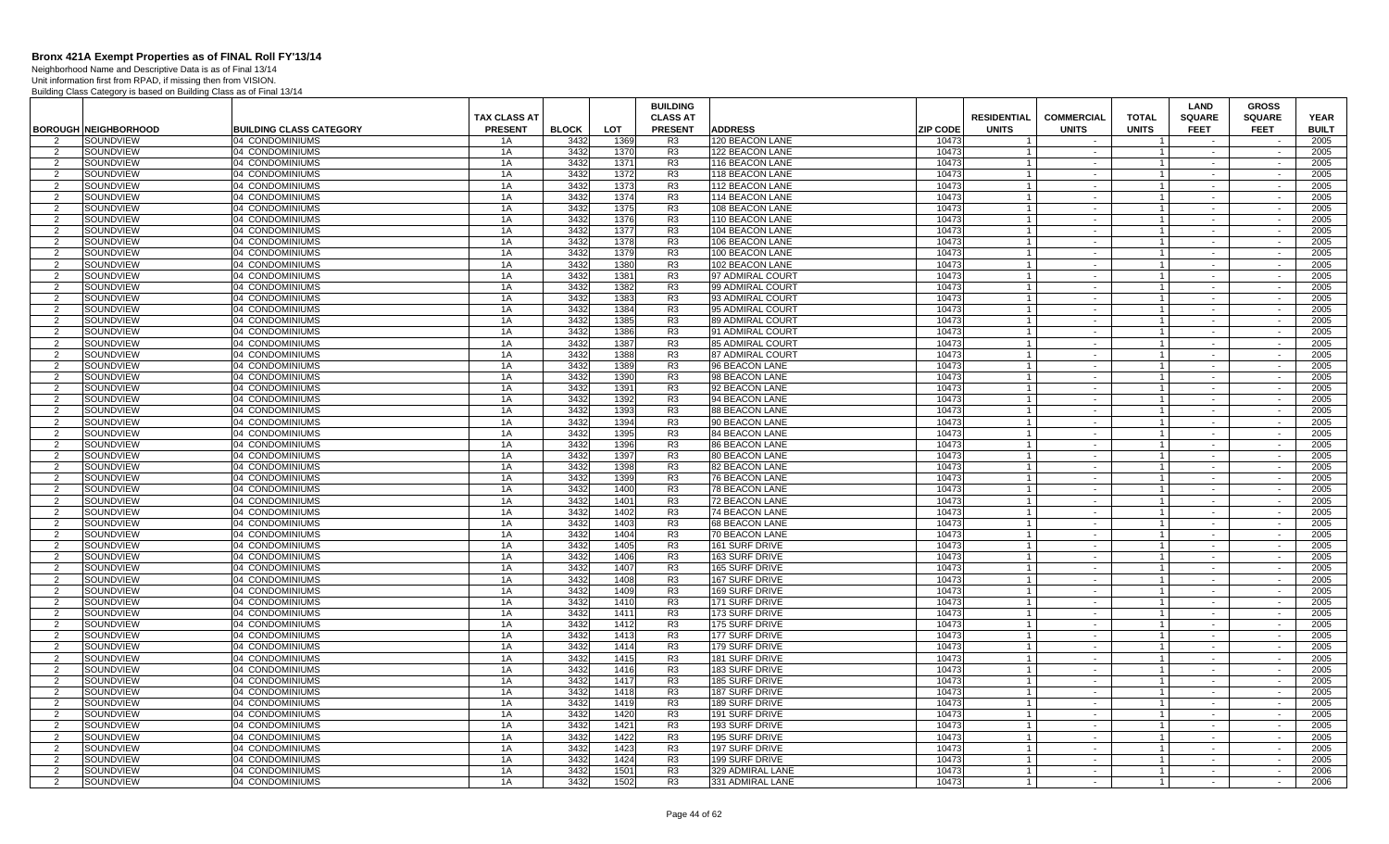Neighborhood Name and Descriptive Data is as of Final 13/14 Unit information first from RPAD, if missing then from VISION.

|                     |                             |                                    |                                       |              |              | <b>BUILDING</b>                   |                                                    |                                    |                                   |                                  | <b>LAND</b>                  | <b>GROSS</b>                 |                             |
|---------------------|-----------------------------|------------------------------------|---------------------------------------|--------------|--------------|-----------------------------------|----------------------------------------------------|------------------------------------|-----------------------------------|----------------------------------|------------------------------|------------------------------|-----------------------------|
|                     | <b>BOROUGH NEIGHBORHOOD</b> | <b>BUILDING CLASS CATEGORY</b>     | <b>TAX CLASS AT</b><br><b>PRESENT</b> | <b>BLOCK</b> | LOT          | <b>CLASS AT</b><br><b>PRESENT</b> | <b>ADDRESS</b><br><b>ZIP CODE</b>                  | <b>RESIDENTIAL</b><br><b>UNITS</b> | <b>COMMERCIAL</b><br><b>UNITS</b> | <b>TOTAL</b><br><b>UNITS</b>     | <b>SQUARE</b><br><b>FEET</b> | <b>SQUARE</b><br><b>FEET</b> | <b>YEAR</b><br><b>BUILT</b> |
| $\mathcal{P}$       | SOUNDVIEW                   | 04 CONDOMINIUMS                    | 1A                                    | 3432         | 1369         | R <sub>3</sub>                    | 120 BEACON LANE<br>10473                           |                                    |                                   |                                  |                              |                              | 2005                        |
| 2                   | SOUNDVIEW                   | 04 CONDOMINIUMS                    | 1A                                    | 3432         | 1370         | R <sub>3</sub>                    | 122 BEACON LANE<br>10473                           |                                    | $\sim$                            |                                  | $\sim$                       | $\sim$                       | 2005                        |
| 2                   | SOUNDVIEW                   | 04 CONDOMINIUMS                    | 1A                                    | 3432         | 1371         | R <sub>3</sub>                    | 10473<br>116 BEACON LANE                           | $\overline{1}$                     | $\sim$                            | $\overline{1}$                   | $\sim$                       | $\sim$                       | 2005                        |
| 2                   | SOUNDVIEW                   | 04 CONDOMINIUMS                    | 1A                                    | 3432         | 1372         | R <sub>3</sub>                    | 118 BEACON LANE<br>10473                           | $\overline{1}$                     | $\sim$                            | $\mathbf{1}$                     | $\sim$                       | $\sim$                       | 2005                        |
| 2                   | SOUNDVIEW                   | 04 CONDOMINIUMS                    | 1 A                                   | 3432         | 1373         | R <sub>3</sub>                    | 112 BEACON LANE<br>10473                           | $\overline{1}$                     | $\sim$                            | $\overline{1}$                   | $\sim$                       | $\sim$                       | 2005                        |
| $\mathcal{P}$       | SOUNDVIEW                   | 04 CONDOMINIUMS                    | 1A                                    | 3432         | 1374         | R <sub>3</sub>                    | 114 BEACON LANE<br>10473                           | $\overline{1}$                     | $\sim$                            |                                  |                              | $\sim$                       | 2005                        |
| 2                   | SOUNDVIEW                   | 04 CONDOMINIUMS                    | 1A                                    | 3432         | 1375         | R <sub>3</sub>                    | 1047<br>108 BEACON LANE                            | $\overline{1}$                     | $\sim$                            | $\overline{1}$                   | $\sim$                       | $\sim$                       | 2005                        |
| $\overline{2}$      | SOUNDVIEW                   | 04 CONDOMINIUMS                    | 1A                                    | 3432         | 1376         | R <sub>3</sub>                    | 110 BEACON LANE<br>1047                            | $\overline{1}$                     | $\sim$                            |                                  | $\sim$                       | $\overline{a}$               | 2005                        |
| 2                   | SOUNDVIEW                   | 04 CONDOMINIUMS                    | 1A                                    | 3432         | 1377         | R <sub>3</sub>                    | 104 BEACON LANE<br>10473                           | $\overline{1}$                     | $\sim$                            |                                  | $\sim$                       | $\sim$                       | 2005                        |
| $\mathcal{P}$       | SOUNDVIEW                   | 04 CONDOMINIUMS                    | 1A                                    | 3432         | 1378         | R <sub>3</sub>                    | 106 BEACON LANE<br>10473                           | $\overline{1}$                     | $\sim$                            |                                  | $\sim$                       | $\sim$                       | 2005                        |
| 2                   | SOUNDVIEW                   | 04 CONDOMINIUMS                    | 1A                                    | 3432         | 1379         | R <sub>3</sub>                    | 100 BEACON LANE<br>10473                           | $\overline{1}$                     | $\sim$                            |                                  | $\sim$                       | $\sim$                       | 2005                        |
| 2                   | SOUNDVIEW                   | 04 CONDOMINIUMS                    | 1A                                    | 3432         | 1380         | R3                                | 10473<br>102 BEACON LANE                           | $\overline{1}$                     | $\sim$                            | $\overline{1}$                   | $\sim$                       | $\sim$                       | 2005                        |
| $\overline{2}$      | SOUNDVIEW                   | 04 CONDOMINIUMS                    | 1A                                    | 3432         | 1381         | R <sub>3</sub>                    | 97 ADMIRAL COURT<br>10473                          | $\overline{1}$                     | $\sim$                            | $\overline{1}$                   | $\sim$                       | $\sim$                       | 2005                        |
| 2                   | SOUNDVIEW                   | 04 CONDOMINIUMS                    | 1A                                    | 3432         | 1382         | R <sub>3</sub>                    | 10473<br>99 ADMIRAL COURT                          | $\overline{1}$                     | $\sim$                            | $\overline{1}$                   | $\sim$                       | $\sim$                       | 2005                        |
| $\mathcal{P}$       | SOUNDVIEW                   | 04 CONDOMINIUMS                    | 1A                                    | 3432         | 1383         | R <sub>3</sub>                    | 10473<br>93 ADMIRAL COURT                          | $\overline{1}$                     | $\sim$                            |                                  | $\sim$                       | $\sim$                       | 2005                        |
| 2                   | SOUNDVIEW                   | 04 CONDOMINIUMS                    | 1A                                    | 3432         | 1384         | R <sub>3</sub>                    | 1047<br>95 ADMIRAL COURT                           | $\overline{1}$                     | $\sim$                            | $\overline{1}$                   | $\sim$                       | $\sim$                       | 2005                        |
| $\mathcal{P}$       | SOUNDVIEW                   | 04 CONDOMINIUMS                    | 1A                                    | 3432         | 1385         | R <sub>3</sub>                    | 89 ADMIRAL COURT<br>1047                           | $\overline{1}$                     | $\sim$                            |                                  | $\sim$                       | $\overline{a}$               | 2005                        |
| 2                   | SOUNDVIEW                   | 04 CONDOMINIUMS                    | 1A                                    | 3432         | 1386         | R <sub>3</sub>                    | 91 ADMIRAL COURT<br>10473                          | $\overline{1}$                     | $\sim$                            | $\overline{1}$                   | $\sim$                       | $\sim$                       | 2005                        |
| $\mathcal{P}$       | SOUNDVIEW                   | 04 CONDOMINIUMS                    | 1A                                    | 3432         | 1387         | R <sub>3</sub>                    | 85 ADMIRAL COURT<br>10473                          | $\overline{1}$                     | $\sim$                            | $\mathbf{1}$                     | $\sim$                       | $\sim$                       | 2005                        |
| $\mathcal{P}$       | SOUNDVIEW                   | 04 CONDOMINIUMS                    | 1A                                    | 3432         | 1388         | R <sub>3</sub>                    | 87 ADMIRAL COURT<br>10473                          | $\overline{1}$                     | $\sim$                            | $\mathbf{1}$                     | $\sim$                       | $\sim$                       | 2005                        |
| 2                   | SOUNDVIEW                   | 04 CONDOMINIUMS                    | 1A                                    | 3432         | 1389         | R3                                | 10473<br>96 BEACON LANE                            | $\overline{1}$                     | $\sim$                            | $\overline{1}$                   | $\sim$                       | $\sim$                       | 2005                        |
| $\overline{2}$      | SOUNDVIEW                   | 04 CONDOMINIUMS                    | 1A                                    | 3432         | 1390         | R <sub>3</sub>                    | 98 BEACON LANE<br>10473                            | $\overline{1}$                     | $\sim$                            | $\overline{1}$                   | $\sim$                       | $\sim$                       | 2005                        |
| 2<br>$\mathcal{P}$  | SOUNDVIEW                   | 04 CONDOMINIUMS                    | 1A                                    | 3432         | 1391         | R <sub>3</sub>                    | 92 BEACON LANE<br>10473                            | $\overline{1}$<br>$\overline{1}$   | $\sim$<br>$\sim$                  | $\mathbf{1}$                     | $\sim$<br>$\sim$             | $\sim$                       | 2005                        |
|                     | SOUNDVIEW                   | 04 CONDOMINIUMS                    | 1A                                    | 3432         | 1392         | R <sub>3</sub>                    | 94 BEACON LANE<br>10473                            | $\overline{1}$                     |                                   |                                  |                              | $\sim$                       | 2005                        |
| 2<br>$\mathcal{P}$  | SOUNDVIEW<br>SOUNDVIEW      | 04 CONDOMINIUMS<br>04 CONDOMINIUMS | 1A<br>1A                              | 3432<br>3432 | 1393<br>1394 | R <sub>3</sub><br>R <sub>3</sub>  | 1047<br>88 BEACON LANE<br>90 BEACON LANE<br>10473  | $\overline{1}$                     | $\sim$<br>$\sim$                  | $\overline{1}$                   | $\sim$<br>$\sim$             | $\sim$                       | 2005<br>2005                |
| 2                   | SOUNDVIEW                   | 04 CONDOMINIUMS                    | 1A                                    | 3432         | 1395         | R <sub>3</sub>                    | <b>84 BEACON LANE</b><br>10473                     | $\overline{1}$                     | $\sim$                            |                                  |                              |                              | 2005                        |
| $\mathcal{P}$       | SOUNDVIEW                   | 04 CONDOMINIUMS                    | 1A                                    | 3432         | 1396         | R <sub>3</sub>                    | <b>86 BEACON LANE</b><br>10473                     | $\overline{1}$                     | $\sim$                            | $\overline{1}$                   | $\sim$<br>$\sim$             | $\sim$<br>$\sim$             | 2005                        |
| $\mathcal{P}$       | SOUNDVIEW                   | 04 CONDOMINIUMS                    | 1A                                    | 3432         | 1397         | R <sub>3</sub>                    | 80 BEACON LANE<br>10473                            | $\overline{1}$                     | $\sim$                            | $\mathbf{1}$                     | $\sim$                       | $\sim$                       | 2005                        |
| 2                   | SOUNDVIEW                   | 04 CONDOMINIUMS                    | 1A                                    | 3432         | 1398         | R <sub>3</sub>                    | 82 BEACON LANE<br>10473                            | $\overline{1}$                     | $\sim$ $-$                        | $\overline{1}$                   | $\sim$                       | $\sim$                       | 2005                        |
| $\mathcal{P}$       | SOUNDVIEW                   | 04 CONDOMINIUMS                    | 1A                                    | 3432         | 1399         | R <sub>3</sub>                    | 10473<br><b>76 BEACON LANE</b>                     | $\overline{1}$                     | $\sim$                            | $\mathbf{1}$                     | $\sim$                       |                              | 2005                        |
| $\overline{2}$      | SOUNDVIEW                   | 04 CONDOMINIUMS                    | 1A                                    | 3432         | 1400         | R <sub>3</sub>                    | 10473<br><b>78 BEACON LANE</b>                     | $\overline{1}$                     | $\sim$                            | $\mathbf{1}$                     | $\sim$                       | $\sim$                       | 2005                        |
| $\mathcal{P}$       | SOUNDVIEW                   | 04 CONDOMINIUMS                    | 1A                                    | 3432         | 1401         | R <sub>3</sub>                    | 72 BEACON LANE<br>10473                            | $\overline{1}$                     | $\sim$                            |                                  | $\sim$                       | $\sim$                       | 2005                        |
| -2                  | SOUNDVIEW                   | 04 CONDOMINIUMS                    | 1A                                    | 3432         | 1402         | R <sub>3</sub>                    | 74 BEACON LANE<br>10473                            | $\overline{1}$                     | $\sim$                            | $\overline{1}$                   | $\sim$                       | $\sim$                       | 2005                        |
| $\mathcal{P}$       | SOUNDVIEW                   | 04 CONDOMINIUMS                    | 1A                                    | 3432         | 1403         | R <sub>3</sub>                    | <b>68 BEACON LANE</b><br>10473                     | $\overline{1}$                     | $\sim$                            |                                  | $\sim$                       | $\sim$                       | 2005                        |
| 2                   | SOUNDVIEW                   | 04 CONDOMINIUMS                    | 1A                                    | 3432         | 1404         | R <sub>3</sub>                    | 70 BEACON LANE<br>10473                            | $\overline{1}$                     | $\sim$                            |                                  | $\sim$                       | $\sim$                       | 2005                        |
| $\mathcal{P}$       | SOUNDVIEW                   | 04 CONDOMINIUMS                    | 1A                                    | 3432         | 1405         | R <sub>3</sub>                    | 161 SURF DRIVE<br>10473                            | $\overline{1}$                     | $\sim$                            | $\overline{1}$                   | $\sim$                       | $\sim$                       | 2005                        |
| $\mathcal{P}$       | SOUNDVIEW                   | 04 CONDOMINIUMS                    | 1A                                    | 3432         | 1406         | R <sub>3</sub>                    | 163 SURF DRIVE<br>10473                            | $\overline{1}$                     | $\sim$                            | $\mathbf{1}$                     | $\sim$                       | $\sim$                       | 2005                        |
| 2                   | <b>SOUNDVIEW</b>            | 104 CONDOMINIUMS                   | 1A                                    | 3432         | 1407         | R <sub>3</sub>                    | 165 SURF DRIVE<br>10473                            | $\overline{1}$                     | $\sim$ $-$                        | $\overline{1}$                   | $\sim$                       | $\sim$                       | 2005                        |
| $\overline{2}$      | SOUNDVIEW                   | 04 CONDOMINIUMS                    | 1A                                    | 3432         | 1408         | R3                                | <b>167 SURF DRIVE</b><br>10473                     | $\overline{1}$                     | $\sim$                            |                                  | $\sim$                       | $\sim$                       | 2005                        |
| 2                   | SOUNDVIEW                   | 04 CONDOMINIUMS                    | 1A                                    | 3432         | 1409         | R <sub>3</sub>                    | 169 SURF DRIVE<br>10473                            | $\overline{1}$                     | $\sim$                            | $\mathbf{1}$                     | $\sim$                       | $\sim$                       | 2005                        |
| $\mathcal{P}$       | SOUNDVIEW                   | 04 CONDOMINIUMS                    | 1A                                    | 3432         | 1410         | R <sub>3</sub>                    | 171 SURF DRIVE<br>1047                             | $\overline{1}$                     | $\mathbf{r}$                      |                                  | $\sim$                       | $\sim$                       | 2005                        |
| -2                  | SOUNDVIEW                   | 04 CONDOMINIUMS                    | 1A                                    | 3432         | 1411         | R <sub>3</sub>                    | 173 SURF DRIVE<br>10473                            | $\overline{1}$                     | $\sim$                            | $\overline{1}$                   | $\sim$                       | $\sim$                       | 2005                        |
| $\mathcal{P}$       | SOUNDVIEW                   | 04 CONDOMINIUMS                    | 1A                                    | 3432         | 1412         | R <sub>3</sub>                    | 175 SURF DRIVE<br>1047;                            | $\overline{1}$                     | $\sim$                            | $\overline{1}$                   | $\sim$                       | $\sim$                       | 2005                        |
| $\overline{2}$      | SOUNDVIEW                   | 04 CONDOMINIUMS                    | 1A                                    | 3432         | 1413         | R <sub>3</sub>                    | 177 SURF DRIVE<br>10473                            | $\overline{1}$                     | $\sim$                            | $\overline{1}$                   | $\sim$                       | $\sim$                       | 2005                        |
| $\mathcal{P}$       | SOUNDVIEW                   | 04 CONDOMINIUMS                    | 1A                                    | 3432         | 1414         | R <sub>3</sub>                    | 10473<br>179 SURF DRIVE                            | $\overline{1}$                     | $\sim$                            | $\overline{1}$                   | $\sim$                       | $\sim$                       | 2005                        |
| $\overline{2}$      | SOUNDVIEW                   | 04 CONDOMINIUMS                    | 1A                                    | 3432         | 1415         | R <sub>3</sub>                    | 181 SURF DRIVE<br>10473                            | $\overline{1}$                     | $\sim$                            | $\mathbf{1}$                     | $\sim$                       | $\sim$                       | 2005                        |
| -2                  | SOUNDVIEW                   | 04 CONDOMINIUMS                    | 1A                                    | 3432         | 1416         | R3                                | 1047<br>183 SURF DRIVE                             | $\overline{1}$                     | $\sim$                            | $\overline{1}$                   | $\sim$                       | $\sim$                       | 2005                        |
| $\overline{2}$      | SOUNDVIEW                   | 04 CONDOMINIUMS                    | 1A                                    | 3432         | 1417         | R <sub>3</sub>                    | 10473<br><b>185 SURF DRIVE</b>                     | $\overline{1}$                     | $\sim$                            |                                  | $\sim$                       | $\sim$                       | 2005                        |
| 2                   | SOUNDVIEW                   | 04 CONDOMINIUMS                    | 1A                                    | 3432         | 1418         | R <sub>3</sub>                    | 187 SURF DRIVE<br>10473                            | $\overline{1}$<br>$\overline{1}$   | $\sim$                            | $\mathbf{1}$                     | $\sim$<br>$\sim$             | $\sim$                       | 2005                        |
| $\mathcal{P}$       | SOUNDVIEW                   | 04 CONDOMINIUMS                    | 1A                                    | 3432<br>3432 | 1419<br>1420 | R <sub>3</sub><br>R <sub>3</sub>  | 189 SURF DRIVE<br>10473<br>191 SURF DRIVE<br>10473 |                                    | $\sim$                            |                                  |                              | $\sim$                       | 2005                        |
| -2<br>$\mathcal{P}$ | SOUNDVIEW<br>SOUNDVIEW      | 04 CONDOMINIUMS<br>04 CONDOMINIUMS | 1A<br>1A                              | 3432         | 1421         | R <sub>3</sub>                    | 193 SURF DRIVE<br>10473                            | $\overline{1}$                     | $\sim$<br>$\sim$                  | $\overline{1}$<br>$\overline{1}$ | $\sim$<br>$\sim$             | $\sim$<br>$\sim$             | 2005<br>2005                |
| $\mathcal{P}$       | SOUNDVIEW                   | 04 CONDOMINIUMS                    | 1A                                    | 3432         | 1422         | R <sub>3</sub>                    | 195 SURF DRIVE<br>10473                            | $\overline{1}$                     | $\sim$                            | $\overline{1}$                   | $\sim$                       | $\sim$                       | 2005                        |
| $\mathcal{P}$       | SOUNDVIEW                   | 04 CONDOMINIUMS                    | 1A                                    | 3432         | 1423         | R <sub>3</sub>                    | 10473<br>197 SURF DRIVE                            | $\overline{1}$                     | $\sim$                            | $\overline{1}$                   | $\sim$                       | $\sim$                       | 2005                        |
| 2                   | SOUNDVIEW                   | 04 CONDOMINIUMS                    | 1A                                    | 3432         | 1424         | R <sub>3</sub>                    | 10473<br>199 SURF DRIVE                            | $\overline{1}$                     | $\sim$                            | $\mathbf{1}$                     | $\sim$                       | $\sim$                       | 2005                        |
| 2                   | SOUNDVIEW                   | 04 CONDOMINIUMS                    | 1A                                    | 3432         | 1501         | R <sub>3</sub>                    | 10473<br>329 ADMIRAL LANE                          | $\overline{1}$                     | $\sim$                            | $\overline{1}$                   | $\sim$                       | $\sim$                       | 2006                        |
| 2                   | SOUNDVIEW                   | 04 CONDOMINIUMS                    | 1A                                    | 3432         | 1502         | R <sub>3</sub>                    | 331 ADMIRAL LANE<br>10473                          | $\overline{1}$                     | $\sim$                            |                                  |                              | $\sim$                       | 2006                        |
|                     |                             |                                    |                                       |              |              |                                   |                                                    |                                    |                                   |                                  |                              |                              |                             |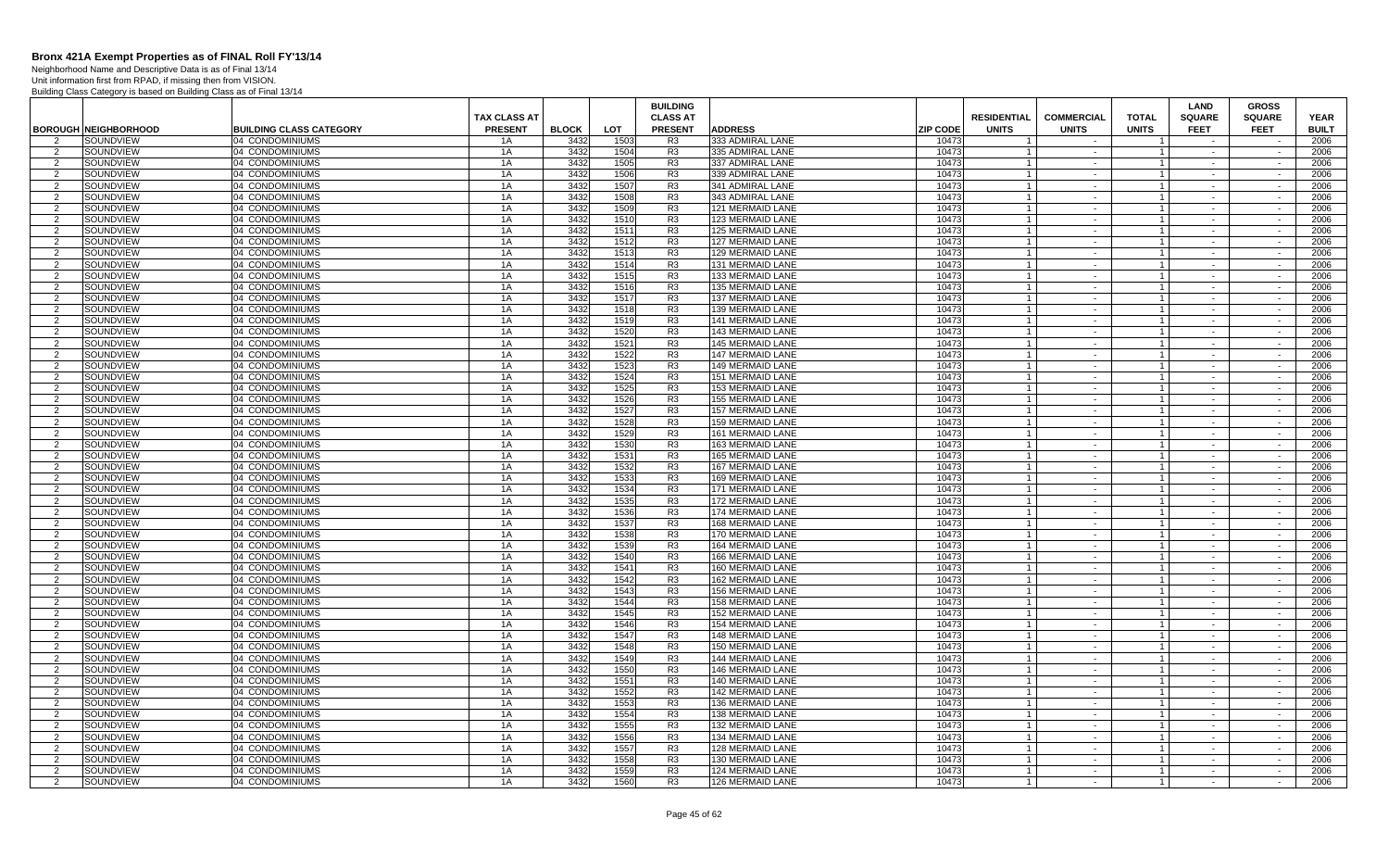Neighborhood Name and Descriptive Data is as of Final 13/14 Unit information first from RPAD, if missing then from VISION.

|                     |                             |                                    |                     |              |              | <b>BUILDING</b>                  |                                      |                 |                    |                   |                             | LAND             | <b>GROSS</b>             |              |
|---------------------|-----------------------------|------------------------------------|---------------------|--------------|--------------|----------------------------------|--------------------------------------|-----------------|--------------------|-------------------|-----------------------------|------------------|--------------------------|--------------|
|                     |                             |                                    | <b>TAX CLASS AT</b> |              |              | <b>CLASS AT</b>                  |                                      |                 | <b>RESIDENTIAL</b> | <b>COMMERCIAL</b> | <b>TOTAL</b>                | <b>SQUARE</b>    | <b>SQUARE</b>            | <b>YEAR</b>  |
|                     | <b>BOROUGH NEIGHBORHOOD</b> | <b>BUILDING CLASS CATEGORY</b>     | <b>PRESENT</b>      | <b>BLOCK</b> | LOT          | <b>PRESENT</b>                   | <b>ADDRESS</b>                       | <b>ZIP CODE</b> | <b>UNITS</b>       | <b>UNITS</b>      | <b>UNITS</b>                | <b>FEET</b>      | <b>FEET</b>              | <b>BUILT</b> |
| $\overline{2}$<br>2 | SOUNDVIEW<br>SOUNDVIEW      | 04 CONDOMINIUMS<br>04 CONDOMINIUMS | 1A<br>1A            | 3432<br>3432 | 1503<br>1504 | R3<br>R3                         | 333 ADMIRAL LANE<br>335 ADMIRAL LANE | 10473<br>10473  |                    | $\sim$            | $\mathbf{1}$                | $\sim$           | $\sim$                   | 2006<br>2006 |
| $\overline{2}$      | SOUNDVIEW                   | 04 CONDOMINIUMS                    | 1A                  | 3432         | 1505         | R <sub>3</sub>                   | 337 ADMIRAL LANE                     | 10473           | $\overline{1}$     | $\sim$            | $\overline{1}$              |                  | $\overline{\phantom{a}}$ | 2006         |
| $\overline{2}$      | SOUNDVIEW                   | 04 CONDOMINIUMS                    | 1A                  | 3432         | 1506         | R <sub>3</sub>                   | 339 ADMIRAL LANE                     | 10473           |                    | $\sim$            | $\overline{1}$              | $\sim$           | $\sim$                   | 2006         |
| 2                   | SOUNDVIEW                   | 04 CONDOMINIUMS                    | 1A                  | 3432         | 1507         | R <sub>3</sub>                   | 341 ADMIRAL LANE                     | 10473           | $\overline{1}$     | $\sim$            | $\overline{1}$              | $\sim$           | $\sim$                   | 2006         |
| $\overline{2}$      | SOUNDVIEW                   | 04 CONDOMINIUMS                    | 1A                  | 3432         | 1508         | R <sub>3</sub>                   | 343 ADMIRAL LANE                     | 10473           | $\overline{1}$     | $\sim$            | $\overline{1}$              | $\sim$           | $\sim$                   | 2006         |
| 2                   | SOUNDVIEW                   | 04 CONDOMINIUMS                    | 1A                  | 3432         | 1509         | R <sub>3</sub>                   | 121 MERMAID LANE                     | 10473           | $\overline{1}$     | $\sim$            | $\overline{1}$              | $\sim$           | $\sim$                   | 2006         |
| $\overline{2}$      | SOUNDVIEW                   | 04 CONDOMINIUMS                    | 1A                  | 3432         | 1510         | R <sub>3</sub>                   | 123 MERMAID LANE                     | 10473           |                    | $\sim$            | $\overline{1}$              |                  |                          | 2006         |
| $\overline{2}$      | SOUNDVIEW                   | 04 CONDOMINIUMS                    | 1A                  | 3432         | 1511         | R <sub>3</sub>                   | 125 MERMAID LANE                     | 10473           |                    | $\sim$            | $\mathbf{1}$                | $\sim$           | $\sim$                   | 2006         |
| $\overline{2}$      | SOUNDVIEW                   | 04 CONDOMINIUMS                    | 1A                  | 3432         | 1512         | R <sub>3</sub>                   | <b>127 MERMAID LANE</b>              | 10473           |                    | $\sim$            | $\mathbf{1}$                |                  | $\sim$                   | 2006         |
| 2                   | SOUNDVIEW                   | 04 CONDOMINIUMS                    | 1A                  | 3432         | 1513         | R <sub>3</sub>                   | <b>129 MERMAID LANE</b>              | 10473           |                    | $\sim$            | $\mathbf{1}$                | $\sim$           | $\sim$                   | 2006         |
| $\overline{2}$      | SOUNDVIEW                   | 04 CONDOMINIUMS                    | 1A                  | 3432         | 1514         | R <sub>3</sub>                   | 131 MERMAID LANE                     | 10473           | $\overline{1}$     | $\sim$            | $\mathbf{1}$                | $\sim$           | $\overline{\phantom{a}}$ | 2006         |
| $\overline{2}$      | SOUNDVIEW                   | 04 CONDOMINIUMS                    | 1A                  | 3432         | 1515         | R <sub>3</sub>                   | 133 MERMAID LANE                     | 10473           |                    | $\sim$            | $\overline{1}$              | $\sim$           | $\overline{\phantom{a}}$ | 2006         |
| 2                   | SOUNDVIEW                   | 04 CONDOMINIUMS                    | 1A                  | 3432         | 1516         | R <sub>3</sub>                   | 135 MERMAID LANE                     | 10473           | $\overline{1}$     | $\sim$            | $\overline{1}$              | $\sim$           | $\sim$                   | 2006         |
| $\overline{2}$      | SOUNDVIEW                   | 04 CONDOMINIUMS                    | 1A                  | 3432         | 1517         | R3                               | <b>137 MERMAID LANE</b>              | 10473           | $\overline{1}$     | $\sim$            | $\overline{1}$              | $\sim$           | $\sim$                   | 2006         |
| 2                   | SOUNDVIEW                   | 04 CONDOMINIUMS                    | 1A                  | 3432         | 1518         | R <sub>3</sub>                   | 139 MERMAID LANE                     | 10473           | $\overline{1}$     | $\sim$            | $\overline{1}$              | $\sim$           | $\sim$                   | 2006         |
| $\overline{2}$      | SOUNDVIEW                   | 04 CONDOMINIUMS                    | 1A                  | 3432         | 1519         | R <sub>3</sub>                   | <b>141 MERMAID LANE</b>              | 10473           |                    | $\sim$            | $\overline{1}$              | $\sim$           | $\sim$                   | 2006         |
| $\overline{2}$      | SOUNDVIEW                   | 04 CONDOMINIUMS                    | 1A                  | 3432         | 1520         | R <sub>3</sub>                   | <b>143 MERMAID LANE</b>              | 10473           | $\overline{1}$     | $\sim$            | $\overline{1}$              | $\sim$           | $\sim$                   | 2006         |
| $\overline{2}$      | SOUNDVIEW                   | 04 CONDOMINIUMS                    | 1A                  | 3432         | 1521         | R3                               | <b>145 MERMAID LANE</b>              | 10473           |                    | $\sim$            | $\mathbf{1}$                | $\sim$           | $\sim$                   | 2006         |
| 2                   | SOUNDVIEW                   | 04 CONDOMINIUMS                    | 1A                  | 3432         | 1522         | R <sub>3</sub>                   | <b>147 MERMAID LANE</b>              | 10473           |                    | $\sim$            | $\overline{1}$              | $\sim$           | $\sim$                   | 2006         |
| $\overline{2}$      | SOUNDVIEW                   | 04 CONDOMINIUMS                    | 1A                  | 3432         | 1523         | R3                               | <b>149 MERMAID LANE</b>              | 10473           |                    | $\sim$            | $\mathbf{1}$                | $\sim$           | $\overline{\phantom{a}}$ | 2006         |
| $\overline{2}$      | SOUNDVIEW                   | 04 CONDOMINIUMS                    | 1A                  | 3432         | 1524         | R <sub>3</sub>                   | <b>151 MERMAID LANE</b>              | 10473           |                    | $\sim$            | $\mathbf{1}$                | $\sim$           | $\overline{\phantom{a}}$ | 2006         |
| 2                   | SOUNDVIEW                   | 04 CONDOMINIUMS                    | 1A                  | 3432         | 1525         | R <sub>3</sub>                   | 153 MERMAID LANE                     | 10473           | $\overline{1}$     | $\sim$            | $\vert$ 1                   | $\sim$           | $\sim$                   | 2006         |
| $\overline{2}$      | SOUNDVIEW                   | 04 CONDOMINIUMS                    | 1A                  | 3432         | 1526         | R <sub>3</sub>                   | <b>155 MERMAID LANE</b>              | 10473           |                    | $\sim$            | $\overline{1}$              | $\sim$           | $\sim$                   | 2006         |
| 2                   | SOUNDVIEW                   | 04 CONDOMINIUMS                    | 1A                  | 3432         | 1527         | R <sub>3</sub>                   | <b>157 MERMAID LANE</b>              | 10473           | $\overline{1}$     | $\sim$ $-$        | $\overline{1}$              | $\sim$           | $\sim$                   | 2006         |
| $\overline{2}$      | SOUNDVIEW                   | 04 CONDOMINIUMS                    | 1A                  | 3432         | 1528         | R <sub>3</sub>                   | <b>159 MERMAID LANE</b>              | 10473           |                    | $\sim$            | $\overline{1}$              | $\sim$           | $\sim$                   | 2006         |
| 2                   | SOUNDVIEW                   | 04 CONDOMINIUMS                    | 1A                  | 3432         | 1529         | R3                               | <b>161 MERMAID LANE</b>              | 10473           |                    | $\sim$            | $\mathbf{1}$                | $\sim$           | $\sim$                   | 2006         |
| $\overline{2}$      | SOUNDVIEW                   | 04 CONDOMINIUMS                    | 1A                  | 3432         | 1530         | R <sub>3</sub>                   | 163 MERMAID LANE                     | 10473           |                    | $\sim$            | $\mathbf{1}$                | $\sim$           | $\sim$                   | 2006         |
| 2                   | SOUNDVIEW                   | 04 CONDOMINIUMS                    | 1A                  | 3432         | 1531         | R <sub>3</sub>                   | 165 MERMAID LANE                     | 10473           |                    | $\sim$            | $\overline{1}$              | $\sim$           | $\sim$                   | 2006         |
| $\overline{2}$      | SOUNDVIEW                   | 04 CONDOMINIUMS                    | 1A                  | 3432         | 1532         | R <sub>3</sub>                   | 167 MERMAID LANE                     | 10473           |                    | $\sim$            | $\mathbf{1}$                | $\sim$           | $\sim$                   | 2006         |
| $\overline{2}$      | SOUNDVIEW                   | 04 CONDOMINIUMS                    | 1A                  | 3432         | 1533         | R <sub>3</sub>                   | <b>169 MERMAID LANE</b>              | 10473           |                    | $\sim$            | $\mathbf{1}$                | $\sim$           |                          | 2006         |
| 2                   | SOUNDVIEW                   | 04 CONDOMINIUMS                    | 1A                  | 3432         | 1534         | R3                               | 171 MERMAID LANE                     | 10473           | $\mathbf{1}$       | $\sim$            | $\vert$ 1                   | $\sim$           | $\sim$                   | 2006         |
| $\mathcal{P}$       | SOUNDVIEW                   | 04 CONDOMINIUMS                    | 1A                  | 3432         | 1535         | R <sub>3</sub>                   | 172 MERMAID LANE                     | 10473           |                    | $\sim$            | $\overline{1}$              | $\sim$           | $\sim$                   | 2006         |
| 2                   | SOUNDVIEW                   | 04 CONDOMINIUMS                    | 1A                  | 3432         | 1536         | R <sub>3</sub>                   | 174 MERMAID LANE                     | 10473           | $\overline{1}$     | $\sim$            | $\vert$ 1                   | $\sim$           | $\sim$                   | 2006         |
| $\overline{2}$      | SOUNDVIEW                   | 04 CONDOMINIUMS                    | 1A                  | 3432         | 1537         | R <sub>3</sub>                   | 168 MERMAID LANE                     | 10473           | $\overline{1}$     | $\sim$            | $\overline{1}$              | $\sim$           | $\sim$                   | 2006         |
| $\overline{2}$      | SOUNDVIEW                   | 04 CONDOMINIUMS                    | 1A                  | 3432         | 1538         | R3                               | 170 MERMAID LANE                     | 10473           |                    | $\sim$            | $\mathbf{1}$                | $\sim$           | $\sim$                   | 2006         |
| $\overline{2}$      | <b>SOUNDVIEW</b>            | 04 CONDOMINIUMS                    | 1A                  | 3432         | 1539         | R <sub>3</sub>                   | 164 MERMAID LANE                     | 10473           |                    | $\sim$            | $\mathbf{1}$                |                  | $\sim$                   | 2006         |
| 2                   | SOUNDVIEW                   | 04 CONDOMINIUMS                    | 1A                  | 3432         | 1540         | R <sub>3</sub>                   | 166 MERMAID LANE                     | 10473           |                    | $\sim$            | $\overline{1}$              | $\sim$           | $\sim$                   | 2006         |
| $\overline{2}$      | SOUNDVIEW                   | 04 CONDOMINIUMS                    | 1A                  | 3432         | 1541         | R <sub>3</sub>                   | 160 MERMAID LANE                     | 10473           |                    | $\sim$            | $\mathbf{1}$                | $\sim$           | $\sim$                   | 2006         |
| 2                   | SOUNDVIEW                   | 04 CONDOMINIUMS                    | 1A                  | 3432         | 1542         | R3                               | <b>162 MERMAID LANE</b>              | 10473           |                    | $\sim$            |                             | $\sim$           | $\sim$                   | 2006         |
| 2                   | SOUNDVIEW                   | 04 CONDOMINIUMS                    | 1A                  | 3432         | 1543         | R <sub>3</sub>                   | <b>156 MERMAID LANE</b>              | 10473           | $\overline{1}$     | $\sim$            | $\overline{1}$              | $\sim$           | $\sim$                   | 2006         |
| $\overline{2}$      | SOUNDVIEW                   | 04 CONDOMINIUMS                    | 1A                  | 3432         | 1544         | R3                               | <b>158 MERMAID LANE</b>              | 10473           |                    | $\sim$            | $\mathbf{1}$                | $\sim$           | $\sim$                   | 2006         |
| 2                   | SOUNDVIEW                   | 04 CONDOMINIUMS                    | 1A                  | 3432         | 1545         | R <sub>3</sub>                   | 152 MERMAID LANE                     | 10473           | $\mathbf{1}$       | $\sim$            | $\vert$ 1                   | $\sim$           | $\sim$                   | 2006         |
| $\overline{2}$      | SOUNDVIEW                   | 04 CONDOMINIUMS                    | 1A                  | 3432         | 1546         | R <sub>3</sub>                   | 154 MERMAID LANE                     | 10473           |                    | $\sim$            | $\overline{1}$              |                  | $\sim$                   | 2006         |
| 2                   | SOUNDVIEW                   | 04 CONDOMINIUMS                    | 1A                  | 3432         | 1547         | R <sub>3</sub>                   | <b>148 MERMAID LANE</b>              | 10473           |                    | $\sim$            | $\mathbf{1}$                | $\sim$           | $\sim$                   | 2006         |
| $\overline{2}$      | SOUNDVIEW                   | 04 CONDOMINIUMS                    | 1A                  | 3432         | 1548         | R <sub>3</sub>                   | <b>150 MERMAID LANE</b>              | 10473           |                    | $\sim$            | $\mathbf{1}$                |                  | $\sim$                   | 2006         |
| 2                   | SOUNDVIEW                   | 04 CONDOMINIUMS                    | 1A                  | 3432         | 1549         | R <sub>3</sub>                   | <b>144 MERMAID LANE</b>              | 10473           |                    | $\sim$            | $\overline{1}$              | $\sim$           | $\sim$                   | 2006         |
| 2                   | SOUNDVIEW                   | 04 CONDOMINIUMS                    | 1A                  | 3432         | 1550         | R <sub>3</sub>                   | <b>146 MERMAID LANE</b>              | 10473           | $\overline{1}$     | $\sim$            | $\overline{1}$              | $\sim$           | $\sim$                   | 2006         |
| $\overline{2}$      | SOUNDVIEW                   | 04 CONDOMINIUMS                    | 1A                  | 3432         | 1551         | R <sub>3</sub>                   | <b>140 MERMAID LANE</b>              | 10473           |                    | $\sim$            | $\overline{1}$              | $\sim$           | $\sim$                   | 2006         |
| 2                   | SOUNDVIEW                   | 04 CONDOMINIUMS                    | 1A                  | 3432         | 1552         | R <sub>3</sub>                   | 142 MERMAID LANE                     | 10473           | $\overline{1}$     | $\sim$            | $\overline{1}$              | $\sim$           | $\sim$                   | 2006         |
| 2                   | SOUNDVIEW                   | 04 CONDOMINIUMS                    | 1A                  | 3432<br>3432 | 1553         | R3                               | <b>136 MERMAID LANE</b>              | 10473           |                    | $\sim$            | $\overline{1}$              | $\sim$           | $\sim$                   | 2006         |
| 2                   | SOUNDVIEW                   | 04 CONDOMINIUMS                    | 1A                  |              | 1554         | R3<br>R <sub>3</sub>             | 138 MERMAID LANE                     | 10473           | $\overline{1}$     | $\sim$ $-$        | $\overline{1}$              | $\sim$           | $\sim$                   | 2006         |
| $\overline{2}$      | SOUNDVIEW                   | 04 CONDOMINIUMS                    | 1A                  | 3432<br>3432 | 1555<br>1556 |                                  | 132 MERMAID LANE<br>134 MERMAID LANE | 10473<br>10473  |                    | $\sim$            | $\overline{1}$              |                  | $\sim$                   | 2006         |
| 2                   | SOUNDVIEW                   | 04 CONDOMINIUMS                    | 1A<br>1A            | 3432         | 1557         | R <sub>3</sub>                   |                                      | 10473           |                    | $\sim$            | $\overline{1}$              | $\sim$           | $\sim$                   | 2006         |
| $\overline{2}$      | SOUNDVIEW                   | 04 CONDOMINIUMS                    |                     | 3432         | 1558         | R <sub>3</sub><br>R <sub>3</sub> | <b>128 MERMAID LANE</b>              | 10473           |                    | $\sim$            | $\mathbf{1}$                |                  | $\sim$                   | 2006<br>2006 |
| 2<br>$\overline{2}$ | SOUNDVIEW<br>SOUNDVIEW      | 04 CONDOMINIUMS<br>04 CONDOMINIUMS | 1A<br>1A            | 3432         | 1559         | R3                               | 130 MERMAID LANE<br>124 MERMAID LANE | 10473           | $\overline{1}$     | $\sim$<br>$\sim$  | $\overline{1}$<br>$1 \vert$ | $\sim$<br>$\sim$ | $\sim$<br>$\sim$         | 2006         |
| $\overline{2}$      | SOUNDVIEW                   | 04 CONDOMINIUMS                    | 1A                  | 3432         | 1560         | R <sub>3</sub>                   | 126 MERMAID LANE                     | 10473           |                    | $\sim$            |                             | $\sim$           | $\sim$                   | 2006         |
|                     |                             |                                    |                     |              |              |                                  |                                      |                 |                    |                   |                             |                  |                          |              |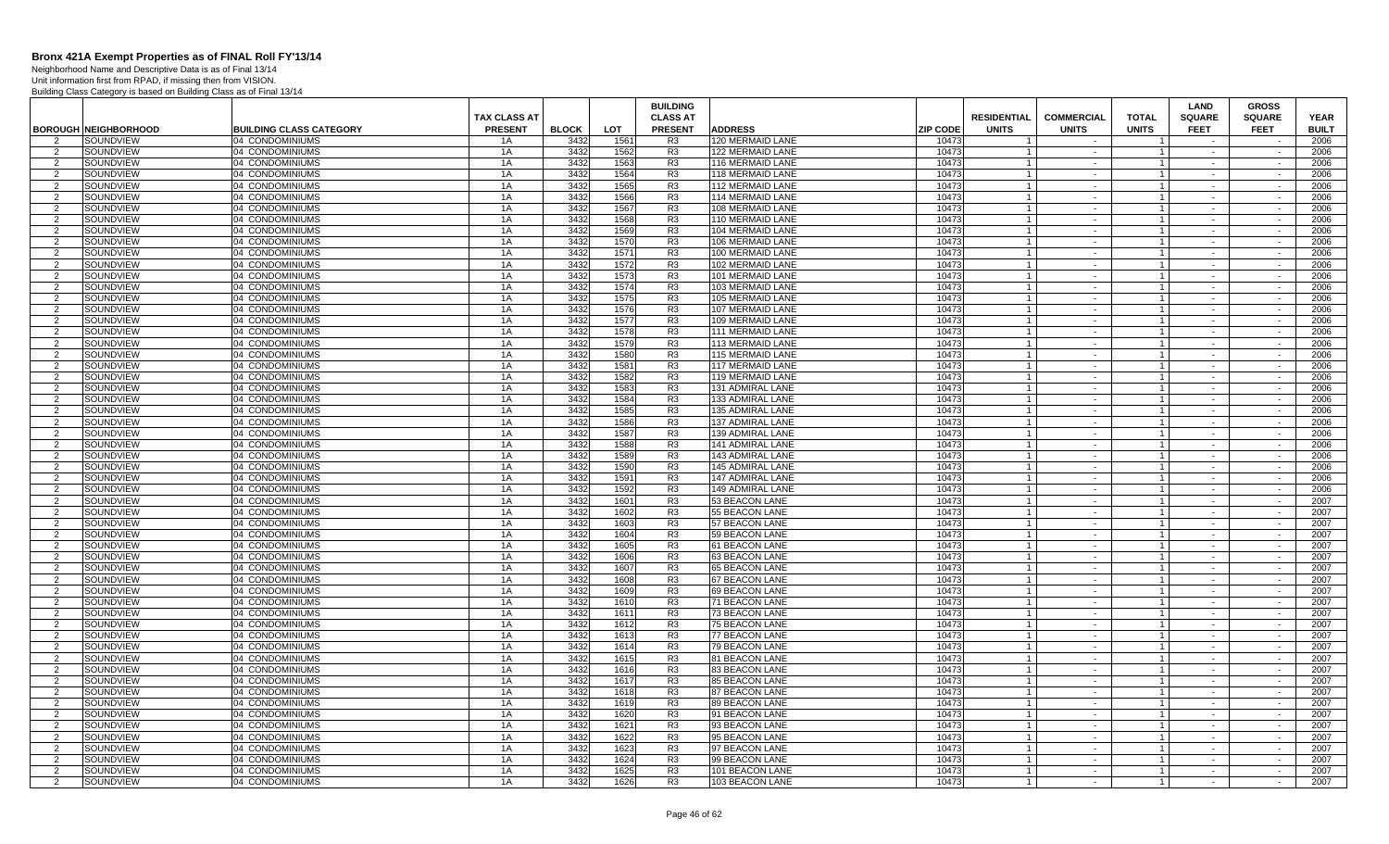Neighborhood Name and Descriptive Data is as of Final 13/14 Unit information first from RPAD, if missing then from VISION.

|                     |                             |                                    |                     |              |              | <b>BUILDING</b>                  |                                      |                 |                    |                      |                                  | <b>LAND</b>      | <b>GROSS</b>             |              |
|---------------------|-----------------------------|------------------------------------|---------------------|--------------|--------------|----------------------------------|--------------------------------------|-----------------|--------------------|----------------------|----------------------------------|------------------|--------------------------|--------------|
|                     |                             |                                    | <b>TAX CLASS AT</b> |              |              | <b>CLASS AT</b>                  |                                      |                 | <b>RESIDENTIAL</b> | <b>COMMERCIAL</b>    | <b>TOTAL</b>                     | <b>SQUARE</b>    | <b>SQUARE</b>            | <b>YEAR</b>  |
|                     | <b>BOROUGH NEIGHBORHOOD</b> | <b>BUILDING CLASS CATEGORY</b>     | <b>PRESENT</b>      | <b>BLOCK</b> | <b>LOT</b>   | <b>PRESENT</b>                   | <b>ADDRESS</b>                       | <b>ZIP CODE</b> | <b>UNITS</b>       | <b>UNITS</b>         | <b>UNITS</b>                     | <b>FEET</b>      | <b>FEET</b>              | <b>BUILT</b> |
| $\mathcal{P}$       | SOUNDVIEW                   | 04 CONDOMINIUMS                    | 1A                  | 3432         | 1561         | R <sub>3</sub>                   | 120 MERMAID LANE                     | 10473           |                    |                      |                                  |                  |                          | 2006         |
| 2                   | SOUNDVIEW                   | 04 CONDOMINIUMS                    | 1A                  | 3432         | 1562         | R <sub>3</sub>                   | <b>122 MERMAID LANE</b>              | 10473           |                    | $\sim$               | $\overline{1}$                   | $\sim$           | $\sim$                   | 2006         |
| 2                   | SOUNDVIEW                   | 04 CONDOMINIUMS                    | 1A                  | 3432         | 1563         | R <sub>3</sub>                   | 116 MERMAID LANE                     | 10473           | $\overline{1}$     | $\sim$               | $\overline{1}$                   | $\sim$           | $\sim$                   | 2006         |
| 2                   | SOUNDVIEW                   | 04 CONDOMINIUMS                    | 1A                  | 3432         | 1564         | R <sub>3</sub>                   | 118 MERMAID LANE                     | 10473           |                    | $\sim$               | $\overline{1}$                   | $\sim$           | $\sim$                   | 2006         |
| 2                   | SOUNDVIEW                   | 04 CONDOMINIUMS                    | 1A                  | 3432         | 1565         | R <sub>3</sub><br>R <sub>3</sub> | 112 MERMAID LANE                     | 10473           | $\overline{1}$     | $\sim$ $-$           | $\overline{1}$                   | $\sim$           | $\sim$                   | 2006         |
| $\mathcal{P}$       | SOUNDVIEW                   | 04 CONDOMINIUMS                    | 1A<br>1A            | 3432<br>3432 | 1566<br>1567 | R <sub>3</sub>                   | <b>114 MERMAID LANE</b>              | 10473<br>10473  |                    | $\sim$<br>$\sim$ $-$ | $\overline{1}$                   | $\sim$           | $\sim$<br>$\sim$         | 2006<br>2006 |
| 2<br>$\overline{2}$ | SOUNDVIEW<br>SOUNDVIEW      | 04 CONDOMINIUMS<br>04 CONDOMINIUMS | 1A                  | 3432         | 1568         | R <sub>3</sub>                   | 108 MERMAID LANE<br>110 MERMAID LANE | 10473           |                    | $\sim$               | $\overline{1}$<br>$\overline{1}$ |                  |                          | 2006         |
| 2                   | SOUNDVIEW                   | 04 CONDOMINIUMS                    | 1A                  | 3432         | 1569         | R <sub>3</sub>                   | 104 MERMAID LANE                     | 10473           |                    | $\sim$               | $\overline{1}$                   | $\sim$           | $\sim$                   | 2006         |
| $\mathcal{P}$       | SOUNDVIEW                   | 04 CONDOMINIUMS                    | 1A                  | 3432         | 1570         | R <sub>3</sub>                   | 106 MERMAID LANE                     | 10473           |                    | $\sim$               | $\mathbf{1}$                     | $\sim$           | $\sim$                   | 2006         |
| 2                   | SOUNDVIEW                   | 04 CONDOMINIUMS                    | 1A                  | 3432         | 1571         | R3                               | 100 MERMAID LANE                     | 10473           |                    | $\sim$               | $\overline{1}$                   | $\sim$           | $\sim$                   | 2006         |
| 2                   | SOUNDVIEW                   | 04 CONDOMINIUMS                    | 1A                  | 3432         | 1572         | R <sub>3</sub>                   | 102 MERMAID LANE                     | 10473           | $\overline{1}$     | $\sim$               | $\overline{1}$                   | $\sim$           | $\sim$                   | 2006         |
| $\overline{2}$      | SOUNDVIEW                   | 04 CONDOMINIUMS                    | 1A                  | 3432         | 1573         | R <sub>3</sub>                   | 101 MERMAID LANE                     | 10473           | $\overline{1}$     | $\sim$               | $\overline{1}$                   | $\sim$           | $\sim$                   | 2006         |
| 2                   | SOUNDVIEW                   | 04 CONDOMINIUMS                    | 1A                  | 3432         | 1574         | R3                               | 103 MERMAID LANE                     | 10473           | $\overline{1}$     | $\sim$               | $\overline{1}$                   | $\sim$           | $\sim$                   | 2006         |
| $\overline{2}$      | SOUNDVIEW                   | 04 CONDOMINIUMS                    | 1A                  | 3432         | 1575         | R3                               | 105 MERMAID LANE                     | 10473           |                    | $\sim$               | $\mathbf{1}$                     | $\sim$           | $\sim$                   | 2006         |
| 2                   | SOUNDVIEW                   | 04 CONDOMINIUMS                    | 1A                  | 3432         | 1576         | R <sub>3</sub>                   | 107 MERMAID LANE                     | 10473           | $\mathbf{1}$       | $\sim$               | $\overline{1}$                   | $\sim$           | $\sim$                   | 2006         |
| $\overline{2}$      | SOUNDVIEW                   | 04 CONDOMINIUMS                    | 1A                  | 3432         | 1577         | R <sub>3</sub>                   | 109 MERMAID LANE                     | 10473           |                    | $\sim$               | $\overline{1}$                   |                  |                          | 2006         |
| 2                   | SOUNDVIEW                   | 04 CONDOMINIUMS                    | 1A                  | 3432         | 1578         | R <sub>3</sub>                   | <b>111 MERMAID LANE</b>              | 10473           |                    | $\sim$               | $\overline{1}$                   | $\sim$           | $\sim$                   | 2006         |
| $\mathcal{P}$       | SOUNDVIEW                   | 04 CONDOMINIUMS                    | 1A                  | 3432         | 1579         | R <sub>3</sub>                   | 113 MERMAID LANE                     | 10473           | $\overline{1}$     | $\sim$               | $\overline{1}$                   | $\sim$           | $\sim$                   | 2006         |
| $\mathcal{P}$       | SOUNDVIEW                   | 04 CONDOMINIUMS                    | 1A                  | 3432         | 1580         | R3                               | 115 MERMAID LANE                     | 10473           |                    | $\sim$               | $\overline{1}$                   | $\sim$           | $\sim$                   | 2006         |
| 2                   | SOUNDVIEW                   | 04 CONDOMINIUMS                    | 1A                  | 3432         | 1581         | R <sub>3</sub>                   | <b>117 MERMAID LANE</b>              | 10473           | $\overline{1}$     | $\sim$               | $\overline{1}$                   | $\sim$           | $\sim$                   | 2006         |
| 2                   | SOUNDVIEW                   | 04 CONDOMINIUMS                    | 1A                  | 3432         | 1582         | R <sub>3</sub>                   | <b>119 MERMAID LANE</b>              | 10473           | $\overline{1}$     | $\sim$               | $\overline{1}$                   | $\sim$           | $\sim$                   | 2006         |
| 2                   | SOUNDVIEW                   | 04 CONDOMINIUMS                    | 1A                  | 3432         | 1583         | R <sub>3</sub>                   | 131 ADMIRAL LANE                     | 10473           | $\overline{1}$     | $\sim$               | $\overline{1}$                   | $\sim$           | $\sim$                   | 2006         |
| $\mathcal{P}$       | SOUNDVIEW                   | 04 CONDOMINIUMS                    | 1A                  | 3432         | 1584         | R <sub>3</sub>                   | 133 ADMIRAL LANE                     | 10473           |                    | $\sim$               | $\mathbf{1}$                     |                  | $\sim$                   | 2006         |
| 2                   | SOUNDVIEW                   | 04 CONDOMINIUMS                    | 1A                  | 3432         | 1585         | R <sub>3</sub>                   | 135 ADMIRAL LANE                     | 10473           | $\overline{1}$     | $\sim$               | $\overline{1}$                   | $\sim$           | $\sim$                   | 2006         |
| $\mathcal{P}$       | SOUNDVIEW                   | 04 CONDOMINIUMS                    | 1A                  | 3432         | 1586         | R <sub>3</sub>                   | 137 ADMIRAL LANE                     | 10473           |                    | $\sim$               | $\overline{1}$                   |                  |                          | 2006         |
| 2                   | SOUNDVIEW                   | 04 CONDOMINIUMS                    | 1A                  | 3432         | 1587         | R <sub>3</sub>                   | <b>139 ADMIRAL LANE</b>              | 10473           |                    | $\sim$               | $\overline{1}$                   | $\sim$           | $\sim$                   | 2006         |
| 2                   | SOUNDVIEW                   | 04 CONDOMINIUMS                    | 1A                  | 3432         | 1588         | R3                               | 141 ADMIRAL LANE                     | 10473           | $\overline{1}$     | $\sim$               | $\overline{1}$                   | $\sim$           | $\sim$                   | 2006         |
| $\mathcal{P}$       | SOUNDVIEW                   | 04 CONDOMINIUMS                    | 1A                  | 3432<br>3432 | 1589         | R <sub>3</sub><br>R <sub>3</sub> | 143 ADMIRAL LANE                     | 10473           |                    | $\sim$               | $\overline{1}$                   | $\sim$           | $\sim$                   | 2006         |
| 2<br>$\mathcal{P}$  | SOUNDVIEW<br>SOUNDVIEW      | 04 CONDOMINIUMS<br>04 CONDOMINIUMS | 1A<br>1A            | 3432         | 1590<br>1591 | R <sub>3</sub>                   | 145 ADMIRAL LANE<br>147 ADMIRAL LANE | 10473<br>10473  | $\overline{1}$     | $\sim$ $-$           | $\overline{1}$<br>$\overline{1}$ | $\sim$           | $\sim$                   | 2006<br>2006 |
| 2                   | SOUNDVIEW                   | 04 CONDOMINIUMS                    | 1A                  | 3432         | 1592         | R <sub>3</sub>                   | <b>149 ADMIRAL LANE</b>              | 10473           |                    | $\sim$<br>$\sim$     | $\mathbf{1}$                     | $\sim$           | $\sim$                   | 2006         |
| $\mathcal{P}$       | SOUNDVIEW                   | 04 CONDOMINIUMS                    | 1A                  | 3432         | 1601         | R <sub>3</sub>                   | 53 BEACON LANE                       | 10473           |                    | $\sim$               | $\overline{1}$                   |                  | $\sim$                   | 2007         |
| -2                  | SOUNDVIEW                   | 04 CONDOMINIUMS                    | 1A                  | 3432         | 1602         | R <sub>3</sub>                   | 55 BEACON LANE                       | 10473           | $\overline{1}$     | $\sim$               | $\overline{1}$                   | $\sim$           | $\sim$                   | 2007         |
| $\mathcal{P}$       | SOUNDVIEW                   | 04 CONDOMINIUMS                    | 1A                  | 3432         | 1603         | R <sub>3</sub>                   | 57 BEACON LANE                       | 10473           |                    | $\sim$               | $\overline{1}$                   |                  | $\overline{\phantom{a}}$ | 2007         |
| 2                   | SOUNDVIEW                   | 04 CONDOMINIUMS                    | 1A                  | 3432         | 1604         | R <sub>3</sub>                   | 59 BEACON LANE                       | 10473           |                    | $\sim$               | $\overline{1}$                   | $\sim$           | $\sim$                   | 2007         |
| $\mathcal{P}$       | SOUNDVIEW                   | 04 CONDOMINIUMS                    | 1A                  | 3432         | 1605         | R <sub>3</sub>                   | <b>61 BEACON LANE</b>                | 10473           | $\overline{1}$     | $\sim$               | $\overline{1}$                   | $\sim$           | $\sim$                   | 2007         |
| $\mathcal{P}$       | SOUNDVIEW                   | 04 CONDOMINIUMS                    | 1A                  | 3432         | 1606         | R <sub>3</sub>                   | 63 BEACON LANE                       | 10473           |                    | $\sim$               | $\overline{1}$                   | $\sim$           | $\sim$                   | 2007         |
| 2                   | SOUNDVIEW                   | 04 CONDOMINIUMS                    | 1A                  | 3432         | 1607         | R <sub>3</sub>                   | 65 BEACON LANE                       | 10473           | $\overline{1}$     | $\sim$ $-$           | $\overline{1}$                   | $\sim$           | $\sim$                   | 2007         |
| $\overline{2}$      | SOUNDVIEW                   | 04 CONDOMINIUMS                    | 1A                  | 3432         | 1608         | R3                               | 67 BEACON LANE                       | 10473           |                    | $\sim$               | $\overline{1}$                   |                  | $\sim$                   | 2007         |
| 2                   | SOUNDVIEW                   | 04 CONDOMINIUMS                    | 1A                  | 3432         | 1609         | R <sub>3</sub>                   | 69 BEACON LANE                       | 10473           |                    | $\sim$               | $\mathbf{1}$                     | $\sim$           | $\sim$                   | 2007         |
| $\mathcal{P}$       | SOUNDVIEW                   | 04 CONDOMINIUMS                    | 1A                  | 3432         | 1610         | R <sub>3</sub>                   | 71 BEACON LANE                       | 10473           |                    | $\sim$               | $\overline{1}$                   |                  | $\sim$                   | 2007         |
| 2                   | SOUNDVIEW                   | 04 CONDOMINIUMS                    | 1A                  | 3432         | 1611         | R <sub>3</sub>                   | 73 BEACON LANE                       | 10473           | $\overline{1}$     | $\sim$               | $\overline{1}$                   | $\sim$           | $\sim$                   | 2007         |
| $\mathcal{P}$       | SOUNDVIEW                   | 04 CONDOMINIUMS                    | 1A                  | 3432         | 1612         | R3                               | <b>75 BEACON LANE</b>                | 10473           | $\overline{1}$     | $\sim$               | $\overline{1}$                   | $\sim$           | $\sim$                   | 2007         |
| $\overline{2}$      | SOUNDVIEW                   | 04 CONDOMINIUMS                    | 1A                  | 3432         | 1613         | R <sub>3</sub>                   | <b>77 BEACON LANE</b>                | 10473           |                    | $\sim$               | $\overline{1}$                   | $\sim$           | $\sim$                   | 2007         |
| 2                   | SOUNDVIEW                   | 04 CONDOMINIUMS                    | 1A                  | 3432         | 1614         | R <sub>3</sub>                   | 79 BEACON LANE                       | 10473           | $\overline{1}$     | $\sim$               | $\overline{1}$                   | $\sim$           | $\sim$                   | 2007         |
| $\overline{2}$      | SOUNDVIEW                   | 04 CONDOMINIUMS                    | 1A                  | 3432         | 1615         | R <sub>3</sub>                   | 81 BEACON LANE                       | 10473           |                    | $\sim$               | $\overline{1}$                   | $\sim$           | $\sim$                   | 2007         |
| 2                   | SOUNDVIEW                   | 04 CONDOMINIUMS                    | 1A                  | 3432         | 1616         | R <sub>3</sub>                   | 83 BEACON LANE                       | 10473           | $\overline{1}$     | $\sim$               | $\overline{1}$                   | $\sim$           | $\sim$                   | 2007         |
| $\overline{2}$      | SOUNDVIEW                   | 04 CONDOMINIUMS                    | 1A                  | 3432         | 1617         | R <sub>3</sub>                   | <b>85 BEACON LANE</b>                | 10473           |                    | $\sim$               | $\overline{1}$                   |                  |                          | 2007         |
| 2<br>$\mathcal{P}$  | SOUNDVIEW                   | 04 CONDOMINIUMS                    | 1A                  | 3432         | 1618         | R <sub>3</sub>                   | <b>87 BEACON LANE</b>                | 10473           |                    | $\sim$<br>$\sim$     | $\mathbf{1}$<br>$\overline{1}$   | $\sim$<br>$\sim$ | $\sim$<br>$\sim$         | 2007         |
| -2                  | SOUNDVIEW<br>SOUNDVIEW      | 04 CONDOMINIUMS<br>04 CONDOMINIUMS | 1A<br>1A            | 3432<br>3432 | 1619<br>1620 | R <sub>3</sub><br>R3             | 89 BEACON LANE<br>91 BEACON LANE     | 10473<br>10473  |                    |                      | $\overline{1}$                   |                  |                          | 2007<br>2007 |
| $\mathcal{P}$       | SOUNDVIEW                   | 04 CONDOMINIUMS                    | 1A                  | 3432         | 1621         | R3                               | 93 BEACON LANE                       | 10473           | $\overline{1}$     | $\sim$<br>$\sim$     | $\overline{1}$                   | $\sim$<br>$\sim$ | $\sim$<br>$\sim$         | 2007         |
| $\mathcal{P}$       | SOUNDVIEW                   | 04 CONDOMINIUMS                    | 1A                  | 3432         | 1622         | R3                               | 95 BEACON LANE                       | 10473           |                    | $\sim$               | $\overline{1}$                   | $\sim$           | $\sim$                   | 2007         |
| $\mathcal{P}$       | SOUNDVIEW                   | 04 CONDOMINIUMS                    | 1A                  | 3432         | 1623         | R <sub>3</sub>                   | 97 BEACON LANE                       | 10473           | $\overline{1}$     | $\sim$               | $\overline{1}$                   | $\sim$           | $\sim$                   | 2007         |
| 2                   | SOUNDVIEW                   | 04 CONDOMINIUMS                    | 1A                  | 3432         | 1624         | R <sub>3</sub>                   | 99 BEACON LANE                       | 10473           |                    | $\sim$               | $\overline{1}$                   |                  | $\sim$                   | 2007         |
| 2                   | SOUNDVIEW                   | 04 CONDOMINIUMS                    | 1A                  | 3432         | 1625         | R <sub>3</sub>                   | 101 BEACON LANE                      | 10473           | $\mathbf{1}$       | $\sim$               | $\overline{1}$                   | $\sim$           | $\sim$                   | 2007         |
| 2                   | SOUNDVIEW                   | 04 CONDOMINIUMS                    | 1A                  | 3432         | 1626         | R <sub>3</sub>                   | 103 BEACON LANE                      | 10473           | $\overline{1}$     | $\sim$               | $\overline{1}$                   |                  | $\sim$                   | 2007         |
|                     |                             |                                    |                     |              |              |                                  |                                      |                 |                    |                      |                                  |                  |                          |              |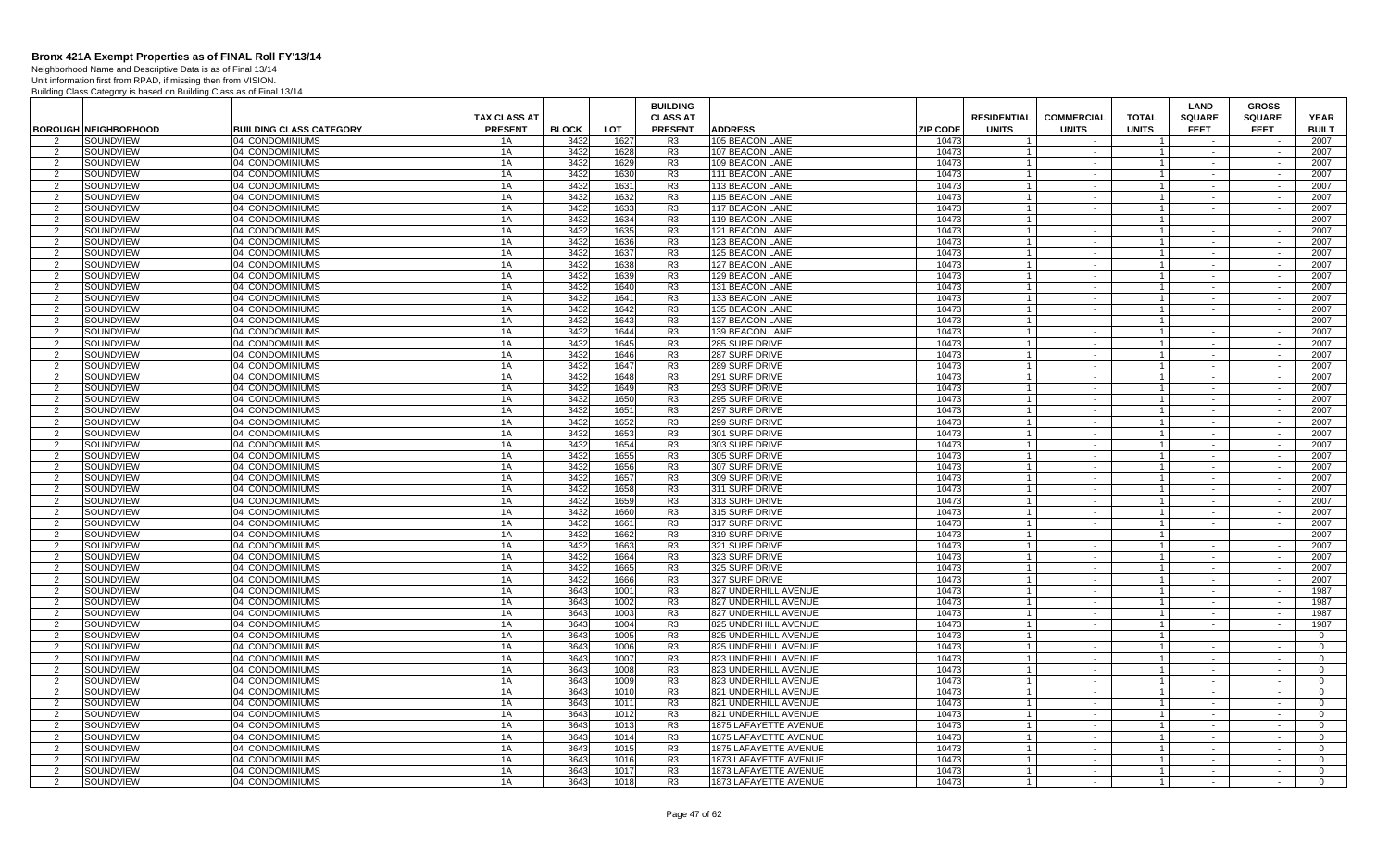Neighborhood Name and Descriptive Data is as of Final 13/14 Unit information first from RPAD, if missing then from VISION.

|                     |                              |                                    |                     |              |              | <b>BUILDING</b>                  |                                  |                 |                                |                   |                              | LAND             | <b>GROSS</b>     |                |
|---------------------|------------------------------|------------------------------------|---------------------|--------------|--------------|----------------------------------|----------------------------------|-----------------|--------------------------------|-------------------|------------------------------|------------------|------------------|----------------|
|                     |                              |                                    | <b>TAX CLASS AT</b> |              |              | <b>CLASS AT</b>                  |                                  |                 | <b>RESIDENTIAL</b>             | <b>COMMERCIAL</b> | <b>TOTAL</b>                 | <b>SQUARE</b>    | <b>SQUARE</b>    | <b>YEAR</b>    |
|                     | <b>BOROUGH INEIGHBORHOOD</b> | <b>BUILDING CLASS CATEGORY</b>     | <b>PRESENT</b>      | <b>BLOCK</b> | <b>LOT</b>   | <b>PRESENT</b>                   | <b>ADDRESS</b>                   | <b>ZIP CODE</b> | <b>UNITS</b>                   | <b>UNITS</b>      | <b>UNITS</b>                 | <b>FEET</b>      | <b>FEET</b>      | <b>BUILT</b>   |
| $\overline{2}$      | SOUNDVIEW                    | 04 CONDOMINIUMS                    | 1A                  | 3432         | 1627         | R <sub>3</sub>                   | 105 BEACON LANE                  | 10473           |                                |                   |                              |                  |                  | 2007           |
| 2                   | SOUNDVIEW                    | 04 CONDOMINIUMS                    | 1A                  | 3432         | 1628         | R3                               | 107 BEACON LANE                  | 10473           |                                | $\sim$            | $\mathbf{1}$<br>$\mathbf{1}$ | $\sim$           | $\sim$           | 2007           |
| $\overline{2}$      | SOUNDVIEW                    | 04 CONDOMINIUMS                    | 1A                  | 343          | 1629         | R <sub>3</sub>                   | 109 BEACON LANE                  | 10473           |                                | $\sim$            |                              |                  |                  | 2007           |
| 2                   | SOUNDVIEW                    | 04 CONDOMINIUMS                    | 1A                  | 3432         | 1630         | R <sub>3</sub>                   | <b>111 BEACON LANE</b>           | 10473           |                                | $\sim$            | $\mathbf{1}$                 | $\sim$           | $\sim$           | 2007           |
| 2                   | SOUNDVIEW                    | 04 CONDOMINIUMS                    | 1A                  | 3432         | 1631         | R <sub>3</sub>                   | 113 BEACON LANE                  | 10473           |                                | $\sim$            | $\mathbf{1}$                 | $\sim$           | $\sim$           | 2007           |
| $\overline{2}$      | SOUNDVIEW                    | 04 CONDOMINIUMS                    | 1A                  | 3432         | 1632         | R <sub>3</sub>                   | 115 BEACON LANE                  | 10473           |                                | $\sim$            | $\mathbf{1}$                 | $\sim$           | $\sim$           | 2007           |
| 2                   | SOUNDVIEW                    | 04 CONDOMINIUMS                    | 1A                  | 3432         | 1633         | R <sub>3</sub>                   | 117 BEACON LANE                  | 10473           | $\overline{1}$                 | $\sim$            | $\overline{1}$               | $\sim$           | $\sim$           | 2007           |
| 2                   | SOUNDVIEW                    | 04 CONDOMINIUMS                    | 1A                  | 3432         | 1634         | R <sub>3</sub>                   | 119 BEACON LANE                  | 10473           | $\overline{1}$                 | $\sim$            | $\mathbf{1}$                 |                  |                  | 2007           |
| $\overline{2}$      | SOUNDVIEW                    | 04 CONDOMINIUMS                    | 1A                  | 3432         | 1635         | R <sub>3</sub>                   | 121 BEACON LANE                  | 10473           | $\overline{1}$                 | $\sim$            | $\mathbf{1}$                 | $\sim$           | $\sim$           | 2007           |
| 2                   | SOUNDVIEW                    | 04 CONDOMINIUMS                    | 1A                  | 3432         | 1636         | R <sub>3</sub>                   | 123 BEACON LANE                  | 10473           |                                | $\sim$            | $\mathbf{1}$                 |                  | $\sim$           | 2007           |
| 2                   | SOUNDVIEW                    | 04 CONDOMINIUMS                    | 1A                  | 3432         | 1637         | R <sub>3</sub>                   | 125 BEACON LANE                  | 10473           |                                | $\sim$            | $\mathbf{1}$                 | $\sim$           | $\sim$           | 2007           |
| 2                   | SOUNDVIEW                    | 04 CONDOMINIUMS                    | 1A                  | 3432         | 1638         | R <sub>3</sub>                   | 127 BEACON LANE                  | 10473           | $\overline{1}$                 | $\sim$            | $\mathbf{1}$                 | $\sim$           | $\sim$           | 2007           |
| 2                   | SOUNDVIEW                    | 04 CONDOMINIUMS                    | 1A                  | 3432         | 1639         | R <sub>3</sub>                   | 129 BEACON LANE                  | 10473           |                                | $\sim$            | $\mathbf{1}$                 | $\sim$           | $\sim$<br>$\sim$ | 2007           |
| 2                   | SOUNDVIEW                    | 04 CONDOMINIUMS                    | 1A                  | 3432<br>3432 | 1640         | R <sub>3</sub><br>R3             | 131 BEACON LANE                  | 10473           | $\mathbf{1}$                   | $\sim$            | 1 <sup>1</sup>               | $\sim$           |                  | 2007           |
| 2                   | SOUNDVIEW                    | 04 CONDOMINIUMS                    | 1A                  |              | 1641         |                                  | 133 BEACON LANE                  | 10473           |                                | $\sim$            | $\mathbf{1}$                 | $\sim$           | $\sim$           | 2007           |
| 2                   | SOUNDVIEW                    | 04 CONDOMINIUMS                    | 1A                  | 3432         | 1642         | R <sub>3</sub>                   | 135 BEACON LANE                  | 10473           | $\overline{1}$                 | $\sim$            | $\overline{1}$               | $\sim$           | $\sim$           | 2007           |
| 2                   | SOUNDVIEW                    | 04 CONDOMINIUMS                    | 1A                  | 3432         | 1643         | R <sub>3</sub>                   | 137 BEACON LANE                  | 10473           |                                | $\blacksquare$    | $\mathbf{1}$                 |                  |                  | 2007           |
| 2                   | SOUNDVIEW                    | 04 CONDOMINIUMS                    | 1A                  | 3432         | 1644         | R <sub>3</sub>                   | 139 BEACON LANE                  | 10473           |                                | $\sim$<br>$\sim$  | $\mathbf{1}$                 | $\sim$           | $\sim$           | 2007           |
| 2                   | SOUNDVIEW                    | 04 CONDOMINIUMS                    | 1A                  | 3432         | 1645         | R <sub>3</sub>                   | 285 SURF DRIVE                   | 10473           |                                |                   | $\mathbf{1}$                 | $\sim$           | $\sim$           | 2007           |
| 2                   | SOUNDVIEW                    | 04 CONDOMINIUMS                    | 1A                  | 3432         | 1646         | R <sub>3</sub>                   | 287 SURF DRIVE                   | 10473           |                                | $\sim$            |                              | $\sim$<br>$\sim$ | $\sim$<br>$\sim$ | 2007           |
| $\overline{2}$      | SOUNDVIEW                    | 04 CONDOMINIUMS                    | 1A                  | 3432         | 1647         | R <sub>3</sub>                   | 289 SURF DRIVE                   | 10473           | $\overline{1}$                 | $\sim$            | $\vert$ 1                    |                  |                  | 2007           |
| 2                   | SOUNDVIEW                    | 04 CONDOMINIUMS                    | 1A                  | 3432<br>3432 | 1648<br>1649 | R <sub>3</sub><br>R3             | 291 SURF DRIVE                   | 10473           |                                | $\sim$            | $\mathbf{1}$                 | $\sim$           | $\sim$           | 2007           |
| 2                   | SOUNDVIEW                    | 04 CONDOMINIUMS                    | 1A                  |              |              |                                  | 293 SURF DRIVE                   | 10473           | $\overline{1}$                 | $\sim$            | $1 \vert$                    | $\sim$           | $\sim$           | 2007           |
| 2                   | SOUNDVIEW                    | 04 CONDOMINIUMS                    | 1A                  | 3432         | 1650         | R <sub>3</sub>                   | 295 SURF DRIVE                   | 10473           |                                | $\sim$            | $\mathbf{1}$                 | $\sim$           | $\sim$           | 2007           |
| 2                   | SOUNDVIEW                    | 04 CONDOMINIUMS                    | 1A                  | 3432         | 1651         | R <sub>3</sub>                   | 297 SURF DRIVE                   | 10473           | $\overline{1}$                 | $\sim$            | $\mathbf{1}$                 | $\sim$           | $\sim$           | 2007           |
| 2                   | SOUNDVIEW                    | 04 CONDOMINIUMS                    | 1A                  | 3432         | 1652         | R <sub>3</sub>                   | 299 SURF DRIVE                   | 10473           |                                | $\sim$            | $\mathbf{1}$                 |                  |                  | 2007           |
| 2                   | SOUNDVIEW                    | 04 CONDOMINIUMS                    | 1A                  | 3432         | 1653         | R <sub>3</sub>                   | 301 SURF DRIVE                   | 10473           |                                | $\sim$<br>$\sim$  | $\mathbf{1}$                 | $\sim$           | $\sim$<br>$\sim$ | 2007           |
| 2<br>$\overline{2}$ | SOUNDVIEW                    | 04 CONDOMINIUMS                    | 1A                  | 3432         | 1654         | R <sub>3</sub>                   | 303 SURF DRIVE                   | 10473           |                                |                   | $\mathbf{1}$<br>$\mathbf{1}$ | $\sim$           |                  | 2007<br>2007   |
|                     | SOUNDVIEW<br>SOUNDVIEW       | 04 CONDOMINIUMS                    | 1A                  | 3432<br>3432 | 1655         | R <sub>3</sub><br>R <sub>3</sub> | 305 SURF DRIVE                   | 10473<br>10473  |                                | $\sim$            | $\vert$ 1                    | $\sim$           | $\sim$<br>$\sim$ | 2007           |
| 2<br>2              | SOUNDVIEW                    | 04 CONDOMINIUMS<br>04 CONDOMINIUMS | 1A<br>1A            | 3432         | 1656<br>1657 | R3                               | 307 SURF DRIVE<br>309 SURF DRIVE | 10473           | $\overline{1}$<br>$\mathbf{1}$ | $\sim$<br>$\sim$  | $\vert$ 1                    | $\sim$           | $\sim$           | 2007           |
| 2                   | SOUNDVIEW                    | 04 CONDOMINIUMS                    | 1A                  | 3432         | 1658         | R <sub>3</sub>                   | 311 SURF DRIVE                   | 10473           | $\overline{1}$                 | $\sim$            | $\mathbf{1}$                 | $\sim$<br>$\sim$ | $\sim$           | 2007           |
| 2                   | SOUNDVIEW                    | 04 CONDOMINIUMS                    | 1A                  | 3432         | 1659         | R <sub>3</sub>                   | 313 SURF DRIVE                   | 10473           |                                | $\blacksquare$    | $\mathbf{1}$                 |                  | $\sim$           | 2007           |
| 2                   | SOUNDVIEW                    | 04 CONDOMINIUMS                    | 1A                  | 3432         | 1660         | R <sub>3</sub>                   | 315 SURF DRIVE                   | 10473           |                                | $\sim$            | $\mathbf{1}$                 | $\sim$           | $\sim$           | 2007           |
| 2                   | SOUNDVIEW                    | 04 CONDOMINIUMS                    | 1A                  | 3432         | 1661         | R <sub>3</sub>                   | 317 SURF DRIVE                   | 10473           |                                | $\sim$            | $\mathbf{1}$                 |                  |                  | 2007           |
| 2                   | SOUNDVIEW                    | 04 CONDOMINIUMS                    | 1A                  | 3432         | 1662         | R <sub>3</sub>                   | 319 SURF DRIVE                   | 10473           |                                | $\sim$            | 1                            | $\sim$           | $\sim$           | 2007           |
| 2                   | SOUNDVIEW                    | 04 CONDOMINIUMS                    | 1A                  | 3432         | 1663         | R <sub>3</sub>                   | 321 SURF DRIVE                   | 10473           | $\overline{1}$                 | $\sim$            | $\mathbf{1}$                 | $\sim$           | $\sim$           | 2007           |
| 2                   | SOUNDVIEW                    | 04 CONDOMINIUMS                    | 1A                  | 3432         | 1664         | R <sub>3</sub>                   | 323 SURF DRIVE                   | 10473           |                                | $\sim$            | $\mathbf{1}$                 | $\sim$           | $\sim$           | 2007           |
| 2                   | SOUNDVIEW                    | 04 CONDOMINIUMS                    | 1A                  | 3432         | 1665         | R <sub>3</sub>                   | 325 SURF DRIVE                   | 10473           | $\overline{1}$                 | $\sim$            | $\vert$ 1                    | $\sim$           | $\sim$           | 2007           |
| 2                   | SOUNDVIEW                    | 04 CONDOMINIUMS                    | 1A                  | 3432         | 1666         | R <sub>3</sub>                   | 327 SURF DRIVE                   | 10473           |                                | $\sim$            | 1 <sup>1</sup>               |                  | $\sim$           | 2007           |
| 2                   | SOUNDVIEW                    | 04 CONDOMINIUMS                    | 1A                  | 3643         | 1001         | R <sub>3</sub>                   | 827 UNDERHILL AVENUE             | 10473           | -1                             | $\sim$            | $\mathbf{1}$                 | $\sim$           | $\sim$           | 1987           |
| $\overline{2}$      | SOUNDVIEW                    | 04 CONDOMINIUMS                    | 1A                  | 3643         | 1002         | R <sub>3</sub>                   | 827 UNDERHILL AVENUE             | 10473           |                                | $\sim$            | $\mathbf{1}$                 | $\sim$           | $\sim$           | 1987           |
| 2                   | SOUNDVIEW                    | 04 CONDOMINIUMS                    | 1A                  | 3643         | 1003         | R <sub>3</sub>                   | 827 UNDERHILL AVENUE             | 10473           |                                | $\sim$            | $\mathbf{1}$                 | $\sim$           | $\sim$           | 1987           |
| $\overline{2}$      | SOUNDVIEW                    | 04 CONDOMINIUMS                    | 1A                  | 3643         | 1004         | R <sub>3</sub>                   | 825 UNDERHILL AVENUE             | 10473           | $\overline{1}$                 | $\sim$            | $\vert$ 1                    | $\sim$           | $\sim$           | 1987           |
| 2                   | SOUNDVIEW                    | 04 CONDOMINIUMS                    | 1A                  | 3643         | 1005         | R <sub>3</sub>                   | 825 UNDERHILL AVENUE             | 10473           |                                | $\sim$            | $\mathbf{1}$                 | $\sim$           | $\sim$           | $\Omega$       |
| 2                   | SOUNDVIEW                    | 04 CONDOMINIUMS                    | 1A                  | 3643         | 1006         | R <sub>3</sub>                   | 825 UNDERHILL AVENUE             | 10473           | $\overline{1}$                 | $\sim$            | 1 <sup>1</sup>               | $\sim$           | $\sim$           | $\Omega$       |
| $\mathcal{P}$       | SOUNDVIEW                    | 04 CONDOMINIUMS                    | 1A                  | 3643         | 1007         | R3                               | 823 UNDERHILL AVENUE             | 10473           |                                | $\sim$            | $\mathbf{1}$                 | $\sim$           | $\sim$           | $\Omega$       |
| 2                   | SOUNDVIEW                    | 04 CONDOMINIUMS                    | 1A                  | 3643         | 1008         | R <sub>3</sub>                   | 823 UNDERHILL AVENUE             | 10473           | $\overline{1}$                 | $\sim$            | $\overline{1}$               | $\sim$           | $\sim$           | $\overline{0}$ |
| 2                   | SOUNDVIEW                    | 04 CONDOMINIUMS                    | 1A                  | 3643         | 1009         | R <sub>3</sub>                   | 823 UNDERHILL AVENUE             | 10473           |                                | $\sim$            | $\mathbf{1}$                 |                  |                  | $\overline{0}$ |
| 2                   | SOUNDVIEW                    | 04 CONDOMINIUMS                    | 1A                  | 3643         | 1010         | R <sub>3</sub>                   | 821 UNDERHILL AVENUE             | 10473           |                                | $\sim$            | $\mathbf{1}$                 | $\sim$           | $\sim$           | $\mathbf{0}$   |
| 2                   | SOUNDVIEW                    | 04 CONDOMINIUMS                    | 1A                  | 3643         | 1011         | R <sub>3</sub>                   | 821 UNDERHILL AVENUE             | 10473           |                                | $\sim$            | $\mathbf{1}$                 | $\sim$           | $\sim$           | $\Omega$       |
| 2                   | SOUNDVIEW                    | 04 CONDOMINIUMS                    | 1A                  | 3643         | 1012         | R3                               | 821 UNDERHILL AVENUE             | 10473           |                                | $\sim$            | $\mathbf{1}$                 | $\sim$           | $\sim$           | $\overline{0}$ |
| 2                   | SOUNDVIEW                    | 04 CONDOMINIUMS                    | 1A                  | 3643         | 1013         | R <sub>3</sub>                   | 1875 LAFAYETTE AVENUE            | 10473           | $\mathbf{1}$                   | $\sim$            | $\vert$ 1                    | $\sim$           | $\sim$           | $\overline{0}$ |
| $\mathcal{P}$       | SOUNDVIEW                    | 04 CONDOMINIUMS                    | 1A                  | 3643         | 1014         | R <sub>3</sub>                   | 1875 LAFAYETTE AVENUE            | 10473           |                                | $\sim$            | $\mathbf{1}$                 | $\sim$           | $\sim$           | $\Omega$       |
| 2                   | SOUNDVIEW                    | 04 CONDOMINIUMS                    | 1A                  | 3643         | 1015         | R <sub>3</sub>                   | 1875 LAFAYETTE AVENUE            | 10473           | $\overline{1}$                 | $\sim$            | 1 <sup>1</sup>               | $\sim$           | $\sim$           | $\Omega$       |
| 2                   | SOUNDVIEW                    | 04 CONDOMINIUMS                    | 1A                  | 3643         | 1016         | R <sub>3</sub>                   | <b>1873 LAFAYETTE AVENUE</b>     | 10473           | $\overline{1}$                 | $\sim$            | $\mathbf{1}$                 |                  | $\sim$           | $\overline{0}$ |
| 2                   | SOUNDVIEW                    | 04 CONDOMINIUMS                    | 1A                  | 3643         | 1017         | R <sub>3</sub>                   | 1873 LAFAYETTE AVENUE            | 10473           |                                | $\sim$            | $\mathbf{1}$                 | $\sim$           | $\sim$           | $\mathbf{0}$   |
| 2                   | SOUNDVIEW                    | 04 CONDOMINIUMS                    | 1A                  | 3643         | 1018         | R <sub>3</sub>                   | 1873 LAFAYETTE AVENUE            | 10473           |                                |                   | $\mathbf{1}$                 |                  | $\sim$           | $\overline{0}$ |
|                     |                              |                                    |                     |              |              |                                  |                                  |                 |                                |                   |                              |                  |                  |                |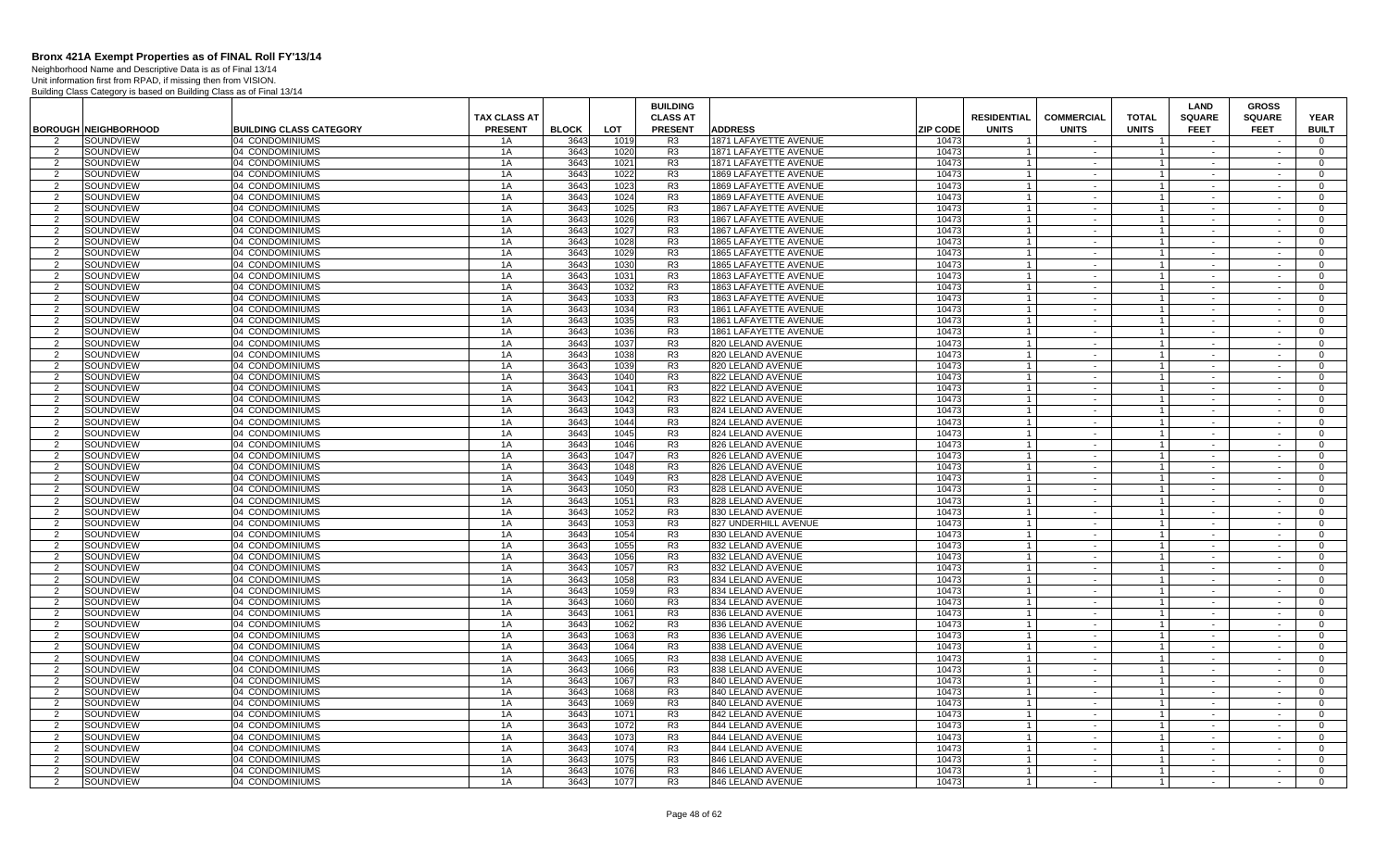Neighborhood Name and Descriptive Data is as of Final 13/14 Unit information first from RPAD, if missing then from VISION.

|                     |                             |                                    |                                       |              |              | <b>BUILDING</b>                   |                                        |                 |                                    | <b>COMMERCIAL</b>        |                                  | <b>LAND</b>                  | <b>GROSS</b>                 |                             |
|---------------------|-----------------------------|------------------------------------|---------------------------------------|--------------|--------------|-----------------------------------|----------------------------------------|-----------------|------------------------------------|--------------------------|----------------------------------|------------------------------|------------------------------|-----------------------------|
|                     | <b>BOROUGH NEIGHBORHOOD</b> | <b>BUILDING CLASS CATEGORY</b>     | <b>TAX CLASS AT</b><br><b>PRESENT</b> | <b>BLOCK</b> | <b>LOT</b>   | <b>CLASS AT</b><br><b>PRESENT</b> | <b>ADDRESS</b>                         | <b>ZIP CODE</b> | <b>RESIDENTIAL</b><br><b>UNITS</b> | <b>UNITS</b>             | <b>TOTAL</b><br><b>UNITS</b>     | <b>SQUARE</b><br><b>FEET</b> | <b>SQUARE</b><br><b>FEET</b> | <b>YEAR</b><br><b>BUILT</b> |
| $\mathcal{P}$       | SOUNDVIEW                   | 04 CONDOMINIUMS                    | 1A                                    | 3643         | 1019         | R <sub>3</sub>                    | 1871 LAFAYETTE AVENUE                  | 10473           |                                    |                          |                                  |                              |                              | $\Omega$                    |
| 2                   | SOUNDVIEW                   | 04 CONDOMINIUMS                    | 1A                                    | 3643         | 1020         | R3                                | <b>1871 LAFAYETTE AVENUE</b>           | 10473           |                                    | $\sim$                   | $\overline{1}$                   | $\sim$                       | $\sim$                       | $\Omega$                    |
| 2                   | SOUNDVIEW                   | 04 CONDOMINIUMS                    | 1A                                    | 3643         | 1021         | R <sub>3</sub>                    | 1871 LAFAYETTE AVENUE                  | 10473           | $\overline{1}$                     | $\sim$                   | $\overline{1}$                   | $\sim$                       | $\sim$                       | $\overline{0}$              |
| 2                   | SOUNDVIEW                   | 04 CONDOMINIUMS                    | 1A                                    | 3643         | 1022         | R <sub>3</sub>                    | 1869 LAFAYETTE AVENUE                  | 10473           |                                    | $\sim$                   | $\overline{1}$                   | $\sim$                       | $\sim$                       | $\mathbf{0}$                |
| 2                   | SOUNDVIEW                   | 04 CONDOMINIUMS                    | 1A                                    | 3643         | 1023         | R <sub>3</sub>                    | 1869 LAFAYETTE AVENUE                  | 10473           | $\overline{1}$                     | $\sim$ $-$               | $\overline{1}$                   | $\sim$                       | $\sim$                       | $\mathbf{0}$                |
| $\mathcal{P}$       | SOUNDVIEW                   | 04 CONDOMINIUMS                    | 1A                                    | 3643         | 1024         | R <sub>3</sub>                    | 1869 LAFAYETTE AVENUE                  | 10473           |                                    | $\sim$                   | $\mathbf{1}$                     |                              | $\sim$                       | $\Omega$                    |
| 2                   | SOUNDVIEW                   | 04 CONDOMINIUMS                    | 1A                                    | 3643         | 1025         | R <sub>3</sub>                    | 1867 LAFAYETTE AVENUE                  | 10473           |                                    | $\sim$                   | $\overline{1}$                   | $\sim$                       | $\sim$                       | $\mathbf 0$                 |
| $\overline{2}$      | SOUNDVIEW                   | 04 CONDOMINIUMS                    | 1A                                    | 3643         | 1026         | R <sub>3</sub>                    | 1867 LAFAYETTE AVENUE                  | 10473           | $\overline{1}$                     | $\sim$                   | $\overline{1}$                   | $\sim$                       |                              | $\Omega$                    |
| 2                   | SOUNDVIEW                   | 04 CONDOMINIUMS                    | 1A                                    | 3643         | 1027         | R <sub>3</sub>                    | <b>1867 LAFAYETTE AVENUE</b>           | 10473           |                                    | $\sim$                   | $\mathbf{1}$                     | $\sim$                       | $\sim$                       | $\Omega$                    |
| $\mathcal{P}$       | SOUNDVIEW                   | 04 CONDOMINIUMS                    | 1A                                    | 3643         | 1028         | R <sub>3</sub>                    | <b>1865 LAFAYETTE AVENUE</b>           | 10473           | $\overline{1}$                     | $\sim$                   | $\mathbf{1}$                     | $\sim$                       | $\sim$                       | $\Omega$                    |
| $\overline{2}$      | SOUNDVIEW                   | 04 CONDOMINIUMS                    | 1A                                    | 3643         | 1029         | R3                                | <b>1865 LAFAYETTE AVENUE</b>           | 10473           |                                    | $\sim$                   | $\mathbf{1}$                     | $\sim$                       | $\sim$                       | $\overline{0}$              |
| 2                   | SOUNDVIEW                   | 04 CONDOMINIUMS                    | 1A                                    | 3643         | 1030         | R <sub>3</sub>                    | 1865 LAFAYETTE AVENUE                  | 10473           | $\overline{1}$                     | $\sim$ $-$               | $\overline{1}$                   | $\sim$                       | $\sim$                       | $\overline{0}$              |
| $\overline{2}$      | SOUNDVIEW                   | 04 CONDOMINIUMS                    | 1A                                    | 3643         | 1031         | R <sub>3</sub>                    | 1863 LAFAYETTE AVENUE                  | 10473           | $\overline{1}$                     | $\sim$                   | $\overline{1}$                   | $\sim$                       | $\sim$                       | $\Omega$                    |
| 2                   | SOUNDVIEW                   | 04 CONDOMINIUMS                    | 1A                                    | 3643         | 1032         | R <sub>3</sub>                    | <b>1863 LAFAYETTE AVENUE</b>           | 10473           | $\overline{1}$                     | $\sim$                   | $\overline{1}$                   | $\sim$                       | $\sim$                       | $\Omega$                    |
| $\mathfrak{p}$      | SOUNDVIEW                   | 04 CONDOMINIUMS                    | 1A                                    | 3643         | 1033         | R3                                | <b>1863 LAFAYETTE AVENUE</b>           | 10473           |                                    | $\sim$                   | $\mathbf{1}$                     | $\sim$                       | $\sim$                       | $\Omega$                    |
| 2                   | SOUNDVIEW                   | 04 CONDOMINIUMS                    | 1A                                    | 3643         | 1034         | R <sub>3</sub>                    | 1861 LAFAYETTE AVENUE                  | 10473           |                                    | $\sim$                   | $\overline{1}$                   | $\sim$                       | $\sim$                       | $\mathbf{0}$                |
| $\mathcal{P}$       | SOUNDVIEW                   | 04 CONDOMINIUMS                    | 1A                                    | 3643         | 1035         | R <sub>3</sub>                    | 1861 LAFAYETTE AVENUE                  | 10473           | $\overline{1}$                     | $\sim$                   | $\overline{1}$                   | $\sim$                       |                              | $\Omega$                    |
| 2                   | SOUNDVIEW                   | 04 CONDOMINIUMS                    | 1A                                    | 3643         | 1036         | R <sub>3</sub>                    | 1861 LAFAYETTE AVENUE                  | 10473           |                                    | $\sim$                   | $\overline{1}$                   | $\sim$                       | $\sim$                       | $\Omega$                    |
| 2                   | SOUNDVIEW                   | 04 CONDOMINIUMS                    | 1A                                    | 3643         | 1037         | R <sub>3</sub>                    | 820 LELAND AVENUE                      | 10473           | $\overline{1}$                     | $\sim$                   | $\overline{1}$                   | $\sim$                       | $\sim$                       | $\Omega$                    |
| 2                   | SOUNDVIEW                   | 04 CONDOMINIUMS                    | 1A                                    | 3643         | 1038         | R <sub>3</sub>                    | 820 LELAND AVENUE                      | 10473           | $\overline{1}$                     | $\sim$                   | $\overline{1}$                   | $\sim$                       | $\sim$                       | $\overline{0}$              |
| 2                   | SOUNDVIEW                   | 04 CONDOMINIUMS                    | 1A                                    | 3643         | 1039         | R <sub>3</sub>                    | 820 LELAND AVENUE                      | 10473           | $\overline{1}$                     | $\sim$ $-$               | $\overline{1}$                   | $\sim$                       | $\sim$                       | $\mathbf{0}$                |
| $\overline{2}$      | SOUNDVIEW                   | 04 CONDOMINIUMS                    | 1A                                    | 3643         | 1040         | R3                                | 822 LELAND AVENUE                      | 10473           | $\overline{1}$                     | $\sim$                   | $\overline{1}$                   |                              |                              | $\Omega$                    |
| 2                   | SOUNDVIEW                   | 04 CONDOMINIUMS                    | 1A                                    | 3643         | 1041         | R3                                | 822 LELAND AVENUE                      | 10473           |                                    | $\sim$ $-$               | $\overline{1}$                   | $\sim$                       | $\sim$                       | $\mathbf{0}$                |
| $\overline{2}$      | SOUNDVIEW                   | 04 CONDOMINIUMS                    | 1A                                    | 3643         | 1042         | R <sub>3</sub>                    | 822 LELAND AVENUE                      | 10473           |                                    | $\sim$                   | $\overline{1}$                   | $\sim$                       | $\sim$                       | $\overline{0}$              |
| 2                   | SOUNDVIEW                   | 04 CONDOMINIUMS                    | 1A                                    | 3643         | 1043         | R <sub>3</sub>                    | 824 LELAND AVENUE                      | 10473           |                                    | $\sim$                   | $\mathbf{1}$                     | $\sim$                       | $\sim$                       | $\overline{0}$              |
| $\mathcal{P}$       | SOUNDVIEW                   | 04 CONDOMINIUMS                    | 1A                                    | 3643         | 1044         | R <sub>3</sub>                    | 824 LELAND AVENUE                      | 10473           | $\overline{1}$                     | $\sim$                   | $\overline{1}$                   | $\sim$                       |                              | $\Omega$                    |
| 2                   | SOUNDVIEW                   | 04 CONDOMINIUMS                    | 1A                                    | 3643         | 1045         | R3                                | 824 LELAND AVENUE                      | 10473           | $\overline{1}$                     | $\sim$                   | $\overline{1}$                   | $\sim$                       | $\sim$                       | $\Omega$                    |
| 2                   | SOUNDVIEW                   | 04 CONDOMINIUMS                    | 1A                                    | 3643         | 1046         | R <sub>3</sub>                    | 826 LELAND AVENUE                      | 10473           | $\overline{1}$                     | $\sim$                   | $\overline{1}$                   | $\sim$                       | $\sim$                       | $\overline{0}$              |
| $\overline{2}$      | SOUNDVIEW                   | 04 CONDOMINIUMS                    | 1A                                    | 3643         | 1047         | R <sub>3</sub>                    | 826 LELAND AVENUE                      | 10473           | $\overline{1}$                     | $\sim$                   | $\overline{1}$                   | $\sim$                       | $\sim$                       | $\mathbf{0}$                |
| 2                   | SOUNDVIEW                   | 04 CONDOMINIUMS                    | 1A                                    | 3643         | 1048         | R <sub>3</sub>                    | 826 LELAND AVENUE                      | 10473           | $\overline{1}$                     | $\sim$ $-$               | $\overline{1}$                   | $\sim$                       | $\sim$                       | $\mathbf{0}$                |
| $\mathcal{P}$       | SOUNDVIEW                   | 04 CONDOMINIUMS                    | 1A                                    | 3643         | 1049         | R <sub>3</sub>                    | 828 LELAND AVENUE                      | 10473           | $\overline{1}$                     |                          | $\mathbf{1}$                     |                              |                              | $\overline{0}$              |
| -2                  | SOUNDVIEW                   | 04 CONDOMINIUMS                    | 1A                                    | 3643         | 1050         | R <sub>3</sub>                    | 828 LELAND AVENUE                      | 10473           |                                    | $\sim$                   | $\overline{1}$                   | $\sim$                       | $\sim$                       | $\overline{0}$              |
| $\overline{2}$      | SOUNDVIEW                   | 04 CONDOMINIUMS                    | 1A                                    | 3643         | 1051         | R <sub>3</sub>                    | 828 LELAND AVENUE                      | 10473           |                                    | $\sim$                   | $\overline{1}$                   | $\sim$                       | $\sim$                       | $\Omega$                    |
| $\overline{2}$      | SOUNDVIEW                   | 04 CONDOMINIUMS                    | 1A                                    | 3643         | 1052         | R <sub>3</sub>                    | 830 LELAND AVENUE                      | 10473           |                                    | $\sim$                   | $\mathbf{1}$                     | $\sim$                       | $\sim$                       | $\Omega$                    |
| $\mathcal{P}$       | SOUNDVIEW                   | 04 CONDOMINIUMS                    | 1A                                    | 3643         | 1053         | R <sub>3</sub>                    | 827 UNDERHILL AVENUE                   | 10473           | $\overline{1}$                     | $\sim$                   | $\overline{1}$                   | $\sim$                       | $\sim$                       | $\Omega$                    |
| 2                   | SOUNDVIEW                   | 04 CONDOMINIUMS                    | 1A                                    | 3643         | 1054         | R <sub>3</sub>                    | 830 LELAND AVENUE                      | 10473           | $\overline{1}$                     | $\sim$                   | $\overline{1}$                   | $\sim$                       | $\sim$                       | $\overline{0}$              |
| 2                   | SOUNDVIEW                   | 04 CONDOMINIUMS                    | 1A                                    | 3643         | 1055         | R <sub>3</sub>                    | 832 LELAND AVENUE                      | 10473           | $\overline{1}$                     | $\sim$                   | $\overline{1}$                   | $\sim$                       | $\sim$                       | $\mathbf{0}$                |
| $\overline{2}$      | SOUNDVIEW                   | 04 CONDOMINIUMS                    | 1A                                    | 3643         | 1056         | R <sub>3</sub>                    | 832 LELAND AVENUE                      | 10473           | $\overline{1}$                     | $\sim$                   | $\overline{1}$                   | $\sim$                       | $\sim$                       | $\mathbf{0}$                |
| 2                   | SOUNDVIEW                   | 04 CONDOMINIUMS                    | 1A                                    | 3643         | 1057         | R <sub>3</sub>                    | 832 LELAND AVENUE                      | 10473           | $\overline{1}$                     | $\sim$                   | $\overline{1}$                   | $\sim$                       | $\sim$                       | $\overline{0}$              |
| $\overline{2}$      | SOUNDVIEW                   | 04 CONDOMINIUMS                    | 1A                                    | 3643         | 1058         | R3                                | 834 LELAND AVENUE                      | 10473           | $\overline{1}$                     | $\sim$                   | $\overline{1}$                   | $\sim$                       | $\sim$                       | $\overline{0}$              |
| $\overline{2}$      | SOUNDVIEW                   | 04 CONDOMINIUMS                    | 1A                                    | 3643         | 1059         | R <sub>3</sub>                    | 834 LELAND AVENUE                      | 10473           |                                    | $\sim$                   | $\mathbf{1}$                     | $\sim$                       | $\sim$                       | $\mathbf{0}$                |
| $\mathcal{P}$       | SOUNDVIEW                   | 04 CONDOMINIUMS                    | 1A                                    | 3643         | 1060         | R <sub>3</sub>                    | 834 LELAND AVENUE                      | 10473           |                                    | $\sim$                   | $\overline{1}$                   | $\sim$                       | $\sim$                       | $\Omega$                    |
| $\overline{2}$      | SOUNDVIEW                   | 04 CONDOMINIUMS                    | 1A                                    | 3643         | 1061         | R <sub>3</sub>                    | 836 LELAND AVENUE                      | 10473           |                                    | $\sim$<br>$\sim$         | $\overline{1}$                   | $\sim$                       | $\sim$<br>$\sim$             | $\Omega$                    |
| $\mathcal{P}$       | SOUNDVIEW                   | 04 CONDOMINIUMS                    | 1A                                    | 3643         | 1062         | R <sub>3</sub>                    | 836 LELAND AVENUE                      | 10473           | $\overline{1}$                     |                          | $\vert$ 1                        | $\sim$                       |                              | $\mathbf{0}$                |
| $\overline{2}$      | SOUNDVIEW<br>SOUNDVIEW      | 04 CONDOMINIUMS<br>04 CONDOMINIUMS | 1A<br>1A                              | 3643<br>3643 | 1063<br>1064 | R <sub>3</sub><br>R <sub>3</sub>  | 836 LELAND AVENUE<br>838 LELAND AVENUE | 10473<br>10473  | $\overline{1}$<br>$\overline{1}$   | $\sim$<br>$\sim$         | $\overline{1}$                   | $\sim$<br>$\sim$             | $\sim$<br>$\sim$             | $\Omega$                    |
| 2<br>$\mathcal{P}$  |                             |                                    |                                       | 3643         |              | R <sub>3</sub>                    |                                        |                 |                                    |                          | $\overline{1}$                   |                              |                              | $\mathbf{0}$                |
|                     | SOUNDVIEW<br>SOUNDVIEW      | 04 CONDOMINIUMS                    | 1A<br>1A                              | 3643         | 1065<br>1066 | R3                                | 838 LELAND AVENUE                      | 10473<br>10473  |                                    | $\sim$<br>$\sim$ $-$     | $\mathbf{1}$                     | $\sim$<br>$\sim$             | $\sim$<br>$\sim$             | $\Omega$<br>$\overline{0}$  |
| 2<br>$\mathcal{P}$  | SOUNDVIEW                   | 04 CONDOMINIUMS<br>04 CONDOMINIUMS | 1A                                    | 3643         | 1067         | R <sub>3</sub>                    | 838 LELAND AVENUE<br>840 LELAND AVENUE | 10473           |                                    | $\sim$                   | $\overline{1}$<br>$\overline{1}$ | $\sim$                       |                              | $\Omega$                    |
| $\overline{2}$      | SOUNDVIEW                   | 04 CONDOMINIUMS                    | 1A                                    | 3643         | 1068         | R <sub>3</sub>                    | 840 LELAND AVENUE                      | 10473           |                                    | $\sim$                   | $\overline{1}$                   | $\sim$                       | $\sim$                       | $\Omega$                    |
| $\mathcal{P}$       |                             | 04 CONDOMINIUMS                    | 1A                                    | 3643         | 1069         | R <sub>3</sub>                    | 840 LELAND AVENUE                      | 10473           |                                    | $\sim$                   | $\mathbf{1}$                     | $\sim$                       | $\sim$                       | $\Omega$                    |
| $\mathcal{P}$       | SOUNDVIEW<br>SOUNDVIEW      | 04 CONDOMINIUMS                    | 1A                                    | 3643         | 1071         | R3                                | 842 LELAND AVENUE                      | 10473           |                                    | $\sim$                   | $\mathbf{1}$                     | $\sim$                       |                              | $\overline{0}$              |
|                     | SOUNDVIEW                   | 04 CONDOMINIUMS                    | 1A                                    | 3643         | 1072         | R <sub>3</sub>                    | 844 LELAND AVENUE                      | 10473           | $\overline{1}$                     | $\sim$ $-$               | $\overline{1}$                   |                              | $\sim$                       | $\overline{0}$              |
| 2<br>$\overline{2}$ | SOUNDVIEW                   | 04 CONDOMINIUMS                    | 1A                                    | 3643         | 1073         | R <sub>3</sub>                    | 844 LELAND AVENUE                      | 10473           | $\overline{1}$                     |                          | $\overline{1}$                   | $\sim$                       |                              | $\Omega$                    |
| 2                   | SOUNDVIEW                   | 04 CONDOMINIUMS                    | 1A                                    | 3643         | 1074         | R <sub>3</sub>                    | 844 LELAND AVENUE                      | 10473           | $\overline{1}$                     | $\sim$<br>$\sim$         | $\overline{1}$                   | $\sim$<br>$\sim$             | $\sim$<br>$\sim$             | $\mathbf{0}$                |
| $\mathcal{D}$       | SOUNDVIEW                   | 04 CONDOMINIUMS                    | 1A                                    | 3643         | 1075         | R <sub>3</sub>                    | 846 LELAND AVENUE                      | 10473           |                                    | $\overline{\phantom{a}}$ | $\mathbf{1}$                     |                              |                              | $\Omega$                    |
|                     | SOUNDVIEW                   | 04 CONDOMINIUMS                    | 1A                                    | 3643         | 1076         | R <sub>3</sub>                    | 846 LELAND AVENUE                      | 10473           |                                    | $\sim$                   | $\overline{1}$                   | $\sim$                       | $\sim$                       | $\overline{0}$              |
| 2<br>$\overline{2}$ | SOUNDVIEW                   | 04 CONDOMINIUMS                    | 1A                                    | 3643         | 1077         | R <sub>3</sub>                    | 846 LELAND AVENUE                      | 10473           |                                    |                          | $\mathbf{1}$                     |                              | $\sim$                       | $\Omega$                    |
|                     |                             |                                    |                                       |              |              |                                   |                                        |                 |                                    |                          |                                  |                              |                              |                             |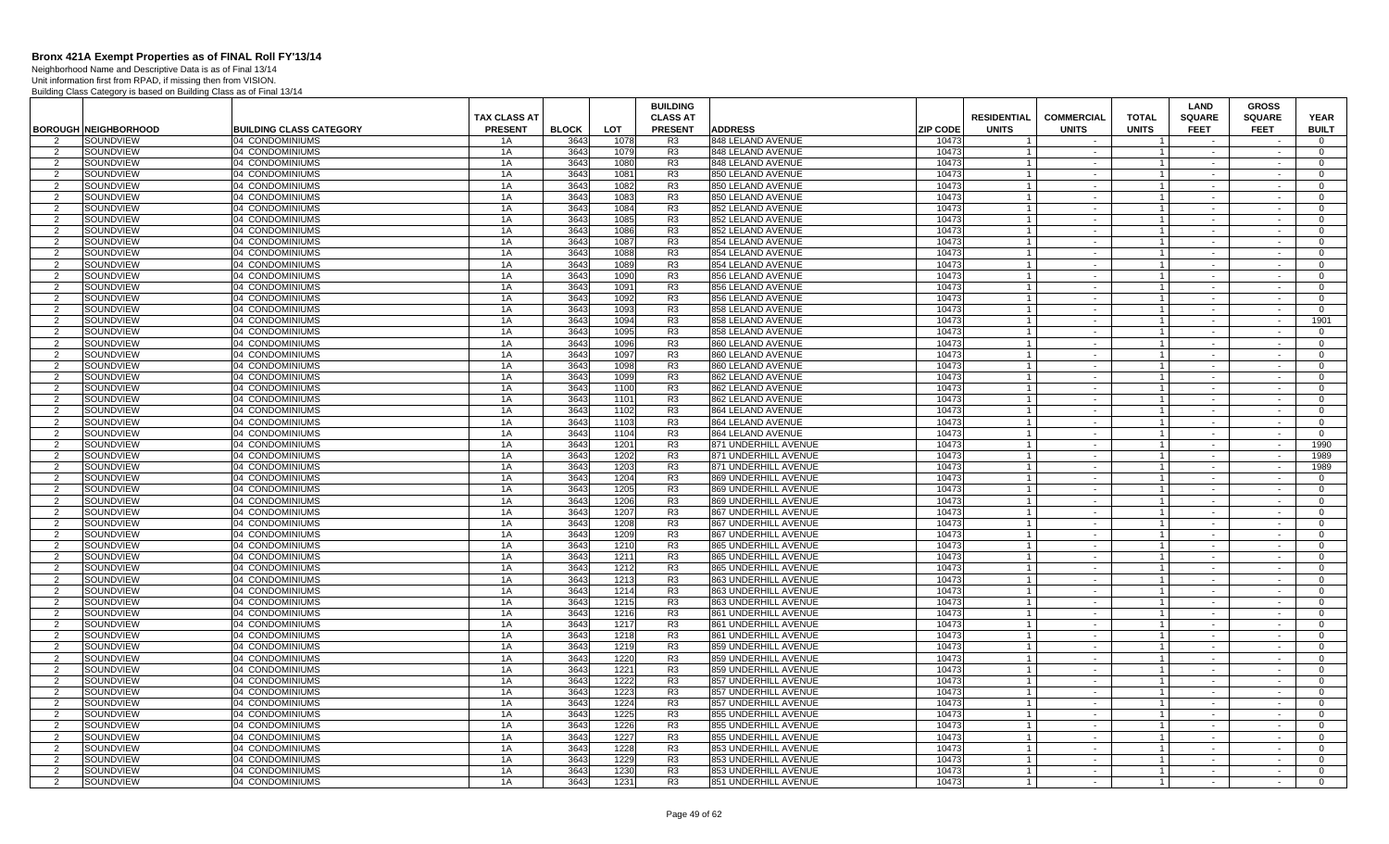Neighborhood Name and Descriptive Data is as of Final 13/14 Unit information first from RPAD, if missing then from VISION.

|                |                             |                                |                                       |              |      | <b>BUILDING</b>                   |                      |                                                       |                                   |                              | <b>LAND</b>                  | <b>GROSS</b>                 |                             |
|----------------|-----------------------------|--------------------------------|---------------------------------------|--------------|------|-----------------------------------|----------------------|-------------------------------------------------------|-----------------------------------|------------------------------|------------------------------|------------------------------|-----------------------------|
|                | <b>BOROUGH NEIGHBORHOOD</b> | <b>BUILDING CLASS CATEGORY</b> | <b>TAX CLASS AT</b><br><b>PRESENT</b> | <b>BLOCK</b> | LOT  | <b>CLASS AT</b><br><b>PRESENT</b> | <b>ADDRESS</b>       | <b>RESIDENTIAL</b><br><b>ZIP CODE</b><br><b>UNITS</b> | <b>COMMERCIAL</b><br><b>UNITS</b> | <b>TOTAL</b><br><b>UNITS</b> | <b>SQUARE</b><br><b>FEET</b> | <b>SQUARE</b><br><b>FEET</b> | <b>YEAR</b><br><b>BUILT</b> |
| 2              | SOUNDVIEW                   | 04 CONDOMINIUMS                | 1A                                    | 3643         | 1078 | R <sub>3</sub>                    | 848 LELAND AVENUE    | 10473                                                 |                                   |                              |                              |                              | $\overline{0}$              |
| 2              | SOUNDVIEW                   | 04 CONDOMINIUMS                | 1A                                    | 3643         | 1079 | R <sub>3</sub>                    | 848 LELAND AVENUE    | 10473                                                 | $\sim$                            | $\overline{1}$               | $\sim$                       | $\sim$                       | $\overline{0}$              |
| $\overline{2}$ | SOUNDVIEW                   | 04 CONDOMINIUMS                | 1A                                    | 3643         | 1080 | R <sub>3</sub>                    | 848 LELAND AVENUE    | 10473<br>$\overline{1}$                               | $\sim$                            | $\overline{1}$               | $\sim$                       | $\sim$                       | $\overline{0}$              |
| $\overline{2}$ | SOUNDVIEW                   | 04 CONDOMINIUMS                | 1A                                    | 3643         | 1081 | R <sub>3</sub>                    | 850 LELAND AVENUE    | 10473<br>$\overline{1}$                               | $\sim$                            | $\overline{1}$               | $\sim$                       | $\sim$                       | $\mathbf{0}$                |
| $\mathcal{P}$  | SOUNDVIEW                   | 04 CONDOMINIUMS                | 1A                                    | 3643         | 1082 | R <sub>3</sub>                    | 850 LELAND AVENUE    | 10473<br>$\overline{1}$                               | $\sim$                            | $\overline{1}$               | $\sim$                       | $\sim$                       | $\overline{0}$              |
| $\mathcal{P}$  | SOUNDVIEW                   | 04 CONDOMINIUMS                | 1A                                    | 3643         | 1083 | R3                                | 850 LELAND AVENUE    | 10473<br>$\overline{1}$                               | $\sim$                            | $\overline{1}$               | $\sim$                       | $\sim$                       | $\Omega$                    |
| 2              | SOUNDVIEW                   | 04 CONDOMINIUMS                | 1A                                    | 3643         | 1084 | R <sub>3</sub>                    | 852 LELAND AVENUE    | 10473<br>$\overline{1}$                               | $\sim$                            | $\overline{1}$               | $\sim$                       | $\sim$                       | $\overline{0}$              |
| $\overline{2}$ | SOUNDVIEW                   | 04 CONDOMINIUMS                | 1A                                    | 3643         | 1085 | R <sub>3</sub>                    | 852 LELAND AVENUE    | 10473<br>-1                                           | $\sim$                            | $\overline{1}$               |                              |                              | $\overline{0}$              |
| 2              | SOUNDVIEW                   | 04 CONDOMINIUMS                | 1A                                    | 3643         | 1086 | R <sub>3</sub>                    | 852 LELAND AVENUE    | 10473<br>$\overline{\mathbf{1}}$                      | $\sim$                            | $\overline{1}$               | $\sim$                       | $\sim$                       | $\overline{0}$              |
| $\overline{2}$ | SOUNDVIEW                   | 04 CONDOMINIUMS                | 1A                                    | 3643         | 1087 | R <sub>3</sub>                    | 854 LELAND AVENUE    | 10473                                                 | $\sim$                            | $\mathbf{1}$                 | $\sim$                       | $\sim$                       | $\overline{0}$              |
| 2              | SOUNDVIEW                   | 04 CONDOMINIUMS                | 1A                                    | 3643         | 1088 | R <sub>3</sub>                    | 854 LELAND AVENUE    | 10473                                                 | $\sim$                            | $\mathbf{1}$                 | $\sim$                       | $\sim$                       | $\overline{0}$              |
| $\overline{2}$ | SOUNDVIEW                   | 04 CONDOMINIUMS                | 1A                                    | 3643         | 1089 | R <sub>3</sub>                    | 854 LELAND AVENUE    | 10473<br>$\overline{1}$                               | $\sim$                            | $\mathbf{1}$                 | $\sim$                       | $\sim$                       | $\overline{0}$              |
| $\overline{2}$ | SOUNDVIEW                   | 04 CONDOMINIUMS                | 1A                                    | 3643         | 1090 | R <sub>3</sub>                    | 856 LELAND AVENUE    | 10473<br>$\overline{1}$                               | $\sim$                            | $\overline{1}$               | $\sim$                       | $\sim$                       | $\overline{0}$              |
| $\mathcal{P}$  | SOUNDVIEW                   | 04 CONDOMINIUMS                | 1A                                    | 3643         | 1091 | R <sub>3</sub>                    | 856 LELAND AVENUE    | 10473<br>$\overline{1}$                               | $\sim$                            | $\overline{1}$               | $\sim$                       | $\sim$                       | $\overline{0}$              |
| $\overline{2}$ | SOUNDVIEW                   | 04 CONDOMINIUMS                | 1A                                    | 3643         | 1092 | R3                                | 856 LELAND AVENUE    | 10473<br>$\overline{1}$                               | $\sim$                            | $\mathbf{1}$                 | $\sim$                       | $\sim$                       | $\overline{0}$              |
| 2              | SOUNDVIEW                   | 04 CONDOMINIUMS                | 1A                                    | 3643         | 1093 | R <sub>3</sub>                    | 858 LELAND AVENUE    | 10473<br>$\overline{1}$                               | $\sim$                            | $\overline{1}$               | $\sim$                       | $\sim$                       | $\overline{0}$              |
| $\overline{2}$ | SOUNDVIEW                   | 04 CONDOMINIUMS                | 1A                                    | 3643         | 1094 | R <sub>3</sub>                    | 858 LELAND AVENUE    | 10473<br>-1                                           | $\sim$                            | $\mathbf{1}$                 |                              |                              | 1901                        |
| 2              | SOUNDVIEW                   | 04 CONDOMINIUMS                | 1A                                    | 3643         | 1095 | R <sub>3</sub>                    | 858 LELAND AVENUE    | 10473<br>-1                                           | $\sim$                            | $\overline{1}$               | $\sim$                       | $\sim$                       | $\overline{0}$              |
| $\mathcal{P}$  | SOUNDVIEW                   | 04 CONDOMINIUMS                | 1A                                    | 3643         | 1096 | R3                                | 860 LELAND AVENUE    | 10473                                                 | $\sim$                            | $\mathbf{1}$                 | $\sim$                       | $\sim$                       | $\overline{0}$              |
| $\overline{2}$ | SOUNDVIEW                   | 04 CONDOMINIUMS                | 1A                                    | 3643         | 1097 | R <sub>3</sub>                    | 860 LELAND AVENUE    | 10473                                                 | $\sim$                            | $\overline{1}$               | $\sim$                       | $\sim$                       | $\overline{0}$              |
| $\overline{2}$ | SOUNDVIEW                   | 04 CONDOMINIUMS                | 1A                                    | 3643         | 1098 | R <sub>3</sub>                    | 860 LELAND AVENUE    | 10473<br>$\overline{1}$                               | $\sim$                            | $\mathbf{1}$                 | $\sim$                       | $\sim$                       | $\overline{0}$              |
| 2              | SOUNDVIEW                   | 04 CONDOMINIUMS                | 1A                                    | 3643         | 1099 | R <sub>3</sub>                    | 862 LELAND AVENUE    | 10473<br>$\overline{1}$                               | $\sim$                            | $\overline{1}$               | $\sim$                       | $\sim$                       | $\overline{0}$              |
| 2              | SOUNDVIEW                   | 04 CONDOMINIUMS                | 1A                                    | 3643         | 1100 | R3                                | 862 LELAND AVENUE    | 10473<br>$\overline{1}$                               | $\sim$                            | $\overline{1}$               | $\sim$                       | $\sim$                       | $\overline{0}$              |
| $\mathcal{P}$  | SOUNDVIEW                   | 04 CONDOMINIUMS                | 1A                                    | 3643         | 1101 | R <sub>3</sub>                    | 862 LELAND AVENUE    | 10473<br>$\overline{1}$                               | $\sim$                            | $\mathbf{1}$                 | $\sim$                       | $\sim$                       | $\mathbf 0$                 |
| 2              | SOUNDVIEW                   | 04 CONDOMINIUMS                | 1A                                    | 3643         | 1102 | R <sub>3</sub>                    | 864 LELAND AVENUE    | 10473<br>$\overline{1}$                               | $\sim$                            | $\overline{1}$               | $\sim$                       | $\sim$                       | $\overline{0}$              |
| $\overline{2}$ | SOUNDVIEW                   | 04 CONDOMINIUMS                | 1A                                    | 3643         | 1103 | R <sub>3</sub>                    | 864 LELAND AVENUE    | 10473                                                 | $\sim$                            | $\mathbf{1}$                 |                              |                              | $\overline{0}$              |
| 2              | SOUNDVIEW                   | 04 CONDOMINIUMS                | 1A                                    | 3643         | 1104 | R <sub>3</sub>                    | 864 LELAND AVENUE    | 10473                                                 | $\sim$                            | $\overline{1}$               | $\sim$                       | $\sim$                       | $\overline{0}$              |
| $\mathcal{P}$  | SOUNDVIEW                   | 04 CONDOMINIUMS                | 1A                                    | 3643         | 1201 | R <sub>3</sub>                    | 871 UNDERHILL AVENUE | 10473                                                 | $\sim$                            | $\overline{1}$               | $\sim$                       | $\sim$                       | 1990                        |
| $\overline{2}$ | SOUNDVIEW                   | 04 CONDOMINIUMS                | 1A                                    | 3643         | 1202 | R <sub>3</sub>                    | 871 UNDERHILL AVENUE | 10473                                                 | $\sim$                            | $\overline{1}$               | $\sim$                       | $\sim$                       | 1989                        |
| 2              | SOUNDVIEW                   | 04 CONDOMINIUMS                | 1A                                    | 3643         | 1203 | R <sub>3</sub>                    | 871 UNDERHILL AVENUE | 10473<br>$\overline{1}$                               | $\sim$                            | $\mathbf{1}$                 | $\sim$                       | $\sim$                       | 1989                        |
| $\mathcal{P}$  | SOUNDVIEW                   | 04 CONDOMINIUMS                | 1A                                    | 3643         | 1204 | R <sub>3</sub>                    | 869 UNDERHILL AVENUE | 10473<br>$\overline{1}$                               | $\sim$                            | $\overline{1}$               | $\sim$                       | $\sim$                       | $\Omega$                    |
| 2              | SOUNDVIEW                   | 04 CONDOMINIUMS                | 1A                                    | 3643         | 1205 | R <sub>3</sub>                    | 869 UNDERHILL AVENUE | 10473<br>$\overline{1}$                               | $\sim$                            | $\overline{1}$               | $\sim$                       | $\sim$                       | $\overline{0}$              |
| $\mathcal{P}$  | SOUNDVIEW                   | 04 CONDOMINIUMS                | 1A                                    | 3643         | 1206 | R3                                | 869 UNDERHILL AVENUE | 10473<br>$\overline{1}$                               | $\sim$                            | $\mathbf{1}$                 | $\sim$                       | $\sim$                       | $\mathbf 0$                 |
| 2              | SOUNDVIEW                   | 04 CONDOMINIUMS                | 1A                                    | 3643         | 1207 | R <sub>3</sub>                    | 867 UNDERHILL AVENUE | 10473<br>-1                                           | $\sim$                            | $\overline{1}$               | $\sim$                       | $\sim$                       | $\overline{0}$              |
| $\overline{2}$ | SOUNDVIEW                   | 04 CONDOMINIUMS                | 1A                                    | 3643         | 1208 | R <sub>3</sub>                    | 867 UNDERHILL AVENUE | 10473                                                 | $\sim$                            | $\mathbf{1}$                 |                              |                              | $\overline{0}$              |
| 2              | SOUNDVIEW                   | 04 CONDOMINIUMS                | 1A                                    | 3643         | 1209 | R <sub>3</sub>                    | 867 UNDERHILL AVENUE | 10473                                                 | $\sim$                            | $\overline{1}$               | $\sim$                       | $\sim$                       | $\overline{0}$              |
| $\mathcal{P}$  | SOUNDVIEW                   | 04 CONDOMINIUMS                | 1A                                    | 3643         | 1210 | R <sub>3</sub>                    | 865 UNDERHILL AVENUE | 10473<br>$\overline{1}$                               | $\sim$                            | $\overline{1}$               | $\sim$                       | $\sim$                       | $\mathbf 0$                 |
| $\overline{2}$ | SOUNDVIEW                   | 04 CONDOMINIUMS                | 1A                                    | 3643         | 1211 | R <sub>3</sub>                    | 865 UNDERHILL AVENUE | 10473                                                 | $\sim$                            | $\overline{1}$               | $\sim$                       | $\sim$                       | $\overline{0}$              |
| $\mathcal{P}$  | SOUNDVIEW                   | 04 CONDOMINIUMS                | 1A                                    | 3643         | 1212 | R <sub>3</sub>                    | 865 UNDERHILL AVENUE | 10473<br>$\overline{1}$                               | $\sim$                            | $\mathbf{1}$                 | $\sim$                       | $\sim$                       | $\overline{0}$              |
| 2              | SOUNDVIEW                   | 04 CONDOMINIUMS                | 1A                                    | 3643         | 1213 | R <sub>3</sub>                    | 863 UNDERHILL AVENUE | 10473<br>$\overline{1}$                               | $\sim$                            | $\overline{1}$               | $\sim$                       | $\sim$                       | $\overline{0}$              |
| 2              | SOUNDVIEW                   | 04 CONDOMINIUMS                | 1A                                    | 3643         | 1214 | R <sub>3</sub>                    | 863 UNDERHILL AVENUE | 10473<br>$\overline{1}$                               | $\sim$                            | $\overline{1}$               | $\sim$                       | $\sim$                       | $\overline{0}$              |
| $\overline{2}$ | SOUNDVIEW                   | 04 CONDOMINIUMS                | 1A                                    | 3643         | 1215 | R3                                | 863 UNDERHILL AVENUE | 10473                                                 | $\sim$                            | $\mathbf{1}$                 | $\sim$                       |                              | $\mathbf 0$                 |
| 2              | SOUNDVIEW                   | 04 CONDOMINIUMS                | 1A                                    | 3643         | 1216 | R <sub>3</sub>                    | 861 UNDERHILL AVENUE | 10473<br>-1                                           | $\sim$                            | $\overline{1}$               | $\sim$                       | $\sim$                       | $\overline{0}$              |
| $\mathcal{P}$  | SOUNDVIEW                   | 04 CONDOMINIUMS                | 1A                                    | 3643         | 1217 | R <sub>3</sub>                    | 861 UNDERHILL AVENUE | 10473                                                 | $\sim$                            | $\overline{1}$               | $\sim$                       |                              | $\overline{0}$              |
| $\overline{2}$ | SOUNDVIEW                   | 04 CONDOMINIUMS                | 1A                                    | 3643         | 1218 | R <sub>3</sub>                    | 861 UNDERHILL AVENUE | 10473                                                 | $\sim$                            | $\overline{1}$               | $\sim$                       | $\sim$                       | $\Omega$                    |
| $\mathcal{P}$  | SOUNDVIEW                   | 04 CONDOMINIUMS                | 1A                                    | 3643         | 1219 | R <sub>3</sub>                    | 859 UNDERHILL AVENUE | 10473<br>$\overline{1}$                               | $\sim$                            | $\overline{1}$               | $\sim$                       | $\sim$                       | $\mathbf 0$                 |
| $\overline{2}$ | SOUNDVIEW                   | 04 CONDOMINIUMS                | 1A                                    | 3643         | 1220 | R <sub>3</sub>                    | 859 UNDERHILL AVENUE | 10473                                                 | $\sim$                            | $\overline{1}$               | $\sim$                       | $\sim$                       | $\overline{0}$              |
| 2              | SOUNDVIEW                   | 04 CONDOMINIUMS                | 1A                                    | 3643         | 1221 | R <sub>3</sub>                    | 859 UNDERHILL AVENUE | 10473<br>$\overline{1}$                               | $\sim$                            | $1 \vert$                    | $\sim$                       | $\sim$                       | $\overline{0}$              |
| $\overline{2}$ | SOUNDVIEW                   | 04 CONDOMINIUMS                | 1A                                    | 3643         | 1222 | R <sub>3</sub>                    | 857 UNDERHILL AVENUE | 10473<br>$\overline{1}$                               | $\sim$                            | $\overline{1}$               | $\sim$                       | $\sim$                       | $\overline{0}$              |
| 2              | SOUNDVIEW                   | 04 CONDOMINIUMS                | 1A                                    | 3643         | 1223 | R <sub>3</sub>                    | 857 UNDERHILL AVENUE | 10473<br>$\overline{1}$                               | $\sim$                            | $\overline{1}$               | $\sim$                       | $\sim$                       | $\overline{0}$              |
| $\overline{2}$ | SOUNDVIEW                   | 04 CONDOMINIUMS                | 1A                                    | 3643         | 1224 | R <sub>3</sub>                    | 857 UNDERHILL AVENUE | 10473<br>$\overline{1}$                               | $\sim$                            | $\mathbf{1}$                 |                              |                              | $\overline{0}$              |
| 2              | SOUNDVIEW                   | 04 CONDOMINIUMS                | 1A                                    | 3643         | 1225 | R3                                | 855 UNDERHILL AVENUE | 10473                                                 | $\sim$                            | $\mathbf{1}$                 | $\sim$                       | $\sim$                       | $\overline{0}$              |
| $\mathcal{P}$  | SOUNDVIEW                   | 04 CONDOMINIUMS                | 1A                                    | 3643         | 1226 | R <sub>3</sub>                    | 855 UNDERHILL AVENUE | 10473<br>$\overline{1}$                               | $\sim$                            | $\overline{1}$               | $\sim$                       |                              | $\overline{0}$              |
| $\overline{2}$ | SOUNDVIEW                   | 04 CONDOMINIUMS                | 1A                                    | 3643         | 1227 | R <sub>3</sub>                    | 855 UNDERHILL AVENUE | 10473                                                 | $\sim$                            | $\overline{1}$               | $\sim$                       | $\sim$                       | $\overline{0}$              |
| $\overline{2}$ | SOUNDVIEW                   | 04 CONDOMINIUMS                | 1A                                    | 3643         | 1228 | R <sub>3</sub>                    | 853 UNDERHILL AVENUE | 10473<br>$\overline{1}$                               | $\sim$                            | $\mathbf{1}$                 | $\sim$                       | $\sim$                       | $\overline{0}$              |
| $\mathcal{P}$  | SOUNDVIEW                   | 04 CONDOMINIUMS                | 1A                                    | 3643         | 1229 | R <sub>3</sub>                    | 853 UNDERHILL AVENUE | 10473<br>$\overline{1}$                               | $\sim$                            | $\overline{1}$               | $\sim$                       | $\sim$                       | $\overline{0}$              |
| 2              | SOUNDVIEW                   | 04 CONDOMINIUMS                | 1A                                    | 3643         | 1230 | R <sub>3</sub>                    | 853 UNDERHILL AVENUE | 10473<br>$\overline{1}$                               | $\sim$                            | $\overline{1}$               | $\sim$                       | $\sim$                       | $\mathbf{0}$                |
| 2              | SOUNDVIEW                   | 04 CONDOMINIUMS                | 1A                                    | 3643         | 1231 | R <sub>3</sub>                    | 851 UNDERHILL AVENUE | 10473                                                 | $\sim$                            | $\overline{1}$               | $\sim$                       | $\sim$                       | $\overline{0}$              |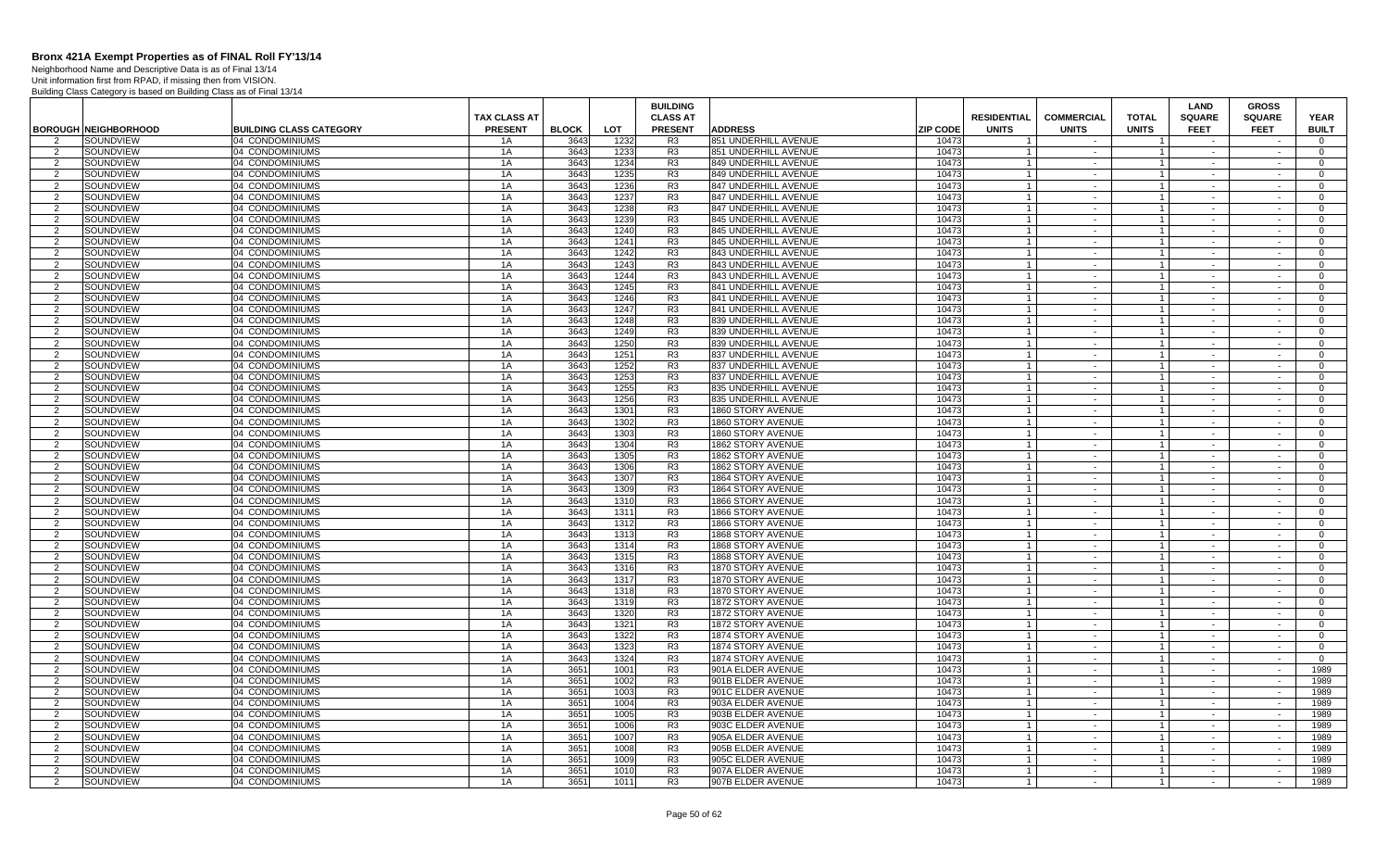Neighborhood Name and Descriptive Data is as of Final 13/14 Unit information first from RPAD, if missing then from VISION.

|                |                             |                                    | TAX CLASS AT   |              |              | <b>BUILDING</b>                   |                                               |                 | <b>RESIDENTIAL</b>               | <b>COMMERCIAL</b> | <b>TOTAL</b>                     | <b>LAND</b>                  | <b>GROSS</b>                 |                             |
|----------------|-----------------------------|------------------------------------|----------------|--------------|--------------|-----------------------------------|-----------------------------------------------|-----------------|----------------------------------|-------------------|----------------------------------|------------------------------|------------------------------|-----------------------------|
|                | <b>BOROUGH NEIGHBORHOOD</b> | <b>BUILDING CLASS CATEGORY</b>     | <b>PRESENT</b> | <b>BLOCK</b> | LOT          | <b>CLASS AT</b><br><b>PRESENT</b> | <b>ADDRESS</b>                                | <b>ZIP CODE</b> | <b>UNITS</b>                     | <b>UNITS</b>      | <b>UNITS</b>                     | <b>SQUARE</b><br><b>FEET</b> | <b>SQUARE</b><br><b>FEET</b> | <b>YEAR</b><br><b>BUILT</b> |
| $\overline{2}$ | SOUNDVIEW                   | 04 CONDOMINIUMS                    | 1A             | 3643         | 1232         | R3                                | 851 UNDERHILL AVENUE                          | 10473           | $\overline{1}$                   | $\sim$            |                                  | $\sim$                       |                              | $\overline{0}$              |
| 2              | SOUNDVIEW                   | 04 CONDOMINIUMS                    | 1A             | 3643         | 1233         | R3                                | 851 UNDERHILL AVENUE                          | 10473           |                                  |                   | $\overline{1}$                   |                              |                              | $\overline{0}$              |
| 2              | SOUNDVIEW                   | 04 CONDOMINIUMS                    | 1A             | 3643         | 1234         | R <sub>3</sub>                    | 849 UNDERHILL AVENUE                          | 10473           | $\overline{1}$                   | $\sim$            | $\overline{1}$                   | $\sim$                       | $\sim$                       | $\mathbf{0}$                |
| 2              | SOUNDVIEW                   | 04 CONDOMINIUMS                    | 1A             | 3643         | 1235         | R <sub>3</sub>                    | 849 UNDERHILL AVENUE                          | 10473           |                                  | $\sim$            | $\overline{1}$                   |                              |                              | $\Omega$                    |
| 2              | SOUNDVIEW                   | 04 CONDOMINIUMS                    | 1A             | 3643         | 1236         | R <sub>3</sub>                    | 847 UNDERHILL AVENUE                          | 10473           |                                  | $\sim$            | $\overline{1}$                   | $\sim$                       | $\sim$                       | $\mathbf{0}$                |
| $\overline{2}$ | SOUNDVIEW                   | 04 CONDOMINIUMS                    | 1A             | 3643         | 1237         | R <sub>3</sub>                    | 847 UNDERHILL AVENUE                          | 10473           |                                  | $\sim$            | $\overline{1}$                   | $\sim$                       |                              | $\Omega$                    |
| 2              | SOUNDVIEW                   | 04 CONDOMINIUMS                    | 1A             | 3643         | 1238         | R <sub>3</sub>                    | 847 UNDERHILL AVENUE                          | 10473           | $\overline{1}$                   | $\sim$            | $\mathbf{1}$                     | $\sim$                       | $\sim$                       | $\Omega$                    |
| 2              | SOUNDVIEW                   | 04 CONDOMINIUMS                    | 1A             | 3643         | 1239         | R <sub>3</sub>                    | 845 UNDERHILL AVENUE                          | 10473           | $\overline{1}$                   | $\sim$            | $\overline{1}$                   | $\sim$                       | $\sim$                       | $\Omega$                    |
| 2              | SOUNDVIEW                   | 04 CONDOMINIUMS                    | 1A             | 3643         | 1240         | R <sub>3</sub>                    | 845 UNDERHILL AVENUE                          | 10473           | $\overline{1}$                   | $\sim$            | $\overline{1}$                   | $\sim$                       | $\sim$                       | $\Omega$                    |
| 2              | SOUNDVIEW                   | 04 CONDOMINIUMS                    | 1A             | 3643         | 1241         | R <sub>3</sub>                    | 845 UNDERHILL AVENUE                          | 10473           | $\overline{1}$                   | $\sim$            | $\mathbf{1}$                     | $\sim$                       | $\sim$                       | $\overline{0}$              |
| $\overline{2}$ | SOUNDVIEW                   | 04 CONDOMINIUMS                    | 1A             | 3643         | 1242         | R3                                | 843 UNDERHILL AVENUE                          | 10473           | $\overline{1}$                   | $\sim$            | $\mathbf{1}$                     | $\sim$                       |                              | $\overline{0}$              |
| 2              | SOUNDVIEW                   | 04 CONDOMINIUMS                    | 1A             | 3643         | 1243         | R <sub>3</sub>                    | 843 UNDERHILL AVENUE                          | 10473           | $\overline{1}$                   | $\sim$            | $\overline{1}$                   | $\sim$                       | $\sim$                       | $\mathbf{0}$                |
| 2              | SOUNDVIEW                   | 04 CONDOMINIUMS                    | 1A             | 3643         | 1244         | R <sub>3</sub>                    | 843 UNDERHILL AVENUE                          | 10473           | $\overline{1}$                   | $\sim$            | $\overline{1}$                   |                              |                              | $\overline{0}$              |
| 2              | SOUNDVIEW                   | 04 CONDOMINIUMS                    | 1A             | 3643         | 1245         | R <sub>3</sub>                    | 841 UNDERHILL AVENUE                          | 10473           |                                  | $\sim$            | $\overline{1}$                   | $\sim$                       | $\sim$                       | $\mathbf{0}$                |
| 2              | SOUNDVIEW                   | 04 CONDOMINIUMS                    | 1A             | 3643         | 1246         | R <sub>3</sub>                    | 841 UNDERHILL AVENUE                          | 10473           | $\overline{1}$                   | $\sim$            | $\mathbf{1}$                     | $\sim$                       | $\sim$                       | $\overline{0}$              |
| 2              | SOUNDVIEW                   | 04 CONDOMINIUMS                    | 1A             | 3643         | 1247         | R <sub>3</sub>                    | 841 UNDERHILL AVENUE                          | 10473           |                                  | $\sim$            | $\overline{1}$                   | $\sim$                       | $\sim$                       | $\Omega$                    |
| 2              | SOUNDVIEW                   | 04 CONDOMINIUMS                    | 1A             | 3643         | 1248         | R <sub>3</sub>                    | 839 UNDERHILL AVENUE                          | 10473           | $\overline{1}$                   | $\sim$            | $\overline{1}$                   | $\sim$                       | $\sim$                       | $\Omega$                    |
| 2<br>2         | SOUNDVIEW<br>SOUNDVIEW      | 04 CONDOMINIUMS<br>04 CONDOMINIUMS | 1A<br>1A       | 3643<br>3643 | 1249         | R <sub>3</sub><br>R <sub>3</sub>  | 839 UNDERHILL AVENUE<br>839 UNDERHILL AVENUE  | 10473<br>10473  | $\overline{1}$<br>$\overline{1}$ | $\sim$<br>$\sim$  | $\overline{1}$                   | $\sim$<br>$\sim$             | $\sim$<br>$\sim$             | $\Omega$<br>$\mathbf{0}$    |
| $\overline{2}$ | SOUNDVIEW                   | 04 CONDOMINIUMS                    | 1A             | 3643         | 1250<br>1251 | R <sub>3</sub>                    | 837 UNDERHILL AVENUE                          | 10473           | $\overline{1}$                   | $\sim$            | $\overline{1}$<br>$\overline{1}$ | $\sim$                       | $\sim$                       | $\mathbf{0}$                |
| 2              | SOUNDVIEW                   | 04 CONDOMINIUMS                    | 1A             | 3643         | 1252         | R3                                | 837 UNDERHILL AVENUE                          | 10473           | $\overline{1}$                   | $\sim$            | $\overline{1}$                   | $\sim$                       | $\sim$                       | $\overline{0}$              |
| 2              | SOUNDVIEW                   | 04 CONDOMINIUMS                    | 1A             | 3643         | 1253         | R <sub>3</sub>                    | 837 UNDERHILL AVENUE                          | 10473           | $\overline{1}$                   | $\sim$            | $\overline{1}$                   |                              |                              | $\mathbf{0}$                |
| 2              | SOUNDVIEW                   | 04 CONDOMINIUMS                    | 1A             | 3643         | 1255         | R <sub>3</sub>                    | 835 UNDERHILL AVENUE                          | 10473           | $\overline{1}$                   | $\sim$            | $\overline{1}$                   | $\sim$                       | $\sim$                       | $\mathbf{0}$                |
| 2              | SOUNDVIEW                   | 04 CONDOMINIUMS                    | 1A             | 3643         | 1256         | R <sub>3</sub>                    | 835 UNDERHILL AVENUE                          | 10473           | $\overline{1}$                   | $\sim$            | $\overline{1}$                   | $\sim$                       | $\sim$                       | $\Omega$                    |
| 2              | SOUNDVIEW                   | 04 CONDOMINIUMS                    | 1A             | 3643         | 1301         | R <sub>3</sub>                    | 1860 STORY AVENUE                             | 10473           |                                  | $\sim$            | $\mathbf{1}$                     | $\sim$                       | $\sim$                       | $\overline{0}$              |
| 2              | SOUNDVIEW                   | 04 CONDOMINIUMS                    | 1A             | 3643         | 1302         | R <sub>3</sub>                    | 1860 STORY AVENUE                             | 10473           | $\overline{1}$                   | $\sim$            | $\overline{1}$                   | $\sim$                       | $\overline{\phantom{a}}$     | $\overline{0}$              |
| 2              | SOUNDVIEW                   | 04 CONDOMINIUMS                    | 1A             | 3643         | 1303         | R <sub>3</sub>                    | 1860 STORY AVENUE                             | 10473           | $\overline{1}$                   | $\sim$            | $\overline{1}$                   | $\sim$                       | $\sim$                       | $\mathbf{0}$                |
| 2              | SOUNDVIEW                   | 04 CONDOMINIUMS                    | 1A             | 3643         | 1304         | R <sub>3</sub>                    | 1862 STORY AVENUE                             | 10473           | $\overline{1}$                   | $\sim$            | $\overline{1}$                   | $\sim$                       | $\sim$                       | $\mathbf{0}$                |
| 2              | SOUNDVIEW                   | 04 CONDOMINIUMS                    | 1A             | 3643         | 1305         | R <sub>3</sub>                    | 1862 STORY AVENUE                             | 10473           | $\overline{1}$                   | $\sim$            | $\mathbf{1}$                     | $\sim$                       | $\sim$                       | $\mathbf{0}$                |
| $\overline{2}$ | SOUNDVIEW                   | 04 CONDOMINIUMS                    | 1A             | 3643         | 1306         | R <sub>3</sub>                    | 1862 STORY AVENUE                             | 10473           | $\overline{1}$                   | $\sim$            | $\overline{1}$                   | $\sim$                       | $\sim$                       | $\overline{0}$              |
| $\overline{2}$ | SOUNDVIEW                   | 04 CONDOMINIUMS                    | 1A             | 3643         | 1307         | R <sub>3</sub>                    | 1864 STORY AVENUE                             | 10473           | $\overline{1}$                   | $\sim$            | $\overline{1}$                   |                              |                              | $\Omega$                    |
| $\overline{2}$ | SOUNDVIEW                   | 04 CONDOMINIUMS                    | 1A             | 3643         | 1309         | R <sub>3</sub>                    | 1864 STORY AVENUE                             | 10473           |                                  | $\sim$            |                                  | $\sim$                       | $\sim$                       | $\mathbf{0}$                |
| 2              | SOUNDVIEW                   | 04 CONDOMINIUMS                    | 1A             | 3643         | 1310         | R <sub>3</sub>                    | 1866 STORY AVENUE                             | 10473           | $\overline{1}$                   | $\sim$            | $\overline{1}$                   | $\sim$                       | $\sim$                       | $\Omega$                    |
| $\overline{2}$ | SOUNDVIEW                   | 04 CONDOMINIUMS                    | 1A             | 3643         | 1311         | R <sub>3</sub>                    | 1866 STORY AVENUE                             | 10473           |                                  | $\sim$            | $\overline{1}$                   | $\sim$                       | $\sim$                       | $\Omega$                    |
| 2              | SOUNDVIEW                   | 04 CONDOMINIUMS                    | 1A             | 3643         | 1312         | R <sub>3</sub>                    | 1866 STORY AVENUE                             | 10473           | $\overline{1}$                   | $\sim$            | $\overline{1}$                   | $\sim$                       |                              | $\Omega$                    |
| -2             | SOUNDVIEW                   | 04 CONDOMINIUMS                    | 1A             | 3643         | 1313         | R <sub>3</sub>                    | 1868 STORY AVENUE                             | 10473           | $\overline{1}$                   | $\sim$            | $\overline{1}$                   | $\sim$                       | $\sim$                       | $\Omega$                    |
| 2              | SOUNDVIEW                   | 04 CONDOMINIUMS                    | 1A             | 3643         | 1314         | R <sub>3</sub>                    | 1868 STORY AVENUE                             | 10473           | $\overline{1}$                   | $\sim$ $-$        | $\overline{1}$                   | $\sim$                       | $\sim$                       | $\mathbf{0}$                |
| 2              | SOUNDVIEW                   | 04 CONDOMINIUMS                    | 1A             | 3643         | 1315         | R <sub>3</sub>                    | 1868 STORY AVENUE                             | 10473           | $\overline{1}$                   | $\sim$            | $\mathbf{1}$                     | $\sim$                       | $\sim$                       | $\mathbf{0}$                |
| $\overline{2}$ | SOUNDVIEW                   | 04 CONDOMINIUMS                    | 1A             | 3643         | 1316         | R <sub>3</sub>                    | 1870 STORY AVENUE                             | 10473           | $\overline{1}$<br>$\overline{1}$ | $\sim$ $-$        | $\mathbf{1}$                     | $\sim$                       | $\sim$                       | $\overline{0}$              |
| 2              | SOUNDVIEW                   | 04 CONDOMINIUMS                    | 1A             | 3643         | 1317         | R <sub>3</sub>                    | 1870 STORY AVENUE                             | 10473           |                                  | $\sim$            | $\overline{1}$                   | $\sim$                       | $\sim$                       | $\Omega$                    |
| 2              | SOUNDVIEW                   | 04 CONDOMINIUMS                    | 1A             | 3643         | 1318         | R <sub>3</sub>                    | 1870 STORY AVENUE                             | 10473           |                                  | $\sim$            | $\mathbf{1}$                     | $\sim$                       | $\sim$                       | $\overline{0}$<br>$\Omega$  |
| 2<br>2         | SOUNDVIEW<br>SOUNDVIEW      | 04 CONDOMINIUMS<br>04 CONDOMINIUMS | 1A<br>1A       | 3643<br>3643 | 1319<br>1320 | R <sub>3</sub><br>R <sub>3</sub>  | 1872 STORY AVENUE<br><b>1872 STORY AVENUE</b> | 10473<br>10473  |                                  | $\sim$<br>$\sim$  | $\overline{1}$<br>$\overline{1}$ | $\sim$<br>$\sim$             | $\sim$                       | $\Omega$                    |
| 2              | SOUNDVIEW                   | 04 CONDOMINIUMS                    | 1A             | 3643         | 1321         | R <sub>3</sub>                    | 1872 STORY AVENUE                             | 10473           | $\overline{1}$                   | $\sim$            | $\overline{1}$                   | $\sim$                       | $\overline{\phantom{a}}$     | $\Omega$                    |
| 2              | SOUNDVIEW                   | 04 CONDOMINIUMS                    | 1A             | 3643         | 1322         | R <sub>3</sub>                    | 1874 STORY AVENUE                             | 10473           | $\overline{1}$                   | $\sim$            | $\overline{1}$                   | $\sim$                       | $\sim$                       | $\overline{0}$              |
| 2              | SOUNDVIEW                   | 04 CONDOMINIUMS                    | 1A             | 3643         | 1323         | R <sub>3</sub>                    | 1874 STORY AVENUE                             | 10473           | $\overline{1}$                   | $\sim$ $-$        | $\overline{1}$                   | $\sim$                       | $\sim$                       | $\overline{0}$              |
| 2              | SOUNDVIEW                   | 04 CONDOMINIUMS                    | 1A             | 3643         | 1324         | R <sub>3</sub>                    | 1874 STORY AVENUE                             | 10473           | $\overline{1}$                   | $\sim$            | $\overline{1}$                   | $\sim$                       | $\sim$                       | $\mathbf{0}$                |
| 2              | SOUNDVIEW                   | 04 CONDOMINIUMS                    | 1A             | 3651         | 1001         | R <sub>3</sub>                    | 901A ELDER AVENUE                             | 10473           | $\overline{1}$                   | $\sim$            | $\overline{1}$                   | $\sim$                       | $\sim$                       | 1989                        |
| $\overline{2}$ | SOUNDVIEW                   | 04 CONDOMINIUMS                    | 1A             | 3651         | 1002         | R <sub>3</sub>                    | 901B ELDER AVENUE                             | 10473           | $\overline{1}$                   | $\sim$            | $\overline{1}$                   | $\sim$                       |                              | 1989                        |
| 2              | SOUNDVIEW                   | 04 CONDOMINIUMS                    | 1A             | 3651         | 1003         | R <sub>3</sub>                    | 901C ELDER AVENUE                             | 10473           |                                  | $\sim$            | $\mathbf{1}$                     | $\sim$                       | $\sim$                       | 1989                        |
| $\overline{2}$ | SOUNDVIEW                   | 04 CONDOMINIUMS                    | 1A             | 3651         | 1004         | R <sub>3</sub>                    | 903A ELDER AVENUE                             | 10473           |                                  | $\sim$            | $\overline{1}$                   | $\sim$                       | $\sim$                       | 1989                        |
| 2              | SOUNDVIEW                   | 04 CONDOMINIUMS                    | 1A             | 3651         | 1005         | R <sub>3</sub>                    | 903B ELDER AVENUE                             | 10473           |                                  | $\sim$            | $\overline{1}$                   | $\sim$                       | $\sim$                       | 1989                        |
| 2              | SOUNDVIEW                   | 04 CONDOMINIUMS                    | 1A             | 3651         | 1006         | R <sub>3</sub>                    | 903C ELDER AVENUE                             | 10473           | $\overline{1}$                   | $\sim$            | $\overline{1}$                   | $\sim$                       | $\sim$                       | 1989                        |
| 2              | SOUNDVIEW                   | 04 CONDOMINIUMS                    | 1A             | 3651         | 1007         | R <sub>3</sub>                    | 905A ELDER AVENUE                             | 10473           | $\overline{1}$                   | $\sim$            | $\overline{1}$                   | $\sim$                       | $\sim$                       | 1989                        |
| 2              | SOUNDVIEW                   | 04 CONDOMINIUMS                    | 1A             | 3651         | 1008         | R3                                | 905B ELDER AVENUE                             | 10473           | $\overline{1}$                   | $\sim$            | $\overline{1}$                   | $\sim$                       | $\sim$                       | 1989                        |
| $\overline{2}$ | SOUNDVIEW                   | 04 CONDOMINIUMS                    | 1A             | 3651         | 1009         | R <sub>3</sub>                    | 905C ELDER AVENUE                             | 10473           |                                  | $\sim$            | $\mathbf{1}$                     |                              |                              | 1989                        |
| 2              | SOUNDVIEW                   | 04 CONDOMINIUMS                    | 1A             | 3651         | 1010         | R <sub>3</sub>                    | 907A ELDER AVENUE                             | 10473           | $\overline{1}$                   | $\sim$            | $\overline{1}$                   | $\sim$                       | $\sim$                       | 1989                        |
| 2              | SOUNDVIEW                   | 04 CONDOMINIUMS                    | 1A             | 3651         | 1011         | R <sub>3</sub>                    | 907B ELDER AVENUE                             | 10473           | $\overline{1}$                   | $\sim$            | $\overline{1}$                   |                              | $\sim$                       | 1989                        |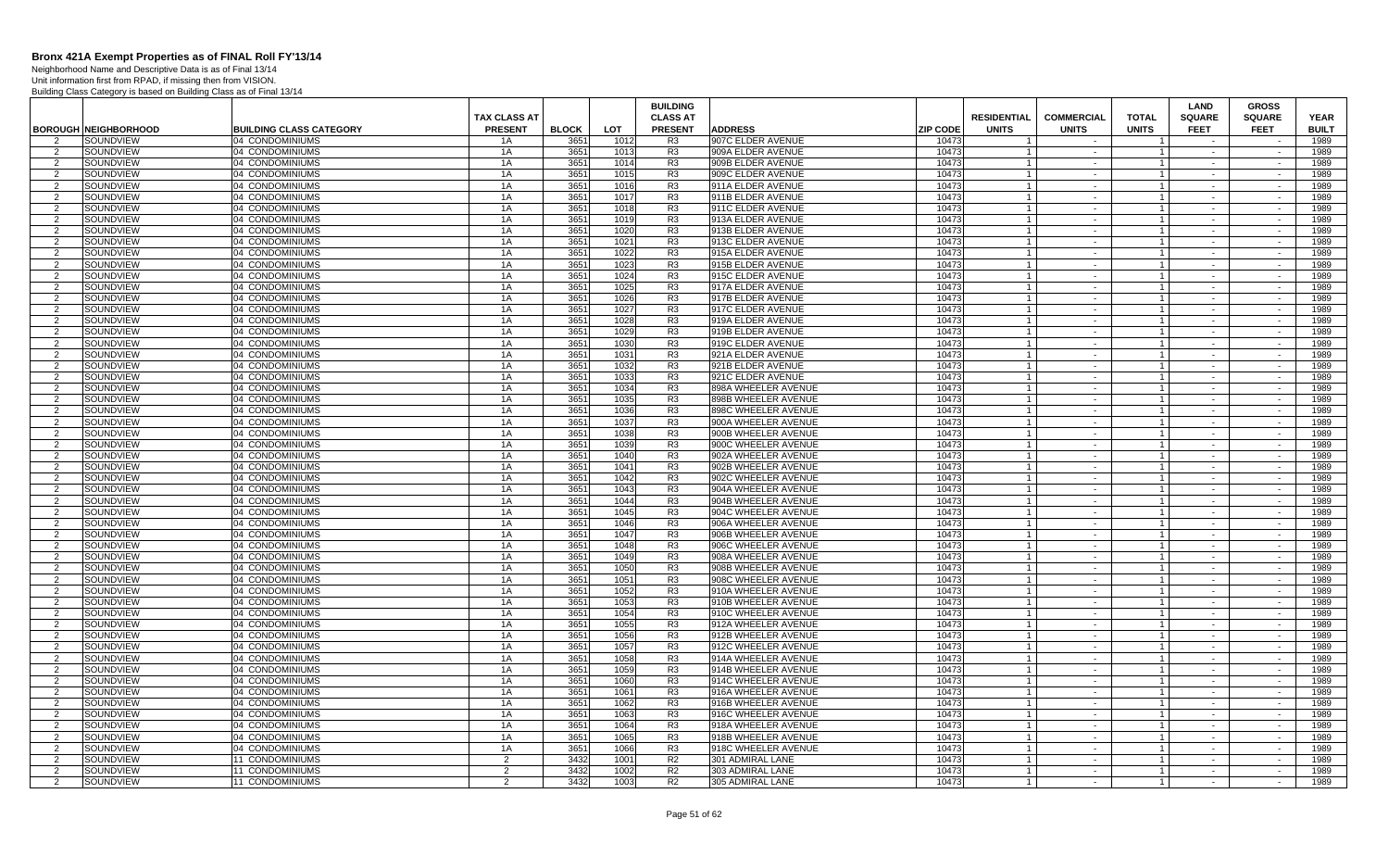Neighborhood Name and Descriptive Data is as of Final 13/14 Unit information first from RPAD, if missing then from VISION.

|                    |                             |                                    |                                       |              |              | <b>BUILDING</b>                   |                                            |                 |                                    |                                   |                              | <b>LAND</b>                  | <b>GROSS</b>                 |                             |
|--------------------|-----------------------------|------------------------------------|---------------------------------------|--------------|--------------|-----------------------------------|--------------------------------------------|-----------------|------------------------------------|-----------------------------------|------------------------------|------------------------------|------------------------------|-----------------------------|
|                    | <b>BOROUGH NEIGHBORHOOD</b> | <b>BUILDING CLASS CATEGORY</b>     | <b>TAX CLASS AT</b><br><b>PRESENT</b> | <b>BLOCK</b> | LOT          | <b>CLASS AT</b><br><b>PRESENT</b> | <b>ADDRESS</b>                             | <b>ZIP CODE</b> | <b>RESIDENTIAL</b><br><b>UNITS</b> | <b>COMMERCIAL</b><br><b>UNITS</b> | <b>TOTAL</b><br><b>UNITS</b> | <b>SQUARE</b><br><b>FEET</b> | <b>SQUARE</b><br><b>FEET</b> | <b>YEAR</b><br><b>BUILT</b> |
| $\mathcal{P}$      | SOUNDVIEW                   | 04 CONDOMINIUMS                    | 1A                                    | 3651         | 1012         | R <sub>3</sub>                    | 907C ELDER AVENUE                          | 10473           |                                    |                                   |                              |                              |                              | 1989                        |
| 2                  | SOUNDVIEW                   | 04 CONDOMINIUMS                    | 1A                                    | 3651         | 1013         | R <sub>3</sub>                    | 909A ELDER AVENUE                          | 10473           |                                    | $\sim$                            |                              | $\sim$                       | $\sim$                       | 1989                        |
| 2                  | SOUNDVIEW                   | 04 CONDOMINIUMS                    | 1A                                    | 3651         | 1014         | R <sub>3</sub>                    | 909B ELDER AVENUE                          | 10473           | $\overline{1}$                     | $\sim$                            | $\overline{1}$               | $\sim$                       | $\sim$                       | 1989                        |
| 2                  | SOUNDVIEW                   | 04 CONDOMINIUMS                    | 1A                                    | 3651         | 1015         | R <sub>3</sub>                    | 909C ELDER AVENUE                          | 10473           | $\overline{1}$                     | $\sim$                            | $\overline{1}$               | $\sim$                       | $\sim$                       | 1989                        |
| 2                  | SOUNDVIEW                   | 04 CONDOMINIUMS                    | 1A                                    | 3651         | 1016         | R3                                | 911A ELDER AVENUE                          | 10473           | $\overline{1}$                     | $\sim$                            | $\overline{1}$               | $\sim$                       | $\sim$                       | 1989                        |
| $\mathcal{P}$      | SOUNDVIEW                   | 04 CONDOMINIUMS                    | 1A                                    | 3651         | 1017         | R <sub>3</sub>                    | 911B ELDER AVENUE                          | 10473           | $\overline{1}$                     | $\sim$                            |                              |                              | $\sim$                       | 1989                        |
| 2                  | SOUNDVIEW                   | 04 CONDOMINIUMS                    | 1A                                    | 3651         | 1018         | R <sub>3</sub>                    | 911C ELDER AVENUE                          | 1047            | $\overline{1}$                     | $\sim$                            | $\overline{1}$               | $\sim$                       | $\sim$                       | 1989                        |
| $\overline{2}$     | SOUNDVIEW                   | 04 CONDOMINIUMS                    | 1A                                    | 3651         | 1019         | R <sub>3</sub>                    | 913A ELDER AVENUE                          | 10473           | $\overline{1}$                     | $\sim$                            |                              | $\sim$                       | $\overline{a}$               | 1989                        |
| 2                  | SOUNDVIEW                   | 04 CONDOMINIUMS                    | 1A                                    | 3651         | 1020         | R <sub>3</sub>                    | 913B ELDER AVENUE                          | 10473           | $\overline{1}$                     | $\sim$                            |                              | $\sim$                       | $\sim$                       | 1989                        |
| $\mathcal{P}$      | SOUNDVIEW                   | 04 CONDOMINIUMS                    | 1A                                    | 3651         | 1021         | R <sub>3</sub>                    | 913C ELDER AVENUE                          | 10473           | $\overline{1}$                     | $\sim$                            |                              | $\sim$                       | $\sim$                       | 1989                        |
| 2                  | SOUNDVIEW                   | 04 CONDOMINIUMS                    | 1A                                    | 3651         | 1022         | R <sub>3</sub>                    | 915A ELDER AVENUE                          | 10473           |                                    | $\sim$                            |                              | $\sim$                       | $\sim$                       | 1989                        |
| 2                  | SOUNDVIEW                   | 04 CONDOMINIUMS                    | 1A                                    | 3651         | 1023         | R3                                | 915B ELDER AVENUE                          | 10473           | $\overline{1}$                     | $\sim$                            | $\overline{1}$               | $\sim$                       | $\sim$                       | 1989                        |
| $\overline{2}$     | SOUNDVIEW                   | 04 CONDOMINIUMS                    | 1A                                    | 3651         | 1024         | R <sub>3</sub>                    | 915C ELDER AVENUE                          | 10473           | $\overline{1}$                     | $\sim$                            | $\overline{1}$               | $\sim$                       | $\sim$                       | 1989                        |
| 2                  | SOUNDVIEW                   | 04 CONDOMINIUMS                    | 1A                                    | 3651         | 1025         | R3                                | 917A ELDER AVENUE                          | 10473           | $\overline{1}$                     | $\sim$                            | $\overline{1}$               | $\sim$                       | $\sim$                       | 1989                        |
| $\overline{2}$     | SOUNDVIEW                   | 04 CONDOMINIUMS                    | 1A                                    | 3651         | 1026         | R <sub>3</sub>                    | 917B ELDER AVENUE                          | 10473           | $\overline{1}$                     | $\sim$                            |                              | $\sim$                       | $\sim$                       | 1989                        |
| 2                  | SOUNDVIEW                   | 04 CONDOMINIUMS                    | 1A                                    | 3651         | 1027         | R <sub>3</sub>                    | 917C ELDER AVENUE                          | 10473           | $\overline{1}$                     | $\sim$                            | $\mathbf{1}$                 | $\sim$                       | $\sim$                       | 1989                        |
| $\overline{2}$     | SOUNDVIEW                   | 04 CONDOMINIUMS                    | 1A                                    | 3651         | 1028         | R <sub>3</sub>                    | 919A ELDER AVENUE                          | 1047            | $\overline{1}$                     | $\sim$                            |                              | $\sim$                       |                              | 1989                        |
| 2                  | SOUNDVIEW                   | 04 CONDOMINIUMS                    | 1A                                    | 3651         | 1029         | R <sub>3</sub>                    | 919B ELDER AVENUE                          | 10473           | $\overline{1}$                     | $\sim$                            | $\overline{1}$               | $\sim$                       | $\sim$                       | 1989                        |
| $\mathcal{P}$      | SOUNDVIEW                   | 04 CONDOMINIUMS                    | 1A                                    | 3651         | 1030         | R <sub>3</sub>                    | 919C ELDER AVENUE                          | 10473           | $\overline{1}$                     | $\sim$                            | $\mathbf{1}$                 | $\sim$                       | $\sim$                       | 1989                        |
| $\mathcal{P}$      | SOUNDVIEW                   | 04 CONDOMINIUMS                    | 1A                                    | 3651         | 1031         | R <sub>3</sub>                    | 921A ELDER AVENUE                          | 10473           | $\overline{1}$                     | $\sim$                            | $\mathbf{1}$                 | $\sim$                       | $\sim$                       | 1989                        |
| 2                  | SOUNDVIEW                   | 04 CONDOMINIUMS                    | 1A                                    | 3651         | 1032         | R3                                | 921B ELDER AVENUE                          | 10473           | $\overline{1}$                     | $\sim$                            | $\overline{1}$               | $\sim$                       | $\sim$                       | 1989                        |
| $\overline{2}$     | SOUNDVIEW                   | 04 CONDOMINIUMS                    | 1A                                    | 3651         | 1033         | R <sub>3</sub>                    | 921C ELDER AVENUE                          | 10473           | $\overline{1}$                     | $\sim$                            | $\overline{1}$               | $\sim$                       | $\sim$                       | 1989                        |
| 2<br>$\mathcal{P}$ | SOUNDVIEW                   | 04 CONDOMINIUMS                    | 1A                                    | 3651         | 1034         | R <sub>3</sub>                    | 898A WHEELER AVENUE                        | 10473           | $\overline{1}$<br>$\overline{1}$   | $\sim$<br>$\sim$                  | $\overline{1}$               | $\sim$<br>$\sim$             | $\sim$                       | 1989                        |
|                    | SOUNDVIEW                   | 04 CONDOMINIUMS                    | 1A                                    | 3651         | 1035         | R <sub>3</sub>                    | 898B WHEELER AVENUE                        | 10473           | $\overline{1}$                     |                                   |                              |                              | $\sim$                       | 1989                        |
| 2<br>$\mathcal{P}$ | SOUNDVIEW<br>SOUNDVIEW      | 04 CONDOMINIUMS<br>04 CONDOMINIUMS | 1A<br>1A                              | 3651<br>3651 | 1036<br>1037 | R <sub>3</sub><br>R <sub>3</sub>  | 898C WHEELER AVENUE<br>900A WHEELER AVENUE | 10473<br>1047   | $\overline{1}$                     | $\sim$<br>$\sim$                  | $\overline{1}$               | $\sim$<br>$\sim$             | $\sim$                       | 1989<br>1989                |
| 2                  | SOUNDVIEW                   | 04 CONDOMINIUMS                    | 1A                                    | 3651         | 1038         | R <sub>3</sub>                    | 900B WHEELER AVENUE                        | 10473           | $\overline{1}$                     | $\sim$                            |                              |                              |                              | 1989                        |
| 2                  | SOUNDVIEW                   | 04 CONDOMINIUMS                    | 1A                                    | 3651         | 1039         | R <sub>3</sub>                    | 900C WHEELER AVENUE                        | 10473           | $\overline{1}$                     | $\sim$                            | $\overline{1}$               | $\sim$<br>$\sim$             | $\sim$<br>$\sim$             | 1989                        |
| $\mathcal{P}$      | SOUNDVIEW                   | 04 CONDOMINIUMS                    | 1A                                    | 3651         | 1040         | R <sub>3</sub>                    | 902A WHEELER AVENUE                        | 10473           | $\overline{1}$                     | $\sim$                            | $\mathbf{1}$                 | $\sim$                       | $\sim$                       | 1989                        |
| 2                  | SOUNDVIEW                   | 04 CONDOMINIUMS                    | 1A                                    | 3651         | 1041         | R3                                | 902B WHEELER AVENUE                        | 10473           | $\overline{1}$                     | $\sim$ $-$                        | $\overline{1}$               | $\sim$                       | $\sim$                       | 1989                        |
| $\mathcal{P}$      | SOUNDVIEW                   | 04 CONDOMINIUMS                    | 1A                                    | 3651         | 1042         | R <sub>3</sub>                    | 902C WHEELER AVENUE                        | 10473           | $\overline{1}$                     | $\sim$                            | $\overline{1}$               | $\sim$                       | $\sim$                       | 1989                        |
| $\overline{2}$     | SOUNDVIEW                   | 04 CONDOMINIUMS                    | 1A                                    | 3651         | 1043         | R <sub>3</sub>                    | 904A WHEELER AVENUE                        | 10473           | $\overline{1}$                     | $\sim$                            | $\mathbf{1}$                 | $\sim$                       | $\sim$                       | 1989                        |
| $\mathcal{P}$      | SOUNDVIEW                   | 04 CONDOMINIUMS                    | 1A                                    | 3651         | 1044         | R <sub>3</sub>                    | 904B WHEELER AVENUE                        | 10473           | $\overline{1}$                     | $\sim$                            |                              | $\sim$                       | $\sim$                       | 1989                        |
| -2                 | SOUNDVIEW                   | 04 CONDOMINIUMS                    | 1A                                    | 3651         | 1045         | R <sub>3</sub>                    | 904C WHEELER AVENUE                        | 10473           | $\overline{1}$                     | $\sim$                            | $\overline{1}$               | $\sim$                       | $\sim$                       | 1989                        |
| $\mathcal{P}$      | SOUNDVIEW                   | 04 CONDOMINIUMS                    | 1A                                    | 3651         | 1046         | R <sub>3</sub>                    | 906A WHEELER AVENUE                        | 10473           | $\overline{1}$                     | $\sim$                            |                              | $\sim$                       |                              | 1989                        |
| 2                  | SOUNDVIEW                   | 04 CONDOMINIUMS                    | 1A                                    | 3651         | 1047         | R <sub>3</sub>                    | 906B WHEELER AVENUE                        | 10473           | $\overline{1}$                     | $\sim$                            |                              | $\sim$                       | $\sim$                       | 1989                        |
| $\mathcal{P}$      | SOUNDVIEW                   | 04 CONDOMINIUMS                    | 1A                                    | 3651         | 1048         | R <sub>3</sub>                    | 906C WHEELER AVENUE                        | 10473           | $\overline{1}$                     | $\sim$                            | $\overline{1}$               | $\sim$                       | $\sim$                       | 1989                        |
| $\mathcal{P}$      | SOUNDVIEW                   | 04 CONDOMINIUMS                    | 1A                                    | 3651         | 1049         | R <sub>3</sub>                    | 908A WHEELER AVENUE                        | 10473           | $\overline{1}$                     | $\sim$                            | $\mathbf{1}$                 | $\sim$                       | $\sim$                       | 1989                        |
| 2                  | <b>SOUNDVIEW</b>            | 104 CONDOMINIUMS                   | 1A                                    | 3651         | 1050         | R3                                | 908B WHEELER AVENUE                        | 10473           | $\overline{1}$                     | $\sim$ $-$                        | $\overline{1}$               | $\sim$                       | $\sim$                       | 1989                        |
| $\overline{2}$     | SOUNDVIEW                   | 04 CONDOMINIUMS                    | 1A                                    | 3651         | 1051         | R <sub>3</sub>                    | 908C WHEELER AVENUE                        | 10473           | $\overline{1}$                     | $\sim$                            |                              | $\sim$                       | $\sim$                       | 1989                        |
| 2                  | SOUNDVIEW                   | 04 CONDOMINIUMS                    | 1A                                    | 3651         | 1052         | R <sub>3</sub>                    | 910A WHEELER AVENUE                        | 10473           | $\overline{1}$                     | $\sim$                            | $\mathbf{1}$                 | $\sim$                       | $\sim$                       | 1989                        |
| $\mathcal{P}$      | SOUNDVIEW                   | 04 CONDOMINIUMS                    | 1A                                    | 3651         | 1053         | R <sub>3</sub>                    | 910B WHEELER AVENUE                        | 10473           | $\overline{1}$                     | $\mathbf{r}$                      |                              | $\sim$                       | $\sim$                       | 1989                        |
| 2                  | SOUNDVIEW                   | 04 CONDOMINIUMS                    | 1A                                    | 3651         | 1054         | R <sub>3</sub>                    | 910C WHEELER AVENUE                        | 10473           | $\overline{1}$                     | $\sim$                            | $\overline{1}$               | $\sim$                       | $\sim$                       | 1989                        |
| $\mathcal{P}$      | SOUNDVIEW                   | 04 CONDOMINIUMS                    | 1A                                    | 3651         | 1055         | R <sub>3</sub>                    | 912A WHEELER AVENUE                        | 1047;           | $\overline{1}$                     | $\sim$                            | $\overline{1}$               | $\sim$                       | $\sim$                       | 1989                        |
| $\overline{2}$     | SOUNDVIEW                   | 04 CONDOMINIUMS                    | 1A                                    | 3651         | 1056         | R <sub>3</sub>                    | 912B WHEELER AVENUE                        | 10473           | $\overline{1}$                     | $\sim$                            | $\overline{1}$               | $\sim$                       | $\sim$                       | 1989                        |
| $\mathcal{P}$      | SOUNDVIEW                   | 04 CONDOMINIUMS                    | 1A                                    | 3651         | 1057         | R <sub>3</sub>                    | 912C WHEELER AVENUE                        | 10473           | $\overline{1}$                     | $\sim$                            | $\overline{1}$               | $\sim$                       | $\sim$                       | 1989                        |
| $\overline{2}$     | SOUNDVIEW                   | 04 CONDOMINIUMS                    | 1A                                    | 3651         | 1058         | R <sub>3</sub>                    | 914A WHEELER AVENUE                        | 10473           | $\overline{1}$                     | $\sim$                            | $\overline{1}$               | $\sim$                       | $\sim$                       | 1989                        |
| -2                 | SOUNDVIEW                   | 04 CONDOMINIUMS                    | 1A                                    | 3651         | 1059         | R3                                | 914B WHEELER AVENUE                        | 1047            | $\overline{1}$                     | $\sim$                            | $\overline{1}$               | $\sim$                       | $\sim$                       | 1989                        |
| $\overline{2}$     | SOUNDVIEW                   | 04 CONDOMINIUMS                    | 1A                                    | 3651         | 1060         | R <sub>3</sub>                    | 914C WHEELER AVENUE                        | 10473           | $\overline{1}$                     | $\sim$                            |                              | $\sim$                       |                              | 1989                        |
| 2<br>$\mathcal{P}$ | SOUNDVIEW                   | 04 CONDOMINIUMS                    | 1A                                    | 3651         | 1061         | R <sub>3</sub>                    | 916A WHEELER AVENUE                        | 10473           | $\overline{1}$<br>$\overline{1}$   | $\sim$<br>$\sim$                  | $\mathbf{1}$                 | $\sim$<br>$\sim$             | $\sim$<br>$\sim$             | 1989                        |
| -2                 | SOUNDVIEW<br>SOUNDVIEW      | 04 CONDOMINIUMS<br>04 CONDOMINIUMS | 1A<br>1A                              | 3651<br>3651 | 1062<br>1063 | R <sub>3</sub><br>R <sub>3</sub>  | 916B WHEELER AVENUE<br>916C WHEELER AVENUE | 10473<br>10473  |                                    |                                   | $\overline{1}$               |                              |                              | 1989<br>1989                |
| $\mathcal{P}$      | SOUNDVIEW                   | 04 CONDOMINIUMS                    | 1A                                    | 3651         | 1064         | R <sub>3</sub>                    | 918A WHEELER AVENUE                        | 10473           | $\overline{1}$                     | $\sim$<br>$\sim$                  | $\overline{1}$               | $\sim$<br>$\sim$             | $\sim$<br>$\sim$             | 1989                        |
| $\mathcal{P}$      | SOUNDVIEW                   | 04 CONDOMINIUMS                    | 1A                                    | 3651         | 1065         | R <sub>3</sub>                    | 918B WHEELER AVENUE                        | 10473           | $\overline{1}$                     | $\sim$                            | $\overline{1}$               | $\sim$                       | $\sim$                       | 1989                        |
| $\mathcal{P}$      | SOUNDVIEW                   | 04 CONDOMINIUMS                    | 1A                                    | 3651         | 1066         | R <sub>3</sub>                    | 918C WHEELER AVENUE                        | 10473           | $\overline{1}$                     | $\sim$                            | $\overline{1}$               | $\sim$                       | $\sim$                       | 1989                        |
| 2                  | SOUNDVIEW                   | <b>11 CONDOMINIUMS</b>             | 2                                     | 3432         | 1001         | R <sub>2</sub>                    | 301 ADMIRAL LANE                           | 10473           | $\overline{1}$                     | $\sim$                            | $\mathbf{1}$                 | $\sim$                       | $\sim$                       | 1989                        |
| 2                  | SOUNDVIEW                   | 11 CONDOMINIUMS                    | $\overline{2}$                        | 3432         | 1002         | R2                                | 303 ADMIRAL LANE                           | 10473           | $\overline{1}$                     | $\sim$                            | $\overline{1}$               | $\sim$                       | $\sim$                       | 1989                        |
| 2                  | SOUNDVIEW                   | 11 CONDOMINIUMS                    | 2                                     | 3432         | 1003         | R <sub>2</sub>                    | 305 ADMIRAL LANE                           | 10473           | $\overline{1}$                     | $\sim$                            |                              |                              | $\sim$                       | 1989                        |
|                    |                             |                                    |                                       |              |              |                                   |                                            |                 |                                    |                                   |                              |                              |                              |                             |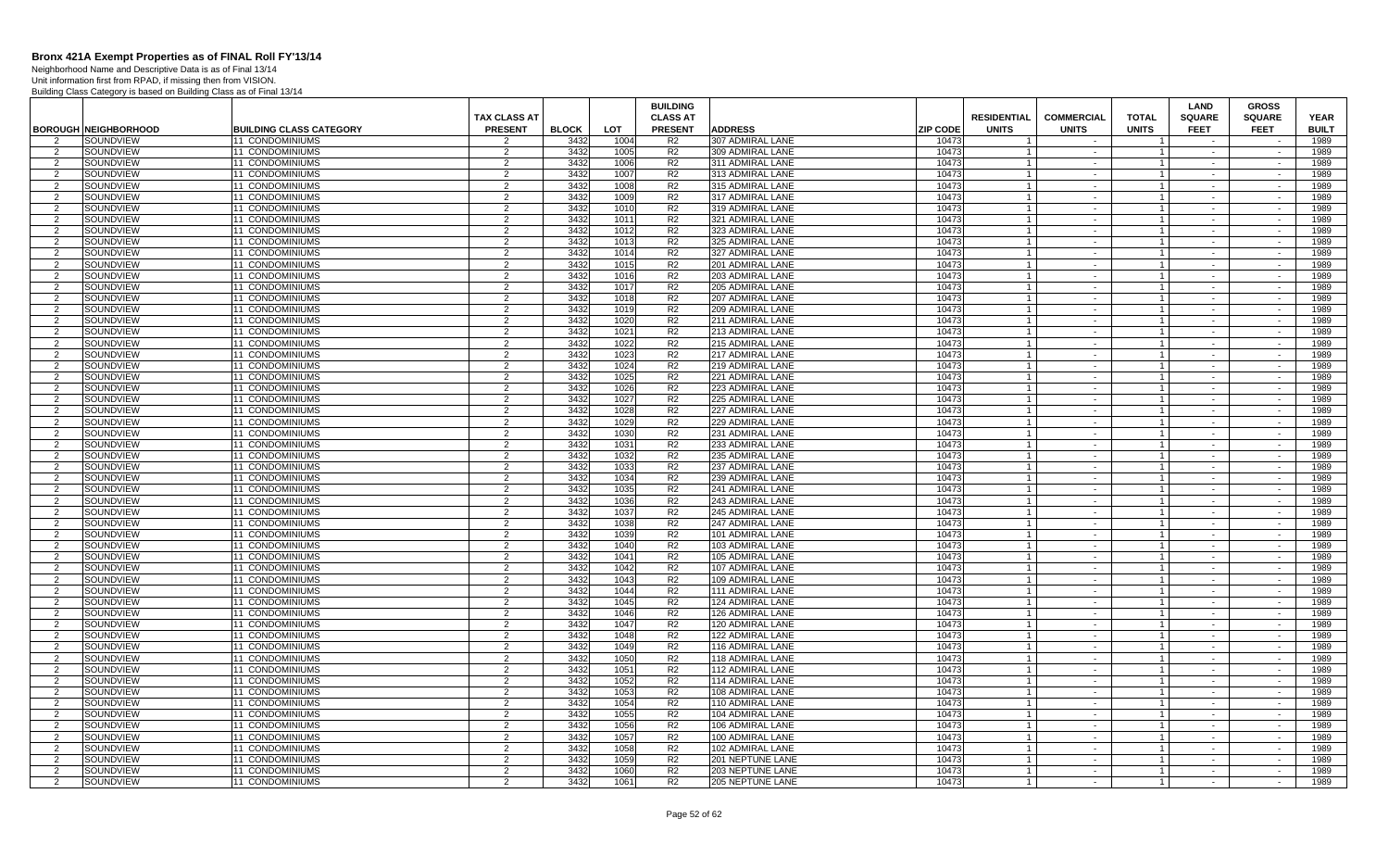Neighborhood Name and Descriptive Data is as of Final 13/14 Unit information first from RPAD, if missing then from VISION.

|                     |                             |                                    |                                       |              |              | <b>BUILDING</b>                   |                                             |                                                       |                                   |                                | LAND                         | <b>GROSS</b>                 |                             |
|---------------------|-----------------------------|------------------------------------|---------------------------------------|--------------|--------------|-----------------------------------|---------------------------------------------|-------------------------------------------------------|-----------------------------------|--------------------------------|------------------------------|------------------------------|-----------------------------|
|                     | <b>BOROUGH NEIGHBORHOOD</b> | <b>BUILDING CLASS CATEGORY</b>     | <b>TAX CLASS AT</b><br><b>PRESENT</b> | <b>BLOCK</b> | LOT          | <b>CLASS AT</b><br><b>PRESENT</b> | <b>ADDRESS</b>                              | <b>RESIDENTIAL</b><br><b>ZIP CODE</b><br><b>UNITS</b> | <b>COMMERCIAL</b><br><b>UNITS</b> | <b>TOTAL</b><br><b>UNITS</b>   | <b>SQUARE</b><br><b>FEET</b> | <b>SQUARE</b><br><b>FEET</b> | <b>YEAR</b><br><b>BUILT</b> |
| 2                   | SOUNDVIEW                   | 11 CONDOMINIUMS                    | $\overline{2}$                        | 3432         | 1004         | R2                                | 307 ADMIRAL LANE                            | 10473                                                 | $\overline{\phantom{a}}$          |                                | $\sim$                       |                              | 1989                        |
| 2                   | SOUNDVIEW                   | 11 CONDOMINIUMS                    | $\overline{2}$                        | 3432         | 1005         | R <sub>2</sub>                    | 309 ADMIRAL LANE                            | 10473                                                 | $\sim$                            |                                | $\sim$                       | $\mathcal{L}^{\mathcal{L}}$  | 1989                        |
| $\overline{2}$      | SOUNDVIEW                   | 1 CONDOMINIUMS                     | $\overline{2}$                        | 3432         | 1006         | R <sub>2</sub>                    | 311 ADMIRAL LANE                            | 10473                                                 | $\sim$                            |                                | $\sim$                       | $\sim$                       | 1989                        |
| $\overline{2}$      | SOUNDVIEW                   | 11 CONDOMINIUMS                    | 2                                     | 3432         | 1007         | R <sub>2</sub>                    | 313 ADMIRAL LANE                            | 10473<br>$\overline{1}$                               | $\sim$                            | $\overline{1}$                 | $\sim$                       | $\sim$                       | 1989                        |
| 2                   | SOUNDVIEW                   | 1 CONDOMINIUMS                     | 2                                     | 3432         | 1008         | R <sub>2</sub>                    | 315 ADMIRAL LANE                            | 10473                                                 | $\sim$                            | $\overline{1}$                 | $\sim$                       | $\sim$                       | 1989                        |
| $\overline{2}$      | SOUNDVIEW                   | 11 CONDOMINIUMS                    | 2                                     | 3432         | 1009         | R2                                | 317 ADMIRAL LANE                            | 10473<br>$\overline{1}$                               | $\sim$                            | $\overline{1}$                 | $\sim$                       | $\sim$                       | 1989                        |
| $\overline{2}$      | SOUNDVIEW                   | 11 CONDOMINIUMS                    | $\overline{2}$                        | 3432         | 1010         | R <sub>2</sub>                    | 319 ADMIRAL LANE                            | 10473                                                 | $\blacksquare$                    |                                | $\sim$                       | $\sim$                       | 1989                        |
| $\overline{2}$      | SOUNDVIEW                   | <b>11 CONDOMINIUMS</b>             | 2                                     | 3432         | 1011         | R <sub>2</sub>                    | 321 ADMIRAL LANE                            | 10473<br>$\overline{1}$                               | $\sim$                            | $\overline{1}$                 | $\sim$                       | $\sim$                       | 1989                        |
| 2                   | SOUNDVIEW                   | 11 CONDOMINIUMS                    | 2                                     | 3432         | 1012         | R <sub>2</sub>                    | 323 ADMIRAL LANE                            | 10473                                                 | $\blacksquare$                    |                                | $\sim$                       | $\sim$                       | 1989                        |
| 2                   | SOUNDVIEW                   | <b>11 CONDOMINIUMS</b>             | 2                                     | 3432         | 1013         | R <sub>2</sub>                    | 325 ADMIRAL LANE                            | 10473<br>$\overline{1}$                               | $\sim$                            | $\overline{1}$                 | $\sim$                       | $\sim$                       | 1989                        |
| $\overline{2}$      | SOUNDVIEW                   | 11 CONDOMINIUMS                    | $\overline{2}$                        | 3432         | 1014         | R <sub>2</sub>                    | 327 ADMIRAL LANE                            | 10473                                                 | $\sim$                            |                                | $\sim$                       | $\sim$                       | 1989                        |
| 2                   | SOUNDVIEW                   | 11 CONDOMINIUMS                    | $\overline{2}$                        | 3432         | 1015         | R2                                | 201 ADMIRAL LANE                            | 10473                                                 | $\sim$                            | $\overline{1}$                 | $\sim$                       | $\sim$                       | 1989                        |
| $\overline{2}$      | SOUNDVIEW                   | 11 CONDOMINIUMS                    | $\overline{2}$                        | 3432         | 1016         | R <sub>2</sub>                    | 203 ADMIRAL LANE                            | 10473<br>$\overline{1}$                               | $\sim$                            |                                | $\sim$                       | $\sim$                       | 1989                        |
| 2<br>2              | SOUNDVIEW<br>SOUNDVIEW      | 1 CONDOMINIUMS<br>11 CONDOMINIUMS  | $\overline{2}$<br>2                   | 3432<br>3432 | 1017<br>1018 | R <sub>2</sub><br>R <sub>2</sub>  | 205 ADMIRAL LANE<br>207 ADMIRAL LANE        | 10473<br>10473<br>$\overline{1}$                      | $\sim$<br>$\sim$                  | $\mathbf 1$<br>$\mathbf{1}$    | $\sim$<br>$\sim$             | $\sim$<br>$\sim$             | 1989<br>1989                |
| $\mathcal{P}$       | SOUNDVIEW                   | 11 CONDOMINIUMS                    | 2                                     | 3432         | 1019         | R <sub>2</sub>                    | 209 ADMIRAL LANE                            | 10473                                                 | $\sim$                            |                                | $\sim$                       | $\sim$                       | 1989                        |
| $\overline{2}$      | SOUNDVIEW                   | 11 CONDOMINIUMS                    | $\overline{2}$                        | 3432         | 1020         | R <sub>2</sub>                    | 211 ADMIRAL LANE                            | 10473<br>$\overline{1}$                               | $\sim$                            | $\overline{1}$                 | $\sim$                       | $\sim$                       | 1989                        |
| $\overline{2}$      | SOUNDVIEW                   | 11 CONDOMINIUMS                    | 2                                     | 3432         | 1021         | R <sub>2</sub>                    | 213 ADMIRAL LANE                            | 10473<br>$\overline{1}$                               | $\sim$                            |                                | $\sim$                       | $\sim$                       | 1989                        |
| 2                   | SOUNDVIEW                   | <b>11 CONDOMINIUMS</b>             | 2                                     | 3432         | 1022         | R <sub>2</sub>                    | <b>215 ADMIRAL LANE</b>                     | 10473<br>-1                                           | $\sim$                            | $\overline{1}$                 | $\sim$                       | $\sim$                       | 1989                        |
| $\overline{2}$      | <b>SOUNDVIEW</b>            | 11 CONDOMINIUMS                    | $\overline{2}$                        | 3432         | 1023         | R <sub>2</sub>                    | 217 ADMIRAL LANE                            | 10473                                                 | $\blacksquare$                    |                                | $\sim$                       | $\sim$                       | 1989                        |
| -2                  | SOUNDVIEW                   | 11 CONDOMINIUMS                    | 2                                     | 3432         | 1024         | R <sub>2</sub>                    | 219 ADMIRAL LANE                            | 10473                                                 | $\sim$                            | $\overline{1}$                 | $\sim$                       | $\sim$                       | 1989                        |
| 2                   | SOUNDVIEW                   | 11 CONDOMINIUMS                    | $\overline{2}$                        | 3432         | 1025         | R2                                | 221 ADMIRAL LANE                            | 10473<br>$\overline{1}$                               | $\sim$                            |                                | $\sim$                       | $\sim$                       | 1989                        |
| 2                   | SOUNDVIEW                   | 1 CONDOMINIUMS                     | $\overline{2}$                        | 3432         | 1026         | R <sub>2</sub>                    | 223 ADMIRAL LANE                            | 10473                                                 | $\sim$                            |                                | $\sim$                       | $\sim$                       | 1989                        |
| 2                   | SOUNDVIEW                   | 11 CONDOMINIUMS                    | 2                                     | 3432         | 1027         | R2                                | 225 ADMIRAL LANE                            | 10473<br>$\overline{1}$                               | $\sim$                            | $\overline{1}$                 | $\sim$                       | $\sim$                       | 1989                        |
| $\overline{2}$      | SOUNDVIEW                   | 11 CONDOMINIUMS                    | 2                                     | 3432         | 1028         | R2                                | 227 ADMIRAL LANE                            | 10473                                                 | $\sim$                            | $\overline{1}$                 | $\sim$                       | $\sim$                       | 1989                        |
| 2                   | SOUNDVIEW                   | <b>11 CONDOMINIUMS</b>             | $\overline{2}$                        | 3432         | 1029         | R <sub>2</sub>                    | 229 ADMIRAL LANE                            | 10473<br>$\overline{1}$                               | $\sim$                            | $\overline{1}$                 | $\sim$                       | $\sim$                       | 1989                        |
| 2                   | SOUNDVIEW                   | <b>11 CONDOMINIUMS</b>             | 2                                     | 3432         | 1030         | R <sub>2</sub>                    | 231 ADMIRAL LANE                            | 10473<br>$\overline{1}$                               | $\sim$                            | $\mathbf{1}$                   | $\sim$                       | $\sim$                       | 1989                        |
| $\overline{2}$      | SOUNDVIEW                   | 11 CONDOMINIUMS                    | $\overline{2}$                        | 3432         | 1031         | R2                                | 233 ADMIRAL LANE                            | 10473<br>$\overline{1}$                               | $\sim$                            | $\overline{1}$                 | $\sim$                       | $\sim$                       | 1989                        |
| $\overline{2}$      | SOUNDVIEW                   | 11 CONDOMINIUMS                    | $\overline{2}$                        | 3432         | 1032         | R <sub>2</sub>                    | 235 ADMIRAL LANE                            | 10473                                                 | $\overline{\phantom{a}}$          |                                | $\sim$                       | $\sim$                       | 1989                        |
| -2                  | SOUNDVIEW                   | 11 CONDOMINIUMS                    | $\overline{2}$                        | 3432         | 1033         | R2                                | 237 ADMIRAL LANE                            | 10473                                                 | $\sim$                            | $\overline{1}$                 | $\sim$                       | $\sim$                       | 1989                        |
| $\overline{2}$      | SOUNDVIEW                   | 11 CONDOMINIUMS                    | 2                                     | 3432         | 1034         | R <sub>2</sub>                    | 239 ADMIRAL LANE                            | 10473<br>$\overline{1}$                               | $\sim$                            |                                | $\sim$                       | $\sim$                       | 1989                        |
| 2<br>$\overline{2}$ | SOUNDVIEW<br>SOUNDVIEW      | 1 CONDOMINIUMS<br>1 CONDOMINIUMS   | $\overline{2}$                        | 3432<br>3432 | 1035<br>1036 | R <sub>2</sub><br>R <sub>2</sub>  | <b>241 ADMIRAL LANE</b><br>243 ADMIRAL LANE | 10473<br>10473<br>$\overline{1}$                      | $\sim$<br>$\sim$                  | $\overline{1}$<br>$\mathbf{1}$ | $\sim$<br>$\sim$             | $\sim$<br>$\sim$             | 1989<br>1989                |
| $\overline{2}$      | SOUNDVIEW                   | 1 CONDOMINIUMS                     | $\overline{2}$<br>$\overline{2}$      | 3432         | 1037         | R2                                | 245 ADMIRAL LANE                            | 10473                                                 |                                   |                                |                              | $\sim$                       | 1989                        |
| 2                   | SOUNDVIEW                   | 11 CONDOMINIUMS                    | $\overline{2}$                        | 3432         | 1038         | R <sub>2</sub>                    | 247 ADMIRAL LANE                            | 10473<br>$\overline{1}$                               | $\sim$<br>$\sim$                  | $\overline{1}$                 | $\sim$<br>$\sim$             | $\sim$                       | 1989                        |
| 2                   | SOUNDVIEW                   | <b>11 CONDOMINIUMS</b>             | 2                                     | 3432         | 1039         | R <sub>2</sub>                    | 101 ADMIRAL LANE                            | 10473<br>$\overline{1}$                               | $\blacksquare$                    | $\mathbf{1}$                   | $\sim$                       | $\sim$                       | 1989                        |
| $\overline{2}$      | SOUNDVIEW                   | <b>11 CONDOMINIUMS</b>             | 2                                     | 3432         | 1040         | R <sub>2</sub>                    | 103 ADMIRAL LANE                            | 10473<br>$\overline{1}$                               | $\sim$                            | $\overline{1}$                 | $\sim$                       | $\sim$                       | 1989                        |
| $\overline{2}$      | SOUNDVIEW                   | 11 CONDOMINIUMS                    | $\overline{2}$                        | 3432         | 1041         | R <sub>2</sub>                    | 105 ADMIRAL LANE                            | 10473                                                 | $\sim$                            |                                | $\sim$                       | $\sim$                       | 1989                        |
| $\overline{2}$      | SOUNDVIEW                   | 11 CONDOMINIUMS                    | $\overline{2}$                        | 3432         | 1042         | R <sub>2</sub>                    | 107 ADMIRAL LANE                            | 10473                                                 | $\sim$                            | $\overline{1}$                 | $\sim$                       | $\sim$                       | 1989                        |
| $\overline{2}$      | SOUNDVIEW                   | 11 CONDOMINIUMS                    | $\overline{2}$                        | 3432         | 1043         | R <sub>2</sub>                    | 109 ADMIRAL LANE                            | 10473<br>$\overline{1}$                               | $\sim$                            |                                | $\sim$                       | $\sim$                       | 1989                        |
| 2                   | SOUNDVIEW                   | 11 CONDOMINIUMS                    | $\overline{2}$                        | 3432         | 1044         | R <sub>2</sub>                    | 111 ADMIRAL LANE                            | 10473                                                 | $\sim$                            | $\mathbf 1$                    | $\sim$                       | $\sim$                       | 1989                        |
| $\overline{2}$      | SOUNDVIEW                   | 1 CONDOMINIUMS                     | $\overline{2}$                        | 3432         | 1045         | R <sub>2</sub>                    | 124 ADMIRAL LANE                            | 10473                                                 | $\sim$                            |                                | $\sim$                       | $\sim$                       | 1989                        |
| $\overline{2}$      | SOUNDVIEW                   | 1 CONDOMINIUMS                     | $\overline{2}$                        | 3432         | 1046         | R2                                | 126 ADMIRAL LANE                            | 10473                                                 | $\sim$                            |                                | $\sim$                       | $\sim$                       | 1989                        |
| $\overline{2}$      | SOUNDVIEW                   | 11 CONDOMINIUMS                    | $\overline{2}$                        | 3432         | 1047         | R <sub>2</sub>                    | 120 ADMIRAL LANE                            | 10473<br>$\overline{1}$                               | $\sim$                            | $\overline{1}$                 | $\sim$                       | $\sim$                       | 1989                        |
| 2                   | SOUNDVIEW                   | 11 CONDOMINIUMS                    | 2                                     | 3432         | 1048         | R <sub>2</sub>                    | 122 ADMIRAL LANE                            | 10473<br>$\overline{1}$                               | $\sim$                            |                                | $\sim$                       | $\sim$                       | 1989                        |
| 2                   | SOUNDVIEW                   | <b>11 CONDOMINIUMS</b>             | 2                                     | 3432         | 1049         | R <sub>2</sub>                    | 116 ADMIRAL LANE                            | 10473<br>$\overline{1}$                               | $\sim$                            | $\overline{1}$                 | $\sim$                       | $\sim$ $-$                   | 1989                        |
| $\overline{2}$      | SOUNDVIEW                   | <b>11 CONDOMINIUMS</b>             | $\overline{2}$                        | 3432         | 1050         | R <sub>2</sub>                    | 118 ADMIRAL LANE                            | 10473                                                 | $\sim$                            |                                | $\sim$                       | $\sim$                       | 1989                        |
| -2                  | SOUNDVIEW                   | <b>11 CONDOMINIUMS</b>             | 2                                     | 3432         | 1051         | R <sub>2</sub>                    | 112 ADMIRAL LANE                            | 10473<br>$\mathbf{1}$<br>$\overline{1}$               | $\sim$<br>$\sim$                  | $\overline{1}$                 | $\sim$<br>$\sim$             | $\sim$<br>$\sim$             | 1989                        |
| $\overline{2}$      | SOUNDVIEW<br>SOUNDVIEW      | 11 CONDOMINIUMS<br>11 CONDOMINIUMS | $\overline{2}$<br>$\overline{2}$      | 3432<br>3432 | 1052<br>1053 | R2<br>R2                          | 114 ADMIRAL LANE<br>108 ADMIRAL LANE        | 10473<br>10473                                        |                                   |                                |                              |                              | 1989<br>1989                |
| 2<br>$\overline{2}$ | SOUNDVIEW                   | 11 CONDOMINIUMS                    | $\overline{2}$                        | 3432         | 1054         | R <sub>2</sub>                    | 110 ADMIRAL LANE                            | 10473                                                 | $\sim$<br>$\mathbf{r}$            | -1                             | $\sim$<br>$\sim$             | $\sim$<br>$\sim$             | 1989                        |
| 2                   | SOUNDVIEW                   | 1 CONDOMINIUMS                     | 2                                     | 3432         | 1055         | R <sub>2</sub>                    | 104 ADMIRAL LANE                            | 10473                                                 | $\sim$                            |                                | $\sim$                       | $\sim$                       | 1989                        |
| 2                   | SOUNDVIEW                   | 11 CONDOMINIUMS                    | $\overline{2}$                        | 3432         | 1056         | R <sub>2</sub>                    | 106 ADMIRAL LANE                            | 10473<br>$\overline{1}$                               | $\sim$                            | $\overline{1}$                 | $\sim$                       | $\sim$                       | 1989                        |
| $\mathcal{P}$       | SOUNDVIEW                   | 11 CONDOMINIUMS                    | $\overline{2}$                        | 3432         | 1057         | R <sub>2</sub>                    | 100 ADMIRAL LANE                            | 10473<br>$\overline{1}$                               | $\blacksquare$                    |                                | $\sim$                       | $\sim$                       | 1989                        |
| $\overline{2}$      | SOUNDVIEW                   | <b>11 CONDOMINIUMS</b>             | 2                                     | 3432         | 1058         | R <sub>2</sub>                    | 102 ADMIRAL LANE                            | 10473<br>$\overline{1}$                               | $\sim$                            | $\overline{1}$                 | $\sim$                       | $\sim$                       | 1989                        |
| 2                   | SOUNDVIEW                   | 11 CONDOMINIUMS                    | 2                                     | 3432         | 1059         | R <sub>2</sub>                    | <b>201 NEPTUNE LANE</b>                     | 10473                                                 | $\sim$                            |                                | $\sim$                       | $\sim$                       | 1989                        |
| 2                   | SOUNDVIEW                   | 11 CONDOMINIUMS                    | 2                                     | 3432         | 1060         | R <sub>2</sub>                    | 203 NEPTUNE LANE                            | 10473                                                 | $\sim$                            | $\overline{1}$                 | $\sim$                       | $\sim$                       | 1989                        |
| 2                   | SOUNDVIEW                   | 11 CONDOMINIUMS                    | 2                                     | 3432         | 1061         | R <sub>2</sub>                    | 205 NEPTUNE LANE                            | 10473<br>$\overline{1}$                               | $\sim$                            |                                | $\sim$                       | $\sim$                       | 1989                        |
|                     |                             |                                    |                                       |              |              |                                   |                                             |                                                       |                                   |                                |                              |                              |                             |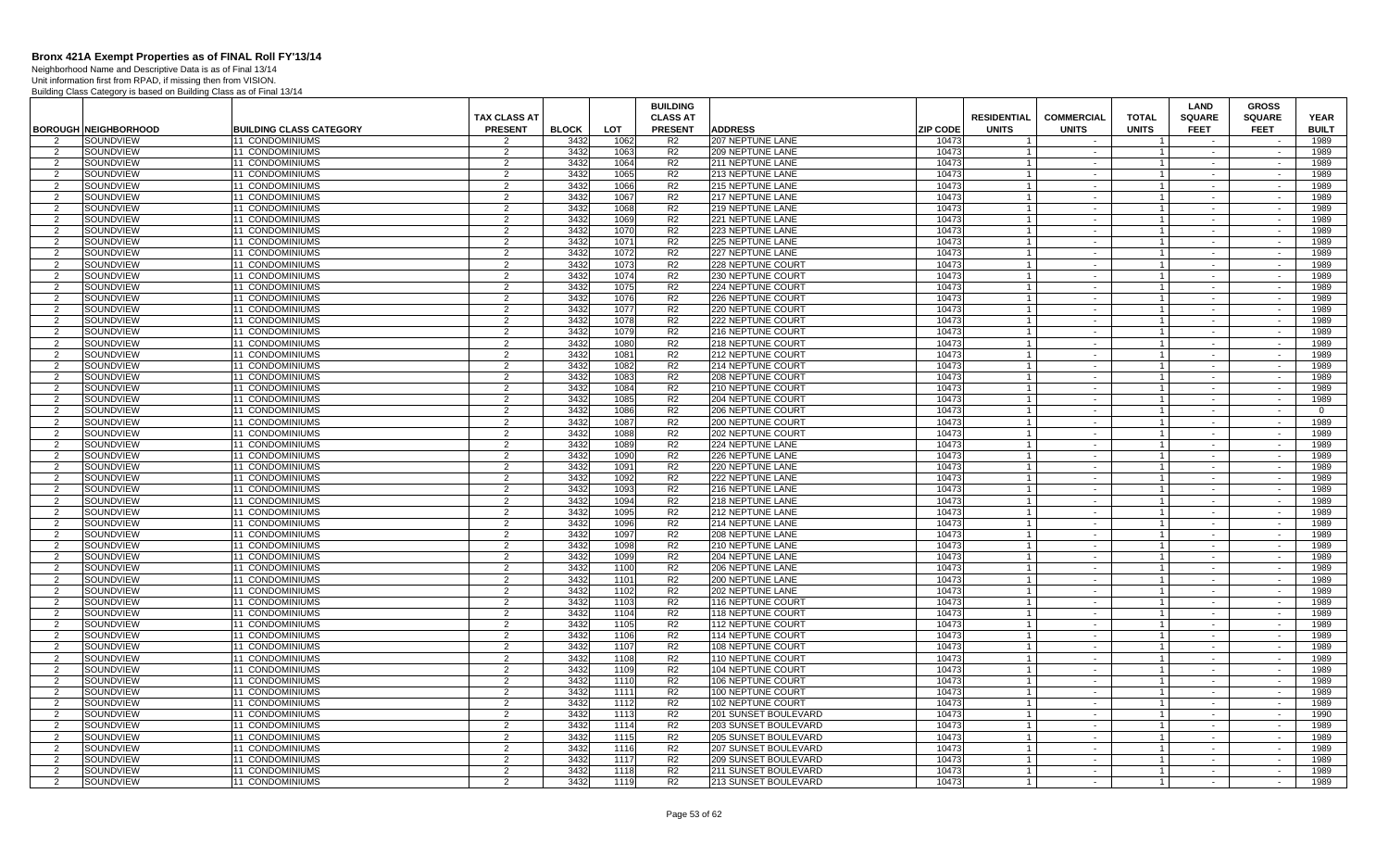Neighborhood Name and Descriptive Data is as of Final 13/14 Unit information first from RPAD, if missing then from VISION.

|                     |                             |                                    |                     |              |              | <b>BUILDING</b>                  |                                              |                 |                                  |                   |                                  | <b>LAND</b>      | <b>GROSS</b>             |                |
|---------------------|-----------------------------|------------------------------------|---------------------|--------------|--------------|----------------------------------|----------------------------------------------|-----------------|----------------------------------|-------------------|----------------------------------|------------------|--------------------------|----------------|
|                     |                             |                                    | <b>TAX CLASS AT</b> |              |              | <b>CLASS AT</b>                  |                                              |                 | <b>RESIDENTIAL</b>               | <b>COMMERCIAL</b> | <b>TOTAL</b>                     | <b>SQUARE</b>    | <b>SQUARE</b>            | <b>YEAR</b>    |
|                     | <b>BOROUGH NEIGHBORHOOD</b> | <b>BUILDING CLASS CATEGORY</b>     | <b>PRESENT</b>      | <b>BLOCK</b> | <b>LOT</b>   | <b>PRESENT</b>                   | <b>ADDRESS</b>                               | <b>ZIP CODE</b> | <b>UNITS</b>                     | <b>UNITS</b>      | <b>UNITS</b>                     | <b>FEET</b>      | <b>FEET</b>              | <b>BUILT</b>   |
| $\mathcal{P}$       | SOUNDVIEW                   | <b>11 CONDOMINIUMS</b>             | $\mathfrak{p}$      | 3432         | 1062         | R <sub>2</sub>                   | 207 NEPTUNE LANE                             | 10473           |                                  |                   |                                  |                  |                          | 1989           |
| 2                   | SOUNDVIEW                   | <b>11 CONDOMINIUMS</b>             | 2                   | 3432         | 1063         | R <sub>2</sub>                   | <b>209 NEPTUNE LANE</b>                      | 10473           |                                  | $\sim$            | $\overline{1}$                   | $\sim$           | $\sim$                   | 1989           |
| 2                   | SOUNDVIEW                   | 11 CONDOMINIUMS                    | $\overline{2}$      | 3432         | 1064         | R <sub>2</sub>                   | 211 NEPTUNE LANE                             | 10473           | $\overline{1}$                   | $\sim$            | $\overline{1}$                   | $\sim$           | $\sim$                   | 1989           |
| 2                   | SOUNDVIEW                   | <b>11 CONDOMINIUMS</b>             | 2                   | 3432         | 1065         | R <sub>2</sub>                   | 213 NEPTUNE LANE                             | 10473           |                                  | $\sim$            | $\overline{1}$                   | $\sim$           | $\sim$                   | 1989           |
| 2                   | SOUNDVIEW                   | 11 CONDOMINIUMS                    | 2                   | 3432         | 1066         | R <sub>2</sub>                   | <b>215 NEPTUNE LANE</b>                      | 10473           | $\overline{1}$                   | $\sim$ $-$        | $\overline{1}$                   | $\sim$           | $\sim$                   | 1989           |
| $\mathcal{P}$       | SOUNDVIEW                   | 11 CONDOMINIUMS                    | $\mathfrak{D}$      | 3432         | 1067         | R <sub>2</sub>                   | 217 NEPTUNE LANE                             | 10473           |                                  | $\sim$            | $\overline{1}$                   |                  |                          | 1989           |
| 2                   | SOUNDVIEW                   | 11 CONDOMINIUMS                    | 2                   | 3432         | 1068         | R <sub>2</sub>                   | 219 NEPTUNE LANE                             | 10473           |                                  | $\sim$ $-$        | $\overline{1}$                   | $\sim$           | $\sim$                   | 1989           |
| $\overline{2}$      | SOUNDVIEW                   | 11 CONDOMINIUMS                    | 2                   | 3432         | 1069         | R <sub>2</sub>                   | 221 NEPTUNE LANE                             | 10473           |                                  | $\sim$            | $\overline{1}$                   |                  |                          | 1989           |
| 2                   | SOUNDVIEW                   | <b>11 CONDOMINIUMS</b>             | 2                   | 3432         | 1070         | R <sub>2</sub>                   | <b>223 NEPTUNE LANE</b>                      | 10473           |                                  | $\sim$            | $\overline{1}$                   | $\sim$           | $\sim$                   | 1989           |
| $\mathcal{P}$       | SOUNDVIEW                   | <b>11 CONDOMINIUMS</b>             | 2                   | 3432         | 1071         | R <sub>2</sub>                   | 225 NEPTUNE LANE                             | 10473           |                                  | $\sim$            | $\mathbf{1}$                     | $\sim$           | $\sim$                   | 1989           |
| 2                   | SOUNDVIEW                   | <b>11 CONDOMINIUMS</b>             | 2                   | 3432<br>3432 | 1072         | R <sub>2</sub>                   | 227 NEPTUNE LANE                             | 10473<br>10473  |                                  | $\sim$<br>$\sim$  | $\overline{1}$                   | $\sim$<br>$\sim$ | $\sim$<br>$\sim$         | 1989           |
| 2<br>$\overline{2}$ | SOUNDVIEW<br>SOUNDVIEW      | 11 CONDOMINIUMS<br>11 CONDOMINIUMS | $\overline{2}$<br>2 | 3432         | 1073<br>1074 | R <sub>2</sub><br>R <sub>2</sub> | 228 NEPTUNE COURT<br>230 NEPTUNE COURT       | 10473           | $\overline{1}$<br>$\overline{1}$ | $\sim$            | $\overline{1}$<br>$\overline{1}$ | $\sim$           | $\sim$                   | 1989<br>1989   |
| 2                   | SOUNDVIEW                   | 11 CONDOMINIUMS                    | 2                   | 3432         | 1075         | R <sub>2</sub>                   | 224 NEPTUNE COURT                            | 10473           | $\overline{1}$                   | $\sim$            | $\overline{1}$                   | $\sim$           | $\sim$                   | 1989           |
| $\overline{2}$      | SOUNDVIEW                   | 11 CONDOMINIUMS                    | $\overline{2}$      | 3432         | 1076         | R <sub>2</sub>                   | 226 NEPTUNE COURT                            | 10473           |                                  | $\sim$            | $\mathbf{1}$                     | $\sim$           | $\sim$                   | 1989           |
| 2                   | SOUNDVIEW                   | 11 CONDOMINIUMS                    | $\overline{2}$      | 3432         | 1077         | R <sub>2</sub>                   | 220 NEPTUNE COURT                            | 10473           | $\overline{1}$                   | $\sim$            | $\overline{1}$                   | $\sim$           | $\sim$                   | 1989           |
| $\overline{2}$      | SOUNDVIEW                   | 11 CONDOMINIUMS                    | 2                   | 3432         | 1078         | R <sub>2</sub>                   | 222 NEPTUNE COURT                            | 10473           |                                  | $\sim$            | $\overline{1}$                   |                  |                          | 1989           |
| 2                   | SOUNDVIEW                   | <b>11 CONDOMINIUMS</b>             | 2                   | 3432         | 1079         | R <sub>2</sub>                   | 216 NEPTUNE COURT                            | 10473           |                                  | $\sim$            | $\overline{1}$                   | $\sim$           | $\sim$                   | 1989           |
| $\mathcal{P}$       | SOUNDVIEW                   | 11 CONDOMINIUMS                    | 2                   | 3432         | 1080         | R <sub>2</sub>                   | 218 NEPTUNE COURT                            | 10473           | $\overline{1}$                   | $\sim$            | $\overline{1}$                   | $\sim$           | $\sim$                   | 1989           |
| $\mathcal{P}$       | SOUNDVIEW                   | 11 CONDOMINIUMS                    | $\overline{2}$      | 3432         | 1081         | R <sub>2</sub>                   | 212 NEPTUNE COURT                            | 10473           |                                  | $\sim$            | $\overline{1}$                   | $\sim$           | $\sim$                   | 1989           |
| 2                   | SOUNDVIEW                   | 11 CONDOMINIUMS                    | 2                   | 3432         | 1082         | R <sub>2</sub>                   | 214 NEPTUNE COURT                            | 10473           | $\overline{1}$                   | $\sim$            | $\overline{1}$                   | $\sim$           | $\sim$                   | 1989           |
| $\overline{2}$      | SOUNDVIEW                   | <b>11 CONDOMINIUMS</b>             | $\overline{2}$      | 3432         | 1083         | R <sub>2</sub>                   | 208 NEPTUNE COURT                            | 10473           | $\overline{1}$                   | $\sim$            | $\overline{1}$                   | $\sim$           | $\sim$                   | 1989           |
| 2                   | SOUNDVIEW                   | 11 CONDOMINIUMS                    | 2                   | 3432         | 1084         | R <sub>2</sub>                   | 210 NEPTUNE COURT                            | 10473           | $\overline{1}$                   | $\sim$            | $\overline{1}$                   | $\sim$           | $\sim$                   | 1989           |
| $\mathcal{P}$       | SOUNDVIEW                   | 11 CONDOMINIUMS                    | $\overline{2}$      | 3432         | 1085         | R <sub>2</sub>                   | 204 NEPTUNE COURT                            | 10473           |                                  | $\sim$            | $\mathbf{1}$                     |                  |                          | 1989           |
| 2                   | SOUNDVIEW                   | 11 CONDOMINIUMS                    | $\overline{2}$      | 3432         | 1086         | R <sub>2</sub>                   | 206 NEPTUNE COURT                            | 10473           | $\overline{1}$                   | $\sim$            | $\overline{1}$                   | $\sim$           | $\sim$                   | $\overline{0}$ |
| $\mathcal{P}$       | SOUNDVIEW                   | 11 CONDOMINIUMS                    | 2                   | 3432         | 1087         | R <sub>2</sub>                   | 200 NEPTUNE COURT                            | 10473           |                                  | $\sim$            | $\overline{1}$                   |                  |                          | 1989           |
| 2                   | SOUNDVIEW                   | 11 CONDOMINIUMS                    | 2                   | 3432         | 1088         | R <sub>2</sub>                   | 202 NEPTUNE COUR'                            | 10473           |                                  | $\sim$            | $\overline{1}$                   | $\sim$           | $\sim$                   | 1989           |
| $\mathcal{P}$       | SOUNDVIEW                   | 11 CONDOMINIUMS                    | 2                   | 3432         | 1089         | R <sub>2</sub>                   | <b>224 NEPTUNE LANE</b>                      | 10473           | $\overline{1}$                   | $\sim$            | $\overline{1}$                   | $\sim$           | $\sim$                   | 1989           |
| $\mathcal{P}$       | SOUNDVIEW                   | 11 CONDOMINIUMS                    | $\overline{2}$      | 3432         | 1090         | R <sub>2</sub>                   | 226 NEPTUNE LANE                             | 10473           |                                  | $\sim$            | $\overline{1}$                   | $\sim$           | $\sim$                   | 1989           |
| 2                   | SOUNDVIEW                   | 11 CONDOMINIUMS                    | 2                   | 3432         | 1091         | R <sub>2</sub>                   | 220 NEPTUNE LANE                             | 10473           | $\overline{1}$                   | $\sim$ $-$        | $\vert$ 1                        | $\sim$           | $\sim$                   | 1989           |
| $\mathcal{P}$       | SOUNDVIEW                   | <b>11 CONDOMINIUMS</b>             | 2                   | 3432         | 1092         | R <sub>2</sub>                   | <b>222 NEPTUNE LANE</b>                      | 10473           | $\overline{1}$                   | $\sim$            | $\overline{1}$                   |                  |                          | 1989           |
| 2<br>$\mathcal{P}$  | SOUNDVIEW                   | 11 CONDOMINIUMS                    | 2                   | 3432         | 1093         | R <sub>2</sub>                   | <b>216 NEPTUNE LANE</b>                      | 10473           |                                  | $\sim$<br>$\sim$  | $\mathbf{1}$<br>$\overline{1}$   | $\sim$           | $\sim$<br>$\sim$         | 1989           |
|                     | SOUNDVIEW<br>SOUNDVIEW      | 11 CONDOMINIUMS                    | $\overline{2}$      | 3432<br>3432 | 1094<br>1095 | R <sub>2</sub><br>R <sub>2</sub> | 218 NEPTUNE LANE                             | 10473<br>10473  | $\overline{1}$                   |                   |                                  |                  | $\sim$                   | 1989<br>1989   |
| -2<br>$\mathcal{P}$ | SOUNDVIEW                   | 11 CONDOMINIUMS<br>11 CONDOMINIUMS | $\overline{2}$<br>2 | 3432         | 1096         | R <sub>2</sub>                   | 212 NEPTUNE LANE<br>214 NEPTUNE LANE         | 10473           |                                  | $\sim$<br>$\sim$  | $\overline{1}$<br>$\overline{1}$ | $\sim$           |                          | 1989           |
| 2                   | SOUNDVIEW                   | 11 CONDOMINIUMS                    | 2                   | 3432         | 1097         | R <sub>2</sub>                   | <b>208 NEPTUNE LANE</b>                      | 10473           |                                  | $\sim$            | $\overline{1}$                   | $\sim$           | $\sim$                   | 1989           |
| $\mathcal{P}$       | SOUNDVIEW                   | 11 CONDOMINIUMS                    | 2                   | 3432         | 1098         | R <sub>2</sub>                   | <b>210 NEPTUNE LANE</b>                      | 10473           | $\overline{1}$                   | $\sim$            | $\overline{1}$                   | $\sim$           | $\sim$                   | 1989           |
| $\mathcal{P}$       | SOUNDVIEW                   | <b>11 CONDOMINIUMS</b>             | $\overline{2}$      | 3432         | 1099         | R <sub>2</sub>                   | <b>204 NEPTUNE LANE</b>                      | 10473           |                                  | $\sim$            | $\overline{1}$                   | $\sim$           | $\sim$                   | 1989           |
| 2                   | SOUNDVIEW                   | 11 CONDOMINIUMS                    | 2                   | 3432         | 1100         | R <sub>2</sub>                   | <b>206 NEPTUNE LANE</b>                      | 10473           | $\overline{1}$                   | $\sim$ $-$        | $\overline{1}$                   | $\sim$           | $\sim$                   | 1989           |
| $\overline{2}$      | SOUNDVIEW                   | 11 CONDOMINIUMS                    | $\overline{2}$      | 3432         | 1101         | R <sub>2</sub>                   | 200 NEPTUNE LANE                             | 10473           |                                  | $\sim$            | $\overline{1}$                   |                  | $\sim$                   | 1989           |
| 2                   | SOUNDVIEW                   | <b>11 CONDOMINIUMS</b>             | 2                   | 3432         | 1102         | R <sub>2</sub>                   | <b>202 NEPTUNE LANE</b>                      | 10473           |                                  | $\sim$            | $\mathbf{1}$                     | $\sim$           | $\sim$                   | 1989           |
| $\mathcal{P}$       | SOUNDVIEW                   | 11 CONDOMINIUMS                    | 2                   | 3432         | 1103         | R <sub>2</sub>                   | 116 NEPTUNE COURT                            | 10473           |                                  | $\sim$            | $\overline{1}$                   |                  |                          | 1989           |
| 2                   | SOUNDVIEW                   | <b>11 CONDOMINIUMS</b>             | $\overline{2}$      | 3432         | 1104         | R <sub>2</sub>                   | <b>118 NEPTUNE COURT</b>                     | 10473           | $\overline{1}$                   | $\sim$            | $\overline{1}$                   | $\sim$           | $\sim$                   | 1989           |
| $\mathcal{P}$       | SOUNDVIEW                   | 11 CONDOMINIUMS                    | 2                   | 3432         | 1105         | R <sub>2</sub>                   | 112 NEPTUNE COURT                            | 10473           | $\overline{1}$                   | $\sim$            | $\overline{1}$                   | $\sim$           | $\overline{\phantom{a}}$ | 1989           |
| $\overline{2}$      | SOUNDVIEW                   | <b>11 CONDOMINIUMS</b>             | $\overline{2}$      | 3432         | 1106         | R <sub>2</sub>                   | 114 NEPTUNE COURT                            | 10473           |                                  | $\sim$            | $\overline{1}$                   | $\sim$           | $\sim$                   | 1989           |
| 2                   | SOUNDVIEW                   | 11 CONDOMINIUMS                    | 2                   | 3432         | 1107         | R <sub>2</sub>                   | 108 NEPTUNE COURT                            | 10473           | $\overline{1}$                   | $\sim$            | $\overline{1}$                   | $\sim$           | $\sim$                   | 1989           |
| $\overline{2}$      | SOUNDVIEW                   | <b>11 CONDOMINIUMS</b>             | $\overline{2}$      | 3432         | 1108         | R <sub>2</sub>                   | 110 NEPTUNE COURT                            | 10473           |                                  | $\sim$            | $\overline{1}$                   | $\sim$           | $\sim$                   | 1989           |
| 2                   | SOUNDVIEW                   | 11 CONDOMINIUMS                    | 2                   | 3432         | 1109         | R <sub>2</sub>                   | 104 NEPTUNE COURT                            | 10473           | $\overline{1}$                   | $\sim$            | $\overline{1}$                   | $\sim$           | $\sim$                   | 1989           |
| $\overline{2}$      | SOUNDVIEW                   | 11 CONDOMINIUMS                    | $\overline{2}$      | 3432         | 1110         | R <sub>2</sub>                   | 106 NEPTUNE COURT                            | 10473           |                                  | $\sim$            | $\overline{1}$                   |                  |                          | 1989           |
| 2                   | SOUNDVIEW                   | <b>11 CONDOMINIUMS</b>             | 2                   | 3432         | 1111         | R <sub>2</sub>                   | 100 NEPTUNE COURT                            | 10473           |                                  | $\sim$            | $\mathbf{1}$                     | $\sim$           | $\sim$                   | 1989           |
| $\mathcal{P}$       | SOUNDVIEW                   | 11 CONDOMINIUMS                    | $\overline{2}$      | 3432<br>3432 | 1112         | R <sub>2</sub><br>R <sub>2</sub> | 102 NEPTUNE COURT                            | 10473<br>10473  |                                  | $\sim$            | $\mathbf{1}$<br>$\overline{1}$   | $\sim$           | $\sim$                   | 1989<br>1990   |
| -2<br>$\mathcal{P}$ | SOUNDVIEW<br>SOUNDVIEW      | 11 CONDOMINIUMS<br>11 CONDOMINIUMS | $\overline{2}$<br>2 | 3432         | 1113<br>1114 | R <sub>2</sub>                   | 201 SUNSET BOULEVARD<br>203 SUNSET BOULEVARD | 10473           | $\overline{1}$                   | $\sim$<br>$\sim$  | $\overline{1}$                   | $\sim$<br>$\sim$ | $\sim$<br>$\sim$         | 1989           |
| $\mathcal{P}$       | SOUNDVIEW                   | <b>11 CONDOMINIUMS</b>             | $\overline{2}$      | 3432         | 1115         | R <sub>2</sub>                   | <b>205 SUNSET BOULEVARD</b>                  | 10473           |                                  | $\sim$            | $\overline{1}$                   | $\sim$           | $\sim$                   | 1989           |
| $\mathcal{P}$       | SOUNDVIEW                   | 11 CONDOMINIUMS                    | $\overline{2}$      | 3432         | 1116         | R <sub>2</sub>                   | 207 SUNSET BOULEVARD                         | 10473           | $\overline{1}$                   | $\sim$            | $\overline{1}$                   | $\sim$           | $\sim$                   | 1989           |
| 2                   | SOUNDVIEW                   | <b>11 CONDOMINIUMS</b>             | $\overline{2}$      | 3432         | 1117         | R <sub>2</sub>                   | 209 SUNSET BOULEVARD                         | 10473           |                                  | $\sim$            | $\overline{1}$                   |                  |                          | 1989           |
| 2                   | SOUNDVIEW                   | 11 CONDOMINIUMS                    | 2                   | 3432         | 1118         | R <sub>2</sub>                   | 211 SUNSET BOULEVARD                         | 10473           | $\mathbf{1}$                     | $\sim$            | $\overline{1}$                   | $\sim$           | $\sim$                   | 1989           |
| 2                   | SOUNDVIEW                   | 11 CONDOMINIUMS                    | 2                   | 3432         | 1119         | R <sub>2</sub>                   | 213 SUNSET BOULEVARD                         | 10473           | $\overline{1}$                   | $\sim$            | $\overline{1}$                   |                  | $\sim$                   | 1989           |
|                     |                             |                                    |                     |              |              |                                  |                                              |                 |                                  |                   |                                  |                  |                          |                |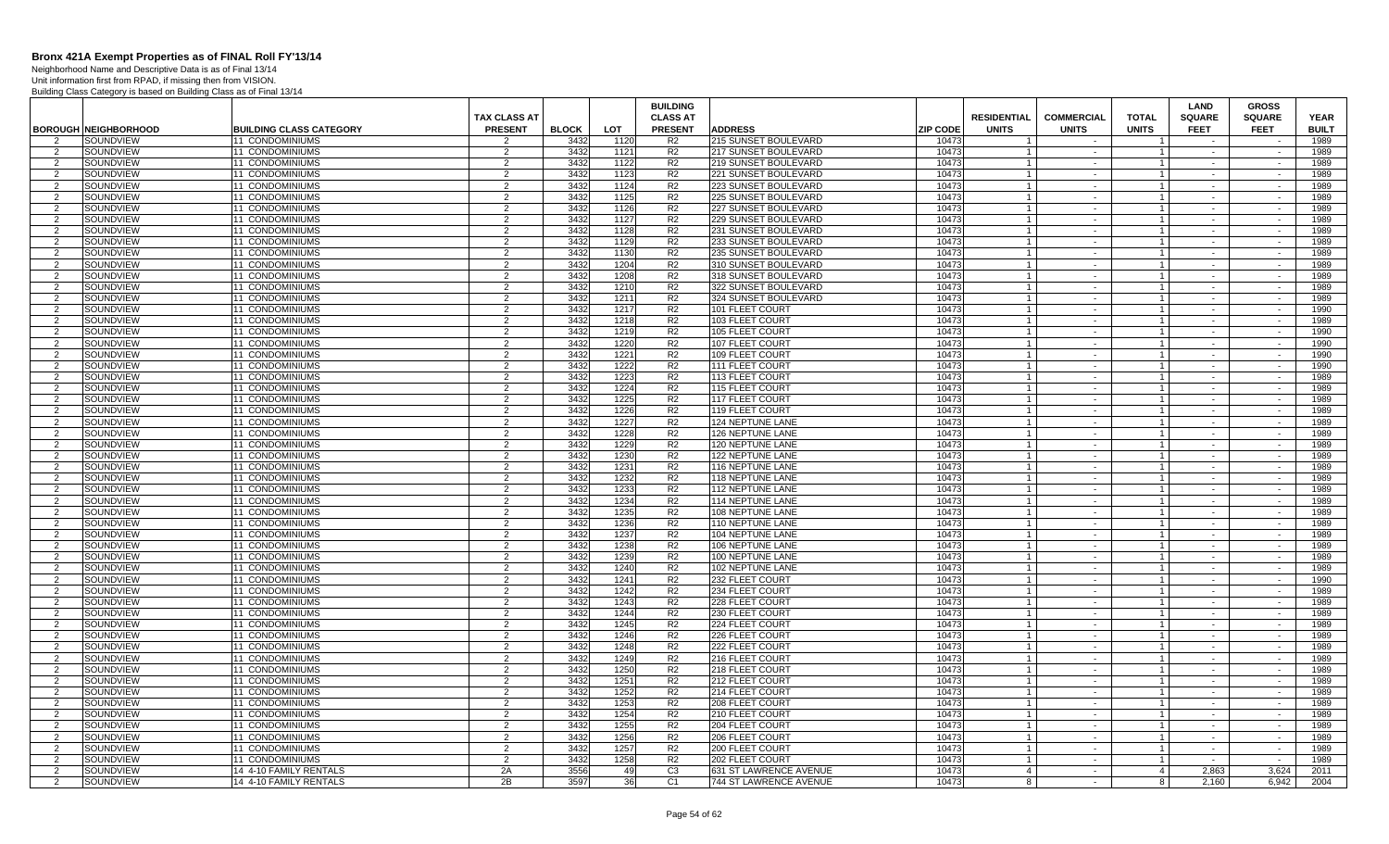Neighborhood Name and Descriptive Data is as of Final 13/14 Unit information first from RPAD, if missing then from VISION.

|                                 |                               |                                           |                                 |              |              | <b>BUILDING</b>                  |                                              |                 |                    |                   |                                  | LAND             | <b>GROSS</b>     |              |
|---------------------------------|-------------------------------|-------------------------------------------|---------------------------------|--------------|--------------|----------------------------------|----------------------------------------------|-----------------|--------------------|-------------------|----------------------------------|------------------|------------------|--------------|
|                                 |                               |                                           | <b>TAX CLASS AT</b>             |              |              | <b>CLASS AT</b>                  |                                              |                 | <b>RESIDENTIAL</b> | <b>COMMERCIAL</b> | <b>TOTAL</b>                     | <b>SQUARE</b>    | <b>SQUARE</b>    | <b>YEAR</b>  |
|                                 | <b>BOROUGH NEIGHBORHOOD</b>   | <b>BUILDING CLASS CATEGORY</b>            | <b>PRESENT</b>                  | <b>BLOCK</b> | LOT.         | <b>PRESENT</b>                   | <b>ADDRESS</b>                               | <b>ZIP CODE</b> | <b>UNITS</b>       | <b>UNITS</b>      | <b>UNITS</b>                     | <b>FEET</b>      | <b>FEET</b>      | <b>BUILT</b> |
| 2                               | SOUNDVIEW                     | <b>11 CONDOMINIUMS</b>                    | $\mathcal{P}$                   | 3432         | 1120         | R <sub>2</sub>                   | 215 SUNSET BOULEVARD                         | 10473           | $\overline{1}$     | $\sim$            | $\overline{1}$                   |                  |                  | 1989         |
| 2                               | SOUNDVIEW                     | <b>11 CONDOMINIUMS</b>                    | 2                               | 3432         | 1121         | R <sub>2</sub>                   | 217 SUNSET BOULEVARD                         | 10473           |                    | $\sim$            | $\mathbf{1}$                     |                  |                  | 1989         |
| 2                               | SOUNDVIEW                     | <b>11 CONDOMINIUMS</b>                    | 2                               | 3432         | 1122         | R2                               | 219 SUNSET BOULEVARD                         | 10473           | $\overline{1}$     | $\sim$            | $\overline{1}$                   | $\sim$           | $\sim$           | 1989         |
| 2                               | SOUNDVIEW                     | 11 CONDOMINIUMS                           | 2                               | 3432         | 1123         | R <sub>2</sub>                   | 221 SUNSET BOULEVARD                         | 10473           |                    | $\sim$            | $\mathbf{1}$                     |                  |                  | 1989         |
| 2                               | SOUNDVIEW                     | 11 CONDOMINIUMS                           | 2                               | 3432         | 1124         | R <sub>2</sub>                   | 223 SUNSET BOULEVARD                         | 10473           | $\overline{1}$     | $\sim$            | $\mathbf{1}$                     | $\sim$           | $\sim$           | 1989         |
| 2                               | SOUNDVIEW                     | 11 CONDOMINIUMS                           | $\mathcal{P}$                   | 3432         | 1125         | R <sub>2</sub>                   | 225 SUNSET BOULEVARD                         | 10473           |                    | $\sim$            | $\mathbf{1}$                     |                  | $\sim$           | 1989         |
| 2                               | SOUNDVIEW                     | <b>11 CONDOMINIUMS</b>                    | 2                               | 3432         | 1126         | R <sub>2</sub>                   | 227 SUNSET BOULEVARD                         | 10473           |                    | $\sim$            | $\mathbf{1}$                     | $\sim$           | $\sim$           | 1989         |
| 2                               | SOUNDVIEW                     | 11 CONDOMINIUMS                           | 2                               | 3432         | 1127         | R2                               | 229 SUNSET BOULEVARD                         | 10473           |                    | $\sim$            | $\mathbf{1}$                     |                  |                  | 1989         |
| $\overline{2}$                  | SOUNDVIEW                     | 11 CONDOMINIUMS                           | 2                               | 3432         | 1128         | R2                               | 231 SUNSET BOULEVARD                         | 10473           |                    | $\sim$            | $\overline{1}$                   | $\sim$           | $\sim$           | 1989         |
| 2                               | SOUNDVIEW                     | 11 CONDOMINIUMS                           | $\overline{2}$                  | 3432         | 1129         | R2                               | 233 SUNSET BOULEVARD                         | 10473           | $\overline{1}$     | $\sim$            | $\overline{1}$                   | $\sim$           | $\sim$           | 1989         |
| 2                               | SOUNDVIEW                     | <b>11 CONDOMINIUMS</b>                    | 2                               | 3432<br>3432 | 1130         | R <sub>2</sub>                   | 235 SUNSET BOULEVARD                         | 10473           |                    | $\sim$            | $\mathbf{1}$                     | $\sim$           | $\sim$           | 1989         |
| 2                               | SOUNDVIEW                     | <b>11 CONDOMINIUMS</b>                    | 2                               |              | 1204         | R <sub>2</sub>                   | 310 SUNSET BOULEVARD                         | 10473           | $\overline{1}$     | $\sim$            | $\overline{1}$                   | $\sim$           | $\sim$           | 1989         |
| 2                               | SOUNDVIEW                     | 11 CONDOMINIUMS                           | $\overline{2}$                  | 3432         | 1208         | R2                               | 318 SUNSET BOULEVARD                         | 10473           |                    | $\sim$            | $\mathbf{1}$                     |                  |                  | 1989         |
| 2                               | SOUNDVIEW<br>SOUNDVIEW        | 11 CONDOMINIUMS<br>11 CONDOMINIUMS        | 2<br>$\overline{2}$             | 3432<br>3432 | 1210<br>1211 | R <sub>2</sub><br>R <sub>2</sub> | 322 SUNSET BOULEVARD<br>324 SUNSET BOULEVARD | 10473<br>10473  |                    | $\sim$<br>$\sim$  | $\mathbf{1}$<br>$\overline{1}$   | $\sim$<br>$\sim$ | $\sim$<br>$\sim$ | 1989<br>1989 |
| 2                               |                               |                                           | 2                               | 3432         |              | R <sub>2</sub>                   |                                              |                 |                    |                   | $\mathbf{1}$                     |                  |                  |              |
| 2                               | SOUNDVIEW                     | <b>11 CONDOMINIUMS</b>                    |                                 |              | 1217         |                                  | 101 FLEET COURT                              | 10473           |                    | $\sim$<br>$\sim$  |                                  | $\sim$           | $\sim$           | 1990         |
| 2                               | SOUNDVIEW                     | <b>11 CONDOMINIUMS</b>                    | 2                               | 3432         | 1218         | R <sub>2</sub>                   | 103 FLEET COURT                              | 10473           |                    |                   | $\mathbf{1}$<br>$\mathbf{1}$     |                  |                  | 1989         |
| 2                               | SOUNDVIEW                     | 11 CONDOMINIUMS                           | 2<br>2                          | 3432         | 1219         | R2                               | 105 FLEET COURT                              | 10473<br>10473  |                    | $\sim$            |                                  | $\sim$           |                  | 1990         |
| 2                               | <b>SOUNDVIEW</b><br>SOUNDVIEW | 11 CONDOMINIUMS<br><b>11 CONDOMINIUMS</b> | 2                               | 3432<br>3432 | 1220<br>1221 | R <sub>2</sub><br>R <sub>2</sub> | 107 FLEET COURT<br>109 FLEET COURT           | 10473           | $\mathbf{1}$       | $\sim$            | 1 <sup>1</sup><br>1 <sup>1</sup> | $\sim$           | $\sim$           | 1990<br>1990 |
| 2                               |                               |                                           |                                 | 3432         | 1222         | R <sub>2</sub>                   |                                              | 10473           | $\overline{1}$     | $\sim$            |                                  | $\sim$           | $\sim$           |              |
| 2                               | SOUNDVIEW                     | <b>11 CONDOMINIUMS</b>                    | 2<br>$\overline{2}$             |              |              | R <sub>2</sub>                   | 111 FLEET COURT                              |                 |                    | $\sim$            | $\overline{1}$<br>$\mathbf{1}$   | $\sim$           | $\sim$           | 1990<br>1989 |
| 2                               | SOUNDVIEW<br>SOUNDVIEW        | 11 CONDOMINIUMS<br>11 CONDOMINIUMS        | $\overline{2}$                  | 3432<br>3432 | 1223<br>1224 | R <sub>2</sub>                   | 113 FLEET COURT<br>115 FLEET COURT           | 10473<br>10473  |                    | $\sim$            | $\mathbf{1}$                     |                  |                  | 1989         |
| 2<br>$\overline{2}$             | SOUNDVIEW                     | 11 CONDOMINIUMS                           | $\overline{2}$                  | 3432         | 1225         | R <sub>2</sub>                   | 117 FLEET COURT                              | 10473           |                    | $\sim$<br>$\sim$  | $\mathbf{1}$                     | $\sim$           | $\sim$           | 1989         |
|                                 |                               |                                           |                                 |              |              | R <sub>2</sub>                   |                                              |                 |                    |                   | $\mathbf{1}$                     |                  |                  |              |
| 2                               | SOUNDVIEW                     | <b>11 CONDOMINIUMS</b>                    | 2                               | 3432         | 1226         |                                  | 119 FLEET COURT                              | 10473           |                    | $\sim$            |                                  | $\sim$           | $\sim$           | 1989         |
| $\overline{2}$<br>$\mathcal{P}$ | SOUNDVIEW                     | 11 CONDOMINIUMS<br><b>11 CONDOMINIUMS</b> | $\mathfrak{p}$<br>$\mathcal{P}$ | 3432         | 1227         | R <sub>2</sub>                   | 124 NEPTUNE LANE<br>126 NEPTUNE LANE         | 10473<br>10473  |                    | $\sim$            | $\mathbf{1}$<br>$\mathbf{1}$     |                  |                  | 1989<br>1989 |
|                                 | SOUNDVIEW                     |                                           |                                 | 3432<br>3432 | 1228         | R <sub>2</sub><br>R <sub>2</sub> |                                              | 10473           | $\mathbf{1}$       | $\sim$<br>$\sim$  |                                  | $\sim$           | $\sim$<br>$\sim$ |              |
| 2                               | SOUNDVIEW                     | <b>11 CONDOMINIUMS</b>                    | 2                               | 3432         | 1229<br>1230 | R <sub>2</sub>                   | 120 NEPTUNE LANE                             | 10473           |                    |                   | $\vert$ 1<br>$\mathbf{1}$        |                  |                  | 1989         |
| 2                               | SOUNDVIEW                     | <b>11 CONDOMINIUMS</b>                    | 2                               | 3432         |              | R <sub>2</sub>                   | 122 NEPTUNE LANE                             | 10473           |                    | $\sim$            |                                  |                  | $\sim$           | 1989         |
| 2<br>2                          | SOUNDVIEW<br>SOUNDVIEW        | <b>11 CONDOMINIUMS</b><br>11 CONDOMINIUMS | 2<br>$\mathfrak{p}$             | 3432         | 1231<br>1232 | R2                               | <b>116 NEPTUNE LANE</b><br>118 NEPTUNE LANE  | 10473           | $\overline{1}$     | $\sim$<br>$\sim$  | $\overline{1}$<br>$\mathbf{1}$   | $\sim$           | $\sim$           | 1989<br>1989 |
|                                 | SOUNDVIEW                     | 11 CONDOMINIUMS                           | 2                               | 3432         | 1233         | R2                               | 112 NEPTUNE LANE                             | 10473           |                    | $\sim$            | $\mathbf{1}$                     | $\sim$           | $\sim$           | 1989         |
| 2<br>$\overline{2}$             | SOUNDVIEW                     | 11 CONDOMINIUMS                           | $\overline{2}$                  | 3432         | 1234         | R2                               | 114 NEPTUNE LANE                             | 10473           |                    | $\sim$            | $\mathbf{1}$                     |                  | $\sim$           | 1989         |
| 2                               | SOUNDVIEW                     | <b>11 CONDOMINIUMS</b>                    | 2                               | 3432         | 1235         | R <sub>2</sub>                   | 108 NEPTUNE LANE                             | 10473           |                    | $\sim$            | $\mathbf{1}$                     | $\sim$           | $\sim$           | 1989         |
| $\overline{2}$                  | SOUNDVIEW                     | 11 CONDOMINIUMS                           | 2                               | 3432         | 1236         | R <sub>2</sub>                   | 110 NEPTUNE LANE                             | 10473           |                    | $\sim$            | $\mathbf{1}$                     |                  |                  | 1989         |
| $\mathcal{P}$                   | SOUNDVIEW                     | 11 CONDOMINIUMS                           | $\overline{2}$                  | 3432         | 1237         | R <sub>2</sub>                   | 104 NEPTUNE LANE                             | 10473           |                    | $\sim$            | $\mathbf{1}$                     |                  | $\sim$           | 1989         |
| 2                               | SOUNDVIEW                     | 11 CONDOMINIUMS                           | 2                               | 3432         | 1238         | R <sub>2</sub>                   | 106 NEPTUNE LANE                             | 10473           | $\overline{1}$     | $\sim$            | $\vert$ 1                        | $\sim$           | $\sim$           | 1989         |
| 2                               | SOUNDVIEW                     | 11 CONDOMINIUMS                           | 2                               | 3432         | 1239         | R <sub>2</sub>                   | 100 NEPTUNE LANE                             | 10473           |                    | $\sim$            | 1 <sup>1</sup>                   |                  | $\sim$           | 1989         |
| 2                               | SOUNDVIEW                     | <b>11 CONDOMINIUMS</b>                    | 2                               | 3432         | 1240         | R <sub>2</sub>                   | 102 NEPTUNE LANE                             | 10473           | $\overline{1}$     | $\sim$            | $\overline{1}$                   | $\sim$           | $\sim$           | 1989         |
| 2                               | SOUNDVIEW                     | 11 CONDOMINIUMS                           | $\overline{2}$                  | 343'         | 1241         | R <sub>2</sub>                   | 232 FLEET COURT                              | 1047;           |                    | $\sim$            | $\mathbf{1}$                     |                  | $\sim$           | 1990         |
| 2                               | SOUNDVIEW                     | 11 CONDOMINIUMS                           | 2                               | 3432         | 1242         | R2                               | 234 FLEET COURT                              | 10473           |                    | $\sim$            | $\mathbf{1}$                     | $\sim$           | $\sim$           | 1989         |
| $\overline{2}$                  | SOUNDVIEW                     | 11 CONDOMINIUMS                           | $\overline{2}$                  | 3432         | 1243         | R2                               | 228 FLEET COURT                              | 10473           |                    | $\sim$            | $\mathbf{1}$                     |                  |                  | 1989         |
| 2                               | SOUNDVIEW                     | <b>11 CONDOMINIUMS</b>                    | 2                               | 3432         | 1244         | R <sub>2</sub>                   | 230 FLEET COURT                              | 10473           |                    | $\sim$            | $\mathbf{1}$                     | $\sim$           | $\sim$           | 1989         |
| 2                               | SOUNDVIEW                     | 11 CONDOMINIUMS                           | $\overline{2}$                  | 3432         | 1245         | R <sub>2</sub>                   | 224 FLEET COURT                              | 10473           | $\overline{1}$     | $\sim$            | $1 \vert$                        | $\sim$           | $\sim$           | 1989         |
| 2                               | SOUNDVIEW                     | <b>11 CONDOMINIUMS</b>                    | $\mathcal{P}$                   | 3432         | 1246         | R <sub>2</sub>                   | 226 FLEET COURT                              | 10473           | $\overline{1}$     | $\sim$            | $\mathbf{1}$                     | $\sim$           | $\sim$           | 1989         |
| 2                               | SOUNDVIEW                     | 11 CONDOMINIUMS                           | $\overline{2}$                  | 3432         | 1248         | R <sub>2</sub>                   | 222 FLEET COURT                              | 10473           | $\overline{1}$     | $\sim$            | $\vert$ 1                        | $\sim$           | $\sim$           | 1989         |
| 2                               | SOUNDVIEW                     | 11 CONDOMINIUMS                           | 2                               | 3432         | 1249         | R <sub>2</sub>                   | 216 FLEET COURT                              | 10473           | $\overline{1}$     | $\sim$            | $\mathbf{1}$                     | $\sim$           | $\sim$           | 1989         |
| 2                               | SOUNDVIEW                     | 11 CONDOMINIUMS                           | 2                               | 3432         | 1250         | R <sub>2</sub>                   | 218 FLEET COURT                              | 10473           | -1                 | $\sim$            | 1 <sup>1</sup>                   | $\sim$           | $\sim$           | 1989         |
| 2                               | SOUNDVIEW                     | 11 CONDOMINIUMS                           | 2                               | 3432         | 1251         | R <sub>2</sub>                   | 212 FLEET COURT                              | 10473           |                    | $\sim$            | $\mathbf{1}$                     |                  |                  | 1989         |
| 2                               | SOUNDVIEW                     | 11 CONDOMINIUMS                           | 2                               | 3432         | 1252         | R2                               | 214 FLEET COURT                              | 10473           |                    | $\sim$            | $\mathbf{1}$                     | $\sim$           | $\sim$           | 1989         |
| $\overline{2}$                  | SOUNDVIEW                     | 11 CONDOMINIUMS                           | $\overline{2}$                  | 3432         | 1253         | R2                               | 208 FLEET COURT                              | 10473           |                    | $\sim$            | $\mathbf{1}$                     |                  | $\sim$           | 1989         |
| 2                               | Soundview                     | 11 CONDOMINIUMS                           | 2                               | 3432         | 1254         | R <sub>2</sub>                   | 210 FLEET COURT                              | 10473           |                    | $\sim$            | $\mathbf{1}$                     | $\sim$           | $\sim$           | 1989         |
| 2                               | SOUNDVIEW                     | 11 CONDOMINIUMS                           | $\overline{2}$                  | 3432         | 1255         | R <sub>2</sub>                   | 204 FLEET COURT                              | 10473           | $\overline{1}$     | $\sim$            | $\overline{1}$                   | $\sim$           | $\sim$           | 1989         |
| $\mathcal{P}$                   | SOUNDVIEW                     | <b>11 CONDOMINIUMS</b>                    | $\mathcal{P}$                   | 3432         | 1256         | R <sub>2</sub>                   | 206 FLEET COURT                              | 10473           | $\overline{1}$     | $\sim$            | $\mathbf{1}$                     | $\sim$           | $\sim$           | 1989         |
| 2                               | SOUNDVIEW                     | 11 CONDOMINIUMS                           | $\overline{2}$                  | 3432         | 1257         | R <sub>2</sub>                   | 200 FLEET COURT                              | 10473           | $\overline{1}$     | $\sim$            | $\vert$ 1                        | $\sim$           | $\sim$           | 1989         |
| 2                               | SOUNDVIEW                     | <b>11 CONDOMINIUMS</b>                    | 2                               | 3432         | 1258         | R <sub>2</sub>                   | 202 FLEET COURT                              | 10473           |                    | $\sim$            | $\mathbf{1}$                     |                  |                  | 1989         |
| 2                               | SOUNDVIEW                     | 14 4-10 FAMILY RENTALS                    | 2A                              | 3556         | 49           | C <sub>3</sub>                   | 631 ST LAWRENCE AVENUE                       | 10473           | $\overline{4}$     | $\sim$            | $\overline{4}$                   | 2.863            | 3,624            | 2011         |
| 2                               | SOUNDVIEW                     | 14 4-10 FAMILY RENTALS                    | 2B                              | 3597         | 36           | C <sub>1</sub>                   | 744 ST LAWRENCE AVENUE                       | 10473           | 8                  |                   | 8                                | 2.160            | 6.942            | 2004         |
|                                 |                               |                                           |                                 |              |              |                                  |                                              |                 |                    |                   |                                  |                  |                  |              |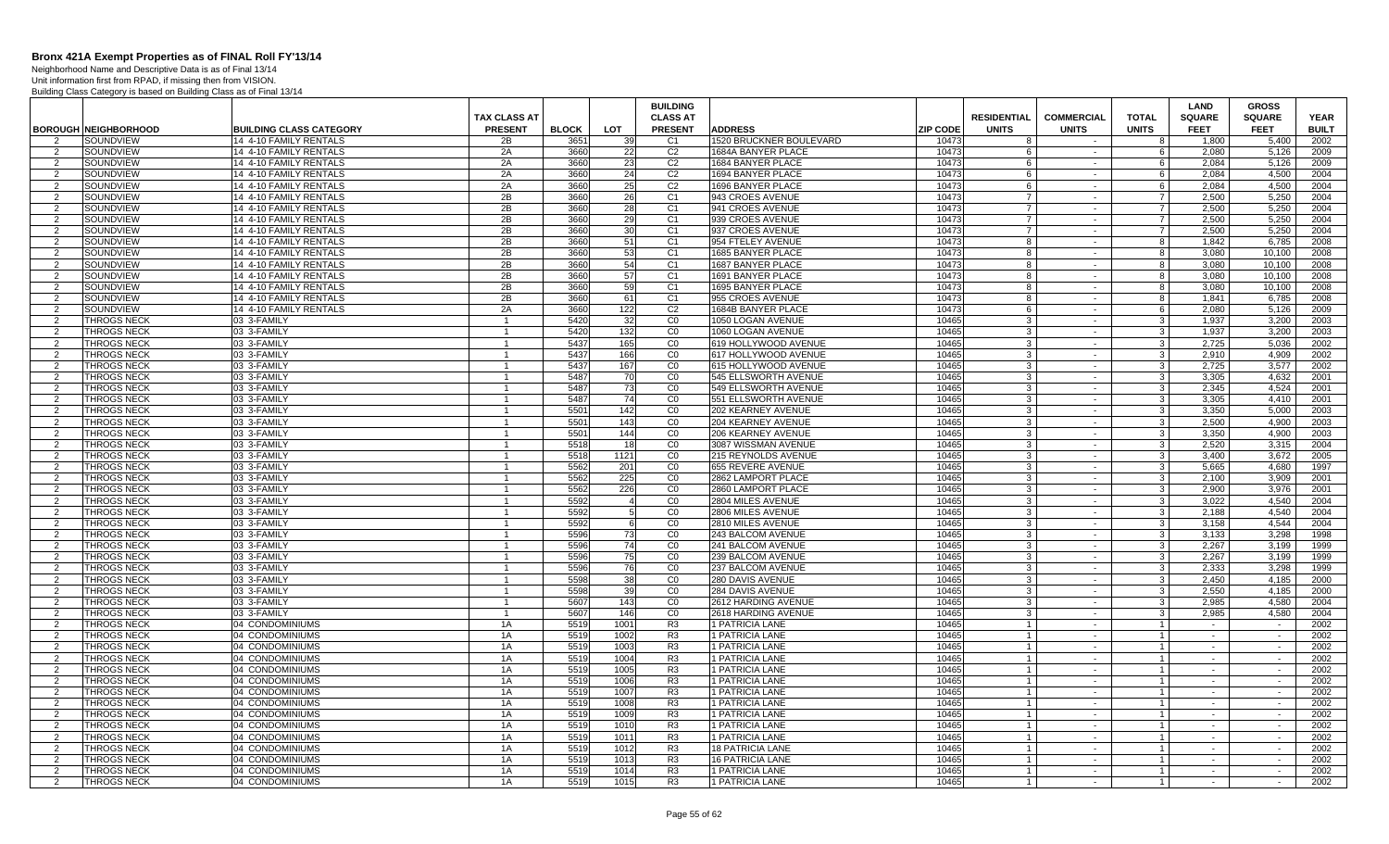Neighborhood Name and Descriptive Data is as of Final 13/14 Unit information first from RPAD, if missing then from VISION.

|                     |                                          |                                    |                     |              |              | <b>BUILDING</b>      |                                    |                 |                      |                      |                                  | LAND             | <b>GROSS</b>                       |              |
|---------------------|------------------------------------------|------------------------------------|---------------------|--------------|--------------|----------------------|------------------------------------|-----------------|----------------------|----------------------|----------------------------------|------------------|------------------------------------|--------------|
|                     |                                          |                                    | <b>TAX CLASS AT</b> |              |              | <b>CLASS AT</b>      |                                    |                 | <b>RESIDENTIAL</b>   | <b>COMMERCIAL</b>    | <b>TOTAL</b>                     | <b>SQUARE</b>    | <b>SQUARE</b>                      | <b>YEAR</b>  |
|                     | <b>BOROUGH NEIGHBORHOOD</b>              | <b>BUILDING CLASS CATEGORY</b>     | <b>PRESENT</b>      | <b>BLOCK</b> | <b>LOT</b>   | <b>PRESENT</b>       | <b>ADDRESS</b>                     | <b>ZIP CODE</b> | <b>UNITS</b>         | <b>UNITS</b>         | <b>UNITS</b>                     | <b>FEET</b>      | <b>FEET</b>                        | <b>BUILT</b> |
| $\mathcal{P}$       | SOUNDVIEW                                | 14 4-10 FAMILY RENTALS             | 2B                  | 3651         | 39           | C <sub>1</sub>       | 1520 BRUCKNER BOULEVARD            | 10473           | 8                    |                      | 8                                | 1,800            | 5,400                              | 2002         |
| 2                   | SOUNDVIEW                                | 14 4-10 FAMILY RENTALS             | 2A                  | 3660         | 22           | C <sub>2</sub>       | 1684A BANYER PLACE                 | 10473           | - 6                  | $\sim$               | 6                                | 2.080            | 5,126                              | 2009         |
| 2                   | SOUNDVIEW                                | 14 4-10 FAMILY RENTALS             | 2A                  | 3660         | 23           | C <sub>2</sub>       | 1684 BANYER PLACE                  | 10473           | 6                    | $\sim$               | 6                                | 2,084            | 5,126                              | 2009         |
| 2                   | SOUNDVIEW                                | 14 4-10 FAMILY RENTALS             | 2A                  | 3660         | 24           | C <sub>2</sub>       | 1694 BANYER PLACE                  | 10473           | 6                    | $\sim$               | 6                                | 2.084            | 4,500                              | 2004         |
| 2                   | SOUNDVIEW                                | 14 4-10 FAMILY RENTALS             | 2A                  | 3660         | 25           | C <sub>2</sub>       | 1696 BANYER PLACE                  | 10473           | 6                    | $\sim$ $-$           | 6                                | 2.084            | 4,500                              | 2004         |
| $\mathcal{P}$       | SOUNDVIEW                                | 14 4-10 FAMILY RENTALS             | 2B                  | 3660         | 26           | C <sub>1</sub>       | 943 CROES AVENUE                   | 10473           | $\overline{7}$       | $\sim$               | $\overline{7}$                   | 2.500            | 5.250                              | 2004         |
| 2                   | SOUNDVIEW                                | 14 4-10 FAMILY RENTALS             | 2B                  | 3660         | 28           | C <sub>1</sub>       | 941 CROES AVENUE                   | 10473           | $\overline{7}$       | $\sim$ $-$           | $\overline{7}$                   | 2.500            | 5.250                              | 2004         |
| $\mathcal{P}$       | SOUNDVIEW                                | 14 4-10 FAMILY RENTALS             | 2B                  | 3660         | 29           | C <sub>1</sub>       | 939 CROES AVENUE                   | 10473           | $\overline{7}$       | $\sim$               | $\overline{7}$                   | 2,500            | 5,250                              | 2004         |
| -2                  | SOUNDVIEW                                | 14 4-10 FAMILY RENTALS             | 2B                  | 3660         | 30           | C <sub>1</sub>       | 937 CROES AVENUE                   | 10473           | -7                   | $\sim$               | $\overline{7}$                   | 2,500            | 5,250                              | 2004         |
| $\mathcal{P}$       | SOUNDVIEW                                | 14 4-10 FAMILY RENTALS             | 2B                  | 3660         | 51           | C <sub>1</sub>       | 954 FTELEY AVENUE                  | 10473           | 8                    | $\sim$               | 8                                | 1,842            | 6,785                              | 2008         |
| 2                   | SOUNDVIEW                                | 14 4-10 FAMILY RENTALS             | 2B                  | 3660         | 53           | C <sub>1</sub>       | 1685 BANYER PLACE                  | 10473           | -8                   | $\sim$               | 8                                | 3.080            | 10.100                             | 2008         |
| 2                   | SOUNDVIEW                                | 14 4-10 FAMILY RENTALS             | 2B                  | 3660         | 54           | C <sub>1</sub>       | 1687 BANYER PLACE                  | 10473           | 8                    | $\sim$               | 8                                | 3.080            | 10.100                             | 2008         |
| 2                   | SOUNDVIEW                                | 14 4-10 FAMILY RENTALS             | 2B                  | 3660         | 57           | C <sub>1</sub>       | 1691 BANYER PLACE                  | 10473           | -8                   | $\sim$               | 8                                | 3,080            | 10.100                             | 2008         |
| 2                   | SOUNDVIEW                                | 14 4-10 FAMILY RENTALS             | 2B                  | 3660         | 59           | C1                   | 1695 BANYER PLACE                  | 10473           | 8                    | $\sim$ $-$           | 8                                | 3.080            | 10.100                             | 2008         |
| $\overline{2}$      | SOUNDVIEW                                | 14 4-10 FAMILY RENTALS             | 2B                  | 3660         | 61           | C <sub>1</sub>       | 955 CROES AVENUE                   | 10473           | 8                    | $\sim$               | 8                                | 1,841            | 6.785                              | 2008         |
| 2                   | SOUNDVIEW                                | 14 4-10 FAMILY RENTALS             | 2A                  | 3660         | 122          | C <sub>2</sub>       | 1684B BANYER PLACE                 | 10473           | 6                    | $\sim$ $-$           | 6                                | 2.080            | 5.126                              | 2009         |
| $\mathcal{P}$       | <b>THROGS NECK</b>                       | 03 3-FAMILY                        |                     | 5420         | 32           | CO                   | 1050 LOGAN AVENUE                  | 10465           | -3                   | $\sim$               | $\mathbf{3}$                     | 1,937            | 3,200                              | 2003         |
| -2                  | <b>THROGS NECK</b>                       | 03 3-FAMILY                        |                     | 5420         | 132          | CO                   | 1060 LOGAN AVENUE                  | 10465           | -3                   | $\sim$               | $\mathbf{3}$                     | 1,937            | 3,200                              | 2003         |
| 2                   | <b>THROGS NECK</b>                       | 03 3-FAMILY                        |                     | 5437         | 165          | CO                   | 619 HOLLYWOOD AVENUE               | 10465           | -3                   | $\sim$               | د                                | 2,725            | 5.036                              | 2002         |
| $\overline{2}$      | <b>THROGS NECK</b>                       | 03 3-FAMILY                        |                     | 5437         | 166          | CO                   | 617 HOLLYWOOD AVENUE               | 10465           | -3                   | $\sim$               | 3 <sup>1</sup>                   | 2.910            | 4.909                              | 2002         |
| 2                   | <b>THROGS NECK</b>                       | 03 3-FAMILY                        | $\mathbf{1}$        | 5437         | 167          | CO                   | 615 HOLLYWOOD AVENUE               | 10465           | $\mathbf{3}$         | $\sim$               | 3 <sup>1</sup>                   | 2.725            | 3.577                              | 2002         |
| $\mathcal{P}$       | <b>THROGS NECK</b>                       | 03 3-FAMILY                        |                     | 5487         | 70           | CO                   | 545 ELLSWORTH AVENUE               | 10465           | 3                    | $\sim$               | 3                                | 3,305            | 4,632                              | 2001         |
| 2                   | <b>THROGS NECK</b>                       | 03 3-FAMILY                        | -1                  | 5487         | 73           | $\overline{C}0$      | 549 ELLSWORTH AVENUE               | 10465           | $\mathbf{3}$         | $\sim$               | 3 <sup>1</sup>                   | 2,345            | 4,524                              | 2001         |
| $\overline{2}$      | <b>THROGS NECK</b>                       | 03 3-FAMILY                        |                     | 5487         | 74           | $\overline{C}$       | 551 ELLSWORTH AVENUE               | 10465           | 3                    | $\sim$               | 3                                | 3.305            | 4,410                              | 2001         |
| 2                   | <b>THROGS NECK</b>                       | 03 3-FAMILY                        | $\mathbf 1$         | 5501         | 142          | CO                   | 202 KEARNEY AVENUE                 | 10465           | -3                   | $\sim$ $-$           | $\mathbf{3}$                     | 3.350            | 5.000                              | 2003         |
| $\overline{2}$      | <b>THROGS NECK</b>                       | 03 3-FAMILY                        |                     | 5501         | 143          | CO                   | 204 KEARNEY AVENUE                 | 10465           | -3                   | $\sim$               | $\mathbf{3}$                     | 2,500            | 4,900                              | 2003         |
| 2                   | <b>THROGS NECK</b>                       | 03 3-FAMILY                        |                     | 5501         | 144          | CO                   | 206 KEARNEY AVENUE                 | 10465           | 3                    | $\sim$               | $\overline{3}$                   | 3,350            | 4.900                              | 2003         |
| 2                   | <b>THROGS NECK</b>                       | 03 3-FAMILY                        | $\overline{1}$      | 5518         | 18           | CO                   | 3087 WISSMAN AVENUE                | 10465           | $\overline{3}$       | $\sim$               | 3 <sup>1</sup>                   | 2.520            | 3.315                              | 2004         |
| $\overline{2}$      | <b>THROGS NECK</b>                       | 03 3-FAMILY                        |                     | 5518         | 1121         | CO                   | 215 REYNOLDS AVENUE                | 10465           | 3                    | $\sim$               | 3 <sup>1</sup>                   | 3.400            | 3,672                              | 2005         |
| 2                   | <b>THROGS NECK</b>                       | 03 3-FAMILY                        | $\overline{1}$      | 5562         | 201          | CO                   | 655 REVERE AVENUE                  | 10465           | $\mathbf{3}$         | $\sim$               | 3 <sup>1</sup>                   | 5.665            | 4.680                              | 1997         |
| $\mathcal{P}$       | <b>THROGS NECK</b>                       | 03 3-FAMILY                        | $\overline{1}$      | 5562         | 225          | CO                   | 2862 LAMPORT PLACE                 | 10465           | $\mathbf{3}$         | $\sim$               | $\overline{\mathbf{3}}$          | 2.100            | 3.909                              | 2001         |
| 2                   | <b>THROGS NECK</b>                       | 03 3-FAMILY                        | -1                  | 5562         | 226          | CO                   | 2860 LAMPORT PLACE                 | 10465           | -3                   | $\sim$               | $\mathbf{3}$                     | 2,900            | 3,976                              | 2001         |
| $\overline{2}$      | THROGS NECK                              | 03 3-FAMILY                        |                     | 5592         |              | $\overline{C}$       | 2804 MILES AVENUE                  | 10465           | $\overline{3}$       | $\sim$               | $\mathbf{3}$                     | 3.022            | 4,540                              | 2004         |
| 2                   | <b>THROGS NECK</b>                       | 03 3-FAMILY                        | $\mathbf 1$         | 5592         | 5            | CO                   | 2806 MILES AVENUE                  | 10465           | -3                   | $\sim$ $-$           | $\mathbf{3}$                     | 2.188            | 4.540                              | 2004         |
| $\overline{2}$      | <b>THROGS NECK</b>                       | 03 3-FAMILY                        |                     | 5592         | 6            | CO                   | 2810 MILES AVENUE                  | 10465           | -3                   | $\sim$               | $\mathbf{3}$                     | 3.158            | 4.544                              | 2004         |
| 2                   | <b>THROGS NECK</b>                       | 03 3-FAMILY                        |                     | 5596         | 73           | CO                   | 243 BALCOM AVENUE                  | 10465           | 3                    | $\sim$ $-$           | $\overline{3}$                   | 3,133            | 3,298                              | 1998         |
| 2                   | <b>THROGS NECK</b>                       | 03 3-FAMILY                        | $\overline{1}$      | 5596         | 74           | CO                   | 241 BALCOM AVENUE                  | 10465           | $\overline{3}$       | $\sim$               | 3 <sup>1</sup>                   | 2,267            | 3,199                              | 1999         |
| $\overline{2}$      | <b>THROGS NECK</b>                       | 03 3-FAMILY                        |                     | 5596         | 75           | CO                   | 239 BALCOM AVENUE                  | 10465           | -3                   | $\sim$               | 3 <sup>1</sup>                   | 2,267            | 3,199                              | 1999         |
| 2                   | <b>THROGS NECK</b>                       | 03 3-FAMILY                        | $\mathbf{1}$        | 5596         | 76           | CO                   | 237 BALCOM AVENUE                  | 10465           | $\mathbf{3}$         | $\sim$               | 3 <sup>1</sup>                   | 2.333            | 3.298                              | 1999         |
| 2                   | <b>THROGS NECK</b>                       | 03 3-FAMILY                        |                     | 5598         | 38           | CO                   | 280 DAVIS AVENUE                   | 10465           | -3                   | $\sim$               | 3 <sup>1</sup>                   | 2.450            | 4.185                              | 2000         |
| 2                   | <b>THROGS NECK</b>                       | 03 3-FAMILY                        | $\mathbf 1$         | 5598         | 39           | CO                   | 284 DAVIS AVENUE                   | 10465           | -3                   | $\sim$               | $\mathbf{3}$                     | 2,550            | 4,185                              | 2000         |
| $\overline{2}$      | THROGS NECK                              | 03 3-FAMILY                        |                     | 5607         | 143          | CO                   | 2612 HARDING AVENUE                | 10465           | $\overline{3}$       | $\sim$               | $\mathbf{3}$                     | 2.985            | 4.580                              | 2004         |
| 2<br>$\mathcal{P}$  | <b>THROGS NECK</b>                       | 03 3-FAMILY                        | $\mathbf{1}$        | 5607         | 146          | CO                   | 2618 HARDING AVENUE                | 10465           | -3<br>$\overline{1}$ | $\sim$<br>$\sim$     | $\mathbf{3}$                     | 2.985            | 4.580                              | 2004         |
|                     | <b>THROGS NECK</b>                       | 04 CONDOMINIUMS                    | 1A                  | 5519         | 1001         | R <sub>3</sub>       | 1 PATRICIA LANE                    | 10465           |                      |                      | $\overline{1}$                   |                  |                                    | 2002         |
| $\overline{2}$      | <b>THROGS NECK</b>                       | 04 CONDOMINIUMS                    | 1A                  | 5519         | 1002         | R <sub>3</sub>       | 1 PATRICIA LANE                    | 10465<br>10465  | $\overline{1}$       | $\sim$<br>$\sim$     | $\overline{1}$                   | $\sim$<br>$\sim$ | $\overline{\phantom{a}}$<br>$\sim$ | 2002<br>2002 |
| 2                   | <b>THROGS NECK</b>                       | 04 CONDOMINIUMS                    | 1A                  | 5519         | 1003         | R <sub>3</sub>       | 1 PATRICIA LANE                    |                 |                      |                      | $\overline{1}$                   |                  |                                    |              |
| $\overline{2}$      | <b>THROGS NECK</b>                       | 04 CONDOMINIUMS<br>04 CONDOMINIUMS | 1A<br>1A            | 5519<br>5519 | 1004<br>1005 | R <sub>3</sub><br>R3 | 1 PATRICIA LANE<br>1 PATRICIA LANE | 10465<br>10465  |                      | $\sim$<br>$\sim$ $-$ | $\mathbf{1}$                     | $\sim$<br>$\sim$ | $\sim$<br>$\sim$                   | 2002<br>2002 |
| 2<br>$\overline{2}$ | <b>THROGS NECK</b><br><b>THROGS NECK</b> | 04 CONDOMINIUMS                    | 1A                  | 5519         | 1006         | R3                   | 1 PATRICIA LANE                    | 10465           | $\overline{1}$       | $\sim$               | $\overline{1}$<br>$\overline{1}$ | $\sim$           | $\sim$                             | 2002         |
| 2                   | <b>THROGS NECK</b>                       | 04 CONDOMINIUMS                    | 1A                  | 5519         | 1007         | R <sub>3</sub>       | 1 PATRICIA LANE                    | 10465           | $\overline{1}$       | $\sim$               | $\overline{1}$                   | $\sim$           | $\sim$                             | 2002         |
| $\overline{2}$      | THROGS NECK                              | 04 CONDOMINIUMS                    | 1A                  | 5519         | 1008         | R <sub>3</sub>       | 1 PATRICIA LANE                    | 10465           |                      | $\sim$               | $\mathbf{1}$                     |                  | $\sim$                             | 2002         |
| 2                   | <b>THROGS NECK</b>                       | 04 CONDOMINIUMS                    | 1A                  | 5519         | 1009         | R <sub>3</sub>       | 1 PATRICIA LANE                    | 10465           |                      | $\sim$ $-$           | $\overline{1}$                   | $\sim$           | $\sim$                             | 2002         |
| $\mathcal{P}$       | <b>THROGS NECK</b>                       | 04 CONDOMINIUMS                    | 1A                  | 5519         | 1010         | R <sub>3</sub>       | 1 PATRICIA LANE                    | 10465           | $\overline{1}$       | $\sim$               | $\overline{1}$                   | $\sim$           | $\sim$                             | 2002         |
| $\overline{2}$      | <b>THROGS NECK</b>                       | 04 CONDOMINIUMS                    | 1A                  | 5519         | 1011         | R <sub>3</sub>       | 1 PATRICIA LANE                    | 10465           |                      | $\sim$               | $\overline{1}$                   | $\sim$           | $\overline{\phantom{a}}$           | 2002         |
| $\overline{2}$      | <b>THROGS NECK</b>                       | 04 CONDOMINIUMS                    | 1A                  | 5519         | 1012         | R <sub>3</sub>       | <b>18 PATRICIA LANE</b>            | 10465           | $\overline{1}$       | $\sim$               | $\mathbf{1}$                     | $\sim$           | $\sim$                             | 2002         |
| $\mathcal{P}$       | THROGS NECK                              | 04 CONDOMINIUMS                    | 1A                  | 5519         | 1013         | R <sub>3</sub>       | <b>16 PATRICIA LANE</b>            | 10465           | $\overline{1}$       | $\sim$               | $\overline{1}$                   | $\sim$           | $\sim$                             | 2002         |
| 2                   | <b>THROGS NECK</b>                       | 04 CONDOMINIUMS                    | 1A                  | 5519         | 1014         | R3                   | 1 PATRICIA LANE                    | 10465           | $\overline{1}$       | $\sim$               | $\overline{1}$                   | $\sim$           | $\sim$                             | 2002         |
| 2                   | <b>THROGS NECK</b>                       | 04 CONDOMINIUMS                    | 1A                  | 5519         | 1015         | R3                   | 1 PATRICIA LANE                    | 10465           | $\overline{1}$       | $\sim$               | $\mathbf{1}$                     |                  | $\sim$                             | 2002         |
|                     |                                          |                                    |                     |              |              |                      |                                    |                 |                      |                      |                                  |                  |                                    |              |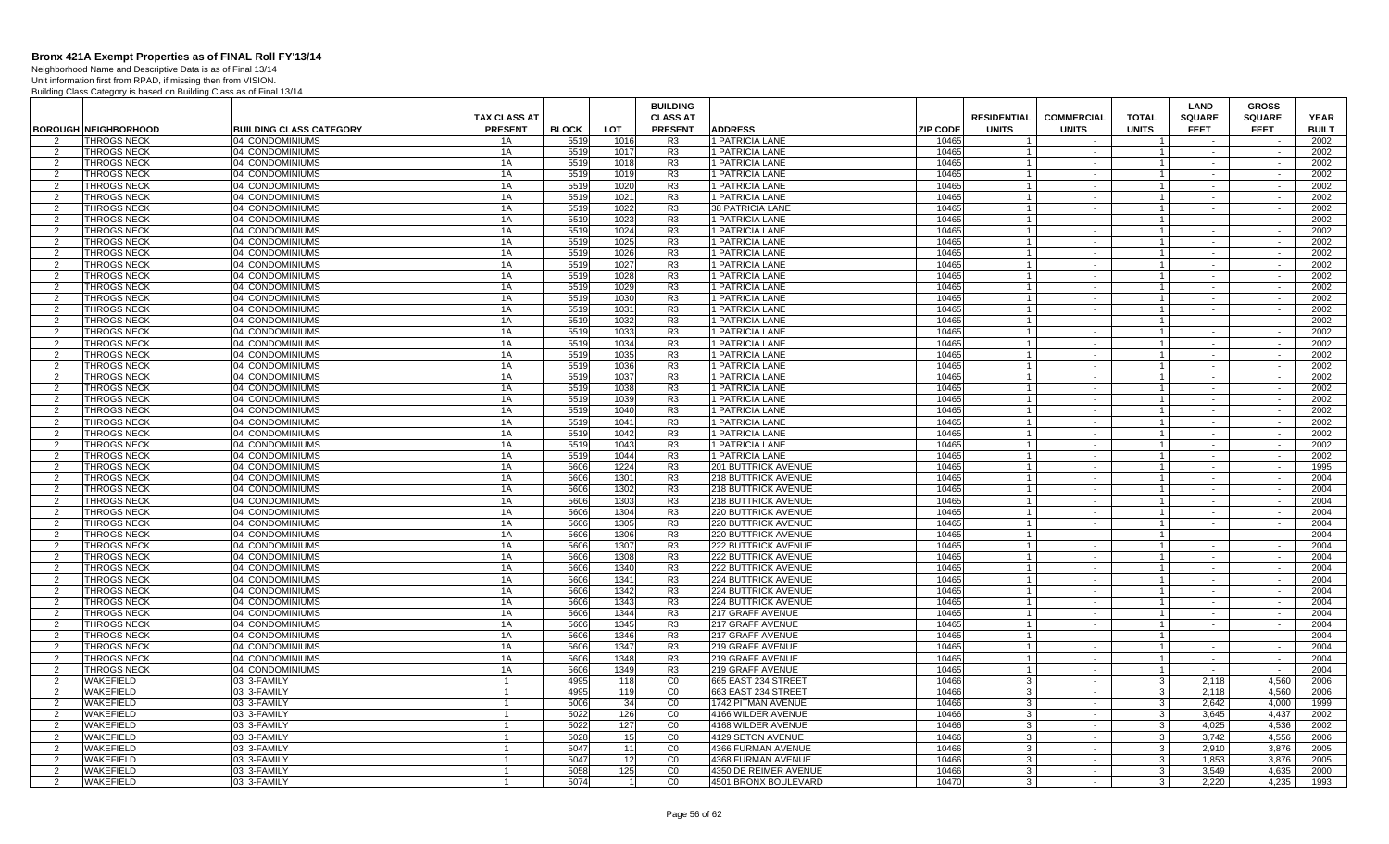Neighborhood Name and Descriptive Data is as of Final 13/14

|                                  |                                          |                                    | <b>TAX CLASS AT</b> |              |              | <b>BUILDING</b><br><b>CLASS AT</b> |                                            |                 | <b>RESIDENTIAL</b> | <b>COMMERCIAL</b> | <b>TOTAL</b>                     | <b>LAND</b><br><b>SQUARE</b> | <b>GROSS</b><br><b>SQUARE</b> | <b>YEAR</b>  |
|----------------------------------|------------------------------------------|------------------------------------|---------------------|--------------|--------------|------------------------------------|--------------------------------------------|-----------------|--------------------|-------------------|----------------------------------|------------------------------|-------------------------------|--------------|
|                                  | <b>BOROUGH NEIGHBORHOOD</b>              | <b>BUILDING CLASS CATEGORY</b>     | <b>PRESENT</b>      | <b>BLOCK</b> | <b>LOT</b>   | <b>PRESENT</b>                     | <b>ADDRESS</b>                             | <b>ZIP CODE</b> | <b>UNITS</b>       | <b>UNITS</b>      | <b>UNITS</b>                     | <b>FEET</b>                  | <b>FEET</b>                   | <b>BUILT</b> |
| 2                                | <b>THROGS NECK</b>                       | 04 CONDOMINIUMS                    | 1A                  | 5519         | 1016         | R3                                 | 1 PATRICIA LANE                            | 10465           | -1                 | $\sim$            | $\overline{1}$                   | $\sim$                       | $\sim$                        | 2002         |
| 2                                | <b>THROGS NECK</b>                       | 04 CONDOMINIUMS                    | 1A                  | 551          | 1017         | R <sub>3</sub>                     | 1 PATRICIA LANE                            | 10465           | -1                 | $\sim$            | $\overline{1}$                   | $\sim$                       | $\sim$                        | 2002         |
| 2                                | <b>THROGS NECK</b>                       | 04 CONDOMINIUMS                    | 1A                  | 5519         | 1018         | R3                                 | 1 PATRICIA LANE                            | 10465           |                    | $\sim$            | $\overline{1}$                   |                              |                               | 2002         |
| 2                                | <b>THROGS NECK</b>                       | 04 CONDOMINIUMS                    | 1A                  | 5519         | 1019         | R <sub>3</sub>                     | 1 PATRICIA LANE                            | 10465           |                    | $\sim$            | $\overline{1}$                   | $\sim$                       | $\sim$                        | 2002         |
| $\overline{2}$                   | THROGS NECK                              | 04 CONDOMINIUMS                    | 1A                  | 5519         | 1020         | R <sub>3</sub>                     | 1 PATRICIA LANE                            | 10465           |                    | $\sim$            | $\overline{1}$                   | $\sim$                       | $\sim$                        | 2002         |
| 2                                | THROGS NECK                              | 04 CONDOMINIUMS                    | 1A                  | 5519         | 1021         | R <sub>3</sub>                     | 1 PATRICIA LANE                            | 10465           | -1                 | $\sim$            | $\overline{1}$                   | $\sim$                       | $\sim$                        | 2002         |
| 2                                | <b>THROGS NECK</b>                       | 04 CONDOMINIUMS                    | 1A                  | 5519         | 1022         | R3                                 | <b>38 PATRICIA LANE</b>                    | 10465           | $\overline{1}$     | $\sim$            | $\overline{1}$                   | $\sim$                       | $\sim$                        | 2002         |
| 2                                | THROGS NECK                              | 04 CONDOMINIUMS                    | 1A                  | 5519         | 1023         | R <sub>3</sub>                     | 1 PATRICIA LANE                            | 10465           | $\overline{1}$     | $\sim$            | $\overline{1}$                   | $\sim$                       | $\sim$                        | 2002         |
| 2                                | <b>THROGS NECK</b>                       | 04 CONDOMINIUMS                    | 1A                  | 5519         | 1024         | R <sub>3</sub>                     | 1 PATRICIA LANE                            | 10465           | $\overline{1}$     | $\sim$            | $\mathbf{1}$                     | $\sim$                       | $\sim$                        | 2002         |
| 2                                | THROGS NECK                              | 04 CONDOMINIUMS                    | 1A                  | 5519         | 1025         | R <sub>3</sub>                     | <b>1 PATRICIA LANE</b>                     | 10465           | $\overline{1}$     | $\sim$            | $\overline{1}$                   | $\sim$                       | $\sim$                        | 2002         |
| 2                                | <b>THROGS NECK</b>                       | 04 CONDOMINIUMS                    | 1A                  | 551          | 1026         | R3                                 | 1 PATRICIA LANE                            | 10465           |                    | $\sim$            | $\overline{1}$                   | $\sim$                       | $\sim$                        | 2002         |
| 2                                | THROGS NECK                              | 04 CONDOMINIUMS                    | 1A                  | 5519         | 1027         | R <sub>3</sub>                     | 1 PATRICIA LANE                            | 10465           |                    | $\sim$            | $\overline{1}$                   | $\sim$                       |                               | 2002         |
| $\overline{2}$                   | <b>THROGS NECK</b>                       | 04 CONDOMINIUMS                    | 1A                  | 5519         | 1028         | R <sub>3</sub>                     | 1 PATRICIA LANE                            | 10465           | -1                 | $\sim$            | $\overline{1}$                   | $\sim$                       | $\sim$                        | 2002         |
| 2                                | THROGS NECK                              | 04 CONDOMINIUMS                    | 1A                  | 5519         | 1029         | R <sub>3</sub>                     | 1 PATRICIA LANE                            | 10465           |                    | $\sim$            | $\overline{1}$                   | $\sim$                       | $\sim$                        | 2002         |
| 2                                | <b>THROGS NECK</b>                       | 04 CONDOMINIUMS                    | 1A                  | 5519         | 1030         | R <sub>3</sub>                     | 1 PATRICIA LANE                            | 10465           |                    | $\sim$            | $\mathbf{1}$                     | $\sim$                       | $\sim$                        | 2002         |
| 2                                | <b>THROGS NECK</b>                       | 04 CONDOMINIUMS                    | 1A                  | 5519         | 1031         | R <sub>3</sub>                     | 1 PATRICIA LANE                            | 10465           | $\overline{1}$     | $\sim$            | $\overline{1}$                   | $\sim$                       | $\sim$                        | 2002         |
| 2                                | THROGS NECK                              | 04 CONDOMINIUMS                    | 1A                  | 5519         | 1032         | R <sub>3</sub>                     | 1 PATRICIA LANE                            | 10465           | $\overline{1}$     | $\sim$            | $\overline{1}$                   | $\sim$                       | $\sim$                        | 2002         |
| 2                                | <b>THROGS NECK</b>                       | 04 CONDOMINIUMS                    | 1A                  | 5519         | 1033         | R <sub>3</sub>                     | <b>1 PATRICIA LANE</b>                     | 10465           | $\overline{1}$     | $\sim$            | $\overline{1}$                   | $\sim$                       | $\sim$                        | 2002         |
| 2                                | <b>THROGS NECK</b>                       | 04 CONDOMINIUMS                    | 1A                  | 5519         | 1034         | R <sub>3</sub>                     | 1 PATRICIA LANE                            | 10465           |                    | $\sim$            | $\overline{1}$                   | $\sim$                       | $\sim$                        | 2002         |
| 2                                | <b>THROGS NECK</b>                       | 04 CONDOMINIUMS                    | 1A                  | 5519         | 1035         | R <sub>3</sub>                     | 1 PATRICIA LANE                            | 10465           | -1                 | $\sim$            | $\overline{1}$                   | $\sim$                       | $\sim$                        | 2002         |
| $\overline{2}$                   | THROGS NECK                              | 04 CONDOMINIUMS                    | 1A                  | 5519         | 1036         | R <sub>3</sub>                     | 1 PATRICIA LANE                            | 10465           | $\overline{1}$     | $\sim$            | $\overline{1}$                   | $\sim$                       | $\sim$                        | 2002         |
| 2                                | <b>THROGS NECK</b>                       | 04 CONDOMINIUMS                    | 1A                  | 5519         | 1037         | R <sub>3</sub>                     | 1 PATRICIA LANE                            | 10465           |                    | $\sim$            | $\overline{1}$                   | $\sim$                       | $\sim$                        | 2002         |
| 2                                | <b>THROGS NECK</b>                       | 04 CONDOMINIUMS                    | 1A                  | 5519         | 1038         | R3                                 | 1 PATRICIA LANE                            | 10465           | $\overline{1}$     | $\sim$            | $\overline{1}$                   | $\sim$                       | $\sim$                        | 2002         |
| 2                                | THROGS NECK                              | 04 CONDOMINIUMS                    | 1A                  | 5519         | 1039         | R <sub>3</sub>                     | 1 PATRICIA LANE                            | 10465           | -1                 | $\sim$            | $\overline{1}$                   | $\sim$                       | $\sim$                        | 2002         |
| 2                                | <b>THROGS NECK</b>                       | 04 CONDOMINIUMS                    | 1A                  | 5519         | 1040         | R <sub>3</sub>                     | 1 PATRICIA LANE                            | 10465           | $\overline{1}$     | $\sim$            | $\mathbf{1}$                     | $\sim$                       | $\sim$                        | 2002         |
| 2                                | <b>THROGS NECK</b>                       | 04 CONDOMINIUMS                    | 1A                  | 5519         | 1041         | R <sub>3</sub>                     | 1 PATRICIA LANE                            | 10465           | $\overline{1}$     | $\sim$            | $\overline{1}$                   | $\sim$                       | $\sim$                        | 2002         |
| 2                                | <b>THROGS NECK</b>                       | 04 CONDOMINIUMS                    | 1A                  | 5519         | 1042         | R <sub>3</sub>                     | <b>1 PATRICIA LANE</b>                     | 10465           |                    | $\sim$            | $\mathbf{1}$                     | $\sim$                       | $\sim$                        | 2002         |
| $\overline{2}$                   | THROGS NECK                              | 04 CONDOMINIUMS                    | 1A                  | 5519         | 1043         | R <sub>3</sub>                     | 1 PATRICIA LANE                            | 10465           |                    | $\sim$            | $\mathbf{1}$                     | $\sim$                       | $\sim$                        | 2002         |
| 2                                | <b>THROGS NECK</b>                       | 04 CONDOMINIUMS                    | 1A                  | 5519         | 1044         | R <sub>3</sub>                     | 1 PATRICIA LANE                            | 10465           | -1                 | $\sim$            | $\overline{1}$                   | $\sim$                       | $\sim$                        | 2002         |
| 2                                | <b>THROGS NECK</b>                       | 04 CONDOMINIUMS                    | 1A                  | 5606         | 1224         | R3                                 | 201 BUTTRICK AVENUE                        | 10465           |                    | $\sim$            | $\overline{1}$                   | $\sim$                       | $\sim$                        | 1995         |
| 2                                | THROGS NECK                              | 04 CONDOMINIUMS                    | 1A                  | 5606         | 1301         | R <sub>3</sub>                     | <b>218 BUTTRICK AVENUE</b>                 | 10465<br>10465  |                    | $\sim$<br>$\sim$  | $\overline{1}$                   | $\sim$                       | $\sim$<br>$\sim$              | 2004         |
| 2                                | <b>THROGS NECK</b>                       | 04 CONDOMINIUMS                    | 1A<br>1A            | 5606<br>5606 | 1302         | R <sub>3</sub><br>R <sub>3</sub>   | 218 BUTTRICK AVENUE                        |                 | $\overline{1}$     |                   | $\overline{1}$                   | $\sim$                       |                               | 2004         |
| 2                                | <b>THROGS NECK</b>                       | 04 CONDOMINIUMS                    |                     | 5606         | 1303         |                                    | 218 BUTTRICK AVENUE                        | 10465<br>10465  | $\overline{1}$     | $\sim$            | $\overline{1}$                   | $\sim$                       | $\sim$                        | 2004         |
| 2                                | <b>THROGS NECK</b><br><b>THROGS NECK</b> | 04 CONDOMINIUMS                    | 1A<br>1A            | 5606         | 1304<br>1305 | R3<br>R <sub>3</sub>               | 220 BUTTRICK AVENUE<br>220 BUTTRICK AVENUE | 10465           | $\overline{1}$     | $\sim$            | $\overline{1}$<br>$\overline{1}$ | $\sim$                       | $\sim$                        | 2004<br>2004 |
| 2                                | <b>THROGS NECK</b>                       | 04 CONDOMINIUMS<br>04 CONDOMINIUMS | 1A                  | 5606         | 1306         | R <sub>3</sub>                     | 220 BUTTRICK AVENUE                        | 10465           |                    | $\sim$<br>$\sim$  | $\overline{1}$                   | $\sim$<br>$\sim$             | $\sim$<br>$\sim$              | 2004         |
| $\overline{2}$<br>$\overline{2}$ | THROGS NECK                              | 04 CONDOMINIUMS                    | 1A                  | 5606         | 1307         | R <sub>3</sub>                     | 222 BUTTRICK AVENUE                        | 10465           |                    | $\sim$            | $\overline{1}$                   | $\sim$                       | $\sim$                        | 2004         |
| $\overline{2}$                   | <b>THROGS NECK</b>                       | 04 CONDOMINIUMS                    | 1A                  | 5606         | 1308         | R <sub>3</sub>                     | 222 BUTTRICK AVENUE                        | 10465           |                    | $\sim$            | $\overline{1}$                   | $\sim$                       | $\sim$                        | 2004         |
| $\overline{2}$                   | <b>THROGS NECK</b>                       | 04 CONDOMINIUMS                    | 1A                  | 5606         | 1340         | R <sub>3</sub>                     | 222 BUTTRICK AVENUE                        | 10465           | $\overline{1}$     | $\sim$            | $\mathbf{1}$                     | $\sim$                       | $\sim$                        | 2004         |
| 2                                | THROGS NECK                              | 04 CONDOMINIUMS                    | 1A                  | 5606         | 1341         | R3                                 | 224 BUTTRICK AVENUE                        | 10465           |                    | $\sim$            | $\overline{1}$                   | $\sim$                       | $\overline{\phantom{a}}$      | 2004         |
| 2                                | <b>THROGS NECK</b>                       | 04 CONDOMINIUMS                    | 1A                  | 5606         | 1342         | R <sub>3</sub>                     | 224 BUTTRICK AVENUE                        | 10465           | $\overline{1}$     | $\sim$            | $\mathbf{1}$                     | $\sim$                       | $\sim$                        | 2004         |
| 2                                | <b>THROGS NECK</b>                       | 04 CONDOMINIUMS                    | 1A                  | 5606         | 1343         | R <sub>3</sub>                     | <b>224 BUTTRICK AVENUE</b>                 | 10465           | $\overline{1}$     | $\sim$            | $\overline{1}$                   | $\sim$                       | $\sim$                        | 2004         |
| $\overline{2}$                   | <b>THROGS NECK</b>                       | 04 CONDOMINIUMS                    | 1A                  | 5606         | 1344         | R <sub>3</sub>                     | 217 GRAFF AVENUE                           | 10465           | $\overline{1}$     | $\sim$            | $\overline{1}$                   | $\sim$                       | $\sim$                        | 2004         |
| $\overline{2}$                   | <b>THROGS NECK</b>                       | 04 CONDOMINIUMS                    | 1A                  | 5606         | 1345         | R <sub>3</sub>                     | 217 GRAFF AVENUE                           | 10465           |                    | $\sim$            | $\overline{1}$                   | $\sim$                       |                               | 2004         |
| 2                                | THROGS NECK                              | 04 CONDOMINIUMS                    | 1A                  | 5606         | 1346         | R <sub>3</sub>                     | <b>217 GRAFF AVENUE</b>                    | 10465           |                    | $\sim$            | $\overline{1}$                   | $\sim$                       | $\sim$                        | 2004         |
| 2                                | <b>THROGS NECK</b>                       | 04 CONDOMINIUMS                    | 1A                  | 5606         | 1347         | R <sub>3</sub>                     | 219 GRAFF AVENUE                           | 10465           |                    | $\sim$            | $\overline{1}$                   | $\sim$                       | $\sim$                        | 2004         |
| 2                                | THROGS NECK                              | 04 CONDOMINIUMS                    | 1A                  | 5606         | 1348         | R <sub>3</sub>                     | 219 GRAFF AVENUE                           | 10465           |                    | $\sim$            | $\overline{1}$                   | $\sim$                       | $\sim$                        | 2004         |
| 2                                | <b>THROGS NECK</b>                       | 04 CONDOMINIUMS                    | 1A                  | 5606         | 1349         | R3                                 | 219 GRAFF AVENUE                           | 10465           | $\overline{1}$     | $\sim$            | $\overline{1}$                   | $\sim$                       | $\sim$                        | 2004         |
| 2                                | <b>WAKEFIELD</b>                         | 03 3-FAMILY                        |                     | 4995         | 118          | CO                                 | 665 EAST 234 STREET                        | 10466           | $\overline{3}$     | $\sim$            | $\overline{3}$                   | 2.118                        | 4.560                         | 2006         |
| 2                                | <b>WAKEFIELD</b>                         | 03 3-FAMILY                        | $\mathbf{1}$        | 4995         | 119          | CO                                 | 663 EAST 234 STREET                        | 10466           | 3                  | $\sim$            | $\mathbf{3}$                     | 2.118                        | 4.560                         | 2006         |
| $\overline{2}$                   | WAKEFIELD                                | 03 3-FAMILY                        |                     | 5006         | 34           | C <sub>0</sub>                     | 1742 PITMAN AVENUE                         | 10466           | $\mathbf{3}$       | $\sim$            | $\mathbf{3}$                     | 2,642                        | 4,000                         | 1999         |
| 2                                | <b>WAKEFIELD</b>                         | 03 3-FAMILY                        |                     | 5022         | 126          | $\overline{C}0$                    | 4166 WILDER AVENUE                         | 10466           | 3                  | $\sim$            | 3                                | 3,645                        | 4,437                         | 2002         |
| 2                                | <b>WAKEFIELD</b>                         | 03 3-FAMILY                        |                     | 5022         | 127          | CO                                 | 4168 WILDER AVENUE                         | 10466           | 3                  | $\sim$            | $\mathbf{3}$                     | 4,025                        | 4,536                         | 2002         |
| 2                                | <b>WAKEFIELD</b>                         | 03 3-FAMILY                        |                     | 5028         | 15           | CO                                 | 4129 SETON AVENUE                          | 10466           | 3                  | $\sim$            | $\mathbf{3}$                     | 3.742                        | 4,556                         | 2006         |
| 2                                | WAKEFIELD                                | 03 3-FAMILY                        |                     | 5047         | 11           | CO                                 | 4366 FURMAN AVENUE                         | 10466           | 3                  | $\sim$            | $\mathbf{3}$                     | 2,910                        | 3,876                         | 2005         |
| 2                                | WAKEFIELD                                | 03 3-FAMILY                        |                     | 5047         | 12           | CO                                 | 4368 FURMAN AVENUE                         | 10466           | 3                  | $\sim$            | $\mathbf{3}$                     | 1,853                        | 3,876                         | 2005         |
| 2                                | <b>WAKEFIELD</b>                         | 03 3-FAMILY                        | $\mathbf{1}$        | 5058         | 125          | C <sub>0</sub>                     | 4350 DE REIMER AVENUE                      | 10466           | 3                  | $\sim$            | 3                                | 3.549                        | 4.635                         | 2000         |
| 2                                | <b>WAKEFIELD</b>                         | 03 3-FAMILY                        |                     | 5074         |              | CO                                 | 4501 BRONX BOULEVARD                       | 10470           | 3                  | $\sim$            | $\mathbf{3}$                     | 2,220                        | 4,235                         | 1993         |
|                                  |                                          |                                    |                     |              |              |                                    |                                            |                 |                    |                   |                                  |                              |                               |              |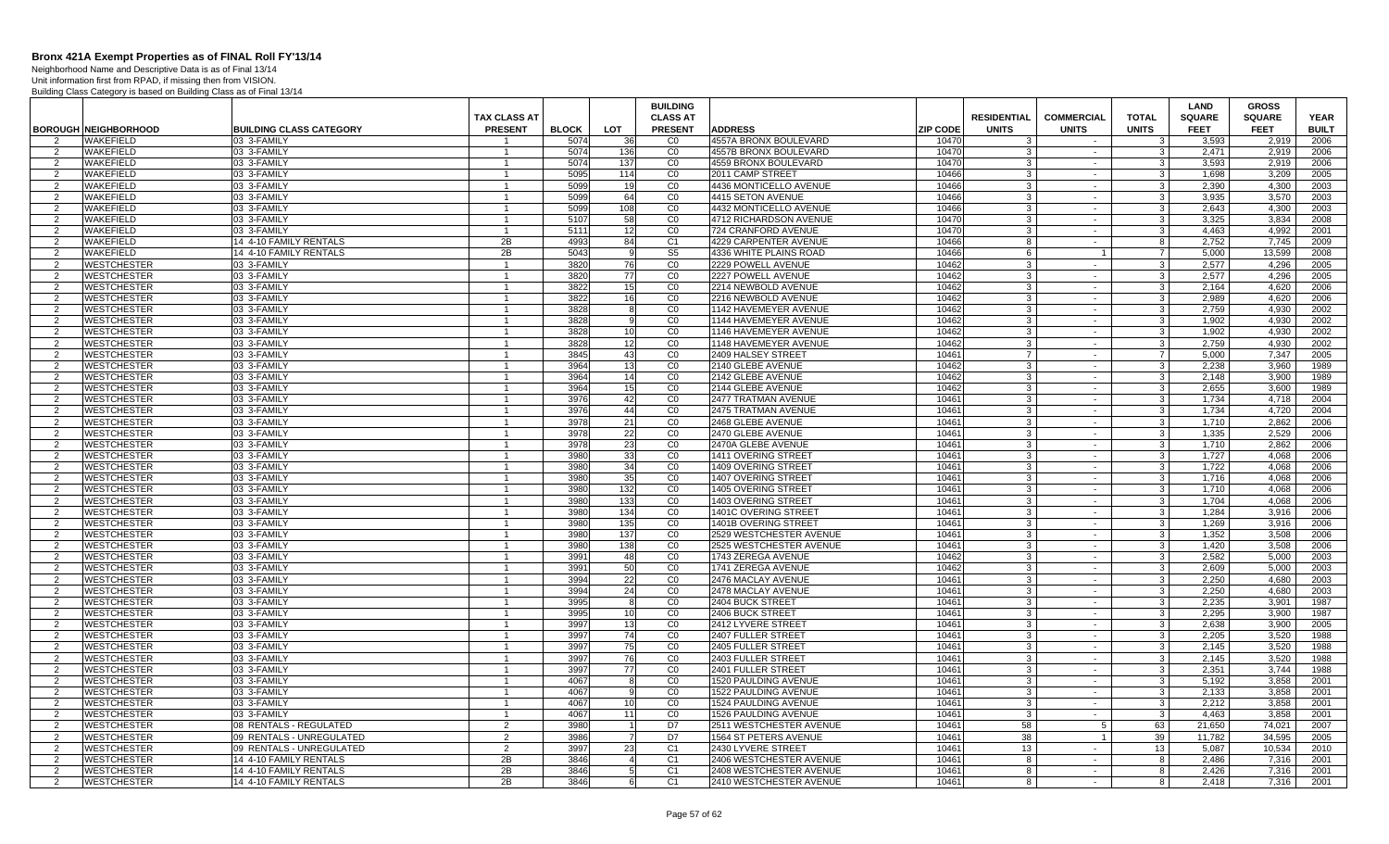Neighborhood Name and Descriptive Data is as of Final 13/14

|                |                             |                                |                     |              |            | <b>BUILDING</b> |                                     |                    |                   |                         | <b>LAND</b>   | <b>GROSS</b>  |              |
|----------------|-----------------------------|--------------------------------|---------------------|--------------|------------|-----------------|-------------------------------------|--------------------|-------------------|-------------------------|---------------|---------------|--------------|
|                |                             |                                | <b>TAX CLASS AT</b> |              |            | <b>CLASS AT</b> |                                     | <b>RESIDENTIAL</b> | <b>COMMERCIAL</b> | <b>TOTAL</b>            | <b>SQUARE</b> | <b>SQUARE</b> | <b>YEAR</b>  |
|                | <b>BOROUGH NEIGHBORHOOD</b> | <b>BUILDING CLASS CATEGORY</b> | <b>PRESENT</b>      | <b>BLOCK</b> | <b>LOT</b> | <b>PRESENT</b>  | <b>ADDRESS</b><br><b>ZIP CODE</b>   | <b>UNITS</b>       | <b>UNITS</b>      | <b>UNITS</b>            | <b>FEET</b>   | <b>FEET</b>   | <b>BUILT</b> |
|                | WAKEFIELD                   | 03 3-FAMILY                    |                     | 507          | 36         | CO              | 4557A BRONX BOULEVARD<br>1047       |                    |                   | 3                       | 3.593         | 2,919         | 2006         |
| 2              | WAKEFIELD                   | 03 3-FAMILY                    |                     | 5074         | 136        | CO              | 4557B BRONX BOULEVARD<br>1047       | $\cdot$ 3          | $\sim$            | 3                       | 2,471         | 2,919         | 2006         |
| 2              | <b>WAKEFIELD</b>            | 03 3-FAMILY                    | $\mathbf{1}$        | 5074         | 137        | CO              | 4559 BRONX BOULEVARD<br>10470       | 3                  | $\sim$            | 3 <sup>1</sup>          | 3,593         | 2.919         | 2006         |
| 2              | <b>WAKEFIELD</b>            | 03 3-FAMILY                    | $\mathbf{1}$        | 5095         | 114        | CO              | 2011 CAMP STREET<br>10466           | -3                 | $\sim$            | 3 <sup>1</sup>          | 1.698         | 3.209         | 2005         |
| 2              | <b>WAKEFIELD</b>            | 03 3-FAMILY                    | $\mathbf{1}$        | 5099         | 19         | CO              | 4436 MONTICELLO AVENUE<br>10466     | $\mathbf{3}$       | $\sim$            | 3 <sup>1</sup>          | 2.390         | 4.300         | 2003         |
| 2              | <b>WAKEFIELD</b>            | 03 3-FAMILY                    | $\overline{1}$      | 5099         | 64         | CO              | 10466<br>4415 SETON AVENUE          | 3                  | $\sim$            | 3 <sup>1</sup>          | 3.935         | 3.570         | 2003         |
| 2              | WAKEFIELD                   | 03 3-FAMILY                    | $\overline{1}$      | 5099         | 108        | CO              | 10466<br>4432 MONTICELLO AVENUE     | -3                 | $\sim$            | $\mathbf{3}$            | 2,643         | 4,300         | 2003         |
| $\overline{2}$ | <b>WAKEFIELD</b>            | 03 3-FAMILY                    | $\overline{1}$      | 5107         | 58         | CO              | 10470<br>4712 RICHARDSON AVENUE     | -3                 | $\sim$            | $\mathbf{3}$            | 3.325         | 3.834         | 2008         |
| 2              | <b>WAKEFIELD</b>            | 03 3-FAMILY                    | $\mathbf{1}$        | 5111         | 12         | CO              | 1047<br>724 CRANFORD AVENUE         | -3                 | $\sim$            | $\mathbf{3}$            | 4.463         | 4.992         | 2001         |
| $\overline{2}$ | WAKEFIELD                   | 14 4-10 FAMILY RENTALS         | 2B                  | 4993         | 84         | C <sub>1</sub>  | 4229 CARPENTER AVENUE<br>10466      | 8                  | $\sim$            | 8                       | 2,752         | 7,745         | 2009         |
| 2              | <b>WAKEFIELD</b>            | 14 4-10 FAMILY RENTALS         | 2B                  | 5043         |            | S <sub>5</sub>  | 10466<br>4336 WHITE PLAINS ROAD     | - 6                | $\overline{1}$    | -7                      | 5,000         | 13,599        | 2008         |
| 2              | <b>WESTCHESTER</b>          | 03 3-FAMILY                    | $\mathbf{1}$        | 3820         | 76         | CO              | 2229 POWELL AVENUE<br>10462         | $\cdot$ 3          | $\sim$            | 3 <sup>1</sup>          | 2.577         | 4.296         | 2005         |
| $\overline{2}$ | <b>WESTCHESTER</b>          | 03 3-FAMILY                    | $\mathbf{1}$        | 3820         | 77         | CO              | 2227 POWELL AVENUE<br>10462         | $\cdot$ 3          | $\sim$            | 3 <sup>1</sup>          | 2,577         | 4,296         | 2005         |
| 2              | <b>WESTCHESTER</b>          | 03 3-FAMILY                    | $\overline{1}$      | 3822         | 15         | CO              | 10462<br>2214 NEWBOLD AVENUE        | $\mathbf{3}$       | $\sim$            | $\overline{\mathbf{3}}$ | 2.164         | 4,620         | 2006         |
| -2             | <b>WESTCHESTER</b>          | 03 3-FAMILY                    | $\mathbf{1}$        | 3822         | 16         | CO              | 10462<br>2216 NEWBOLD AVENUE        | -3                 | $\sim$            | د                       | 2,989         | 4,620         | 2006         |
| 2              | <b>WESTCHESTER</b>          | 03 3-FAMILY                    | $\overline{1}$      | 3828         |            | CO              | 10462<br>1142 HAVEMEYER AVENUE      | -3                 | $\sim$            | $\mathbf{3}$            | 2.759         | 4.930         | 2002         |
| $\overline{2}$ | <b>WESTCHESTER</b>          | 03 3-FAMILY                    | $\overline{1}$      | 3828         |            | CO              | 10462<br>1144 HAVEMEYER AVENUE      | -3                 | $\sim$            | $\mathbf{3}$            | 1,902         | 4,930         | 2002         |
| $\overline{2}$ | <b>WESTCHESTER</b>          | 03 3-FAMILY                    | -1                  | 3828         | 10         | CO              | 1146 HAVEMEYER AVENUE<br>10462      | 3                  | $\sim$            | $\mathbf{3}$            | 1,902         | 4,930         | 2002         |
| 2              | WESTCHESTER                 | 03 3-FAMILY                    | $\mathbf{1}$        | 3828         | 12         | C <sub>0</sub>  | 1148 HAVEMEYER AVENUE<br>10462      | -3                 | $\sim$            | د                       | 2,759         | 4,930         | 2002         |
| 2              | <b>WESTCHESTER</b>          | 03 3-FAMILY                    | $\mathbf{1}$        | 3845         | 43         | CO              | 2409 HALSEY STREET<br>10461         | $\overline{7}$     | $\sim$            | $\overline{7}$          | 5,000         | 7,347         | 2005         |
| 2              | <b>WESTCHESTER</b>          | 03 3-FAMILY                    | $\mathbf{1}$        | 3964         | 13         | CO              | 2140 GLEBE AVENUE<br>10462          | $\cdot$ 3          | $\sim$            | 3 <sup>1</sup>          | 2,238         | 3,960         | 1989         |
| 2              | <b>WESTCHESTER</b>          | 03 3-FAMILY                    | $\overline{1}$      | 3964         | 14         | CO              | 2142 GLEBE AVENUE<br>10462          | 3                  | $\sim$            | 3 <sup>1</sup>          | 2.148         | 3.900         | 1989         |
| 2              | <b>WESTCHESTER</b>          | 03 3-FAMILY                    | -1                  | 3964         | 15         | CO              | 2144 GLEBE AVENUE<br>10462          | -3                 | $\sim$            | د                       | 2.655         | 3,600         | 1989         |
| $\mathcal{P}$  | WESTCHESTER                 | 03 3-FAMILY                    | $\overline{1}$      | 3976         | 42         | CO              | 10461<br>2477 TRATMAN AVENUE        | 3                  | $\sim$            | $\mathbf{3}$            | 1.734         | 4.718         | 2004         |
| 2              | <b>WESTCHESTER</b>          | 03 3-FAMILY                    | $\overline{1}$      | 3976         | 44         | CO              | 10461<br>2475 TRATMAN AVENUE        | -3                 | $\sim$            | $\mathbf{3}$            | 1,734         | 4,720         | 2004         |
| $\overline{2}$ | <b>WESTCHESTER</b>          | 03 3-FAMILY                    | $\mathbf{1}$        | 3978         | 21         | CO              | 2468 GLEBE AVENUE<br>10461          | 3                  | $\sim$            | $\mathbf{3}$            | 1.710         | 2.862         | 2006         |
| 2              | <b>WESTCHESTER</b>          | 03 3-FAMILY                    |                     | 3978         | 22         | CO              | 2470 GLEBE AVENUE<br>10461          | -3                 | $\sim$            | 3                       | 1.335         | 2.529         | 2006         |
| 2              | <b>WESTCHESTER</b>          | 03 3-FAMILY                    | $\mathbf{1}$        | 3978         | 23         | CO              | 2470A GLEBE AVENUE<br>10461         | -3                 | $\sim$            | 3 <sup>1</sup>          | 1.710         | 2.862         | 2006         |
| $\mathcal{P}$  | <b>WESTCHESTER</b>          | 03 3-FAMILY                    | $\overline{1}$      | 3980         | 33         | CO              | 10461<br>1411 OVERING STREET        | $\cdot$ 3          | $\sim$            | $\mathbf{3}$            | 1,727         | 4,068         | 2006         |
| 2              | <b>WESTCHESTER</b>          | 03 3-FAMILY                    | $\mathbf{1}$        | 3980         | 34         | CO              | 10461<br>1409 OVERING STREET        | 3                  | $\sim$            | 3 <sup>1</sup>          | 1,722         | 4.068         | 2006         |
| $\mathcal{P}$  | <b>WESTCHESTER</b>          | 03 3-FAMILY                    | $\mathbf{1}$        | 3980         | 35         | CO              | 10461<br>1407 OVERING STREET        | $\cdot$ 3          | $\sim$            | 3 <sup>1</sup>          | 1.716         | 4.068         | 2006         |
| 2              | <b>WESTCHESTER</b>          | 03 3-FAMILY                    | $\overline{1}$      | 3980         | 132        | CO              | 10461<br><b>1405 OVERING STREET</b> | -3                 | $\sim$            | $\mathbf{3}$            | 1.710         | 4.068         | 2006         |
| $\mathcal{P}$  | WESTCHESTER                 | 03 3-FAMILY                    | $\overline{1}$      | 3980         | 133        | CO              | 1403 OVERING STREET<br>10461        | $\mathcal{R}$      | $\sim$            | $\mathbf{3}$            | 1,704         | 4,068         | 2006         |
| 2              | <b>WESTCHESTER</b>          | 03 3-FAMILY                    | -1                  | 3980         | 134        | CO              | 1401C OVERING STREET<br>10461       | -3                 | $\sim$            | 3                       | 1,284         | 3,916         | 2006         |
| $\overline{2}$ | <b>WESTCHESTER</b>          | 03 3-FAMILY                    | $\overline{1}$      | 3980         | 135        | CO              | 1401B OVERING STREET<br>10461       | 3                  | $\sim$            | 3 <sup>1</sup>          | 1.269         | 3.916         | 2006         |
| 2              | <b>WESTCHESTER</b>          | 03 3-FAMILY                    |                     | 3980         | 137        | CO              | 2529 WESTCHESTER AVENUE<br>10461    | -3                 | $\sim$            | $\mathbf{3}$            | 1.352         | 3.508         | 2006         |
| 2              | <b>WESTCHESTER</b>          | 03 3-FAMILY                    | $\mathbf{1}$        | 3980         | 138        | CO              | 10461<br>2525 WESTCHESTER AVENUE    | 3                  | $\sim$            | 3 <sup>1</sup>          | 1,420         | 3,508         | 2006         |
| 2              | <b>WESTCHESTER</b>          | 03 3-FAMILY                    | $\mathbf{1}$        | 3991         | 48         | CO              | 1743 ZEREGA AVENUE<br>10462         | -3                 | $\sim$            | $\mathbf{3}$            | 2,582         | 5.000         | 2003         |
| 2              | <b>WESTCHESTER</b>          | 03 3-FAMILY                    | $\mathbf{1}$        | 3991         | 50         | CO              | 10462<br>1741 ZEREGA AVENUE         | -3                 | $\sim$            | 3 <sup>1</sup>          | 2.609         | 5.000         | 2003         |
| 2              | <b>WESTCHESTER</b>          | 03 3-FAMILY                    | $\overline{1}$      | 3994         | 22         | CO              | 2476 MACLAY AVENUE<br>10461         | -3                 | $\sim$            | $\mathbf{3}$            | 2.250         | 4.680         | 2003         |
| 2              | <b>WESTCHESTER</b>          | 03 3-FAMILY                    | $\overline{1}$      | 3994         | 24         | CO              | 2478 MACLAY AVENUE<br>1046          | -3                 | $\sim$            | $\mathbf{3}$            | 2,250         | 4,680         | 2003         |
| $\overline{2}$ | WESTCHESTER                 | 03 3-FAMILY                    | $\mathbf{1}$        | 3995         |            | CO              | 2404 BUCK STREET<br>10461           | 3                  | $\sim$            | $\mathbf{3}$            | 2,235         | 3,901         | 1987         |
| $\overline{2}$ | WESTCHESTER                 | 03 3-FAMILY                    |                     | 3995         | 10         | CO              | 2406 BUCK STREET<br>10461           | 3                  | $\sim$            | 3                       | 2.295         | 3.900         | 1987         |
| $\mathcal{P}$  | <b>WESTCHESTER</b>          | 03 3-FAMILY                    | $\mathbf{1}$        | 3997         | 13         | CO              | 2412 LYVERE STREET<br>10461         | $\mathbf{3}$       | $\sim$            | 3 <sup>1</sup>          | 2.638         | 3.900         | 2005         |
| 2              | <b>WESTCHESTER</b>          | 03 3-FAMILY                    | $\mathbf{1}$        | 3997         | 74         | CO              | 10461<br>2407 FULLER STREET         | 3                  | $\sim$            | $\overline{3}$          | 2,205         | 3,520         | 1988         |
| 2              | <b>WESTCHESTER</b>          | 03 3-FAMILY                    | $\mathbf{1}$        | 3997         | 75         | CO              | 2405 FULLER STREET<br>10461         | -3                 | $\sim$            | $\overline{3}$          | 2.145         | 3,520         | 1988         |
| 2              | <b>WESTCHESTER</b>          | 03 3-FAMILY                    | $\mathbf{1}$        | 3997         | 76         | CO              | 10461<br>2403 FULLER STREET         | 3                  | $\sim$            | 3 <sup>1</sup>          | 2.145         | 3.520         | 1988         |
| 2              | <b>WESTCHESTER</b>          | 03 3-FAMILY                    | $\mathbf{1}$        | 3997         | 77         | $\overline{C}0$ | 1046<br>2401 FULLER STREET          | -3                 | $\sim$            | $\mathbf{3}$            | 2,351         | 3,744         | 1988         |
| $\overline{2}$ | <b>WESTCHESTER</b>          | 03 3-FAMILY                    | $\overline{1}$      | 4067         |            | CO              | 1520 PAULDING AVENUE<br>1046        | 3                  | $\sim$            | $\mathbf{3}$            | 5,192         | 3,858         | 2001         |
| 2              | <b>WESTCHESTER</b>          | 03 3-FAMILY                    |                     | 4067         |            | $_{\rm CO}$     | 1522 PAULDING AVENUE<br>1046        | -3                 | $\sim$            | $\overline{3}$          | 2,133         | 3,858         | 2001         |
| $\overline{2}$ | <b>WESTCHESTER</b>          | 03 3-FAMILY                    | $\mathbf{1}$        | 4067         | 10         | CO              | 1524 PAULDING AVENUE<br>10461       | $\cdot$ 3          | $\sim$            | $\mathbf{3}$            | 2.212         | 3.858         | 2001         |
| 2              | WESTCHESTER                 | 03 3-FAMILY                    |                     | 4067         | 11         | CO              | 1526 PAULDING AVENUE<br>10461       | $\mathcal{R}$      | $\sim$            | 3                       | 4,463         | 3,858         | 2001         |
| 2              | <b>WESTCHESTER</b>          | 08 RENTALS - REGULATED         | 2                   | 3980         |            | D7              | 1046<br>2511 WESTCHESTER AVENUE     | 58                 | 5                 | 63                      | 21,650        | 74.021        | 2007         |
| 2              | <b>WESTCHESTER</b>          | 09 RENTALS - UNREGULATED       | 2                   | 3986         | -7         | D7              | 10461<br>1564 ST PETERS AVENUE      | 38                 | $\overline{1}$    | 39                      | 11.782        | 34.595        | 2005         |
| 2              | <b>WESTCHESTER</b>          | 09 RENTALS - UNREGULATED       | 2                   | 3997         | 23         | C <sub>1</sub>  | 10461<br>2430 LYVERE STREET         | 13                 | $\sim$            | 13                      | 5.087         | 10.534        | 2010         |
| $\mathcal{D}$  | WESTCHESTER                 | 14 4-10 FAMILY RENTALS         | 2B                  | 3846         |            | C1              | 1046<br>2406 WESTCHESTER AVENUE     | -8                 | $\sim$            | 8                       | 2,486         | 7,316         | 2001         |
| 2              | <b>WESTCHESTER</b>          | 14 4-10 FAMILY RENTALS         | 2B                  | 3846         |            | C <sub>1</sub>  | 10461<br>2408 WESTCHESTER AVENUE    | -8                 | $\sim$            | 8                       | 2,426         | 7,316         | 2001         |
| $\overline{2}$ | <b>WESTCHESTER</b>          | 14 4-10 FAMILY RENTALS         | 2B                  | 3846         |            | C <sub>1</sub>  | 2410 WESTCHESTER AVENUE<br>10461    | 8                  |                   | 8                       | 2,418         | 7,316         | 2001         |
|                |                             |                                |                     |              |            |                 |                                     |                    |                   |                         |               |               |              |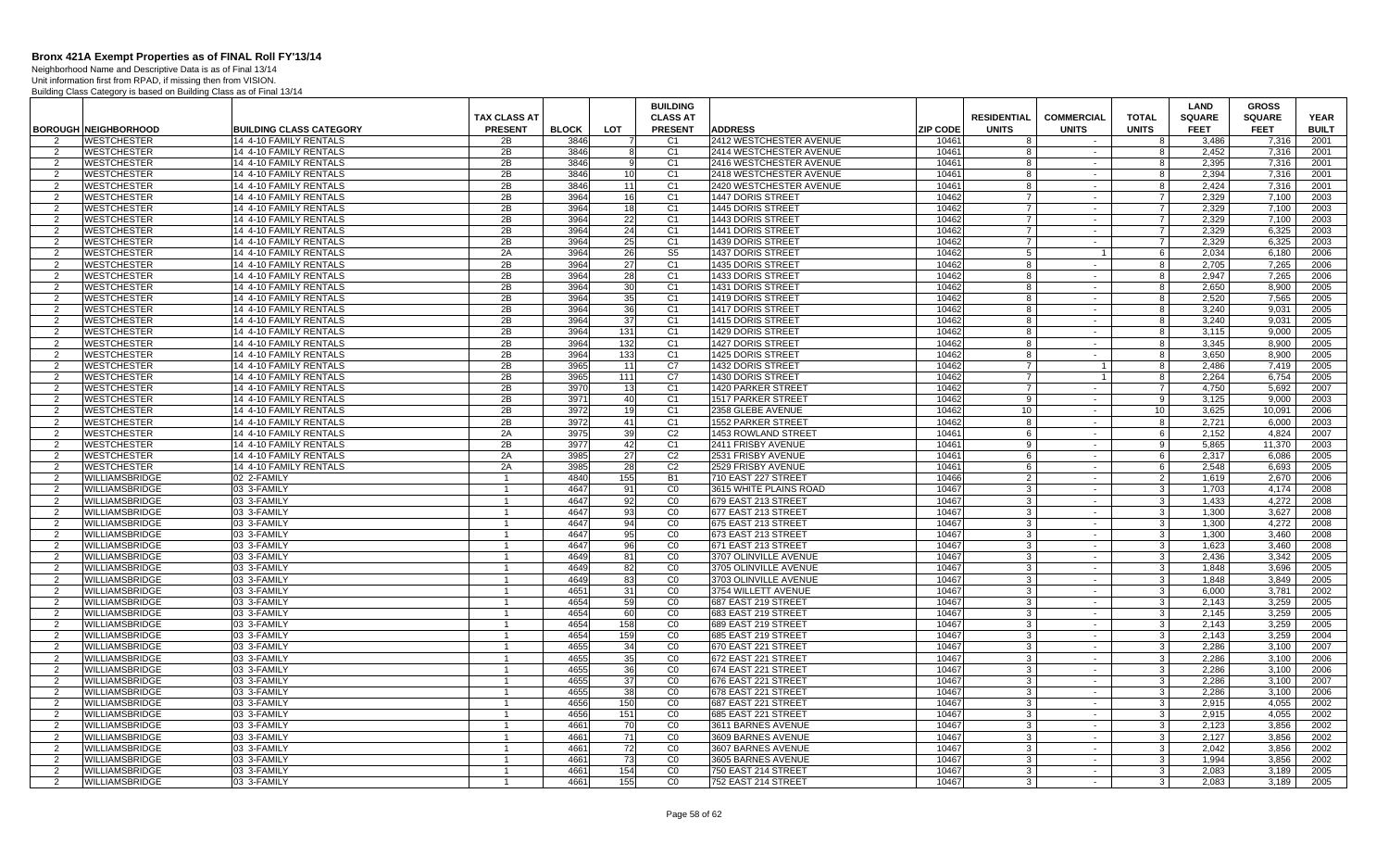Neighborhood Name and Descriptive Data is as of Final 13/14

|                     |                                                |                                                  |                                       |              |                 | <b>BUILDING</b>                   |                                            |                 |                                    |                                   |                                | <b>LAND</b>                  | <b>GROSS</b>                 |                             |
|---------------------|------------------------------------------------|--------------------------------------------------|---------------------------------------|--------------|-----------------|-----------------------------------|--------------------------------------------|-----------------|------------------------------------|-----------------------------------|--------------------------------|------------------------------|------------------------------|-----------------------------|
|                     | <b>BOROUGH NEIGHBORHOOD</b>                    | <b>BUILDING CLASS CATEGORY</b>                   | <b>TAX CLASS AT</b><br><b>PRESENT</b> | <b>BLOCK</b> | LOT             | <b>CLASS AT</b><br><b>PRESENT</b> | <b>ADDRESS</b>                             | <b>ZIP CODE</b> | <b>RESIDENTIAL</b><br><b>UNITS</b> | <b>COMMERCIAL</b><br><b>UNITS</b> | <b>TOTAL</b><br><b>UNITS</b>   | <b>SQUARE</b><br><b>FEET</b> | <b>SQUARE</b><br><b>FEET</b> | <b>YEAR</b><br><b>BUILT</b> |
| 2                   | <b>WESTCHESTER</b>                             | 14 4-10 FAMILY RENTALS                           | 2B                                    | 3846         |                 | C <sub>1</sub>                    | 2412 WESTCHESTER AVENUE                    | 10461           | -8                                 | $\sim$                            | 8                              | 3.486                        | 7,316                        | 2001                        |
| 2                   | <b>WESTCHESTER</b>                             | 14 4-10 FAMILY RENTALS                           | 2B                                    | 3846         | 8               | C <sub>1</sub>                    | 2414 WESTCHESTER AVENUE                    | 10461           | 8                                  | $\sim$                            | 8                              | 2,452                        | 7.316                        | 2001                        |
| 2                   | <b>WESTCHESTER</b>                             | 14 4-10 FAMILY RENTALS                           | 2B                                    | 3846         | 9               | C <sub>1</sub>                    | 2416 WESTCHESTER AVENUE                    | 10461           | 8                                  | $\sim$                            | 8                              | 2,395                        | 7,316                        | 2001                        |
| -2                  | <b>WESTCHESTER</b>                             | 14 4-10 FAMILY RENTALS                           | 2B                                    | 3846         | 10              | C <sub>1</sub>                    | 2418 WESTCHESTER AVENUE                    | 10461           | 8                                  | $\sim$                            | 8                              | 2,394                        | 7,316                        | 2001                        |
| 2                   | <b>WESTCHESTER</b>                             | 14 4-10 FAMILY RENTALS                           | 2B                                    | 3846         | 11              | C <sub>1</sub>                    | 2420 WESTCHESTER AVENUE                    | 10461           | 8                                  | $\sim$                            | 8                              | 2,424                        | 7,316                        | 2001                        |
| $\mathcal{P}$       | <b>WESTCHESTER</b>                             | 14 4-10 FAMILY RENTALS                           | 2B                                    | 3964         | 16              | C <sub>1</sub>                    | 1447 DORIS STREET                          | 10462           | $\overline{7}$                     | $\sim$                            | $7\overline{ }$                | 2,329                        | 7,100                        | 2003                        |
| $\overline{2}$      | <b>WESTCHESTER</b>                             | 14 4-10 FAMILY RENTALS                           | 2B                                    | 3964         | 18              | C <sub>1</sub>                    | 1445 DORIS STREET                          | 10462           | $\overline{7}$                     | $\sim$                            | $\overline{7}$                 | 2,329                        | 7,100                        | 2003                        |
| 2                   | <b>WESTCHESTER</b>                             | 14 4-10 FAMILY RENTALS                           | 2B                                    | 3964         | 22              | C <sub>1</sub>                    | 1443 DORIS STREET                          | 10462           | $\overline{7}$                     | $\sim$                            | $7\overline{ }$                | 2.329                        | 7,100                        | 2003                        |
| 2                   | <b>WESTCHESTER</b>                             | 14 4-10 FAMILY RENTALS                           | 2B                                    | 3964         | 24              | C <sub>1</sub>                    | 1441 DORIS STREET                          | 10462           | $\overline{7}$                     | $\sim$                            | $\overline{7}$                 | 2,329                        | 6,325                        | 2003                        |
| $\mathcal{P}$       | <b>WESTCHESTER</b>                             | 14 4-10 FAMILY RENTALS                           | 2B                                    | 3964         | 25              | C <sub>1</sub>                    | 1439 DORIS STREET                          | 10462           | $\overline{7}$                     | $\sim$                            | $7\overline{ }$                | 2,329                        | 6,325                        | 2003                        |
| 2                   | <b>WESTCHESTER</b>                             | 14 4-10 FAMILY RENTALS                           | 2A                                    | 3964         | 26              | S <sub>5</sub>                    | 1437 DORIS STREET                          | 10462           | $5\overline{)}$                    |                                   | $6 \overline{6}$               | 2,034                        | 6,180                        | 2006                        |
| 2                   | <b>WESTCHESTER</b>                             | 14 4-10 FAMILY RENTALS                           | 2B                                    | 3964         | 27              | C <sub>1</sub>                    | 1435 DORIS STREET                          | 10462           | 8                                  | $\sim$                            | 8                              | 2,705                        | 7,265                        | 2006                        |
| 2                   | <b>WESTCHESTER</b>                             | 14 4-10 FAMILY RENTALS                           | 2B                                    | 3964         | 28              | C <sub>1</sub>                    | 1433 DORIS STREET                          | 10462           | 8                                  | $\sim$                            | 8                              | 2.947                        | 7.265                        | 2006                        |
| 2                   | <b>WESTCHESTER</b>                             | 14 4-10 FAMILY RENTALS                           | 2B                                    | 3964         | 30 <sup>1</sup> | C <sub>1</sub>                    | 1431 DORIS STREET                          | 10462           | 8                                  | $\sim$                            | 8                              | 2,650                        | 8,900                        | 2005                        |
| $\overline{2}$      | <b>WESTCHESTER</b>                             | 14 4-10 FAMILY RENTALS                           | 2B                                    | 3964         | 35              | C <sub>1</sub>                    | 1419 DORIS STREET                          | 10462           | 8                                  | $\sim$                            | $\overline{\mathbf{8}}$        | 2,520                        | 7,565                        | 2005                        |
| 2                   | WESTCHESTER                                    | 14 4-10 FAMILY RENTALS                           | $\overline{2B}$                       | 3964         | 36              | C <sub>1</sub>                    | 1417 DORIS STREET                          | 10462           | 8                                  | $\sim$<br>$\sim$                  | 8                              | 3.240                        | 9,031                        | 2005                        |
| 2<br>$\mathcal{P}$  | <b>WESTCHESTER</b>                             | 14 4-10 FAMILY RENTALS<br>14 4-10 FAMILY RENTALS | 2B<br>2B                              | 3964<br>3964 | 37              | C <sub>1</sub><br>C <sub>1</sub>  | 1415 DORIS STREET                          | 10462<br>10462  | 8<br>8                             |                                   | 8                              | 3.240<br>3.115               | 9.031                        | 2005<br>2005                |
| 2                   | <b>WESTCHESTER</b><br><b>WESTCHESTER</b>       | 14 4-10 FAMILY RENTALS                           | 2B                                    | 3964         | 131<br>132      | C <sub>1</sub>                    | 1429 DORIS STREET<br>1427 DORIS STREET     | 10462           | 8                                  | $\sim$<br>$\sim$                  | 8<br>$^{\circ}$                | 3,345                        | 9,000<br>8,900               | 2005                        |
| $\overline{2}$      | WESTCHESTER                                    | 14 4-10 FAMILY RENTALS                           | 2B                                    | 3964         | 133             | C1                                | 1425 DORIS STREET                          | 10462           | 8                                  | $\sim$                            | $\overline{\mathbf{8}}$        | 3,650                        | 8,900                        | 2005                        |
| 2                   | <b>WESTCHESTER</b>                             | 14 4-10 FAMILY RENTALS                           | 2B                                    | 3965         | 11              | C7                                | 1432 DORIS STREET                          | 10462           | -7                                 |                                   | 8                              | 2.486                        | 7.419                        | 2005                        |
| $\mathcal{P}$       | <b>WESTCHESTER</b>                             | 14 4-10 FAMILY RENTALS                           | 2B                                    | 3965         | 111             | C7                                | 1430 DORIS STREET                          | 10462           | $\overline{7}$                     |                                   | 8                              | 2,264                        | 6,754                        | 2005                        |
| $\overline{2}$      | <b>WESTCHESTER</b>                             | 14 4-10 FAMILY RENTALS                           | 2B                                    | 3970         | 13              | C <sub>1</sub>                    | 1420 PARKER STREET                         | 10462           | $\overline{7}$                     | $\sim$                            | $\overline{7}$                 | 4,750                        | 5,692                        | 2007                        |
| $\mathcal{P}$       | <b>WESTCHESTER</b>                             | 14 4-10 FAMILY RENTALS                           | 2B                                    | 3971         | 40              | C <sub>1</sub>                    | 1517 PARKER STREET                         | 10462           | 9                                  | $\sim$                            | -91                            | 3,125                        | 9.000                        | 2003                        |
| $\overline{2}$      | WESTCHESTER                                    | 14 4-10 FAMILY RENTALS                           | 2B                                    | 3972         | 19              | C <sub>1</sub>                    | 2358 GLEBE AVENUE                          | 10462           | 10                                 | $\sim$                            | 10 <sub>1</sub>                | 3.625                        | 10.091                       | 2006                        |
| 2                   | <b>WESTCHESTER</b>                             | 14 4-10 FAMILY RENTALS                           | 2B                                    | 3972         | 41              | C <sub>1</sub>                    | 1552 PARKER STREET                         | 10462           | 8                                  | $\sim$                            | 8                              | 2,721                        | 6.000                        | 2003                        |
| 2                   | <b>WESTCHESTER</b>                             | 14 4-10 FAMILY RENTALS                           | 2A                                    | 3975         | 39              | C <sub>2</sub>                    | 1453 ROWLAND STREET                        | 10461           | 6                                  | $\sim$                            | $6 \overline{6}$               | 2,152                        | 4,824                        | 2007                        |
| 2                   | <b>WESTCHESTER</b>                             | 14 4-10 FAMILY RENTALS                           | 2B                                    | 3977         | 42              | C <sub>1</sub>                    | 2411 FRISBY AVENUE                         | 10461           | 9                                  | $\sim$                            | 9                              | 5,865                        | 11.370                       | 2003                        |
| $\mathcal{P}$       | WESTCHESTER                                    | 14 4-10 FAMILY RENTALS                           | 2A                                    | 3985         | 27              | C <sub>2</sub>                    | 2531 FRISBY AVENUE                         | 10461           | 6                                  | $\sim$                            | 6                              | 2,317                        | 6.086                        | 2005                        |
| 2                   | <b>WESTCHESTER</b>                             | 14 4-10 FAMILY RENTALS                           | 2A                                    | 3985         | 28              | C <sub>2</sub>                    | 2529 FRISBY AVENUE                         | 10461           | 6                                  | $\sim$                            | 6                              | 2,548                        | 6,693                        | 2005                        |
| $\overline{2}$      | WILLIAMSBRIDGE                                 | 02 2-FAMILY                                      | $\mathbf{1}$                          | 4840         | 155             | <b>B1</b>                         | 710 EAST 227 STREET                        | 10466           | $\overline{2}$                     | $\sim$                            | 2                              | 1,619                        | 2,670                        | 2006                        |
| $\overline{2}$      | <b>WILLIAMSBRIDGE</b>                          | 03 3-FAMILY                                      | $\mathbf{1}$                          | 4647         | 91              | CO                                | 3615 WHITE PLAINS ROAD                     | 10467           | 3                                  | $\sim$                            | $\mathbf{3}$                   | 1.703                        | 4,174                        | 2008                        |
| 2                   | <b>WILLIAMSBRIDGE</b>                          | 03 3-FAMILY                                      | $\mathbf{1}$                          | 4647         | 92              | CO                                | 679 EAST 213 STREET                        | 10467           | $\mathbf{3}$                       | $\sim$                            | 3 <sup>1</sup>                 | 1.433                        | 4,272                        | 2008                        |
| 2                   | WILLIAMSBRIDGE                                 | 03 3-FAMILY                                      | $\mathbf{1}$                          | 4647         | 93              | CO                                | 677 EAST 213 STREET                        | 10467           | 3                                  | $\sim$                            | $\mathbf{3}$                   | 1,300                        | 3,627                        | 2008                        |
| 2<br>2              | <b>WILLIAMSBRIDGE</b><br><b>WILLIAMSBRIDGE</b> | 03 3-FAMILY                                      | $\mathbf{1}$<br>$\overline{1}$        | 4647<br>4647 | 94<br>95        | CO<br>CO                          | 675 EAST 213 STREET                        | 10467<br>10467  | 3<br>3                             | $\sim$<br>$\sim$                  | 3 <sup>1</sup>                 | 1,300<br>1.300               | 4.272<br>3,460               | 2008<br>2008                |
| 2                   | WILLIAMSBRIDGE                                 | 03 3-FAMILY<br>03 3-FAMILY                       | $\overline{1}$                        | 4647         | 96              | CO                                | 673 EAST 213 STREET<br>671 EAST 213 STREET | 10467           | -3                                 | $\sim$                            | 3 <sup>1</sup><br>$\mathbf{3}$ | 1,623                        | 3,460                        | 2008                        |
| $\overline{2}$      | WILLIAMSBRIDGE                                 | 03 3-FAMILY                                      | $\overline{1}$                        | 4649         | 81              | CO                                | 3707 OLINVILLE AVENUE                      | 10467           | 3                                  | $\sim$                            | $\mathbf{3}$                   | 2,436                        | 3,342                        | 2005                        |
| 2                   | WILLIAMSBRIDGE                                 | 03 3-FAMILY                                      | -1                                    | 4649         | 82              | CO                                | 3705 OLINVILLE AVENUE                      | 10467           | -3                                 | $\sim$                            | $\mathbf{3}$                   | 1.848                        | 3.696                        | 2005                        |
| 2                   | <b>WILLIAMSBRIDGE</b>                          | 03 3-FAMILY                                      | $\mathbf{1}$                          | 4649         | 83              | CO                                | 3703 OLINVILLE AVENUE                      | 10467           | -3                                 | $\sim$                            | 3 <sup>1</sup>                 | 1.848                        | 3.849                        | 2005                        |
| 2                   | <b>WILLIAMSBRIDGE</b>                          | 03 3-FAMILY                                      | $\mathbf{1}$                          | 4651         | 31              | C <sub>0</sub>                    | 3754 WILLETT AVENUE                        | 10467           | 3                                  | $\sim$                            | 3 <sup>1</sup>                 | 6,000                        | 3,781                        | 2002                        |
| 2                   | <b>WILLIAMSBRIDGE</b>                          | 03 3-FAMILY                                      | $\overline{1}$                        | 4654         | 59              | CO                                | 687 EAST 219 STREET                        | 10467           | $\mathbf{3}$                       | $\sim$                            | 3 <sup>1</sup>                 | 2,143                        | 3,259                        | 2005                        |
| 2                   | <b>WILLIAMSBRIDGE</b>                          | 03 3-FAMILY                                      | $\mathbf{1}$                          | 4654         | 60              | CO                                | 683 EAST 219 STREET                        | 10467           | 3                                  | $\sim$                            | $\mathbf{3}$                   | 2.145                        | 3,259                        | 2005                        |
| 2                   | <b>WILLIAMSBRIDGE</b>                          | 03 3-FAMILY                                      | -1                                    | 4654         | 158             | C <sub>0</sub>                    | 689 EAST 219 STREET                        | 10467           | -3                                 | $\sim$                            | -3 I                           | 2.143                        | 3.259                        | 2005                        |
| $\overline{2}$      | <b>WILLIAMSBRIDGE</b>                          | 03 3-FAMILY                                      | $\overline{1}$                        | 4654         | 159             | CO                                | 685 EAST 219 STREET                        | 10467           | 3                                  | $\sim$                            | $\mathbf{3}$                   | 2,143                        | 3,259                        | 2004                        |
| 2                   | <b>WILLIAMSBRIDGE</b>                          | 03 3-FAMILY                                      | -1                                    | 4655         | 34              | CO                                | 670 EAST 221 STREET                        | 10467           | -3                                 | $\sim$                            | $\mathbf{3}$                   | 2,286                        | 3,100                        | 2007                        |
| $\overline{2}$      | WILLIAMSBRIDGE                                 | 03 3-FAMILY                                      | $\overline{1}$                        | 4655         | 35              | CO                                | 672 EAST 221 STREET                        | 10467           | 3                                  | $\sim$                            | د                              | 2,286                        | 3,100                        | 2006                        |
| $\overline{2}$      | WILLIAMSBRIDGE                                 | 03 3-FAMILY                                      | $\mathbf{1}$                          | 4655         | 36              | CO                                | 674 EAST 221 STREET                        | 10467           | 3                                  | $\sim$                            | $\overline{3}$                 | 2.286                        | 3,100                        | 2006                        |
| 2                   | <b>WILLIAMSBRIDGE</b>                          | 03 3-FAMILY                                      | $\mathbf{1}$                          | 4655         | 37              | C <sub>0</sub>                    | 676 EAST 221 STREET                        | 10467           | 3                                  | $\sim$                            | 3 <sup>1</sup>                 | 2,286                        | 3,100                        | 2007                        |
| 2                   | <b>WILLIAMSBRIDGE</b>                          | 03 3-FAMILY                                      | $\mathbf{1}$                          | 4655         | 38              | CO                                | 678 EAST 221 STREET                        | 10467           | 3                                  | $\sim$                            | 3 <sup>1</sup>                 | 2.286                        | 3,100                        | 2006                        |
| 2<br>$\overline{2}$ | <b>WILLIAMSBRIDGE</b>                          | 03 3-FAMILY                                      | $\overline{1}$<br>$\mathbf{1}$        | 4656<br>4656 | 150             | CO<br>CO                          | 687 EAST 221 STREET                        | 10467<br>10467  | 3<br>3                             | $\sim$                            | 3 <sup>1</sup>                 | 2.915                        | 4.055<br>4.055               | 2002                        |
|                     | WILLIAMSBRIDGE<br>WILLIAMSBRIDGE               | 03 3-FAMILY<br>03 3-FAMILY                       | $\overline{1}$                        | 4661         | 151<br>70       | CO                                | 685 EAST 221 STREET<br>3611 BARNES AVENUE  | 10467           | -3                                 | $\sim$<br>$\sim$                  | $\overline{3}$<br>$\mathbf{3}$ | 2,915<br>2,123               | 3,856                        | 2002<br>2002                |
| 2<br>$\overline{2}$ | WILLIAMSBRIDGE                                 | 03 3-FAMILY                                      | $\overline{1}$                        | 4661         | 71              | CO                                | 3609 BARNES AVENUE                         | 10467           | 3                                  | $\sim$                            | $\mathbf{3}$                   | 2,127                        | 3,856                        | 2002                        |
| 2                   | WILLIAMSBRIDGE                                 | 03 3-FAMILY                                      | -1                                    | 4661         | 72              | CO                                | 3607 BARNES AVENUE                         | 10467           | -3                                 | $\sim$                            | $\mathbf{3}$                   | 2.042                        | 3,856                        | 2002                        |
| $\mathcal{P}$       | <b>WILLIAMSBRIDGE</b>                          | 03 3-FAMILY                                      | $\blacktriangleleft$                  | 4661         | 73              | C <sub>0</sub>                    | 3605 BARNES AVENUE                         | 10467           | $\mathbf{3}$                       | $\sim$                            | 3 <sup>1</sup>                 | 1.994                        | 3,856                        | 2002                        |
| $\overline{2}$      | <b>WILLIAMSBRIDGE</b>                          | 03 3-FAMILY                                      | $\mathbf{1}$                          | 4661         | 154             | CO                                | 750 EAST 214 STREET                        | 10467           | 3                                  | $\sim$                            | 3 <sup>1</sup>                 | 2,083                        | 3,189                        | 2005                        |
| 2                   | <b>WILLIAMSBRIDGE</b>                          | 03 3-FAMILY                                      | $\overline{1}$                        | 4661         | 155             | CO                                | 752 EAST 214 STREET                        | 10467           | $\mathbf{3}$                       | $\sim$                            | 3 <sup>1</sup>                 | 2.083                        | 3.189                        | 2005                        |
|                     |                                                |                                                  |                                       |              |                 |                                   |                                            |                 |                                    |                                   |                                |                              |                              |                             |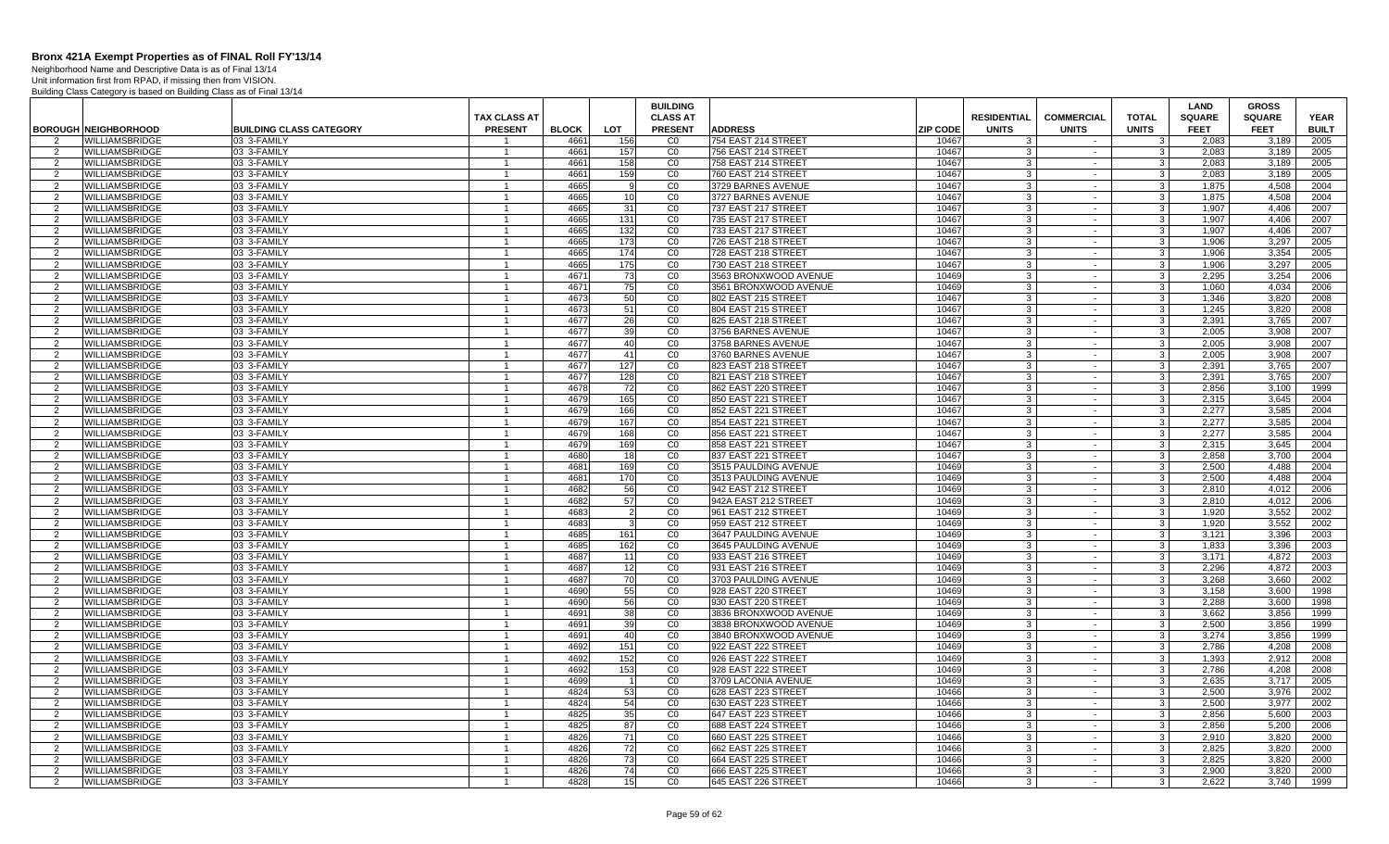Neighborhood Name and Descriptive Data is as of Final 13/14

|                    |                                                |                                | <b>TAX CLASS AT</b>            |              |                | <b>BUILDING</b><br><b>CLASS AT</b> |                                             |                 | <b>RESIDENTIAL</b>           | <b>COMMERCIAL</b> | <b>TOTAL</b>                     | LAND<br><b>SQUARE</b> | <b>GROSS</b><br><b>SQUARE</b> | <b>YEAR</b>  |
|--------------------|------------------------------------------------|--------------------------------|--------------------------------|--------------|----------------|------------------------------------|---------------------------------------------|-----------------|------------------------------|-------------------|----------------------------------|-----------------------|-------------------------------|--------------|
|                    | <b>BOROUGH NEIGHBORHOOD</b>                    | <b>BUILDING CLASS CATEGORY</b> | <b>PRESENT</b>                 | <b>BLOCK</b> | LOT            | <b>PRESENT</b>                     | <b>ADDRESS</b>                              | <b>ZIP CODE</b> | <b>UNITS</b>                 | <b>UNITS</b>      | <b>UNITS</b>                     | <b>FEET</b>           | <b>FEET</b>                   | <b>BUILT</b> |
| $\overline{2}$     | <b>WILLIAMSBRIDGE</b>                          | 03 3-FAMILY                    |                                | 466          | 156            | C <sub>0</sub>                     | 754 EAST 214 STREET                         | 10467           | 3                            | $\sim$            | 3                                | 2.083                 | 3.189                         | 2005         |
| 2                  | <b>WILLIAMSBRIDGE</b>                          | 03 3-FAMILY                    |                                | 466          | 157            | CO                                 | 756 EAST 214 STREE                          | 10467           |                              | $\sim$            | 3                                | 2.083                 | 3.189                         | 2005         |
| 2                  | <b>WILLIAMSBRIDGE</b>                          | 03 3-FAMILY                    | $\mathbf{1}$                   | 4661         | 158            | CO                                 | 758 EAST 214 STREE1                         | 10467           | -3                           | $\sim$            | 3                                | 2,083                 | 3,189                         | 2005         |
| 2                  | <b>WILLIAMSBRIDGE</b>                          | 03 3-FAMILY                    | $\overline{1}$                 | 4661         | 159            | CO                                 | 760 EAST 214 STREET                         | 10467           | 3                            | $\sim$            | $\mathbf{3}$                     | 2,083                 | 3,189                         | 2005         |
| 2                  | <b>WILLIAMSBRIDGE</b>                          | 03 3-FAMILY                    |                                | 4665         |                | CO                                 | 3729 BARNES AVENUE                          | 10467           | 3                            | $\sim$            | 3                                | 1,875                 | 4,508                         | 2004         |
| $\overline{2}$     | WILLIAMSBRIDGE                                 | 03 3-FAMILY                    | $\overline{1}$                 | 4665         | 10             | CO                                 | 3727 BARNES AVENUE                          | 10467           | $\mathbf{R}$                 | $\sim$            | 3                                | 1,875                 | 4,508                         | 2004         |
| 2<br>2             | <b>WILLIAMSBRIDGE</b><br>WILLIAMSBRIDGE        | 03 3-FAMILY<br>03 3-FAMILY     | $\overline{1}$                 | 4665<br>4665 | 31<br>131      | CO<br>CO                           | 737 EAST 217 STREET<br>735 EAST 217 STREET  | 10467<br>10467  | $\mathbf{3}$<br>$\mathbf{3}$ | $\sim$<br>$\sim$  | 3 <sup>1</sup><br>3 <sup>1</sup> | 1,907<br>1.907        | 4,406<br>4.406                | 2007<br>2007 |
| 2                  | <b>WILLIAMSBRIDGE</b>                          | 03 3-FAMILY                    |                                | 4665         | 132            | CO                                 | 733 EAST 217 STREET                         | 10467           | 3                            | $\sim$            | 3 <sup>1</sup>                   | 1.907                 | 4.406                         | 2007         |
| 2                  | <b>WILLIAMSBRIDGE</b>                          | 03 3-FAMILY                    | $\mathbf{1}$                   | 4665         | 173            | CO                                 | 726 EAST 218 STREET                         | 10467           | $\cdot$ 3                    | $\sim$            | 3 <sup>1</sup>                   | 1.906                 | 3.297                         | 2005         |
| 2                  | WILLIAMSBRIDGE                                 | 03 3-FAMILY                    | $\overline{1}$                 | 4665         | 174            | $\overline{C}0$                    | 728 EAST 218 STREE <sup>-</sup>             | 10467           | $\mathcal{R}$                | $\sim$            | 3                                | 1,906                 | 3,354                         | 2005         |
| 2                  | WILLIAMSBRIDGE                                 | 03 3-FAMILY                    |                                | 4665         | 175            | CO                                 | 730 EAST 218 STREET                         | 10467           | 3                            | $\sim$            | $\mathbf{3}$                     | 1,906                 | 3,297                         | 2005         |
| $\overline{2}$     | <b>WILLIAMSBRIDGE</b>                          | 03 3-FAMILY                    | $\overline{1}$                 | 4671         | 73             | CO                                 | 3563 BRONXWOOD AVENUE                       | 10469           | 3                            | $\sim$            | 3                                | 2.295                 | 3,254                         | 2006         |
| 2                  | <b>WILLIAMSBRIDGE</b>                          | 03 3-FAMILY                    |                                | 4671         | 75             | CO                                 | 3561 BRONXWOOD AVENUE                       | 10469           | $\cdot$ 3                    | $\sim$            | $\mathbf{3}$                     | 1.060                 | 4.034                         | 2006         |
| 2                  | WILLIAMSBRIDGE                                 | 03 3-FAMILY                    | $\overline{1}$                 | 4673         | 50             | $\overline{C}0$                    | 802 EAST 215 STREET                         | 10467           | 3                            | $\sim$            | 3 <sup>1</sup>                   | 1,346                 | 3,820                         | 2008         |
| 2                  | <b>WILLIAMSBRIDGE</b>                          | 03 3-FAMILY                    |                                | 4673         | 51             | CO                                 | 804 EAST 215 STREET                         | 10467           | -3                           | $\sim$            | $\mathbf{3}$                     | 1,245                 | 3,820                         | 2008         |
| 2                  | <b>WILLIAMSBRIDGE</b>                          | 03 3-FAMILY                    | $\overline{1}$                 | 4677         | 26             | CO                                 | 825 EAST 218 STREE                          | 10467           | 3                            | $\sim$            | 3 <sup>1</sup>                   | 2.391                 | 3.765                         | 2007         |
| $\overline{2}$     | <b>WILLIAMSBRIDGE</b>                          | 03 3-FAMILY                    |                                | 4677         | 39             | $\overline{c}$                     | 3756 BARNES AVENUE                          | 10467           | $\mathbf{3}$                 | $\sim$            | $\mathbf{3}$                     | 2,005                 | 3,908                         | 2007         |
| 2                  | WILLIAMSBRIDGE                                 | 03 3-FAMILY                    | $\mathbf{1}$<br>$\overline{1}$ | 4677         | 40<br>41       | $\overline{C}0$<br>$\overline{c}$  | 3758 BARNES AVENUE                          | 10467           | -3<br>$\mathbf{3}$           | $\sim$<br>$\sim$  | $\mathbf{3}$                     | 2,005                 | 3,908                         | 2007         |
| 2<br>2             | <b>WILLIAMSBRIDGE</b><br><b>WILLIAMSBRIDGE</b> | 03 3-FAMILY<br>03 3-FAMILY     |                                | 4677<br>4677 | 127            | CO                                 | 3760 BARNES AVENUE<br>823 EAST 218 STREET   | 10467<br>10467  | 3                            | $\sim$            | $\mathbf{3}$<br>3                | 2,005<br>2.391        | 3,908<br>3.765                | 2007<br>2007 |
| 2                  | WILLIAMSBRIDGE                                 | 03 3-FAMILY                    | $\overline{1}$                 | 4677         | 128            | CO                                 | 821 EAST 218 STREET                         | 10467           | $\cdot$ 3                    | $\sim$            | 3 <sup>1</sup>                   | 2,391                 | 3,765                         | 2007         |
| 2                  | <b>WILLIAMSBRIDGE</b>                          | 03 3-FAMILY                    |                                | 4678         | 72             | $\overline{C}0$                    | 862 EAST 220 STREET                         | 10467           | 3                            | $\sim$            | $\mathbf{3}$                     | 2,856                 | 3,100                         | 1999         |
| 2                  | <b>WILLIAMSBRIDGE</b>                          | 03 3-FAMILY                    | $\mathbf{1}$                   | 4679         | 165            | CO                                 | 850 EAST 221 STREE                          | 10467           | 3                            | $\sim$            | $\overline{\mathbf{3}}$          | 2.315                 | 3,645                         | 2004         |
| 2                  | <b>WILLIAMSBRIDGE</b>                          | 03 3-FAMILY                    |                                | 4679         | 166            | $\overline{C}$                     | 852 EAST 221 STREET                         | 10467           | 3                            | $\sim$            | $\mathbf{3}$                     | 2.277                 | 3.585                         | 2004         |
| $\overline{2}$     | WILLIAMSBRIDGE                                 | 03 3-FAMILY                    | $\mathbf{1}$                   | 4679         | 167            | CO                                 | 854 EAST 221 STREET                         | 10467           | $\cdot$ 3                    | $\sim$            | 3 <sup>1</sup>                   | 2,277                 | 3,585                         | 2004         |
| 2                  | <b>WILLIAMSBRIDGE</b>                          | 03 3-FAMILY                    | $\overline{1}$                 | 4679         | 168            | $\overline{C}0$                    | 856 EAST 221 STREE                          | 10467           | 3                            | $\sim$            | 3                                | 2,277                 | 3,585                         | 2004         |
| 2                  | <b>WILLIAMSBRIDGE</b>                          | 03 3-FAMILY                    |                                | 4679         | 169            | CO                                 | 858 EAST 221 STREE                          | 10467           | 3                            | $\sim$            | $\mathbf{3}$                     | 2,315                 | 3,645                         | 2004         |
| $\overline{2}$     | WILLIAMSBRIDGE                                 | 03 3-FAMILY                    | $\overline{1}$                 | 4680         | 18             | CO                                 | 837 EAST 221 STREET                         | 10467           | 3                            | $\sim$            | 3                                | 2.858                 | 3,700                         | 2004         |
| $\overline{2}$     | WILLIAMSBRIDGE                                 | 03 3-FAMILY                    |                                | 4681         | 169            | CO                                 | 3515 PAULDING AVENUE                        | 10469           | $\cdot$ 3                    | $\sim$            | $\mathbf{3}$                     | 2,500                 | 4.488                         | 2004         |
| $\overline{2}$     | <b>WILLIAMSBRIDGE</b>                          | 03 3-FAMILY                    | $\mathbf{1}$                   | 4681         | 170            | CO                                 | 3513 PAULDING AVENUE                        | 10469           | $\mathbf{3}$                 | $\sim$            | $\overline{\mathbf{3}}$          | 2.500                 | 4.488                         | 2004         |
| 2                  | <b>WILLIAMSBRIDGE</b><br><b>WILLIAMSBRIDGE</b> | 03 3-FAMILY<br>03 3-FAMILY     | $\mathbf{1}$                   | 4682<br>4682 | 56<br>57       | CO<br>CO                           | 942 EAST 212 STREET<br>942A EAST 212 STREET | 10469<br>10469  | -3<br>$\cdot$ 3              | $\sim$<br>$\sim$  | 3 <sup>1</sup>                   | 2.810<br>2.810        | 4.012<br>4.012                | 2006<br>2006 |
| 2<br>$\mathcal{P}$ | WILLIAMSBRIDGE                                 | 03 3-FAMILY                    |                                | 4683         | $\overline{2}$ | $\overline{C}$                     | 961 EAST 212 STREET                         | 10469           | -3                           | $\sim$            | 3 <sup>1</sup><br>3              | 1,920                 | 3,552                         | 2002         |
| 2                  | <b>WILLIAMSBRIDGE</b>                          | 03 3-FAMILY                    | $\mathbf{1}$                   | 4683         | -3             | $\overline{c}$                     | 959 EAST 212 STREET                         | 10469           | -3                           | $\sim$            | $\mathbf{3}$                     | 1,920                 | 3.552                         | 2002         |
| 2                  | <b>WILLIAMSBRIDGE</b>                          | 03 3-FAMILY                    | $\overline{1}$                 | 4685         | 161            | CO                                 | 3647 PAULDING AVENUE                        | 10469           | -3                           | $\sim$            | 3                                | 3,121                 | 3,396                         | 2003         |
| 2                  | <b>WILLIAMSBRIDGE</b>                          | 03 3-FAMILY                    |                                | 4685         | 162            | C <sub>0</sub>                     | 3645 PAULDING AVENUE                        | 10469           | $\mathcal{R}$                | $\sim$            | $\mathbf{3}$                     | 1.833                 | 3.396                         | 2003         |
| $\overline{2}$     | WILLIAMSBRIDGE                                 | 03 3-FAMILY                    | $\overline{1}$                 | 4687         | 11             | CO                                 | 933 EAST 216 STREET                         | 10469           | $\cdot$ 3                    | $\sim$            | $\mathbf{3}$                     | 3,171                 | 4,872                         | 2003         |
| $\overline{2}$     | WILLIAMSBRIDGE                                 | 03 3-FAMILY                    |                                | 4687         | 12             | CO                                 | 931 EAST 216 STREET                         | 10469           | -3                           | $\sim$            | $\mathbf{3}$                     | 2,296                 | 4,872                         | 2003         |
| 2                  | <b>WILLIAMSBRIDGE</b>                          | 03 3-FAMILY                    | $\overline{1}$                 | 4687         | 70             | CO                                 | 3703 PAULDING AVENUE                        | 10469           | -3                           | $\sim$            | - 3 I                            | 3.268                 | 3.660                         | 2002         |
| 2                  | <b>WILLIAMSBRIDGE</b>                          | 03 3-FAMILY                    |                                | 4690         | 55             | CO                                 | 928 EAST 220 STREET                         | 10469           | $\mathbf{3}$                 | $\sim$            | $\overline{3}$                   | 3.158                 | 3.600                         | 1998         |
| $\overline{2}$     | WILLIAMSBRIDGE                                 | 03 3-FAMILY                    | $\mathbf{1}$                   | 4690         | 56             | CO                                 | 930 EAST 220 STREE                          | 10469           | -3                           | $\sim$            | 3 <sup>1</sup>                   | 2,288                 | 3,600                         | 1998         |
| 2                  | WILLIAMSBRIDGE                                 | 03 3-FAMILY                    | $\overline{1}$                 | 4691         | 38             | $\overline{C}$                     | 3836 BRONXWOOD AVENUE                       | 10469           | 3                            | $\sim$            | 3                                | 3,662                 | 3,856                         | 1999         |
| 2                  | <b>WILLIAMSBRIDGE</b>                          | 03 3-FAMILY                    |                                | 4691         | 39             | CO                                 | 3838 BRONXWOOD AVENUE                       | 10469           | 3                            | $\sim$            | 3                                | 2,500                 | 3,856                         | 1999         |
| 2                  | WILLIAMSBRIDGE                                 | 03 3-FAMILY<br>03 3-FAMILY     | $\overline{1}$                 | 4691<br>4692 | 40<br>151      | CO<br>CO                           | 3840 BRONXWOOD AVENUE                       | 10469<br>10469  | $\cdot$ 3<br>3               | $\sim$            | 3 <sup>1</sup><br>$\mathbf{3}$   | 3.274                 | 3.856<br>4.208                | 1999<br>2008 |
| 2<br>2             | <b>WILLIAMSBRIDGE</b><br><b>WILLIAMSBRIDGE</b> | 03 3-FAMILY                    | $\overline{1}$                 | 4692         | 152            | CO                                 | 922 EAST 222 STREET<br>926 EAST 222 STREE   | 10469           | $\cdot$ 3                    | $\sim$<br>$\sim$  | $\mathbf{3}$                     | 2,786<br>1.393        | 2.912                         | 2008         |
| 2                  | <b>WILLIAMSBRIDGE</b>                          | 03 3-FAMILY                    |                                | 4692         | 153            | CO                                 | 928 EAST 222 STREET                         | 10469           | 3                            | $\sim$            | -3 I                             | 2.786                 | 4.208                         | 2008         |
| 2                  | <b>WILLIAMSBRIDGE</b>                          | 03 3-FAMILY                    | $\mathbf{1}$                   | 4699         |                | CO                                 | 3709 LACONIA AVENUE                         | 10469           | $\cdot$ 3                    | $\sim$            | 3 <sup>1</sup>                   | 2.635                 | 3.717                         | 2005         |
| 2                  | WILLIAMSBRIDGE                                 | 03 3-FAMILY                    |                                | 4824         | 53             | CO                                 | 628 EAST 223 STREET                         | 10466           | 3                            | $\sim$            | $\mathbf{3}$                     | 2,500                 | 3,976                         | 2002         |
| 2                  | <b>WILLIAMSBRIDGE</b>                          | 03 3-FAMILY                    | -1                             | 4824         | 54             | $\overline{c}$                     | 630 EAST 223 STREET                         | 10466           | -3                           | $\sim$            | $\mathbf{3}$                     | 2.500                 | 3.977                         | 2002         |
| 2                  | <b>WILLIAMSBRIDGE</b>                          | 03 3-FAMILY                    | $\overline{1}$                 | 4825         | 35             | CO                                 | 647 EAST 223 STREE                          | 10466           | -3                           | $\sim$            | 3                                | 2,856                 | 5,600                         | 2003         |
| $\overline{2}$     | WILLIAMSBRIDGE                                 | 03 3-FAMILY                    |                                | 4825         | 87             | CO                                 | 688 EAST 224 STREET                         | 10466           | $\cdot$ 3                    | $\sim$            | $\mathbf{3}$                     | 2,856                 | 5,200                         | 2006         |
| 2                  | <b>WILLIAMSBRIDGE</b>                          | 03 3-FAMILY                    | $\overline{1}$                 | 4826         | 71             | CO                                 | 660 EAST 225 STREE                          | 10466           | $\mathbf{3}$                 | $\sim$            | $\mathbf{3}$                     | 2,910                 | 3,820                         | 2000         |
| 2                  | <b>WILLIAMSBRIDGE</b>                          | 03 3-FAMILY                    |                                | 4826         | 72             | CO                                 | 662 EAST 225 STREET                         | 10466           | $\cdot$ 3                    | $\sim$            | 3 <sup>1</sup>                   | 2,825                 | 3,820                         | 2000         |
| 2                  | WILLIAMSBRIDGE                                 | 03 3-FAMILY                    | $\overline{1}$                 | 4826         | 73             | CO                                 | 664 EAST 225 STREET                         | 10466           | $\cdot$ 3                    | $\sim$            | $\overline{3}$                   | 2.825                 | 3.820                         | 2000         |
| $\overline{2}$     | WILLIAMSBRIDGE                                 | 03 3-FAMILY                    |                                | 4826         | 74             | CO                                 | 666 EAST 225 STREET                         | 10466           | 3                            | $\sim$            | 3                                | 2,900                 | 3,820                         | 2000         |
| 2                  | <b>WILLIAMSBRIDGE</b>                          | 03 3-FAMILY                    | -1                             | 4828         | 15             | CO                                 | 645 EAST 226 STREET                         | 10466           | 3                            | $\sim$            | $\overline{3}$                   | 2.622                 | 3,740                         | 1999         |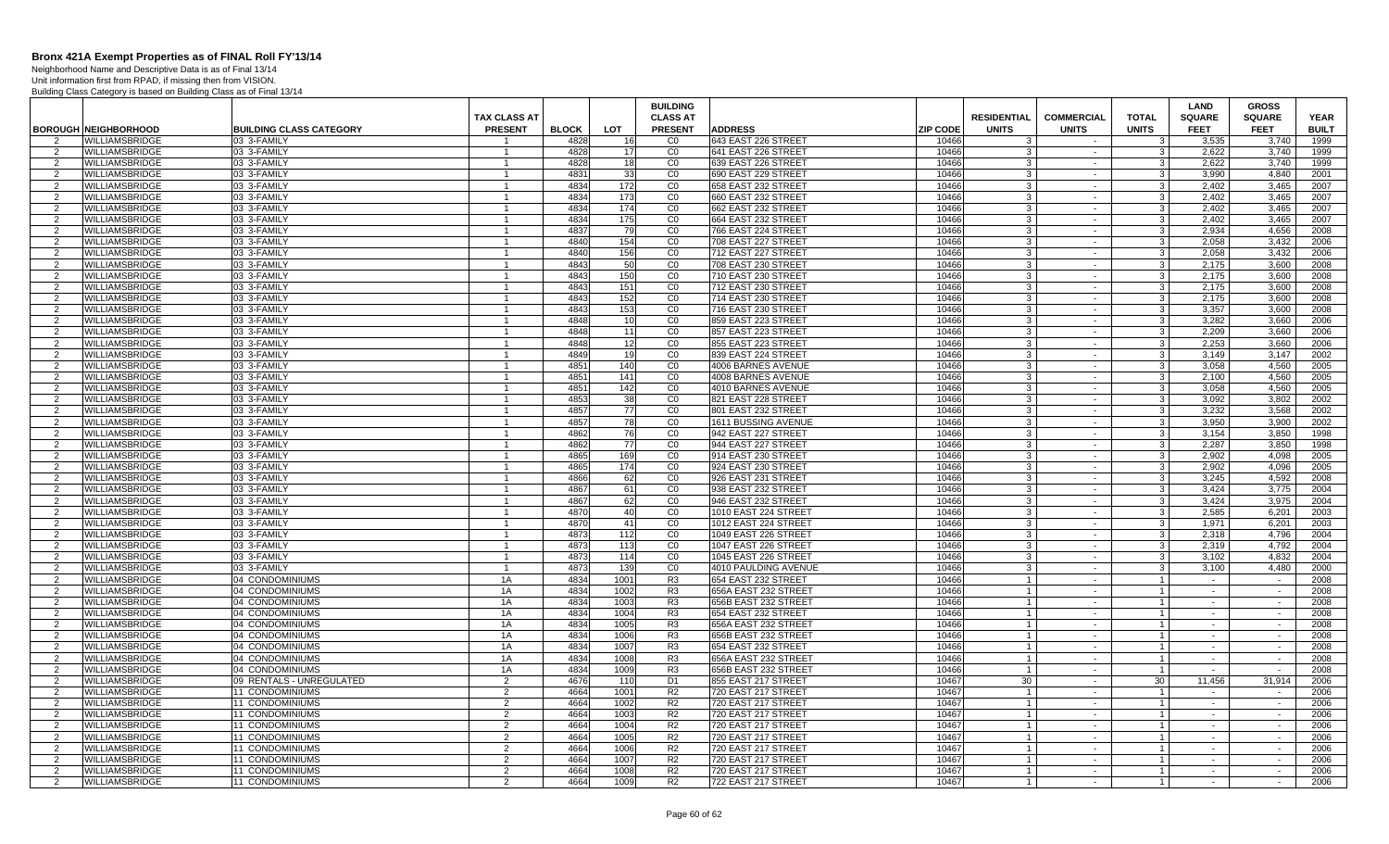Neighborhood Name and Descriptive Data is as of Final 13/14

|                     |                                                |                                           |                                |              |                  | <b>BUILDING</b>                  |                                            |                 |                                  |                   |                                | LAND                 | <b>GROSS</b>     |              |
|---------------------|------------------------------------------------|-------------------------------------------|--------------------------------|--------------|------------------|----------------------------------|--------------------------------------------|-----------------|----------------------------------|-------------------|--------------------------------|----------------------|------------------|--------------|
|                     |                                                |                                           | <b>TAX CLASS AT</b>            |              |                  | <b>CLASS AT</b>                  |                                            |                 | <b>RESIDENTIAL</b>               | <b>COMMERCIAL</b> | <b>TOTAL</b>                   | <b>SQUARE</b>        | <b>SQUARE</b>    | <b>YEAR</b>  |
|                     | <b>BOROUGH NEIGHBORHOOD</b>                    | <b>BUILDING CLASS CATEGORY</b>            | <b>PRESENT</b>                 | <b>BLOCK</b> | LOT              | <b>PRESENT</b>                   | <b>ADDRESS</b>                             | <b>ZIP CODE</b> | <b>UNITS</b>                     | <b>UNITS</b>      | <b>UNITS</b>                   | <b>FEET</b>          | <b>FEET</b>      | <b>BUILT</b> |
| $\overline{2}$      | <b>WILLIAMSBRIDGE</b>                          | 03 3-FAMILY                               |                                | 4828         | 16               | CO                               | 643 EAST 226 STREET                        | 10466           | $\mathcal{B}$                    | $\sim$            | 3                              | 3,535                | 3.740            | 1999         |
| 2                   | WILLIAMSBRIDGE                                 | 03 3-FAMILY                               |                                | 4828         | 17               | CO                               | 641 EAST 226 STREET                        | 10466           | 3                                | $\sim$            | 3 <sup>1</sup>                 | 2,622                | 3.740            | 1999         |
| 2                   | <b>WILLIAMSBRIDGE</b>                          | 03 3-FAMILY                               | $\mathbf{1}$                   | 4828         | 18               | CO                               | 639 EAST 226 STREET                        | 10466           | -3                               | $\sim$            | $\mathbf{3}$                   | 2.622                | 3.740            | 1999         |
| 2                   | <b>WILLIAMSBRIDGE</b>                          | 03 3-FAMILY                               | $\mathbf{1}$                   | 4831         | 33               | CO                               | 690 EAST 229 STREET                        | 10466           | 3                                | $\sim$            | 3 <sup>1</sup>                 | 3.990                | 4.840            | 2001         |
| 2<br>$\overline{2}$ | <b>WILLIAMSBRIDGE</b>                          | 03 3-FAMILY                               | $\mathbf{1}$<br>$\overline{1}$ | 4834         | 172              | CO                               | 658 EAST 232 STREET                        | 10466           | 3<br>3                           | $\sim$<br>$\sim$  | 3 <sup>1</sup>                 | 2,402                | 3,465            | 2007         |
|                     | WILLIAMSBRIDGE<br><b>WILLIAMSBRIDGE</b>        | 03 3-FAMILY<br>03 3-FAMILY                |                                | 4834<br>4834 | 173<br>174       | CO<br>CO                         | 660 EAST 232 STREE                         | 10466<br>10466  | 3                                |                   | $\mathbf{3}$<br>3 <sup>1</sup> | 2,402<br>2.402       | 3,465<br>3.465   | 2007<br>2007 |
| $\overline{2}$<br>2 | <b>WILLIAMSBRIDGE</b>                          | 03 3-FAMILY                               | $\overline{1}$                 | 4834         | 175              | CO                               | 662 EAST 232 STREET<br>664 EAST 232 STREET | 10466           | $\mathbf{3}$                     | $\sim$<br>$\sim$  | $\overline{3}$                 | 2.402                | 3.465            | 2007         |
| 2                   | <b>WILLIAMSBRIDGE</b>                          | 03 3-FAMILY                               | $\overline{1}$                 | 4837         | 79               | CO                               | 766 EAST 224 STREET                        | 10466           | $\mathcal{A}$                    | $\sim$            | 3 <sup>1</sup>                 | 2.934                | 4.656            | 2008         |
| 2                   | <b>WILLIAMSBRIDGE</b>                          | 03 3-FAMILY                               | $\mathbf{1}$                   | 4840         | 154              | $\overline{c}$                   | 708 EAST 227 STREET                        | 10466           | 3 <sup>1</sup>                   | $\sim$            | 3 <sup>1</sup>                 | 2,058                | 3,432            | 2006         |
| -2                  | WILLIAMSBRIDGE                                 | 03 3-FAMILY                               |                                | 4840         | 156              | CO                               | 712 EAST 227 STREET                        | 10466           | 3 <sup>1</sup>                   | $\blacksquare$    | ω                              | 2,058                | 3,432            | 2006         |
| 2                   | WILLIAMSBRIDGE                                 | 03 3-FAMILY                               | $\mathbf{1}$                   | 4843         | 50               | $\overline{c}$                   | 708 EAST 230 STREET                        | 10466           | -3                               | $\sim$            | 3 <sup>1</sup>                 | 2.175                | 3.600            | 2008         |
| 2                   | <b>WILLIAMSBRIDGE</b>                          | 03 3-FAMILY                               | $\overline{1}$                 | 4843         | 150              | CO                               | 710 EAST 230 STREET                        | 10466           | 3                                | $\sim$            | 3 <sup>1</sup>                 | 2,175                | 3.600            | 2008         |
| 2                   | <b>WILLIAMSBRIDGE</b>                          | 03 3-FAMILY                               | $\mathbf{1}$                   | 4843         | 151              | CO                               | 712 EAST 230 STREET                        | 10466           | 3                                | $\sim$            | 3 <sup>1</sup>                 | 2,175                | 3,600            | 2008         |
| 2                   | WILLIAMSBRIDGE                                 | 03 3-FAMILY                               | $\overline{1}$                 | 4843         | 152              | $\overline{C}0$                  | 714 EAST 230 STREE                         | 10466           | 3                                | $\sim$            | س                              | 2,175                | 3,600            | 2008         |
| 2                   | WILLIAMSBRIDGE                                 | 03 3-FAMILY                               |                                | 4843         | 153              | CO                               | 716 EAST 230 STREET                        | 10466           | 3                                | $\sim$            | $\mathbf{3}$                   | 3,357                | 3,600            | 2008         |
| 2                   | <b>WILLIAMSBRIDGE</b>                          | 03 3-FAMILY                               | $\overline{1}$                 | 4848         | 10               | CO                               | 859 EAST 223 STREET                        | 10466           | $\mathbf{3}$                     | $\sim$            | $\overline{3}$                 | 3,282                | 3,660            | 2006         |
| 2                   | <b>WILLIAMSBRIDGE</b>                          | 03 3-FAMILY                               | $\overline{1}$                 | 4848         | 11               | CO                               | 857 EAST 223 STREET                        | 10466           | 3                                | $\sim$            | 3 <sup>1</sup>                 | 2.209                | 3.660            | 2006         |
| 2                   | <b>WILLIAMSBRIDGE</b>                          | 03 3-FAMILY                               | $\mathbf{1}$                   | 4848         | 12 <sup>1</sup>  | CO                               | 855 EAST 223 STREET                        | 10466           | 3 <sup>1</sup>                   | $\sim$            | 3 <sup>1</sup>                 | 2.253                | 3.660            | 2006         |
| $\mathcal{P}$       | WILLIAMSBRIDGE                                 | 03 3-FAMILY                               | $\overline{1}$                 | 4849         | 19               | $\overline{C}$                   | 839 EAST 224 STREET                        | 10466           | 3                                | $\blacksquare$    | $\mathbf{3}$                   | 3,149                | 3,147            | 2002         |
| 2                   | WILLIAMSBRIDGE                                 | 03 3-FAMILY                               | $\mathbf{1}$                   | 4851         | 140              | $\overline{c}$                   | 4006 BARNES AVENUE                         | 10466           | 3                                | $\sim$            | 3 <sup>1</sup>                 | 3.058                | 4.560            | 2005         |
| 2                   | <b>WILLIAMSBRIDGE</b>                          | 03 3-FAMILY                               | $\overline{1}$                 | 4851         | 141              | CO                               | 4008 BARNES AVENUE                         | 10466           | 3                                | $\sim$            | 3 <sup>1</sup>                 | 2.100                | 4.560            | 2005         |
| 2                   | <b>WILLIAMSBRIDGE</b>                          | 03 3-FAMILY                               | -1                             | 4851         | 142              | CO                               | 4010 BARNES AVENUE                         | 10466           | 3                                | $\sim$            | 3 <sup>1</sup>                 | 3,058                | 4,560            | 2005         |
| 2                   | <b>WILLIAMSBRIDGE</b>                          | 03 3-FAMILY                               | $\overline{1}$                 | 4853         | 38               | CO                               | 821 EAST 228 STREET                        | 10466           | 3                                | $\sim$            | 3 <sup>1</sup>                 | 3.092                | 3.802            | 2002         |
| 2                   | WILLIAMSBRIDGE                                 | 03 3-FAMILY                               |                                | 4857         | 77               | CO                               | 801 EAST 232 STREET                        | 10466           | 3                                | $\sim$            | $\mathbf{3}$                   | 3,232                | 3,568            | 2002         |
| 2                   | WILLIAMSBRIDGE                                 | 03 3-FAMILY                               | $\mathbf{1}$                   | 4857         | 78               | CO                               | 1611 BUSSING AVENUE                        | 10466           | $\mathbf{3}$                     | $\sim$            | 3 <sup>1</sup>                 | 3,950                | 3,900            | 2002         |
| 2                   | <b>WILLIAMSBRIDGE</b>                          | 03 3-FAMILY                               |                                | 4862         | 76               | CO                               | 942 EAST 227 STREET                        | 10466           | 3                                | $\sim$            | 3 <sup>1</sup>                 | 3.154                | 3,850            | 1998         |
| 2                   | <b>WILLIAMSBRIDGE</b>                          | 03 3-FAMILY                               | $\mathbf{1}$                   | 4862         | 77               | CO                               | 944 EAST 227 STREET                        | 10466           | 3                                | $\sim$            | 3 <sup>1</sup>                 | 2.287                | 3.850            | 1998         |
| 2                   | <b>WILLIAMSBRIDGE</b>                          | 03 3-FAMILY                               |                                | 4865         | 169              | CO                               | 914 EAST 230 STREET                        | 10466           | $\mathbf{3}$                     | $\sim$            | 3 <sup>1</sup>                 | 2.902                | 4.098            | 2005         |
| $\overline{2}$      | <b>WILLIAMSBRIDGE</b>                          | 03 3-FAMILY                               | $\mathbf{1}$                   | 4865         | 174              | $\overline{c}$                   | 924 EAST 230 STREET                        | 10466           | 3                                | $\sim$            | 3 <sup>1</sup>                 | 2.902                | 4,096            | 2005         |
| 2                   | WILLIAMSBRIDGE                                 | 03 3-FAMILY                               | $\overline{1}$                 | 4866         | 62               | CO                               | 926 EAST 231 STREET                        | 10466           | 3                                | $\sim$            | 3 <sup>1</sup>                 | 3,245                | 4.592            | 2008         |
| 2                   | <b>WILLIAMSBRIDGE</b>                          | 03 3-FAMILY                               |                                | 4867         | 61               | CO                               | 938 EAST 232 STREET                        | 10466           | 3                                | $\sim$            | $\mathbf{3}$                   | 3,424                | 3,775            | 2004         |
| 2                   | WILLIAMSBRIDGE                                 | 03 3-FAMILY                               | $\overline{1}$                 | 4867         | 62               | CO                               | 946 EAST 232 STREET                        | 10466           | 3                                | $\sim$            | 3 <sup>1</sup>                 | 3,424                | 3,975            | 2004         |
| $\overline{2}$      | WILLIAMSBRIDGE                                 | 03 3-FAMILY                               |                                | 4870         | 40               | CO                               | 1010 EAST 224 STREET                       | 10466           | 3                                | $\sim$            | 3                              | 2,585                | 6,201            | 2003         |
| 2                   | WILLIAMSBRIDGE                                 | 03 3-FAMILY                               | $\overline{1}$                 | 4870         | 41               | CO                               | 1012 EAST 224 STREET                       | 10466           | $\mathbf{3}$                     | $\sim$            | 3 <sup>1</sup>                 | 1,971                | 6,201            | 2003         |
| 2                   | <b>WILLIAMSBRIDGE</b>                          | 03 3-FAMILY                               |                                | 4873         | $\overline{112}$ | $\overline{C}0$                  | 1049 EAST 226 STREET                       | 10466           | 3                                | $\sim$            | س                              | 2,318                | 4.796            | 2004         |
| 2                   | <b>WILLIAMSBRIDGE</b>                          | 03 3-FAMILY                               | $\mathbf{1}$                   | 4873         | 113              | CO                               | 1047 EAST 226 STREET                       | 10466           | 3 <sup>1</sup>                   | $\sim$            | 3 <sup>1</sup>                 | 2.319                | 4.792            | 2004         |
| 2                   | <b>WILLIAMSBRIDGE</b>                          | 03 3-FAMILY                               |                                | 4873         | 114              | CO                               | 1045 EAST 226 STREET                       | 10466           | $\mathbf{3}$                     | $\sim$            | 3 <sup>1</sup>                 | 3.102                | 4.832            | 2004         |
| $\overline{2}$      | WILLIAMSBRIDGE                                 | 03 3-FAMILY                               | $\mathbf{1}$                   | 4873         | 139              | CO                               | 4010 PAULDING AVENUE                       | 10466           | -3                               | $\sim$            | 3 <sup>1</sup>                 | 3,100                | 4,480            | 2000         |
| 2                   | WILLIAMSBRIDGE                                 | 04 CONDOMINIUMS                           | 1A                             | 4834         | 1001             | R3                               | 654 EAST 232 STREET                        | 10466           |                                  | $\sim$            | $\mathbf{1}$                   |                      |                  | 2008         |
| 2                   | <b>WILLIAMSBRIDGE</b>                          | 04 CONDOMINIUMS                           | 1A                             | 4834         | 1002             | R <sub>3</sub>                   | 656A EAST 232 STREET                       | 10466           |                                  | $\sim$            |                                | $\sim$               | $\sim$           | 2008         |
| 2                   | <b>WILLIAMSBRIDGE</b>                          | 04 CONDOMINIUMS                           | 1A                             | 4834         | 1003             | R <sub>3</sub>                   | 656B EAST 232 STREET                       | 10466           | $\overline{1}$                   | $\sim$            |                                | $\sim$               | $\sim$           | 2008         |
| 2                   | <b>WILLIAMSBRIDGE</b>                          | 04 CONDOMINIUMS                           | 1A                             | 4834         | 1004             | R <sub>3</sub>                   | 654 EAST 232 STREET                        | 10466           |                                  | $\sim$            |                                | $\sim$               | $\sim$           | 2008         |
| 2                   | <b>WILLIAMSBRIDGE</b>                          | 04 CONDOMINIUMS                           | 1A                             | 4834         | 1005             | R3                               | 656A EAST 232 STREET                       | 10466           | $\overline{1}$                   | $\sim$            | $\overline{1}$                 | $\sim$               | $\sim$           | 2008         |
| 2                   | <b>WILLIAMSBRIDGE</b>                          | 04 CONDOMINIUMS                           | 1A                             | 4834         | 1006             | R <sub>3</sub>                   | 656B EAST 232 STREET                       | 10466           | $\overline{1}$                   | $\sim$            | $\mathbf{1}$                   | $\sim$               | $\sim$           | 2008         |
| 2                   | <b>WILLIAMSBRIDGE</b>                          | 04 CONDOMINIUMS                           | 1A                             | 4834         | 1007             | R <sub>3</sub>                   | 654 EAST 232 STREET                        | 10466           | $\overline{1}$                   | $\sim$            | $\overline{1}$                 | $\sim$ $-$           | $\sim$           | 2008         |
| 2                   | <b>WILLIAMSBRIDGE</b>                          | 04 CONDOMINIUMS                           | 1A                             | 4834         | 1008             | R <sub>3</sub>                   | 656A EAST 232 STREET                       | 10466           | $\overline{1}$                   | $\sim$            | $\overline{1}$                 | $\sim$               | $\sim$           | 2008         |
| 2                   | <b>WILLIAMSBRIDGE</b>                          | 04 CONDOMINIUMS                           | 1A                             | 4834         | 1009             | R3                               | 656B EAST 232 STREE                        | 10466           | $\overline{1}$                   | $\sim$            | $\overline{1}$                 | $\sim$               | $\sim$           | 2008         |
| 2                   | <b>WILLIAMSBRIDGE</b>                          | 09 RENTALS - UNREGULATED                  | 2                              | 4676         | 110              | D <sub>1</sub>                   | 855 EAST 217 STREET                        | 10467           | 30                               | $\sim$            | 30 <sup>1</sup>                | 11.456               | 31.914           | 2006         |
| 2                   | <b>WILLIAMSBRIDGE</b>                          | 11 CONDOMINIUMS                           | 2<br>2                         | 4664         | 1001             | R <sub>2</sub>                   | 720 EAST 217 STREE                         | 10467           | $\overline{1}$                   | $\sim$            | $\overline{1}$<br>$\mathbf{1}$ | $\sim$ $-$<br>$\sim$ | $\sim$           | 2006         |
| 2                   | WILLIAMSBRIDGE                                 | 11 CONDOMINIUMS                           |                                | 4664         | 1002             | R <sub>2</sub>                   | 720 EAST 217 STREE                         | 10467           |                                  | $\sim$            | $\mathbf{1}$                   |                      | $\sim$           | 2006         |
| 2                   | WILLIAMSBRIDGE                                 | 11 CONDOMINIUMS                           | $\overline{2}$                 | 4664<br>4664 | 1003             | R <sub>2</sub>                   | 720 EAST 217 STREET                        | 10467           |                                  | $\sim$            |                                | $\sim$               | $\sim$<br>$\sim$ | 2006         |
| 2                   | <b>WILLIAMSBRIDGE</b>                          | 11 CONDOMINIUMS                           | 2<br>$\mathcal{P}$             | 4664         | 1004             | R <sub>2</sub>                   | 720 EAST 217 STREET                        | 10467<br>10467  | $\overline{1}$<br>$\overline{1}$ | $\sim$            | $\overline{1}$<br>$\mathbf{1}$ | $\sim$               | $\sim$           | 2006<br>2006 |
| 2                   | <b>WILLIAMSBRIDGE</b><br><b>WILLIAMSBRIDGE</b> | 11 CONDOMINIUMS<br><b>11 CONDOMINIUMS</b> | 2                              | 4664         | 1005<br>1006     | R <sub>2</sub><br>R <sub>2</sub> | 720 EAST 217 STREET                        | 10467           | $\overline{1}$                   | $\sim$<br>$\sim$  | $\overline{1}$                 | $\sim$<br>$\sim$     | $\sim$           |              |
| 2                   | <b>WILLIAMSBRIDGE</b>                          | <b>11 CONDOMINIUMS</b>                    | 2                              | 4664         | 1007             | R <sub>2</sub>                   | 720 EAST 217 STREET<br>720 EAST 217 STREET | 10467           |                                  |                   | $\mathbf{1}$                   |                      | $\sim$           | 2006<br>2006 |
| 2<br>2              | <b>WILLIAMSBRIDGE</b>                          | 11 CONDOMINIUMS                           | 2                              | 4664         | 1008             | R <sub>2</sub>                   | 720 EAST 217 STREET                        | 10467           |                                  | $\sim$<br>$\sim$  | $\mathbf{1}$                   | $\sim$               | $\sim$           | 2006         |
| 2                   | <b>WILLIAMSBRIDGE</b>                          | 11 CONDOMINIUMS                           | $\mathcal{P}$                  | 4664         | 1009             | R <sub>2</sub>                   | 722 EAST 217 STREET                        | 10467           | $\overline{1}$                   | $\sim$            | 1                              |                      | $\sim$           | 2006         |
|                     |                                                |                                           |                                |              |                  |                                  |                                            |                 |                                  |                   |                                |                      |                  |              |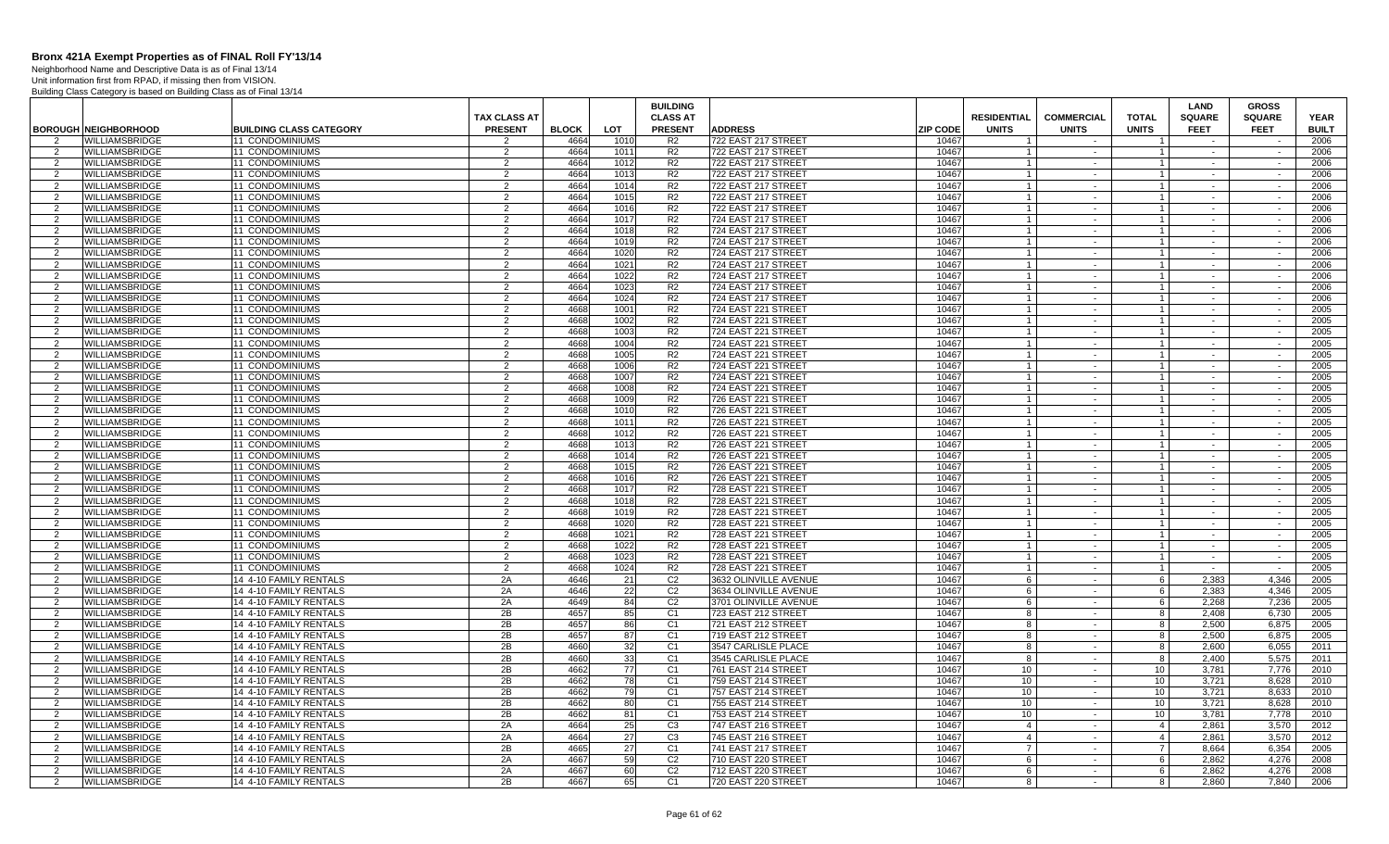Neighborhood Name and Descriptive Data is as of Final 13/14 Unit information first from RPAD, if missing then from VISION.

|                     |                             |                                                  |                                       |              |          | <b>BUILDING</b>                   |                            |                 |                                    |                                   |                              | <b>LAND</b>                  | <b>GROSS</b>                 |                             |
|---------------------|-----------------------------|--------------------------------------------------|---------------------------------------|--------------|----------|-----------------------------------|----------------------------|-----------------|------------------------------------|-----------------------------------|------------------------------|------------------------------|------------------------------|-----------------------------|
|                     | <b>BOROUGH NEIGHBORHOOD</b> | <b>BUILDING CLASS CATEGORY</b>                   | <b>TAX CLASS AT</b><br><b>PRESENT</b> | <b>BLOCK</b> | LOT      | <b>CLASS AT</b><br><b>PRESENT</b> | <b>ADDRESS</b>             | <b>ZIP CODE</b> | <b>RESIDENTIAL</b><br><b>UNITS</b> | <b>COMMERCIAL</b><br><b>UNITS</b> | <b>TOTAL</b><br><b>UNITS</b> | <b>SQUARE</b><br><b>FEET</b> | <b>SQUARE</b><br><b>FEET</b> | <b>YEAR</b><br><b>BUILT</b> |
| $\overline{2}$      | WILLIAMSBRIDGE              | <b>11 CONDOMINIUMS</b>                           | 2                                     | 4664         | 1010     | R <sub>2</sub>                    | 722 EAST 217 STREET        | 10467           |                                    |                                   |                              |                              |                              | 2006                        |
| 2                   | WILLIAMSBRIDGE              | 11 CONDOMINIUMS                                  | 2                                     | 4664         | 1011     | R <sub>2</sub>                    | 722 EAST 217 STREET        | 10467           |                                    | $\sim$ $-$                        | $\mathbf{1}$                 | $\sim$                       | $\sim$                       | 2006                        |
| 2                   | WILLIAMSBRIDGE              | 11 CONDOMINIUMS                                  | $\overline{2}$                        | 4664         | 1012     | R <sub>2</sub>                    | 722 EAST 217 STREET        | 10467           | $\overline{1}$                     | $\sim$                            | $\overline{1}$               | $\sim$                       | $\sim$                       | 2006                        |
| $\overline{2}$      | WILLIAMSBRIDGE              | 11 CONDOMINIUMS                                  | 2                                     | 4664         | 1013     | R <sub>2</sub>                    | 722 EAST 217 STREET        | 10467           |                                    | $\sim$                            | $\mathbf{1}$                 | $\sim$                       | $\sim$                       | 2006                        |
| 2                   | WILLIAMSBRIDGE              | 11 CONDOMINIUMS                                  | $\overline{2}$                        | 4664         | 1014     | R <sub>2</sub>                    | 722 EAST 217 STREET        | 10467           | $\overline{1}$                     | $\sim$                            | $\overline{1}$               | $\sim$                       | $\sim$                       | 2006                        |
| 2                   | <b>WILLIAMSBRIDGE</b>       | 11 CONDOMINIUMS                                  | $\overline{2}$                        | 4664         | 1015     | R <sub>2</sub>                    | 722 EAST 217 STREET        | 10467           | $\overline{1}$                     | $\sim$                            | $\overline{1}$               | $\sim$                       | $\sim$                       | 2006                        |
| 2                   | <b>WILLIAMSBRIDGE</b>       | 11 CONDOMINIUMS                                  | $\overline{2}$                        | 4664         | 1016     | R <sub>2</sub>                    | 722 EAST 217 STREET        | 10467           | $\overline{1}$                     | $\sim$                            | $\overline{1}$               | $\sim$                       | $\sim$                       | 2006                        |
| 2                   | WILLIAMSBRIDGE              | 11 CONDOMINIUMS                                  | $\overline{2}$                        | 4664         | 1017     | R <sub>2</sub>                    | 724 EAST 217 STREET        | 10467           |                                    | $\sim$                            | $\overline{1}$               |                              |                              | 2006                        |
| 2                   | WILLIAMSBRIDGE              | 11 CONDOMINIUMS                                  | 2                                     | 4664         | 1018     | R <sub>2</sub>                    | 724 EAST 217 STREET        | 10467           |                                    | $\sim$                            | $\mathbf{1}$                 | $\sim$                       | $\sim$                       | 2006                        |
| $\overline{2}$      | WILLIAMSBRIDGE              | <b>11 CONDOMINIUMS</b>                           | $\overline{2}$                        | 4664         | 1019     | R <sub>2</sub>                    | 724 EAST 217 STREET        | 10467           |                                    | $\sim$                            | $\mathbf{1}$                 |                              | $\sim$                       | 2006                        |
| 2                   | WILLIAMSBRIDGE              | 11 CONDOMINIUMS                                  | 2                                     | 4664         | 1020     | R <sub>2</sub>                    | 724 EAST 217 STREET        | 10467           |                                    | $\sim$                            | $\mathbf{1}$                 | $\sim$                       | $\sim$                       | 2006                        |
| $\overline{2}$      | WILLIAMSBRIDGE              | 11 CONDOMINIUMS                                  | $\overline{2}$                        | 4664         | 1021     | R <sub>2</sub>                    | 724 EAST 217 STREET        | 10467           | $\overline{1}$                     | $\sim$                            | $\overline{1}$               | $\sim$                       | $\sim$                       | 2006                        |
| $\overline{2}$      | WILLIAMSBRIDGE              | 11 CONDOMINIUMS                                  | 2                                     | 4664         | 1022     | R <sub>2</sub>                    | 724 EAST 217 STREET        | 10467           |                                    | $\sim$                            | $\mathbf{1}$                 | $\sim$                       | $\sim$                       | 2006                        |
| 2                   | WILLIAMSBRIDGE              | 11 CONDOMINIUMS                                  | $\overline{2}$                        | 4664         | 1023     | R <sub>2</sub>                    | 724 EAST 217 STREET        | 10467           | $\overline{1}$                     | $\sim$                            | $\overline{1}$               | $\sim$                       | $\sim$                       | 2006                        |
| 2                   | <b>WILLIAMSBRIDGE</b>       | 11 CONDOMINIUMS                                  | 2                                     | 4664         | 1024     | R <sub>2</sub>                    | 724 EAST 217 STREET        | 10467           | $\overline{1}$                     | $\sim$                            | $\overline{1}$               | $\sim$                       | $\sim$                       | 2006                        |
| 2                   | <b>WILLIAMSBRIDGE</b>       | <b>11 CONDOMINIUMS</b>                           | $\overline{2}$                        | 4668         | 1001     | R <sub>2</sub>                    | 724 EAST 221 STREET        | 10467           | $\overline{1}$                     | $\sim$                            | $\overline{1}$               | $\sim$                       | $\sim$                       | 2005                        |
| $\overline{2}$      | WILLIAMSBRIDGE              | 11 CONDOMINIUMS                                  | $\overline{2}$                        | 4668         | 1002     | R <sub>2</sub>                    | 724 EAST 221 STREET        | 10467           |                                    | $\sim$                            | $\overline{1}$               |                              |                              | 2005                        |
| 2                   | <b>WILLIAMSBRIDGE</b>       | 11 CONDOMINIUMS                                  | 2                                     | 4668         | 1003     | R <sub>2</sub>                    | 724 EAST 221 STREET        | 10467           |                                    | $\sim$                            | $\mathbf{1}$                 | $\sim$                       | $\sim$                       | 2005                        |
| $\overline{2}$      | WILLIAMSBRIDGE              | 11 CONDOMINIUMS                                  | 2                                     | 4668         | 1004     | R <sub>2</sub>                    | 724 EAST 221 STREET        | 10467           |                                    | $\sim$                            | $\overline{1}$               | $\sim$                       | $\sim$                       | 2005                        |
| 2                   | WILLIAMSBRIDGE              | 11 CONDOMINIUMS                                  | 2                                     | 4668         | 1005     | R <sub>2</sub>                    | 724 EAST 221 STREET        | 10467           |                                    | $\sim$                            | $\mathbf{1}$                 | $\sim$                       | $\sim$                       | 2005                        |
| 2                   | WILLIAMSBRIDGE              | 11 CONDOMINIUMS                                  | $\overline{2}$                        | 4668         | 1006     | R <sub>2</sub>                    | 724 EAST 221 STREET        | 10467           | $\overline{1}$                     | $\sim$                            | $\overline{1}$               | $\sim$                       | $\sim$                       | 2005                        |
| $\overline{2}$      | WILLIAMSBRIDGE              | 1 CONDOMINIUMS                                   | 2                                     | 4668         | 1007     | R <sub>2</sub>                    | 724 EAST 221 STREET        | 10467           |                                    | $\sim$                            | $\overline{1}$               | $\sim$                       | $\sim$                       | 2005                        |
| 2                   | <b>WILLIAMSBRIDGE</b>       | <b>11 CONDOMINIUMS</b>                           | $\overline{2}$                        | 4668         | 1008     | R <sub>2</sub>                    | 724 EAST 221 STREET        | 10467           | $\overline{1}$                     | $\sim$                            | $1 \vert$                    | $\sim$                       | $\sim$                       | 2005                        |
| 2                   | WILLIAMSBRIDGE              | 11 CONDOMINIUMS                                  | 2                                     | 4668         | 1009     | R <sub>2</sub>                    | 726 EAST 221 STREET        | 10467           | $\overline{1}$                     | $\sim$                            | $\mathbf{1}$                 | $\sim$                       | $\sim$                       | 2005                        |
| 2                   | <b>WILLIAMSBRIDGE</b>       | <b>11 CONDOMINIUMS</b>                           | $\overline{2}$                        | 4668         | 1010     | R <sub>2</sub>                    | 726 EAST 221 STREET        | 10467           | $\overline{1}$                     | $\sim$                            | $\overline{1}$               | $\sim$                       | $\sim$                       | 2005                        |
| $\overline{2}$      | WILLIAMSBRIDGE              | 11 CONDOMINIUMS                                  | $\overline{2}$                        | 4668         | 1011     | R <sub>2</sub>                    | 726 EAST 221 STREET        | 10467           |                                    | $\sim$                            | $\overline{1}$               |                              |                              | 2005                        |
| 2                   | WILLIAMSBRIDGE              | 11 CONDOMINIUMS                                  | 2                                     | 4668         | 1012     | R <sub>2</sub>                    | 726 EAST 221 STREET        | 10467           |                                    | $\sim$                            | $\mathbf{1}$                 | $\sim$                       | $\sim$                       | 2005                        |
| $\overline{2}$      | WILLIAMSBRIDGE              | 11 CONDOMINIUMS                                  | $\overline{2}$                        | 4668         | 1013     | R <sub>2</sub>                    | 726 EAST 221 STREET        | 10467           |                                    | $\sim$                            | $\mathbf{1}$                 | $\sim$                       | $\sim$                       | 2005                        |
| 2                   | WILLIAMSBRIDGE              | 1 CONDOMINIUMS                                   | 2                                     | 4668         | 1014     | R <sub>2</sub>                    | 726 EAST 221 STREET        | 10467           |                                    | $\sim$                            | $\mathbf{1}$                 | $\sim$                       | $\sim$                       | 2005                        |
| $\overline{2}$      | <b>WILLIAMSBRIDGE</b>       | 11 CONDOMINIUMS                                  | $\overline{2}$                        | 4668         | 1015     | R <sub>2</sub>                    | 726 EAST 221 STREET        | 10467           | $\overline{1}$                     | $\sim$                            | $\vert$ 1                    | $\sim$                       | $\sim$                       | 2005                        |
| $\overline{2}$      | WILLIAMSBRIDGE              | 11 CONDOMINIUMS                                  | 2                                     | 4668         | 1016     | R <sub>2</sub>                    | 726 EAST 221 STREET        | 10467           |                                    | $\sim$                            | $\mathbf{1}$                 | $\sim$                       | $\sim$                       | 2005                        |
| 2                   | <b>WILLIAMSBRIDGE</b>       | <b>11 CONDOMINIUMS</b>                           | $\overline{2}$                        | 4668         | 1017     | R <sub>2</sub>                    | 728 EAST 221 STREET        | 10467           | $\overline{1}$                     | $\sim$ $-$                        | $1 \vert$                    | $\sim$                       | $\sim$                       | 2005                        |
| $\overline{2}$      | WILLIAMSBRIDGE              | <b>11 CONDOMINIUMS</b>                           | 2                                     | 4668         | 1018     | R <sub>2</sub>                    | 728 EAST 221 STREET        | 10467           | $\overline{1}$                     | $\sim$                            | $\mathbf{1}$                 | $\sim$                       | $\sim$                       | 2005                        |
| 2                   | <b>WILLIAMSBRIDGE</b>       | <b>11 CONDOMINIUMS</b>                           | $\overline{2}$                        | 4668         | 1019     | R <sub>2</sub>                    | 728 EAST 221 STREET        | 10467           | $\overline{1}$                     | $\sim$                            | $\overline{1}$               | $\sim$                       | $\sim$                       | 2005                        |
| $\overline{2}$      | WILLIAMSBRIDGE              | 11 CONDOMINIUMS                                  | $\overline{2}$                        | 4668         | 1020     | R <sub>2</sub>                    | 728 EAST 221 STREET        | 10467           |                                    | $\sim$                            | $\overline{1}$               |                              |                              | 2005                        |
| 2                   | WILLIAMSBRIDGE              | 11 CONDOMINIUMS                                  | 2                                     | 4668         | 1021     | R <sub>2</sub>                    | 728 EAST 221 STREET        | 10467           |                                    | $\sim$                            | $\mathbf{1}$                 | $\sim$                       | $\sim$                       | 2005                        |
| $\overline{2}$      | WILLIAMSBRIDGE              | 11 CONDOMINIUMS                                  | $\overline{2}$                        | 4668         | 1022     | R <sub>2</sub>                    | 728 EAST 221 STREET        | 10467           |                                    | $\sim$                            | $\mathbf{1}$                 | $\sim$                       | $\sim$                       | 2005                        |
| -2                  | WILLIAMSBRIDGE              | 11 CONDOMINIUMS                                  | 2                                     | 4668         | 1023     | R <sub>2</sub>                    | 728 EAST 221 STREET        | 10467           |                                    | $\sim$                            | $\overline{1}$               | $\sim$                       | $\sim$                       | 2005                        |
| 2                   | <b>WILLIAMSBRIDGE</b>       | 11 CONDOMINIUMS                                  | $\mathcal{P}$                         | 4668         | 1024     | R <sub>2</sub>                    | 728 EAST 221 STREET        | 10467           | $\overline{1}$                     | $\sim$                            | $\vert$ 1                    | $\sim$                       | $\overline{\phantom{a}}$     | 2005                        |
| 2                   | WILLIAMSBRIDGE              | 14 4-10 FAMILY RENTALS                           | 2A                                    | 4646         | 21       | C <sub>2</sub>                    | 3632 OLINVILLE AVENUE      | 10467           | 6                                  | $\sim$                            | 6                            | 2,383                        | 4,346                        | 2005                        |
| 2                   | WILLIAMSBRIDGE              | 14 4-10 FAMILY RENTALS                           | 2A                                    | 4646         | 22       | C <sub>2</sub>                    | 3634 OLINVILLE AVENUE      | 10467           | 6                                  | $\sim$                            | 6                            | 2,383                        | 4,346                        | 2005                        |
| $\overline{2}$      | WILLIAMSBRIDGE              | 14 4-10 FAMILY RENTALS                           | 2A                                    | 4649         | 84       | C <sub>2</sub>                    | 3701 OLINVILLE AVENUE      | 10467           | 6                                  | $\sim$                            | 6                            | 2.268                        | 7,236                        | 2005                        |
| 2                   | <b>WILLIAMSBRIDGE</b>       | 14 4-10 FAMILY RENTALS                           | 2B                                    | 4657         | 85       | C <sub>1</sub>                    | 723 EAST 212 STREET        | 10467           | 8                                  | $\sim$                            | 8                            | 2.408                        | 6.730                        | 2005                        |
| 2                   | WILLIAMSBRIDGE              | 14 4-10 FAMILY RENTALS                           | 2B                                    | 4657         | 86       | C <sub>1</sub>                    | 721 EAST 212 STREET        | 10467           | 8                                  | $\sim$                            | 8                            | 2.500                        | 6.875                        | 2005                        |
| 2                   | WILLIAMSBRIDGE              | 14 4-10 FAMILY RENTALS                           | 2B                                    | 4657         | 87       | C <sub>1</sub>                    | 719 EAST 212 STREET        | 10467           | 8                                  | $\sim$                            | 8                            | 2,500                        | 6,875                        | 2005                        |
| $\overline{2}$      | WILLIAMSBRIDGE              | 14 4-10 FAMILY RENTALS                           | 2B                                    | 4660         | 32       | C <sub>1</sub>                    | 3547 CARLISLE PLACE        | 10467           | 8                                  | $\sim$                            | 8                            | 2,600                        | 6,055                        | 2011                        |
| 2                   | WILLIAMSBRIDGE              | 14 4-10 FAMILY RENTALS                           | 2B                                    | 4660         | 33       | C <sub>1</sub>                    | 3545 CARLISLE PLACE        | 10467           | 8                                  | $\sim$                            | 8                            | 2.400                        | 5,575                        | 2011                        |
| 2                   | WILLIAMSBRIDGE              | 14 4-10 FAMILY RENTALS                           | 2B                                    | 4662         | 77       | C <sub>1</sub>                    | 761 EAST 214 STREET        | 10467           | 10                                 | $\sim$                            | 10 <sup>1</sup>              | 3.781                        | 7.776                        | 2010                        |
| 2                   | WILLIAMSBRIDGE              | 14 4-10 FAMILY RENTALS                           | 2B                                    | 4662         | 78       | C <sub>1</sub>                    | 759 EAST 214 STREET        | 10467           | 10                                 | $\sim$                            | 10                           | 3,721                        | 8,628                        | 2010                        |
| 2                   | WILLIAMSBRIDGE              | 14 4-10 FAMILY RENTALS                           | 2B                                    | 4662         | 79       | C <sub>1</sub>                    | 757 EAST 214 STREET        | 10467           | 10                                 | $\sim$                            | 10                           | 3,721                        | 8,633                        | 2010                        |
| $\overline{2}$      | <b>WILLIAMSBRIDGE</b>       | 14 4-10 FAMILY RENTALS                           | 2B                                    | 4662         | 80       | C <sub>1</sub>                    | <b>755 EAST 214 STREET</b> | 10467           | 10                                 | $\sim$                            | 10                           | 3.721                        | 8,628                        | 2010                        |
| 2                   | WILLIAMSBRIDGE              | 14 4-10 FAMILY RENTALS                           | 2B                                    | 4662         | 81       | C1                                | 753 EAST 214 STREET        | 10467           | 10                                 | $\sim$                            | 10                           | 3.781                        | 7,778                        | 2010                        |
| 2                   | WILLIAMSBRIDGE              | 14 4-10 FAMILY RENTALS                           | 2A                                    | 4664         | 25       | C <sub>3</sub>                    | 747 EAST 216 STREET        | 10467           | $\overline{4}$                     | $\sim$                            | $\overline{4}$               | 2.861                        | 3.570                        | 2012                        |
| 2<br>$\overline{2}$ | WILLIAMSBRIDGE              | 14 4-10 FAMILY RENTALS                           | 2A                                    | 4664         | 27       | C <sub>3</sub>                    | 745 EAST 216 STREET        | 10467           | $\overline{4}$<br>$\overline{7}$   | $\sim$                            | $\overline{4}$               | 2,861                        | 3,570                        | 2012                        |
|                     | WILLIAMSBRIDGE              | 14 4-10 FAMILY RENTALS                           | 2B                                    | 4665<br>4667 | 27       | C <sub>1</sub>                    | 741 EAST 217 STREET        | 10467           |                                    | $\sim$                            | $7\phantom{.}$               | 8,664                        | 6,354                        | 2005                        |
| $\overline{2}$<br>2 | WILLIAMSBRIDGE              | 14 4-10 FAMILY RENTALS<br>14 4-10 FAMILY RENTALS | 2A<br>2A                              | 4667         | 59<br>60 | C <sub>2</sub><br>C <sub>2</sub>  | 710 EAST 220 STREET        | 10467<br>10467  | 6<br>6                             | $\sim$<br>$\sim$                  | 6<br>- 6 I                   | 2.862<br>2.862               | 4,276<br>4.276               | 2008<br>2008                |
| 2                   | <b>WILLIAMSBRIDGE</b>       |                                                  | 2B                                    | 4667         | 65       | C <sub>1</sub>                    | 712 EAST 220 STREET        | 10467           |                                    | $\sim$                            | 8                            |                              | 7.840                        | 2006                        |
|                     | WILLIAMSBRIDGE              | 14 4-10 FAMILY RENTALS                           |                                       |              |          |                                   | 720 EAST 220 STREET        |                 | 8                                  |                                   |                              | 2,860                        |                              |                             |